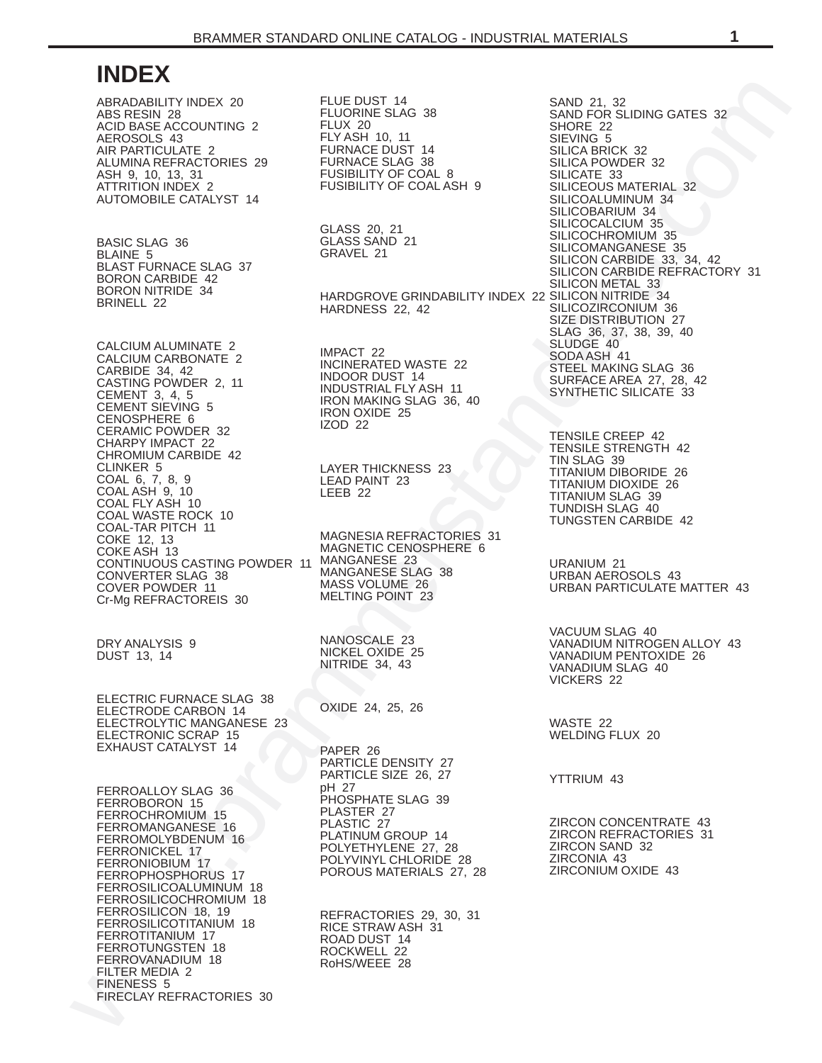# **INDEX**

ABRADABILITY INDEX 20 ABS RESIN 28 ACID BASE ACCOUNTING 2 AEROSOLS 43 AIR PARTICULATE 2 ALUMINA REFRACTORIES 29 ASH 9, 10, 13, 31 ATTRITION INDEX 2 AUTOMOBILE CATALYST 14

BASIC SLAG 36 BLAINE 5 BLAST FURNACE SLAG 37 BORON CARBIDE 42 BORON NITRIDE 34 BRINELL 22

CALCIUM ALUMINATE 2 CALCIUM CARBONATE 2 CARBIDE 34, 42 CASTING POWDER 2, 11 CEMENT 3, 4, 5 CEMENT SIEVING 5 CENOSPHERE 6 CERAMIC POWDER 32 CHARPY IMPACT 22 CHROMIUM CARBIDE 42 CLINKER 5 COAL 6, 7, 8, 9 COAL ASH 9, 10 COAL FLY ASH 10 COAL WASTE ROCK 10 COAL-TAR PITCH 11 COKE 12, 13 COKE ASH 13 CONTINUOUS CASTING POWDER 11 MANGANESE 23 CONVERTER SLAG 38 COVER POWDER 11 Cr-Mg REFRACTOREIS 30

DRY ANALYSIS 9 DUST 13, 14

ELECTRIC FURNACE SLAG 38 ELECTRODE CARBON 14 ELECTROLYTIC MANGANESE 23 ELECTRONIC SCRAP 15 EXHAUST CATALYST 14

FERROALLOY SLAG 36 FERROBORON 15 FERROCHROMIUM 15 FERROMANGANESE 16 FERROMOLYBDENUM 16 FERRONICKEL 17 FERRONIOBIUM 17 FERROPHOSPHORUS 17 FERROSILICOALUMINUM 18 FERROSILICOCHROMIUM 18 FERROSILICON 18, 19 FERROSILICOTITANIUM 18 FERROTITANIUM 17 FERROTUNGSTEN 18 FERROVANADIUM 18 FILTER MEDIA 2 FINENESS 5 FIRECLAY REFRACTORIES 30 FLUE DUST 14 FLUORINE SLAG 38 FLUX 20 FLY ASH 10, 11 FURNACE DUST 14 FURNACE SLAG 38 FUSIBILITY OF COAL 8 FUSIBILITY OF COAL ASH 9

GLASS 20, 21 GLASS SAND 21 GRAVEL 21

HARDGROVE GRINDABILITY INDEX 22 SILICON NITRIDE 34 HARDNESS 22, 42

IMPACT 22 INCINERATED WASTE 22 INDOOR DUST 14 INDUSTRIAL FLY ASH 11 IRON MAKING SLAG 36, 40 IRON OXIDE 25 IZOD 22

LAYER THICKNESS 23 LEAD PAINT 23 LEEB 22

MAGNESIA REFRACTORIES 31 MAGNETIC CENOSPHERE 6 MANGANESE SLAG 38 MASS VOLUME 26 MELTING POINT 23

NANOSCALE 23 NICKEL OXIDE 25 NITRIDE 34, 43

OXIDE 24, 25, 26

PAPER 26 PARTICLE DENSITY 27 PARTICLE SIZE 26, 27 pH 27 PHOSPHATE SLAG 39 PLASTER 27 PLASTIC 27 PLATINUM GROUP 14 POLYETHYLENE 27, 28 POLYVINYL CHLORIDE 28 POROUS MATERIALS 27, 28

REFRACTORIES 29, 30, 31 RICE STRAW ASH 31 ROAD DUST 14 ROCKWELL 22 RoHS/WEEE 28

[ww](#page-17-0)[w](#page-16-0).[b](#page-15-0)r[a](#page-35-0)[m](#page-22-0)m[e](#page-37-0)[rs](#page-30-0)[t](#page-22-0)a[n](#page-41-0)[d](#page-39-0)a[r](#page-32-0)[d.](#page-34-0)[com](#page-31-0)/interactions/interactions/interactions/interactions/interactions/interactions/interactions/interactions/interactions/interactions/interactions/interactions/interactions/interactions/interactions/i SAND 21, 32 SAND FOR SLIDING GATES 32 SHORE 22 SIEVING 5 SILICA BRICK 32 SILICA POWDER 32 SILICATE 33 SILICEOUS MATERIAL 32 SILICOALUMINUM 34 SILICOBARIUM 34 SILICOCALCIUM 35 SILICOCHROMIUM 35 SILICOMANGANESE 35 SILICON CARBIDE 33, 34, 42 SILICON CARBIDE REFRACTORY 31 SILICON METAL 33 SILICOZIRCONIUM 36 SIZE DISTRIBUTION 27 SLAG 36, 37, 38, 39, 40 SLUDGE 40 SODA ASH 41 STEEL MAKING SLAG 36 SURFACE AREA 27, 28, 42 SYNTHETIC SILICATE 33

TENSILE CREEP 42 TENSILE STRENGTH 42 TIN SLAG 39 TITANIUM DIBORIDE 26 TITANIUM DIOXIDE 26 TITANIUM SLAG 39 TUNDISH SLAG 40 TUNGSTEN CARBIDE 42

URANIUM 21 URBAN AEROSOLS 43 URBAN PARTICULATE MATTER 43

VACUUM SLAG 40 VANADIUM NITROGEN ALLOY 43 VANADIUM PENTOXIDE 26 VANADIUM SLAG 40 VICKERS 22

WASTE 22 WELDING FLUX 20

YTTRIUM 43

ZIRCON CONCENTRATE 43 ZIRCON REFRACTORIES 31 ZIRCON SAND 32 ZIRCONIA 43 ZIRCONIUM OXIDE 43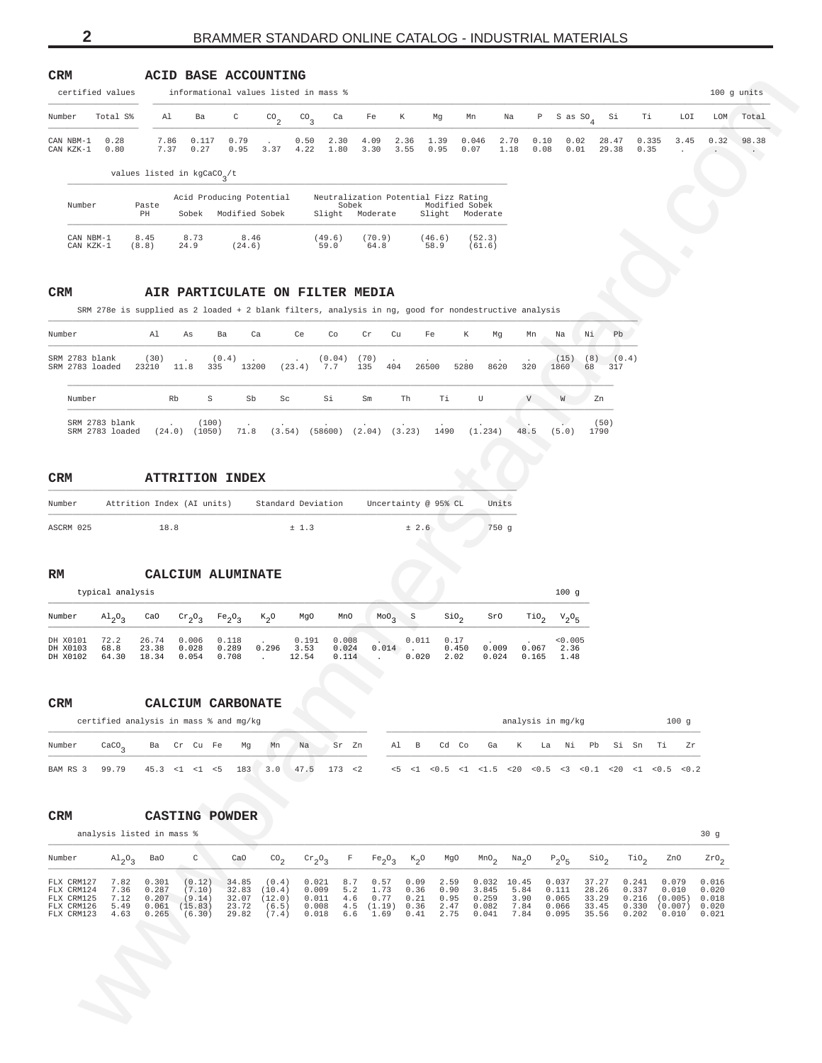<span id="page-1-0"></span>

| CRM<br>certified values                                                                      |                                   |                         |                                 | ACID BASE ACCOUNTING<br>informational values listed in mass %                                        |                          |                                      |                          |                        |                          |                                                                           |                         |                      |                         |                         |                         |               |                                     |                 | 100 g units |
|----------------------------------------------------------------------------------------------|-----------------------------------|-------------------------|---------------------------------|------------------------------------------------------------------------------------------------------|--------------------------|--------------------------------------|--------------------------|------------------------|--------------------------|---------------------------------------------------------------------------|-------------------------|----------------------|-------------------------|-------------------------|-------------------------|---------------|-------------------------------------|-----------------|-------------|
| Number                                                                                       | Total S%                          | Al                      | Ba                              | C                                                                                                    | $\mathrm{CO}_2$          | $^{CO}$ <sub>3</sub>                 | Ca                       | Fe                     | К                        | Mg                                                                        | Mn                      | Na                   | $P$ S as $SO_4$         |                         | Si                      | Тi            | LOI                                 | LOM             | Total       |
| CAN NBM-1<br>CAN KZK-1                                                                       | 0.28<br>0.80                      | 7.86<br>7.37            | 0.117<br>0.27                   | 0.79<br>0.95                                                                                         | 3.37                     | 0.50<br>4.22                         | 2.30<br>1.80             | 4.09<br>3.30           | 2.36<br>3.55             | 1.39<br>0.95                                                              | 0.046<br>0.07           | 2.70<br>1.18         | 0.10<br>0.08            | 0.02<br>0.01            | 28.47<br>29.38          | 0.335<br>0.35 | 3.45<br>$\cdot$                     | 0.32            | 98.38       |
|                                                                                              |                                   |                         | values listed in $kgCaCO_{2}/t$ |                                                                                                      |                          |                                      |                          |                        |                          |                                                                           |                         |                      |                         |                         |                         |               |                                     |                 |             |
| Number                                                                                       |                                   | Paste<br>PH             |                                 | Acid Producing Potential<br>Sobek Modified Sobek                                                     |                          |                                      | Sobek<br>Slight Moderate |                        |                          | Neutralization Potential Fizz Rating<br>Modified Sobek<br>Slight Moderate |                         |                      |                         |                         |                         |               |                                     |                 |             |
| CAN NBM-1                                                                                    |                                   | 8.45                    | 8.73                            | 8.46                                                                                                 |                          | (49.6)                               |                          | (70.9)                 |                          | (46.6)                                                                    | (52.3)                  |                      |                         |                         |                         |               |                                     |                 |             |
| CAN KZK-1                                                                                    |                                   | (8.8)                   | 24.9                            | (24.6)                                                                                               |                          | 59.0                                 |                          | 64.8                   |                          | 58.9                                                                      | (61.6)                  |                      |                         |                         |                         |               |                                     |                 |             |
| <b>CRM</b>                                                                                   |                                   |                         |                                 | AIR PARTICULATE ON FILTER MEDIA                                                                      |                          |                                      |                          |                        |                          |                                                                           |                         |                      |                         |                         |                         |               |                                     |                 |             |
|                                                                                              |                                   |                         |                                 | SRM 278e is supplied as 2 loaded + 2 blank filters, analysis in ng, good for nondestructive analysis |                          |                                      |                          |                        |                          |                                                                           |                         |                      |                         |                         |                         |               |                                     |                 |             |
| Number                                                                                       |                                   | Al                      | As                              | Ba                                                                                                   | Ca                       | Ce                                   | Co                       | Cr<br>Cu               |                          | Fe<br>К                                                                   | Mg                      | Mn                   | Na                      | Νi                      | Pb                      |               |                                     |                 |             |
| SRM 2783 blank<br>SRM 2783 loaded                                                            |                                   | (30)<br>23210           | 11.8                            | (0.4)<br>335                                                                                         | 13200                    | (23.4)                               | (0.04)<br>7.7            | (70)<br>135<br>404     | 26500                    | 5280                                                                      | 8620                    | 320                  | (15)<br>1860            | (8)<br>68               | (0.4)<br>317            |               |                                     |                 |             |
| Number                                                                                       |                                   |                         | Rb                              | $\rm S$<br>Sb                                                                                        | Sc                       |                                      | Si                       | Sm                     | Th                       | Тi                                                                        | U                       | V                    | W                       | Zn                      |                         |               |                                     |                 |             |
|                                                                                              | SRM 2783 blank<br>SRM 2783 loaded |                         | $(24.0)$ $(1050)$               | (100)<br>71.8                                                                                        |                          | $(3.54)$ $(58600)$ $(2.04)$ $(3.23)$ |                          |                        |                          | 1490                                                                      | (1.234)                 | 48.5                 | (5.0)                   | (50)<br>1790            |                         |               |                                     |                 |             |
|                                                                                              |                                   |                         |                                 |                                                                                                      |                          |                                      |                          |                        |                          |                                                                           |                         |                      |                         |                         |                         |               |                                     |                 |             |
| CRM                                                                                          |                                   |                         |                                 | <b>ATTRITION INDEX</b>                                                                               |                          |                                      |                          |                        |                          |                                                                           |                         |                      |                         |                         |                         |               |                                     |                 |             |
| Number                                                                                       |                                   |                         | Attrition Index (AI units)      |                                                                                                      |                          | Standard Deviation                   |                          |                        |                          | Uncertainty @ 95% CL                                                      | Units                   |                      |                         |                         |                         |               |                                     |                 |             |
| ASCRM 025                                                                                    |                                   | 18.8                    |                                 |                                                                                                      |                          | ± 1.3                                |                          |                        | ± 2.6                    |                                                                           | 750 g                   |                      |                         |                         |                         |               |                                     |                 |             |
|                                                                                              |                                   |                         |                                 |                                                                                                      |                          |                                      |                          |                        |                          |                                                                           |                         |                      |                         |                         |                         |               |                                     |                 |             |
|                                                                                              |                                   |                         |                                 |                                                                                                      |                          |                                      |                          |                        |                          |                                                                           |                         |                      |                         |                         |                         |               |                                     |                 |             |
|                                                                                              | typical analysis                  |                         |                                 | CALCIUM ALUMINATE                                                                                    |                          |                                      |                          |                        |                          |                                                                           |                         |                      | 100g                    |                         |                         |               |                                     |                 |             |
|                                                                                              | $A1_{2}O_{3}$                     | CaO                     | $\mathrm{cr}_2\mathrm{O}_3$     | Fe <sub>2</sub> O <sub>3</sub>                                                                       | $K_{2}O$                 | MgO                                  | MnO                      | MOO <sub>3</sub>       | $\,$ S                   | $\sin \theta_2$                                                           | SrO                     | $\verb"rio"_{2}$     | $V_2O_5$                |                         |                         |               |                                     |                 |             |
| RM<br>Number<br>DH X0101<br>DH X0103<br>DH X0102                                             | 72.2<br>68.8<br>64.30             | 26.74<br>23.38<br>18.34 | 0.006<br>0.028<br>0.054         | 0.118<br>0.289<br>0.708                                                                              | 0.296<br>$\cdot$         | 0.191<br>3.53<br>12.54               | 0.008<br>0.024<br>0.114  | 0.014<br>$\cdot$       | 0.011<br>$\sim$<br>0.020 | 0.17<br>0.450<br>2.02                                                     | 0.009<br>0.024          | 0.067<br>0.165       | < 0.005<br>2.36<br>1.48 |                         |                         |               |                                     |                 |             |
|                                                                                              |                                   |                         |                                 |                                                                                                      |                          |                                      |                          |                        |                          |                                                                           |                         |                      |                         |                         |                         |               |                                     |                 |             |
|                                                                                              |                                   |                         |                                 | CALCIUM CARBONATE                                                                                    |                          |                                      |                          |                        |                          |                                                                           |                         |                      |                         |                         |                         |               |                                     |                 |             |
|                                                                                              |                                   |                         |                                 | certified analysis in mass % and mg/kg                                                               |                          |                                      |                          |                        |                          |                                                                           |                         |                      | analysis in mg/kg       |                         |                         |               | 100g                                |                 |             |
|                                                                                              | $\text{CaCO}_3$                   |                         | Ba Cr Cu Fe                     | Mg                                                                                                   | Mn                       | Na                                   | Sr Zn                    |                        | Al B                     | Cd Co                                                                     | Ga                      | K                    | La Ni Pb                |                         | Si Sn Ti                |               | Zr                                  |                 |             |
|                                                                                              | 99.79                             |                         | 45.3 < 1 < 1 < 5                | 183                                                                                                  | 3.0                      | 47.5                                 | 173 < 2                  |                        |                          | <5 <1 <0.5 <1 <1.5 <20 <0.5 <3 <0.1 <20 <1 <0.5 <0.2                      |                         |                      |                         |                         |                         |               |                                     |                 |             |
|                                                                                              |                                   |                         |                                 | <b>CASTING POWDER</b>                                                                                |                          |                                      |                          |                        |                          |                                                                           |                         |                      |                         |                         |                         |               |                                     |                 |             |
|                                                                                              | analysis listed in mass %         |                         |                                 |                                                                                                      |                          |                                      |                          |                        |                          |                                                                           |                         |                      |                         |                         |                         |               |                                     | 30 <sub>g</sub> |             |
|                                                                                              | $\mathrm{Al}_{2}\mathrm{O}_{3}$   | Ba0                     | C                               | CaO                                                                                                  | CO <sub>2</sub>          | $\mathrm{cr}_2\mathrm{O}_3$          | $\mathbf{F}$             | $Fe_2O_3$              | $K_2O$                   | MgO                                                                       | MnO <sub>2</sub>        | Na <sub>2</sub> O    | $P_2O_5$                | $SIO_{2}$               | TiO <sub>2</sub>        |               | ZnO                                 | $2r0_2$         |             |
| $\mathtt{CRM}$<br>Number<br>BAM RS 3<br>$\mathtt{CRM}$<br>Number<br>FLX CRM127<br>FLX CRM124 | 7.82<br>7.36                      | 0.301<br>0.287          | (0.12)<br>(7.10)                | 34.85<br>32.83                                                                                       | (0.4)<br>(10.4)          | 0.021<br>0.009                       | 8.7<br>$5.2\,$           | 0.57<br>1.73           | 0.09<br>0.36             | 2.59<br>0.90                                                              | 0.032 10.45<br>3.845    | 5.84                 | 0.037<br>0.111          | 37.27<br>28.26          | 0.241<br>0.337          |               | 0.079<br>0.010                      | 0.016<br>0.020  |             |
| FLX CRM125<br>FLX CRM126<br>FLX CRM123                                                       | 7.12<br>5.49<br>4.63              | 0.207<br>0.061<br>0.265 | (9.14)<br>(15.83)<br>(6.30)     | 32.07<br>23.72<br>29.82                                                                              | (12.0)<br>(6.5)<br>(7.4) | 0.011<br>0.008<br>0.018              | 4.6<br>4.5<br>6.6        | 0.77<br>(1.19)<br>1.69 | 0.21<br>0.36<br>0.41     | 0.95<br>2.47<br>2.75                                                      | 0.259<br>0.082<br>0.041 | 3.90<br>7.84<br>7.84 | 0.065<br>0.066<br>0.095 | 33.29<br>33.45<br>35.56 | 0.216<br>0.330<br>0.202 |               | (0.005)<br>$(0.007)$ 0.020<br>0.010 | 0.018<br>0.021  |             |
|                                                                                              |                                   |                         |                                 |                                                                                                      |                          |                                      |                          |                        |                          |                                                                           |                         |                      |                         |                         |                         |               |                                     |                 |             |
|                                                                                              |                                   |                         |                                 |                                                                                                      |                          |                                      |                          |                        |                          |                                                                           |                         |                      |                         |                         |                         |               |                                     |                 |             |
|                                                                                              |                                   |                         |                                 |                                                                                                      |                          |                                      |                          |                        |                          |                                                                           |                         |                      |                         |                         |                         |               |                                     |                 |             |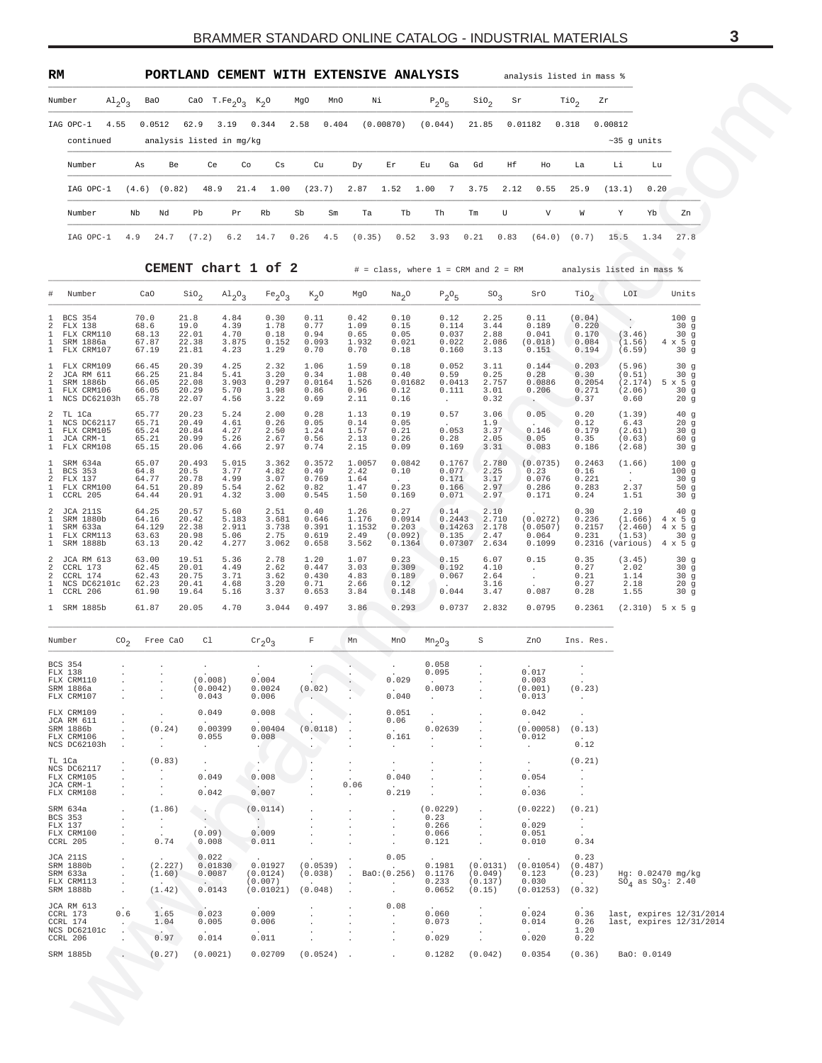<span id="page-2-0"></span>

| RM        |                                 |     |                          |      |                                                       |           |      |            | PORTLAND CEMENT WITH EXTENSIVE ANALYSIS |           |          |    |                                           |         |           |                  | analysis listed in mass %       |              |    |
|-----------|---------------------------------|-----|--------------------------|------|-------------------------------------------------------|-----------|------|------------|-----------------------------------------|-----------|----------|----|-------------------------------------------|---------|-----------|------------------|---------------------------------|--------------|----|
| Number    | $\mathrm{Al}_{2}\mathrm{O}_{2}$ |     | BaO                      |      | CaO T.Fe <sub>2</sub> O <sub>2</sub> K <sub>2</sub> O |           | MgO  | MnO        | Νi                                      |           | $P_2O_5$ |    | SiO <sub>2</sub>                          | Sr      |           | TiO <sub>2</sub> | Zr                              |              |    |
| IAG OPC-1 | 4.55                            |     | 0.0512                   | 62.9 | 3.19                                                  | 0.344     |      | 2.58 0.404 |                                         | (0.00870) | (0.044)  |    | 21.85                                     | 0.01182 |           | 0.318            | 0.00812                         |              |    |
| continued |                                 |     | analysis listed in mg/kg |      |                                                       |           |      |            |                                         |           |          |    |                                           |         |           |                  |                                 | $~5$ q units |    |
| Number    |                                 | As  | Be                       | Ce   | Co                                                    |           | Cs   | Cu         | Dy                                      | Er        | Eu.      | Ga | Gd                                        | Hf      | Ho        | La               | Li                              | Lu           |    |
| IAG OPC-1 |                                 |     | $(4.6)$ $(0.82)$         | 48.9 |                                                       | 21.4 1.00 |      | (23.7)     | 2.87 1.52 1.00                          |           |          |    | 7 3.75                                    |         | 2.12 0.55 | 25.9             | (13.1)                          | 0.20         |    |
| Number    |                                 | Nb  | Nd                       | Pb.  | Pr                                                    | Rb        | Sb   | Sm         | Ta                                      | Tb        | Th       |    | Tm                                        | U       | V         | W                | Y.                              | Yb           | Zn |
| IAG OPC-1 |                                 | 4.9 | 24.7                     |      | $(7.2)$ 6.2 14.7                                      |           | 0.26 | 4.5        | (0.35)                                  | 0.52      | 3.93     |    | 0.21                                      | 0.83    |           |                  | $(64.0)$ $(0.7)$ 15.5 1.34 27.8 |              |    |
|           |                                 |     | CEMENT chart 1 of 2      |      |                                                       |           |      |            |                                         |           |          |    | $#$ = class, where $1$ = CRM and $2$ = RM |         |           |                  | analysis listed in mass %       |              |    |

| Number                            |                                          | $A1_{2}O_{3}$                 | Ba0                      |                      |                         | CaO T.Fe <sub>2</sub> O <sub>3</sub> K <sub>2</sub> O |                                             | MgO<br>MnO                | Νi                      |                            | $P_2O_5$                       | $\sin \theta_2$          | Sr                          | $\text{rio}_2$              | Zr                                                            |                                                      |
|-----------------------------------|------------------------------------------|-------------------------------|--------------------------|----------------------|-------------------------|-------------------------------------------------------|---------------------------------------------|---------------------------|-------------------------|----------------------------|--------------------------------|--------------------------|-----------------------------|-----------------------------|---------------------------------------------------------------|------------------------------------------------------|
|                                   | IAG OPC-1                                | 4.55                          | 0.0512                   |                      | 62.9                    | 3.19                                                  | 0.344                                       | 2.58<br>0.404             |                         | (0.00870)                  | (0.044)                        | 21.85                    | 0.01182                     | 0.318                       | 0.00812                                                       |                                                      |
|                                   | continued                                |                               |                          |                      |                         | analysis listed in mg/kg                              |                                             |                           |                         |                            |                                | Gd                       | Ηf                          |                             | $~15$ g units                                                 |                                                      |
|                                   | Number                                   |                               | As                       | Be                   | Ce                      | Co                                                    | Сs                                          | Cu                        | Dу                      | Εr                         | Ga<br>Εu                       |                          | Ho                          | La                          | Li<br>Lu                                                      |                                                      |
|                                   | IAG OPC-1                                |                               | (4.6)                    | (0.82)               | 48.9                    | 21.4                                                  | 1.00                                        | (23.7)                    | 2.87                    | 1.52                       | 1.00<br>7                      | 3.75                     | 2.12<br>0.55                | 25.9                        | (13.1)<br>0.20                                                |                                                      |
|                                   | Number                                   |                               | Nb                       | Nd                   | Pb                      | Pr                                                    | Rb                                          | Sb<br>Sm                  | Ta                      | Tb                         | Th                             | Tm                       | U<br>V                      | W                           | Y<br>Yb                                                       | Zn                                                   |
|                                   | IAG OPC-1                                |                               | 4.9                      | 24.7                 | (7.2)                   | 6.2                                                   | 14.7                                        | 0.26<br>4.5               | (0.35)                  | 0.52                       | 3.93                           | 0.21                     | 0.83<br>(64.0)              | (0.7)                       | 15.5<br>1.34                                                  | 27.8                                                 |
|                                   |                                          |                               |                          |                      |                         |                                                       | CEMENT chart 1 of 2                         |                           |                         |                            |                                |                          |                             |                             | # = class, where 1 = CRM and 2 = RM analysis listed in mass % |                                                      |
| #                                 | Number                                   |                               | CaO                      |                      | $\sin_2$                | $A1_{2}O_{3}$                                         | Fe <sub>2</sub> O <sub>3</sub>              | $K_2O$                    | MgO                     | Na <sub>2</sub> O          | $P_2O_5$                       | $SO_{2}$                 | SrO                         | TiO <sub>2</sub>            | LOI                                                           | Units                                                |
| 1<br>2                            | BCS 354<br>FLX 138                       |                               | 70.0<br>68.6             |                      | 21.8<br>19.0            | 4.84<br>4.39                                          | 0.30<br>1.78                                | 0.11<br>0.77              | 0.42<br>1.09            | 0.10<br>0.15               | 0.12<br>0.114                  | 2.25<br>3.44             | 0.11<br>0.189               | (0.04)<br>0.220             | $\cdot$                                                       | 100 <sub>g</sub><br>30 <sub>g</sub>                  |
| 1<br>1<br>$\mathbf{1}$            | FLX CRM110<br>SRM 1886a<br>FLX CRM107    |                               | 68.13<br>67.87<br>67.19  |                      | 22.01<br>22.38<br>21.81 | 4.70<br>3.875<br>4.23                                 | 0.18<br>0.152<br>1.29                       | 0.94<br>0.093<br>0.70     | 0.65<br>1.932<br>0.70   | 0.05<br>0.021<br>0.18      | 0.037<br>0.022<br>0.160        | 2.88<br>2.086<br>3.13    | 0.041<br>(0.018)<br>0.151   | 0.170<br>0.084<br>0.194     | (3.46)<br>(1.56)<br>(6.59)                                    | 30 <sub>g</sub><br>$4 \times 5$ g<br>30 <sub>g</sub> |
| 1<br>2                            | FLX CRM109<br>JCA RM 611                 |                               | 66.45<br>66.25           |                      | 20.39<br>21.84          | 4.25<br>5.41                                          | 2.32<br>3.20                                | 1.06<br>0.34              | 1.59<br>1.08            | 0.18<br>0.40               | 0.052<br>0.59                  | 3.11<br>0.25             | 0.144<br>0.28               | 0.203<br>0.30               | (5.96)<br>(0.51)                                              | 30g<br>30 <sub>g</sub>                               |
| 1<br>$\mathbf{1}$<br>$\mathbf{1}$ | SRM 1886b<br>FLX CRM106<br>NCS DC62103h  |                               | 66.05<br>66.05<br>65.78  |                      | 22.08<br>20.29<br>22.07 | 3.903<br>5.70<br>4.56                                 | 0.297<br>1.98<br>3.22                       | 0.0164<br>0.86<br>0.69    | 1.526<br>0.96<br>2.11   | 0.01682<br>0.12<br>0.16    | 0.0413<br>0.111<br>$\cdot$     | 2.757<br>3.01<br>0.32    | 0.0886<br>0.206             | 0.2054<br>0.271<br>0.37     | $(2.174)$ 5 x 5 g<br>(2.06)<br>0.60                           | 30 <sub>g</sub><br>20 <sub>g</sub>                   |
| 2<br>1                            | TL 1Ca<br>NCS DC62117                    |                               | 65.77<br>65.71           |                      | 20.23<br>20.49          | 5.24<br>4.61                                          | 2.00<br>0.26                                | 0.28<br>0.05              | 1.13<br>0.14            | 0.19<br>0.05               | 0.57                           | 3.06<br>1.9 <sub>1</sub> | 0.05                        | 0.20<br>0.12                | (1.39)<br>6.43                                                | 40 <sub>g</sub><br>20g                               |
| 1<br>1<br>1                       | FLX CRM105<br>JCA CRM-1<br>FLX CRM108    |                               | 65.24<br>65.21<br>65.15  |                      | 20.84<br>20.99<br>20.06 | 4.27<br>5.26<br>4.66                                  | 2.50<br>2.67<br>2.97                        | 1.24<br>0.56<br>0.74      | 1.57<br>2.13<br>2.15    | 0.21<br>0.26<br>0.09       | 0.053<br>0.28<br>0.169         | 3.37<br>2.05<br>3.31     | 0.146<br>0.05<br>0.083      | 0.179<br>0.35<br>0.186      | (2.61)<br>(0.63)<br>(2.68)                                    | 30 <sub>g</sub><br>60 g<br>30 <sub>g</sub>           |
| $\mathbf{1}$<br>1                 | SRM 634a<br>BCS 353                      |                               | 65.07<br>64.8            |                      | 20.493<br>20.5          | 5.015<br>3.77                                         | 3.362<br>4.82                               | 0.3572<br>0.49            | 1.0057<br>2.42          | 0.0842<br>0.10             | 0.1767<br>0.077                | 2.780<br>2.25            | (0.0735)<br>0.23            | 0.2463<br>0.16              | (1.66)<br>$\sim$ $-$                                          | 100g<br>100 <sub>g</sub>                             |
| 2<br>1<br>1                       | FLX 137<br>FLX CRM100<br>CCRL 205        |                               | 64.77<br>64.51<br>64.44  |                      | 20.78<br>20.89<br>20.91 | 4.99<br>5.54<br>4.32                                  | 3.07<br>2.62<br>3.00                        | 0.769<br>0.82<br>0.545    | 1.64<br>1.47<br>1.50    | 0.23<br>0.169              | 0.171<br>0.166<br>0.071        | 3.17<br>2.97<br>2.97     | 0.076<br>0.286<br>0.171     | 0.221<br>0.283<br>0.24      | 2.37<br>1.51                                                  | 30g<br>50 <sub>g</sub><br>30 <sub>g</sub>            |
| 2<br>1                            | JCA 211S<br>SRM 1880b                    |                               | 64.25<br>64.16           |                      | 20.57<br>20.42          | 5.60<br>5.183                                         | 2.51<br>3.681                               | 0.40<br>0.646             | 1.26<br>1.176           | 0.27<br>0.0914             | 0.14<br>0.2443                 | 2.10<br>2.710            | (0.0272)                    | 0.30<br>0.236               | 2.19<br>$(1.666)$ 4 x 5 g                                     | 40 <sub>g</sub>                                      |
| 1<br>$\mathbf{1}$<br>$\mathbf{1}$ | SRM 633a<br>FLX CRM113<br>SRM 1888b      |                               | 64.129<br>63.63<br>63.13 |                      | 22.38<br>20.98<br>20.42 | 2.911<br>5.06<br>4.277                                | 3.738<br>2.75<br>3.062                      | 0.391<br>0.619<br>0.658   | 1.1532<br>2.49<br>3.562 | 0.203<br>(0.092)<br>0.1364 | 0.14263<br>0.135<br>0.07307    | 2.178<br>2.47<br>2.634   | (0.0507)<br>0.064<br>0.1099 | 0.2157<br>0.231             | (2.460)<br>(1.53)<br>$0.2316$ (various)                       | $4 \times 5$ g<br>30 <sub>g</sub><br>$4 \times 5$ g  |
| 2                                 | 2 JCA RM 613<br>CCRL 173                 |                               | 63.00<br>62.45           |                      | 19.51<br>20.01          | 5.36<br>4.49                                          | 2.78<br>2.62                                | 1.20<br>0.447             | 1.07<br>3.03            | 0.23<br>0.309              | 0.15<br>0.192                  | 6.07<br>4.10             | 0.15<br>$\sim$              | 0.35<br>0.27                | (3.45)<br>2.02                                                | 30 <sub>g</sub><br>30 <sub>g</sub>                   |
| 2                                 | CCRL 174<br>1 NCS DC62101c<br>1 CCRL 206 |                               | 62.43<br>62.23<br>61.90  |                      | 20.75<br>20.41<br>19.64 | 3.71<br>4.68<br>5.16                                  | 3.62<br>3.20<br>3.37                        | 0.430<br>0.71<br>0.653    | 4.83<br>2.66<br>3.84    | 0.189<br>0.12<br>0.148     | 0.067<br>0.044                 | 2.64<br>3.16<br>3.47     | $\sim$<br>0.087             | 0.21<br>0.27<br>0.28        | 1.14<br>2.18<br>1.55                                          | 30 <sub>g</sub><br>20 <sub>g</sub><br>30g            |
|                                   | 1 SRM 1885b                              |                               | 61.87                    |                      | 20.05                   | 4.70                                                  | 3.044                                       | 0.497                     | 3.86                    | 0.293                      | 0.0737                         | 2.832                    | 0.0795                      | 0.2361                      | $(2.310)$ 5 x 5 g                                             |                                                      |
| Number                            |                                          | CO <sub>2</sub>               |                          | Free CaO             | C1                      |                                                       | $\mathrm{cr}_2\mathrm{O}_3$                 | F                         | Mn                      | MnO                        | Mn <sub>2</sub> 0 <sub>3</sub> | S                        | ZnO                         | Ins. Res.                   |                                                               |                                                      |
| BCS 354                           |                                          |                               |                          |                      |                         |                                                       |                                             |                           |                         |                            | 0.058                          |                          |                             |                             |                                                               |                                                      |
| FLX 138                           | FLX CRM110<br>SRM 1886a                  | $\cdot$                       |                          | $\cdot$              | (0.008)<br>(0.0042)     |                                                       | 0.004<br>0.0024                             | (0.02)                    |                         | 0.029                      | 0.095<br>0.0073                | $\cdot$                  | 0.017<br>0.003<br>(0.001)   | (0.23)                      |                                                               |                                                      |
|                                   | FLX CRM107<br>FLX CRM109                 | $\cdot$<br>$\cdot$            |                          | $\cdot$              | 0.043<br>0.049          |                                                       | 0.006<br>0.008                              | $\cdot$                   |                         | 0.040<br>0.051             | $\sim$<br>$\cdot$              |                          | 0.013<br>0.042              | $\sim$ $\sim$<br>$\sim$     |                                                               |                                                      |
|                                   | JCA RM 611<br>SRM 1886b<br>FLX CRM106    | $\cdot$<br>$\cdot$<br>$\cdot$ |                          | (0.24)<br>$\sim 100$ | 0.055                   | 0.00399                                               | 0.00404<br>0.008                            | (0.0118)<br>$\rightarrow$ |                         | 0.06<br>$\sim$<br>0.161    | 0.02639<br>$\sim$              |                          | (0.00058)<br>0.012          | (0.13)                      |                                                               |                                                      |
| TL 1Ca                            | NCS DC62103h                             | $\cdot$<br>$\cdot$            |                          | $\sim$<br>(0.83)     | $\sim$<br>$\sim$        |                                                       | $\sim$<br>$\cdot$ .                         | $\cdot$<br>$\cdot$        | $\cdot$                 | $\sim$<br>$\sim$           |                                |                          | $\sim$<br>$\sim$            | 0.12<br>(0.21)              |                                                               |                                                      |
|                                   | NCS DC62117<br>FLX CRM105                | $\cdot$<br>$\cdot$            |                          | $\sim$<br>$\cdot$    | 0.049                   |                                                       | 0.008                                       | $\cdot$                   | $\sim$                  | 0.040                      | $\cdot$                        | $\cdot$                  | 0.054                       | $\sim$<br>$\cdot$           |                                                               |                                                      |
|                                   | JCA CRM-1<br>FLX CRM108                  | $\cdot$                       |                          | $\cdot$<br>$\cdot$   | 0.042                   |                                                       | $\sim$<br>0.007                             | $\cdot$<br>$\cdot$        | 0.06<br>$\sim$          | $\sim$<br>0.219            | $\cdot$                        |                          | $\sim$<br>0.036             | $\cdot$<br>$\cdot$          |                                                               |                                                      |
|                                   | SRM 634a<br>BCS 353                      | $\cdot$                       |                          | (1.86)<br>$\sim 100$ | $\sim$<br>$\sim$ $-$    |                                                       | (0.0114)                                    | $\cdot$                   | $\cdot$<br>$\cdot$      | $\cdot$<br>$\cdot$         | (0.0229)<br>0.23               | $\cdot$<br>$\cdot$       | (0.0222)                    | (0.21)                      |                                                               |                                                      |
|                                   | FLX 137<br>FLX CRM100                    | $\cdot$<br>$\cdot$            |                          | $\sim$               | (0.09)                  |                                                       | $\sim$ 100 $\mu$<br><b>College</b><br>0.009 |                           | $\cdot$<br>$\cdot$      | $\cdot$                    | 0.266<br>0.066                 | $\cdot$<br>$\cdot$       | 0.029<br>0.051              | $\sim$<br>$\sim$            |                                                               |                                                      |
|                                   | CCRL 205                                 | $\cdot$                       |                          | 0.74                 | 0.008                   |                                                       | 0.011                                       | $\cdot$                   |                         | $\cdot$<br>$\cdot$         | 0.121                          |                          | 0.010                       | 0.34                        |                                                               |                                                      |
|                                   | JCA 211S<br>SRM 1880b                    | $\cdot$<br>$\cdot$            |                          | (2.227)              | 0.022                   | 0.01830                                               | 0.01927                                     | $(0.0539)$ .              |                         | 0.05<br><b>Contractor</b>  | 0.1981                         | (0.0131)                 | $(0.01054)$ $(0.487)$       | 0.23                        |                                                               |                                                      |
|                                   | SRM 633a<br>FLX CRM113                   | $\cdot$<br>$\cdot$            |                          | (1.60)               | 0.0087                  |                                                       | (0.0124)<br>(0.007)                         | (0.038)                   | $\sim$<br>$\cdot$       | BaO: (0.256)<br>$\sim$ $-$ | 0.1176<br>0.233                | (0.049)<br>(0.137)       | 0.123<br>0.030              | (0.23)<br><b>Contractor</b> | Hg: 0.02470 mg/kg<br>$SO_4$ as $SO_3$ : 2.40                  |                                                      |
|                                   | SRM 1888b<br>JCA RM 613                  | $\cdot$                       |                          | (1.42)               | 0.0143                  |                                                       | $(0.01021)$ $(0.048)$                       |                           | $\cdot$<br>$\cdot$      | $\sim$<br>0.08             | 0.0652                         | (0.15)                   | $(0.01253)$ $(0.32)$        |                             |                                                               |                                                      |
|                                   | CCRL 173<br>CCRL 174                     | 0.6<br>$\sim$ $\sim$          |                          | 1.65<br>1.04         | 0.023<br>0.005          |                                                       | 0.009<br>0.006                              | $\cdot$                   | $\cdot$                 | $\sim$<br>$\sim$           | 0.060<br>0.073                 | $\cdot$<br>$\cdot$       | 0.024<br>0.014              | 0.36<br>0.26                | last, expires 12/31/2014<br>last, expires 12/31/2014          |                                                      |
|                                   | NCS DC62101c<br>CCRL 206                 |                               |                          | 0.97                 | 0.014                   |                                                       | 0.011                                       | $\cdot$                   | $\cdot$                 | $\cdot$<br>$\cdot$         | 0.029                          | $\cdot$                  | 0.020                       | 1.20<br>0.22                |                                                               |                                                      |
|                                   | SRM 1885b                                |                               |                          | (0.27)               | (0.0021)                |                                                       | 0.02709                                     | $(0.0524)$ .              |                         | $\sim 100$ km s $^{-1}$    | 0.1282                         | (0.042)                  | 0.0354                      |                             | $(0.36)$ BaO: $0.0149$                                        |                                                      |
|                                   |                                          |                               |                          |                      |                         |                                                       |                                             |                           |                         |                            |                                |                          |                             |                             |                                                               |                                                      |
|                                   |                                          |                               |                          |                      |                         |                                                       |                                             |                           |                         |                            |                                |                          |                             |                             |                                                               |                                                      |
|                                   |                                          |                               |                          |                      |                         |                                                       |                                             |                           |                         |                            |                                |                          |                             |                             |                                                               |                                                      |
|                                   |                                          |                               |                          |                      |                         |                                                       |                                             |                           |                         |                            |                                |                          |                             |                             |                                                               |                                                      |

| Number                                                              | CO <sub>2</sub>                                           | Free CaO                      | Cl                                                    | $\mathrm{cr}_2\mathrm{O}_3$                                     | F                                        | Mn                                        | MnO                                            | Mn <sub>2</sub> 0 <sub>3</sub>                         | S                                                  | ZnO                                                             | Ins. Res.                                             |                                             |                                                      |
|---------------------------------------------------------------------|-----------------------------------------------------------|-------------------------------|-------------------------------------------------------|-----------------------------------------------------------------|------------------------------------------|-------------------------------------------|------------------------------------------------|--------------------------------------------------------|----------------------------------------------------|-----------------------------------------------------------------|-------------------------------------------------------|---------------------------------------------|------------------------------------------------------|
| <b>BCS 354</b><br>FLX 138<br>FLX CRM110<br>SRM 1886a<br>FLX CRM107  |                                                           |                               | $\ddot{\phantom{0}}$<br>(0.008)<br>(0.0042)<br>0.043  | $\ddot{\phantom{0}}$<br>0.004<br>0.0024<br>0.006                | (0.02)                                   |                                           | 0.029<br>0.040                                 | 0.058<br>0.095<br>$\sim$<br>0.0073                     |                                                    | $\sim$<br>0.017<br>0.003<br>(0.001)<br>0.013                    | $\ddot{\phantom{0}}$<br>(0.23)                        |                                             |                                                      |
| FLX CRM109<br>JCA RM 611<br>SRM 1886b<br>FLX CRM106<br>NCS DC62103h | $\cdot$                                                   | (0.24)                        | 0.049<br>0.00399<br>0.055<br>$\overline{\phantom{a}}$ | 0.008<br>$\sim$<br>0.00404<br>0.008<br>$\sim$                   | (0.0118)                                 |                                           | 0.051<br>0.06<br>0.161<br>$\ddot{\phantom{0}}$ | 0.02639                                                |                                                    | 0.042<br>(0.00058)<br>0.012<br>$\ddot{\phantom{0}}$             | (0.13)<br>$\sim$<br>0.12                              |                                             |                                                      |
| TL 1Ca<br>NCS DC62117<br>FLX CRM105<br>JCA CRM-1<br>FLX CRM108      | $\blacksquare$<br>$\ddot{\phantom{a}}$                    | (0.83)                        | $\cdot$<br>0.049<br>$\sim 10^{-11}$<br>0.042          | $\mathcal{L}_{\mathrm{c}}$<br>0.008<br>$\mathcal{L}$<br>0.007   |                                          | 0.06<br>$\ddot{\phantom{0}}$              | 0.040<br>$\sim$ 100 $\pm$<br>0.219             |                                                        |                                                    | $\blacksquare$<br>0.054<br><b>Service</b><br>0.036              | (0.21)                                                |                                             |                                                      |
| SRM 634a<br>BCS 353<br>FLX 137<br>FLX CRM100<br>CCRL 205            |                                                           | (1.86)<br>$\cdot$<br>0.74     | <b>Security</b><br>$\overline{a}$<br>(0.09)<br>0.008  | (0.0114)<br>$\mathcal{L} \subset \mathcal{L}$<br>0.009<br>0.011 |                                          |                                           | $\cdot$<br>$\cdot$                             | (0.0229)<br>0.23<br>0.266<br>0.066<br>0.121            |                                                    | (0.0222)<br><b>Contract Contract</b><br>0.029<br>0.051<br>0.010 | (0.21)<br>$\cdot$<br>0.34                             |                                             |                                                      |
| <b>JCA 211S</b><br>SRM 1880b<br>SRM 633a<br>FLX CRM113<br>SRM 1888b | $\ddot{\phantom{0}}$<br>$\bullet$<br>$\ddot{\phantom{0}}$ | (2.227)<br>(1.60)<br>(1.42)   | 0.022<br>0.01830<br>0.0087<br>$\sim$<br>0.0143        | 0.01927<br>(0.0124)<br>(0.007)<br>(0.01021)                     | $\sim$<br>(0.0539)<br>(0.038)<br>(0.048) | $\bullet$<br>$\cdot$<br>$\sim$<br>$\cdot$ | 0.05<br>BaO: (0.256)<br>$\cdot$                | $\sim$<br>0.1981<br>0.1176<br>0.233<br>0.0652          | $\sim$<br>(0.0131)<br>(0.049)<br>(0.137)<br>(0.15) | $\sim$<br>(0.01054)<br>0.123<br>0.030<br>(0.01253)              | 0.23<br>(0.487)<br>(0.23)<br><b>Service</b><br>(0.32) | Hq: 0.02470 mg/kg<br>$SO_4$ as $SO_3: 2.40$ |                                                      |
| JCA RM 613<br>CCRL 173<br>CCRL 174<br>NCS DC62101c<br>CCRL 206      | 0.6<br>$\mathcal{L}$<br>$\cdot$<br>$\ddot{\phantom{0}}$   | 1.65<br>1.04<br>- 100<br>0.97 | 0.023<br>0.005<br><b>Contract Contract</b><br>0.014   | 0.009<br>0.006<br>$\sim 10^{-11}$<br>0.011                      |                                          |                                           | 0.08<br>$\mathcal{L}_{\mathcal{A}}$            | $\sim$<br>0.060<br>0.073<br><b>Contractor</b><br>0.029 |                                                    | 0.024<br>0.014<br>$\sim$<br>0.020                               | 0.36<br>0.26<br>1.20<br>0.22                          |                                             | last, expires 12/31/2014<br>last, expires 12/31/2014 |
| SRM 1885b                                                           |                                                           | (0.27)                        | (0.0021)                                              | 0.02709                                                         | $(0.0524)$ .                             |                                           |                                                | 0.1282                                                 | (0.042)                                            | 0.0354                                                          | (0.36)                                                | BaO: 0.0149                                 |                                                      |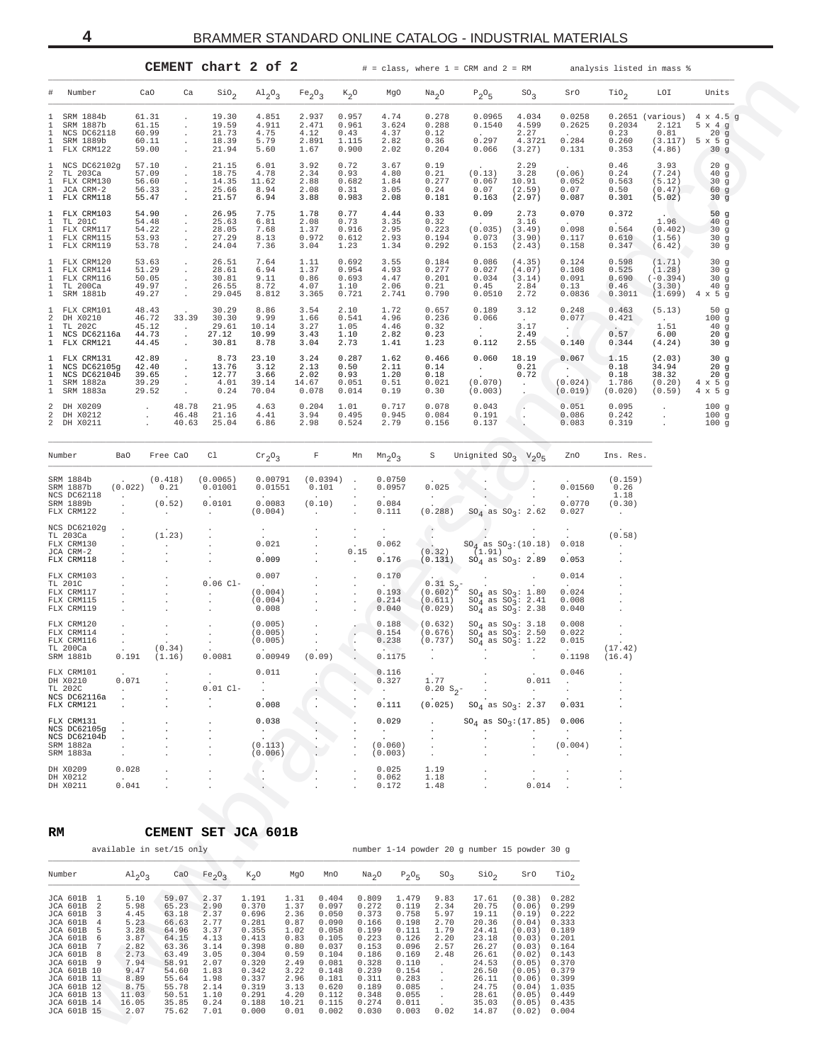| CEMENT chart 2 of |  |  |  |  |
|-------------------|--|--|--|--|
|-------------------|--|--|--|--|

<span id="page-3-0"></span>

|                                  |                                                                                                                                                                                                                                                        |                                                                                                                        |                                           |                                                                                                                                     |                                                                                                                      | CEMENT chart 2 of 2                                                                                                                 |                                                                                                                                                                                                                                                              |                                                                                                                                     |                                                                                                                                     | $#$ = class, where $1$ = CRM and $2$ = RM                                                                                         |                                                                                                                                     |                                                                                                                                                                                                        |                                                                                                                            | analysis listed in mass %                                 |                                                     |                                                                                |  |
|----------------------------------|--------------------------------------------------------------------------------------------------------------------------------------------------------------------------------------------------------------------------------------------------------|------------------------------------------------------------------------------------------------------------------------|-------------------------------------------|-------------------------------------------------------------------------------------------------------------------------------------|----------------------------------------------------------------------------------------------------------------------|-------------------------------------------------------------------------------------------------------------------------------------|--------------------------------------------------------------------------------------------------------------------------------------------------------------------------------------------------------------------------------------------------------------|-------------------------------------------------------------------------------------------------------------------------------------|-------------------------------------------------------------------------------------------------------------------------------------|-----------------------------------------------------------------------------------------------------------------------------------|-------------------------------------------------------------------------------------------------------------------------------------|--------------------------------------------------------------------------------------------------------------------------------------------------------------------------------------------------------|----------------------------------------------------------------------------------------------------------------------------|-----------------------------------------------------------|-----------------------------------------------------|--------------------------------------------------------------------------------|--|
| #                                | Number                                                                                                                                                                                                                                                 |                                                                                                                        | CaO                                       | Ca                                                                                                                                  | $\sin_2$                                                                                                             | $A1_{2}O_{3}$                                                                                                                       | Fe <sub>2</sub> O <sub>3</sub>                                                                                                                                                                                                                               | $K_2O$                                                                                                                              | MgO                                                                                                                                 | Na <sub>2</sub> O                                                                                                                 | $P_2O_5$                                                                                                                            | ${\rm SO}_3$                                                                                                                                                                                           | SrO                                                                                                                        | $\mathrm{rio}_2$                                          | LOI                                                 | Units                                                                          |  |
| 1<br>1<br>1<br>1                 | SRM 1884b<br>SRM 1887b<br>NCS DC62118<br>SRM 1889b<br>1 FLX CRM122                                                                                                                                                                                     |                                                                                                                        | 61.31<br>61.15<br>60.99<br>60.11<br>59.00 | $\epsilon$<br>$\epsilon$<br>$\cdot$                                                                                                 | 19.30<br>19.59<br>21.73<br>18.39<br>21.94                                                                            | 4.851<br>4.911<br>4.75<br>5.79<br>5.60                                                                                              | 2.937<br>2.471<br>4.12<br>2.891<br>1.67                                                                                                                                                                                                                      | 0.957<br>0.961<br>0.43<br>1.115<br>0.900                                                                                            | 4.74<br>3.624<br>4.37<br>2.82<br>2.02                                                                                               | 0.278<br>0.288<br>0.12<br>0.36<br>0.204                                                                                           | 0.0965<br>0.1540<br>0.297<br>0.066                                                                                                  | 4.034<br>4.599<br>2.27<br>4.3721<br>(3.27)                                                                                                                                                             | 0.0258<br>0.2625<br>0.284<br>0.131                                                                                         | 0.2034<br>0.23<br>0.260<br>0.353                          | 2.121<br>0.81<br>(4.86)                             | $0.2651$ (various) $4 \times 4.5$ g<br>5x4g<br>20g<br>$(3.117)$ 5 x 5 g<br>30g |  |
| 1<br>2<br>1<br>1                 | NCS DC62102g<br>TL 203Ca<br>FLX CRM130<br>JCA CRM-2<br>1 FLX CRM118                                                                                                                                                                                    |                                                                                                                        | 57.10<br>57.09<br>56.60<br>56.33<br>55.47 | $\cdot$<br>$\bullet$                                                                                                                | 21.15<br>18.75<br>14.35<br>25.66<br>21.57                                                                            | 6.01<br>4.78<br>11.62<br>8.94<br>6.94                                                                                               | 3.92<br>2.34<br>2.88<br>2.08<br>3.88                                                                                                                                                                                                                         | 0.72<br>0.93<br>0.682<br>0.31<br>0.983                                                                                              | 3.67<br>4.80<br>1.84<br>3.05<br>2.08                                                                                                | 0.19<br>0.21<br>0.277<br>0.24<br>0.181                                                                                            | (0.13)<br>0.067<br>0.07<br>0.163                                                                                                    | 2.29<br>3.28<br>10.91<br>(2.59)<br>(2.97)                                                                                                                                                              | (0.06)<br>0.052<br>0.07<br>0.087                                                                                           | 0.46<br>0.24<br>0.563<br>0.50<br>0.301                    | 3.93<br>(7.24)<br>(5.12)<br>(0.47)<br>(5.02)        | 20g<br>40 <sub>g</sub><br>30 <sub>g</sub><br>60g<br>30 <sub>g</sub>            |  |
| $\mathbf{1}$<br>1<br>1<br>1      | FLX CRM103<br>TL 201C<br>FLX CRM117<br>FLX CRM115<br>1 FLX CRM119                                                                                                                                                                                      |                                                                                                                        | 54.90<br>54.48<br>54.22<br>53.93<br>53.78 | $\bullet$<br>$\cdot$<br>$\cdot$<br>$\cdot$<br>$\ddot{\phantom{a}}$                                                                  | 26.95<br>25.63<br>28.05<br>27.29<br>24.04                                                                            | 7.75<br>6.81<br>7.68<br>8.13<br>7.36                                                                                                | 1.78<br>2.08<br>1.37<br>0.972<br>3.04                                                                                                                                                                                                                        | 0.77<br>0.73<br>0.916<br>0.612<br>1.23                                                                                              | 4.44<br>3.35<br>2.95<br>2.93<br>1.34                                                                                                | 0.33<br>0.32<br>0.223<br>0.194<br>0.292                                                                                           | 0.09<br><b>Contract</b><br>(0.035)<br>0.073<br>0.153                                                                                | 2.73<br>3.16<br>(3.49)<br>(3.90)<br>(2.43)                                                                                                                                                             | 0.070<br><b>Allen</b><br>0.098<br>0.117<br>0.158                                                                           | 0.372<br>$\sim 10^{-10}$<br>0.564<br>0.610<br>0.347       | 1.96<br>(0.402)<br>(1.56)<br>(6.42)                 | 50 <sub>g</sub><br>40g<br>30g<br>30g<br>30 <sub>g</sub>                        |  |
| 1<br>1<br>1<br>1<br>$\mathbf{1}$ | FLX CRM120<br>FLX CRM114<br>FLX CRM116<br>TL 200Ca<br>SRM 1881b                                                                                                                                                                                        |                                                                                                                        | 53.63<br>51.29<br>50.05<br>49.97<br>49.27 | $\bullet$<br>$\cdot$<br>$\cdot$<br>$\ddot{\phantom{a}}$<br>$\cdot$                                                                  | 26.51<br>28.61<br>30.81<br>26.55<br>29.045                                                                           | 7.64<br>6.94<br>9.11<br>8.72<br>8.812                                                                                               | 1.11<br>1.37<br>0.86<br>4.07<br>3.365                                                                                                                                                                                                                        | 0.692<br>0.954<br>0.693<br>1.10<br>0.721                                                                                            | 3.55<br>4.93<br>4.47<br>2.06<br>2.741                                                                                               | 0.184<br>0.277<br>0.201<br>0.21<br>0.790                                                                                          | 0.086<br>0.027<br>0.034<br>0.45<br>0.0510                                                                                           | (4.35)<br>(4.07)<br>(3.14)<br>2.84<br>2.72                                                                                                                                                             | 0.124<br>0.108<br>0.091<br>0.13<br>0.0836                                                                                  | 0.598<br>0.525<br>0.690<br>0.46<br>0.3011                 | (1.71)<br>(1.28)<br>$(-0.394)$<br>(3.30)            | 30g<br>30g<br>30g<br>40 <sub>g</sub><br>$(1.699)$ 4 x 5 g                      |  |
| 1<br>2<br>1<br>1                 | FLX CRM101<br>DH X0210<br>TL 202C<br>NCS DC62116a<br>1 FLX CRM121                                                                                                                                                                                      |                                                                                                                        | 48.43<br>46.72<br>45.12<br>44.73<br>44.45 | 33.39<br>$\sim$<br>$\sim$<br>$\cdot$                                                                                                | 30.29<br>30.30<br>29.61<br>27.12<br>30.81                                                                            | 8.86<br>9.99<br>10.14<br>10.99<br>8.78                                                                                              | 3.54<br>1.66<br>3.27<br>3.43<br>3.04                                                                                                                                                                                                                         | 2.10<br>0.541<br>1.05<br>1.10<br>2.73                                                                                               | 1.72<br>4.96<br>4.46<br>2.82<br>1.41                                                                                                | 0.657<br>0.236<br>0.32<br>0.23<br>1.23                                                                                            | 0.189<br>0.066<br>$\frac{1}{2}$ .<br>0.112                                                                                          | 3.12<br>$\sim 10^{-11}$<br>3.17<br>2.49<br>2.55                                                                                                                                                        | 0.248<br>0.077<br>$\mathbb{R}^n$<br>0.140                                                                                  | 0.463<br>0.421<br>0.57<br>0.344                           | (5.13)<br>$\sim 10^{-11}$<br>1.51<br>6.00<br>(4.24) | 50g<br>100g<br>40g<br>20g<br>30g                                               |  |
| 1<br>1<br>1<br>1<br>$\mathbf{1}$ | FLX CRM131<br>NCS DC62105g<br>NCS DC62104b<br>SRM 1882a<br>SRM 1883a                                                                                                                                                                                   |                                                                                                                        | 42.89<br>42.40<br>39.65<br>39.29<br>29.52 | $\cdot$<br>$\cdot$<br>$\ddot{\phantom{a}}$                                                                                          | 8.73<br>13.76<br>12.77<br>4.01<br>0.24                                                                               | 23.10<br>3.12<br>3.66<br>39.14<br>70.04                                                                                             | 3.24<br>2.13<br>2.02<br>14.67<br>0.078                                                                                                                                                                                                                       | 0.287<br>0.50<br>0.93<br>0.051<br>0.014                                                                                             | 1.62<br>2.11<br>1.20<br>0.51<br>0.19                                                                                                | 0.466<br>0.14<br>0.18<br>0.021<br>0.30                                                                                            | 0.060<br>$\langle \sigma_{\rm{eff}} \rangle$<br>(0.070)<br>(0.003)                                                                  | 18.19<br>0.21<br>0.72<br>$\sim$<br>$\sim$                                                                                                                                                              | 0.067<br>$\sim$ $\sim$<br>(0.024)<br>(0.019)                                                                               | 1.15<br>0.18<br>0.18<br>1.786<br>(0.020)                  | (2.03)<br>34.94<br>38.32<br>(0.20)<br>(0.59)        | 30g<br>20g<br>20g<br>$4 \times 5$ g<br>$4 \times 5$ g                          |  |
| 2<br>2                           | DH X0209<br>DH X0212<br>2 DH X0211                                                                                                                                                                                                                     |                                                                                                                        | $\cdot$<br>$\cdot$                        | 48.78<br>46.48<br>40.63                                                                                                             | 21.95<br>21.16<br>25.04                                                                                              | 4.63<br>4.41<br>6.86                                                                                                                | 0.204<br>3.94<br>2.98                                                                                                                                                                                                                                        | 1.01<br>0.495<br>0.524                                                                                                              | 0.717<br>0.945<br>2.79                                                                                                              | 0.078<br>0.084<br>0.156                                                                                                           | 0.043<br>0.191<br>0.137                                                                                                             | $\sim$<br>$\sim$                                                                                                                                                                                       | 0.051<br>0.086<br>0.083                                                                                                    | 0.095<br>0.242<br>0.319                                   | $\cdot$<br>$\cdot$                                  | 100g<br>100g<br>100g                                                           |  |
| Number                           |                                                                                                                                                                                                                                                        | Ba0                                                                                                                    |                                           | Free CaO                                                                                                                            | Cl                                                                                                                   | $\mathrm{cr}_2\mathrm{O}_3$                                                                                                         | F                                                                                                                                                                                                                                                            | Mn                                                                                                                                  | $Mn2$ <sup>O</sup> <sub>3</sub>                                                                                                     | S                                                                                                                                 |                                                                                                                                     | Unignited $SO_3$ $V_2O_5$                                                                                                                                                                              | ZnO                                                                                                                        | Ins. Res.                                                 |                                                     |                                                                                |  |
|                                  | SRM 1884b<br>SRM 1887b<br>NCS DC62118<br>SRM 1889b<br>FLX CRM122                                                                                                                                                                                       | (0.022)<br>$\ddot{\phantom{a}}$<br>$\cdot$<br>$\ddot{\phantom{1}}$                                                     |                                           | (0.418)<br>0.21<br>(0.52)<br>$\cdot$                                                                                                | (0.0065)<br>0.01001<br>$\sim$<br>0.0101<br>$\cdot$                                                                   | 0.00791<br>0.01551<br>$\sim$ $\sim$<br>0.0083<br>(0.004)                                                                            | $(0.0394)$ .<br>0.101<br>(0.10)<br>$\ddot{\phantom{0}}$                                                                                                                                                                                                      | $\sim$<br>$\cdot$<br>$\ddot{\phantom{a}}$                                                                                           | 0.0750<br>0.0957<br>$\sim$<br>0.084<br>0.111                                                                                        | 0.025<br>$\sim$<br>(0.288)                                                                                                        | $\sim$                                                                                                                              | $SO_4$ as $SO_3: 2.62$                                                                                                                                                                                 | 0.01560<br>0.0770<br>0.027                                                                                                 | (0.159)<br>0.26<br>1.18<br>(0.30)<br>$\ddot{\phantom{a}}$ |                                                     |                                                                                |  |
|                                  | NCS DC62102g<br>TL 203Ca<br>FLX CRM130<br>JCA CRM-2<br>FLX CRM118                                                                                                                                                                                      | $\cdot$<br>$\cdot$<br>$\cdot$                                                                                          |                                           | (1.23)<br>$\ddot{\phantom{0}}$                                                                                                      |                                                                                                                      | $\sim$<br>0.021<br>0.009                                                                                                            |                                                                                                                                                                                                                                                              | $\sim$<br>$\cdot$<br>0.15<br>$\sim$                                                                                                 | $\sim$<br>$\mathcal{L}^{\text{max}}$<br>0.062<br><b>Carl Corporation</b><br>0.176                                                   | $\langle \cdot \rangle$<br>$\sim$<br>(0.32)<br>(0.131)                                                                            |                                                                                                                                     | $\sim$<br>$SO_4$ as $SO_3:(10.18)$<br>(1.91)<br>$SO_4$ as $SO_3: 2.89$                                                                                                                                 | 0.018<br>0.053                                                                                                             | (0.58)<br>$\cdot$                                         |                                                     |                                                                                |  |
|                                  | FLX CRM103<br>TL 201C<br>FLX CRM117<br>FLX CRM115<br>FLX CRM119                                                                                                                                                                                        | $\cdot$<br>$\,$ .                                                                                                      |                                           |                                                                                                                                     | $0.06$ Cl-<br>$\ddot{\phantom{a}}$                                                                                   | 0.007<br>(0.004)<br>(0.004)<br>0.008                                                                                                |                                                                                                                                                                                                                                                              | $\cdot$<br>$\cdot$<br>$\cdot$<br>$\cdot$                                                                                            | 0.170<br>0.193<br>0.214<br>0.040                                                                                                    | 0.31 S <sub>2</sub><br>(0.602)<br>(0.611)<br>(0.029)                                                                              | $\sim$ 100 $\pm$                                                                                                                    | $\begin{array}{c} \text{SO}_4 \text{ as } \text{SO}_3\colon\;1.80 \\ \text{SO}_4 \text{ as } \text{SO}_3\colon\;2.41 \\ \text{SO}_4 \text{ as } \text{SO}_3\colon\;2.38 \end{array}$                   | 0.014<br>0.024<br>0.008<br>0.040                                                                                           |                                                           |                                                     |                                                                                |  |
|                                  | FLX CRM120<br>FLX CRM114<br>FLX CRM116<br>TL 200Ca<br>SRM 1881b                                                                                                                                                                                        | $\cdot$<br>$\sim$<br>$\cdot$<br>0.191                                                                                  |                                           | $\cdot$<br>$\mathbb{C}^{\times}$<br>(0.34)<br>(1.16)                                                                                | $\sim$<br>0.0081                                                                                                     | (0.005)<br>(0.005)<br>(0.005)<br>0.00949                                                                                            | (0.09)                                                                                                                                                                                                                                                       | Ġ                                                                                                                                   | 0.188<br>0.154<br>0.238<br>0.1175                                                                                                   | (0.632)<br>(0.676)<br>(0.737)                                                                                                     | <b>Contract</b>                                                                                                                     | $\begin{array}{c} \text{SO}_4 \text{ as } \text{SO}_3\colon\text{ }3.18 \\ \text{SO}_4 \text{ as } \text{SO}_3\colon\text{ }2.50 \\ \text{SO}_4 \text{ as } \text{SO}_3\colon\text{ }1.22 \end{array}$ | 0.008<br>0.022<br>0.015<br>0.1198                                                                                          | (17.42)<br>(16.4)                                         |                                                     |                                                                                |  |
|                                  | FLX CRM101<br>DH X0210<br>TL 202C<br>NCS DC62116a<br>FLX CRM121                                                                                                                                                                                        | 0.071<br>$\ddot{\phantom{a}}$<br>$\cdot$<br>$\ddot{\phantom{a}}$                                                       |                                           |                                                                                                                                     | $\cdot$<br>$0.01 \text{ Cl}$<br>$\cdot$                                                                              | 0.011<br>$\cdot$<br>0.008                                                                                                           |                                                                                                                                                                                                                                                              |                                                                                                                                     | 0.116<br>0.327<br>$\sim$<br>0.111                                                                                                   | 1.77<br>$0.20 S_2^-$<br>(0.025)                                                                                                   |                                                                                                                                     | 0.011<br>$\sim$<br>$SO_4$ as $SO_3$ : 2.37                                                                                                                                                             | 0.046<br>0.031                                                                                                             |                                                           |                                                     |                                                                                |  |
|                                  | FLX CRM131<br>NCS DC62105g<br>NCS DC62104b<br>SRM 1882a<br>SRM 1883a                                                                                                                                                                                   | $\cdot$<br>$\,$ .<br>$\ddot{\phantom{a}}$                                                                              |                                           |                                                                                                                                     |                                                                                                                      | 0.038<br>(0.113)<br>(0.006)                                                                                                         |                                                                                                                                                                                                                                                              |                                                                                                                                     | 0.029<br>$\sim$<br>(0.060)<br>(0.003)                                                                                               |                                                                                                                                   |                                                                                                                                     | $SO_4$ as $SO_3$ : (17.85)                                                                                                                                                                             | 0.006<br>$\cdot$<br>(0.004)                                                                                                |                                                           |                                                     |                                                                                |  |
|                                  | DH X0209<br>DH X0212<br>DH X0211                                                                                                                                                                                                                       | 0.028<br>0.041                                                                                                         |                                           |                                                                                                                                     |                                                                                                                      |                                                                                                                                     |                                                                                                                                                                                                                                                              |                                                                                                                                     | 0.025<br>0.062<br>0.172                                                                                                             | 1.19<br>1.18<br>1.48                                                                                                              |                                                                                                                                     | $\cdot$<br>0.014                                                                                                                                                                                       |                                                                                                                            |                                                           |                                                     |                                                                                |  |
| RM                               |                                                                                                                                                                                                                                                        |                                                                                                                        |                                           | <b>CEMENT</b><br>available in set/15 only                                                                                           |                                                                                                                      | SET JCA 601B                                                                                                                        |                                                                                                                                                                                                                                                              |                                                                                                                                     |                                                                                                                                     | number 1-14 powder 20 g number 15 powder 30 g                                                                                     |                                                                                                                                     |                                                                                                                                                                                                        |                                                                                                                            |                                                           |                                                     |                                                                                |  |
| Number                           |                                                                                                                                                                                                                                                        |                                                                                                                        | $A1_{2}O_{3}$                             |                                                                                                                                     | CaO $Fe_2O_3$                                                                                                        | $K_2$ O                                                                                                                             | MgO<br>MnO                                                                                                                                                                                                                                                   |                                                                                                                                     | Na <sub>2</sub> O<br>$P_2O_5$                                                                                                       | $SO_2$                                                                                                                            | $\sin \theta_2$                                                                                                                     | SrO                                                                                                                                                                                                    | $\mathcal{T}io_2$                                                                                                          |                                                           |                                                     |                                                                                |  |
|                                  | JCA 601B<br>1<br><b>JCA 601B</b><br>2<br>JCA 601B<br>3<br>JCA 601B<br>4<br>JCA 601B<br>5<br>JCA 601B<br>6<br>JCA 601B<br>7<br>JCA 601B<br>8<br>JCA 601B<br>9<br>JCA 601B 10<br>JCA 601B 11<br>JCA 601B 12<br>JCA 601B 13<br>JCA 601B 14<br>JCA 601B 15 | 5.10<br>5.98<br>4.45<br>5.23<br>3.28<br>3.87<br>2.82<br>2.73<br>7.94<br>9.47<br>8.89<br>8.75<br>11.03<br>16.05<br>2.07 |                                           | 59.07<br>65.23<br>63.18<br>66.63<br>64.96<br>64.15<br>63.36<br>63.49<br>58.91<br>54.60<br>55.64<br>55.78<br>50.51<br>35.85<br>75.62 | 2.37<br>2.90<br>2.37<br>2.77<br>3.37<br>4.13<br>3.14<br>3.05<br>2.07<br>1.83<br>1.98<br>2.14<br>1.10<br>0.24<br>7.01 | 1.191<br>0.370<br>0.696<br>0.281<br>0.355<br>0.413<br>0.398<br>0.304<br>0.320<br>0.342<br>0.337<br>0.319<br>0.291<br>0.188<br>0.000 | 1.31<br>0.404<br>1.37<br>0.097<br>2.36<br>0.050<br>0.87<br>0.090<br>1.02<br>0.058<br>0.83<br>0.105<br>0.80<br>0.037<br>0.59<br>0.104<br>2.49<br>0.081<br>3.22<br>0.148<br>2.96<br>0.181<br>3.13<br>0.620<br>4.20<br>0.112<br>10.21<br>0.115<br>0.01<br>0.002 | 0.809<br>0.272<br>0.373<br>0.166<br>0.199<br>0.223<br>0.153<br>0.186<br>0.328<br>0.239<br>0.311<br>0.189<br>0.348<br>0.274<br>0.030 | 1.479<br>0.119<br>0.758<br>0.198<br>0.111<br>0.126<br>0.096<br>0.169<br>0.110<br>0.154<br>0.283<br>0.085<br>0.055<br>0.011<br>0.003 | 9.83<br>2.34<br>5.97<br>2.70<br>1.79<br>2.20<br>2.57<br>2.48<br>$\sim$<br>$\sim$<br>$\sim$<br>$\cdot$<br>$\sim$<br>$\sim$<br>0.02 | 17.61<br>20.75<br>19.11<br>20.36<br>24.41<br>23.18<br>26.27<br>26.61<br>24.53<br>26.50<br>26.11<br>24.75<br>28.61<br>35.03<br>14.87 | (0.38)<br>(0.06)<br>(0.19)<br>(0.04)<br>(0.03)<br>(0.03)<br>(0.03)<br>(0.02)<br>(0.05)<br>(0.05)<br>(0.06)<br>(0.04)<br>(0.05)<br>(0.05)<br>$(0.02)$ 0.004                                             | 0.282<br>0.299<br>0.222<br>0.333<br>0.189<br>0.201<br>0.164<br>0.143<br>0.370<br>0.379<br>0.399<br>1.035<br>0.449<br>0.435 |                                                           |                                                     |                                                                                |  |

| Number                                                               | Ba0                           | Free CaO                                                 | C1                                                                                | $\mathrm{cr}_2\mathrm{O}_3$                    | F                                                                       | Mn                                   | $Mn2$ <sup>O</sup> <sub>3</sub>                      | S                                                                  | Unignited $SO_3$ $V_2O_5$                                                     |                                   | ZnO                                                    | Ins. Res.                         |
|----------------------------------------------------------------------|-------------------------------|----------------------------------------------------------|-----------------------------------------------------------------------------------|------------------------------------------------|-------------------------------------------------------------------------|--------------------------------------|------------------------------------------------------|--------------------------------------------------------------------|-------------------------------------------------------------------------------|-----------------------------------|--------------------------------------------------------|-----------------------------------|
| SRM 1884b<br>SRM 1887b<br>NCS DC62118<br>SRM 1889b<br>FLX CRM122     | $\sim$<br>(0.022)             | (0.418)<br>0.21<br><b>Contract Contract</b><br>(0.52)    | (0.0065)<br>0.01001<br><b>Contract Contract</b><br>0.0101<br><b>Allen Control</b> | 0.00791<br>0.01551<br>0.0083<br>(0.004)        | (0.0394)<br>0.101<br><b>Contract Contract</b><br>(0.10)<br><b>Allen</b> | $\ddot{\phantom{0}}$<br>$\mathbf{r}$ | 0.0750<br>0.0957<br>0.084<br>0.111                   | 0.025<br>(0.288)                                                   | $SO_4$ as $SO_3$ : 2.62                                                       |                                   | 0.01560<br><b>Contract Contract</b><br>0.0770<br>0.027 | (0.159)<br>0.26<br>1.18<br>(0.30) |
| NCS DC62102g<br>TL 203Ca<br>FLX CRM130<br>JCA CRM-2<br>FLX CRM118    |                               | (1.23)                                                   |                                                                                   | 0.021<br><b>Contract</b><br>0.009              |                                                                         | 0.15                                 | $\sim$<br>0.062<br>$\overline{\phantom{a}}$<br>0.176 | (0.32)<br>(0.131)                                                  | $SO_4$ as $SO_3$ : (10.18)<br>$(1.91)$ .<br>$SO_4$ as $SO_3$ : 2.89           |                                   | 0.018<br><b>Carl Corporation</b><br>0.053              | (0.58)                            |
| FLX CRM103<br>TL 201C<br>FLX CRM117<br>FLX CRM115<br>FLX CRM119      |                               |                                                          | $\sim$<br>$0.06$ $C1 -$<br>$\mathbf{r}$<br>$\ddot{\phantom{a}}$                   | 0.007<br>$\sim$<br>(0.004)<br>(0.004)<br>0.008 |                                                                         |                                      | 0.170<br>$\sim$<br>0.193<br>0.214<br>0.040           | $\sim$<br>0.31 S <sub>2</sub><br>$(0.602)^4$<br>(0.611)<br>(0.029) | $SO_4$ as $SO_2$ : 1.80<br>$SO_4$ as $SO_3$ : 2.41<br>$SO_4$ as $SO_3$ : 2.38 | $\sim$                            | 0.014<br>$\cdot$<br>0.024<br>0.008<br>0.040            |                                   |
| FLX CRM120<br>FLX CRM114<br>FLX CRM116<br>TL 200Ca<br>SRM 1881b      | 0.191                         | $\ddot{\phantom{0}}$<br>$\mathbf{r}$<br>(0.34)<br>(1.16) | $\ddot{\phantom{0}}$<br>0.0081                                                    | (0.005)<br>(0.005)<br>(0.005)<br>0.00949       | (0.09)                                                                  |                                      | 0.188<br>0.154<br>0.238<br>0.1175                    | (0.632)<br>(0.676)<br>(0.737)                                      | $SO_4$ as $SO_3: 3.18$<br>$SO_4$ as $SO_3$ : 2.50<br>$SO_4$ as $SO_3$ : 1.22  |                                   | 0.008<br>0.022<br>0.015<br>$\sim$<br>0.1198            | $\sim$<br>(17.42)<br>(16.4)       |
| FLX CRM101<br>DH X0210<br>TL 202C<br>NCS DC62116a<br>FLX CRM121      | $\ddot{\phantom{0}}$<br>0.071 |                                                          | $\sim$<br><b>Allen Contractor</b><br>$0.01$ Cl-<br>$\ddot{\phantom{a}}$<br>$\sim$ | 0.011<br>0.008                                 |                                                                         |                                      | 0.116<br>0.327<br>0.111                              | <b>College</b><br>1.77<br>$0.20 S_2^-$<br>(0.025)                  | $SO_4$ as $SO_3$ : 2.37                                                       | <b>Contract Contract</b><br>0.011 | 0.046<br>$\mathcal{L}^{\mathcal{L}}$<br>0.031          |                                   |
| FLX CRM131<br>NCS DC62105q<br>NCS DC62104b<br>SRM 1882a<br>SRM 1883a |                               |                                                          |                                                                                   | 0.038<br>(0.113)<br>(0.006)                    |                                                                         |                                      | 0.029<br>(0.060)<br>(0.003)                          | $\ddot{\phantom{a}}$                                               | $SO_4$ as $SO_3$ : (17.85)                                                    |                                   | 0.006<br>(0.004)                                       |                                   |
| DH X0209<br>DH X0212<br>DH X0211                                     | 0.028<br>$\sim$<br>0.041      |                                                          |                                                                                   |                                                |                                                                         |                                      | 0.025<br>0.062<br>0.172                              | 1.19<br>1.18<br>1.48                                               |                                                                               | 0.014                             |                                                        |                                   |

# **RM CEMENT SET JCA 601B**

|                                       | available in set/15 only |                |                                |                |              |                |                   |                |                 | number 1-14 powder 20 g number 15 powder 30 g |                  |                  |
|---------------------------------------|--------------------------|----------------|--------------------------------|----------------|--------------|----------------|-------------------|----------------|-----------------|-----------------------------------------------|------------------|------------------|
| Number                                | $Al_2O_3$                | CaO            | Fe <sub>2</sub> O <sub>3</sub> | $K_2O$         | MgO          | MnO            | Na <sub>2</sub> O | $P_2O_5$       | SO <sub>2</sub> | SiO <sub>2</sub>                              | SrO              | TiO <sub>2</sub> |
| <b>JCA 601B</b><br>JCA 601B           | 5.10<br>5.98             | 59.07<br>65.23 | 2.37<br>2.90                   | 1.191<br>0.370 | 1.31<br>1.37 | 0.404<br>0.097 | 0.809<br>0.272    | 1.479<br>0.119 | 9.83<br>2.34    | 17.61<br>20.75                                | (0.38)<br>(0.06) | 0.282<br>0.299   |
| JCA 601B                              | 4.45                     | 63.18          | 2.37                           | 0.696          | 2.36         | 0.050          | 0.373             | 0.758          | 5.97            | 19.11                                         | (0.19)           | 0.222            |
| <b>JCA 601B</b><br>4<br>JCA 601B<br>5 | 5.23<br>3.28             | 66.63<br>64.96 | 2.77<br>3.37                   | 0.281<br>0.355 | 0.87<br>1.02 | 0.090<br>0.058 | 0.166<br>0.199    | 0.198<br>0.111 | 2.70<br>1.79    | 20.36<br>24.41                                | (0.04)<br>(0.03) | 0.333<br>0.189   |
| JCA 601B                              | 3.87                     | 64.15          | 4.13                           | 0.413          | 0.83         | 0.105          | 0.223             | 0.126          | 2.20            | 23.18                                         | (0.03)           | 0.201            |
| <b>JCA 601B</b>                       | 2.82                     | 63.36          | 3.14                           | 0.398          | 0.80         | 0.037          | 0.153             | 0.096          | 2.57            | 26.27                                         | (0.03)           | 0.164            |
| JCA 601B<br>R                         | 2.73                     | 63.49          | 3.05                           | 0.304          | 0.59         | 0.104          | 0.186             | 0.169          | 2.48            | 26.61                                         | (0.02)           | 0.143            |
| JCA 601B<br>- q                       | 7.94                     | 58.91          | 2.07                           | 0.320          | 2.49         | 0.081          | 0.328             | 0.110          |                 | 24.53                                         | (0.05)           | 0.370            |
| JCA 601B 10                           | 9.47                     | 54.60          | 1.83                           | 0.342          | 3.22         | 0.148          | 0.239             | 0.154          |                 | 26.50                                         | (0.05)           | 0.379            |
| JCA 601B 11                           | 8.89                     | 55.64          | 1.98                           | 0.337          | 2.96         | 0.181          | 0.311             | 0.283          |                 | 26.11                                         | (0.06)           | 0.399            |
| <b>JCA 601B 12</b>                    | 8.75                     | 55.78          | 2.14                           | 0.319          | 3.13         | 0.620          | 0.189             | 0.085          |                 | 24.75                                         | (0.04)           | 1.035            |
| JCA 601B 13                           | 11.03                    | 50.51          | 1.10                           | 0.291          | 4.20         | 0.112          | 0.348             | 0.055          |                 | 28.61                                         | (0.05)           | 0.449            |
| JCA 601B 14                           | 16.05                    | 35.85          | 0.24                           | 0.188          | 10.21        | 0.115          | 0.274             | 0.011          |                 | 35.03                                         | (0.05)           | 0.435            |
| JCA 601B 15                           | 2.07                     | 75.62          | 7.01                           | 0.000          | 0.01         | 0.002          | 0.030             | 0.003          | 0.02            | 14.87                                         | (0.02)           | 0.004            |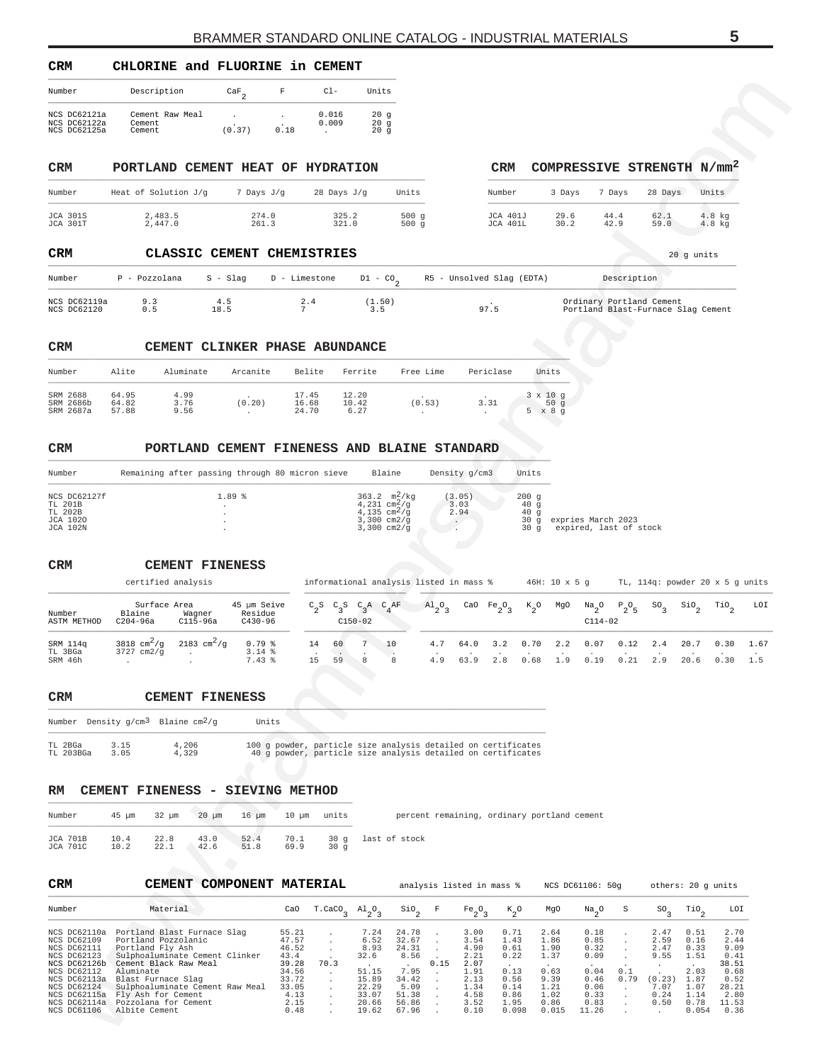<span id="page-4-0"></span>

| CRM                                                        | CHLORINE and FLUORINE in CEMENT                            |                                                               |               |                                                                                                                               |                                                                                                   |                        |                        |                           |                                               |                                   |                                              |              |                            |                                                         |             |
|------------------------------------------------------------|------------------------------------------------------------|---------------------------------------------------------------|---------------|-------------------------------------------------------------------------------------------------------------------------------|---------------------------------------------------------------------------------------------------|------------------------|------------------------|---------------------------|-----------------------------------------------|-----------------------------------|----------------------------------------------|--------------|----------------------------|---------------------------------------------------------|-------------|
| Number                                                     | Description                                                | $\frac{\text{CaF}}{2}$                                        | F             | $C1-$                                                                                                                         | Units                                                                                             |                        |                        |                           |                                               |                                   |                                              |              |                            |                                                         |             |
| NCS DC62121a<br>NCS DC62122a<br>NCS DC62125a               | Cement Raw Meal<br>Cement<br>Cement                        | $\cdot$<br>(0.37)                                             | 0.18          | 0.016<br>0.009<br>$\cdot$                                                                                                     | 20g<br>20g<br>20g                                                                                 |                        |                        |                           |                                               |                                   |                                              |              |                            |                                                         |             |
| CRM                                                        | PORTLAND CEMENT HEAT OF HYDRATION                          |                                                               |               |                                                                                                                               |                                                                                                   |                        |                        |                           | CRM                                           |                                   |                                              |              |                            | COMPRESSIVE STRENGTH N/mm <sup>2</sup>                  |             |
| Number                                                     | Heat of Solution J/g                                       | 7 Days J/g                                                    |               | 28 Days J/g                                                                                                                   |                                                                                                   | Units                  |                        |                           | Number                                        | 3 Days                            | 7 Days                                       |              | 28 Days                    | Units                                                   |             |
| <b>JCA 301S</b><br>JCA 301T                                | 2,483.5<br>2,447.0                                         | 261.3                                                         | 274.0         | 325.2<br>321.0                                                                                                                |                                                                                                   | 500 g<br>500 g         |                        |                           | JCA 401J<br>JCA 401L                          | 29.6<br>30.2                      | 44.4<br>42.9                                 |              | 62.1<br>59.0               | 4.8 kg<br>4.8 kg                                        |             |
| CRM                                                        |                                                            | CLASSIC CEMENT CHEMISTRIES                                    |               |                                                                                                                               |                                                                                                   |                        |                        |                           |                                               |                                   |                                              |              |                            | 20 g units                                              |             |
| Number                                                     | P - Pozzolana                                              | S - Slag                                                      | D - Limestone |                                                                                                                               | $D1 - CO2$                                                                                        |                        |                        |                           | R5 - Unsolved Slag (EDTA)                     |                                   |                                              | Description  |                            |                                                         |             |
| NCS DC62119a<br>NCS DC62120                                | 9.3<br>0.5                                                 | 4.5<br>18.5                                                   |               | $\frac{2}{7}$ . 4                                                                                                             | (1.50)<br>3.5                                                                                     |                        |                        | 97.5                      |                                               |                                   | Ordinary Portland Cement                     |              |                            | Portland Blast-Furnace Slag Cement                      |             |
| CRM                                                        |                                                            | CEMENT CLINKER PHASE ABUNDANCE                                |               |                                                                                                                               |                                                                                                   |                        |                        |                           |                                               |                                   |                                              |              |                            |                                                         |             |
| Number                                                     | Alite<br>Aluminate                                         | Arcanite                                                      |               | Belite                                                                                                                        | Ferrite                                                                                           | Free Lime              |                        | Periclase                 |                                               | Units                             |                                              |              |                            |                                                         |             |
| SRM 2688<br>SRM 2686b<br>SRM 2687a                         | 64.95<br>4.99<br>64.82<br>3.76<br>57.88<br>9.56            | (0.20)<br>$\sim$                                              |               | 17.45<br>16.68<br>24.70                                                                                                       | 12.20<br>10.42<br>6.27                                                                            | (0.53)<br>$\cdot$      |                        | 3.31<br>$\cdot$           |                                               | $3 \times 10$ g<br>50g<br>5 x 8 g |                                              |              |                            |                                                         |             |
| CRM                                                        |                                                            | PORTLAND CEMENT FINENESS AND BLAINE STANDARD                  |               |                                                                                                                               |                                                                                                   |                        |                        |                           |                                               |                                   |                                              |              |                            |                                                         |             |
| Number                                                     |                                                            | Remaining after passing through 80 micron sieve               |               |                                                                                                                               | Blaine                                                                                            |                        | Density g/cm3          |                           | Units                                         |                                   |                                              |              |                            |                                                         |             |
| NCS DC62127f<br>TL 201B<br>TL 202B<br>JCA 1020<br>JCA 102N |                                                            | 1.89%                                                         |               |                                                                                                                               | 363.2 $m^2/kg$<br>4,231 $cm^2/g$<br>$4,135$ cm <sup>2</sup> /g<br>$3,300$ cm $2/g$<br>3,300 cm2/g |                        | (3.05)<br>3.03<br>2.94 |                           | 200g<br>40g<br>40 <sub>g</sub><br>30 g<br>30g |                                   | expries March 2023<br>expired, last of stock |              |                            |                                                         |             |
| CRM                                                        | certified analysis                                         | <b>CEMENT FINENESS</b>                                        |               | informational analysis listed in mass %                                                                                       |                                                                                                   |                        |                        |                           |                                               | $46H: 10 \times 5 g$              |                                              |              |                            | TL, 114q: powder 20 x 5 g units                         |             |
| Number<br>ASTM METHOD                                      | Surface Area<br>Blaine<br>C204-96a                         | 45 µm Seive<br>Wagner<br>Residue<br>$C115-96a$<br>$C430 - 96$ |               | $C_2S$                                                                                                                        | $C_3S$ $C_3A$ $C_4AF$<br>$C150-02$                                                                |                        | $A1_2O$                | CaO                       | $Fe-O-$<br>$\kappa_{2}^{\phantom{2}}$ o       | MgO                               | $\frac{Na}{2}$ <sup>O</sup><br>$C114-02$     | $P_2O_5$     | $\mathsf{so}_{\mathsf{3}}$ | $\mathop{\mathsf{si}}\nolimits_2$<br>$\mathcal{T}^{10}$ | LOI         |
| SRM 114q<br>TL 3BGa<br>SRM 46h                             | 3818 $cm^2/g$<br>3727 cm2/g                                | 2183 $cm^2/g$<br>$0.79$ %<br>$3.14*$<br>7.43 %                |               | 14<br>60<br>15<br>59                                                                                                          | 7<br>10<br>8                                                                                      | 8                      | 4.7<br>4.9             | 64.0<br>63.9              | 0.70<br>3.2<br>2.8<br>0.68                    | 2.2<br>1.9                        | 0.07<br>0.19                                 | 0.12<br>0.21 | 2.4<br>2.9                 | 20.7<br>0.30<br>20.6 0.30                               | 1.67<br>1.5 |
| CRM                                                        |                                                            | <b>CEMENT FINENESS</b>                                        |               |                                                                                                                               |                                                                                                   |                        |                        |                           |                                               |                                   |                                              |              |                            |                                                         |             |
|                                                            | Number Density g/cm <sup>3</sup> Blaine cm <sup>2</sup> /g |                                                               | Units         |                                                                                                                               |                                                                                                   |                        |                        |                           |                                               |                                   |                                              |              |                            |                                                         |             |
| TL 2BGa<br>TL 203BGa                                       | 4,206<br>3.15<br>3.05<br>4,329                             |                                                               |               | 100 g powder, particle size analysis detailed on certificates<br>40 g powder, particle size analysis detailed on certificates |                                                                                                   |                        |                        |                           |                                               |                                   |                                              |              |                            |                                                         |             |
| RM                                                         | CEMENT FINENESS - SIEVING METHOD                           |                                                               |               |                                                                                                                               |                                                                                                   |                        |                        |                           |                                               |                                   |                                              |              |                            |                                                         |             |
| Number                                                     | $32 \mu m$<br>45 μm                                        | $20 \mu m$<br>$16 \mu m$                                      | $10 \mu m$    | units                                                                                                                         |                                                                                                   |                        |                        |                           | percent remaining, ordinary portland cement   |                                   |                                              |              |                            |                                                         |             |
| <b>JCA 701B</b><br><b>JCA 701C</b>                         | 10.4<br>22.8<br>10.2<br>22.1                               | 43.0<br>52.4<br>42.6<br>51.8                                  | 70.1<br>69.9  | 30g<br>30g                                                                                                                    |                                                                                                   | last of stock          |                        |                           |                                               |                                   |                                              |              |                            |                                                         |             |
|                                                            | <b>CEMENT</b>                                              | <b>COMPONENT MATERIAL</b>                                     |               |                                                                                                                               |                                                                                                   |                        |                        | analysis listed in mass % |                                               |                                   | NCS DC61106: 50g                             |              |                            | others: 20 g units                                      |             |
|                                                            |                                                            |                                                               |               |                                                                                                                               |                                                                                                   | $\frac{\text{SiO}}{2}$ | F                      | $Fe_2O_3$                 | $k_{2}^{\circ}$                               | MgO                               | $\frac{Na}{2}$ <sup>O</sup>                  | S            | SO <sub>3</sub>            | $\mathcal{T}^{10}$<br>LOI                               |             |
| CRM<br>Number                                              | Material                                                   |                                                               | CaO           | $T.CaCO3$ $Al2O3$                                                                                                             |                                                                                                   |                        |                        |                           |                                               |                                   |                                              |              |                            |                                                         |             |

| CRM    |  | CLASSIC CEMENT CHEMISTRIES |                                                                                                   |             | 20 q units |
|--------|--|----------------------------|---------------------------------------------------------------------------------------------------|-------------|------------|
| Number |  |                            | P - Pozzolana     S - Slag      D - Limestone      D1 - CO <sub>2</sub> R5 - Unsolved Slag (EDTA) | Description |            |
|        |  |                            |                                                                                                   |             |            |

| NCS DC62119a<br>NCS DC62120 |  |  |  |  |  | Ordinary Portland Cement<br>Portland Blast-Furnace Slag Cement |
|-----------------------------|--|--|--|--|--|----------------------------------------------------------------|
|-----------------------------|--|--|--|--|--|----------------------------------------------------------------|

#### **CRM CEMENT CLINKER PHASE ABUNDANCE** \_\_\_\_\_\_\_\_\_\_\_\_\_\_\_\_\_\_\_\_\_\_\_\_\_\_\_\_\_\_\_\_\_\_\_\_\_\_\_\_\_\_\_\_\_\_\_\_\_\_\_\_\_\_\_\_\_\_\_\_\_\_\_\_\_\_\_\_\_\_\_\_\_\_\_\_\_\_\_\_\_\_\_\_\_\_\_\_\_\_\_\_\_\_\_\_\_\_\_\_\_\_\_\_\_\_\_\_

| Number                             | Alite                   | Aluminate            | Arcanite | Belite                  | Ferrite                | Free Lime         | Periclase | Units                                 |
|------------------------------------|-------------------------|----------------------|----------|-------------------------|------------------------|-------------------|-----------|---------------------------------------|
| SRM 2688<br>SRM 2686b<br>SRM 2687a | 64.95<br>64.82<br>57.88 | 4.99<br>3.76<br>9.56 | (0.20)   | 17.45<br>16.68<br>24.70 | 12.20<br>10.42<br>6.27 | $\cdot$<br>(0.53) | 3.31      | $3 \times 10$ q<br>50q<br>x 8 q<br>5. |

### **CRM PORTLAND CEMENT FINENESS AND BLAINE STANDARD** \_\_\_\_\_\_\_\_\_\_\_\_\_\_\_\_\_\_\_\_\_\_\_\_\_\_\_\_\_\_\_\_\_\_\_\_\_\_\_\_\_\_\_\_\_\_\_\_\_\_\_\_\_\_\_\_\_\_\_\_\_\_\_\_\_\_\_\_\_\_\_\_\_\_\_\_\_\_\_\_\_\_\_\_\_\_\_\_\_\_\_\_\_\_\_\_\_\_\_\_\_\_\_\_

| Number                                                     | Remaining after passing through 80 micron sieve | Blaine                                                                                                                          | Density g/cm3          | Units                                                |                                              |
|------------------------------------------------------------|-------------------------------------------------|---------------------------------------------------------------------------------------------------------------------------------|------------------------|------------------------------------------------------|----------------------------------------------|
| NCS DC62127f<br>TL 201B<br>TL 202B<br>JCA 1020<br>JCA 102N | 1.89%                                           | $363.2 \text{ m}^2/\text{kg}$<br>4,231 cm <sup>2</sup> /g<br>$4,135$ cm <sup>2</sup> /q<br>$3,300$ cm $2/q$<br>$3.300$ cm $2/a$ | (3.05)<br>3.03<br>2.94 | 200q<br>40q<br>40 <sub>q</sub><br>30a<br>$30 \alpha$ | expries March 2023<br>expired, last of stock |

| <b>CRM</b>                     |                                           | CEMENT FINENESS             |                                       |    |          |           |                              |                                         |              |                                    |               |                      |                        |              |               |                  |                                 |      |
|--------------------------------|-------------------------------------------|-----------------------------|---------------------------------------|----|----------|-----------|------------------------------|-----------------------------------------|--------------|------------------------------------|---------------|----------------------|------------------------|--------------|---------------|------------------|---------------------------------|------|
|                                | certified analysis                        |                             |                                       |    |          |           |                              | informational analysis listed in mass % |              |                                    |               | $46H: 10 \times 5$ q |                        |              |               |                  | TL, 114q: powder 20 x 5 q units |      |
| Number<br>ASTM METHOD          | Surface Area<br>Blaine<br>C204-96a        | Wagner<br>$C115-96a$        | 45 µm Seive<br>Residue<br>$C430 - 96$ |    |          | $C150-02$ | $C_2S$ $C_2S$ $C_2A$ $C_AAF$ | $\mathrm{Al}_{2}\mathrm{O}_{2}$         |              | CaO Fe <sub>2</sub> O <sub>2</sub> | $K_{\alpha}O$ | MgO                  | $Na_{2}O$<br>$C114-02$ | $P_{0}O_{E}$ | $SO_{\alpha}$ | SiO <sub>2</sub> | TiO <sub>o</sub>                | LOI  |
| SRM 114q<br>TL 3BGa<br>SRM 46h | 3818 $\text{cm}^2/\text{q}$<br>3727 cm2/q | 2183 $\text{cm}^2/\text{q}$ | $0.79$ $%$<br>$3.14*$<br>$7.43*$      | 14 | 60<br>59 | 8         | 10<br>8                      | 4.7<br>4.9                              | 64.0<br>63.9 | 3.2<br>2.8                         | 0.70<br>0.68  | 2.2<br>1.9           | 0.07<br>0.19           | 0.12<br>0.21 | 2.4           | 20.7<br>20.6     | 0.30<br>0.30                    | 1.67 |

|           | Number Density $q/cm^3$ Blaine $cm^2/q$ |       | Units                                                         |
|-----------|-----------------------------------------|-------|---------------------------------------------------------------|
| TI. 2BGa  | 3.15                                    | 4,206 | 100 q powder, particle size analysis detailed on certificates |
| TL 203BGa | 3 05                                    | 4.329 | 40 q powder, particle size analysis detailed on certificates  |

#### **RM CEMENT FINENESS - SIEVING METHOD** \_\_\_\_\_\_\_\_\_\_\_\_\_\_\_\_\_\_\_\_\_\_\_\_\_\_\_\_\_\_\_\_\_\_\_\_\_\_\_\_\_\_\_\_\_\_\_\_\_\_\_\_\_\_\_\_\_\_\_\_\_\_\_

| Number               |           | 45 um 32 um 20 um 16 um 10 um units |      |      |     | percent remaining, ordinary portland cement |
|----------------------|-----------|-------------------------------------|------|------|-----|---------------------------------------------|
| JCA 701B<br>JCA 701C | 10.2 22.1 | 42.6                                | 51.8 | 69.9 | 30q | 10.4 22.8 43.0 52.4 70.1 30 q last of stock |

| <b>CRM</b>                                                                                                                                                             | COMPONENT MATERIAL<br>CEMENT                                                                                                                                                                                                                                           |                                                                                             |        |                                                                                    |                                                                                     |             | analysis listed in mass %                                                            |                                                                               |                                                                               | NCS DC61106: 50g                                                                        | others: 20 q units<br>S<br>$SO_{a}$<br>2.47<br>2.59<br>2.47<br>9.55<br>0.1<br>(0.23)<br>0.79<br>7.07<br>0.24 |      |                                                                               |                                                                                         |
|------------------------------------------------------------------------------------------------------------------------------------------------------------------------|------------------------------------------------------------------------------------------------------------------------------------------------------------------------------------------------------------------------------------------------------------------------|---------------------------------------------------------------------------------------------|--------|------------------------------------------------------------------------------------|-------------------------------------------------------------------------------------|-------------|--------------------------------------------------------------------------------------|-------------------------------------------------------------------------------|-------------------------------------------------------------------------------|-----------------------------------------------------------------------------------------|--------------------------------------------------------------------------------------------------------------|------|-------------------------------------------------------------------------------|-----------------------------------------------------------------------------------------|
| Number                                                                                                                                                                 | Material                                                                                                                                                                                                                                                               | CaO                                                                                         | T.CaCO | $A1_{2}O_{3}$                                                                      | $\sin$                                                                              | $\mathbb F$ | $Fe_2O_3$                                                                            | $K_{0}$                                                                       | MgO                                                                           | Na <sub>n</sub> O                                                                       |                                                                                                              |      | TiO <sub>2</sub>                                                              | LOI                                                                                     |
| NCS DC62110a<br>NCS DC62109<br>NCS DC62111<br>NCS DC62123<br>NCS DC62126b<br>NCS DC62112<br>NCS DC62113a<br>NCS DC62124<br>NCS DC62115a<br>NCS DC62114a<br>NCS DC61106 | Portland Blast Furnace Slag<br>Portland Pozzolanic<br>Portland Fly Ash<br>Sulphoaluminate Cement Clinker<br>Cement Black Raw Meal<br>Aluminate<br>Blast Furnace Slag<br>Sulphoaluminate Cement Raw Meal<br>Fly Ash for Cement<br>Pozzolana for Cement<br>Albite Cement | 55.21<br>47.57<br>46.52<br>43.4<br>39.28<br>34.56<br>33.72<br>33.05<br>4.13<br>2.15<br>0.48 | 70.3   | 7.24<br>6.52<br>8.93<br>32.6<br>51.15<br>15.89<br>22.29<br>33.07<br>20.66<br>19.62 | 24.78<br>32.67<br>24.31<br>8.56<br>7.95<br>34.42<br>5.09<br>51.38<br>56.86<br>67.96 | 0.15        | 3.00<br>3.54<br>4.90<br>2.21<br>2.07<br>1.91<br>2.13<br>1.34<br>4.58<br>3.52<br>0.10 | 0.71<br>1.43<br>0.61<br>0.22<br>0.13<br>0.56<br>0.14<br>0.86<br>1.95<br>0.098 | 2.64<br>1.86<br>1.90<br>1.37<br>0.63<br>9.39<br>1.21<br>1.02<br>0.86<br>0.015 | 0.18<br>0.85<br>0.32<br>0.09<br>$\sim$<br>0.04<br>0.46<br>0.06<br>0.33<br>0.83<br>11.26 |                                                                                                              | 0.50 | 0.51<br>0.16<br>0.33<br>1.51<br>2.03<br>1.87<br>1.07<br>1.14<br>0.78<br>0.054 | 2.70<br>2.44<br>9.09<br>0.41<br>38.51<br>0.68<br>0.52<br>28.21<br>2.80<br>11.53<br>0.36 |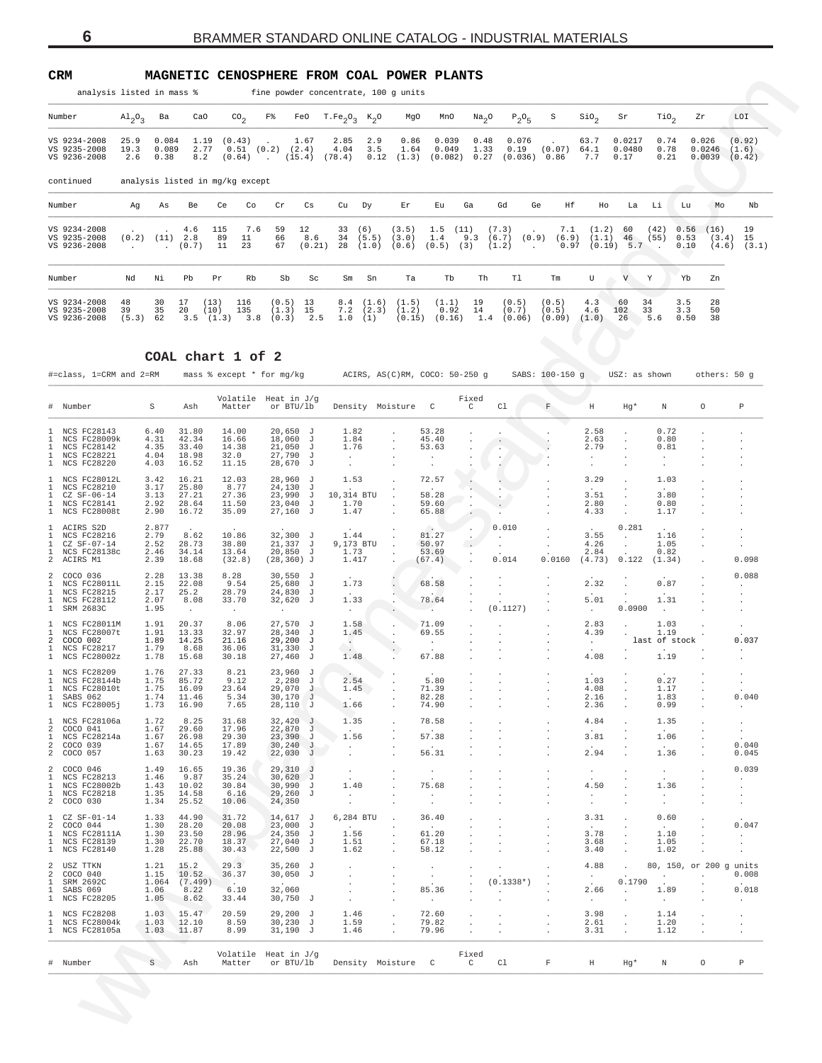| 'RM |  |
|-----|--|
|     |  |
|     |  |
|     |  |

<span id="page-5-0"></span>**CRM MAGNETIC CENOSPHERE FROM COAL POWER PLANTS**<br>analysis listed in mass  $*$  fine powder concentrate 100 g units

| analysis listed in mass %                    |                                 |                        |                     |                          |                                 |                                   |                         |                                  |                       | fine powder concentrate, 100 g units |                           |                      |                                                          |                          |                          |                          |                      |                      |                           |                           |
|----------------------------------------------|---------------------------------|------------------------|---------------------|--------------------------|---------------------------------|-----------------------------------|-------------------------|----------------------------------|-----------------------|--------------------------------------|---------------------------|----------------------|----------------------------------------------------------|--------------------------|--------------------------|--------------------------|----------------------|----------------------|---------------------------|---------------------------|
| Number                                       | $\mathrm{Al}_{2}\mathrm{O}_{3}$ | Ba                     | CaO                 |                          | $\text{CO}_2$                   | F%                                |                         | FeO $T.Fe_2O_3$ K <sub>2</sub> O |                       | MgO                                  | MnO                       | Na <sub>2</sub> O    | $P_2O_5$                                                 | S                        | $\rm SiO_{2}$            | Sr                       | TiO <sub>2</sub>     |                      | Zr                        | LOI                       |
| VS 9234-2008<br>VS 9235-2008<br>VS 9236-2008 | 25.9<br>19.3<br>2.6             | 0.084<br>0.089<br>0.38 | 1.19<br>2.77<br>8.2 |                          | (0.43)<br>0.51<br>(0.64)        | (0.2)<br><b>Contract Contract</b> | 1.67<br>(2.4)<br>(15.4) | 2.85<br>4.04<br>(78.4)           | 2.9<br>3.5<br>0.12    | 0.86<br>1.64<br>(1.3)                | 0.039<br>0.049<br>(0.082) | 0.48<br>1.33<br>0.27 | 0.076<br>0.19<br>(0.036)                                 | (0.07)<br>0.86           | 63.7<br>64.1<br>7.7      | 0.0217<br>0.0480<br>0.17 | 0.74<br>0.78<br>0.21 |                      | 0.026<br>0.0246<br>0.0039 | (0.92)<br>(1.6)<br>(0.42) |
| continued                                    |                                 |                        |                     |                          | analysis listed in mg/kg except |                                   |                         |                                  |                       |                                      |                           |                      |                                                          |                          |                          |                          |                      |                      |                           |                           |
| Number                                       | Aq                              | As                     | Be                  | Ce                       | Co                              | Cr                                | Cs                      | Cu                               | Dy                    | Εr                                   | Εu                        | Ga                   | Gd                                                       | Ηf<br>Ge                 | Ho                       | La                       | Li                   | Lu                   | Mo                        | Nb                        |
| VS 9234-2008<br>VS 9235-2008<br>VS 9236-2008 | (0.2)                           | (11)                   | 4.6<br>2.8<br>(0.7) | 115<br>89<br>11          | 7.6<br>11<br>23                 | 59<br>66<br>67                    | 12<br>8.6<br>(0.21)     | 33<br>34<br>28                   | (6)<br>(5.5)<br>(1.0) | (3.5)<br>(3.0)<br>(0.6)              | 1.5<br>1.4<br>(0.5)       | (11)<br>9.3<br>(3)   | (7.3)<br>$\ddot{\phantom{0}}$<br>(6.7)<br>(0.9)<br>(1.2) | 7.1<br>(6.9)<br>0.97     | (1.2)<br>(1.1)<br>(0.19) | 60<br>46<br>5.7          | (42)<br>(55)         | 0.56<br>0.53<br>0.10 | (16)<br>(3.4)<br>(4.6)    | 19<br>15<br>(3.1)         |
| Number                                       | Nd                              | Νi                     | Pb                  | Pr                       | Rb                              | Sb                                | Sc                      | Sm                               | Sn                    | Ta                                   | Tb                        | Th                   | Tl                                                       | Tm                       | U                        | V                        | Y                    | Yb                   | Zn                        |                           |
| VS 9234-2008<br>VS 9235-2008<br>VS 9236-2008 | 48<br>39<br>(5.3)               | 30<br>35<br>62         | 17<br>20            | (13)<br>(10)<br>3.5(1.3) | 116<br>135<br>3.8               | (0.5)<br>(1.3)<br>(0.3)           | 13<br>15<br>2.5         | 8.4<br>7.2<br>1.0                | (1.6)<br>(2.3)<br>(1) | (1.5)<br>(1.2)<br>(0.15)             | (1.1)<br>0.92<br>(0.16)   | 19<br>14<br>1.4      | (0.5)<br>(0.7)<br>(0.06)                                 | (0.5)<br>(0.5)<br>(0.09) | 4.3<br>4.6<br>(1.0)      | 60<br>102<br>26          | 34<br>33<br>5.6      | 3.5<br>3.3<br>0.50   | 28<br>50<br>38            |                           |

### **COAL chart 1 of 2**

|                                                                                              | $A1_{2}O_{3}$       | Ba                                                   | CaO                              | $\text{CO}_2$                                                              | F%                                                 | FeO                     | $T.Fe_2O_3$ K <sub>2</sub> O                          |                                        | MgO                                                    | MnO                                                   | Na <sub>2</sub> O    | $P_2O_5$                          | S                                          | $\sin_2$                                   | Sr                                                                       | $\text{rio}_2$                                 |                      | Ζr                                | LOI                                           |
|----------------------------------------------------------------------------------------------|---------------------|------------------------------------------------------|----------------------------------|----------------------------------------------------------------------------|----------------------------------------------------|-------------------------|-------------------------------------------------------|----------------------------------------|--------------------------------------------------------|-------------------------------------------------------|----------------------|-----------------------------------|--------------------------------------------|--------------------------------------------|--------------------------------------------------------------------------|------------------------------------------------|----------------------|-----------------------------------|-----------------------------------------------|
| VS 9234-2008<br>VS 9235-2008<br>VS 9236-2008                                                 | 25.9<br>19.3<br>2.6 | 0.084<br>0.089<br>0.38                               | 1.19<br>2.77<br>8.2              | (0.43)<br>0.51<br>(0.64)                                                   | (0.2)                                              | 1.67<br>(2.4)<br>(15.4) | 2.85<br>4.04<br>(78.4)                                | 2.9<br>3.5<br>0.12                     | 0.86<br>1.64<br>(1.3)                                  | 0.039<br>0.049<br>(0.082)                             | 0.48<br>1.33<br>0.27 | 0.076<br>0.19<br>$(0.036)$ 0.86   | (0.07)                                     | 63.7<br>64.1<br>7.7                        | 0.0217<br>0.0480<br>0.17                                                 | 0.74<br>0.78<br>0.21                           |                      | 0.026<br>0.0246<br>0.0039         | (0.92)<br>(1.6)<br>(0.42)                     |
| continued                                                                                    |                     |                                                      |                                  | analysis listed in mg/kg except                                            |                                                    |                         |                                                       |                                        |                                                        |                                                       |                      |                                   |                                            |                                            |                                                                          |                                                |                      |                                   |                                               |
| Number                                                                                       | Αg                  | As                                                   | Be                               | Ce<br>Co                                                                   | Cr                                                 | Сs                      | Cu                                                    | Dy                                     | Εr                                                     | Εu                                                    | Ga                   | Gd<br>Ge                          | Ηf                                         | Ho                                         | La                                                                       | Li                                             | Lu                   | Мo                                | Nb                                            |
| VS 9234-2008<br>VS 9235-2008<br>VS 9236-2008                                                 |                     | $(0.2)$ $(11)$ $2.8$                                 | 4.6<br>(0.7)                     | 115<br>7.6<br>89<br>11<br>23<br>11                                         | 59<br>66<br>67                                     | 12<br>8.6<br>(0.21)     | 33<br>34<br>28                                        | (6)<br>(5.5)<br>(1.0)                  | (3.5)<br>(3.0)<br>(0.6)                                | 1.5<br>1.4<br>(0.5)                                   | (11)<br>9.3<br>(3)   | (7.3)<br>(6.7)<br>(0.9)<br>(1.2)  | 7.1<br>(6.9)<br>0.97                       | (1.2)<br>(1.1)                             | 60<br>46<br>$(0.19)$ 5.7                                                 | (42)<br>(55)                                   | 0.56<br>0.53<br>0.10 | (16)<br>(3.4)<br>(4.6)            | 19<br>15<br>(3.1)                             |
| Number                                                                                       | Νd                  | Νi                                                   | Pb                               | Rb<br>Pr                                                                   | Sb                                                 | Sc                      | Sm                                                    | Sn                                     | Ta                                                     | Tb                                                    | Th                   | Tl                                | Tm                                         | U                                          | V                                                                        | Y                                              | Yb                   | Zn                                |                                               |
| VS 9234-2008<br>VS 9235-2008<br>VS 9236-2008                                                 | 48<br>39<br>(5.3)   | 30<br>35<br>62                                       | 17<br>20<br>3.5                  | 116<br>(13)<br>(10)<br>135<br>(1.3)<br>3.8                                 | (0.5)<br>(1.3)<br>(0.3)                            | 13<br>15<br>2.5         | 8.4<br>7.2<br>1.0                                     | (1.6)<br>(2.3)<br>(1)                  | (1.5)<br>(1.2)<br>(0.15)                               | (1.1)<br>0.92<br>(0.16)                               | 19<br>14<br>1.4      | (0.5)<br>(0.7)<br>(0.06)          | (0.5)<br>(0.5)<br>(0.09)                   | 4.3<br>4.6<br>(1.0)                        | 60<br>102<br>26                                                          | 34<br>33<br>5.6                                | 3.5<br>3.3<br>0.50   | 28<br>50<br>38                    |                                               |
|                                                                                              |                     |                                                      |                                  | COAL chart 1 of 2                                                          |                                                    |                         |                                                       |                                        |                                                        |                                                       |                      |                                   |                                            |                                            |                                                                          |                                                |                      |                                   |                                               |
| #=class, 1=CRM and 2=RM                                                                      |                     |                                                      |                                  | mass % except * for mg/kg                                                  |                                                    |                         |                                                       |                                        |                                                        | ACIRS, AS(C)RM, COCO: 50-250 q                        |                      |                                   | SABS: 100-150 g                            |                                            | USZ: as shown                                                            |                                                |                      | others: 50 g                      |                                               |
| Number                                                                                       |                     | S                                                    | Ash                              | Volatile<br>Matter                                                         | Heat in J/q<br>or BTU/lb                           |                         |                                                       |                                        | Density Moisture                                       | C                                                     | Fixed<br>C           | C1                                | $\mathbf F$                                | $\rm H$                                    | Hg*                                                                      | N                                              |                      | $\circ$                           | $\, {\mathbb P}$                              |
| NCS FC28143<br>Т.<br>NCS FC28009k<br>1<br>NCS FC28142<br>1<br>1 NCS FC28221<br>1 NCS FC28220 |                     | 6.40<br>4.31<br>4.35<br>4.04                         | 31.80<br>42.34<br>33.40<br>18.98 | 14.00<br>16.66<br>14.38<br>32.0                                            | 20,650<br>18,060<br>21,050<br>27,790<br>28,670     | J<br>J<br>J<br>J<br>J   | 1.82<br>1.84<br>1.76<br>$\cdot$                       |                                        |                                                        | 53.28<br>45.40<br>53.63<br>$\cdot$                    |                      |                                   |                                            | 2.58<br>2.63<br>2.79<br>$\cdot$            |                                                                          | 0.72<br>0.80<br>0.81<br>$\cdot$                |                      |                                   |                                               |
| 1 NCS FC28012L                                                                               |                     | 4.03<br>3.42<br>3.17                                 | 16.52<br>16.21<br>25.80          | 11.15<br>12.03<br>8.77                                                     | 28,960 J<br>24,130                                 |                         | 1.53                                                  |                                        |                                                        | 72.57                                                 |                      |                                   |                                            | $\cdot$<br>3.29                            |                                                                          | $\cdot$<br>1.03                                |                      |                                   |                                               |
| 1 NCS FC28210<br>1 CZ SF-06-14<br>1 NCS FC28141<br>1 NCS FC28008t                            |                     | 3.13<br>2.92<br>2.90                                 | 27.21<br>28.64<br>16.72          | 27.36<br>11.50<br>35.09                                                    | 23,990<br>$23,040$ J<br>27,160                     | J<br>J<br>J             | 10,314 BTU<br>1.70<br>1.47                            |                                        |                                                        | 58.28<br>59.60<br>65.88                               |                      |                                   |                                            | 3.51<br>2.80<br>4.33                       |                                                                          | 3.80<br>0.80<br>1.17                           |                      |                                   |                                               |
| 1 ACIRS S2D<br>1 NCS FC28216<br>CZ SF-07-14<br>1 NCS FC28138c<br>2 ACIRS M1                  |                     | 2.877<br>2.79<br>2.52<br>2.46<br>2.39                | 8.62<br>28.73<br>34.14<br>18.68  | 10.86<br>38.80<br>13.64<br>(32.8)                                          | $32,300$ J<br>21,337<br>20,850<br>$(28, 360)$ J    | J<br>J                  | 1.44<br>9,173 BTU<br>1.73<br>1.417                    |                                        |                                                        | 81.27<br>50.97<br>53.69<br>(67.4)                     |                      | 0.010<br>0.014                    | 0.0160                                     | 3.55<br>4.26<br>2.84<br>(4.73)             | 0.281<br>$\cdot$<br>$\cdot$<br>0.122                                     | 1.16<br>1.05<br>0.82<br>(1.34)                 |                      |                                   | 0.098                                         |
| COCO 036<br>1 NCS FC28011L                                                                   |                     | 2.28<br>2.15                                         | 13.38<br>22.08                   | 8.28<br>9.54                                                               | $30,550$ J<br>25,680                               | J                       | 1.73                                                  |                                        |                                                        | 68.58                                                 |                      |                                   |                                            | 2.32                                       |                                                                          | 0.87                                           |                      |                                   | 0.088                                         |
| 1 NCS FC28215<br>1 NCS FC28112<br>1 SRM 2683C                                                |                     | 2.17<br>2.07<br>1.95                                 | 25.2<br>8.08<br>$\cdot$          | 28.79<br>33.70<br>$\ddot{\phantom{a}}$                                     | 24,830<br>$32,620$ J<br>$\cdot$                    | J                       | 1.33<br>$\cdot$                                       |                                        |                                                        | 78.64<br>$\sim$                                       |                      | (0.1127)                          |                                            | 5.01<br>$\cdot$                            | 0.0900                                                                   | 1.31<br>$\ddot{\phantom{1}}$                   |                      |                                   |                                               |
| 1 NCS FC28011M<br>1 NCS FC28007t                                                             |                     | 1.91<br>1.91                                         | 20.37<br>13.33                   | 8.06<br>32.97                                                              | 27,570<br>28,340                                   | J<br>J                  | 1.58<br>1.45                                          |                                        |                                                        | 71.09<br>69.55                                        |                      |                                   |                                            | 2.83<br>4.39                               |                                                                          | 1.03<br>1.19                                   |                      |                                   |                                               |
| COCO 002<br>1 NCS FC28217<br>1 NCS FC28002z                                                  |                     | 1.89<br>1.79<br>1.78                                 | 14.25<br>8.68<br>15.68           | 21.16<br>36.06<br>30.18                                                    | 29,200 J<br>31,330<br>27,460                       | J<br>ਾ                  | $\blacksquare$<br>1.48                                |                                        |                                                        | $\blacksquare$<br>67.88                               |                      |                                   |                                            | $\sim$<br>4.08                             |                                                                          | last of stock<br>1.19                          |                      |                                   | 0.037                                         |
| 1 NCS FC28209<br>1 NCS FC28144b<br>1 NCS FC28010t                                            |                     | 1.76<br>1.75<br>1.75 16.09                           | 27.33<br>85.72                   | 8.21<br>9.12<br>23.64                                                      | 23,960 J<br>2,280 J<br>29,070 J                    |                         | 2.54<br>1.45                                          |                                        |                                                        | 5.80<br>71.39                                         |                      | $\sim$                            |                                            | 1.03<br>4.08                               | $\cdot$                                                                  | 0.27<br>1.17                                   |                      | $\sim$                            | $\ddot{\phantom{1}}$                          |
| 1 SABS 062<br>1 NCS FC28005j                                                                 |                     | 1.74 11.46                                           | 1.73 16.90                       | 5.34<br>7.65                                                               | 30,170 J<br>$28,110$ J                             |                         | <b>Contractor</b><br>1.66                             |                                        | $\sim$<br><b>Contractor</b>                            | 82.28<br>74.90                                        |                      |                                   |                                            | 2.16<br>2.36                               | $\sim$<br>$\sim$                                                         | 1.83<br>0.99                                   |                      |                                   | 0.040<br>$\sim 100$ km s $^{-1}$              |
| 1 NCS FC28106a<br>2 COCO 041<br>1 NCS FC28214a                                               |                     | 1.72<br>1.67 29.60<br>1.67 26.98                     | 8.25                             | 31.68<br>17.96<br>29.30                                                    | $32,420$ J<br>22,870 J<br>23,390 J                 |                         | 1.35<br><b>Contractor</b><br>1.56                     |                                        | <b>Contractor</b>                                      | 78.58<br><b>Contractor</b><br>57.38                   |                      |                                   |                                            | 4.84<br>3.81                               |                                                                          | 1.35<br><b>Contractor</b><br>1.06              |                      |                                   | $\sim$<br>$\sim 100$                          |
| 2 COCO 039<br>2 COCO 057                                                                     |                     | 1.67 14.65<br>1.63 30.23                             |                                  | 17.89<br>19.42                                                             | $30,240$ J<br>$22,030$ J                           |                         | <b>CALL CO</b>                                        |                                        | $\sim$<br>$\sim$ $\sim$                                | <b>Contractor</b><br>56.31                            |                      |                                   |                                            | 2.94                                       |                                                                          | <b>Contractor</b><br>1.36                      |                      |                                   | 0.040<br>0.045                                |
| 2 COCO 046<br>1 NCS FC28213<br>1 NCS FC28002b<br>1 NCS FC28218                               |                     | 1.49 16.65<br>1.46<br>1.43 10.02<br>1.35 14.58       | 9.87                             | 19.36<br>35.24<br>30.84<br>6.16                                            | 29,310 J<br>$30,620$ J<br>30,990 J<br>$29,260$ J   |                         | <b>Carl Corporation</b><br>and the company            | 1.40                                   | $\sim$<br>$\sim$ 100 $\pm$                             | $\sim 100$ km s $^{-1}$<br>75.68<br><b>Contractor</b> |                      |                                   |                                            | <b>Contract</b><br>4.50<br><b>Contract</b> | $\sim$<br>$\sim$                                                         | <b>Contractor</b><br>1.36<br><b>Contractor</b> |                      |                                   | 0.039<br>$\sim 10^{-1}$<br>$\cdot$<br>$\cdot$ |
| 2 COCO 030<br>1 CZ SF-01-14                                                                  |                     | 1.34 25.52<br>1.33 44.90                             |                                  | 10.06 24,350<br>31.72                                                      | 14,617 J                                           |                         | <b>Contract Contract Contract</b><br>6,284 BTU .      |                                        |                                                        | <b>Contractor</b><br>36.40                            |                      |                                   |                                            | <b>Contract</b><br>3.31                    | 0.60                                                                     | <b>Contractor</b>                              |                      |                                   | $\sim$                                        |
| 2 COCO 044<br>1 NCS FC28111A<br>1 NCS FC28139<br>1 NCS FC28140                               |                     | 1.30 28.20<br>1.30 23.50<br>1.30 22.70<br>1.28 25.88 |                                  | 20.08<br>28.96<br>18.37<br>30.43                                           | $23,000$ J<br>$24,350$ J<br>27,040 J<br>$22,500$ J |                         | and the state of the<br>1.56<br>1.51<br>1.62          |                                        | <b>Contractor</b><br>$\sim 100$ km s $^{-1}$<br>$\sim$ | <b>Contractor</b><br>61.20<br>67.18<br>58.12          |                      |                                   |                                            | $\sim$<br>3.78<br>3.68<br>3.40             | $\begin{array}{ccc} . & . & . \\ . & . & 1.10 \end{array}$<br>$\sim 100$ | 1.05<br>1.02                                   |                      | $\ddot{\phantom{0}}$              | 0.047<br>$\sim 10^{-11}$<br>$\cdot$           |
| 2 USZ TTKN<br>2 COCO 040                                                                     |                     | 1.21 15.2                                            | 1.15 10.52                       | 29.3<br>36.37                                                              | $35,260$ J<br>$30,050$ J                           |                         | <b>Contract Contract</b>                              |                                        | <b>Contractor</b>                                      | <b>Contract Contract</b><br><b>Contractor</b>         |                      |                                   | $\sim 100$ km s $^{-1}$<br>$\sim 10^{-10}$ | 4.88<br>$\sim 1000$ km s $^{-1}$           | . 80, 150, or 200 g units                                                |                                                |                      | the control of the control of the | 0.008                                         |
| 1 SRM 2692C<br>1 SABS 069<br>1 NCS FC28205                                                   |                     | 1.06<br>1.05 8.62                                    | 1.064 (7.499)<br>8.22            | <b>Contract Contract</b><br>6.10<br>33.44                                  | 32,060<br>30,750 J                                 |                         | <b>Contract Contract</b><br>$\sim 10^{-10}$ m $^{-1}$ |                                        | <b>Contractor</b><br>$\sim$ 100 $\sim$                 | 85.36<br><b>Contractor</b>                            |                      | $(0.1338*)$<br>and a state of the |                                            | 2.66<br><b>Contract</b>                    | 0.1790<br><b>Contract Contract</b><br>$\sim$                             | 1.89<br>$\sim 1000$ km s $^{-1}$               |                      |                                   | 0.018<br><b>Contract</b>                      |
| 1 NCS FC28208<br>1 NCS FC28004k<br>1 NCS FC28105a                                            |                     | 1.03 15.47<br>1.03 12.10<br>$1.03$ 11.87             |                                  | 20.59<br>8.59<br>8.99                                                      | 29,200 J<br>$30, 230$ J<br>$31,190$ J              |                         | $1.46$<br>$1.59$<br>1.46                              | <b>Contractor</b><br>$\sim 10^{11}$ km |                                                        | 72.60<br>79.82<br>79.96                               | $\sim$<br>$\sim$     | <b>All Corporation</b>            | $\sim$<br>$\sim$                           | 3.98<br>2.61<br>3.31                       | $\sim$<br>$\sim 10^{-1}$                                                 | 1.14<br>1.20<br>1.12                           | <b>Contract</b>      | $\sim$                            | $\sim$<br>$\cdot$                             |
| # Number                                                                                     |                     |                                                      |                                  | S Ash volatile Heat in J/g<br>Matter or BTU/lb Density Moisture C C Cl F H |                                                    |                         |                                                       |                                        |                                                        |                                                       |                      |                                   |                                            |                                            | Hg*                                                                      | N                                              |                      | $\Omega$                          | $\, {\bf P}$                                  |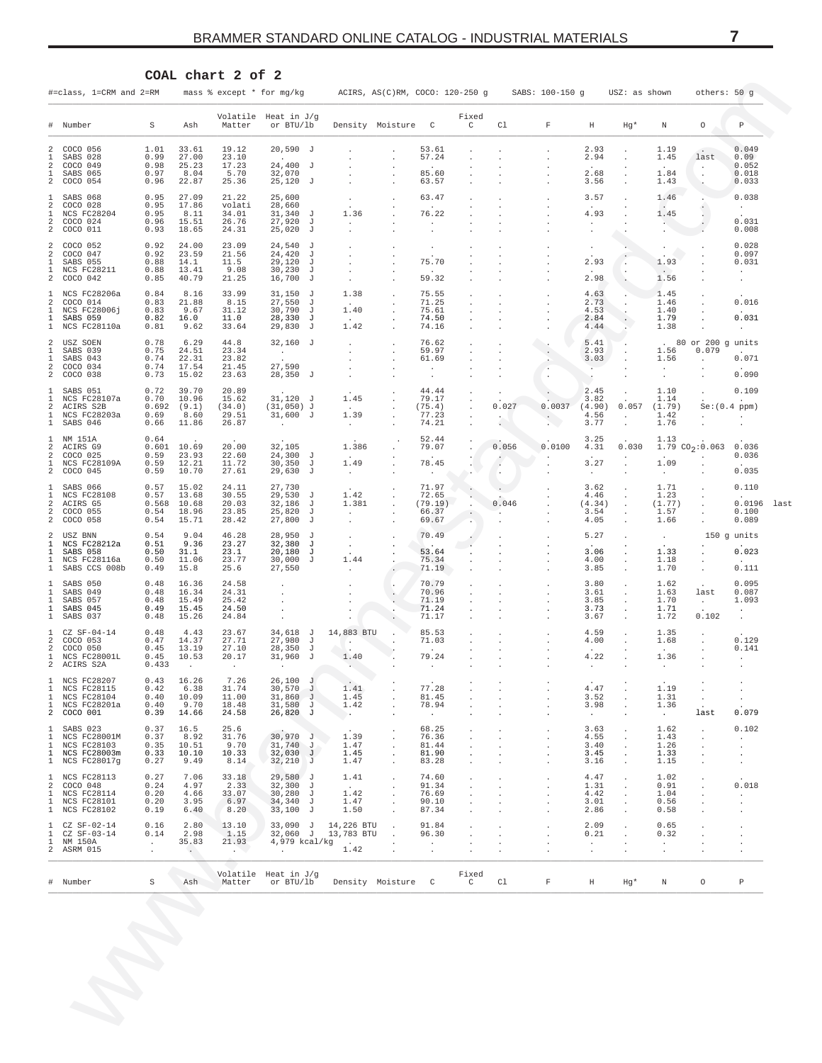<span id="page-6-0"></span>

|                                                                                   |                               |                                  | COAL chart 2 of                  | 2                                                   |                                            |                                 |                                    |                       |                     |                 |                                |                                            |                                              |                              |                                       |
|-----------------------------------------------------------------------------------|-------------------------------|----------------------------------|----------------------------------|-----------------------------------------------------|--------------------------------------------|---------------------------------|------------------------------------|-----------------------|---------------------|-----------------|--------------------------------|--------------------------------------------|----------------------------------------------|------------------------------|---------------------------------------|
| #=class, 1=CRM and 2=RM                                                           |                               |                                  | mass % except * for mg/kg        |                                                     |                                            | ACIRS, AS(C)RM, COCO: 120-250 g |                                    |                       |                     | SABS: 100-150 g |                                | USZ: as shown                              |                                              | others: 50 g                 |                                       |
| Number<br>#                                                                       | S                             | Ash                              | Matter                           | Volatile Heat in J/g<br>or BTU/lb                   |                                            | Density Moisture                | C                                  | Fixed<br>C            | Cl                  | F               | Η                              | $Hg*$                                      | Ν                                            | 0                            | P                                     |
| 2<br>COCO 056<br>1<br>SABS 028                                                    | 1.01<br>0.99                  | 33.61<br>27.00                   | 19.12<br>23.10                   | $20,590$ J                                          |                                            |                                 | 53.61<br>57.24                     |                       |                     |                 | 2.93<br>2.94                   |                                            | 1.19<br>1.45                                 | $\sim$<br>last               | 0.049<br>0.09                         |
| 2<br>COCO 049<br>1<br>SABS 065<br>2<br>COCO 054                                   | 0.98<br>0.97<br>0.96          | 25.23<br>8.04<br>22.87           | 17.23<br>5.70<br>25.36           | 24,400 J<br>32,070<br>$25,120$ J                    |                                            |                                 | 85.60<br>63.57                     |                       |                     |                 | 2.68<br>3.56                   | $\cdot$<br>$\cdot$                         | 1.84<br>1.43                                 | $\cdot$                      | 0.052<br>0.018<br>0.033               |
| SABS 068<br>1<br>2<br>COCO 028<br>1<br>NCS FC28204                                | 0.95<br>0.95                  | 27.09<br>17.86                   | 21.22<br>volati                  | 25,600<br>28,660<br>$31,340$ J                      |                                            |                                 | 63.47                              |                       |                     |                 | 3.57<br>4.93                   | $\cdot$                                    | 1.46<br>$\sim$                               |                              | 0.038<br>$\sim$                       |
| 2<br>COCO 024<br>2<br>COCO 011                                                    | 0.95<br>0.96<br>0.93          | 8.11<br>15.51<br>18.65           | 34.01<br>26.76<br>24.31          | 27,920<br>J<br>25,020<br>J                          | 1.36                                       |                                 | 76.22<br>$\cdot$                   |                       |                     |                 |                                |                                            | 1.45<br>$\ddot{\phantom{1}}$<br>$\mathbf{r}$ |                              | 0.031<br>0.008                        |
| 2<br>COCO 052<br>2<br>COCO 047<br>SABS 055<br>1                                   | 0.92<br>0.92<br>0.88          | 24.00<br>23.59<br>14.1           | 23.09<br>21.56<br>11.5           | 24,540<br>J<br>24,420<br>J<br>29,120<br>J           |                                            |                                 | $\cdot$<br>75.70                   |                       |                     |                 | $\cdot$<br>2.93                |                                            | $\cdot$<br>1.93                              |                              | 0.028<br>0.097<br>0.031               |
| 1<br><b>NCS FC28211</b><br>2<br>COCO 042                                          | 0.88<br>0.85                  | 13.41<br>40.79                   | 9.08<br>21.25                    | 30,230<br>J<br>16,700<br>J                          |                                            |                                 | 59.32                              |                       |                     |                 | 2.98                           |                                            | 1.56                                         |                              | $\ddot{\phantom{0}}$<br>$\cdot$       |
| NCS FC28206a<br>1<br>2<br>COCO 014<br>1<br>NCS FC28006j                           | 0.84<br>0.83<br>0.83          | 8.16<br>21.88<br>9.67            | 33.99<br>8.15<br>31.12           | 31,150<br>ਾ<br>27,550<br>J<br>30,790<br>J           | 1.38<br>1.40                               |                                 | 75.55<br>71.25<br>75.61            |                       |                     |                 | 4.63<br>2.73<br>4.53           | $\cdot$<br>$\cdot$                         | 1.45<br>1.46<br>1.40                         |                              | 0.016                                 |
| 1<br>SABS 059<br>1<br>NCS FC28110a                                                | 0.82<br>0.81                  | 16.0<br>9.62                     | 11.0<br>33.64                    | 28,330<br>J<br>29,830<br>J                          | 1.42                                       |                                 | 74.50<br>74.16                     |                       |                     |                 | 2.84<br>4.44                   |                                            | 1.79<br>1.38                                 |                              | 0.031<br>$\ddot{\phantom{0}}$         |
| 2<br>USZ SOEN<br>1<br>SABS 039<br>SABS 043<br>1                                   | 0.78<br>0.75<br>0.74          | 6.29<br>24.51<br>22.31           | 44.8<br>23.34<br>23.82           | $32,160$ J<br>$\sim$                                | $\cdot$<br>$\cdot$                         |                                 | 76.62<br>59.97<br>61.69            |                       |                     |                 | 5.41<br>2.93<br>3.03           |                                            | 1.56<br>1.56                                 | 80 or 200<br>0.079           | g units<br>0.071                      |
| 2<br>COCO 034<br>2<br>COCO 038                                                    | 0.74<br>0.73                  | 17.54<br>15.02                   | 21.45<br>23.63                   | 27,590<br>$28,350$ J                                | $\cdot$                                    |                                 | $\cdot$                            |                       |                     | $\cdot$         | $\cdot$                        |                                            | $\ddot{\phantom{0}}$<br>$\cdot$              |                              | 0.090                                 |
| SABS 051<br>1<br>1<br>NCS FC28107a<br>2<br>ACIRS S2B                              | 0.72<br>0.70<br>0.692         | 39.70<br>10.96<br>(9.1)          | 20.89<br>15.62<br>(34.0)         | $31,120$ J<br>$(31,050)$ J                          | 1.45                                       |                                 | 44.44<br>79.17<br>(75.4)           |                       | 0.027               | 0.0037          | 2.45<br>3.82<br>(4.90)         | 0.057                                      | 1.10<br>1.14<br>(1.79)                       |                              | 0.109<br>$\mathbf{r}$<br>Se:(0.4 ppm) |
| 1<br>NCS FC28203a<br>1<br>SABS 046                                                | 0.69<br>0.66                  | 8.60<br>11.86                    | 29.51<br>26.87                   | $31,600$ J<br>$\sim$                                | 1.39<br>$\cdot$                            |                                 | 77.23<br>74.21                     |                       |                     | $\cdot$         | 4.56<br>3.77                   | $\cdot$<br>$\cdot$                         | 1.42<br>1.76                                 |                              |                                       |
| 1<br>NM 151A<br>2<br>ACIRS G9<br>2<br>COCO 025                                    | 0.64<br>0.601<br>0.59         | 10.69<br>23.93                   | 20.00<br>22.60                   | 32,105<br>$24,300$ J                                | 1.386                                      |                                 | 52.44<br>79.07                     |                       | 0.056               | 0.0100          | 3.25<br>4.31                   | 0.030                                      | 1.13                                         | 1.79 $CO_2:0.063$            | 0.036<br>0.036                        |
| 1<br>NCS FC28109A<br>2<br>COCO 045                                                | 0.59<br>0.59                  | 12.21<br>10.70                   | 11.72<br>27.61                   | 30,350<br>J<br>29,630<br>J                          | 1.49<br>$\ddot{\phantom{0}}$               |                                 | 78.45                              |                       | $\cdot$<br>$\Delta$ |                 | 3.27<br>$\cdot$                | $\blacksquare$                             | 1.09<br>$\cdot$                              |                              | 0.035                                 |
| SABS 066<br>1<br>1<br><b>NCS FC28108</b><br>2<br>ACIRS G5<br>2<br>COCO 055        | 0.57<br>0.57<br>0.568<br>0.54 | 15.02<br>13.68<br>10.68<br>18.96 | 24.11<br>30.55<br>20.03<br>23.85 | 27,730<br>29,530<br>J<br>32,186<br>J<br>25,820<br>J | 1.42<br>1.381<br>$\cdot$                   |                                 | 71.97<br>72.65<br>(79.19)<br>66.37 |                       | 0.046               |                 | 3.62<br>4.46<br>(4.34)<br>3.54 | $\cdot$<br>$\cdot$<br>$\cdot$<br>$\cdot$   | 1.71<br>1.23<br>(1.77)<br>1.57               |                              | 0.110<br>0.0196<br>0.100              |
| 2<br>COCO 058<br>2<br>USZ BNN                                                     | 0.54<br>0.54                  | 15.71<br>9.04                    | 28.42<br>46.28                   | 27,800<br>J<br>28,950<br>J                          | $\cdot$<br>$\cdot$                         |                                 | 69.67<br>70.49                     |                       |                     |                 | 4.05<br>5.27                   | $\cdot$                                    | 1.66<br>$\cdot$                              |                              | 0.089<br>150 g units                  |
| 1<br>NCS FC28212a<br>1<br>SABS 058<br>1<br>NCS FC28116a                           | 0.51<br>0.50<br>0.50          | 9.36<br>31.1<br>11.06            | 23.27<br>23.1<br>23.77           | 32,380<br>J<br>20,180<br>J<br>30,000<br>J           | $\cdot$<br>1.44                            |                                 | $\sim$<br>53.64<br>75.34           |                       |                     |                 | 3.06<br>4.00                   | $\cdot$                                    | 1.33<br>1.18                                 |                              | 0.023<br>$\mathbf{r}$                 |
| 1<br>SABS CCS 008b<br>SABS 050<br>1                                               | 0.49<br>0.48                  | 15.8<br>16.36                    | 25.6<br>24.58                    | 27,550                                              | $\cdot$                                    |                                 | 71.19<br>70.79                     |                       |                     |                 | 3.85<br>3.80                   | $\cdot$<br>$\cdot$                         | 1.70<br>1.62                                 | $\cdot$                      | 0.111<br>0.095                        |
| 1<br>SABS 049<br>SABS 057<br>1<br>1<br>SABS 045                                   | 0.48<br>0.48<br>0.49          | 16.34<br>15.49<br>15.45          | 24.31<br>25.42<br>24.50          |                                                     |                                            |                                 | 70.96<br>71.19<br>71.24            |                       |                     |                 | 3.61<br>3.85<br>3.73           | $\cdot$                                    | 1.63<br>1.70<br>1.71                         | last<br>$\ddot{\phantom{a}}$ | 0.087<br>1.093<br>$\cdot$             |
| 1<br>SABS 037<br>$CZ$ SF-04-14<br>-1                                              | 0.48<br>0.48                  | 15.26<br>4.43                    | 24.84<br>23.67                   | 34,618 J                                            | 14,883 BTU                                 |                                 | 71.17<br>85.53                     |                       |                     |                 | 3.67<br>4.59                   |                                            | 1.72<br>1.35                                 | 0.102                        | $\cdot$                               |
| 2<br>COCO 053<br>2<br>COCO 050<br>1<br>NCS FC28001L<br>2<br>ACIRS S2A             | 0.47<br>0.45<br>0.45<br>0.433 | 14.37<br>13.19<br>10.53          | 27.71<br>27.10<br>20.17          | 27,980<br>J<br>28,350<br>J<br>$31,960$ J            | $\cdot$<br>1.40                            |                                 | 71.03<br>79.24                     |                       |                     |                 | 4.00<br>4.22                   |                                            | 1.68<br>1.36                                 |                              | 0.129<br>0.141<br>$\mathbf{r}$        |
| NCS FC28207<br>$\mathbf{1}$<br>1<br><b>NCS FC28115</b><br>1<br><b>NCS FC28104</b> | 0.43<br>0.42<br>0.40          | 16.26<br>6.38<br>10.09           | 7.26<br>31.74<br>11.00           | 26,100 J<br>$30,570$ J<br>$31,860$ J                | 1.41<br>1.45                               |                                 | 77.28<br>81.45                     |                       |                     |                 | 4.47<br>3.52                   |                                            | 1.19<br>1.31                                 |                              |                                       |
| 1<br>NCS FC28201a<br>2 COCO 001                                                   | 0.40<br>0.39                  | 9.70<br>14.66                    | 18.48<br>24.58                   | $31,580$ J<br>26,820 J                              | 1.42<br>$\rightarrow$                      |                                 | 78.94<br>$\sim$                    |                       | $\cdot$             |                 | 3.98<br>$\cdot$                | $\cdot$<br>$\cdot$                         | 1.36<br>$\sim$                               | $\cdot$<br>last              | 0.079                                 |
| $\mathbf{1}$<br>SABS 023<br>1<br>NCS FC28001M<br>1<br>NCS FC28103                 | 0.37<br>0.37<br>0.35          | 16.5<br>8.92<br>10.51            | 25.6<br>31.76<br>9.70            | 30,970 J<br>31,740 J                                | 1.39<br>1.47                               |                                 | 68.25<br>76.36<br>81.44            |                       |                     |                 | 3.63<br>4.55<br>3.40           | $\cdot$<br>$\cdot$                         | 1.62<br>1.43<br>1.26                         | $\cdot$                      | 0.102<br>$\ddot{\phantom{0}}$         |
| 1<br>NCS FC28003m<br>1 NCS FC28017g                                               | 0.33<br>0.27                  | 10.10<br>9.49                    | 10.33<br>8.14                    | $32,030$ J<br>32,210 J                              | 1.45<br>1.47                               |                                 | 81.90<br>83.28                     | $\cdot$               | $\cdot$             |                 | 3.45<br>3.16                   | $\cdot$<br>$\cdot$<br>$\ddot{\phantom{a}}$ | 1.33<br>1.15                                 | $\cdot$<br>$\cdot$           | $\cdot$<br>$\cdot$<br>$\cdot$         |
| $\mathbf{1}$<br>NCS FC28113<br>2<br>COCO 048<br>1<br><b>NCS FC28114</b>           | 0.27<br>0.24<br>0.20          | 7.06<br>4.97<br>4.66             | 33.18<br>2.33<br>33.07           | $29,580$ J<br>$32,300$ J<br>$30,280$ J              | 1.41<br>$\sim$<br>1.42                     | $\cdot$                         | 74.60<br>91.34<br>76.69            |                       |                     |                 | 4.47<br>1.31<br>4.42           | $\cdot$<br>$\cdot$<br>$\cdot$              | 1.02<br>0.91<br>1.04                         |                              | 0.018<br>$\cdot$                      |
| 1<br>NCS FC28101<br>1 NCS FC28102                                                 | 0.20<br>0.19                  | 3.95<br>6.40                     | 6.97<br>8.20                     | 34,340 J<br>33,100 J                                | 1.47<br>1.50                               |                                 | 90.10<br>87.34                     |                       |                     |                 | 3.01<br>2.86                   | $\cdot$<br>$\ddot{\phantom{a}}$            | 0.56<br>0.58                                 |                              | $\cdot$<br>$\cdot$                    |
| $\mathbf{1}$<br>CZ SF-02-14<br>1<br>CZ SF-03-14<br>1<br>NM 150A                   | 0.16<br>0.14<br>$\sim$        | 2.80<br>2.98<br>35.83            | 13.10<br>1.15<br>21.93           | $33,090$ J<br>32,060 J<br>4,979 kcal/kg             | 14,226 BTU<br>13,783 BTU<br>$\overline{a}$ |                                 | 91.84<br>96.30<br>$\cdot$          |                       |                     |                 | 2.09<br>0.21<br>$\cdot$        | $\cdot$<br>$\cdot$                         | 0.65<br>0.32<br>$\cdot$                      |                              | $\cdot$<br>$\cdot$<br>$\cdot$         |
| 2 ASRM 015                                                                        | $\cdot$                       | $\langle \cdot \rangle$          | $\sim$ $\sim$                    | $\sim$                                              | 1.42                                       |                                 | $\cdot$                            |                       |                     |                 | $\cdot$                        | $\cdot$                                    | $\cdot$                                      |                              | $\cdot$                               |
| # Number                                                                          | S                             | Ash                              | Matter                           | Volatile Heat in J/g<br>or BTU/lb                   |                                            | Density Moisture C              |                                    | Fixed<br>$\mathsf{C}$ | Cl                  | F               | Η                              | Hg*                                        | N                                            | 0                            | Ρ                                     |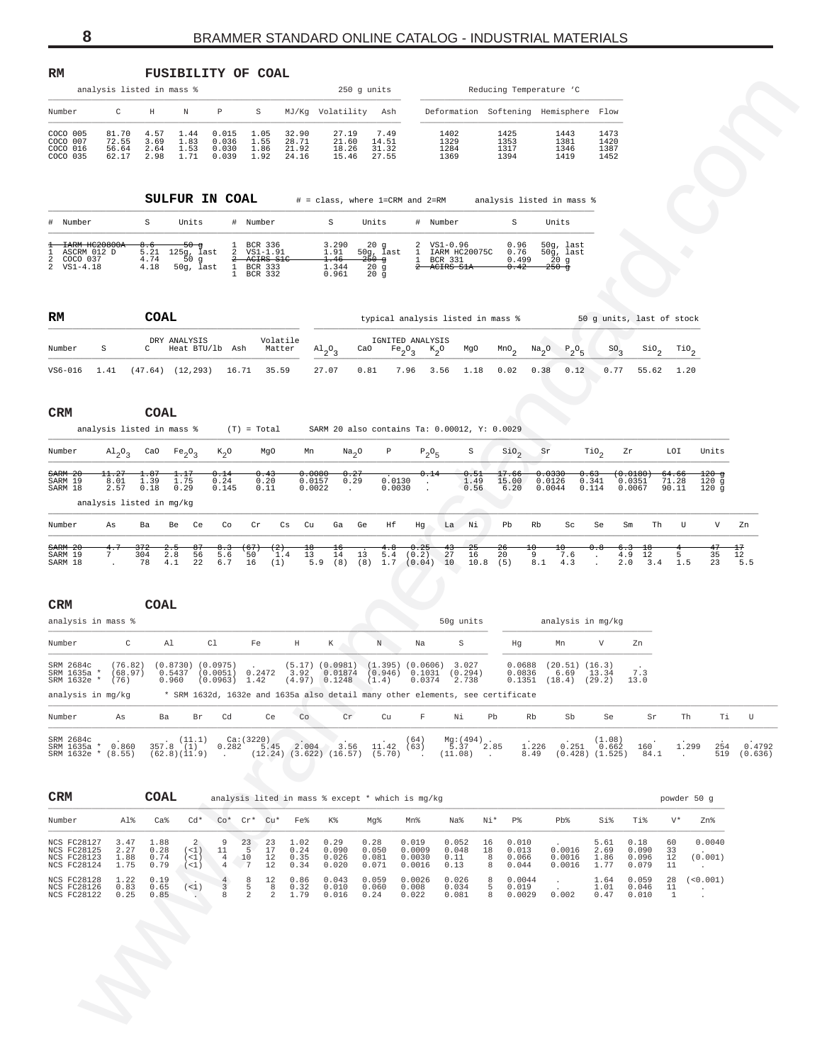<span id="page-7-0"></span>

| RM                                                                                                    | analysis listed in mass %                         |                                 |                                                   |                                             | <b>FUSIBILITY OF COAL</b>                                                  |                                  |                                                                                                                                                                    | 250 g units                                                        |                                          |                                                       |                        |                                  | Reducing Temperature 'C                                      |                              |                                 |                                    |                                   |                      |
|-------------------------------------------------------------------------------------------------------|---------------------------------------------------|---------------------------------|---------------------------------------------------|---------------------------------------------|----------------------------------------------------------------------------|----------------------------------|--------------------------------------------------------------------------------------------------------------------------------------------------------------------|--------------------------------------------------------------------|------------------------------------------|-------------------------------------------------------|------------------------|----------------------------------|--------------------------------------------------------------|------------------------------|---------------------------------|------------------------------------|-----------------------------------|----------------------|
| Number                                                                                                | C                                                 | Н                               | Ν                                                 | Ρ                                           | S                                                                          |                                  | MJ/Kg Volatility Ash                                                                                                                                               |                                                                    |                                          |                                                       |                        |                                  | Deformation Softening Hemisphere Flow                        |                              |                                 |                                    |                                   |                      |
| COCO 005<br>COCO 007<br>COCO 016<br>COCO 035                                                          | 81.70<br>72.55<br>56.64<br>62.17                  | 4.57<br>3.69<br>2.64<br>2.98    | 1.44<br>1.83<br>1.53<br>1.71                      | 0.015<br>0.036<br>0.030<br>0.039            | 1.05<br>1.55<br>1.86<br>1.92                                               | 32.90<br>28.71<br>21.92<br>24.16 | 27.19<br>21.60<br>18.26<br>15.46                                                                                                                                   | 7.49<br>14.51<br>31.32<br>27.55                                    |                                          | 1402<br>1329<br>1284<br>1369                          |                        | 1425<br>1353<br>1317<br>1394     | 1443<br>1381<br>1346<br>1419                                 | 1473<br>1420<br>1387<br>1452 |                                 |                                    |                                   |                      |
|                                                                                                       |                                                   | <b>SULFUR IN COAL</b>           |                                                   |                                             |                                                                            |                                  | # = class, where 1=CRM and 2=RM analysis listed in mass %                                                                                                          |                                                                    |                                          |                                                       |                        |                                  |                                                              |                              |                                 |                                    |                                   |                      |
| #<br>Number                                                                                           |                                                   | S                               | Units                                             |                                             | # Number                                                                   |                                  | S                                                                                                                                                                  | Units                                                              |                                          | # Number                                              |                        | S                                | Units                                                        |                              |                                 |                                    |                                   |                      |
| <del>IARM HC20800A</del><br>ASCRM 012 D<br>-1<br>COCO 037<br>2<br>$\overline{\mathbf{c}}$<br>VS1-4.18 |                                                   | 8.6<br>5.21<br>4.74<br>4.18     | <del>50 g</del><br>125g, last<br>50g<br>50g, last | $\overline{a}$<br>$\rightarrow$             | BCR 336<br>$VS1 - 1.91$<br>-ACIRS S1C<br>1 BCR 333<br>1 BCR 332<br>BCR 332 |                                  | 3.290<br>1.91<br>1.46<br>1.344<br>0.961                                                                                                                            | $20$ g<br>50g, last<br><del>250 g</del><br>20g<br>$20\overline{g}$ | 2<br>1<br>1                              | $VSI-0.96$<br>IARM HC20075C<br>BCR 331<br>2 ACIRS S1A |                        | 0.96<br>0.76<br>0.499<br>0.42    | 50g, last<br>$50\bar{g}$ , last<br>$\bar{2}0$ g<br>$250 - g$ |                              |                                 |                                    |                                   |                      |
| RM                                                                                                    |                                                   | COAL                            |                                                   |                                             |                                                                            |                                  |                                                                                                                                                                    |                                                                    |                                          | typical analysis listed in mass %                     |                        |                                  |                                                              |                              | 50 g units, last of stock       |                                    |                                   |                      |
| Number                                                                                                | S                                                 | DRY ANALYSIS<br>$\mathbf{C}$    | Heat BTU/lb Ash                                   |                                             |                                                                            | Volatile<br>Matter               | $\mathrm{^{Al}_{2}O_{3}}$                                                                                                                                          | CaO                                                                | IGNITED ANALYSIS<br>$Fe_2O_3$<br>$K_2^o$ | MgO                                                   |                        | $\mbox{\tt MnO}_2$<br>$Na_{2}O$  | $P_2O_5$                                                     | SO <sub>3</sub>              | $\mathsf{SiO}_2$                |                                    | $\mathcal{I}^{io}{}_{2}$          |                      |
| $VS6-016$                                                                                             | 1.41                                              | $(47.64)$ $(12,293)$ $16.71$    |                                                   |                                             | 35.59                                                                      |                                  | 27.07                                                                                                                                                              | 0.81                                                               | 7.96                                     | 3.56<br>1.18                                          |                        | 0.02<br>0.38                     | 0.12                                                         | 0.77                         | 55.62                           | 1.20                               |                                   |                      |
| CRM                                                                                                   |                                                   | <b>COAL</b>                     |                                                   |                                             |                                                                            |                                  |                                                                                                                                                                    |                                                                    |                                          |                                                       |                        |                                  |                                                              |                              |                                 |                                    |                                   |                      |
|                                                                                                       | analysis listed in mass %                         |                                 |                                                   |                                             | $(T) = Total$                                                              |                                  | SARM 20 also contains Ta: 0.00012, Y: 0.0029                                                                                                                       |                                                                    |                                          |                                                       |                        |                                  |                                                              |                              |                                 |                                    |                                   |                      |
| Number                                                                                                | $A1_{2}O_{3}$                                     | CaO $Fe_2O_3$                   |                                                   | $K_2O$                                      | MgO                                                                        | Mn                               | Na <sub>2</sub> O                                                                                                                                                  | P                                                                  | $P_2O_5$                                 | $\rm S$                                               |                        | $\sin \theta_2$                  | Sr                                                           | $\text{rio}_2$               | Zr                              | LOI                                | Units                             |                      |
| SARM 20<br>SARM 19<br>SARM 18                                                                         | 11.27<br>8.01<br>2.57<br>analysis listed in mg/kg | 1.87<br>1.39<br>0.18            | 1.17<br>1.75<br>0.29                              | 0.14<br>0.24<br>0.145                       | 0.43<br>0.20<br>0.11                                                       |                                  | 0.0080<br>0.27<br>0.0157<br>0.29<br>0.0022<br>$\cdot$                                                                                                              | 0.0130<br>0.0030                                                   | 0.14<br>$\cdot$                          | 0.51<br>1.49<br>0.56                                  |                        | 17.66<br>15.00<br>6.20           | 0.0330<br>0.0126<br>0.0044                                   | 0.63<br>0.341<br>0.114       | $0.0180 +$<br>0.0351<br>0.0067  | <del>64.66</del><br>71.28<br>90.11 | 120 g<br>120 <sub>g</sub><br>120g |                      |
| Number                                                                                                | As                                                | Ba<br>Be                        | Ce                                                | Co                                          | Cr                                                                         | Cs<br>Cu                         | Ga<br>Ge                                                                                                                                                           | Ηf                                                                 | Hg                                       | La Ni                                                 |                        | Pb<br>Rb                         | Sc                                                           | Se                           | Sm                              | Th<br>U                            | V                                 | Zn                   |
| <b>SARM 20</b><br>SARM 19<br>SARM 18<br>CRM<br>analysis in mass %                                     | 4.<br>7<br>304<br>$\ddot{\phantom{a}}$            | 57Z<br>2.8<br>78<br>4.1<br>COAL | ٣<br>56<br>22                                     | ს . ა<br>5.6<br>6.7                         | -67<br>z<br>50<br>(1)<br>16                                                | ᅓ<br>1.4<br>13                   | $\frac{16}{14}$<br>13<br>$5.9$ (8) (8) $1.7$ (0.04)                                                                                                                | 4. Ծ<br>5.4                                                        | 0.25<br>(0.2)                            | 25<br>43<br>27<br>16<br>10 <sup>°</sup><br>50g units  | Żθ<br>20<br>$10.8$ (5) | ±υ<br>9<br>8.1                   | Ħ<br>7.6<br>4.3<br>analysis in mg/kg                         | $\ddot{\phantom{a}}$         | 6.3<br>4.9<br>12<br>2.0<br>3.4  | 5<br>1.5                           | 47<br>35<br>23                    | $^{17}$<br>12<br>5.5 |
| Number                                                                                                | С                                                 | Al                              |                                                   | C1                                          | Fe                                                                         | Η                                | Κ                                                                                                                                                                  | Ν                                                                  | Na                                       | S                                                     |                        | Hg                               | Mn                                                           | V                            | Zn                              |                                    |                                   |                      |
| SRM 2684c<br>SRM 1635a *<br>SRM 1632e * (76)<br>analysis in mg/kg                                     | (76.82)<br>(68.97)                                | 0.960                           | $(0.8730)$ $(0.0975)$                             | $(0.0963)$ 1.42                             | $0.5437$ $(0.0051)$ $0.2472$                                               |                                  | $(5.17)$ $(0.0981)$<br>3.92  0.01874  (0.946)  0.1031  (0.294)<br>$(4.97)$ 0.1248<br>* SRM 1632d, 1632e and 1635a also detail many other elements, see certificate | (1.4)                                                              | 0.0374                                   | $(1.395)$ $(0.0606)$ 3.027<br>2.738                   |                        | 0.0688<br>0.0836<br>0.1351       | $(20.51)$ $(16.3)$<br>6.69<br>$(18.4)$ $(29.2)$              | 13.34                        | 7.3<br>13.0                     |                                    |                                   |                      |
| Number                                                                                                | As                                                | Ba                              | Br                                                | Cd                                          | Ce                                                                         | Co                               | Cr                                                                                                                                                                 | Cu                                                                 | $\mathbf F$                              | Νi                                                    | Pb                     | Rb                               | Sb                                                           | Se                           | $\rm Sr$                        |                                    | Th<br>Τi                          | U                    |
| SRM 2684c<br>SRM 1635a * 0.860<br>SRM 1632e * (8.55)                                                  |                                                   | $357.8$ (11.1)                  | (62.8)(11.9)                                      | <b>Contract Contract</b>                    | Ca:(3220)<br>$0.282$ 5.45 2.004                                            |                                  | $(12.24)$ $(3.622)$ $(16.57)$ $(5.70)$ .                                                                                                                           | $3.56$ 11.42 (63)                                                  | (64)                                     | $Mg:(494)$<br>5.37 2.85<br>$(11.08)$ .                |                        | 1.226<br>8.49                    | 0.251<br>$(0.428)$ $(1.525)$                                 | (1.08)<br>0.662              | 160<br>84.1                     | $\sim$                             | 1.299<br>254<br>519               | 0.4792<br>(0.636)    |
| CRM                                                                                                   |                                                   | COAL                            |                                                   |                                             |                                                                            |                                  | analysis lited in mass % except * which is mg/kg                                                                                                                   |                                                                    |                                          |                                                       |                        |                                  |                                                              |                              |                                 |                                    | powder 50 g                       |                      |
| Number                                                                                                | Al%                                               | Ca <sup>8</sup>                 | $Cd*$                                             |                                             | $\mathbb{C} \circ^*$ $\mathbb{C} \mathbb{r}^*$ $\mathbb{C} \mathbb{u}^*$   | Fe%                              | K%                                                                                                                                                                 | Mg%                                                                | Mn%                                      | Na%                                                   | Ni*                    | P%                               | Pb%                                                          | Si%                          | Ti%                             | $V^*$                              | Zn%                               |                      |
| NCS FC28127<br>NCS FC28125<br>NCS FC28123<br>NCS FC28124                                              | 3.47<br>2.27<br>1.88<br>1.75                      | 1.88<br>0.28<br>0.74<br>0.79    | 2<br>(<1)<br>$(1)$<br>(<1)                        | 9<br>11<br>$\overline{4}$<br>$\overline{4}$ | 23<br>23<br>5<br>17<br>10<br>12<br>$\sqrt{7}$<br>12                        | 1.02<br>0.24<br>0.35<br>0.34     | 0.29<br>0.090<br>0.026<br>0.020                                                                                                                                    | 0.28<br>0.050<br>0.081<br>0.071                                    | 0.019<br>0.0009<br>0.0030<br>0.0016      | 0.052<br>0.048<br>0.11<br>0.13                        | 16<br>18<br>8<br>8     | 0.010<br>0.013<br>0.066<br>0.044 | 0.0016<br>0.0016<br>0.0016                                   | 5.61<br>2.69<br>1.86<br>1.77 | 0.18<br>0.090<br>0.096<br>0.079 | 60<br>33<br>12<br>11               | 0.0040<br>(0.001)<br>$\cdot$      |                      |
| <b>NCS FC28128</b><br>NCS FC28126<br>NCS FC28122                                                      | 1.22<br>0.83<br>0.25                              | 0.19<br>0.65<br>0.85            | (<1)<br>$\mathcal{L}_{\mathcal{A}}$ .             | $\overline{4}$<br>3<br>8                    | 12<br>8<br>5<br>8<br>2<br>2                                                | 0.86<br>0.32<br>1.79             | 0.043<br>0.010<br>0.016                                                                                                                                            | 0.059<br>0.060<br>0.24                                             | 0.0026<br>0.008<br>0.022                 | 0.026<br>0.034<br>0.081                               | 8<br>5<br>8            | 0.0044<br>0.019<br>0.0029        | $\cdot$<br>$\cdot$<br>0.002                                  | 1.64<br>1.01<br>0.47         | 0.059<br>0.046<br>0.010         | 28<br>11<br>1                      | (<0.001)<br>$\sim$                |                      |
|                                                                                                       |                                                   |                                 |                                                   |                                             |                                                                            |                                  |                                                                                                                                                                    |                                                                    |                                          |                                                       |                        |                                  |                                                              |                              |                                 |                                    |                                   |                      |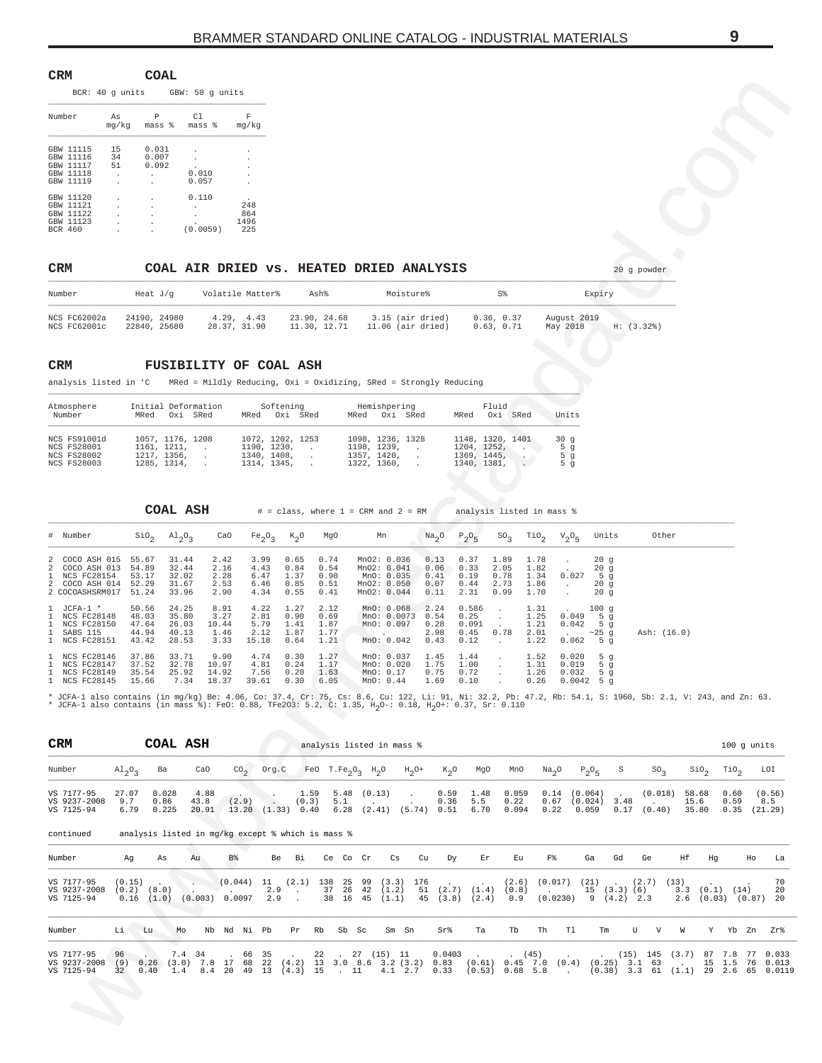<span id="page-8-0"></span>

| CRM                          |                                               |                          | COAL                         |                                     |                           |
|------------------------------|-----------------------------------------------|--------------------------|------------------------------|-------------------------------------|---------------------------|
|                              |                                               | BCR: 40 q units          |                              | GBW: 50 g units                     |                           |
| Number                       |                                               | As<br>mg/kg              | P<br>mass %                  | C1<br>mass %                        | F<br>mq/kq                |
| GBW<br>GBW<br>GBW<br>GBW     | 11115<br>11116<br>11117<br>GBW 11118<br>11119 | 15<br>34<br>51<br>٠<br>٠ | 0.031<br>0.007<br>0.092<br>٠ | 0.010<br>0.057                      |                           |
| GBW<br>GBW<br>GBW<br>BCR 460 | 11120<br>11121<br>GBW 11122<br>11123          | ٠<br>$\blacksquare$      | $\blacksquare$               | 0.110<br>$\blacksquare$<br>(0.0059) | 248<br>864<br>1496<br>225 |

## CRM COAL AIR DRIED VS. HEATED DRIED ANALYSIS **19 Sy powder** 20 g powder

| Number                       | Heat J/g                     | Volatile Matter%          | Ash%                         | Moisture%                             | S%                     | Expiry                               |
|------------------------------|------------------------------|---------------------------|------------------------------|---------------------------------------|------------------------|--------------------------------------|
| NCS FC62002a<br>NCS FC62001c | 24190, 24980<br>22840, 25680 | 4.29.4.43<br>28.37, 31.90 | 23.90. 24.68<br>11.30. 12.71 | 3.15 (air dried)<br>11.06 (air dried) | 0.36.0.37<br>0.63.0.71 | August 2019<br>H: (3.32)<br>May 2018 |

### **CRM FUSIBILITY OF COAL ASH**

| Atmosphere<br>Number                                     | Initial Deformation<br>MRed Oxi SRed          | Softening<br>MRed Oxi SRed                     | Hemishpering<br>MRed Oxi SRed                | Fluid<br>Oxi<br>MRed<br>SRed                  | Units                                   |
|----------------------------------------------------------|-----------------------------------------------|------------------------------------------------|----------------------------------------------|-----------------------------------------------|-----------------------------------------|
| NCS FS91001d<br><b>NCS FS28001</b><br><b>NCS FS28002</b> | 1057, 1176, 1208<br>1161. 1211.<br>1217.1356. | 1072, 1202, 1253<br>1190. 1230.<br>1340, 1408, | 1098, 1236, 1328<br>1198.1239.<br>1357.1420. | 1148, 1320, 1401<br>1204.1252.<br>1369, 1445, | 30q<br>5 <sub>q</sub><br>5 <sub>q</sub> |
| <b>NCS FS28003</b>                                       | 1285. 1314.                                   | 1314, 1345,                                    | 1322, 1360,                                  | 1340, 1381,                                   | 5 q                                     |

| # Number                                                                               |                                           | $SiO2$ $Al2O3$                            | CaO                                   |                                       |                                      |                                      | Fe <sub>2</sub> O <sub>3</sub> K <sub>2</sub> O MgO Mn                                | Na <sub>2</sub> O                    | $P_2O_5$                               |                                              |                                      | $SO_3$ TiO <sub>2</sub> $V_2O_5$ Units                                   |                                   | Other       |
|----------------------------------------------------------------------------------------|-------------------------------------------|-------------------------------------------|---------------------------------------|---------------------------------------|--------------------------------------|--------------------------------------|---------------------------------------------------------------------------------------|--------------------------------------|----------------------------------------|----------------------------------------------|--------------------------------------|--------------------------------------------------------------------------|-----------------------------------|-------------|
| 2 COCO ASH 015<br>2 COCO ASH 013<br>1 NCS FC28154<br>2 COCO ASH 014<br>2 COCOASHSRM017 | 55.67<br>54.89<br>53.17<br>52.29<br>51.24 | 31.44<br>32.44<br>32.02<br>31.67<br>33.96 | 2.42<br>2.16<br>2.28<br>2.53<br>2.90  | 3.99<br>4.43<br>6.47<br>6.46<br>4.34  | 0.65<br>0.84<br>1.37<br>0.85<br>0.55 | 0.74<br>0.54<br>0.90<br>0.51<br>0.41 | MnO2: 0.036<br>MnO2: 0.041<br>MnO: 0.035<br>MnO2: 0.050<br>Mno2: 0.044                | 0.13<br>0.06<br>0.41<br>0.07<br>0.11 | 0.37<br>0.33<br>0.19<br>0.44<br>2.31   | 1.89<br>2.05<br>0.78<br>2.73<br>0.99         | 1.78<br>1.82<br>1.34<br>1.86<br>1.70 | 0.027                                                                    | 20q<br>20q<br>5 $q$<br>20q<br>20q |             |
| $1$ JCFA-1 $*$<br>1 NCS FC28148<br>1 NCS FC28150<br>1 SABS 115<br>1 NCS FC28151        | 50.56<br>48.03<br>47.64<br>44.94<br>43.42 | 24.25<br>35.80<br>26.03<br>40.13<br>28.53 | 8.91<br>3.27<br>10.44<br>1.46<br>3.33 | 4.22<br>2.81<br>5.79<br>2.12<br>15.18 | 1.27<br>0.90<br>1.41<br>1.87<br>0.64 | 2.12<br>0.69<br>1.87<br>1.77<br>1.21 | MnO: 0.068<br>MnO: 0.0073<br>MnO: 0.097<br>and the contract of the con-<br>MnO: 0.042 | 2.24<br>0.54<br>0.28<br>2.98<br>0.43 | 0.586<br>0.25<br>0.091<br>0.45<br>0.12 | $\sim$<br>$\sim$<br>$\sim$<br>0.78<br>$\sim$ | 1.31<br>1.25<br>1.21<br>2.01<br>1.22 | $\sim$ 100 g<br>$0.049$ 5 q<br>$0.042$ 5 q<br>$\sim$ 25 q<br>$0.062$ 5 q |                                   | Ash: (16.0) |
| 1 NCS FC28146<br>1 NCS FC28147<br>1 NCS FC28149<br>1 NCS FC28145                       | 37.86<br>37.52<br>35.54<br>15.66          | 33.71<br>32.78<br>25.92<br>7.34           | 9.90<br>10.97<br>14.92<br>18.37       | 4.74<br>4.81<br>7.56<br>39.61         | 0.30<br>0.24<br>0.20<br>0.30         | 1.27<br>1.17<br>1.63<br>6.05         | MnO: 0.037<br>MnO: 0.020<br>MnO: 0.17<br>MnO: 0.44                                    | 1.45<br>1.75<br>0.75<br>1.69         | 1.44<br>1.00<br>0.72<br>0.10           | $\sim$<br>$\mathbf{r}$                       | 1.52<br>1.31<br>1.26<br>0.26         | 0.020<br>0.019<br>0.032<br>$0.0042$ 5 a                                  | 5q<br>5 $q$<br>5q                 |             |

| $\mathbf F$<br>Р<br>C1<br>Number<br>As<br>mg/kg<br>mg/kg<br>mass %<br>mass %<br>GBW 11115<br>0.031<br>15<br>GBW 11116<br>0.007<br>34<br>GBW 11117<br>51<br>0.092<br>GBW 11118<br>0.010<br>GBW 11119<br>0.057<br>GBW 11120<br>0.110<br>GBW 11121<br>248<br>$\cdot$<br>GBW 11122<br>864<br>1496<br>GBW 11123<br>(0.0059)<br>225<br>BCR 460<br>CRM<br>COAL AIR DRIED VS. HEATED DRIED ANALYSIS<br>20 g powder<br>Volatile Matter%<br>S%<br>Number<br>Heat $J/g$<br>Ash%<br>Moisture%<br>Expiry<br>4.29, 4.43<br>23.90, 24.68<br>24190, 24980<br>3.15 (air dried)<br>0.36, 0.37<br>August 2019<br>NCS FC62002a<br>28.37, 31.90<br>NCS FC62001c<br>22840, 25680<br>11.30, 12.71<br>$11.06$ (air dried)<br>0.63, 0.71<br>May 2018<br>H: (3.32)<br>CRM<br><b>FUSIBILITY OF COAL ASH</b><br>analysis listed in 'C<br>MRed = Mildly Reducing, Oxi = Oxidizing, SRed = Strongly Reducing<br>Fluid<br>Atmosphere<br>Initial Deformation<br>Softening<br>Hemishpering<br>Oxi SRed<br>Units<br>Number<br>MRed Oxi SRed<br>MRed Oxi SRed<br>MRed Oxi SRed<br>MRed<br>1098, 1236, 1328<br>NCS FS91001d<br>1057, 1176, 1208<br>1072, 1202, 1253<br>1148, 1320, 1401<br>30g<br>1190, 1230,<br>1198, 1239,<br><b>NCS FS28001</b><br>1161, 1211,<br>1204, 1252,<br>5 g<br>$\sim$<br>$\sim$ 100 $\mu$<br>$\cdot$<br>$\cdot$<br>1357, 1420,<br>1217, 1356,<br>1340, 1408,<br>1369, 1445,<br><b>NCS FS28002</b><br>5 g<br>$\cdot$<br>$\cdot$<br>1285, 1314,<br>1322, 1360,<br><b>NCS FS28003</b><br>1314, 1345,<br>5 <sub>g</sub><br>1340, 1381,<br>$\ddot{\phantom{a}}$<br>COAL ASH<br>$#$ = class, where $1$ = CRM and $2$ = RM<br>analysis listed in mass %<br>Na <sub>2</sub> O<br>Other<br># Number<br>$\rm SiO_2$<br>$A1_{2}0_{3}$<br>CaO<br>Fe <sub>2</sub> O <sub>3</sub><br>$K_2O$<br>MgO<br>Mn<br>$P_2O_5$<br>$SO_3$<br>TiO <sub>2</sub><br>$V_{2}O_{5}$<br>Units<br>3.99<br>0.74<br>MnO2: 0.036<br>0.13<br>0.37<br>1.89<br>2<br>COCO ASH 015<br>55.67<br>31.44<br>2.42<br>0.65<br>1.78<br>20g<br>COCO ASH 013<br>54.89<br>4.43<br>0.84<br>MnO2: 0.041<br>0.06<br>2.05<br>1.82<br>2<br>32.44<br>2.16<br>0.54<br>0.33<br>20g<br>NCS FC28154<br>53.17<br>32.02<br>2.28<br>6.47<br>1.37<br>0.90<br>MnO: 0.035<br>0.78<br>1.34<br>0.027<br>1.<br>0.41<br>0.19<br>5 g<br>52.29<br>31.67<br>0.85<br>MnO2: 0.050<br>2.73<br>1.86<br>2<br>COCO ASH 014<br>2.53<br>6.46<br>0.51<br>0.07<br>0.44<br>20g<br>$\cdot$<br>MnO2: 0.044<br>2 COCOASHSRM017<br>51.24<br>0.55<br>0.11<br>1.70<br>20g<br>33.96<br>2.90<br>4.34<br>0.41<br>2.31<br>0.99<br>50.56<br>8.91<br>4.22<br>1.27<br>MnO: 0.068<br>2.24<br>0.586<br>-1.<br>$JCFA-1$ *<br>24.25<br>2.12<br>1.31<br>100g<br>$\cdot$<br>NCS FC28148<br>48.03<br>35.80<br>3.27<br>2.81<br>0.90<br>0.69<br>MnO: 0.0073<br>0.54<br>0.25<br>1.25<br>0.049<br>1.<br>5 g<br>$\cdot$<br>47.64<br>5.79<br>NCS FC28150<br>1.41<br>1.87<br>MnO: 0.097<br>0.28<br>0.091<br>1.21<br>0.042<br>5 <sub>g</sub><br>1.<br>26.03<br>10.44<br>1.77<br>44.94<br>1.46<br>2.12<br>1.87<br>2.98<br>0.78<br>2.01<br>Ash: (16.0)<br>-1.<br>SABS 115<br>40.13<br>0.45<br>$\sim$ 25 g<br>NCS FC28151<br>28.53<br>0.64<br>1.21<br>MnO: 0.042<br>0.43<br>1.22<br>0.062<br>$\mathbf{1}$<br>43.42<br>3.33<br>15.18<br>0.12<br>5 g<br>$\sim$<br>37.86<br>9.90<br>4.74<br>0.30<br>1.27<br>MnO: 0.037<br>1.45<br>1.52<br>0.020<br>1.<br>NCS FC28146<br>33.71<br>1.44<br>5 g<br>$\cdot$<br>1.75<br>NCS FC28147<br>37.52<br>32.78<br>10.97<br>4.81<br>0.24<br>MnO: 0.020<br>1.00<br>1.31<br>-1.<br>1.17<br>0.019<br>5 g<br>$\cdot$<br>7.56<br>0.75<br>0.72<br><b>NCS FC28149</b><br>35.54<br>25.92<br>14.92<br>0.20<br>1.63<br>MnO: 0.17<br>1.26<br>-1.<br>0.032<br>5 g<br>$\cdot$<br>15.66<br>7.34<br>18.37<br>39.61<br>0.30<br>1.69<br><b>NCS FC28145</b><br>6.05<br>MnO: 0.44<br>0.10<br>0.26<br>0.0042<br>* JCFA-1 also contains (in mg/kg) Be: 4.06, Co: 37.4, Cr: 75, Cs: 8.6, Cu: 122, Li: 91, Ni: 32.2, Pb: 47.2, Rb: 54.1, S: 1960, Sb: 2.1, V: 243, and Zn: 63.<br>* JCFA-1 also contains (in mass %): FeO: 0.88, TFe2O3: 5.2, C: 1.35, H <sub>2</sub> O-: 0.18, H <sub>2</sub> O+: 0.37, Sr: 0.110<br>CRM<br>COAL ASH<br>analysis listed in mass %<br>CO <sub>2</sub><br>Org.C<br>FeO $T.Fe_2O_3$ H <sub>2</sub> O<br>S<br>Sio <sub>2</sub><br>Number<br>$A1_{2}O_{3}$<br>Ba<br>CaO<br>$H_2$ O+<br>$K_2$ O<br>MgO<br>MnO<br>Na <sub>2</sub> O<br>$P_2O_5$<br>$SO_{2}$ |                                                       |
|------------------------------------------------------------------------------------------------------------------------------------------------------------------------------------------------------------------------------------------------------------------------------------------------------------------------------------------------------------------------------------------------------------------------------------------------------------------------------------------------------------------------------------------------------------------------------------------------------------------------------------------------------------------------------------------------------------------------------------------------------------------------------------------------------------------------------------------------------------------------------------------------------------------------------------------------------------------------------------------------------------------------------------------------------------------------------------------------------------------------------------------------------------------------------------------------------------------------------------------------------------------------------------------------------------------------------------------------------------------------------------------------------------------------------------------------------------------------------------------------------------------------------------------------------------------------------------------------------------------------------------------------------------------------------------------------------------------------------------------------------------------------------------------------------------------------------------------------------------------------------------------------------------------------------------------------------------------------------------------------------------------------------------------------------------------------------------------------------------------------------------------------------------------------------------------------------------------------------------------------------------------------------------------------------------------------------------------------------------------------------------------------------------------------------------------------------------------------------------------------------------------------------------------------------------------------------------------------------------------------------------------------------------------------------------------------------------------------------------------------------------------------------------------------------------------------------------------------------------------------------------------------------------------------------------------------------------------------------------------------------------------------------------------------------------------------------------------------------------------------------------------------------------------------------------------------------------------------------------------------------------------------------------------------------------------------------------------------------------------------------------------------------------------------------------------------------------------------------------------------------------------------------------------------------------------------------------------------------------------------------------------------------------------------------------------------------------------------------------------------------------------------------------------------------------------------------------------------------------------------------------------------------------------------------------------------------------------------------------------------------------------------------------------------------------------------------------------------------------------------------------------------------------------------------------------------------------------------------------------------------------------------------------------------------------------------------------------------------------------|-------------------------------------------------------|
|                                                                                                                                                                                                                                                                                                                                                                                                                                                                                                                                                                                                                                                                                                                                                                                                                                                                                                                                                                                                                                                                                                                                                                                                                                                                                                                                                                                                                                                                                                                                                                                                                                                                                                                                                                                                                                                                                                                                                                                                                                                                                                                                                                                                                                                                                                                                                                                                                                                                                                                                                                                                                                                                                                                                                                                                                                                                                                                                                                                                                                                                                                                                                                                                                                                                                                                                                                                                                                                                                                                                                                                                                                                                                                                                                                                                                                                                                                                                                                                                                                                                                                                                                                                                                                                                                                                                                                  |                                                       |
|                                                                                                                                                                                                                                                                                                                                                                                                                                                                                                                                                                                                                                                                                                                                                                                                                                                                                                                                                                                                                                                                                                                                                                                                                                                                                                                                                                                                                                                                                                                                                                                                                                                                                                                                                                                                                                                                                                                                                                                                                                                                                                                                                                                                                                                                                                                                                                                                                                                                                                                                                                                                                                                                                                                                                                                                                                                                                                                                                                                                                                                                                                                                                                                                                                                                                                                                                                                                                                                                                                                                                                                                                                                                                                                                                                                                                                                                                                                                                                                                                                                                                                                                                                                                                                                                                                                                                                  |                                                       |
|                                                                                                                                                                                                                                                                                                                                                                                                                                                                                                                                                                                                                                                                                                                                                                                                                                                                                                                                                                                                                                                                                                                                                                                                                                                                                                                                                                                                                                                                                                                                                                                                                                                                                                                                                                                                                                                                                                                                                                                                                                                                                                                                                                                                                                                                                                                                                                                                                                                                                                                                                                                                                                                                                                                                                                                                                                                                                                                                                                                                                                                                                                                                                                                                                                                                                                                                                                                                                                                                                                                                                                                                                                                                                                                                                                                                                                                                                                                                                                                                                                                                                                                                                                                                                                                                                                                                                                  |                                                       |
|                                                                                                                                                                                                                                                                                                                                                                                                                                                                                                                                                                                                                                                                                                                                                                                                                                                                                                                                                                                                                                                                                                                                                                                                                                                                                                                                                                                                                                                                                                                                                                                                                                                                                                                                                                                                                                                                                                                                                                                                                                                                                                                                                                                                                                                                                                                                                                                                                                                                                                                                                                                                                                                                                                                                                                                                                                                                                                                                                                                                                                                                                                                                                                                                                                                                                                                                                                                                                                                                                                                                                                                                                                                                                                                                                                                                                                                                                                                                                                                                                                                                                                                                                                                                                                                                                                                                                                  |                                                       |
|                                                                                                                                                                                                                                                                                                                                                                                                                                                                                                                                                                                                                                                                                                                                                                                                                                                                                                                                                                                                                                                                                                                                                                                                                                                                                                                                                                                                                                                                                                                                                                                                                                                                                                                                                                                                                                                                                                                                                                                                                                                                                                                                                                                                                                                                                                                                                                                                                                                                                                                                                                                                                                                                                                                                                                                                                                                                                                                                                                                                                                                                                                                                                                                                                                                                                                                                                                                                                                                                                                                                                                                                                                                                                                                                                                                                                                                                                                                                                                                                                                                                                                                                                                                                                                                                                                                                                                  |                                                       |
|                                                                                                                                                                                                                                                                                                                                                                                                                                                                                                                                                                                                                                                                                                                                                                                                                                                                                                                                                                                                                                                                                                                                                                                                                                                                                                                                                                                                                                                                                                                                                                                                                                                                                                                                                                                                                                                                                                                                                                                                                                                                                                                                                                                                                                                                                                                                                                                                                                                                                                                                                                                                                                                                                                                                                                                                                                                                                                                                                                                                                                                                                                                                                                                                                                                                                                                                                                                                                                                                                                                                                                                                                                                                                                                                                                                                                                                                                                                                                                                                                                                                                                                                                                                                                                                                                                                                                                  |                                                       |
|                                                                                                                                                                                                                                                                                                                                                                                                                                                                                                                                                                                                                                                                                                                                                                                                                                                                                                                                                                                                                                                                                                                                                                                                                                                                                                                                                                                                                                                                                                                                                                                                                                                                                                                                                                                                                                                                                                                                                                                                                                                                                                                                                                                                                                                                                                                                                                                                                                                                                                                                                                                                                                                                                                                                                                                                                                                                                                                                                                                                                                                                                                                                                                                                                                                                                                                                                                                                                                                                                                                                                                                                                                                                                                                                                                                                                                                                                                                                                                                                                                                                                                                                                                                                                                                                                                                                                                  |                                                       |
|                                                                                                                                                                                                                                                                                                                                                                                                                                                                                                                                                                                                                                                                                                                                                                                                                                                                                                                                                                                                                                                                                                                                                                                                                                                                                                                                                                                                                                                                                                                                                                                                                                                                                                                                                                                                                                                                                                                                                                                                                                                                                                                                                                                                                                                                                                                                                                                                                                                                                                                                                                                                                                                                                                                                                                                                                                                                                                                                                                                                                                                                                                                                                                                                                                                                                                                                                                                                                                                                                                                                                                                                                                                                                                                                                                                                                                                                                                                                                                                                                                                                                                                                                                                                                                                                                                                                                                  |                                                       |
|                                                                                                                                                                                                                                                                                                                                                                                                                                                                                                                                                                                                                                                                                                                                                                                                                                                                                                                                                                                                                                                                                                                                                                                                                                                                                                                                                                                                                                                                                                                                                                                                                                                                                                                                                                                                                                                                                                                                                                                                                                                                                                                                                                                                                                                                                                                                                                                                                                                                                                                                                                                                                                                                                                                                                                                                                                                                                                                                                                                                                                                                                                                                                                                                                                                                                                                                                                                                                                                                                                                                                                                                                                                                                                                                                                                                                                                                                                                                                                                                                                                                                                                                                                                                                                                                                                                                                                  |                                                       |
|                                                                                                                                                                                                                                                                                                                                                                                                                                                                                                                                                                                                                                                                                                                                                                                                                                                                                                                                                                                                                                                                                                                                                                                                                                                                                                                                                                                                                                                                                                                                                                                                                                                                                                                                                                                                                                                                                                                                                                                                                                                                                                                                                                                                                                                                                                                                                                                                                                                                                                                                                                                                                                                                                                                                                                                                                                                                                                                                                                                                                                                                                                                                                                                                                                                                                                                                                                                                                                                                                                                                                                                                                                                                                                                                                                                                                                                                                                                                                                                                                                                                                                                                                                                                                                                                                                                                                                  |                                                       |
|                                                                                                                                                                                                                                                                                                                                                                                                                                                                                                                                                                                                                                                                                                                                                                                                                                                                                                                                                                                                                                                                                                                                                                                                                                                                                                                                                                                                                                                                                                                                                                                                                                                                                                                                                                                                                                                                                                                                                                                                                                                                                                                                                                                                                                                                                                                                                                                                                                                                                                                                                                                                                                                                                                                                                                                                                                                                                                                                                                                                                                                                                                                                                                                                                                                                                                                                                                                                                                                                                                                                                                                                                                                                                                                                                                                                                                                                                                                                                                                                                                                                                                                                                                                                                                                                                                                                                                  |                                                       |
|                                                                                                                                                                                                                                                                                                                                                                                                                                                                                                                                                                                                                                                                                                                                                                                                                                                                                                                                                                                                                                                                                                                                                                                                                                                                                                                                                                                                                                                                                                                                                                                                                                                                                                                                                                                                                                                                                                                                                                                                                                                                                                                                                                                                                                                                                                                                                                                                                                                                                                                                                                                                                                                                                                                                                                                                                                                                                                                                                                                                                                                                                                                                                                                                                                                                                                                                                                                                                                                                                                                                                                                                                                                                                                                                                                                                                                                                                                                                                                                                                                                                                                                                                                                                                                                                                                                                                                  |                                                       |
|                                                                                                                                                                                                                                                                                                                                                                                                                                                                                                                                                                                                                                                                                                                                                                                                                                                                                                                                                                                                                                                                                                                                                                                                                                                                                                                                                                                                                                                                                                                                                                                                                                                                                                                                                                                                                                                                                                                                                                                                                                                                                                                                                                                                                                                                                                                                                                                                                                                                                                                                                                                                                                                                                                                                                                                                                                                                                                                                                                                                                                                                                                                                                                                                                                                                                                                                                                                                                                                                                                                                                                                                                                                                                                                                                                                                                                                                                                                                                                                                                                                                                                                                                                                                                                                                                                                                                                  |                                                       |
|                                                                                                                                                                                                                                                                                                                                                                                                                                                                                                                                                                                                                                                                                                                                                                                                                                                                                                                                                                                                                                                                                                                                                                                                                                                                                                                                                                                                                                                                                                                                                                                                                                                                                                                                                                                                                                                                                                                                                                                                                                                                                                                                                                                                                                                                                                                                                                                                                                                                                                                                                                                                                                                                                                                                                                                                                                                                                                                                                                                                                                                                                                                                                                                                                                                                                                                                                                                                                                                                                                                                                                                                                                                                                                                                                                                                                                                                                                                                                                                                                                                                                                                                                                                                                                                                                                                                                                  |                                                       |
|                                                                                                                                                                                                                                                                                                                                                                                                                                                                                                                                                                                                                                                                                                                                                                                                                                                                                                                                                                                                                                                                                                                                                                                                                                                                                                                                                                                                                                                                                                                                                                                                                                                                                                                                                                                                                                                                                                                                                                                                                                                                                                                                                                                                                                                                                                                                                                                                                                                                                                                                                                                                                                                                                                                                                                                                                                                                                                                                                                                                                                                                                                                                                                                                                                                                                                                                                                                                                                                                                                                                                                                                                                                                                                                                                                                                                                                                                                                                                                                                                                                                                                                                                                                                                                                                                                                                                                  |                                                       |
|                                                                                                                                                                                                                                                                                                                                                                                                                                                                                                                                                                                                                                                                                                                                                                                                                                                                                                                                                                                                                                                                                                                                                                                                                                                                                                                                                                                                                                                                                                                                                                                                                                                                                                                                                                                                                                                                                                                                                                                                                                                                                                                                                                                                                                                                                                                                                                                                                                                                                                                                                                                                                                                                                                                                                                                                                                                                                                                                                                                                                                                                                                                                                                                                                                                                                                                                                                                                                                                                                                                                                                                                                                                                                                                                                                                                                                                                                                                                                                                                                                                                                                                                                                                                                                                                                                                                                                  | 100 g units                                           |
|                                                                                                                                                                                                                                                                                                                                                                                                                                                                                                                                                                                                                                                                                                                                                                                                                                                                                                                                                                                                                                                                                                                                                                                                                                                                                                                                                                                                                                                                                                                                                                                                                                                                                                                                                                                                                                                                                                                                                                                                                                                                                                                                                                                                                                                                                                                                                                                                                                                                                                                                                                                                                                                                                                                                                                                                                                                                                                                                                                                                                                                                                                                                                                                                                                                                                                                                                                                                                                                                                                                                                                                                                                                                                                                                                                                                                                                                                                                                                                                                                                                                                                                                                                                                                                                                                                                                                                  | TiO <sub>2</sub><br>LOI                               |
| VS 7177-95<br>27.07<br>0.028<br>5.48<br>0.59<br>1.48<br>0.059<br>0.14<br>(0.064)<br>4.88<br>1.59<br>(0.13)<br>(0.018)<br>58.68<br>$\cdot$<br>9.7<br>5.5<br>VS 9237-2008<br>43.8<br>(2.9)<br>(0.3)<br>0.22<br>0.67<br>(0.024)<br>3.48<br>0.86<br>5.1<br>0.36<br>15.6<br>VS 7125-94<br>$6.28$ $(2.41)$ $(5.74)$ $0.51$<br>20.91<br>$13.20$ $(1.33)$ 0.40<br>6.70<br>0.094<br>0.22<br>0.059<br>$0.17$ $(0.40)$<br>35.80<br>6.79<br>0.225                                                                                                                                                                                                                                                                                                                                                                                                                                                                                                                                                                                                                                                                                                                                                                                                                                                                                                                                                                                                                                                                                                                                                                                                                                                                                                                                                                                                                                                                                                                                                                                                                                                                                                                                                                                                                                                                                                                                                                                                                                                                                                                                                                                                                                                                                                                                                                                                                                                                                                                                                                                                                                                                                                                                                                                                                                                                                                                                                                                                                                                                                                                                                                                                                                                                                                                                                                                                                                                                                                                                                                                                                                                                                                                                                                                                                                                                                                                            | 0.60<br>(0.56)<br>0.59<br>8.5<br>$0.35$ $(21.29)$     |
| analysis listed in mg/kg except % which is mass %<br>continued                                                                                                                                                                                                                                                                                                                                                                                                                                                                                                                                                                                                                                                                                                                                                                                                                                                                                                                                                                                                                                                                                                                                                                                                                                                                                                                                                                                                                                                                                                                                                                                                                                                                                                                                                                                                                                                                                                                                                                                                                                                                                                                                                                                                                                                                                                                                                                                                                                                                                                                                                                                                                                                                                                                                                                                                                                                                                                                                                                                                                                                                                                                                                                                                                                                                                                                                                                                                                                                                                                                                                                                                                                                                                                                                                                                                                                                                                                                                                                                                                                                                                                                                                                                                                                                                                                   |                                                       |
| B%<br>F%<br>Number<br>Ag<br>As<br>Au<br>Be<br>Вi<br>Ce Co Cr<br>Cs<br>Cu<br>Dy<br>Εr<br>Εu<br>Ga<br>Gd<br>Ge<br>Ηf<br>Ηg                                                                                                                                                                                                                                                                                                                                                                                                                                                                                                                                                                                                                                                                                                                                                                                                                                                                                                                                                                                                                                                                                                                                                                                                                                                                                                                                                                                                                                                                                                                                                                                                                                                                                                                                                                                                                                                                                                                                                                                                                                                                                                                                                                                                                                                                                                                                                                                                                                                                                                                                                                                                                                                                                                                                                                                                                                                                                                                                                                                                                                                                                                                                                                                                                                                                                                                                                                                                                                                                                                                                                                                                                                                                                                                                                                                                                                                                                                                                                                                                                                                                                                                                                                                                                                         | Ho<br>La                                              |
| VS 7177-95<br>(0.044)<br>$(2.1)$ 138<br>25<br>99<br>176<br>(0.017)<br>(2.7)<br>(0.15)<br>11<br>(3.3)<br>(2.6)<br>(21)<br>(13)<br>$(2.7)$ $(1.4)$<br>VS 9237-2008<br>37<br>(1.2)<br>$(0.2)$ $(8.0)$<br>2.9<br>26<br>42<br>51<br>(0.8)<br>15(3.3)(6)<br>3.3<br>$\cdot$<br>$(1.0)$ $(0.003)$ 0.0097<br>2.9<br>$(0.0230)$ 9 $(4.2)$ 2.3<br>VS 7125-94<br>0.16<br>38<br>16<br>45<br>(1.1)<br>45<br>$(3.8)$ $(2.4)$<br>0.9<br>2.6                                                                                                                                                                                                                                                                                                                                                                                                                                                                                                                                                                                                                                                                                                                                                                                                                                                                                                                                                                                                                                                                                                                                                                                                                                                                                                                                                                                                                                                                                                                                                                                                                                                                                                                                                                                                                                                                                                                                                                                                                                                                                                                                                                                                                                                                                                                                                                                                                                                                                                                                                                                                                                                                                                                                                                                                                                                                                                                                                                                                                                                                                                                                                                                                                                                                                                                                                                                                                                                                                                                                                                                                                                                                                                                                                                                                                                                                                                                                      | 70<br>$(0.1)$ $(14)$<br>20<br>$(0.03)$ $(0.87)$<br>20 |
| Li<br>Тa<br>Tb<br>Th<br>Tl<br>U<br>V<br>W<br>Number<br>Lu<br>Mo<br>Nb Nd Ni Pb<br>Pr<br>Rb<br>Sb Sc<br>Sm Sn<br>Sr%<br>Tm                                                                                                                                                                                                                                                                                                                                                                                                                                                                                                                                                                                                                                                                                                                                                                                                                                                                                                                                                                                                                                                                                                                                                                                                                                                                                                                                                                                                                                                                                                                                                                                                                                                                                                                                                                                                                                                                                                                                                                                                                                                                                                                                                                                                                                                                                                                                                                                                                                                                                                                                                                                                                                                                                                                                                                                                                                                                                                                                                                                                                                                                                                                                                                                                                                                                                                                                                                                                                                                                                                                                                                                                                                                                                                                                                                                                                                                                                                                                                                                                                                                                                                                                                                                                                                        | Y Yb Zn<br>Zr%                                        |
| VS 7177-95<br>7.4 34<br>27 (15) 11<br>0.0403<br>87 7.8 77<br>96<br>66<br>-35<br>22<br>(45)<br>$(15)$ 145 $(3.7)$<br>$0.26$ (3.0) 7.8 17 68<br>VS 9237-2008<br>22 (4.2) 13 3.0 8.6 3.2 (3.2) 0.83 (0.61) 0.45 7.0 (0.4) (0.25) 3.1 63<br>15 1.5 76 0.013<br>(9)<br>1.4 8.4 20 49 13 (4.3) 15 . 11 4.1 2.7<br>$(0.38)$ 3.3 61 $(1.1)$ 29 2.6 65 0.0119<br>$(0.53)$ $0.68$ 5.8<br>VS 7125-94<br>0.40<br>0.33<br>32<br>$\sim 100$<br><b>R</b>                                                                                                                                                                                                                                                                                                                                                                                                                                                                                                                                                                                                                                                                                                                                                                                                                                                                                                                                                                                                                                                                                                                                                                                                                                                                                                                                                                                                                                                                                                                                                                                                                                                                                                                                                                                                                                                                                                                                                                                                                                                                                                                                                                                                                                                                                                                                                                                                                                                                                                                                                                                                                                                                                                                                                                                                                                                                                                                                                                                                                                                                                                                                                                                                                                                                                                                                                                                                                                                                                                                                                                                                                                                                                                                                                                                                                                                                                                                        |                                                       |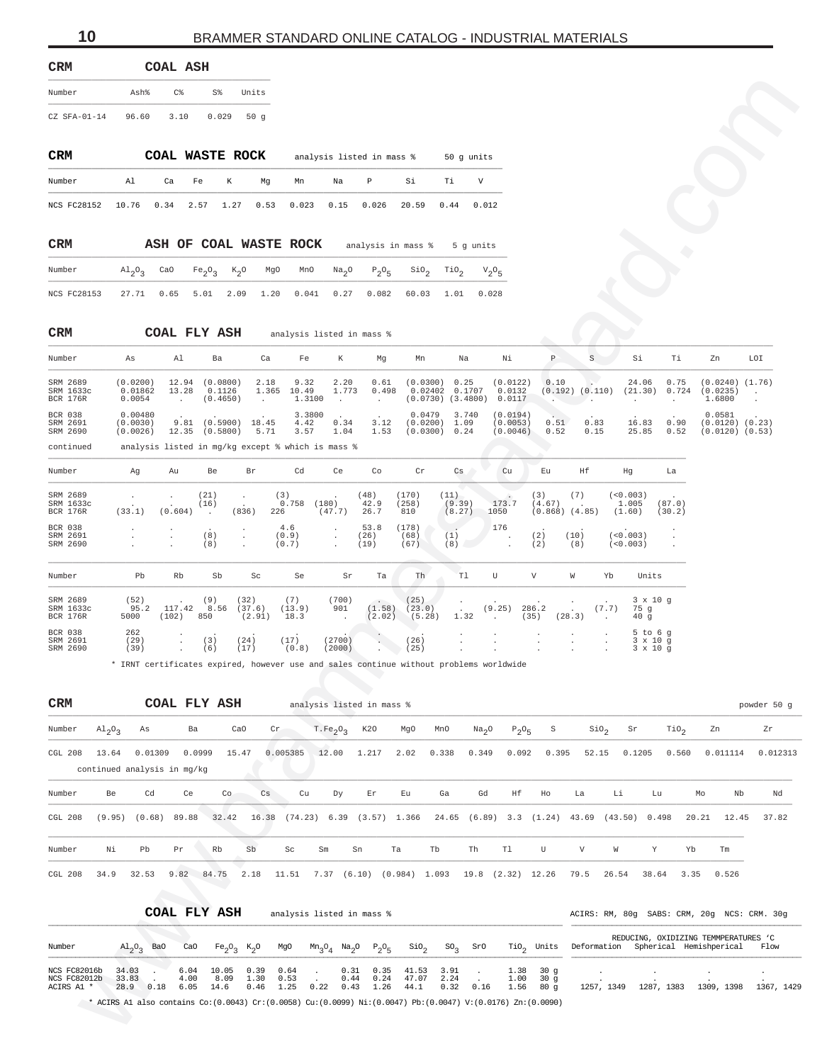<span id="page-9-0"></span>

| <b>CRM</b>     |       | COAL ASH |        |       |
|----------------|-------|----------|--------|-------|
| Number         | Ash%  | $\cap$   | $SS^*$ | Units |
| $CZ$ SFA-01-14 | 96.60 | 3.10     | 0.029  | 50a   |

| <b>CRM</b>                                             |    | COAL WASTE ROCK |      |    |    |    | analysis listed in mass % |       |      | 50 q units |
|--------------------------------------------------------|----|-----------------|------|----|----|----|---------------------------|-------|------|------------|
| Number                                                 | Al | Ca              | Fe K | Ma | Mn | Na | $\mathbb{P}$              | .Si   | Ti.  |            |
| NCS FC28152 10.76 0.34 2.57 1.27 0.53 0.023 0.15 0.026 |    |                 |      |    |    |    |                           | 20.59 | 0.44 | 0.012      |

| <b>CRM</b>  |  |  | ASH OF COAL WASTE ROCK                                                                                                                                                                              |  | analysis in mass % 5 q units |  |
|-------------|--|--|-----------------------------------------------------------------------------------------------------------------------------------------------------------------------------------------------------|--|------------------------------|--|
| Number      |  |  | $\text{Al}_2\text{O}_3$ CaO Fe <sub>2</sub> O <sub>3</sub> K <sub>2</sub> O MgO MnO Na <sub>2</sub> O P <sub>2</sub> O <sub>5</sub> SiO <sub>2</sub> TiO <sub>2</sub> V <sub>2</sub> O <sub>5</sub> |  |                              |  |
| NCS FC28153 |  |  | 27.71  0.65  5.01  2.09  1.20  0.041  0.27  0.082  60.03  1.01  0.028                                                                                                                               |  |                              |  |

| Number                                   | As                              | Al             | Ba                                                | Ca            | Fe                      | К                       | Mq            | Mn                                           | Na                    | Νi                               | Р               | S            | Si               | Ti            | Zn                                                   | LOI |
|------------------------------------------|---------------------------------|----------------|---------------------------------------------------|---------------|-------------------------|-------------------------|---------------|----------------------------------------------|-----------------------|----------------------------------|-----------------|--------------|------------------|---------------|------------------------------------------------------|-----|
| SRM 2689<br>SRM 1633c<br><b>BCR 176R</b> | (0.0200)<br>0.01862<br>0.0054   | 12.94<br>13.28 | (0.0800)<br>0.1126<br>(0.4650)                    | 2.18<br>1.365 | 9.32<br>10.49<br>1.3100 | 2.20<br>1.773<br>$\sim$ | 0.61<br>0.498 | (0.0300)<br>0.02402<br>$(0.0730)$ $(3.4800)$ | 0.25<br>0.1707        | (0.0122)<br>0.0132<br>0.0117     | 0.10<br>(0.192) | (0.110)      | 24.06<br>(21.30) | 0.75<br>0.724 | $(0.0240)$ $(1.76)$<br>(0.0235)<br>1.6800            |     |
| <b>BCR 038</b><br>SRM 2691<br>SRM 2690   | 0.00480<br>(0.0030)<br>(0.0026) | 9.81<br>12.35  | (0.5900)<br>(0.5800)                              | 18.45<br>5.71 | 3.3800<br>4.42<br>3.57  | 0.34<br>1.04            | 3.12<br>1.53  | 0.0479<br>(0.0200)<br>(0.0300)               | 3.740<br>1.09<br>0.24 | (0.0194)<br>(0.0053)<br>(0.0046) | 0.51<br>0.52    | 0.83<br>0.15 | 16.83<br>25.85   | 0.90<br>0.52  | 0.0581<br>$(0.0120)$ $(0.23)$<br>$(0.0120)$ $(0.53)$ |     |
| continued                                |                                 |                | analysis listed in mg/kg except % which is mass % |               |                         |                         |               |                                              |                       |                                  |                 |              |                  |               |                                                      |     |

| Number                                   | Aq                       | Au                | Be                            | Br                                                   | Cd                    | Ce.                                  | Co                                           | Cr                       | Cs                                     | Cu                                                 | Eu                                     | Ηf                                  |                                                                | Hq                           | La                                                    |
|------------------------------------------|--------------------------|-------------------|-------------------------------|------------------------------------------------------|-----------------------|--------------------------------------|----------------------------------------------|--------------------------|----------------------------------------|----------------------------------------------------|----------------------------------------|-------------------------------------|----------------------------------------------------------------|------------------------------|-------------------------------------------------------|
| SRM 2689<br>SRM 1633c<br><b>BCR 176R</b> | $\overline{a}$<br>(33.1) | $\sim$<br>(0.604) | (21)<br>(16)<br>$\sim$ $\sim$ | $\cdot$<br>$\cdot$<br>(836)                          | (3)<br>0.758<br>226   | $\cdot$<br>(180)<br>(47.7)           | (48)<br>42.9<br>26.7                         | (170)<br>258)<br>810     | (11)<br>(9.39)<br>(8.27)               | <b>Contract Contract Contract</b><br>173.7<br>1050 | (3)<br>(4.67)                          | (7)<br>$(0.868)$ $(4.85)$           |                                                                | (< 0.003)<br>1,005<br>(1.60) | <b>Contract Contract Contract</b><br>(87.0)<br>(30.2) |
| <b>BCR 038</b><br>SRM 2691<br>SRM 2690   | $\ddot{\phantom{0}}$     |                   | $\mathbf{r}$<br>(8)<br>(8)    | $\mathbf{r}$<br>$\mathbf{r}$<br>$\ddot{\phantom{0}}$ | 4.6<br>(0.9)<br>(0.7) | $\mathbf{r}$<br>$\ddot{\phantom{0}}$ | 53.8<br>(26)<br>(19)                         | (178)<br>(68)<br>(67)    | (1)<br>(8)                             | 176<br>$\ddot{\phantom{0}}$                        | $\overline{\phantom{a}}$<br>(2)<br>(2) | $\ddot{\phantom{1}}$<br>(10)<br>(8) |                                                                | (< 0.003)<br>(< 0.003)       | $\cdot$<br>$\cdot$<br>$\ddot{\phantom{a}}$            |
| Number                                   | Pb                       | Rb                | Sb                            | Sc                                                   | Se                    | Sr                                   | Ta                                           | Th                       | T1                                     | U                                                  | V                                      | W                                   | Yb                                                             | Units                        |                                                       |
| SRM 2689<br>SRM 1633c<br><b>BCR 176R</b> | (52)<br>95.2<br>5000     | 117.42<br>(102)   | (9)<br>8.56<br>850            | (32)<br>(37.6)<br>(2.91)                             | (7)<br>(13.9)<br>18.3 | (700)<br>901<br>$\sim 100$           | $\overline{\phantom{a}}$<br>(1.58)<br>(2.02) | (25)<br>(23.0)<br>(5.28) | $\ddot{\phantom{0}}$<br>$\sim$<br>1.32 | $\cdot$<br>(9.25)<br>$\sim 100$                    | $\cdot$<br>286.2<br>(35)               | $\cdot$<br>$\sim$<br>(28.3)         | $\ddot{\phantom{0}}$<br>(7.7)<br>$\sim$                        | 75q<br>40g                   | $3 \times 10$ q                                       |
| BCR 038<br>SRM 2691<br>SRM 2690          | 262<br>(29)<br>(39)      | $\sim$            | (3)<br>(6)                    | $\cdot$<br>(24)<br>(17)                              | (17)<br>(0.8)         | (2700)<br>(2000)                     |                                              | (26)<br>(25)             | $\ddot{\phantom{0}}$<br>$\cdot$        | $\cdot$<br>$\cdot$<br>$\cdot$                      | $\cdot$<br>$\cdot$<br>$\cdot$          | $\cdot$<br>$\cdot$<br>$\cdot$       | $\ddot{\phantom{a}}$<br>$\overline{a}$<br>$\ddot{\phantom{a}}$ |                              | $5$ to $6$ q<br>$3 \times 10$ q<br>$3 \times 10$ q    |

| Number                                     | Ash%                                                                                                               | $C\,$            | S%                                      |                            | Units                |                        |                                                                   |                           |                                                                                                |                                       |                            |                      |                           |                           |                    |                                            |                           |                                                                             |                                             |                |
|--------------------------------------------|--------------------------------------------------------------------------------------------------------------------|------------------|-----------------------------------------|----------------------------|----------------------|------------------------|-------------------------------------------------------------------|---------------------------|------------------------------------------------------------------------------------------------|---------------------------------------|----------------------------|----------------------|---------------------------|---------------------------|--------------------|--------------------------------------------|---------------------------|-----------------------------------------------------------------------------|---------------------------------------------|----------------|
| $CZ$ SFA-01-14                             | 96.60                                                                                                              | 3.10             |                                         | 0.029                      | 50g                  |                        |                                                                   |                           |                                                                                                |                                       |                            |                      |                           |                           |                    |                                            |                           |                                                                             |                                             |                |
| CRM                                        |                                                                                                                    | COAL WASTE ROCK  |                                         |                            |                      |                        |                                                                   | analysis listed in mass % |                                                                                                | 50 g units                            |                            |                      |                           |                           |                    |                                            |                           |                                                                             |                                             |                |
| Number                                     | Al                                                                                                                 | Ca               | Fe                                      | К                          | Mg                   | Mn                     | Na                                                                | Ρ                         | Si                                                                                             | Тi                                    | V                          |                      |                           |                           |                    |                                            |                           |                                                                             |                                             |                |
| <b>NCS FC28152</b>                         | 10.76                                                                                                              | 0.34             | 2.57                                    | 1.27                       | 0.53                 | 0.023                  | 0.15                                                              | 0.026                     | 20.59                                                                                          | 0.44                                  | 0.012                      |                      |                           |                           |                    |                                            |                           |                                                                             |                                             |                |
| CRM                                        |                                                                                                                    |                  |                                         |                            |                      | ASH OF COAL WASTE ROCK |                                                                   |                           | analysis in mass %                                                                             |                                       | 5 g units                  |                      |                           |                           |                    |                                            |                           |                                                                             |                                             |                |
| Number                                     | $A1_{2}O_{3}$                                                                                                      | CaO              | $Fe_2O_3$                               | $K_2$ O                    | MgO                  | MnO                    | Na <sub>2</sub> O                                                 | $P_2O_5$                  | $\sin \theta_2$                                                                                | $\text{rio}_2$                        | $V_2O_5$                   |                      |                           |                           |                    |                                            |                           |                                                                             |                                             |                |
| <b>NCS FC28153</b>                         | 27.71                                                                                                              | 0.65             | 5.01                                    | 2.09                       | 1.20                 | 0.041                  | 0.27                                                              | 0.082                     | 60.03                                                                                          | 1.01                                  | 0.028                      |                      |                           |                           |                    |                                            |                           |                                                                             |                                             |                |
| CRM                                        |                                                                                                                    | COAL FLY ASH     |                                         |                            |                      |                        | analysis listed in mass %                                         |                           |                                                                                                |                                       |                            |                      |                           |                           |                    |                                            |                           |                                                                             |                                             |                |
| Number                                     | As                                                                                                                 | Al               | Ba                                      |                            | Ca                   | Fe                     | Κ                                                                 | Mg                        | Mn                                                                                             | Na                                    |                            | Νi                   | $\mathbb P$               | $\rm S$                   |                    | Si                                         | Τi                        | Zn                                                                          | LOI                                         |                |
| SRM 2689<br>SRM 1633c                      | (0.0200)<br>0.01862                                                                                                | 13.28            | 12.94 (0.0800)                          | 0.1126                     | 2.18<br>1.365        | 9.32<br>10.49          | 2.20<br>1.773                                                     | 0.61<br>0.498             | (0.0300)                                                                                       | 0.25<br>0.02402 0.1707                |                            | (0.0122)<br>0.0132   | 0.10                      | $(0.192)$ $(0.110)$       |                    | 24.06<br>(21.30)                           | 0.75<br>0.724             | (0.0235)                                                                    | $(0.0240)$ $(1.76)$<br>$\ddot{\phantom{a}}$ |                |
| BCR 176R<br>BCR 038                        | 0.0054<br>0.00480                                                                                                  | $\sim$           |                                         | (0.4650)                   | $\ddot{\phantom{a}}$ | 1.3100<br>3.3800       | $\sim$                                                            | $\ddot{\phantom{a}}$      | 0.0479                                                                                         | $(0.0730)$ $(3.4800)$ 0.0117<br>3.740 |                            | (0.0194)             | <b>Alberta</b>            |                           |                    |                                            | $\ddot{\phantom{a}}$      | 1.6800<br>0.0581                                                            |                                             |                |
| SRM 2691<br>SRM 2690<br>continued          | (0.0030)<br>(0.0026)                                                                                               |                  | $9.81$ $(0.5900)$<br>$12.35$ $(0.5800)$ |                            | 18.45<br>5.71        | 4.42<br>3.57           | 0.34<br>1.04<br>analysis listed in mg/kg except % which is mass % | 3.12<br>1.53              |                                                                                                | $(0.0200)$ 1.09<br>$(0.0300)$ 0.24    |                            | (0.0053)<br>(0.0046) | 0.51<br>0.52              | 0.83<br>0.15              |                    | 16.83<br>25.85                             | 0.90<br>0.52              |                                                                             | $(0.0120)$ $(0.23)$<br>$(0.0120)$ $(0.53)$  |                |
| Number                                     | Αg                                                                                                                 | Au               | Be                                      |                            | Βr                   | Cd                     | Ce                                                                | Co                        | Cr                                                                                             | Cs                                    |                            | Cu                   | Εu                        | Нf                        | Hg                 |                                            | La                        |                                                                             |                                             |                |
| SRM 2689<br>SRM 1633c                      |                                                                                                                    |                  | (21)<br>(16)                            | $\cdot$                    |                      | (3)<br>$0.758$ (180)   |                                                                   | (48)<br>42.9              | (170)<br>(258)                                                                                 | (11)<br>(9.39)                        |                            | 173.7                | (3)<br>(4.67)             | (7)                       | (<0.003)<br>1.005  |                                            | (87.0)                    |                                                                             |                                             |                |
| BCR 176R<br>BCR 038<br>SRM 2691            | (33.1)                                                                                                             | (0.604)          | $\ddot{\phantom{a}}$<br>(8)             | (836)<br>$\cdot$           | 226                  | 4.6<br>(0.9)           | (47.7)                                                            | 26.7<br>53.8              | 810<br>(178)<br>(68)                                                                           | (8.27)                                | 1050<br>176                |                      | $(0.868)$ $(4.85)$<br>(2) | (10)                      | (1.60)<br>(<0.003) |                                            | (30.2)                    |                                                                             |                                             |                |
| SRM 2690                                   |                                                                                                                    |                  | (8)                                     | $\cdot$                    |                      | (0.7)                  |                                                                   | (26)<br>(19)              | (67)                                                                                           | (1)<br>(8)                            |                            |                      | (2)                       | (8)                       | (< 0.003)          |                                            |                           |                                                                             |                                             |                |
| Number                                     | Pb                                                                                                                 | Rb               | Sb                                      |                            | Sc                   | Se                     | Sr                                                                | Ta                        | Th                                                                                             | T1                                    | U                          |                      | V                         | W                         | Yb                 | Units                                      |                           |                                                                             |                                             |                |
| SRM 2689<br>SRM 1633c<br><b>BCR 176R</b>   | (52)<br>95.2<br>5000                                                                                               | 117.42<br>(102)  | (9)<br>8.56<br>850                      | (32)                       | (37.6)<br>(2.91)     | (7)<br>(13.9)<br>18.3  | (700)<br>901                                                      | (1.58)<br>(2.02)          | (25)<br>(23.0)<br>(5.28)                                                                       | 1.32                                  | (9.25)                     | (35)                 | 286.2                     | (28.3)                    | (7.7)              | $3 \times 10$ g<br>75 g<br>40 <sub>g</sub> |                           |                                                                             |                                             |                |
| BCR 038<br>SRM 2691                        | 262<br>(29)                                                                                                        |                  | (3)                                     | (24)                       |                      | (17)                   | (2700)                                                            |                           | (26)                                                                                           |                                       |                            |                      |                           |                           |                    | $5$ to $6$ g<br>$3 \times 10$ g            |                           |                                                                             |                                             |                |
| SRM 2690                                   | (39)                                                                                                               |                  | (6)                                     | (17)                       |                      | (0.8)                  | (2000)                                                            |                           | (25)<br>* IRNT certificates expired, however use and sales continue without problems worldwide |                                       |                            |                      |                           |                           |                    | $3 \times 10$ g                            |                           |                                                                             |                                             |                |
|                                            |                                                                                                                    |                  |                                         |                            |                      |                        |                                                                   |                           |                                                                                                |                                       |                            |                      |                           |                           |                    |                                            |                           |                                                                             |                                             |                |
| CRM                                        |                                                                                                                    | COAL FLY ASH     |                                         |                            |                      |                        |                                                                   | analysis listed in mass % |                                                                                                |                                       |                            |                      |                           |                           |                    |                                            |                           |                                                                             |                                             | powder 50 g    |
| Number<br>$Al_2O_3$<br>CGL 208<br>13.64    | As                                                                                                                 | 0.01309          | Ba<br>0.0999                            | CaO<br>15.47               |                      | Cr<br>0.005385         | T.Fe <sub>2</sub> O <sub>3</sub><br>12.00                         | K20<br>1.217              | MgO<br>2.02                                                                                    | MnO<br>0.338                          | Na <sub>2</sub> O<br>0.349 | $P_2O_5$<br>0.092    | S<br>0.395                | SiO <sub>2</sub><br>52.15 |                    | Sr<br>0.1205                               | TiO <sub>2</sub><br>0.560 | Zn<br>0.011114                                                              |                                             | Zr<br>0.012313 |
|                                            | continued analysis in mg/kg                                                                                        |                  |                                         |                            |                      |                        |                                                                   |                           |                                                                                                |                                       |                            |                      |                           |                           |                    |                                            |                           |                                                                             |                                             |                |
| Number<br>CGL 208                          | Cd<br>Be<br>$(9.95)$ $(0.68)$ 89.88                                                                                |                  | Ce                                      | Co<br>32.42                | Cs                   | Cu                     | Dу                                                                | Εr                        | Εu<br>16.38 (74.23) 6.39 (3.57) 1.366 24.65 (6.89) 3.3 (1.24) 43.69 (43.50) 0.498              | Ga                                    | Gd                         | Ηf                   | Ho                        | La                        | Li                 | Lu                                         |                           | Mo<br>20.21                                                                 | Nb<br>12.45                                 | Nd<br>37.82    |
|                                            |                                                                                                                    |                  |                                         |                            |                      |                        |                                                                   |                           |                                                                                                |                                       |                            |                      |                           |                           |                    |                                            |                           |                                                                             |                                             |                |
| Number                                     | Νi<br>Pb                                                                                                           | Pr               | Rb                                      |                            | Sb                   | Sc                     | Sm                                                                | Sn                        | Tb<br>Ta                                                                                       |                                       | Th                         | T1                   | U                         | V                         | W                  | Y                                          | Yb                        | Tm                                                                          |                                             |                |
| CGL 208<br>34.9                            |                                                                                                                    | 32.53 9.82 84.75 |                                         |                            | 2.18                 |                        |                                                                   |                           | 11.51 7.37 (6.10) (0.984) 1.093 19.8 (2.32) 12.26 79.5                                         |                                       |                            |                      |                           |                           | 26.54 38.64        |                                            |                           | 3.35 0.526                                                                  |                                             |                |
|                                            |                                                                                                                    | COAL FLY ASH     |                                         |                            |                      |                        | analysis listed in mass %                                         |                           |                                                                                                |                                       |                            |                      |                           |                           |                    |                                            |                           | ACIRS: RM, 80g SABS: CRM, 20g NCS: CRM. 30g                                 |                                             |                |
| Number                                     |                                                                                                                    |                  | CaO                                     |                            |                      | MgO                    |                                                                   |                           | $SIO_{2}$                                                                                      | SO <sub>3</sub>                       | SrO                        |                      |                           |                           |                    |                                            |                           | REDUCING, OXIDIZING TEMMPERATURES 'C<br>Deformation Spherical Hemishperical |                                             | Flow           |
|                                            | $\mathrm{Al}_{2}\mathrm{O}_{3}$ BaO                                                                                |                  |                                         | $Fe_2O_3$ K <sub>2</sub> O |                      |                        | $Mn_3O_4$ $Na_2O$                                                 | $P_2O_5$                  |                                                                                                |                                       |                            |                      | $TiO2$ Units              |                           |                    |                                            |                           |                                                                             |                                             |                |
| NCS FC82016b<br>NCS FC82012b<br>ACIRS A1 * | 34.03<br>33.83<br>28.9                                                                                             | 0.18             | 6.04<br>4.00<br>6.05                    | 10.05<br>8.09<br>14.6      | 0.39<br>1.30<br>0.46 | 0.64<br>0.53<br>1.25   | 0.31<br>0.44<br>0.22<br>0.43                                      | 0.35<br>0.24<br>1.26      | 41.53<br>47.07<br>44.1                                                                         | 3.91<br>2.24<br>0.32                  | 0.16                       | 1.38<br>1.00<br>1.56 | 30 g<br>30g<br>80 g       | $\cdot$                   | 1257, 1349         |                                            |                           | 1287, 1383 1309, 1398 1367, 1429                                            |                                             |                |
|                                            | * ACIRS Al also contains $Co(0.0043)$ $Cr(0.0058)$ $Cu(0.0099)$ $Ni(0.0047)$ $Pb(0.0047)$ $V(0.0176)$ $Zn(0.0090)$ |                  |                                         |                            |                      |                        |                                                                   |                           |                                                                                                |                                       |                            |                      |                           |                           |                    |                                            |                           |                                                                             |                                             |                |

|                                            |                                     |      | COAL FLY ASH         |                       |                      | analysis listed in mass % |      |                      |                            |                                                                                                                    |                      |      |              |                                            | ACIRS: RM, 80q SABS: CRM, 20q NCS: CRM, 30q                |            |                                      |            |
|--------------------------------------------|-------------------------------------|------|----------------------|-----------------------|----------------------|---------------------------|------|----------------------|----------------------------|--------------------------------------------------------------------------------------------------------------------|----------------------|------|--------------|--------------------------------------------|------------------------------------------------------------|------------|--------------------------------------|------------|
| Number                                     | $\mathrm{Al}_{2}\mathrm{O}_{2}$ BaO |      | CaO                  | $Fe_2O_2$ $K_2O$      |                      | MgO                       |      |                      | $Mn_3O_4$ $Na_2O$ $P_2O_5$ |                                                                                                                    | $\sin^2 50^{\circ}$  | SrO  |              |                                            | TiO <sub>2</sub> Units Deformation Spherical Hemishperical |            | REDUCING, OXIDIZING TEMMPERATURES 'C | Flow       |
| NCS FC82016b<br>NCS FC82012b<br>ACIRS A1 * | 34.03<br>33.83<br>28.9              | 0.18 | 6.04<br>4.00<br>6.05 | 10.05<br>8.09<br>14.6 | 0.39<br>1.30<br>0.46 | 0.64<br>0.53<br>1.25      | 0.22 | 0.31<br>0.44<br>0.43 | 0.24<br>1.26               | 0.35 41.53<br>47.07<br>44.1                                                                                        | 3.91<br>2.24<br>0.32 | 0.16 | 1.00<br>1.56 | $1.38$ $30q$<br>$30 \sigma$<br>$80 \sigma$ | 1257, 1349                                                 | 1287, 1383 | 1309, 1398                           | 1367, 1429 |
|                                            |                                     |      |                      |                       |                      |                           |      |                      |                            | * ACIRS Al also contains Co: (0.0043) Cr: (0.0058) Cu: (0.0099) Ni: (0.0047) Pb: (0.0047) V: (0.0176) Zn: (0.0090) |                      |      |              |                                            |                                                            |            |                                      |            |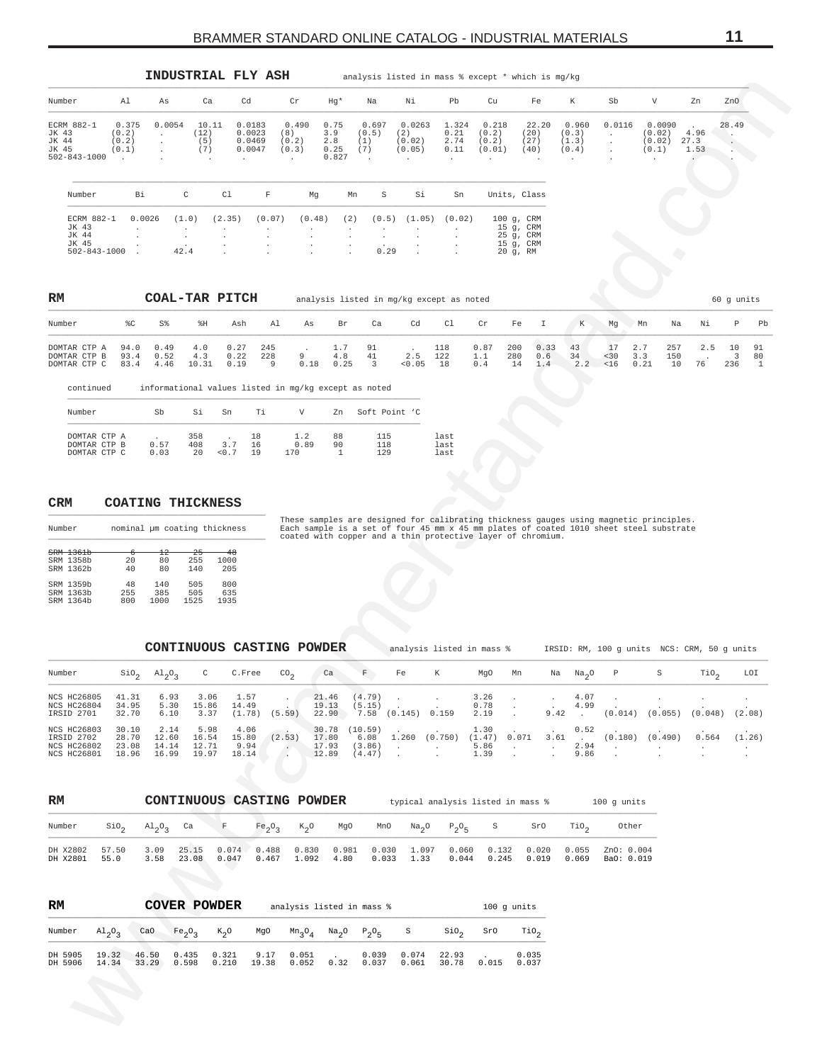<span id="page-10-0"></span>

|                                                                                                                                                                                                                                                                                       |                                  |                                                                        |                                           |                                   |                                      |                                                        | Hg*                                          | Na                                                   | Νi                                    | Pb                                                        | Cu                                                            | Fe                                                                              | К                                                                  | Sb                                 |                                                                                                                                                                                  |                               | ZnO                             |
|---------------------------------------------------------------------------------------------------------------------------------------------------------------------------------------------------------------------------------------------------------------------------------------|----------------------------------|------------------------------------------------------------------------|-------------------------------------------|-----------------------------------|--------------------------------------|--------------------------------------------------------|----------------------------------------------|------------------------------------------------------|---------------------------------------|-----------------------------------------------------------|---------------------------------------------------------------|---------------------------------------------------------------------------------|--------------------------------------------------------------------|------------------------------------|----------------------------------------------------------------------------------------------------------------------------------------------------------------------------------|-------------------------------|---------------------------------|
| Number                                                                                                                                                                                                                                                                                | Al                               | As                                                                     | Ca                                        | Cd                                |                                      | Cr                                                     |                                              |                                                      |                                       |                                                           |                                                               |                                                                                 |                                                                    |                                    | V                                                                                                                                                                                | Zn                            |                                 |
| ECRM 882-1<br>JK 43<br>JK 44<br>JK 45<br>$502 - 843 - 1000$                                                                                                                                                                                                                           | 0.375<br>(0.2)<br>(0.2)<br>(0.1) | 0.0054<br>$\ddot{\phantom{a}}$<br>$\cdot$                              | 10.11<br>(12)<br>(5)<br>(7)               |                                   | 0.0183<br>0.0023<br>0.0469<br>0.0047 | 0.490<br>(8)<br>(0.2)<br>(0.3)<br>$\ddot{\phantom{a}}$ | 0.75<br>3.9<br>2.8<br>0.25<br>0.827          | 0.697<br>(0.5)<br>(1)<br>(7)                         | 0.0263<br>(2)<br>(0.02)<br>(0.05)     | 1.324<br>0.21<br>2.74<br>0.11<br>$\overline{\phantom{a}}$ | 0.218<br>(0.2)<br>(0.2)<br>(0.01)<br>$\overline{\phantom{a}}$ | 22.20<br>(20)<br>(27)<br>(40)                                                   | 0.960<br>(0.3)<br>(1.3)<br>(0.4)<br>$\cdot$                        | 0.0116<br>$\cdot$<br>$\cdot$       | 0.0090<br>(0.02)<br>(0.02)<br>(0.1)                                                                                                                                              | 4.96<br>27.3<br>1.53          | 28.49                           |
| Number                                                                                                                                                                                                                                                                                | Вi                               |                                                                        | С                                         | C1                                | $\mathbf F$                          | Mg                                                     | Mn                                           | S                                                    | Si                                    | Sn                                                        |                                                               | Units, Class                                                                    |                                                                    |                                    |                                                                                                                                                                                  |                               |                                 |
| ECRM 882-1<br>JK 43<br>JK 44<br>JK 45<br>$502 - 843 - 1000$                                                                                                                                                                                                                           |                                  | 0.0026                                                                 | (1.0)<br>$\cdot$<br>$\cdot$<br>42.4       | (2.35)                            | (0.07)                               | (0.48)<br>$\cdot$                                      | (2)<br>$\cdot$<br>$\cdot$<br>$\cdot$         | (0.5)<br>$\cdot$<br>0.29                             | (1.05)                                | (0.02)                                                    |                                                               | $100 g$ , CRM<br>15 g, CRM<br>25 g, CRM<br>15 g, CRM<br>20 g, RM                |                                                                    |                                    |                                                                                                                                                                                  |                               |                                 |
| RM                                                                                                                                                                                                                                                                                    |                                  | COAL-TAR PITCH                                                         |                                           |                                   |                                      |                                                        |                                              | analysis listed in mg/kg except as noted             |                                       |                                                           |                                                               |                                                                                 |                                                                    |                                    |                                                                                                                                                                                  |                               | 60 g units                      |
| Number                                                                                                                                                                                                                                                                                | ៖c                               | S%                                                                     | %Η                                        | Ash                               | Al                                   | As                                                     | Br                                           | Ca                                                   | Cd                                    | C1                                                        | Cr                                                            | Fe<br>Ι                                                                         | K                                                                  | Mg                                 | Mn<br>Na                                                                                                                                                                         | Νi                            | Ρ<br>Pb                         |
| DOMTAR CTP A<br>DOMTAR CTP B<br>DOMTAR CTP C                                                                                                                                                                                                                                          | 94.0<br>93.4<br>83.4             | 0.49<br>0.52<br>4.46                                                   | 4.0<br>4.3<br>10.31                       | 0.27<br>0.22<br>0.19              | 245<br>228<br>9                      | 9<br>0.18                                              | 1.7<br>4.8<br>0.25                           | 91<br>41<br>3                                        | 2.5<br>0.05                           | 118<br>122<br>18                                          | 0.87<br>1.1<br>0.4                                            | 0.33<br>200<br>280<br>0.6<br>14<br>1.4                                          | 43<br>34<br>2.2                                                    | 17<br>$30$<br>< 16                 | 2.7<br>257<br>150<br>3.3<br>0.21<br>10                                                                                                                                           | 2.5<br>76                     | 10<br>91<br>3<br>80<br>236<br>1 |
| continued                                                                                                                                                                                                                                                                             |                                  |                                                                        |                                           |                                   |                                      |                                                        |                                              | informational values listed in mg/kg except as noted |                                       |                                                           |                                                               |                                                                                 |                                                                    |                                    |                                                                                                                                                                                  |                               |                                 |
| Number                                                                                                                                                                                                                                                                                |                                  | Sb                                                                     | Si                                        | Sn                                | Тi                                   | V                                                      | Zn                                           | Soft Point 'C                                        |                                       |                                                           |                                                               |                                                                                 |                                                                    |                                    |                                                                                                                                                                                  |                               |                                 |
| DOMTAR CTP A<br>DOMTAR CTP B<br>DOMTAR CTP C                                                                                                                                                                                                                                          |                                  | 0.57<br>0.03                                                           | 358<br>408<br>20                          | 3.7<br>< 0.7                      | 18<br>16<br>19                       | 1.2<br>0.89<br>170                                     | 88<br>90<br>1                                | 115<br>118<br>129                                    |                                       | last<br>last<br>last                                      |                                                               |                                                                                 |                                                                    |                                    |                                                                                                                                                                                  |                               |                                 |
|                                                                                                                                                                                                                                                                                       | ᠊᠊ᡠ                              | <b>COATING THICKNESS</b><br>nominal µm coating thickness               |                                           | -48                               |                                      |                                                        |                                              |                                                      |                                       |                                                           |                                                               | coated with copper and a thin protective layer of chromium.                     |                                                                    |                                    | These samples are designed for calibrating thickness gauges using magnetic principles.<br>Each sample is a set of four 45 mm x 45 mm plates of coated 1010 sheet steel substrate |                               |                                 |
|                                                                                                                                                                                                                                                                                       | 20<br>40<br>48<br>255<br>800     | $^{12}$<br>80<br>80<br>140<br>385<br>1000<br>CONTINUOUS CASTING POWDER | $-25$<br>255<br>140<br>505<br>505<br>1525 | 1000<br>205<br>800<br>635<br>1935 |                                      |                                                        |                                              |                                                      |                                       |                                                           | analysis listed in mass %                                     |                                                                                 |                                                                    |                                    | IRSID: RM, 100 g units NCS: CRM, 50 g units                                                                                                                                      |                               |                                 |
|                                                                                                                                                                                                                                                                                       |                                  | $\sin_2$ $\text{Al}_2\text{O}_3$                                       |                                           | C C.Free                          |                                      | $\rm{co}_{2}$                                          | _ca                                          | $- F$                                                | Fe                                    | K                                                         | MgO Mn                                                        |                                                                                 | Na Na <sub>o</sub> O                                               | $\mathbb P$                        | - 8 -                                                                                                                                                                            | $T10_{2}$                     | TOT                             |
|                                                                                                                                                                                                                                                                                       | 41.31<br>34.95<br>32.70          | 6.93<br>5.30<br>6.10                                                   | 3.06<br>15.86<br>3.37                     | 1.57<br>14.49                     | $(1.78)$ $(5.59)$                    | <b>Contract</b>                                        | 21.46<br>19.13                               | (4.79)<br>$(5.15)$ .<br>22.90 7.58 (0.145) 0.159     | and the contract of                   |                                                           | 3.26<br>0.78<br>2.19<br>$\sim 100$                            | <b>Contract</b><br>$\sim 100$                                                   | 4.07<br>$\sim 100$ km s $^{-1}$<br>4.99<br>9.42<br><b>Contract</b> | $\sim$ $\sim$                      | $(0.014)$ $(0.055)$ $(0.048)$ $(2.08)$                                                                                                                                           |                               |                                 |
|                                                                                                                                                                                                                                                                                       | 30.10<br>28.70<br>23.08<br>18.96 | 2.14<br>12.60<br>14.14<br>16.99                                        | 5.98<br>16.54<br>12.71<br>19.97           | 4.06<br>15.80<br>9.94<br>18.14    | (2.53)                               | $\overline{\phantom{a}}$                               | 30.78 (10.59)<br>17.80<br>17.93<br>12.89     | (3.86)<br>(4.47)                                     | <b>Contractor</b><br>$\sim$ 100 $\mu$ | <b>Contractor</b><br>$\ddot{\phantom{a}}$                 | 1.30<br>$6.08$ 1.260 (0.750) (1.47) 0.071<br>5.86<br>1.39     | 3.61<br>$\sim 100$ km s $^{-1}$<br><b>Contractor</b><br>$\sim$ $\sim$<br>$\sim$ | 0.52<br><b>Contract</b><br>2.94<br>9.86                            | $\sim 100$<br>$\ddot{\phantom{a}}$ | $(0.180)$ $(0.490)$                                                                                                                                                              | 0.564<br>$\ddot{\phantom{0}}$ | (1.26)                          |
|                                                                                                                                                                                                                                                                                       |                                  | CONTINUOUS CASTING POWDER                                              |                                           |                                   |                                      |                                                        |                                              |                                                      |                                       |                                                           |                                                               | typical analysis listed in mass % 100 g units                                   |                                                                    |                                    |                                                                                                                                                                                  |                               |                                 |
|                                                                                                                                                                                                                                                                                       | SiO <sub>2</sub>                 | $\mathrm{Al}_2\mathrm{O}_3$ Ca                                         |                                           | F                                 | Fe <sub>2</sub> O <sub>3</sub>       | $K_2O$                                                 | MgO                                          | MnO                                                  | Na <sub>2</sub> O                     | $P_2O_5$                                                  | $\mathbb S$                                                   | SrO                                                                             | $\text{rio}_2$                                                     | Other                              |                                                                                                                                                                                  |                               |                                 |
|                                                                                                                                                                                                                                                                                       | 57.50<br>55.0                    | 3.09<br>3.58                                                           | 25.15<br>23.08                            |                                   |                                      | $0.047$ $0.467$ 1.092 4.80                             |                                              | $0.074$ 0.488 0.830 0.981 0.030 1.097                | $0.033$ 1.33                          | 0.060<br>0.044                                            | 0.245                                                         | $0.132$ $0.020$<br>0.019                                                        | 0.069                                                              | $0.055$ ZnO: $0.004$<br>BaO: 0.019 |                                                                                                                                                                                  |                               |                                 |
|                                                                                                                                                                                                                                                                                       |                                  | <b>COVER POWDER</b>                                                    |                                           |                                   |                                      |                                                        |                                              | analysis listed in mass %                            |                                       |                                                           | 100 g units                                                   |                                                                                 |                                                                    |                                    |                                                                                                                                                                                  |                               |                                 |
| CRM<br>Number<br>SRM 1361b<br>SRM 1358b<br>SRM 1362b<br>SRM 1359b<br>SRM 1363b<br>SRM 1364b<br>Number<br>NCS HC26805<br>NCS HC26804<br>IRSID 2701<br>NCS HC26803<br>IRSID 2702<br>NCS HC26802<br>NCS HC26801<br>RM<br>Number<br>DH X2802<br>DH X2801<br>RM<br>Number<br>$A1_{2}O_{3}$ |                                  | CaO                                                                    | Fe <sub>2</sub> O <sub>3</sub>            | $K_2O$                            | MgO                                  | $Mn_3O_4$                                              | $\text{Na}_2\text{O}$ $\text{P}_2\text{O}_5$ |                                                      | S                                     | SiO <sub>2</sub>                                          | SrO                                                           | $\text{rio}_2$                                                                  |                                                                    |                                    |                                                                                                                                                                                  |                               |                                 |

| <b>RM</b>                    |               |              | COAL-TAR PITCH |              |            |      |            |            | analysis listed in mg/kg except as noted |            |      |            |             |          |      |            |            |     | $60$ q units |           |
|------------------------------|---------------|--------------|----------------|--------------|------------|------|------------|------------|------------------------------------------|------------|------|------------|-------------|----------|------|------------|------------|-----|--------------|-----------|
| Number                       | $\mathcal{E}$ | S%           | %Η             | Ash          | Al         | As   | Br         | Ca         | Cd                                       | -C1        | Cr   | Fe         |             | K        | Ma   | Mn         | Na         | Νi  | P            | Pb        |
| DOMTAR CTP A<br>DOMTAR CTP B | 94.0<br>93.4  | 0.49<br>0.52 | 4.0<br>4.3     | 0.27<br>0.22 | 245<br>228 | -9   | 1.7<br>4.8 | - 91<br>41 | 2.5                                      | 118<br>122 | 0.87 | 200<br>280 | 0.33<br>0.6 | 43<br>34 | < 30 | 2.7<br>3.3 | 257<br>150 | 2.5 | 10           | -91<br>80 |
| DOMTAR CTP C                 | 83.4          | 4.46         | 10.31          | 0.19         |            | 0.18 | 0.25       |            | < 0.05                                   | 18         | 0.4  | 14         | 1.4         | 2.2      | < 16 |            |            |     | 236          |           |

| Number                       | Sb           | Si                 | Sn    | Υi       |             | Zn | Soft Point 'C |              |
|------------------------------|--------------|--------------------|-------|----------|-------------|----|---------------|--------------|
| DOMTAR CTP A                 |              | 358                |       |          |             | 88 | 115           | last         |
| DOMTAR CTP B<br>DOMTAR CTP C | 0.57<br>0.03 | 408<br>$20 \Omega$ | < 0.7 | 16<br>19 | 0.89<br>170 | 90 | 118<br>129    | last<br>last |

#### **CRM COATING THICKNESS** \_\_\_\_\_\_\_\_\_\_\_\_\_\_\_\_\_\_\_\_\_\_\_\_\_\_\_\_\_\_\_\_\_\_\_\_\_\_\_\_\_\_\_\_\_

| Number                                         |                  |                    |                      | nominal µm coating thickness |
|------------------------------------------------|------------------|--------------------|----------------------|------------------------------|
| <del>SRM 1361b</del><br>SRM 1358b<br>SRM 1362b | n<br>20<br>40    | 80<br>80           | $-2.5$<br>255<br>140 | 48<br>1000<br>205            |
| 1359b<br>SRM<br>1363b<br>SRM<br>1364b<br>SRM   | 48<br>255<br>800 | 140<br>385<br>1000 | 505<br>505<br>1525   | 800<br>635<br>1935           |

|                                                                       |                                  |                                 | CONTINUOUS CASTING POWDER                                                |                                    |                  |                         |                 | analysis listed in mass %                    |       |        |                          |               |                  |                                                            | IRSID: RM, 100 q units NCS: CRM, 50 q units                                           |        |
|-----------------------------------------------------------------------|----------------------------------|---------------------------------|--------------------------------------------------------------------------|------------------------------------|------------------|-------------------------|-----------------|----------------------------------------------|-------|--------|--------------------------|---------------|------------------|------------------------------------------------------------|---------------------------------------------------------------------------------------|--------|
| Number                                                                |                                  |                                 | $\operatorname{SiO}_2$ $\operatorname{Al}_2\operatorname{O}_2$ C C. Free |                                    | CO <sub>n</sub>  |                         | Ca F Fe K       |                                              | MgO   | Mn     |                          | $Na$ $Na2O$ P |                  | S                                                          | TiO.                                                                                  | LOI    |
| NCS HC26805<br>NCS HC26804<br>IRSID 2701                              | 41.31<br>34.95<br>32.70          | 6.93<br>5.30<br>6.10            | 3.06<br>15.86<br>3.37                                                    | 1.57<br>14.49<br>$(1.78)$ $(5.59)$ |                  | 19.13<br>22.90          |                 | $(5.15)$<br>7.58 (0.145) 0.159 2.19 .        |       |        |                          |               |                  | $0.78$ . $4.99$                                            | $21.46$ $(4.79)$ . $3.26$ . $4.07$<br>$9.42$ . $(0.014)$ $(0.055)$ $(0.048)$ $(2.08)$ |        |
| <b>NCS HC26803</b><br>IRSID 2702<br>NCS HC26802<br><b>NCS HC26801</b> | 30.10<br>28.70<br>23.08<br>18.96 | 2.14<br>12.60<br>14.14<br>16.99 | 5.98<br>16.54<br>12.71<br>19.97                                          | 4.06<br>15.80<br>9.94<br>18.14     | (2.53)<br>$\sim$ | 17.80<br>17.93<br>12.89 | $30.78$ (10.59) | 6.08 1.260 (0.750)<br>$(3.86)$<br>$(4.47)$ . | 1.39. | 5.86 . | <b>Contract Contract</b> | 9.86          | 2.94 .<br>$\sim$ | $1.30$ . $0.52$<br>$(1.47)$ 0.071 3.61 . $(0.180)$ (0.490) | and the state of the state of<br>0.564                                                | (1.26) |

| RM                   |               |                                           |                |                | CONTINUOUS CASTING POWDER |                |               |                |               | typical analysis listed in mass % |                |                |                | $100$ q units            |
|----------------------|---------------|-------------------------------------------|----------------|----------------|---------------------------|----------------|---------------|----------------|---------------|-----------------------------------|----------------|----------------|----------------|--------------------------|
| Number               |               | $\text{SiO}_2$ $\text{Al}_2\text{O}_2$ Ca |                | $\mathbb{F}$   | $Fe_2O_2$ $K_2O$          |                | MgO           |                |               | MnO Na <sub>2</sub> O $P_2O_5$ S  |                | SrO            | TiO,           | Other                    |
| DH X2802<br>DH X2801 | 57.50<br>55.0 | 3.09<br>3.58                              | 25.15<br>23.08 | 0.074<br>0.047 | 0.488<br>0.467            | 0.830<br>1.092 | 0.981<br>4.80 | 0.030<br>0.033 | 1.097<br>1.33 | 0.060<br>0.044                    | 0.132<br>0.245 | 0.020<br>0.019 | 0.055<br>0.069 | ZnO: 0.004<br>BaO: 0.019 |

| RM                 |                                 |                | <b>COVER POWDER</b> |                      |               | analysis listed in mass %                                                          |      |                |                |                |                               | $100$ q units  |
|--------------------|---------------------------------|----------------|---------------------|----------------------|---------------|------------------------------------------------------------------------------------|------|----------------|----------------|----------------|-------------------------------|----------------|
| Number             | $\mathrm{Al}_{2}\mathrm{O}_{2}$ | CaO            |                     | $Fe_2O_2$ $K_2O$ MgO |               | $\mathrm{Mn}_3\mathrm{O}_4$ $\mathrm{Na}_2\mathrm{O}$ $\mathrm{P}_2\mathrm{O}_5$ S |      |                |                |                | $\sin \theta_2$ $\sin \theta$ | TiO,           |
| DH 5905<br>DH 5906 | 19.32<br>14.34                  | 46.50<br>33.29 | 0.435<br>0.598      | 0.321<br>0.210       | 9.17<br>19.38 | 0.051<br>0.052                                                                     | 0.32 | 0.039<br>0.037 | 0.074<br>0.061 | 22.93<br>30.78 | 0.015                         | 0.035<br>0.037 |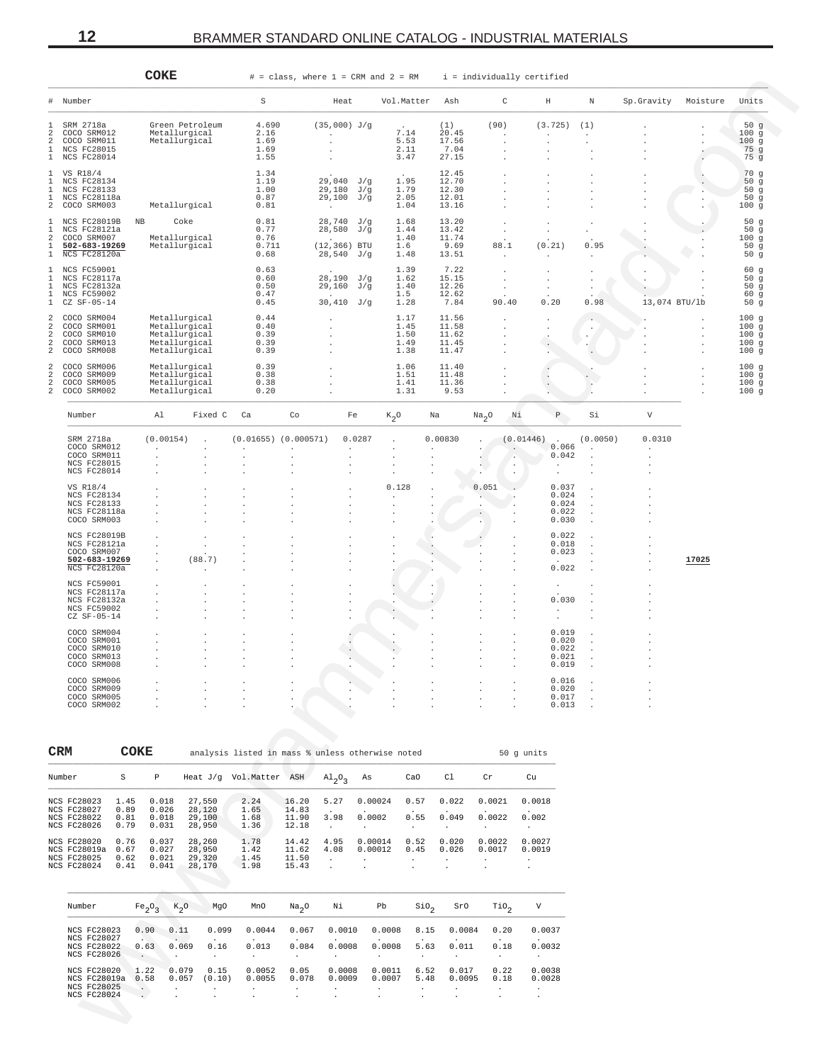<span id="page-11-0"></span>

|                                             |                                                                                  |                              | COKE                                                                               |                                                                                   |                                                  |                                     |                                                             | $#$ = class, where $1$ = CRM and $2$ = RM           |                                                        | i = individually certified                |                                                     |                                                           |                                           |                                              |                                    |         |                                       |
|---------------------------------------------|----------------------------------------------------------------------------------|------------------------------|------------------------------------------------------------------------------------|-----------------------------------------------------------------------------------|--------------------------------------------------|-------------------------------------|-------------------------------------------------------------|-----------------------------------------------------|--------------------------------------------------------|-------------------------------------------|-----------------------------------------------------|-----------------------------------------------------------|-------------------------------------------|----------------------------------------------|------------------------------------|---------|---------------------------------------|
| #                                           | Number                                                                           |                              |                                                                                    |                                                                                   | S                                                |                                     | Heat                                                        |                                                     | Vol.Matter                                             | Ash                                       | C                                                   |                                                           | H                                         | N                                            | Sp. Gravity Moisture               |         | Units                                 |
| 1<br>2<br>2<br>1                            | SRM 2718a<br>COCO SRM012<br>COCO SRM011<br><b>NCS FC28015</b><br>1 NCS FC28014   |                              |                                                                                    | Green Petroleum<br>Metallurgical<br>Metallurgical                                 | 4.690<br>2.16<br>1.69<br>1.69<br>1.55            |                                     | $(35,000)$ J/g<br>$\sim$ $\sim$                             |                                                     | 7.14<br>5.53<br>2.11<br>3.47                           | (1)<br>20.45<br>17.56<br>7.04<br>27.15    | (90)<br>$\blacksquare$<br>$\cdot$                   | $\ddot{\phantom{a}}$                                      | (3.725)                                   | (1)<br>$\lambda$                             |                                    |         | 50g<br>100g<br>100g<br>75 g<br>$75$ g |
| 1<br>1<br>1                                 | 1 VS R18/4<br>NCS FC28134<br>NCS FC28133<br>NCS FC28118a<br>2 COCO SRM003        |                              |                                                                                    | Metallurgical                                                                     | 1.34<br>1.19<br>1.00<br>0.87<br>0.81             |                                     | 29,040 J/g<br>29,180 J/g<br>29,100 J/g<br>$\sim$ 100 $\mu$  |                                                     | 1.95<br>1.79<br>2.05<br>1.04                           | 12.45<br>12.70<br>12.30<br>12.01<br>13.16 |                                                     |                                                           |                                           |                                              |                                    |         | 70g<br>50g<br>50g<br>50g<br>100g      |
| 1<br>1<br>2<br>$\mathbf{1}$                 | NCS FC28019B<br>NCS FC28121a<br>COCO SRM007<br>502-683-19269<br>1 NCS FC28120a   |                              | ΝB                                                                                 | Coke<br>Metallurgical<br>Metallurgical                                            | 0.81<br>0.77<br>0.76<br>0.711<br>0.68            |                                     | 28,740 J/g<br>28,580 J/g<br>$(12, 366)$ BTU<br>$28,540$ J/g |                                                     | 1.68<br>1.44<br>1.40<br>1.6<br>1.48                    | 13.20<br>13.42<br>11.74<br>9.69<br>13.51  | $\cdot$<br>88.1<br>$\sim$                           | $\ddot{\phantom{a}}$                                      | (0.21)                                    | 0.95<br>$\ddot{\phantom{a}}$                 |                                    |         | 50g<br>50g<br>100g<br>50g<br>50g      |
| $\mathbf{1}$<br>1<br>1<br>1<br>$\mathbf{1}$ | NCS FC59001<br>NCS FC28117a<br>NCS FC28132a<br><b>NCS FC59002</b><br>CZ SF-05-14 |                              |                                                                                    |                                                                                   | 0.63<br>0.60<br>0.50<br>0.47<br>0.45             |                                     | 28,190 J/g<br>$29,160$ J/g<br>$30,410$ J/g                  |                                                     | 1.39<br>1.62<br>1.40<br>1.5<br>1.28                    | 7.22<br>15.15<br>12.26<br>12.62<br>7.84   | $\cdot$<br>$\cdot$<br>90.40                         |                                                           | 0.20                                      | 0.98                                         | 13,074 BTU/1b                      |         | 60g<br>50g<br>50g<br>60g<br>50g       |
| 2<br>2<br>2<br>2<br>2                       | COCO SRM004<br>COCO SRM001<br>COCO SRM010<br>COCO SRM013<br>COCO SRM008          |                              |                                                                                    | Metallurgical<br>Metallurgical<br>Metallurgical<br>Metallurgical<br>Metallurgical | 0.44<br>0.40<br>0.39<br>0.39<br>0.39             |                                     |                                                             |                                                     | 1.17<br>1.45<br>1.50<br>1.49<br>1.38                   | 11.56<br>11.58<br>11.62<br>11.45<br>11.47 |                                                     |                                                           |                                           | $\cdot$                                      |                                    |         | 100g<br>100g<br>100g<br>100g<br>100g  |
| 2<br>2<br>2<br>2                            | COCO SRM006<br>COCO SRM009<br>COCO SRM005<br>COCO SRM002                         |                              |                                                                                    | Metallurgical<br>Metallurgical<br>Metallurgical<br>Metallurgical                  | 0.39<br>0.38<br>0.38<br>0.20                     |                                     |                                                             |                                                     | 1.06<br>1.51<br>1.41<br>1.31                           | 11.40<br>11.48<br>11.36<br>9.53           |                                                     |                                                           |                                           |                                              |                                    | $\cdot$ | 100g<br>100g<br>100g<br>100g          |
|                                             | Number                                                                           |                              | Al                                                                                 | Fixed C                                                                           | Ca                                               | Co                                  | Fe                                                          | $K_2$ <sup>O</sup>                                  |                                                        | Na                                        | Na <sub>2</sub> O                                   | Νi                                                        | Ρ                                         | Si                                           | V                                  |         |                                       |
|                                             | SRM 2718a<br>COCO SRM012<br>COCO SRM011<br><b>NCS FC28015</b><br>NCS FC28014     |                              | (0.00154)                                                                          |                                                                                   | $(0.01655)$ $(0.000571)$<br>$\ddot{\phantom{a}}$ | $\overline{a}$                      | $\sim$                                                      | 0.0287<br>$\mathbf{r}$<br>$\lambda$                 | $\ddot{\phantom{a}}$                                   | 0.00830                                   | $\cdot$                                             | (0.01446)<br>$\ddot{\phantom{a}}$<br>$\ddot{\phantom{a}}$ | $\sim$<br>0.066<br>0.042<br>$\cdot$       | (0.0050)<br>$\ddot{\phantom{a}}$             | 0.0310<br>$\overline{\phantom{a}}$ |         |                                       |
|                                             | VS R18/4<br>NCS FC28134<br>NCS FC28133<br>NCS FC28118a<br>COCO SRM003            |                              |                                                                                    |                                                                                   |                                                  |                                     |                                                             | $\cdot$<br>0.128<br>$\sim$                          |                                                        |                                           | 0.051<br>$\sim$<br>$\overline{\phantom{a}}$         |                                                           | 0.037<br>0.024<br>0.024<br>0.022<br>0.030 |                                              |                                    |         |                                       |
|                                             | NCS FC28019B<br>NCS FC28121a<br>COCO SRM007<br>502-683-19269<br>NCS FC28120a     |                              |                                                                                    | (88.7)<br>$\ddot{\phantom{a}}$                                                    |                                                  |                                     |                                                             |                                                     |                                                        |                                           |                                                     |                                                           | 0.022<br>0.018<br>0.023<br>0.022          |                                              |                                    | 17025   |                                       |
|                                             | NCS FC59001<br>NCS FC28117a<br>NCS FC28132a<br>NCS FC59002<br>$CZ$ SF-05-14      |                              |                                                                                    |                                                                                   |                                                  |                                     |                                                             |                                                     |                                                        |                                           |                                                     |                                                           | 0.030<br>$\cdot$                          |                                              |                                    |         |                                       |
|                                             | COCO SRM004<br>COCO SRM001<br>COCO SRM010<br>COCO SRM013<br>COCO SRM008          |                              |                                                                                    |                                                                                   | $\cdot$                                          |                                     |                                                             |                                                     |                                                        |                                           |                                                     |                                                           | 0.019<br>0.020<br>0.022<br>0.021<br>0.019 |                                              |                                    |         |                                       |
|                                             | COCO SRM006<br>COCO SRM009<br>COCO SRM005<br>COCO SRM002                         |                              |                                                                                    |                                                                                   |                                                  |                                     |                                                             |                                                     |                                                        |                                           |                                                     |                                                           | 0.016<br>0.020<br>0.017<br>0.013          | $\cdot$<br>$\ddot{\phantom{a}}$<br>$\lambda$ |                                    |         |                                       |
|                                             | CRM                                                                              |                              | COKE                                                                               |                                                                                   | analysis listed in mass % unless otherwise noted |                                     |                                                             |                                                     |                                                        |                                           |                                                     | 50 g units                                                |                                           |                                              |                                    |         |                                       |
|                                             | Number                                                                           | S                            | $\, {\mathbb P}$                                                                   |                                                                                   | Heat J/g Vol.Matter ASH                          |                                     | $A1_{2}O_{3}$                                               | As                                                  | CaO                                                    | Cl                                        | $\operatorname{Cr}$                                 | Cu                                                        |                                           |                                              |                                    |         |                                       |
|                                             | <b>NCS FC28023</b><br><b>NCS FC28027</b><br>NCS FC28022<br><b>NCS FC28026</b>    | 1.45<br>0.89<br>0.81<br>0.79 | 0.018<br>0.026<br>0.018<br>0.031                                                   | 27,550<br>28,120<br>29,100<br>28,950                                              | 2.24<br>1.65<br>1.68<br>1.36                     | 16.20<br>14.83<br>11.90<br>12.18    | 5.27<br>3.98<br>$\sim$                                      | 0.00024<br>0.0002<br>$\cdot$                        | 0.57<br>0.55<br>$\sim$                                 | 0.022<br>0.049<br>$\sim$                  | 0.0021<br>0.0022<br>$\sim$                          | 0.0018<br>0.002<br>$\sim$                                 |                                           |                                              |                                    |         |                                       |
|                                             | NCS FC28020<br>NCS FC28019a<br>NCS FC28025<br>NCS FC28024                        | 0.76<br>0.67<br>0.62<br>0.41 | 0.037<br>0.027<br>0.021<br>0.041                                                   | 28,260<br>28,950<br>29,320<br>28,170                                              | 1.78<br>1.42<br>1.45<br>1.98                     | 14.42<br>11.62<br>11.50<br>15.43    | 4.95<br>4.08<br>$\cdot$<br>$\cdot$                          | 0.00014<br>0.00012<br>$\cdot$                       | 0.52<br>0.45<br>$\ddot{\phantom{a}}$<br>$\blacksquare$ | 0.020<br>0.026<br>$\ddot{\phantom{0}}$    | 0.0022<br>0.0017<br>$\ddot{\phantom{a}}$<br>$\cdot$ | 0.0027<br>0.0019<br>$\ddot{\phantom{a}}$<br>$\cdot$       |                                           |                                              |                                    |         |                                       |
|                                             | Number                                                                           |                              | Fe <sub>2</sub> O <sub>3</sub>                                                     | $K_2O$<br>MgO                                                                     | MnO                                              | Na <sub>2</sub> O                   | Νi                                                          | Pb                                                  | SiO <sub>2</sub>                                       | SrO                                       | $\text{rio}_2$                                      | V                                                         |                                           |                                              |                                    |         |                                       |
|                                             | NCS FC28023<br>NCS FC28027<br>NCS FC28022<br><b>NCS FC28026</b>                  |                              | 0.90<br>0.63<br>$\sim$<br>$\sim$                                                   | 0.11<br>0.099<br>0.069<br>0.16<br>$\sim$                                          | 0.0044<br>0.013<br>$\sim$                        | 0.067<br>0.084<br>$\sim$            | 0.0010<br>0.0008<br>$\ddot{\phantom{a}}$                    | 0.0008<br>0.0008<br>$\sim$                          | 8.15<br>5.63<br>$\cdot$                                | 0.0084<br>0.011<br>$\ddot{\phantom{a}}$   | 0.20<br>0.18<br>$\sim$ $-$                          | 0.0037<br>0.0032<br>$\sim$                                |                                           |                                              |                                    |         |                                       |
|                                             | NCS FC28020<br>NCS FC28019a<br>NCS FC28025<br>NCS FC28024                        |                              | 1.22<br>0.58<br>$\cdot$<br>$\cdot$<br>$\ddot{\phantom{0}}$<br>$\ddot{\phantom{a}}$ | 0.079<br>0.15<br>0.057<br>(0.10)<br>$\ddot{\phantom{a}}$<br>$\cdot$               | 0.0052<br>0.0055<br>$\cdot$<br>$\cdot$           | 0.05<br>0.078<br>$\cdot$<br>$\cdot$ | 0.0008<br>0.0009<br>$\cdot$<br>$\cdot$                      | 0.0011<br>0.0007<br>$\ddot{\phantom{a}}$<br>$\cdot$ | 6.52<br>5.48<br>$\cdot$<br>$\cdot$                     | 0.017<br>0.0095<br>$\cdot$<br>$\cdot$     | 0.22<br>0.18<br>$\sim$<br>$\cdot$                   | 0.0038<br>0.0028<br>$\sim$<br>$\cdot$                     |                                           |                                              |                                    |         |                                       |

| <b>CRM</b>                                                                    | COKE                         |                                  |                                      | analysis listed in mass % unless otherwise noted |                                  |              |                               |                                      |                           |                             | 50 q units       |
|-------------------------------------------------------------------------------|------------------------------|----------------------------------|--------------------------------------|--------------------------------------------------|----------------------------------|--------------|-------------------------------|--------------------------------------|---------------------------|-----------------------------|------------------|
| Number                                                                        | S                            | P                                | Heat $J/q$                           | Vol.Matter                                       | ASH                              | $Al_2O_2$    | As                            | CaO                                  | C1                        | Cr                          | Cu               |
| <b>NCS FC28023</b><br><b>NCS FC28027</b><br>NCS FC28022<br><b>NCS FC28026</b> | 1.45<br>0.89<br>0.81<br>0.79 | 0.018<br>0.026<br>0.018<br>0.031 | 27.550<br>28,120<br>29,100<br>28,950 | 2.24<br>1.65<br>1.68<br>1.36                     | 16.20<br>14.83<br>11.90<br>12.18 | 5.27<br>3.98 | 0.00024<br>0.0002<br>$\cdot$  | 0.57<br>$\ddot{\phantom{a}}$<br>0.55 | 0.022<br>0.049<br>$\cdot$ | 0.0021<br>0.0022<br>$\cdot$ | 0.0018<br>0.002  |
| NCS FC28020<br>NCS FC28019a<br><b>NCS FC28025</b><br><b>NCS FC28024</b>       | 0.76<br>0.67<br>0.62<br>0.41 | 0.037<br>0.027<br>0.021<br>0.041 | 28,260<br>28,950<br>29,320<br>28,170 | 1.78<br>1.42<br>1.45<br>1.98                     | 14.42<br>11.62<br>11.50<br>15.43 | 4.95<br>4.08 | 0.00014<br>0.00012<br>$\cdot$ | 0.52<br>0.45<br>$\ddot{\phantom{0}}$ | 0.020<br>0.026<br>$\cdot$ | 0.0022<br>0.0017<br>$\cdot$ | 0.0027<br>0.0019 |

| Number              | Fe <sub>2</sub> O <sub>2</sub> | $K_0$ O              | MqO                  | MnO     | Na <sub>2</sub> O    | Νi      | Pb                   | S10 <sub>2</sub> | SrO                  | TiO,                 | V                    |
|---------------------|--------------------------------|----------------------|----------------------|---------|----------------------|---------|----------------------|------------------|----------------------|----------------------|----------------------|
| <b>NCS FC28023</b>  | 0.90                           | 0.11                 | 0.099                | 0.0044  | 0.067                | 0.0010  | 0.0008               | 8.15             | 0.0084               | 0.20                 | 0.0037               |
| NCS FC28027         | $\cdot$                        | $\ddot{\phantom{a}}$ | $\ddot{\phantom{a}}$ | $\cdot$ | $\ddot{\phantom{1}}$ | $\cdot$ | $\cdot$              | $\cdot$          | $\cdot$              | $\sim$               | $\sim$               |
| <b>NCS FC28022</b>  | 0.63                           | 0.069                | 0.16                 | 0.013   | 0.084                | 0.0008  | 0.0008               | 5.63             | 0.011                | 0.18                 | 0.0032               |
| <b>NCS FC28026</b>  | $\sim$ $-$                     | $\cdot$              | $\cdot$              | $\cdot$ | $\cdot$              | $\cdot$ | $\mathbf{r}$         | $\cdot$          | $\ddot{\phantom{a}}$ | $\cdot$              | $\ddot{\phantom{0}}$ |
| NCS FC28020         | 1.22                           | 0.079                | 0.15                 | 0.0052  | 0.05                 | 0.0008  | 0.0011               | 6.52             | 0.017                | 0.22                 | 0.0038               |
| <b>NCS FC28019a</b> | 0.58                           | 0.057                | (0.10)               | 0.0055  | 0.078                | 0.0009  | 0.0007               | 5.48             | 0.0095               | 0.18                 | 0.0028               |
| <b>NCS FC28025</b>  | $\sim$                         | $\ddot{\phantom{0}}$ | $\ddot{\phantom{1}}$ | $\cdot$ |                      | $\cdot$ | $\ddot{\phantom{1}}$ | $\cdot$          |                      | $\ddot{\phantom{1}}$ | $\ddot{\phantom{1}}$ |
| <b>NCS FC28024</b>  | $\ddot{\phantom{0}}$           | $\cdot$              |                      | $\cdot$ |                      | $\cdot$ | $\ddot{\phantom{1}}$ | $\cdot$          |                      |                      |                      |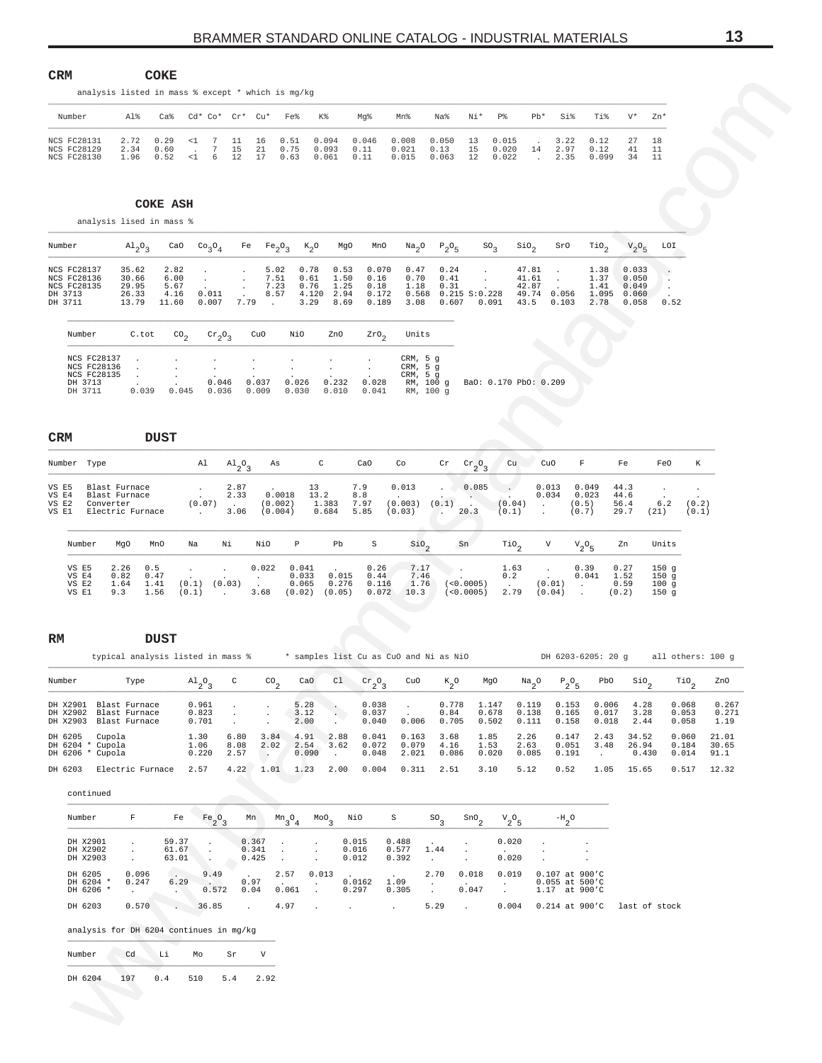<span id="page-12-0"></span>

| Number                                                                                                                                                             |                                                   |                                       |                                                       |                                                 |                                            |                                             |                                                                               |                                                          |                              |                                                            |                                                 |                                |                                 |                                            |                                       |                                           |                                       |                                           |                        |
|--------------------------------------------------------------------------------------------------------------------------------------------------------------------|---------------------------------------------------|---------------------------------------|-------------------------------------------------------|-------------------------------------------------|--------------------------------------------|---------------------------------------------|-------------------------------------------------------------------------------|----------------------------------------------------------|------------------------------|------------------------------------------------------------|-------------------------------------------------|--------------------------------|---------------------------------|--------------------------------------------|---------------------------------------|-------------------------------------------|---------------------------------------|-------------------------------------------|------------------------|
|                                                                                                                                                                    | analysis listed in mass % except * which is mg/kg |                                       |                                                       |                                                 |                                            |                                             |                                                                               |                                                          |                              |                                                            |                                                 |                                |                                 |                                            |                                       |                                           |                                       |                                           |                        |
|                                                                                                                                                                    | Al%                                               | $Ca\,$                                | Cd* Co* Cr* Cu*                                       |                                                 |                                            | Fe%                                         | Κ%                                                                            | Mg%                                                      | Mn%                          | Na%                                                        | Ni*                                             | P%                             | $Pb*$                           | Si%                                        | Ti%                                   | $V^*$                                     | Zn*                                   |                                           |                        |
| <b>NCS FC28131</b><br><b>NCS FC28129</b><br>NCS FC28130                                                                                                            | 2.72<br>2.34<br>1.96                              | 0.29<br>0.60<br>0.52                  | 7<br>$\leq 1$<br>$7\phantom{.0}$<br>$\sim$<br><1<br>6 | 11<br>15<br>12                                  | 16<br>21<br>17                             | 0.51<br>0.75<br>0.63                        | 0.094<br>0.093<br>0.061                                                       | 0.046<br>0.11<br>0.11                                    | 0.008<br>0.021<br>0.015      | 0.050<br>0.13<br>0.063                                     | 13<br>15<br>12                                  | 0.015<br>0.020<br>0.022        | 14<br>$\ddot{\phantom{a}}$      | 3.22<br>2.97<br>2.35                       | 0.12<br>0.12<br>0.099                 | 27<br>41<br>34                            | 18<br>11<br>11                        |                                           |                        |
|                                                                                                                                                                    |                                                   |                                       |                                                       |                                                 |                                            |                                             |                                                                               |                                                          |                              |                                                            |                                                 |                                |                                 |                                            |                                       |                                           |                                       |                                           |                        |
|                                                                                                                                                                    |                                                   | <b>COKE ASH</b>                       |                                                       |                                                 |                                            |                                             |                                                                               |                                                          |                              |                                                            |                                                 |                                |                                 |                                            |                                       |                                           |                                       |                                           |                        |
|                                                                                                                                                                    | analysis lised in mass %                          |                                       |                                                       |                                                 |                                            |                                             |                                                                               |                                                          |                              |                                                            |                                                 |                                |                                 |                                            |                                       |                                           |                                       |                                           |                        |
| Number                                                                                                                                                             | $A1_{2}O_{3}$                                     | CaO                                   | Co <sub>3</sub> O <sub>4</sub>                        |                                                 | Fe                                         | Fe <sub>2</sub> O <sub>3</sub>              | $K_2$ O                                                                       | MgO<br>MnO                                               | Na <sub>2</sub> O            | $P_2O_5$                                                   |                                                 | SO <sub>2</sub>                | Sio <sub>2</sub>                | SrO                                        | $\mathrm{rio}_{2}$                    | $V_2O_5$                                  | LOI                                   |                                           |                        |
| NCS FC28137<br>NCS FC28136<br>NCS FC28135<br>DH 3713<br>DH 3711                                                                                                    | 35.62<br>30.66<br>29.95<br>26.33<br>13.79         | 2.82<br>6.00<br>5.67<br>4.16<br>11.60 | $\bullet$<br>$\cdot$<br>0.011<br>0.007                | $\cdot$<br>$\cdot$<br>$\cdot$<br>$\sim$<br>7.79 | 5.02<br>7.51<br>7.23<br>8.57<br>$\sim$ 140 |                                             | 0.78<br>0.53<br>0.61<br>1.50<br>0.76<br>1.25<br>4.120<br>2.94<br>3.29<br>8.69 | 0.070<br>0.16<br>0.18<br>0.172<br>0.189                  | 0.47<br>0.70<br>1.18<br>3.08 | 0.24<br>0.41<br>0.31<br>$0.568$ $0.215$ $S:0.228$<br>0.607 | $\sim$<br>$\sim$                                | 0.091                          | 47.81<br>41.61<br>42.87<br>43.5 | $\cdot$<br>$\cdot$<br>49.74 0.056<br>0.103 | 1.38<br>1.37<br>1.41<br>1.095<br>2.78 | 0.033<br>0.050<br>0.049<br>0.060<br>0.058 | $\cdot$<br>$\cdot$<br>$\cdot$<br>0.52 |                                           |                        |
| Number                                                                                                                                                             | C.tot                                             | $\text{CO}_2$                         | $\mathrm{cr}_2\mathrm{O}_3$                           |                                                 | CuO                                        | NiO                                         | ZnO                                                                           | 2r0 <sub>2</sub>                                         | Units                        |                                                            |                                                 |                                |                                 |                                            |                                       |                                           |                                       |                                           |                        |
| NCS FC28137<br>NCS FC28136                                                                                                                                         |                                                   |                                       |                                                       |                                                 |                                            |                                             |                                                                               |                                                          | CRM, 5 g<br>CRM, 5 g         |                                                            |                                                 |                                |                                 |                                            |                                       |                                           |                                       |                                           |                        |
| NCS FC28135<br>DH 3713<br>DH 3711                                                                                                                                  | 0.039                                             | 0.045                                 | 0.046<br>0.036                                        |                                                 | 0.037<br>0.009                             | 0.026<br>0.030                              | 0.232<br>0.010                                                                | 0.028<br>0.041                                           | CRM, 5 g                     | RM, 100 g<br>RM, 100 g                                     |                                                 | BaO: 0.170 PbO: 0.209          |                                 |                                            |                                       |                                           |                                       |                                           |                        |
|                                                                                                                                                                    |                                                   |                                       |                                                       |                                                 |                                            |                                             |                                                                               |                                                          |                              |                                                            |                                                 |                                |                                 |                                            |                                       |                                           |                                       |                                           |                        |
| CRM                                                                                                                                                                | <b>DUST</b>                                       |                                       |                                                       |                                                 |                                            |                                             |                                                                               |                                                          |                              |                                                            |                                                 |                                |                                 |                                            |                                       |                                           |                                       |                                           |                        |
| Number Type                                                                                                                                                        |                                                   |                                       | Al                                                    | $A1_{2}O_{3}$                                   | As                                         |                                             | C                                                                             | CaO                                                      | Co                           | Cr                                                         | $\frac{\text{cr}}{2}$ <sup>2</sup> <sub>3</sub> | Cu                             |                                 | CuO                                        | F                                     | Fe                                        | FeO                                   | К                                         |                        |
| VS E5                                                                                                                                                              | Blast Furnace                                     |                                       |                                                       | 2.87                                            |                                            |                                             | 13                                                                            | 7.9                                                      | 0.013                        |                                                            | 0.085                                           |                                |                                 | 0.013                                      | 0.049                                 | 44.3                                      |                                       |                                           |                        |
| VS E4<br>VS E2<br>VS E1                                                                                                                                            | Blast Furnace<br>Converter<br>Electric Furnace    |                                       | $\sim$<br>(0.07)<br><b>Contract</b>                   | 2.33<br>$\sim 100$ km s $^{-1}$<br>3.06         | (0.004)                                    | 0.0018<br>(0.002)                           | 13.2<br>1.383<br>0.684                                                        | 8.8<br>7.97<br>5.85                                      | (0.003)<br>(0.03)            | (0.1)<br>$\mathcal{L}$                                     | $\sim$<br>20.3                                  | (0.04)<br>(0.1)                | $\cdot$<br>$\blacksquare$       | 0.034                                      | 0.023<br>(0.5)<br>(0.7)               | 44.6<br>56.4<br>29.7                      | 6.2<br>(21)                           | (0.2)<br>(0.1)                            |                        |
|                                                                                                                                                                    |                                                   |                                       |                                                       |                                                 |                                            |                                             |                                                                               |                                                          |                              |                                                            |                                                 |                                |                                 |                                            |                                       |                                           |                                       |                                           |                        |
|                                                                                                                                                                    |                                                   |                                       |                                                       |                                                 |                                            |                                             |                                                                               |                                                          |                              |                                                            |                                                 |                                |                                 |                                            |                                       |                                           |                                       |                                           |                        |
| Number                                                                                                                                                             | MgO<br>MnO                                        |                                       | Na                                                    | Νi                                              | NiO                                        | Р                                           | Pb                                                                            | S                                                        | $\frac{\text{SiO}}{2}$       |                                                            | Sn                                              | $\mathbb{T}^{i}$ <sup>2</sup>  |                                 | V                                          | ${\rm v}_{2}^{\rm o}{}_{5}$           | Zn                                        | Units                                 |                                           |                        |
| VS E5<br>VS E4<br>VS E2                                                                                                                                            | 2.26<br>0.5<br>0.82<br>0.47<br>1.64<br>1.41       | $\cdot$<br>(0.1)                      |                                                       | (0.03)                                          | 0.022<br>$\sim$                            | 0.041<br>0.033<br>0.065                     | 0.015<br>0.276                                                                | 0.26<br>0.44<br>0.116                                    | 7.17<br>7.46<br>1.76         | - 100                                                      | (<0.0005)                                       | 1.63<br>0.2<br>$\sim 10^{-10}$ |                                 | $\sim$<br>(0.01)                           | 0.39<br>0.041<br>$\sim 100$           | 0.27<br>1.52<br>0.59                      | 150 <sub>g</sub><br>150g<br>100g      |                                           |                        |
| VS E1                                                                                                                                                              | 9.3<br>1.56                                       | (0.1)                                 |                                                       | <b>Contractor</b>                               | 3.68                                       |                                             | $(0.02)$ $(0.05)$                                                             | 0.072                                                    | 10.3                         |                                                            | (<0.0005)                                       | 2.79                           |                                 | (0.04)<br>$\sim$ $\sim$                    |                                       | (0.2)                                     | 150g                                  |                                           |                        |
|                                                                                                                                                                    |                                                   |                                       |                                                       |                                                 |                                            |                                             |                                                                               |                                                          |                              |                                                            |                                                 |                                |                                 |                                            |                                       |                                           |                                       |                                           |                        |
|                                                                                                                                                                    | <b>DUST</b><br>typical analysis listed in mass %  |                                       |                                                       |                                                 |                                            |                                             |                                                                               | * samples list Cu as CuO and Ni as NiO                   |                              |                                                            |                                                 |                                |                                 |                                            | DH 6203-6205: 20 g                    |                                           |                                       | all others: 100 g                         |                        |
|                                                                                                                                                                    | Type                                              |                                       |                                                       | C                                               |                                            |                                             | C1<br>CaO                                                                     |                                                          | CuO                          |                                                            |                                                 | MgO                            |                                 |                                            | PbO                                   |                                           |                                       |                                           | ZnO                    |
|                                                                                                                                                                    |                                                   |                                       | $A1_{2}O_{3}$<br>0.961                                | $\cdot$                                         | $^{CO}$ <sub>2</sub><br>$\cdot$            | 5.28                                        | $\cdot$                                                                       | $\frac{\text{cr}}{2}$ <sup>o</sup> <sub>3</sub><br>0.038 | $\cdot$                      | $k_{2}^{\circ}$<br>0.778                                   |                                                 | 1.147                          | $Na_{2}O$<br>0.119              | $P_2O_5$<br>0.153                          | 0.006                                 | $\frac{\text{SiO}}{2}$<br>4.28            |                                       | $\mathop{\text{rio}}\nolimits_2$<br>0.068 | 0.267                  |
|                                                                                                                                                                    |                                                   |                                       | 0.823<br>0.701                                        | $\cdot$<br>$\cdot$                              | $\ddot{\phantom{0}}$                       | 3.12<br>2.00                                | $\sim$<br>$\cdot$                                                             | 0.037<br>0.040                                           | 0.006                        | 0.84<br>0.705                                              |                                                 | 0.678<br>0.502                 | 0.138<br>0.111                  | 0.165<br>0.158                             | 0.017<br>0.018                        | 3.28<br>2.44                              |                                       | 0.053<br>0.058                            | 0.271<br>1.19          |
| Cupola                                                                                                                                                             |                                                   |                                       | 1.30<br>1.06<br>0.220                                 | 6.80<br>8.08<br>2.57                            | 3.84<br>2.02<br>$\blacksquare$ .           | 4.91<br>2.54                                | 2.88<br>3.62<br>0.090<br>$\cdot$                                              | 0.041<br>0.072<br>0.048                                  | 0.163<br>0.079<br>2.021      | 3.68<br>4.16<br>0.086                                      | 1.85<br>1.53                                    | 0.020                          | 2.26<br>2.63<br>0.085           | 0.147<br>0.051<br>0.191                    | 2.43<br>3.48<br>$\cdot$               | 34.52<br>26.94<br>0.430                   |                                       | 0.060<br>0.184<br>0.014                   | 21.01<br>30.65<br>91.1 |
|                                                                                                                                                                    | Electric Furnace                                  |                                       | 2.57                                                  | 4.22                                            | 1.01                                       | 1.23                                        | 2.00                                                                          | 0.004                                                    | 0.311                        | 2.51                                                       |                                                 | 3.10                           | 5.12                            | 0.52                                       | 1.05                                  | 15.65                                     |                                       | 0.517                                     | 12.32                  |
| continued                                                                                                                                                          |                                                   |                                       |                                                       |                                                 |                                            |                                             |                                                                               |                                                          |                              |                                                            |                                                 |                                |                                 |                                            |                                       |                                           |                                       |                                           |                        |
| Number                                                                                                                                                             | F                                                 | Fe                                    | Fe <sub>2</sub> O <sub>3</sub>                        |                                                 | Mn                                         | $Mn_{3}O_{4}$                               | $^{MO}$ <sub>3</sub>                                                          | NiO                                                      | S                            | SO <sub>3</sub>                                            | $\text{Sno}_2$                                  | $V_2O_5$                       |                                 | $-{\rm H}_{2}$ <sup>O</sup>                |                                       |                                           |                                       |                                           |                        |
| DH X2901<br>DH X2902<br>DH X2903                                                                                                                                   | $\cdot$<br>$\cdot$<br>$\Box$                      | 59.37<br>61.67<br>63.01               | $\cdot$<br>$\sim$<br>$\cdot$                          |                                                 | 0.367<br>0.341<br>0.425                    | $\blacksquare$<br>$\blacksquare$<br>$\cdot$ |                                                                               | 0.015<br>0.016<br>0.012                                  | 0.488<br>0.577<br>0.392      | 1.44<br>$\cdot$                                            | $\cdot$<br>$\cdot$<br>$\ddot{\phantom{a}}$      | 0.020<br>0.020                 |                                 |                                            | $\cdot$                               |                                           |                                       |                                           |                        |
| DH 6205<br>DH 6204 *                                                                                                                                               | 0.096<br>0.247                                    | 6.29                                  | 9.49<br>$\sim$                                        |                                                 | 0.97                                       | 2.57                                        | 0.013<br>$\bullet$                                                            | 0.0162                                                   | 1.09                         | 2.70                                                       | 0.018<br>$\ddot{\phantom{a}}$                   | 0.019<br>$\sim$                |                                 | 0.107 at 900'C<br>0.055 at 500'C           |                                       |                                           |                                       |                                           |                        |
| DH 6206 *<br>DH 6203                                                                                                                                               | $\cdot$<br>0.570                                  | $\sim$<br>$\sim 10^{-11}$             | 0.572<br>36.85                                        |                                                 | 0.04                                       | 0.061<br>4.97                               |                                                                               | 0.297<br>$\ddot{\phantom{a}}$                            | 0.305<br>$\cdot$             | $\cdot$<br>5.29                                            | 0.047<br>$\blacksquare$                         | $\ddot{\phantom{a}}$<br>0.004  |                                 | 1.17 at 900'C                              | 0.214 at 900'C last of stock          |                                           |                                       |                                           |                        |
| analysis for DH 6204 continues in mg/kg                                                                                                                            |                                                   |                                       |                                                       |                                                 |                                            |                                             |                                                                               |                                                          |                              |                                                            |                                                 |                                |                                 |                                            |                                       |                                           |                                       |                                           |                        |
| RM<br>Number<br>DH X2901 Blast Furnace<br>DH X2902 Blast Furnace<br>DH X2903 Blast Furnace<br>DH 6205<br>DH 6204 * Cupola<br>DH 6206 * Cupola<br>DH 6203<br>Number | Cd                                                | Li                                    | Мo                                                    | Sr                                              | V                                          |                                             |                                                                               |                                                          |                              |                                                            |                                                 |                                |                                 |                                            |                                       |                                           |                                       |                                           |                        |

| RM                               | DUST                                            |                         |                      |                   |                       |                                |                                          |                         |                        |                         |                         |                         |                         |                         |                         |                        |
|----------------------------------|-------------------------------------------------|-------------------------|----------------------|-------------------|-----------------------|--------------------------------|------------------------------------------|-------------------------|------------------------|-------------------------|-------------------------|-------------------------|-------------------------|-------------------------|-------------------------|------------------------|
|                                  | typical analysis listed in mass %               |                         |                      |                   |                       |                                | * samples list Cu as CuO and Ni as NiO   |                         |                        |                         |                         | DH 6203-6205: 20 q      |                         |                         | all others: 100 q       |                        |
| Number                           | Type                                            | $A1_{2}O_{3}$           | C                    | $\mathrm{co}_{2}$ | CaO                   | C1                             | $\frac{\text{cr}_2\text{O}_3}{\text{O}}$ | CuO                     | $K_{0}$                | MgO                     | $Na_{2}O$               | $P_2O_5$                | PbO                     | $\sin \frac{\pi}{2}$    | Tio,                    | ZnO                    |
| DH X2901<br>DH X2902<br>DH X2903 | Blast Furnace<br>Blast Furnace<br>Blast Furnace | 0.961<br>0.823<br>0.701 |                      |                   | 5.28<br>3.12<br>2.00  | $\ddot{\phantom{1}}$<br>$\sim$ | 0.038<br>0.037<br>0.040                  | 0.006                   | 0.778<br>0.84<br>0.705 | 1.147<br>0.678<br>0.502 | 0.119<br>0.138<br>0.111 | 0.153<br>0.165<br>0.158 | 0.006<br>0.017<br>0.018 | 4.28<br>3.28<br>2.44    | 0.068<br>0.053<br>0.058 | 0.267<br>0.271<br>1.19 |
| DH 6205<br>DH 6206 * Cupola      | Cupola<br>DH 6204 * Cupola                      | 1.30<br>1.06<br>0.220   | 6.80<br>8.08<br>2.57 | 3.84<br>2.02      | 4.91<br>2.54<br>0.090 | 2.88<br>3.62                   | 0.041<br>0.072<br>0.048                  | 0.163<br>0.079<br>2.021 | 3.68<br>4.16<br>0.086  | 1.85<br>1.53<br>0.020   | 2.26<br>2.63<br>0.085   | 0.147<br>0.051<br>0.191 | 2.43<br>3.48<br>$\sim$  | 34.52<br>26.94<br>0.430 | 0.060<br>0.184<br>0.014 | 21.01<br>30.65<br>91.1 |
| DH 6203                          | Electric Furnace                                | 2.57                    | 4.22                 | 1.01              | 1.23                  | 2.00                           | 0.004                                    | 0.311                   | 2.51                   | 3.10                    | 5.12                    | 0.52                    | 1.05                    | 15.65                   | 0.517                   | 12.32                  |
|                                  | continued                                       |                         |                      |                   |                       |                                |                                          |                         |                        |                         |                         |                         |                         |                         |                         |                        |

| Number    | F     | Fe    | Fe <sub>2</sub> O <sub>3</sub> | Mn     | $Mn_{3}O_4$              | MOO <sub>n</sub> | NiO    | S              | SO <sub>2</sub>          | SnO <sub>2</sub>        | $V_2O_5$      | $-H2O$                           |               |
|-----------|-------|-------|--------------------------------|--------|--------------------------|------------------|--------|----------------|--------------------------|-------------------------|---------------|----------------------------------|---------------|
| DH X2901  |       | 59.37 |                                | 0.367  | $\sim$                   | $\sim$           | 0.015  | 0.488          |                          | $\cdot$                 | 0.020         |                                  |               |
| DH X2902  |       | 61.67 |                                | 0.341  | $\sim$                   |                  | 0.016  | 0.577          | 1.44                     |                         | $\sim$ $\sim$ |                                  |               |
| DH X2903  |       | 63.01 |                                | 0.425  | $\sim$                   |                  | 0.012  | 0.392          |                          |                         | 0.020         |                                  |               |
| DH 6205   | 0.096 |       | 9.49                           |        | 2.57                     | 0.013            | $\sim$ |                | 2.70                     | 0.018                   | 0.019         | $0.107$ at $900^{\circ}$ C       |               |
| DH 6204 * | 0.247 | 6.29  |                                | 0.97   | <b>Contract Contract</b> | $\sim$           | 0.0162 | 1.09           | <b>Contract Contract</b> | <b>Carl Corporation</b> |               | $0.055$ at $500^{\circ}$ C       |               |
| DH 6206 * |       |       | 0.572                          | 0.04   | 0.061                    | $\sim 10^{-1}$   | 0.297  | 0.305          | $\sim$                   | 0.047                   |               | $1.17$ at 900'C                  |               |
| DH 6203   | 0.570 |       | 36.85                          | $\sim$ | 4.97                     | $\sim$           |        | <b>Service</b> | 5.29                     | $\sim$                  | 0.004         | $0.214$ at $900^{\prime}{\rm C}$ | last of stock |

| Number  | Cd  |     | Mo  | Sr  |      |
|---------|-----|-----|-----|-----|------|
| DH 6204 | 197 | 0.4 | 510 | 5.4 | 2.92 |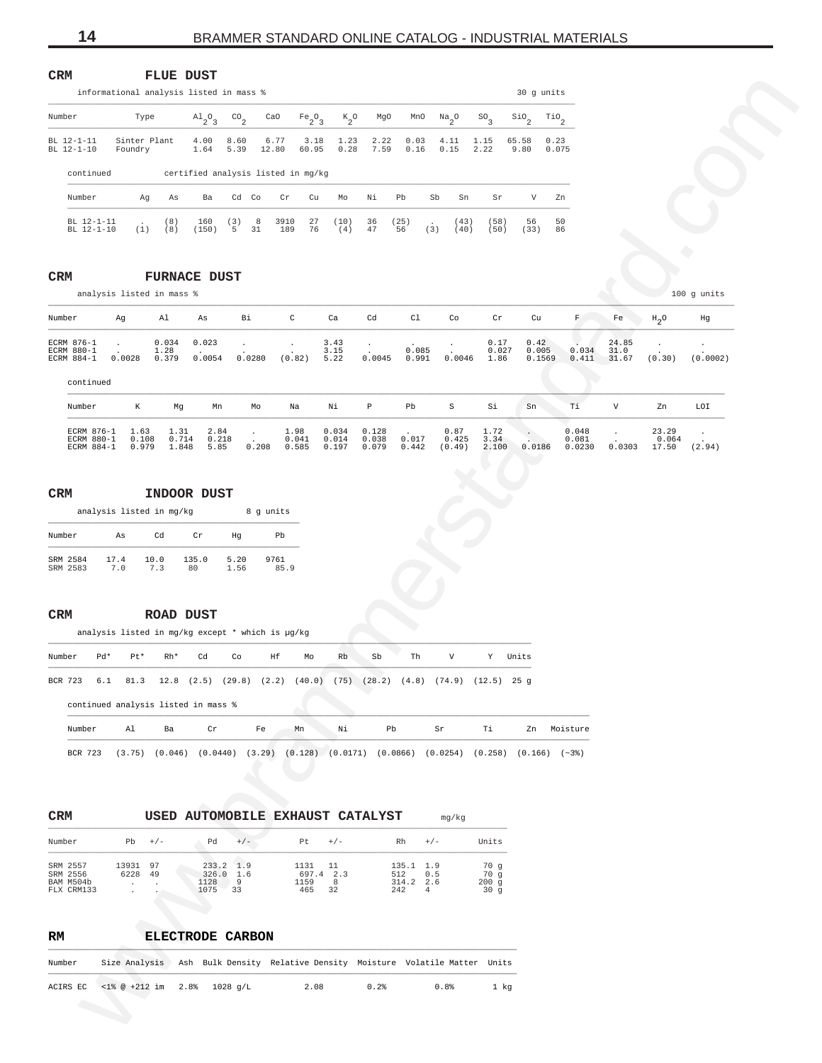<span id="page-13-0"></span>

| <b>CRM</b>                              |                | FLUE         | DUST                                    |                      |         |               |               |                 |              |           |                     |                             |                 |                        |                                  |
|-----------------------------------------|----------------|--------------|-----------------------------------------|----------------------|---------|---------------|---------------|-----------------|--------------|-----------|---------------------|-----------------------------|-----------------|------------------------|----------------------------------|
|                                         |                |              | informational analysis listed in mass % |                      |         |               |               |                 |              |           |                     |                             |                 | 30 q units             |                                  |
| Number                                  |                | Type         | $A1_{2}O_{3}$                           | $^{CO}$ <sub>2</sub> |         | CaO           | $Fe_2O_3$     | $k_{2}^{\circ}$ | MqO          |           | MnO                 | $\frac{Na}{2}$ <sup>0</sup> | SO <sub>3</sub> | $\frac{\text{SiO}}{2}$ | $\mathop{\text{rio}}\nolimits_2$ |
| $RI. 12 - 1 - 11$<br>BL 12-1-10         | Foundry        | Sinter Plant | 4.00<br>1.64                            | 8.60<br>5.39         |         | 6.77<br>12.80 | 3.18<br>60.95 | 1.23<br>0.28    | 2.22<br>7.59 |           | 0.03<br>0.16        | 4.11<br>0.15                | 1.15<br>2.22    | 65.58<br>9.80          | 0.23<br>0.075                    |
| continued                               |                |              | certified analysis listed in mg/kg      |                      |         |               |               |                 |              |           |                     |                             |                 |                        |                                  |
| Number                                  |                | Αq           | As<br>Ba                                | Cd                   | Co      | Cr            | Cu            | Mo              | Νi           | Pb        | Sb                  | Sn                          | Sr              | V                      | Zn.                              |
| $BI. 12 - 1 - 11$<br>$BT - 12 - 1 - 10$ | $\cdot$<br>(1) | (8)<br>(8)   | 160<br>(150)                            | (3)<br>5             | 8<br>31 | 3910<br>189   | 27<br>76      | (10)<br>4)      | 36<br>47     | 25)<br>56 | $\mathbf{r}$<br>(3) | (43)<br>(40)                | 58)<br>(50)     | 56<br>33)              | 50<br>86                         |

# **CRM FURNACE DUST**

| Number                                          |                        |                                                                                                                    |                                    | informational analysis listed in mass % |                  |                        |               |                              |                         |                                                       |                                                                     |                              |                        | 30 g units              |                          |                        |                                         |                |
|-------------------------------------------------|------------------------|--------------------------------------------------------------------------------------------------------------------|------------------------------------|-----------------------------------------|------------------|------------------------|---------------|------------------------------|-------------------------|-------------------------------------------------------|---------------------------------------------------------------------|------------------------------|------------------------|-------------------------|--------------------------|------------------------|-----------------------------------------|----------------|
|                                                 |                        | Type                                                                                                               | $A1_{2}O_{3}$                      | $^{CO}$ <sub>2</sub>                    |                  | CaO                    | $Fe_2O_3$     | $\kappa_{2}^{\phantom{2}}$ o | MgO                     |                                                       | $MnO$ $Na_2O$                                                       | SO <sub>3</sub>              | $\frac{\text{SiO}}{2}$ | $Ti0$ <sub>2</sub>      |                          |                        |                                         |                |
| BL 12-1-11<br>BL 12-1-10                        | Foundry                | Sinter Plant                                                                                                       | 4.00<br>1.64                       | 8.60<br>5.39                            | 12.80            | 6.77                   | 3.18<br>60.95 | 1.23<br>0.28                 | 2.22<br>7.59            | 0.03<br>0.16                                          | 4.11<br>0.15                                                        | 1.15<br>2.22                 | 65.58<br>9.80          | 0.23<br>0.075           |                          |                        |                                         |                |
| continued                                       |                        |                                                                                                                    | certified analysis listed in mg/kg |                                         |                  |                        |               |                              |                         |                                                       |                                                                     |                              |                        |                         |                          |                        |                                         |                |
| Number                                          |                        | Αg<br>As                                                                                                           | Ba                                 | Cd Co                                   |                  | Cr                     | Cu            | Mo                           | Νi                      | Pb                                                    | Sb<br>Sn                                                            | Sr                           | V                      |                         | Zn                       |                        |                                         |                |
| BL 12-1-11<br>BL 12-1-10                        |                        | (8)<br>(8)<br>(1)                                                                                                  | 160<br>(150)                       | (3)<br>5 <sup>5</sup>                   | $_{\rm 8}$<br>31 | 3910<br>189            | 27<br>76      | (10)<br>(4)                  | 36<br>47                | (25)<br>56                                            | (43)<br>(40)<br>(3)                                                 | (58)<br>(50)                 | 56<br>(33)             |                         | 50<br>86                 |                        |                                         |                |
|                                                 |                        |                                                                                                                    |                                    |                                         |                  |                        |               |                              |                         |                                                       |                                                                     |                              |                        |                         |                          |                        |                                         |                |
| $\mathtt{CRM}$                                  |                        | <b>FURNACE DUST</b>                                                                                                |                                    |                                         |                  |                        |               |                              |                         |                                                       |                                                                     |                              |                        |                         |                          |                        |                                         |                |
|                                                 |                        | analysis listed in mass %                                                                                          |                                    |                                         |                  |                        |               |                              |                         |                                                       |                                                                     |                              |                        |                         |                          |                        |                                         | $100$ g units  |
| Number                                          | Αg                     | Al                                                                                                                 | As                                 | Bi                                      |                  | $\mathtt{C}$           |               | Ca                           | Cd                      | C1                                                    | Co                                                                  | Cr                           |                        | Cu                      | F                        | $_{\rm Fe}$            | $H_2O$                                  | Hg             |
| ECRM 876-1<br>ECRM 880-1<br>ECRM 884-1          | 0.0028                 | 0.034<br>1.28<br>0.379                                                                                             | 0.023<br>0.0054                    |                                         | 0.0280           | (0.82)                 |               | 3.43<br>3.15<br>5.22         | 0.0045                  | 0.085<br>0.991                                        | 0.0046                                                              | 0.17<br>0.027<br>1.86        |                        | 0.42<br>0.005<br>0.1569 | 0.034<br>0.411           | 24.85<br>31.0<br>31.67 | (0.30)                                  | (0.0002)       |
| continued                                       |                        |                                                                                                                    |                                    |                                         |                  |                        |               |                              |                         |                                                       |                                                                     |                              |                        |                         |                          |                        |                                         |                |
| Number                                          | К                      | Mg                                                                                                                 | Mn                                 |                                         | Mo               | Na                     |               | Νi                           | $\, {\mathbb P}$        | Pb                                                    | $\rm S$                                                             | Si                           | Sn                     |                         | Тi                       | V                      | Zn                                      | LOI            |
| ECRM 876-1<br>ECRM 880-1<br>ECRM 884-1          | 1.63<br>0.108<br>0.979 | 1.31<br>0.714<br>1.848                                                                                             | 2.84<br>0.218<br>5.85              |                                         | $\sim$<br>0.208  | 1.98<br>0.041<br>0.585 |               | 0.034<br>0.014<br>0.197      | 0.128<br>0.038<br>0.079 | 0.017<br>0.442                                        | 0.87<br>0.425<br>(0.49)                                             | 1.72<br>3.34<br>2.100        | 0.0186                 |                         | 0.048<br>0.081<br>0.0230 | $\cdot$                | 23.29<br>0.064<br>$0.0303$ 17.50 (2.94) | $\sim 10^{-1}$ |
|                                                 | As<br>17.4<br>7.0      | Cd<br>10.0<br>7.3                                                                                                  | Cr<br>135.0<br>80                  | Hg<br>5.20<br>1.56                      |                  | Pb<br>9761<br>85.9     |               |                              |                         |                                                       |                                                                     |                              |                        |                         |                          |                        |                                         |                |
| SRM 2584<br>SRM 2583<br>CRM<br>Pd*<br>Number    | Pt*                    | ROAD DUST<br>analysis listed in mg/kg except * which is µg/kg<br>Rh*                                               | Cd                                 | Co                                      |                  | Ηf                     | Мo            | Rb                           | Sb                      | Th                                                    | V                                                                   |                              | Y Units                |                         |                          |                        |                                         |                |
| BCR 723<br>6.1                                  | 81.3                   |                                                                                                                    |                                    |                                         |                  |                        |               |                              |                         |                                                       | 12.8 (2.5) (29.8) (2.2) (40.0) (75) (28.2) (4.8) (74.9) (12.5) 25 g |                              |                        |                         |                          |                        |                                         |                |
| continued analysis listed in mass %             |                        |                                                                                                                    |                                    |                                         |                  |                        |               |                              |                         |                                                       |                                                                     |                              |                        |                         |                          |                        |                                         |                |
| Number                                          | Al                     | Ba                                                                                                                 | Cr                                 |                                         | Fe               | Mn                     |               | Νi                           |                         | Pb                                                    | Sr                                                                  | Тi                           |                        |                         | Zn Moisture              |                        |                                         |                |
| BCR 723                                         |                        | $(3.75)$ $(0.046)$ $(0.0440)$ $(3.29)$ $(0.128)$ $(0.0171)$ $(0.0866)$ $(0.0254)$ $(0.258)$ $(0.166)$ $(\sim 3\%)$ |                                    |                                         |                  |                        |               |                              |                         |                                                       |                                                                     |                              |                        |                         |                          |                        |                                         |                |
| CRM                                             |                        | USED AUTOMOBILE EXHAUST CATALYST                                                                                   |                                    |                                         |                  |                        |               |                              |                         |                                                       | mg/kg                                                               |                              |                        |                         |                          |                        |                                         |                |
| Number                                          |                        | $Pb +/-$                                                                                                           | Pd                                 | $+/-$                                   |                  | Pt                     |               | $+/-$                        |                         | Rh                                                    | $+/-$                                                               | Units                        |                        |                         |                          |                        |                                         |                |
| SRM 2557<br>SRM 2556<br>BAM M504b<br>FLX CRM133 | 13931 97<br>6228       | 49                                                                                                                 | 1128<br>1075                       | 233.2 1.9<br>326.0 1.6<br>9<br>33       |                  | 1159<br>465            | 1131 11       | 697.4 2.3<br>8<br>32         |                         | 135.1 1.9<br>512<br>314.2 2.6<br>242<br>$\frac{4}{ }$ | 0.5                                                                 | 70 g<br>70 g<br>200g<br>30 g |                        |                         |                          |                        |                                         |                |
| RM                                              |                        | ELECTRODE CARBON                                                                                                   |                                    |                                         |                  |                        |               |                              |                         |                                                       |                                                                     |                              |                        |                         |                          |                        |                                         |                |
| Number                                          |                        | Size Analysis Ash Bulk Density Relative Density Moisture Volatile Matter Units                                     |                                    |                                         |                  |                        |               |                              |                         |                                                       |                                                                     |                              |                        |                         |                          |                        |                                         |                |
| ACIRS EC                                        |                        | $<$ 1% @ +212 im 2.8% 1028 g/L                                                                                     |                                    |                                         |                  |                        | 2.08          |                              | 0.2%                    |                                                       | 0.8%                                                                | 1 kg                         |                        |                         |                          |                        |                                         |                |

# **CRM INDOOR DUST**

|                      | analysis listed in mg/kg |            |             | 8            | q units     |
|----------------------|--------------------------|------------|-------------|--------------|-------------|
| Number               | As                       | Сđ         | Cr          | Hα           | Pb          |
| SRM 2584<br>SRM 2583 | 17.4<br>7.0              | 10.0<br>73 | 135.0<br>80 | 5.20<br>1.56 | 9761<br>R59 |

# **CRM ROAD DUST**

| Number |         | $Pd*$ | Pt*    | $Rh*$                               | Cd       | Co | Hf | Mo                                       | Rb. | Sb  | Th | V                                       | Y       | Units   |          |
|--------|---------|-------|--------|-------------------------------------|----------|----|----|------------------------------------------|-----|-----|----|-----------------------------------------|---------|---------|----------|
|        | BCR 723 | 6.1   |        |                                     |          |    |    | 81.3 12.8 (2.5) (29.8) (2.2) (40.0) (75) |     |     |    | $(28.2)$ $(4.8)$ $(74.9)$ $(12.5)$ 25 g |         |         |          |
|        |         |       |        | continued analysis listed in mass % |          |    |    |                                          |     |     |    |                                         |         |         |          |
|        | Number  |       | A1     | Ba                                  | Cr       |    | Fe | Mn                                       | Νi  | Pb. |    | Sr                                      | Тi      | Zn      | Moisture |
|        | BCR 723 |       | (3.75) | (0.046)                             | (0.0440) |    |    | $(3.29)$ $(0.128)$ $(0.0171)$ $(0.0866)$ |     |     |    | (0.0254)                                | (0.258) | (0.166) | $(-3)$   |

| CRM |  |
|-----|--|
|     |  |

| Number                            | Pb.           | $+/-$    | Þd                                 | $+ 1 -$  | Pt.                         | $+/-$    | Rh                                | $+/-$      | Units               |
|-----------------------------------|---------------|----------|------------------------------------|----------|-----------------------------|----------|-----------------------------------|------------|---------------------|
| SRM 2557<br>SRM 2556<br>BAM M504b | 13931<br>6228 | 97<br>49 | $233.2 \quad 1.9$<br>326.0<br>1128 | 1.6<br>9 | 1131<br>11<br>697.4<br>1159 | 2.3<br>8 | $135.1 \quad 1.9$<br>512<br>314.2 | 0.5<br>2.6 | 70 q<br>70q<br>200q |
| FLX CRM133                        | $\cdot$       | $\cdot$  | 1075                               | 33       | 465<br>32                   |          | 242                               | 4          | 30 q                |

| RM     |                                      | ELECTRODE CARBON |                                                                                  |      |      |      |
|--------|--------------------------------------|------------------|----------------------------------------------------------------------------------|------|------|------|
| Number |                                      |                  | Size Analysis   Ash Bulk Density Relative Density Moisture Volatile Matter Units |      |      |      |
|        | ACIRS EC <1% @ +212 im 2.8% 1028 q/L |                  | 2.08                                                                             | 0.2% | 0.8% | 1 ka |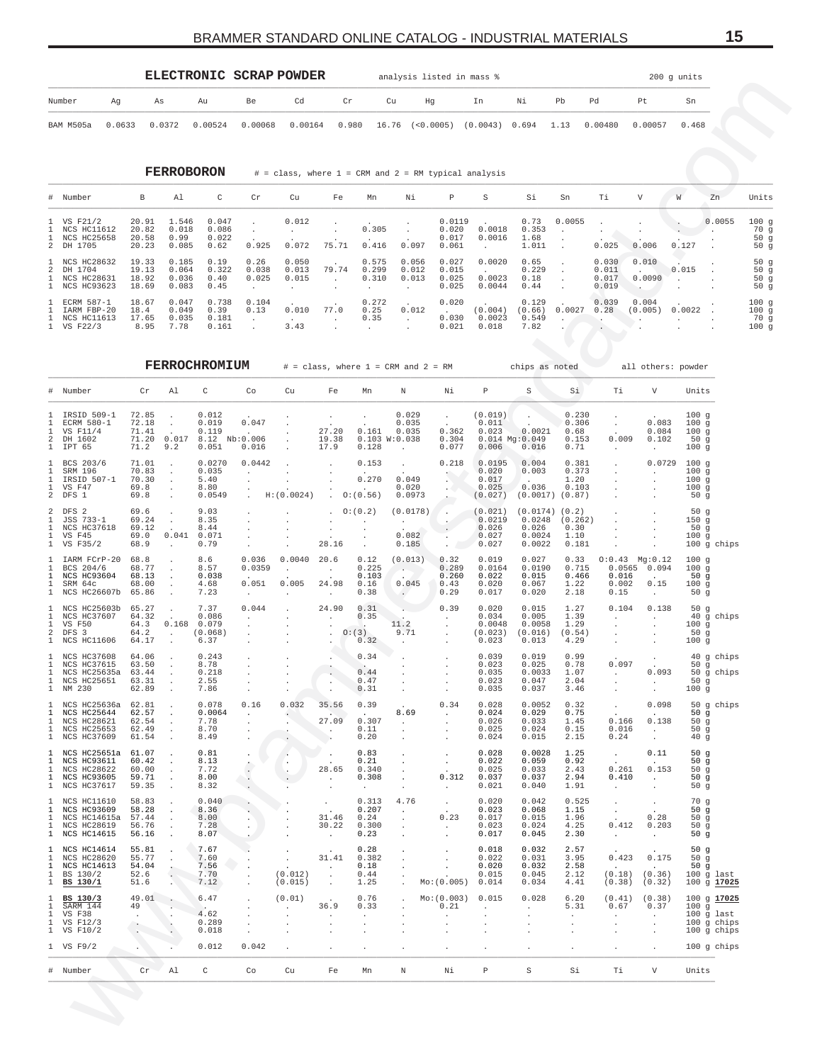<span id="page-14-0"></span>

|           |        |        |                   | ELECTRONIC SCRAP POWDER |                 |                |    | analysis listed in mass %                                  |    |    |    |         |         | 200 g units |
|-----------|--------|--------|-------------------|-------------------------|-----------------|----------------|----|------------------------------------------------------------|----|----|----|---------|---------|-------------|
| Number    | Aq     | As     | Au                | Be                      | Cd              | $\mathbb{C}$ r | Cu | Hg                                                         | In | Ni | Pb | Pd      | Pt.     | Sn          |
| BAM M505a | 0.0633 | 0.0372 | 0.00524           | 0.00068                 | $0.00164$ 0.980 |                |    | 16.76 (<0.0005) (0.0043) 0.694 1.13                        |    |    |    | 0.00480 | 0.00057 | 0.468       |
|           |        |        | <b>FERROBORON</b> |                         |                 |                |    | $#$ = class, where $1$ = CRM and $2$ = RM typical analysis |    |    |    |         |         |             |

| # Number                                                     | B                                | Al                               | C                               | Cr                     | Cu                      | Fe              | Mn                      | Νi                      | P                                 | S                          | Si                               | Sn     | Ti                               | V                | W                                 | Zn     | Units                            |
|--------------------------------------------------------------|----------------------------------|----------------------------------|---------------------------------|------------------------|-------------------------|-----------------|-------------------------|-------------------------|-----------------------------------|----------------------------|----------------------------------|--------|----------------------------------|------------------|-----------------------------------|--------|----------------------------------|
| 1 VS F21/2<br>1 NCS HC11612<br>1 NCS HC25658<br>2 DH 1705    | 20.91<br>20.82<br>20.58<br>20.23 | 1.546<br>0.018<br>0.99<br>0.085  | 0.047<br>0.086<br>0.022<br>0.62 | 0.925                  | 0.012<br>0.072          | $\sim$<br>75.71 | 0.305<br>0.416          | 0.097                   | 0.0119<br>0.020<br>0.017<br>0.061 | 0.0018<br>0.0016           | 0.73<br>0.353<br>1.68<br>1.011   | 0.0055 | 0.025                            | 0.006            | <b>Contract Contract</b><br>0.127 | 0.0055 | 100q<br>70 q<br>50 $q$<br>50 $q$ |
| 1 NCS HC28632<br>2 DH 1704<br>1 NCS HC28631<br>1 NCS HC93623 | 19.33<br>19.13<br>18.92<br>18.69 | 0.185<br>0.064<br>0.036<br>0.083 | 0.19<br>0.322<br>0.40<br>0.45   | 0.26<br>0.038<br>0.025 | 0.050<br>0.013<br>0.015 | 79.74<br>$\sim$ | 0.575<br>0.299<br>0.310 | 0.056<br>0.012<br>0.013 | 0.027<br>0.015<br>0.025<br>0.025  | 0.0020<br>0.0023<br>0.0044 | 0.65<br>0.229<br>0.18<br>0.44    |        | 0.030<br>0.011<br>0.017<br>0.019 | 0.010<br>0.0090  | 0.015                             |        | 50q<br>50q<br>50q<br>50q         |
| 1 ECRM 587-1<br>1 IARM FBP-20<br>1 NCS HC11613<br>1 VS F22/3 | 18.67<br>18.4<br>17.65<br>8.95   | 0.047<br>0.049<br>0.035<br>7.78  | 0.738<br>0.39<br>0.181<br>0.161 | 0.104<br>0.13          | 0.010<br>3.43           | 77.0            | 0.272<br>0.25<br>0.35   | 0.012                   | 0.020<br>$\sim$<br>0.030<br>0.021 | (0.004)<br>0.0023<br>0.018 | 0.129<br>(0.66)<br>0.549<br>7.82 | 0.0027 | 0.039<br>0.28                    | 0.004<br>(0.005) | 0.0022                            |        | 100q<br>100q<br>70 q<br>100q     |

| Number                                                                               | Ag     | As                                        |                                                                   | Au                                                | Be                                                                                          | Cd                                    | Cr                                                                  |                                                   | Cu                                                               | Ηg                                                   | In                                               | Νi                                                   | Pb                                                                     | Pd                                                      | Ρt                                                        | Sn                                                                  |                                      |
|--------------------------------------------------------------------------------------|--------|-------------------------------------------|-------------------------------------------------------------------|---------------------------------------------------|---------------------------------------------------------------------------------------------|---------------------------------------|---------------------------------------------------------------------|---------------------------------------------------|------------------------------------------------------------------|------------------------------------------------------|--------------------------------------------------|------------------------------------------------------|------------------------------------------------------------------------|---------------------------------------------------------|-----------------------------------------------------------|---------------------------------------------------------------------|--------------------------------------|
| BAM M505a                                                                            | 0.0633 |                                           | 0.0372                                                            | 0.00524                                           | 0.00068                                                                                     | 0.00164                               |                                                                     | 0.980                                             | 16.76 (<0.0005) (0.0043) 0.694                                   |                                                      |                                                  |                                                      | 1.13                                                                   | 0.00480                                                 | 0.00057                                                   | 0.468                                                               |                                      |
|                                                                                      |        |                                           | <b>FERROBORON</b>                                                 |                                                   |                                                                                             |                                       |                                                                     |                                                   | # = class, where 1 = CRM and 2 = RM typical analysis             |                                                      |                                                  |                                                      |                                                                        |                                                         |                                                           |                                                                     |                                      |
| Number                                                                               |        | В                                         | Al                                                                | C                                                 | Cr                                                                                          | Cu                                    | Fe                                                                  | Mn                                                | Νi                                                               | $\, {\mathbb P}$                                     | S                                                | Si                                                   | Sn                                                                     | Τi                                                      | V                                                         | W<br>Zn                                                             | Units                                |
| VS F21/2<br>NCS HC11612<br>NCS HC25658<br>DH 1705                                    |        | 20.91<br>20.82<br>20.58<br>20.23          | 1.546<br>0.018<br>0.99<br>0.085                                   | 0.047<br>0.086<br>0.022<br>0.62                   | $\cdot$<br>$\cdot$<br>0.925                                                                 | 0.012<br>$\sim$<br>0.072              | $\cdot$<br>$\cdot$<br>75.71                                         | 0.305<br>0.416                                    | $\cdot$<br>0.097                                                 | 0.0119<br>0.020<br>0.017<br>0.061                    | 0.0018<br>0.0016<br>$\cdot$                      | 0.73<br>0.353<br>1.68<br>1.011                       | 0.0055                                                                 | 0.025                                                   | 0.006                                                     | 0.127                                                               | 0.0055<br>100g<br>70 g<br>50g<br>50g |
| NCS HC28632<br>DH 1704<br><b>NCS HC28631</b><br>NCS HC93623                          |        | 19.33<br>19.13<br>18.92<br>18.69          | 0.185<br>0.064<br>0.036<br>0.083                                  | 0.19<br>0.322<br>0.40<br>0.45                     | 0.26<br>0.038<br>0.025<br>$\cdot$                                                           | 0.050<br>0.013<br>0.015<br>$\cdot$    | 79.74<br>$\sim$                                                     | 0.575<br>0.299<br>0.310<br>$\cdot$                | 0.056<br>0.012<br>0.013<br>$\cdot$                               | 0.027<br>0.015<br>0.025<br>0.025                     | 0.0020<br>0.0023<br>0.0044                       | 0.65<br>0.229<br>0.18<br>0.44                        |                                                                        | 0.030<br>0.011<br>0.017<br>0.019                        | 0.010<br>0.0090<br>$\overline{\phantom{a}}$ .             | 0.015<br>$\cdot$                                                    | 50g<br>50g<br>50g<br>50g             |
| ECRM 587-1<br>IARM FBP-20<br>NCS HC11613<br>VS F22/3                                 |        | 18.67<br>18.4<br>17.65<br>8.95            | 0.047<br>0.049<br>0.035<br>7.78                                   | 0.738<br>0.39<br>0.181<br>0.161                   | 0.104<br>0.13<br>$\sim$                                                                     | 0.010<br><b>Contract</b><br>3.43      | 77.0<br>$\sim$                                                      | 0.272<br>0.25<br>0.35<br>$\cdot$                  | 0.012<br>$\sim$                                                  | 0.020<br>$\sim$<br>0.030<br>0.021                    | (0.004)<br>0.0023<br>0.018                       | 0.129<br>(0.66)<br>0.549<br>7.82                     | 0.0027<br>$\ddot{\phantom{a}}$                                         | 0.039<br>0.28<br>$\cdot$                                | 0.004<br>(0.005)                                          | 0.0022                                                              | 100g<br>100g<br>70 g<br>100g         |
|                                                                                      |        |                                           |                                                                   | FERROCHROMIUM                                     |                                                                                             |                                       |                                                                     |                                                   | $#$ = class, where $1$ = CRM and $2$ = RM                        |                                                      |                                                  | chips as noted                                       |                                                                        |                                                         | all others: powder                                        |                                                                     |                                      |
| Number                                                                               |        | Cr                                        | Al                                                                | C                                                 | Co                                                                                          | Cu                                    | Fe                                                                  | Mn                                                | Ν                                                                | Νi                                                   | P                                                | $\rm S$                                              | Si                                                                     | Тi                                                      | V                                                         | Units                                                               |                                      |
| IRSID 509-1<br>ECRM 580-1<br>VS F11/4<br>DH 1602<br>IPT 65                           |        | 72.85<br>72.18<br>71.41<br>71.20<br>71.2  | 0.017<br>9.2                                                      | 0.012<br>0.019<br>0.119<br>8.12 Nb:0.006<br>0.051 | 0.047<br>$\sim 10^{-11}$<br>0.016                                                           |                                       | $\sim$<br>27.20<br>19.38<br>17.9                                    | 0.161<br>0.128                                    | 0.029<br>0.035<br>0.035<br>0.103 W:0.038                         | $\cdot$<br>0.362<br>0.304<br>0.077                   | (0.019)<br>0.011<br>0.023<br>0.006               | 0.0021<br>$0.014$ Mg: $0.049$<br>0.016               | 0.230<br>0.306<br>0.68<br>0.153<br>0.71                                | $\sim$<br>0.009<br>$\sim$                               | 0.083<br>0.084<br>0.102<br>$\sim$                         | 100g<br>100g<br>100g<br>50g<br>100g                                 |                                      |
| BCS 203/6<br>SRM 196<br>IRSID 507-1<br>VS F47<br>DFS 1                               |        | 71.01<br>70.83<br>70.30<br>69.8<br>69.8   | $\cdot$<br>$\cdot$                                                | 0.0270<br>0.035<br>5.40<br>8.80<br>0.0549         | 0.0442<br>$\cdot$<br>$\cdot$<br>$\cdot$                                                     | H: (0.0024)                           |                                                                     | 0.153<br>0.270<br>0:(0.56)                        | $\sim$<br>0.049<br>0.020<br>0.0973                               | 0.218<br>е.<br>$\sim$ $-$                            | 0.0195<br>0.020<br>0.017<br>0.025<br>(0.027)     | 0.004<br>0.003<br>0.036<br>$(0.0017)$ $(0.87)$       | 0.381<br>0.373<br>1.20<br>0.103                                        |                                                         | 0.0729                                                    | 100g<br>100g<br>100g<br>100g<br>50g                                 |                                      |
| DFS 2<br>JSS 733-1<br>NCS HC37618<br>VS F45<br>VS F35/2                              |        | 69.6<br>69.24<br>69.12<br>69.0<br>68.9    | 0.041<br>$\cdot$                                                  | 9.03<br>8.35<br>8.44<br>0.071<br>0.79             | $\cdot$                                                                                     |                                       | 28.16                                                               | 0:(0.2)<br>$\cdot$<br>$\cdot$<br>$\cdot$          | (0.0178)<br><b>Contract</b><br>0.082<br>0.185                    | $\blacksquare$                                       | (0.021)<br>0.0219<br>0.026<br>0.027<br>0.027     | (0.0174)<br>0.0248<br>0.026<br>0.0024<br>0.0022      | (0.2)<br>(0.262)<br>0.30<br>1.10<br>0.181                              |                                                         |                                                           | 50g<br>150g<br>50g<br>100g<br>$100$ g chips                         |                                      |
| IARM FCrP-20<br>BCS 204/6<br>NCS HC93604<br>SRM 64c<br>NCS HC26607b                  |        | 68.8<br>68.77<br>68.13<br>68.00<br>65.86  | $\cdot$                                                           | 8.6<br>8.57<br>0.038<br>4.68<br>7.23              | 0.036<br>0.0359<br>0.051<br>$\sim$                                                          | 0.0040<br>$\cdot$<br>0.005<br>$\cdot$ | 20.6<br>$\sim$<br>24.98<br>$\sim$                                   | 0.12<br>0.225<br>0.103<br>0.16<br>0.38            | (0.013)<br>$\sim$<br>0.045<br>$\ddot{\phantom{0}}$               | 0.32<br>0.289<br>0.260<br>0.43<br>0.29               | 0.019<br>0.0164<br>0.022<br>0.020<br>0.017       | 0.027<br>0.0190<br>0.015<br>0.067<br>0.020           | 0.33<br>0.715<br>0.466<br>1.22<br>2.18                                 | 0.016<br>0.002<br>0.15                                  | $0:0.43$ Mg:0.12<br>0.0565 0.094<br>0.15<br>$\cdot$       | 100g<br>100g<br>50g<br>100g<br>50g                                  |                                      |
| NCS HC25603b<br>NCS HC37607<br><b>VS F50</b><br>DFS 3<br>NCS HC11606                 |        | 65.27<br>64.32<br>64.3<br>64.2<br>64.17   | 0.168<br>$\cdot$                                                  | 7.37<br>0.086<br>0.079<br>(0.068)<br>6.37         | 0.044<br>$\sim$                                                                             |                                       | 24.90<br>$\sim$<br>$\cdot$                                          | 0.31<br>0.35<br>O: (3)<br>0.32                    | 11.2<br>9.71                                                     | 0.39<br>$\cdot$                                      | 0.020<br>0.034<br>0.0048<br>(0.023)<br>0.023     | 0.015<br>0.005<br>0.0058<br>(0.016)<br>0.013         | 1.27<br>1.39<br>1.29<br>(0.54)<br>4.29                                 | 0.104<br>$\sim$<br>$\cdot$                              | 0.138<br>$\cdot$                                          | 50g<br>40 g chips<br>100g<br>50g<br>100g                            |                                      |
| <b>NCS HC37608</b><br><b>NCS HC37615</b><br>NCS HC25635a<br>NCS HC25651<br>1 NM 230  |        | 64.06<br>63.50<br>63.44<br>63.31<br>62.89 | $\cdot$                                                           | 0.243<br>8.78<br>0.218<br>2.55<br>7.86            | $\cdot$                                                                                     |                                       |                                                                     | 0.34<br>0.44<br>0.47<br>0, 31                     | $\sim$                                                           | $\cdot$                                              | 0.039<br>0.023<br>0.035<br>0.023<br>0.035        | 0.019<br>0.025<br>0.0033<br>0.047<br>0.037           | 0.99<br>0.78<br>1.07<br>2.04<br>3.46                                   | 0.097<br>$\sim 10^{-11}$<br>$\bullet$<br>$\cdot$        | 0.093<br>$\sim$                                           | 40 g chips<br>50 $g$<br>50 g chips<br>50g<br>100g                   |                                      |
| 1 NCS HC25636a 62.81<br>1 NCS HC25644<br>NCS HC28621<br>NCS HC25653<br>1 NCS HC37609 |        | 62.57<br>62.54<br>62.49<br>61.54          | $\sim$ $\sim$<br>$\cdot$<br>$\sim$<br>$\cdot$<br>$\sim$           | 0.078<br>0.0064<br>7.78<br>8.70<br>8.49           | 0.16<br>$\sim$<br>$\cdot$<br>$\sim$<br>$\cdot$                                              | 0.032<br>$\sim$<br>$\sim$             | 35.56<br><b>Contract Contract</b><br>27.09<br><b>Service</b><br>- 1 | 0.39<br>$\sim 10^{-11}$<br>0.307<br>0.11<br>0.20  | 8.69<br>$\sim 10^{-11}$<br>$\cdot$<br>$\cdot$                    | 0.34<br>$\sim$<br>$\cdot$                            | 0.028<br>0.024<br>0.026<br>0.025<br>0.024        | 0.0052<br>0.029<br>0.033<br>0.024<br>0.015           | 0.32<br>0.75<br>1.45<br>0.15<br>2.15                                   | $\sim$<br>0.166<br>0.016<br>0.24                        | 0.098<br>0.138<br><b>Contract</b><br>$\sim 10^{-11}$      | 50 g chips<br>50g<br>50g<br>50g<br>40g                              |                                      |
| 1 NCS HC25651a<br>1 NCS HC93611<br>NCS HC28622<br>1 NCS HC93605<br>1 NCS HC37617     |        | 61.07<br>60.42<br>60.00<br>59.71<br>59.35 | $\sim$<br>$\cdot$<br>$\sim$<br>$\cdot$<br>$\sim$                  | 0.81<br>8.13<br>7.72<br>8.00<br>8.32              | $\sim$<br>$\overline{\phantom{a}}$<br>$\ddot{\phantom{0}}$<br>$\blacksquare$<br>$\cdot$     | $\sim$<br>$\sim$                      | 28.65<br>$\sim 100$ km s $^{-1}$<br>$\sim$                          | 0.83<br>0.21<br>0.340<br>0.308<br>$\sim 10^{-11}$ | $\bullet$<br>$\sim$<br>$\cdot$<br>$\ddot{\phantom{a}}$<br>$\sim$ | $\cdot$<br>$\cdot$<br>0.312<br>$\sim$                | 0.028<br>0.022<br>0.025<br>0.037<br>0.021        | 0.0028<br>0.059<br>0.033<br>0.037<br>0.040           | 1.25<br>0.92<br>2.43<br>2.94<br>1.91                                   | $\sim 10^{-11}$<br>0.261<br>0.410<br>$\sim 10^{-11}$    | 0.11<br>0.153<br>$\sim 100$<br>$\cdot$                    | 50g<br>50g<br>50g<br>50g<br>50g                                     |                                      |
| 1 NCS HC11610<br>1 NCS HC93609<br>NCS HC14615a<br>1 NCS HC28619<br>1 NCS HC14615     |        | 58.83<br>58.28<br>57.44<br>56.76<br>56.16 | $\sim$<br>$\cdot$<br>$\sim$<br>$\sim$<br>$\sim$                   | 0.040<br>8.36<br>8.00<br>7.28<br>8.07             | $\cdot$<br>$\mathcal{L}_{\mathcal{A}}$<br>$\cdot$<br>$\cdot$<br>$\mathcal{L}^{\mathcal{L}}$ |                                       | $\sim$<br>31.46<br>30.22<br>$\sim 10^{-1}$                          | 0.313<br>0.207<br>0.24<br>0.300<br>0.23           | 4.76<br>$\sim$<br>$\cdot$<br>$\cdot$<br>$\sim$                   | $\sim$<br>0.23<br>$\sim$<br>$\cdot$                  | 0.020<br>0.023<br>0.017<br>0.023<br>0.017        | 0.042<br>0.068<br>0.015<br>0.024<br>0.045            | 0.525<br>1.15<br>1.96<br>4.25<br>2.30                                  | $\sim$<br>$\frac{1}{2}$ .<br>0.412<br><b>Contractor</b> | $\sim$<br>0.28<br>0.203<br><b>Contract</b>                | 70g<br>50g<br>50g<br>50g<br>50g                                     |                                      |
| 1 NCS HC14614<br>1 NCS HC28620<br>NCS HC14613<br>1 BS 130/2<br>$1$ BS $130/1$        |        | 55.81<br>55.77<br>54.04<br>52.6<br>51.6   | <b>AND</b>                                                        | 7.67<br>7.60<br>7.56<br>7.70<br>7.12              | $\cdot$<br>$\blacksquare$<br>$\cdot$<br>$\sim$                                              | $\cdot$<br>(0.012)<br>(0.015)         | 31.41<br>$\sim 100$ km s $^{-1}$<br>$\sim$ $\sim$<br>$\sim$ $\sim$  | 0.28<br>0.382<br>0.18<br>0.44<br>1.25             | $\sim$<br>$\cdot$<br>$\sim$<br>$\sim$<br>$\sim$                  | $\cdot$<br>Mo:(0.005) 0.014                          | 0.018<br>0.022<br>0.020<br>0.015                 | 0.032<br>0.031<br>0.032<br>0.045<br>0.034            | 2.57<br>3.95<br>2.58<br>2.12<br>4.41                                   | 0.423<br><b>Contractor</b><br>(0.18)                    | 0.175<br><b>Contractor</b><br>(0.36)<br>$(0.38)$ $(0.32)$ | 50g<br>50g<br>50 $g$<br>$100$ g last<br>100 g 17025                 |                                      |
| BS 130/3<br>SARM 144<br>VS F38<br>1 VS F12/3<br>1 VS F10/2                           |        | 49.01<br>49<br>$\sim$<br>$\sim 10^{-10}$  | $\sim$ $\sim$<br>$\cdot$<br>$\cdot$<br>$\mathcal{A}$ .<br>$\cdot$ | 6.47<br>$\sim$<br>4.62<br>0.289<br>0.018          | $\blacksquare$<br>$\cdot$<br>$\cdot$<br>$\cdot$<br>$\sim$                                   | (0.01)<br>$\sim$<br>$\cdot$           | 36.9<br>$\sim 100$<br>$\cdot$<br>$\cdot$                            | 0.76<br>0.33<br>$\sim$<br>$\cdot$<br>$\cdot$      | $\cdot$<br>$\cdot$<br>$\cdot$<br>$\cdot$                         | Mo: (0.003)<br>0.21<br>$\cdot$<br>$\cdot$<br>$\cdot$ | 0.015<br>$\sim$<br>$\cdot$<br>$\cdot$<br>$\cdot$ | 0.028<br>$\sim$ $-$<br>$\cdot$<br>$\cdot$<br>$\cdot$ | 6.20<br>5.31<br>$\sim$<br>$\ddot{\phantom{a}}$<br>$\ddot{\phantom{a}}$ | (0.41)<br>0.67<br>$\sim$<br>$\cdot$<br>$\sim$           | (0.38)<br>0.37<br>$\sim 100$<br>$\bullet$<br>$\sim$       | 100 g 17025<br>100g<br>$100$ g last<br>$100$ g chips<br>100 g chips |                                      |
| 1 VS F9/2                                                                            |        | $\sim$ $\sim$                             |                                                                   | 0.012                                             | 0.042                                                                                       | $\cdot$                               | $\sim$                                                              | $\sim$                                            | $\cdot$                                                          | $\sim$                                               | $\cdot$                                          | $\cdot$                                              | $\cdot$                                                                | $\sim$                                                  | $\sim$                                                    | 100 g chips                                                         |                                      |
| # Number                                                                             |        | Cr                                        | Al                                                                | $\mathbb C$                                       | Co                                                                                          | Cu                                    | Fe                                                                  | Mn                                                | $\mathbb N$                                                      | Νi                                                   | $\mathbb{P}$                                     | S                                                    | Si                                                                     | Тi                                                      | V                                                         | Units                                                               |                                      |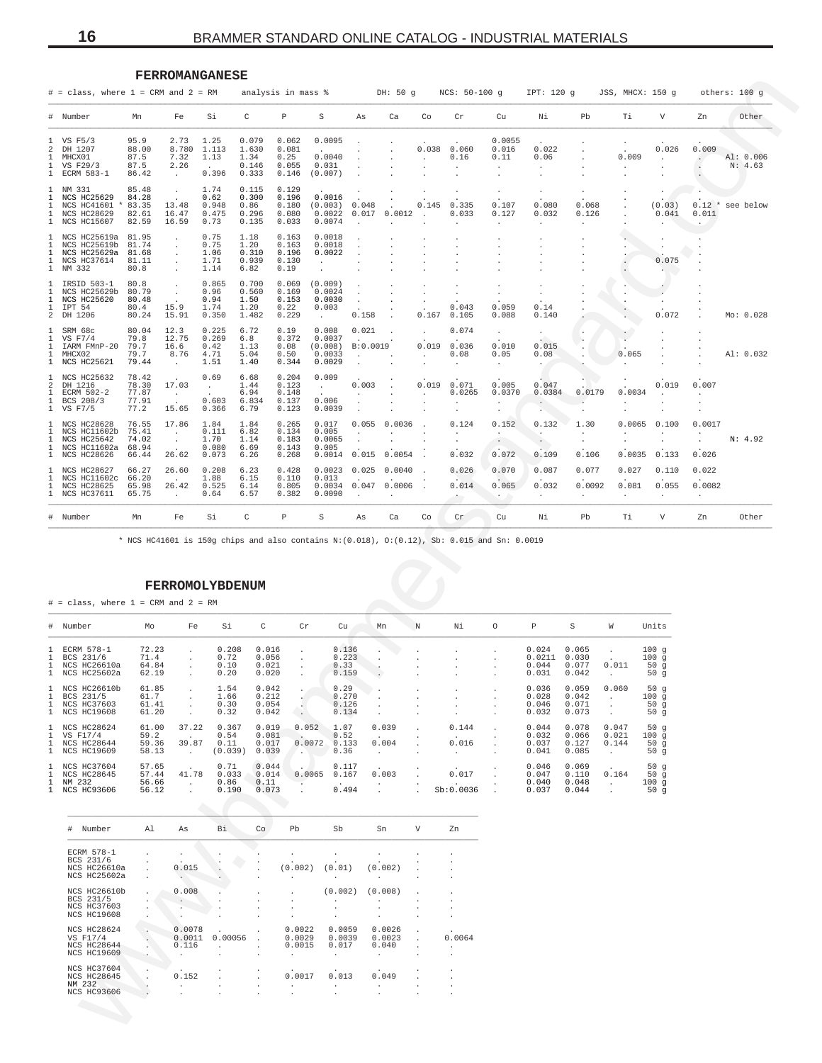<span id="page-15-0"></span>

|                                                                                  |                                                                                | <b>FERROMANGANESE</b>                     |                                                          |                                            |                                          |                                           |                                                  |                                          |                                      |                  |                                                                                                     |                                                      |                                                         |                                       |                                        |                              |                             |                      |
|----------------------------------------------------------------------------------|--------------------------------------------------------------------------------|-------------------------------------------|----------------------------------------------------------|--------------------------------------------|------------------------------------------|-------------------------------------------|--------------------------------------------------|------------------------------------------|--------------------------------------|------------------|-----------------------------------------------------------------------------------------------------|------------------------------------------------------|---------------------------------------------------------|---------------------------------------|----------------------------------------|------------------------------|-----------------------------|----------------------|
|                                                                                  | $#$ = class, where $1$ = CRM and $2$ = RM                                      |                                           |                                                          |                                            |                                          | analysis in mass %                        |                                                  |                                          | DH: 50 g                             |                  | $NCS: 50-100 g$                                                                                     |                                                      | IPT: 120 g                                              |                                       | JSS, MHCX: 150 q                       |                              |                             | others: 100 g        |
| #                                                                                | Number                                                                         | Mn                                        | Fe                                                       | Si                                         | С                                        | Р                                         | S                                                | As                                       | Ca                                   | Co               | Cr                                                                                                  | Cu                                                   | Νi                                                      | Pb                                    | Тi                                     | V                            | Zn                          | Other                |
| 2<br>1<br>1                                                                      | VS F5/3<br>DH 1207<br>MHCX01<br>VS F29/3<br>1 ECRM 583-1                       | 95.9<br>88.00<br>87.5<br>87.5<br>86.42    | 2.73<br>8.780<br>7.32<br>2.26<br>$\cdot$                 | 1.25<br>1.113<br>1.13<br>$\sim$<br>0.396   | 0.079<br>1.630<br>1.34<br>0.146<br>0.333 | 0.062<br>0.081<br>0.25<br>0.055<br>0.146  | 0.0095<br>0.0040<br>0.031<br>(0.007)             |                                          |                                      |                  | $0.038$ 0.060<br>0.16                                                                               | 0.0055<br>0.016<br>0.11<br>$\cdot$<br>$\cdot$        | 0.022<br>0.06<br>$\cdot$<br>$\cdot$                     |                                       | 0.009<br>$\cdot$                       | 0.026<br>$\cdot$             | 0.009<br>$\cdot$<br>$\cdot$ | Al: 0.006<br>N: 4.63 |
| 1<br>1<br>1<br>1                                                                 | NM 331<br>NCS HC25629<br>NCS HC41601 *<br>NCS HC28629<br>1 NCS HC15607         | 85.48<br>84.28<br>83.35<br>82.61<br>82.59 | $\blacksquare$<br>13.48<br>16.47<br>16.59                | 1.74<br>0.62<br>0.948<br>0.475<br>0.73     | 0.115<br>0.300<br>0.86<br>0.296<br>0.135 | 0.129<br>0.196<br>0.180<br>0.080<br>0.033 | 0.0016<br>(0.003)<br>0.0022<br>0.0074            | 0.048<br>0.017                           | 0.0012                               | 0.145            | 0.335<br>0.033                                                                                      | $\bullet$<br>0.107<br>0.127<br>$\cdot$               | $\cdot$<br>0.080<br>0.032<br>$\cdot$                    | $\cdot$<br>0.068<br>0.126<br>$\cdot$  |                                        | $\cdot$<br>(0.03)<br>0.041   | 0.011<br>$\bullet$          | $0.12$ * see below   |
| $\mathbf{1}$<br>1<br>1<br>1                                                      | NCS HC25619a<br>NCS HC25619b<br>NCS HC25629a<br>NCS HC37614<br>1 NM 332        | 81.95<br>81.74<br>81.68<br>81.11<br>80.8  | $\cdot$<br>$\cdot$<br>$\cdot$<br>$\cdot$<br>$\cdot$      | 0.75<br>0.75<br>1.06<br>1.71<br>1.14       | 1.18<br>1.20<br>0.310<br>0.939<br>6.82   | 0.163<br>0.163<br>0.196<br>0.130<br>0.19  | 0.0018<br>0.0018<br>0.0022<br>$\cdot$<br>$\cdot$ |                                          |                                      |                  |                                                                                                     |                                                      |                                                         |                                       |                                        | 0.075<br>$\sim$              |                             |                      |
| 1<br>1<br>1<br>1<br>2                                                            | IRSID 503-1<br>NCS HC25629b<br>NCS HC25620<br>IPT 54<br>DH 1206                | 80.8<br>80.79<br>80.48<br>80.4<br>80.24   | $\cdot$<br>$\cdot$<br>15.9<br>15.91                      | 0.865<br>0.96<br>0.94<br>1.74<br>0.350     | 0.700<br>0.560<br>1.50<br>1.20<br>1.482  | 0.069<br>0.169<br>0.153<br>0.22<br>0.229  | (0.009)<br>0.0024<br>0.0030<br>0.003<br>$\sim$   | $\cdot$<br>$\cdot$<br>0.158              |                                      | $\cdot$<br>0.167 | $\cdot$<br>0.043<br>0.105                                                                           | ٠<br>$\cdot$<br>0.059<br>0.088                       | $\cdot$<br>$\cdot$<br>0.14<br>0.140                     |                                       | $\cdot$<br>$\cdot$                     | 0.072                        |                             | Mo: 0.028            |
| 1<br>1<br>1<br>1                                                                 | SRM 68c<br>VS F7/4<br>IARM FMnP-20<br>MHCX02<br>1 NCS HC25621                  | 80.04<br>79.8<br>79.7<br>79.7<br>79.44    | 12.3<br>12.75<br>16.6<br>8.76<br>$\sim$                  | 0.225<br>0.269<br>0.42<br>4.71<br>1.51     | 6.72<br>6.8<br>1.13<br>5.04<br>1.40      | 0.19<br>0.372<br>0.08<br>0.50<br>0.344    | 0.008<br>0.0037<br>(0.008)<br>0.0033<br>0.0029   | 0.021<br>B:0.0019                        |                                      | $\cdot$          | 0.074<br>0.019 0.036<br>0.08                                                                        | $\cdot$<br>0.010<br>0.05<br>$\cdot$                  | $\cdot$<br>0.015<br>0.08                                |                                       | $\cdot$<br>0.065                       |                              |                             | Al: 0.032            |
| 1<br>2<br>1<br>1<br>$\mathbf{1}$                                                 | NCS HC25632<br>DH 1216<br>ECRM 502-2<br>BCS 208/3<br>VS F7/5                   | 78.42<br>78.30<br>77.87<br>77.91<br>77.2  | 17.03<br>$\sim$<br>$\sim$<br>15.65                       | 0.69<br>$\sim$<br>$\sim$<br>0.603<br>0.366 | 6.68<br>1.44<br>6.94<br>6.834<br>6.79    | 0.204<br>0.123<br>0.148<br>0.137<br>0.123 | 0.009<br>$\sim$<br>0.006<br>0.0039               | 0.003<br>$\cdot$<br>$\ddot{\phantom{a}}$ |                                      | 0.019            | 0.071<br>0.0265                                                                                     | 0.005<br>0.0370<br>$\bullet$<br>$\ddot{\phantom{0}}$ | 0.047<br>0.0384<br>$\sim$<br>$\mathcal{L}_{\text{max}}$ | 0.0179<br>$\ddot{\phantom{a}}$        | 0.0034<br>$\cdot$<br>$\cdot$           | 0.019<br>$\cdot$             | 0.007<br>$\cdot$<br>٠       |                      |
| 1<br>1<br>1<br>1                                                                 | NCS HC28628<br>NCS HC11602b<br>NCS HC25642<br>NCS HC11602a<br>1 NCS HC28626    | 76.55<br>75.41<br>74.02<br>68.94<br>66.44 | 17.86<br>$\sim$<br>$\sim$<br>26.62                       | 1.84<br>0.111<br>1.70<br>0.080<br>0.073    | 1.84<br>6.82<br>1.14<br>6.69<br>6.26     | 0.265<br>0.134<br>0.183<br>0.143<br>0.268 | 0.017<br>0.005<br>0.0065<br>0.005<br>0.0014      | 0.055<br>$\cdot$<br>0.015                | 0.0036<br>0.0054                     |                  | 0.124<br>$\cdot$<br>$\cdot$<br>0.032                                                                | 0.152<br>$\cdot$<br>$\sim$<br>0.072                  | 0.132<br>$\cdot$<br>$\cdot$<br>0.109                    | 1.30<br>$\cdot$<br>$\bullet$<br>0.106 | 0.0065<br>$\cdot$<br>$\cdot$<br>0.0035 | 0.100<br>0.133               | 0.0017<br>0.026             | N: 4.92              |
| $\mathbf{1}$                                                                     | NCS HC28627<br>NCS HC11602c<br>NCS HC28625                                     | 66.27<br>66.20<br>65.98<br>65.75          | 26.60<br>26.42<br>$\cdot$                                | 0.208<br>1.88<br>0.525<br>0.64             | 6.23<br>6.15<br>6.14<br>6.57             | 0.428<br>0.110<br>0.805<br>0.382          | 0.0023<br>0.013<br>0.0034<br>0.0090              | 0.025<br>0.047                           | 0.0040<br>0.0006                     |                  | 0.026<br>0.014                                                                                      | 0.070<br>0.065                                       | 0.087<br>0.032<br>$\cdot$                               | 0.077<br>0.0092<br>$\cdot$            | 0.027<br>0.081<br>$\cdot$              | 0.110<br>0.055<br>$\cdot$    | 0.022<br>0.0082<br>$\cdot$  |                      |
|                                                                                  | 1 NCS HC37611                                                                  |                                           |                                                          |                                            |                                          |                                           |                                                  |                                          |                                      |                  |                                                                                                     |                                                      |                                                         |                                       |                                        |                              |                             |                      |
| 1<br>1<br>$\#$                                                                   | Number                                                                         | Mn                                        | Fe                                                       | Si                                         | С                                        | Р                                         | S                                                | As                                       | Ca                                   | Co               | Cr<br>* NCS HC41601 is 150g chips and also contains N: (0.018), O: (0.12), Sb: 0.015 and Sn: 0.0019 | Cu                                                   | Νi                                                      | Pb                                    | Тi                                     | V                            | Zn                          | Other                |
| #<br>Т.<br>1                                                                     | $#$ = class, where $1$ = CRM and $2$ = RM<br>Number<br>ECRM 578-1<br>BCS 231/6 | Mo<br>72.23                               | FERROMOLYBDENUM<br>Fe<br>$\cdot$                         | Si<br>0.208<br>0.72                        | C<br>0.016<br>0.056                      | Cr<br>$\cdot$                             | Cu<br>0.223                                      | 0.136                                    | Mn                                   | N                | Νi                                                                                                  | O                                                    | Ρ<br>0.024<br>0.0211                                    | S<br>0.065<br>0.030                   | W<br>$\cdot$                           | Units<br>100g                |                             |                      |
|                                                                                  | NCS HC26610a<br>1 NCS HC25602a                                                 | 71.4<br>64.84<br>62.19                    | $\lambda$                                                | 0.10<br>0.20                               | 0.021<br>0.020                           | $\overline{\phantom{a}}$                  | 0.33<br>0.159                                    |                                          |                                      |                  |                                                                                                     |                                                      | 0.044<br>0.031                                          | 0.077<br>0.042                        | 0.011                                  | 100g<br>50g<br>50 $g$        |                             |                      |
|                                                                                  | 1 NCS HC26610b<br>1 BCS 231/5<br>1 NCS HC37603<br>1 NCS HC19608                | 61.85<br>61.7<br>61.41<br>61.20           | $\cdot$<br>$\cdot$<br>$\cdot$<br>$\cdot$                 | 1.54<br>1.66<br>0.30<br>0.32               | 0.042<br>0.212<br>0.054<br>0.042         | ţ,<br>$\sim$                              | 0.29<br>0.270<br>0.134                           | 0.126                                    |                                      |                  |                                                                                                     |                                                      | 0.036<br>0.028<br>0.046<br>0.032                        | 0.059<br>0.042<br>0.071<br>0.073      | 0.060<br>$\sim$<br>$\cdot$<br>$\cdot$  | 50 $g$<br>100g<br>50g<br>50g |                             |                      |
|                                                                                  | NCS HC28624<br>VS F17/4<br>NCS HC28644<br>1 NCS HC19609                        | 61.00<br>59.2<br>59.36<br>58.13           | 37.22<br>$\ddot{\phantom{a}}$<br>39.87<br>$\sim 10^{-1}$ | 0.367<br>0.54<br>0.11<br>(0.039)           | 0.019<br>0.081<br>0.017<br>0.039         | 0.052<br>$\sim$<br><b>A</b>               | 1.07<br>0.52<br>0.0072<br>0.133<br>0.36          |                                          | 0.039<br>0.004<br>$\cdot$            |                  | 0.144<br>0.016<br>$\ddot{\phantom{0}}$                                                              |                                                      | 0.044<br>0.032<br>0.037<br>0.041                        | 0.078<br>0.066<br>0.127<br>0.085      | 0.047<br>0.021<br>0.144<br>$\cdot$     | 50g<br>100g<br>50g<br>50g    |                             |                      |
|                                                                                  | NCS HC37604<br>NCS HC28645<br>NM 232<br>NCS HC93606                            | 57.65<br>57.44<br>56.66<br>56.12          | 41.78<br>$\sim$ $\sim$<br>$\cdot$                        | 0.71<br>0.033<br>0.86<br>0.190             | 0.044<br>0.014<br>0.11<br>0.073          | $\cdot$                                   | 0.117<br>0.0065<br>0.167<br>0.494                |                                          | 0.003<br>$\cdot$<br>$\cdot$          |                  | 0.017<br>Sb:0.0036                                                                                  |                                                      | 0.046<br>0.047<br>0.040<br>0.037                        | 0.069<br>0.110<br>0.048<br>0.044      | 0.164<br>$\sim$<br>$\cdot$             | 50g<br>50g<br>100g<br>50 $g$ |                             |                      |
|                                                                                  | # Number                                                                       | Al                                        | As                                                       | Βi                                         | Co                                       | Pb                                        | Sb                                               |                                          | Sn                                   | V                | Zn                                                                                                  |                                                      |                                                         |                                       |                                        |                              |                             |                      |
|                                                                                  | ECRM 578-1<br>BCS 231/6<br>NCS HC26610a<br>NCS HC25602a                        | $\cdot$<br>$\cdot$                        | 0.015                                                    |                                            |                                          | (0.002)<br>$\cdot$                        | (0.01)                                           |                                          | (0.002)                              |                  |                                                                                                     |                                                      |                                                         |                                       |                                        |                              |                             |                      |
|                                                                                  | NCS HC26610b<br>BCS 231/5<br>NCS HC37603<br>NCS HC19608                        | $\cdot$                                   | 0.008<br>$\sim$<br>$\cdot$                               |                                            |                                          | $\cdot$<br>$\cdot$                        | (0.002)<br>$\cdot$                               |                                          | (0.008)<br>$\cdot$                   |                  |                                                                                                     |                                                      |                                                         |                                       |                                        |                              |                             |                      |
| $\mathbf{1}$<br>$\mathbf{1}$<br>1<br>1<br>$\mathbf{1}$<br>1<br>$\mathbf{1}$<br>1 | NCS HC28624<br>VS F17/4<br>NCS HC28644<br>NCS HC19609                          | ×,<br>$\cdot$                             | 0.0078<br>0.0011<br>0.116<br>$\ddot{\phantom{a}}$        | 0.00056                                    |                                          | 0.0022<br>0.0029<br>0.0015<br>$\cdot$     | 0.0059<br>0.0039<br>0.017<br>$\cdot$             |                                          | 0.0026<br>0.0023<br>0.040<br>$\cdot$ | $\cdot$          | 0.0064<br>$\cdot$                                                                                   |                                                      |                                                         |                                       |                                        |                              |                             |                      |

# **FERROMOLYBDENUM**

|                              | $#$ = class, where 1 = CRM and 2 = RM                                |                                  |                              |                                  |                                  |                                              |                                 |                               |                                           |                                                  |         |                                   |                                  |                                         |                            |
|------------------------------|----------------------------------------------------------------------|----------------------------------|------------------------------|----------------------------------|----------------------------------|----------------------------------------------|---------------------------------|-------------------------------|-------------------------------------------|--------------------------------------------------|---------|-----------------------------------|----------------------------------|-----------------------------------------|----------------------------|
|                              | # Number                                                             | Mo                               | Fe                           | Si                               | C                                | Cr                                           | Cu                              | Mn                            | N                                         | Νi                                               | $\circ$ | Ρ                                 | S                                | W                                       | Units                      |
| $\mathbf{1}$<br>$\mathbf{1}$ | 1 ECRM 578-1<br>BCS 231/6<br>NCS HC26610a<br>1 NCS HC25602a          | 72.23<br>71.4<br>64.84<br>62.19  | $\mathbf{r}$<br>$\mathbf{r}$ | 0.208<br>0.72<br>0.10<br>0.20    | 0.016<br>0.056<br>0.021<br>0.020 | $\mathbf{r}$<br>$\mathbf{r}$<br>$\mathbf{r}$ | 0.136<br>0.223<br>0.33<br>0.159 | $\ddot{\phantom{0}}$          |                                           | $\mathbf{r}$<br>$\mathbf{r}$                     |         | 0.024<br>0.0211<br>0.044<br>0.031 | 0.065<br>0.030<br>0.077<br>0.042 | 0.011<br>$\mathbf{r}$                   | 100g<br>100q<br>50g<br>50g |
| $\mathbf{1}$                 | 1 NCS HC26610b<br>1 BCS 231/5<br><b>NCS HC37603</b><br>1 NCS HC19608 | 61.85<br>61.7<br>61.41<br>61.20  | $\mathbf{r}$<br>$\mathbf{r}$ | 1.54<br>1.66<br>0.30<br>0.32     | 0.042<br>0.212<br>0.054<br>0.042 | $\ddot{\phantom{0}}$                         | 0.29<br>0.270<br>0.126<br>0.134 |                               |                                           | $\mathbf{r}$                                     |         | 0.036<br>0.028<br>0.046<br>0.032  | 0.059<br>0.042<br>0.071<br>0.073 | 0.060<br>$\mathbf{r}$                   | 50g<br>100g<br>50g<br>50g  |
| $\mathbf{1}$                 | 1 NCS HC28624<br>1 VS F17/4<br><b>NCS HC28644</b><br>1 NCS HC19609   | 61.00<br>59.2<br>59.36<br>58.13  | 37.22<br>39.87<br>$\sim$     | 0.367<br>0.54<br>0.11<br>(0.039) | 0.019<br>0.081<br>0.017<br>0.039 | 0.052<br>0.0072<br>$\sim$                    | 1.07<br>0.52<br>0.133<br>0.36   | 0.039<br>0.004                | $\mathbf{r}$                              | 0.144<br>$\overline{a}$<br>0.016<br>$\mathbf{r}$ |         | 0.044<br>0.032<br>0.037<br>0.041  | 0.078<br>0.066<br>0.127<br>0.085 | 0.047<br>0.021<br>0.144<br>$\mathbf{r}$ | 50g<br>100g<br>50g<br>50g  |
| $\mathbf{1}$                 | 1 NCS HC37604<br><b>NCS HC28645</b><br>NM 232<br>1 NCS HC93606       | 57.65<br>57.44<br>56.66<br>56.12 | 41.78<br>$\mathbf{r}$        | 0.71<br>0.033<br>0.86<br>0.190   | 0.044<br>0.014<br>0.11<br>0.073  | 0.0065<br>$\cdot$                            | 0.117<br>0.167<br>0.494         | 0.003<br>$\ddot{\phantom{0}}$ | $\mathbf{r}$<br>$\cdot$<br>$\overline{a}$ | 0.017<br>Sb:0.0036                               |         | 0.046<br>0.047<br>0.040<br>0.037  | 0.069<br>0.110<br>0.048<br>0.044 | 0.164<br>$\ddot{\phantom{0}}$           | 50g<br>50g<br>100g<br>50g  |

| $_{\rm \ddag}$<br>Number | Al           | As             | Bi           | Co             | Pb             | Sb                   | Sn             | V                    | Zn                |
|--------------------------|--------------|----------------|--------------|----------------|----------------|----------------------|----------------|----------------------|-------------------|
| ECRM 578-1               | $\mathbf{r}$ |                |              |                |                |                      |                | $\ddot{\phantom{a}}$ | ٠                 |
| BCS 231/6                | $\mathbf{r}$ | $\mathbf{r}$   |              |                | ٠              |                      |                |                      |                   |
| NCS HC26610a             |              | 0.015          |              | ×.             | (0.002)        | (0.01)               | (0.002)        | $\mathbf{r}$         |                   |
| NCS HC25602a             | ÷.           | ÷.             |              |                | $\cdot$        | $\blacksquare$       |                | $\ddot{\phantom{a}}$ | ٠.                |
|                          |              |                |              |                |                |                      |                |                      |                   |
| NCS HC26610b             | ÷.           | 0.008          |              | ×.             | $\mathbf{r}$   | (0.002)              | (0.008)        | $\mathbf{r}$         | ٠                 |
| BCS 231/5                | $\mathbf{r}$ |                |              | $\blacksquare$ | ٠              | ٠                    | ٠              | $\ddot{\phantom{a}}$ | ٠                 |
| <b>NCS HC37603</b>       | $\mathbf{r}$ |                |              | $\blacksquare$ | $\cdot$        | ٠                    | ٠              | $\cdot$              | ٠                 |
| <b>NCS HC19608</b>       |              |                |              | $\blacksquare$ | $\cdot$        | $\ddot{\phantom{a}}$ | ٠.             | ٠                    | ٠                 |
| NCS HC28624              |              | 0.0078         |              | ×.             | 0.0022         | 0.0059               | 0.0026         | $\mathbf{r}$         |                   |
| VS F17/4                 |              | 0.0011         | 0.00056      | $\mathbf{r}$   | 0.0029         | 0.0039               | 0.0023         | ÷.                   | $\cdot$<br>0.0064 |
| <b>NCS HC28644</b>       |              | 0.116          |              |                | 0.0015         | 0.017                | 0.040          | $\mathbf{r}$         | ×.                |
| <b>NCS HC19609</b>       |              | $\mathbf{r}$   | $\mathbf{r}$ | ٠.             | $\mathbf{r}$   | $\mathbf{r}$         | $\mathbf{r}$   | $\ddot{\phantom{a}}$ | $\mathbf{r}$      |
|                          |              |                |              |                |                |                      |                |                      |                   |
| <b>NCS HC37604</b>       |              | $\sim$         |              | ٠.             | $\mathbf{r}$   |                      |                | $\ddot{\phantom{a}}$ | ۰.                |
| <b>NCS HC28645</b>       |              | 0.152          |              |                | 0.0017         | 0.013                | 0.049          | $\mathbf{r}$         | ۰.                |
| NM 232                   |              | $\blacksquare$ |              | ٠              | $\cdot$        | $\blacksquare$       | $\blacksquare$ | $\ddot{\phantom{1}}$ |                   |
| <b>NCS HC93606</b>       |              |                |              |                | $\blacksquare$ |                      | $\blacksquare$ |                      |                   |
|                          |              |                |              |                |                |                      |                |                      |                   |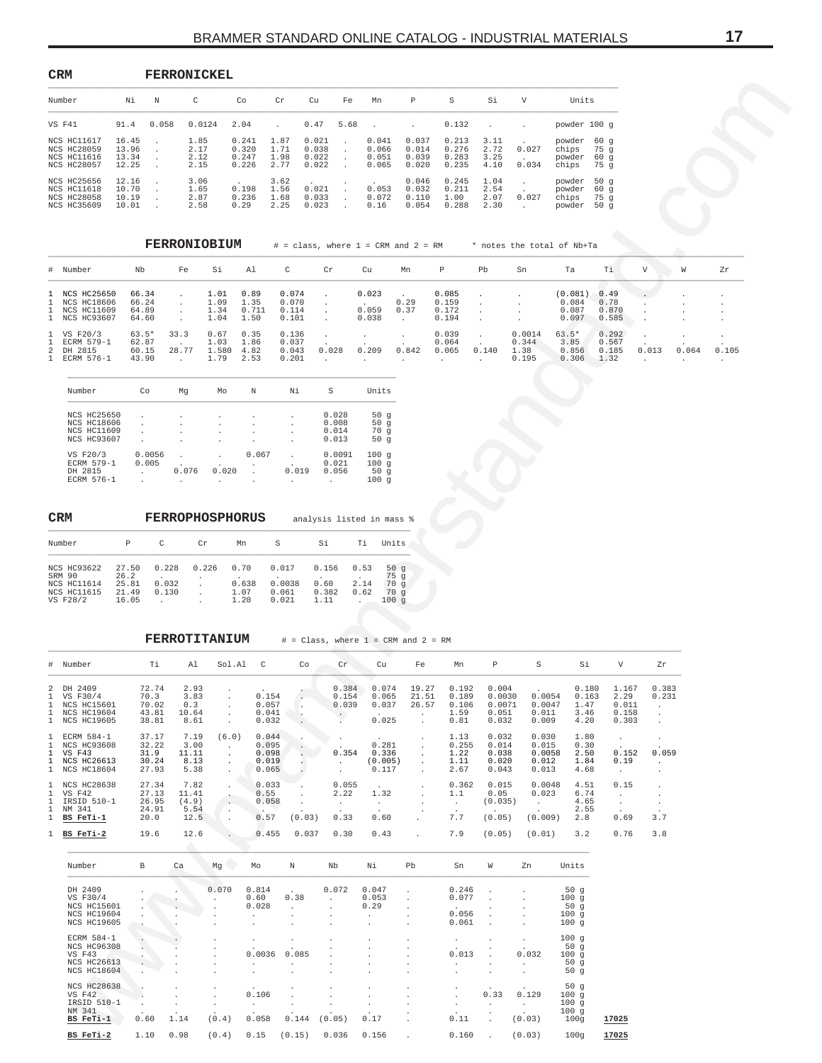<span id="page-16-0"></span>

| CRM                                                                                  |                                  |       | <b>FERRONICKEL</b>           |                                  |                              |                                  |      |                                  |                                  |                                  |                              |                |                                     |                                      |
|--------------------------------------------------------------------------------------|----------------------------------|-------|------------------------------|----------------------------------|------------------------------|----------------------------------|------|----------------------------------|----------------------------------|----------------------------------|------------------------------|----------------|-------------------------------------|--------------------------------------|
| Number                                                                               | Νi                               | N     | C                            | Co                               | Cr                           | Cu                               | Fe   | Mn                               | P                                | S                                | Si                           | V              | Units                               |                                      |
| VS F41                                                                               | 91.4                             | 0.058 | 0.0124                       | 2.04                             |                              | 0.47                             | 5.68 | $\sim$                           | $\mathbf{r}$                     | 0.132                            | $\ddot{\phantom{a}}$         |                | powder 100 g                        |                                      |
| <b>NCS HC11617</b><br><b>NCS HC28059</b><br><b>NCS HC11616</b><br><b>NCS HC28057</b> | 16.45<br>13.96<br>13.34<br>12.25 |       | 1.85<br>2.17<br>2.12<br>2.15 | 0.241<br>0.320<br>0.247<br>0.226 | 1.87<br>1.71<br>1.98<br>2.77 | 0.021<br>0.038<br>0.022<br>0.022 |      | 0.041<br>0.066<br>0.051<br>0.065 | 0.037<br>0.014<br>0.039<br>0.020 | 0.213<br>0.276<br>0.283<br>0.235 | 3.11<br>2.72<br>3.25<br>4.10 | 0.027<br>0.034 | powder<br>chips<br>powder<br>chips  | 60 <sub>q</sub><br>75a<br>60q<br>75a |
| <b>NCS HC25656</b><br>NCS HC11618<br><b>NCS HC28058</b><br><b>NCS HC35609</b>        | 12.16<br>10.70<br>10.19<br>10.01 |       | 3.06<br>1.65<br>2.87<br>2.58 | 0.198<br>0.236<br>0.29           | 3.62<br>1.56<br>1.68<br>2.25 | 0.021<br>0.033<br>0.023          |      | 0.053<br>0.072<br>0.16           | 0.046<br>0.032<br>0.110<br>0.054 | 0.245<br>0.211<br>1.00<br>0.288  | 1.04<br>2.54<br>2.07<br>2.30 | 0.027          | powder<br>powder<br>chips<br>powder | 50q<br>60 <sub>q</sub><br>75q<br>50q |

|                                                                  |                                    | <b>FERRONIOBIUM</b>     |                               |                               | $\#$ = class, where 1 = CRM and 2 = RM |       |                         |              |                                  |       |                                  | * notes the total of Nb+Ta         |                                 |        |       |         |
|------------------------------------------------------------------|------------------------------------|-------------------------|-------------------------------|-------------------------------|----------------------------------------|-------|-------------------------|--------------|----------------------------------|-------|----------------------------------|------------------------------------|---------------------------------|--------|-------|---------|
| # Number                                                         | Nb                                 | Fe                      | Si                            | Al                            | C                                      | Cr    | Cu                      | Mn           | Р                                | Pb    | Sn                               | Ta                                 | Τi                              | V      | W     | Zr      |
| 1 NCS HC25650<br>1 NCS HC18606<br>1 NCS HC11609<br>1 NCS HC93607 | 66.34<br>66.24<br>64.89<br>64.60   |                         | 1.01<br>1.09<br>1.34<br>1.04  | 0.89<br>1.35<br>0.711<br>1.50 | 0.074<br>0.070<br>0.114<br>0.101       |       | 0.023<br>0.059<br>0.038 | 0.29<br>0.37 | 0.085<br>0.159<br>0.172<br>0.194 |       |                                  | (0.081)<br>0.084<br>0.087<br>0.097 | 0.49<br>0.78<br>0.870<br>0.585  | $\sim$ |       | $\cdot$ |
| 1 VS F20/3<br>1 ECRM 579-1<br>2 DH 2815<br>1 ECRM 576-1          | $63.5*$<br>62.87<br>60.15<br>43.90 | 33.3<br>28.77<br>$\sim$ | 0.67<br>1.03<br>1.580<br>1.79 | 0.35<br>1.86<br>4.82<br>2.53  | 0.136<br>0.037<br>0.043<br>0.201       | 0.028 | 0.209                   | 0.842        | 0.039<br>0.064<br>0.065          | 0.140 | 0.0014<br>0.344<br>1.38<br>0.195 | $63.5*$<br>3.85<br>0.856<br>0.306  | 0.292<br>0.567<br>0.185<br>1.32 | 0.013  | 0.064 | 0.105   |

| Number             | Сo     | Mq             | Mo                   | N     | Νi    | S      | Units  |
|--------------------|--------|----------------|----------------------|-------|-------|--------|--------|
| <b>NCS HC25650</b> |        |                |                      |       |       | 0.028  |        |
|                    |        |                | $\ddot{\phantom{a}}$ |       |       |        | 50 $g$ |
| <b>NCS HC18606</b> |        |                | ٠                    |       |       | 0.008  | 50q    |
| <b>NCS HC11609</b> |        |                | $\blacksquare$       |       |       | 0.014  | 70q    |
| <b>NCS HC93607</b> |        | $\blacksquare$ | $\blacksquare$       |       |       | 0.013  | 50g    |
| VS F20/3           | 0.0056 |                |                      | 0.067 |       | 0.0091 | 100q   |
| ECRM 579-1         | 0.005  |                | ٠                    | ٠     |       | 0.021  | 100g   |
| DH 2815            |        | 0.076          | 0.020                |       | 0.019 | 0.056  | 50g    |
| ECRM 576-1         |        | ٠              | ٠                    | ٠     | ٠     | ٠      | 100q   |

| <b>CRM</b>                                                             |                                          |                         |            | <b>FERROPHOSPHORUS</b>        |                                   |                                |                      | analysis listed in mass %            |
|------------------------------------------------------------------------|------------------------------------------|-------------------------|------------|-------------------------------|-----------------------------------|--------------------------------|----------------------|--------------------------------------|
| Number                                                                 | P                                        | C                       | Cr         | Mn                            | S                                 | Si                             | Τi                   | Units                                |
| <b>NCS HC93622</b><br>SRM 90<br>NCS HC11614<br>NCS HC11615<br>VS F28/2 | 27.50<br>26.2<br>25.81<br>21.49<br>16.05 | 0.228<br>0.032<br>0.130 | 0.226<br>٠ | 0.70<br>0.638<br>1.07<br>1.20 | 0.017<br>0.0038<br>0.061<br>0.021 | 0.156<br>0.60<br>0.382<br>1.11 | 0.53<br>2.14<br>0.62 | 50 $q$<br>75q<br>70q<br>70q<br>100 q |

| Number                                                                                                                               | Νi                               | N                                        | C                                               |                                                     | Co                                           | Cr                                                                 | Cu                                                                           | Fe                                                      | Mn                                                | $\mathbb P$                                              | S                                                | Si                                              | V                                             | Units                                                          |                                          |                                                 |                         |                               |
|--------------------------------------------------------------------------------------------------------------------------------------|----------------------------------|------------------------------------------|-------------------------------------------------|-----------------------------------------------------|----------------------------------------------|--------------------------------------------------------------------|------------------------------------------------------------------------------|---------------------------------------------------------|---------------------------------------------------|----------------------------------------------------------|--------------------------------------------------|-------------------------------------------------|-----------------------------------------------|----------------------------------------------------------------|------------------------------------------|-------------------------------------------------|-------------------------|-------------------------------|
| VS F41                                                                                                                               | 91.4                             | 0.058                                    | 0.0124                                          |                                                     | 2.04                                         |                                                                    | 0.47                                                                         | 5.68                                                    |                                                   | $\cdot$                                                  | 0.132                                            | $\cdot$                                         |                                               | powder 100 g                                                   |                                          |                                                 |                         |                               |
| NCS HC11617<br><b>NCS HC28059</b><br>NCS HC11616<br><b>NCS HC28057</b>                                                               | 16.45<br>13.96<br>13.34<br>12.25 | $\cdot$<br>$\cdot$<br>$\cdot$<br>$\cdot$ | 1.85<br>2.17<br>2.12<br>2.15                    |                                                     | 0.241<br>0.320<br>0.247<br>0.226             | 1.87<br>1.71<br>1.98<br>2.77                                       | 0.021<br>0.038<br>0.022<br>0.022                                             | $\cdot$<br>$\cdot$<br>$\cdot$                           | 0.041<br>0.066<br>0.051<br>0.065                  | 0.037<br>0.014<br>0.039<br>0.020                         | 0.213<br>0.276<br>0.283<br>0.235                 | 3.11<br>2.72<br>3.25<br>4.10                    | 0.027<br>$\ddot{\phantom{a}}$<br>0.034        | powder 60 g<br>chips<br>powder 60 g<br>chips                   | 75 g<br>75 g                             |                                                 |                         |                               |
| NCS HC25656<br>NCS HC11618<br><b>NCS HC28058</b><br>NCS HC35609                                                                      | 12.16<br>10.70<br>10.19<br>10.01 | $\cdot$<br>$\cdot$<br>$\cdot$            | 3.06<br>1.65<br>2.87<br>2.58                    |                                                     | 0.198<br>0.236<br>0.29                       | 3.62<br>1.56<br>1.68<br>2.25                                       | 0.021<br>0.033<br>0.023                                                      | $\cdot$<br>$\cdot$<br>$\cdot$                           | 0.053<br>0.072<br>0.16                            | 0.046<br>0.032<br>0.110<br>0.054                         | 0.245<br>0.211<br>1.00<br>0.288                  | 1.04<br>2.54<br>2.07<br>2.30                    | $\sim$<br>0.027<br>$\sim$                     | powder<br>powder<br>chips<br>powder 50 g                       | 50g<br>60 g<br>75 g                      |                                                 |                         |                               |
|                                                                                                                                      |                                  |                                          |                                                 | <b>FERRONIOBIUM</b>                                 |                                              |                                                                    |                                                                              |                                                         |                                                   |                                                          |                                                  |                                                 |                                               | # = class, where 1 = CRM and 2 = RM * notes the total of Nb+Ta |                                          |                                                 |                         |                               |
| # Number                                                                                                                             |                                  | Nb                                       | Fe                                              | Si                                                  | Al                                           | C                                                                  | Cr                                                                           |                                                         | Cu                                                | Mn                                                       | $\, {\mathbb P}$                                 | Pb                                              | Sn                                            | Ta                                                             | Тi                                       | V                                               | W                       | Zr                            |
| NCS HC25650<br>$\mathbf{1}$<br>NCS HC18606<br>1<br>NCS HC11609<br>$\mathbf{1}$<br>NCS HC93607<br>$\mathbf{1}$                        |                                  | 66.34<br>66.24<br>64.89<br>64.60         | $\cdot$<br>$\cdot$<br>$\cdot$                   | 1.01<br>1.09<br>1.34<br>1.04                        | 0.89<br>1.35<br>0.711<br>1.50                | 0.074<br>0.070<br>0.114<br>0.101                                   | $\cdot$                                                                      |                                                         | 0.023<br>0.059<br>0.038                           | 0.29<br>0.37                                             | 0.085<br>0.159<br>0.172<br>0.194                 | $\cdot$<br>$\cdot$                              |                                               | (0.081)<br>0.084<br>0.087<br>0.097                             | 0.49<br>0.78<br>0.870<br>0.585           |                                                 |                         |                               |
| 1<br>VS F20/3<br>ECRM 579-1<br>1<br>2<br>DH 2815<br>ECRM 576-1<br>1                                                                  |                                  | 63.5*<br>62.87<br>60.15<br>43.90         | 33.3<br>$\ddot{\phantom{1}}$<br>28.77<br>$\sim$ | 0.67<br>1.03<br>1.580<br>1.79                       | 0.35<br>1.86<br>4.82<br>2.53                 | 0.136<br>0.037<br>0.043<br>0.201                                   | $\cdot$<br>0.028<br>$\cdot$                                                  |                                                         | 0.209<br>$\sim$                                   | 0.842<br>$\cdot$                                         | 0.039<br>0.064<br>0.065<br>$\sim$                | 0.140<br>$\cdot$                                | 0.0014<br>0.344<br>1.38<br>0.195              | $63.5*$<br>3.85<br>0.856<br>0.306                              | 0.292<br>0.567<br>0.185<br>1.32          | 0.013<br>$\ddot{\phantom{a}}$                   | 0.064<br>$\blacksquare$ | 0.105<br>$\ddot{\phantom{a}}$ |
| Number                                                                                                                               |                                  | Co                                       | Mg                                              | Mo                                                  | $\, {\rm N}$                                 | Νi                                                                 | $\rm S$                                                                      |                                                         | Units                                             |                                                          |                                                  |                                                 |                                               |                                                                |                                          |                                                 |                         |                               |
| NCS HC25650<br>NCS HC18606<br>NCS HC11609<br>NCS HC93607                                                                             |                                  | $\cdot$                                  |                                                 |                                                     |                                              |                                                                    | 0.028<br>0.008<br>0.014<br>0.013                                             |                                                         | 50 <sub>g</sub><br>50g<br>70 g<br>50 <sub>g</sub> |                                                          |                                                  |                                                 |                                               |                                                                |                                          |                                                 |                         |                               |
| VS F20/3<br>ECRM 579-1<br>DH 2815                                                                                                    |                                  | 0.0056<br>0.005<br>$\sim$                | 0.076                                           | 0.020                                               | 0.067                                        | 0.019                                                              | 0.0091<br>0.021<br>0.056                                                     |                                                         | 100 <sub>g</sub><br>100 <sub>g</sub><br>50g       |                                                          |                                                  |                                                 |                                               |                                                                |                                          |                                                 |                         |                               |
| ECRM 576-1                                                                                                                           |                                  |                                          | $\cdot$                                         | $\ddot{\phantom{1}}$                                |                                              |                                                                    | $\cdot$                                                                      |                                                         | 100 <sub>g</sub>                                  |                                                          |                                                  |                                                 |                                               |                                                                |                                          |                                                 |                         |                               |
|                                                                                                                                      |                                  |                                          |                                                 |                                                     |                                              |                                                                    |                                                                              |                                                         |                                                   |                                                          |                                                  |                                                 |                                               |                                                                |                                          |                                                 |                         |                               |
| CRM                                                                                                                                  |                                  |                                          |                                                 | <b>FERROPHOSPHORUS</b>                              |                                              |                                                                    |                                                                              |                                                         | analysis listed in mass %                         |                                                          |                                                  |                                                 |                                               |                                                                |                                          |                                                 |                         |                               |
|                                                                                                                                      | $\mathbb P$<br>27.50<br>26.2     | C<br>0.228                               | Cr<br>$\cdot$                                   | 0.226                                               | $\rm S$<br>Mn<br>0.70                        | 0.017                                                              | Si<br>0.156                                                                  | 0.53                                                    | Units<br>Тi                                       | 50g<br>75 g                                              |                                                  |                                                 |                                               |                                                                |                                          |                                                 |                         |                               |
|                                                                                                                                      | 25.81<br>21.49<br>16.05          | 0.032<br>0.130<br>$\sim$                 | $\cdot$<br>$\cdot$                              | 1.07<br>1.20<br>FERROTITANIUM                       | 0.638                                        | 0.0038<br>0.061<br>0.021                                           | 0.60<br>0.382<br>1.11                                                        | 2.14<br>0.62<br>$\cdot$                                 | 100g                                              | 70g<br>70 g<br>$#$ = Class, where $1$ = CRM and $2$ = RM |                                                  |                                                 |                                               |                                                                |                                          |                                                 |                         |                               |
| Number<br>NCS HC93622<br>SRM 90<br>NCS HC11614<br>NCS HC11615<br>VS F28/2<br># Number                                                |                                  | Τi                                       | Al                                              | Sol.Al                                              | C                                            | Co                                                                 |                                                                              | Cr.                                                     | Cu                                                | Fe                                                       | Mn                                               | Р                                               | $\rm S$                                       | Si                                                             | V                                        | Zr                                              |                         |                               |
| $\overline{a}$<br>DH 2409<br>VS F30/4<br>$\mathbf{1}$<br>NCS HC15601<br>$\mathbf{1}$<br>NCS HC19604<br>$\mathbf{1}$<br>1 NCS HC19605 |                                  | 72.74<br>70.3<br>70.02<br>43.81<br>38.81 | 2.93<br>3.83<br>0.3<br>10.64<br>8.61            | $\cdot$<br>$\cdot$<br>$\cdot$<br>$\cdot$<br>$\cdot$ | 0.154<br>0.057<br>0.041<br>0.032             | $\cdot$<br>$\cdot$<br>$\cdot$<br>$\cdot$                           |                                                                              | 0.384<br>0.154<br>0.039<br>$\langle \cdot \rangle$<br>÷ | 0.074<br>0.065<br>0.037<br>0.025                  | 19.27<br>21.51<br>26.57<br>$\cdot$<br>$\cdot$            | 0.192<br>0.189<br>0.106<br>1.59<br>0.81          | 0.004<br>0.0030<br>0.0071<br>0.051<br>0.032     | 0.0054<br>0.0047<br>0.011<br>0.009            | 0.180<br>0.163<br>1.47<br>3.46<br>4.20                         | 1.167<br>2.29<br>0.011<br>0.158<br>0.303 | 0.383<br>0.231<br>$\cdot$<br>$\cdot$<br>$\cdot$ |                         |                               |
| 1 ECRM 584-1<br>1 NCS HC93608<br>VS F43<br>$\mathbf{1}$<br>1 NCS HC26613<br>1 NCS HC18604                                            |                                  | 37.17<br>32.22<br>31.9<br>30.24<br>27.93 | 7.19<br>3.00<br>11.11<br>8.13<br>5.38           | (6.0)<br>$\sim$<br>$\cdot$<br>$\cdot$<br>$\cdot$    | 0.044<br>0.095<br>0.098<br>0.019<br>0.065    | $\cdot$<br>$\cdot$<br>$\cdot$<br>$\bullet$<br>$\ddot{\phantom{a}}$ | $\cdot$<br>$\sim$                                                            | 0.354<br>$\cdot$                                        | 0.281<br>0.336<br>(0.005)<br>0.117                | $\cdot$<br>$\cdot$<br>$\cdot$<br>$\cdot$<br>$\cdot$      | 1.13<br>0.255<br>1.22<br>1.11<br>2.67            | 0.032<br>0.014<br>0.038<br>0.020<br>0.043       | 0.030<br>0.015<br>0.0058<br>0.012<br>0.013    | 1.80<br>0.30<br>2.50<br>1.84<br>4.68                           | $\sim$<br>0.152<br>0.19<br>$\sim$        | $\cdot$<br>0.059<br>$\cdot$<br>$\cdot$          |                         |                               |
| 1 NCS HC28638<br>1 VS F42<br>IRSID 510-1<br>$\mathbf{1}$<br>$\mathbf{1}$<br>NM 341<br>BS FeTi-1<br>$\mathbf{1}$                      |                                  | 27.34<br>27.13<br>26.95<br>24.91<br>20.0 | 7.82<br>11.41<br>(4.9)<br>5.54<br>12.5          | $\cdot$<br>$\cdot$<br>$\sim$<br>$\sim$<br>$\cdot$   | 0.033<br>0.55<br>0.058<br>0.57               | $\cdot$<br>$\cdot$<br>$\cdot$<br>(0.03)                            |                                                                              | 0.055<br>2.22<br>$\sim$<br>0.33                         | 1.32<br>$\sim$<br>0.60                            | $\cdot$<br>$\cdot$<br>$\cdot$                            | 0.362<br>1.1<br>$\sim$<br>7.7                    | 0.015<br>0.05<br>(0.035)<br>(0.05)              | 0.0048<br>0.023<br>$\sim 10^{-11}$<br>(0.009) | 4.51<br>6.74<br>4.65<br>2.55<br>2.8                            | 0.15<br>$\sim$<br>$\sim$<br>0.69         | $\cdot$<br>$\cdot$<br>$\cdot$<br>3.7            |                         |                               |
| $\mathbf{1}$<br>BS FeTi-2                                                                                                            |                                  | 19.6                                     | 12.6                                            | $\sim$                                              | 0.455                                        | 0.037                                                              |                                                                              | 0.30                                                    | 0.43                                              |                                                          | 7.9                                              | (0.05)                                          | (0.01)                                        | 3.2                                                            | 0.76                                     | 3.8                                             |                         |                               |
| Number                                                                                                                               |                                  | $\mathbf{B}$                             | Ca                                              | Mg                                                  | Mo                                           | $\mathbb N$                                                        | Nb                                                                           |                                                         | Νi                                                | Pb                                                       | Sn                                               | W                                               | Zn                                            | Units                                                          |                                          |                                                 |                         |                               |
| DH 2409<br>VS F30/4<br>NCS HC15601<br>NCS HC19604                                                                                    |                                  | $\cdot$<br>$\cdot$                       | ÷.<br>$\cdot$                                   | 0.070<br>$\cdot$                                    | 0.814<br>0.60<br>0.028<br>$\cdot$<br>$\cdot$ | 0.38<br>$\sim$<br>$\cdot$                                          | 0.072<br>$\cdot$<br>$\ddot{\phantom{0}}$<br>$\ddot{\phantom{0}}$<br>$\cdot$  |                                                         | 0.047<br>0.053<br>0.29<br>$\cdot$<br>$\cdot$      | $\cdot$<br>$\cdot$<br>$\cdot$<br>$\cdot$<br>$\cdot$      | 0.246<br>0.077<br>0.056<br>0.061                 | $\cdot$<br>$\cdot$<br>$\cdot$                   | $\cdot$                                       | 50g<br>100g<br>50g<br>100g                                     |                                          |                                                 |                         |                               |
| NCS HC19605<br>ECRM 584-1<br>NCS HC96308<br>VS F43<br><b>NCS HC26613</b>                                                             |                                  | $\cdot$<br>$\cdot$<br>$\mathbf{a}_1$     | $\ddot{\phantom{0}}$                            |                                                     | $\cdot$<br>0.0036<br>$\cdot$                 | $\cdot$<br>0.085<br>$\cdot$                                        | $\cdot$<br>$\cdot$<br>$\cdot$                                                |                                                         |                                                   | $\cdot$<br>$\cdot$<br>$\cdot$<br>$\cdot$                 | $\cdot$<br>0.013<br>$\cdot$                      | $\cdot$                                         | $\cdot$<br>0.032<br>$\cdot$                   | 100g<br>100g<br>50g<br>100g<br>50g                             |                                          |                                                 |                         |                               |
| NCS HC18604<br><b>NCS HC28638</b><br>VS F42<br>IRSID 510-1<br>NM 341<br>BS FeTi-1                                                    |                                  | $\cdot$<br>0.60                          | 1.14                                            | (0.4)                                               | $\cdot$<br>0.106<br>$\cdot$<br>0.058         | $\cdot$<br>$\cdot$<br>0.144                                        | $\ddot{\phantom{a}}$<br>$\ddot{\phantom{0}}$<br>$\cdot$<br>$\cdot$<br>(0.05) |                                                         | $\cdot$<br>0.17                                   | $\cdot$<br>$\cdot$<br>$\cdot$                            | $\cdot$<br>$\cdot$<br>$\cdot$<br>$\cdot$<br>0.11 | $\cdot$<br>0.33<br>$\sim$<br>$\cdot$<br>$\cdot$ | $\cdot$<br>0.129<br>$\sim$<br>(0.03)          | 50 <sub>g</sub><br>50g<br>100g<br>100g<br>100g<br>100g         | 17025                                    |                                                 |                         |                               |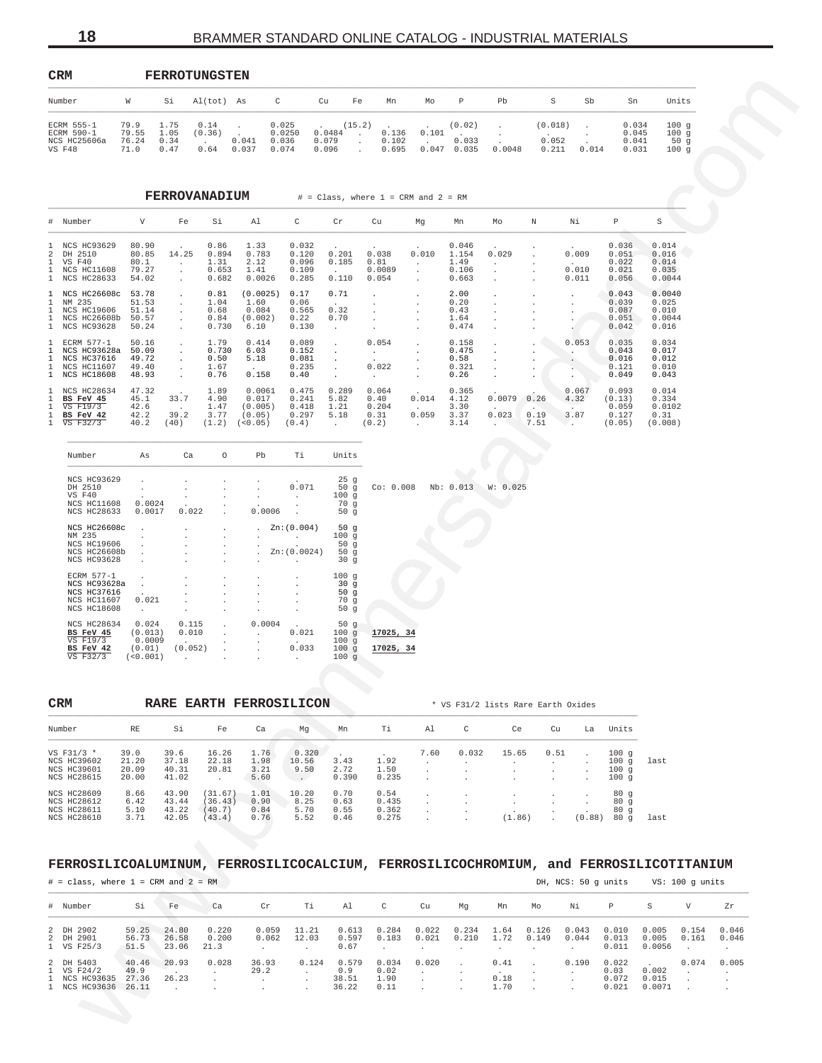| CRM                                                |                                |                              | <b>FERROTUNGSTEN</b>   |                |                                   |                          |                  |                         |                |                          |        |                           |       |                                  |                                |
|----------------------------------------------------|--------------------------------|------------------------------|------------------------|----------------|-----------------------------------|--------------------------|------------------|-------------------------|----------------|--------------------------|--------|---------------------------|-------|----------------------------------|--------------------------------|
| Number                                             | w                              | Si                           | Al(tot) As             |                | C                                 | Cu                       | Fe               | Mn                      | Mo             | P                        | Pb     | s                         | Sb    | Sn                               | Units                          |
| ECRM 555-1<br>ECRM 590-1<br>NCS HC25606a<br>VS F48 | 79.9<br>79.55<br>76.24<br>71.0 | 1.75<br>1.05<br>0.34<br>0.47 | 0.14<br>(0.36)<br>0.64 | 0.041<br>0.037 | 0.025<br>0.0250<br>0.036<br>0.074 | 0.0484<br>0.079<br>0.096 | (15.2)<br>$\sim$ | 0.136<br>0.102<br>0.695 | 0.101<br>0.047 | (0.02)<br>0.033<br>0.035 | 0.0048 | (0.018)<br>0.052<br>0.211 | 0.014 | 0.034<br>0.045<br>0.041<br>0.031 | 100q<br>100q<br>50 $g$<br>100q |

|                   | ⊾∽⊾                                                                                        |                                                            | r crwo i ungo i en                                                                                                                                                                                                                                                                                                                                                                                                                                                                                                                                                                 |                                              |                                                                      |                                                                                         |                                                                                                                |                                                                                                               |                                                                          |                                                  |                                                                                                         |                          |                                                             |                                                         |                                             |                             |        |
|-------------------|--------------------------------------------------------------------------------------------|------------------------------------------------------------|------------------------------------------------------------------------------------------------------------------------------------------------------------------------------------------------------------------------------------------------------------------------------------------------------------------------------------------------------------------------------------------------------------------------------------------------------------------------------------------------------------------------------------------------------------------------------------|----------------------------------------------|----------------------------------------------------------------------|-----------------------------------------------------------------------------------------|----------------------------------------------------------------------------------------------------------------|---------------------------------------------------------------------------------------------------------------|--------------------------------------------------------------------------|--------------------------------------------------|---------------------------------------------------------------------------------------------------------|--------------------------|-------------------------------------------------------------|---------------------------------------------------------|---------------------------------------------|-----------------------------|--------|
| Number            |                                                                                            | W                                                          |                                                                                                                                                                                                                                                                                                                                                                                                                                                                                                                                                                                    | Si Al(tot) As                                | $\mathbb C$                                                          | Cu                                                                                      | Fe                                                                                                             | Mn                                                                                                            | Mo                                                                       | $\mathbb{P}$                                     | Pb                                                                                                      | S                        | Sb                                                          | Sn                                                      |                                             | Units                       |        |
|                   | ECRM 555-1<br>ECRM 590-1<br>NCS HC25606a<br>VS F48                                         | 79.9 1.75<br>79.55 1.05 (0.36).<br>76.24 0.34<br>71.0 0.47 |                                                                                                                                                                                                                                                                                                                                                                                                                                                                                                                                                                                    | 0.14                                         | <b>Contractor</b><br>$0.041$ 0.036<br>$0.64$ 0.037 0.074             | 0.025<br>$0.0250$ $0.0484$ .                                                            | (15.2)<br>$0.079$ .<br>0.096<br>$\sim 100$                                                                     | 0.102<br>0.695                                                                                                | $0.136$ $0.101$ .                                                        | (0.02)<br>0.033                                  | $\mathbf{A}$ and $\mathbf{A}$<br>$\mathcal{A}^{\text{max}}$                                             | (0.018)<br>0.052         | $\frac{1}{2}$ .<br>$0.047$ $0.035$ $0.0048$ $0.211$ $0.014$ | 0.034<br>0.045<br>0.041<br>0.031                        |                                             | 100g<br>100g<br>50g<br>100g |        |
|                   |                                                                                            |                                                            |                                                                                                                                                                                                                                                                                                                                                                                                                                                                                                                                                                                    |                                              |                                                                      |                                                                                         |                                                                                                                |                                                                                                               |                                                                          |                                                  |                                                                                                         |                          |                                                             |                                                         |                                             |                             |        |
|                   |                                                                                            |                                                            |                                                                                                                                                                                                                                                                                                                                                                                                                                                                                                                                                                                    |                                              |                                                                      |                                                                                         |                                                                                                                | FERROVANADIUM $#$ = Class, where 1 = CRM and 2 = RM                                                           |                                                                          |                                                  |                                                                                                         |                          |                                                             |                                                         |                                             |                             |        |
|                   | # Number                                                                                   | $V$ and $V$                                                | Fe                                                                                                                                                                                                                                                                                                                                                                                                                                                                                                                                                                                 | Si                                           | Al                                                                   | $\mathbb{C}$                                                                            | Cr                                                                                                             | Cu                                                                                                            | Mg                                                                       | Mn                                               | Mo                                                                                                      | N                        | Νi                                                          | P                                                       | S                                           |                             |        |
|                   | 1 NCS HC93629 80.90<br>2 DH 2510<br>1 VS F40<br>1 NCS HC11608<br>1 NCS HC28633             | 80.1<br>79.27<br>54.02                                     | 80.85 14.25<br>$\sim 1000$ km s $^{-1}$<br>$\sim 100$ km s $^{-1}$<br><b>Contractor</b>                                                                                                                                                                                                                                                                                                                                                                                                                                                                                            | 0.86<br>1.31<br>0.653<br>0.682               | 1.33<br>$0.894$ 0.783<br>2.12<br>1.41<br>0.0026                      | 0.032<br>0.120<br>0.096<br>0.109<br>0.285                                               | 0.201<br>0.185<br>$\sim 10^{-11}$<br>0.110                                                                     | 0.038<br>0.81<br>0.0089<br>0.054                                                                              | 0.010<br><b>Contractor</b><br>$\sim 100$ km s $^{-1}$<br><b>Contract</b> | 0.046<br>1.154<br>1.49<br>0.106<br>0.663         | 0.029<br><b>Carl Corp.</b><br>$\sim 10^{-11}$<br><b>Contract</b>                                        | $\sim$ $\sim$            | 0.009<br><b>Contract Contract</b><br>0.010<br>0.011         | 0.036<br>0.051<br>0.022<br>0.021<br>0.056               | 0.014<br>0.016<br>0.014<br>0.035<br>0.0044  |                             |        |
|                   | 1 NCS HC26608c 53.78<br>1 NM 235<br>1 NCS HC19606<br>1 NCS HC26608b 50.57<br>1 NCS HC93628 | 51.53<br>51.14<br>50.24                                    | $\mathcal{L}^{\mathcal{L}}(\mathcal{L}^{\mathcal{L}}(\mathcal{L}^{\mathcal{L}}(\mathcal{L}^{\mathcal{L}}(\mathcal{L}^{\mathcal{L}}(\mathcal{L}^{\mathcal{L}}(\mathcal{L}^{\mathcal{L}}(\mathcal{L}^{\mathcal{L}}(\mathcal{L}^{\mathcal{L}}(\mathcal{L}^{\mathcal{L}}(\mathcal{L}^{\mathcal{L}}(\mathcal{L}^{\mathcal{L}}(\mathcal{L}^{\mathcal{L}}(\mathcal{L}^{\mathcal{L}}(\mathcal{L}^{\mathcal{L}}(\mathcal{L}^{\mathcal{L}}(\mathcal{L}^{\mathcal{L$<br>$\mathcal{L}^{\mathcal{L}}(\mathcal{A})$ .<br>$\sim 100$ km s $^{-1}$<br>$\sim 100$ km s $^{-1}$<br><b>Contractor</b> | 0.81<br>1.04<br>0.68                         | $(0.0025)$ 0.17<br>1.60<br>0.084<br>$0.84$ (0.002)<br>$0.730$ $6.10$ | 0.06<br>$0.565$ 0.32<br>0.22<br>0.130                                                   | 0.71<br><b>Contractor</b><br>0.70<br><b>Contract</b>                                                           | <b>Contract Contract</b><br>$\sim 10^{-11}$<br>$\sim$ $\sim$<br><b>Contractor</b><br><b>Contract Contract</b> | $\sim$ $-$                                                               | 2.00<br>0.20<br>0.43<br>1.64<br>0.474            | $\sim$ $\sim$<br><b>Contractor</b><br><b>Contractor</b><br>$\sim 100$<br>$\sim 100$                     |                          |                                                             | 0.043<br>0.039<br>0.087<br>0.051<br>0.042               | 0.0040<br>0.025<br>0.010<br>0.0044<br>0.016 |                             |        |
|                   | 1 ECRM 577-1<br>1 NCS HC93628a 50.09<br>1 NCS HC37616<br>1 NCS HC11607<br>1 NCS HC18608    | 50.16<br>49.72<br>49.40<br>48.93                           | <b>Contractor</b><br>$\sim 100$ km s $^{-1}$<br>$\sim 100$ km s $^{-1}$<br>$\sim 100$ km $^{-1}$<br><b>Contractor</b>                                                                                                                                                                                                                                                                                                                                                                                                                                                              | 1.79<br>0.50<br>1.67<br>0.76                 | 0.414<br>$0.730$ 6.03<br>5.18<br>$\sim 10^{-10}$<br>0.158            | 0.089<br>0.152<br>0.081<br>$0.235$ .<br>0.40                                            | $\sim 10^{-10}$<br>$\sim 100$ km s $^{-1}$<br>$\sim 100$<br>$\sim 100$ km s $^{-1}$                            | 0.054<br><b>Contractor</b><br>0.022<br><b>Contract Contract</b>                                               | <b>Contractor</b><br><b>Contractor</b><br><b>Contract Contract</b>       | 0.158<br>0.475<br>0.58<br>$0.321$ .<br>$0.26$ .  | <b>Contractor</b><br><b>Contract</b><br>$\sim 100$                                                      | $\sim 100$               | 0.053<br><b>Contract Contract</b>                           | 0.035<br>0.043<br>0.016<br>0.121<br>0.049               | 0.034<br>0.017<br>0.012<br>0.010<br>0.043   |                             |        |
| 1<br>$\mathbf{1}$ | 1 NCS HC28634<br>BS FeV 45<br>1 VS F19/3<br>BS FeV 42<br>1 VS F32/3                        | 47.32<br>42.6<br>42.2 39.2                                 | 45.1 33.7<br>$\sim 100$<br>40.2 (40)                                                                                                                                                                                                                                                                                                                                                                                                                                                                                                                                               | 1.89<br>4.90<br>1.47<br>3.77                 | 0.0061<br>0.017<br>(0.005)<br>(0.05)<br>$(1.2)$ $(0.05)$             | (0.4)                                                                                   | $0.475$ 0.289 0.064<br>$0.241$ 5.82<br>$0.418$ 1.21<br><b>Contractor</b>                                       | 0.40<br>0.204<br>$0.297$ 5.18 0.31<br>$(0.2)$ .                                                               | $0.014$ 4.12<br>$\sim 10^{10}$ km $^{-1}$<br>$0.059$ 3.37                | 0.365<br>3.30<br>3.14                            | $0.0079$ 0.26<br><b>Contract Contract Contract</b><br>$0.023$ 0.19<br><b>Contract Contract Contract</b> | 7.51                     | 0.067<br>4.32<br>3.87<br>March 19                           | 0.093<br>(0.13)<br>0.059<br>0.127<br>$(0.05)$ $(0.008)$ | 0.014<br>0.334<br>0.0102<br>0.31            |                             |        |
|                   | Number                                                                                     | As                                                         | Ca                                                                                                                                                                                                                                                                                                                                                                                                                                                                                                                                                                                 | $\circ$                                      | Pb                                                                   | Ti Ti                                                                                   | Units                                                                                                          |                                                                                                               |                                                                          |                                                  |                                                                                                         |                          |                                                             |                                                         |                                             |                             |        |
|                   | NCS HC93629<br>DH 2510<br>VS F40<br>NCS HC11608<br>NCS HC28633                             | 0.0024<br>0.0017                                           | $\sim$<br>0.022                                                                                                                                                                                                                                                                                                                                                                                                                                                                                                                                                                    | $\sim$                                       | $\sim$<br>$\sim$<br>0.0006                                           | 0.071<br>$\sim 10^{-10}$ m $^{-1}$                                                      | 25g<br>100g<br>70 g<br>50 g                                                                                    | 50 g Co: 0.008 Nb: 0.013 W: 0.025                                                                             |                                                                          |                                                  |                                                                                                         |                          |                                                             |                                                         |                                             |                             |        |
|                   | NCS HC26608c<br>NM 235<br>NCS HC19606<br>NCS HC26608b<br>NCS HC93628                       | $\blacksquare$<br>$\sim$<br>$\sim$ 100 $\mu$               |                                                                                                                                                                                                                                                                                                                                                                                                                                                                                                                                                                                    | $\ddot{\phantom{1}}$<br>$\sim$               | $\sim$                                                               | . $Zn:(0.004)$<br>the company of the com-<br>Zn:(0.0024)<br>and the company of the com- | 50g<br>100g<br>50g<br>50g<br>30 g                                                                              |                                                                                                               |                                                                          |                                                  |                                                                                                         |                          |                                                             |                                                         |                                             |                             |        |
|                   | ECRM 577-1<br>NCS HC93628a<br>NCS HC37616<br>NCS HC11607<br>NCS HC18608                    | $\sim 10^{-11}$<br>0.021<br><b>Contractor</b>              |                                                                                                                                                                                                                                                                                                                                                                                                                                                                                                                                                                                    | $\cdot$                                      |                                                                      |                                                                                         | 100g<br>30 <sub>g</sub><br>50g<br>70 g<br>50g                                                                  |                                                                                                               |                                                                          |                                                  |                                                                                                         |                          |                                                             |                                                         |                                             |                             |        |
|                   | NCS HC28634 0.024<br>BS FeV 45<br>VS F19/3<br>BS FeV 42<br>VS F32/3                        | (0.013)<br>0.0009<br>(0.01)<br>(< 0.001)                   | 0.010<br><b>Contractor</b><br>(0.052)<br><b>Contractor</b>                                                                                                                                                                                                                                                                                                                                                                                                                                                                                                                         | $0.115$ .<br>$\sim$<br><b>Contractor</b>     | 0.0004<br>and the contract of the                                    | 0.021<br>0.033<br>$\sim$ $\sim$                                                         | 50 g<br>100g<br>100g<br>100g<br>100g                                                                           | 17025, 34<br>17025, 34                                                                                        |                                                                          |                                                  |                                                                                                         |                          |                                                             |                                                         |                                             |                             |        |
|                   |                                                                                            |                                                            |                                                                                                                                                                                                                                                                                                                                                                                                                                                                                                                                                                                    |                                              | RARE EARTH FERROSILICON                                              |                                                                                         |                                                                                                                |                                                                                                               |                                                                          |                                                  |                                                                                                         |                          |                                                             |                                                         |                                             |                             |        |
| CRM               | Number                                                                                     | RE                                                         | Si                                                                                                                                                                                                                                                                                                                                                                                                                                                                                                                                                                                 | Fe                                           | Ca                                                                   | Mg Mn                                                                                   |                                                                                                                | Ti                                                                                                            | Al -                                                                     | $\mathbb{C}$                                     | * VS F31/2 lists Rare Earth Oxides<br><b>Ce</b>                                                         |                          | Cu La Units                                                 |                                                         |                                             |                             |        |
|                   | VS F31/3 *<br>NCS HC39602<br>NCS HC39601<br>NCS HC28615                                    | 39.0<br>21.20<br>20.09<br>20.00                            | 39.6<br>37.18<br>40.31<br>41.02                                                                                                                                                                                                                                                                                                                                                                                                                                                                                                                                                    | 16.26<br>22.18<br>20.81<br><b>Contractor</b> | 1.76<br>3.21<br>5.60                                                 | $0.320$ .<br>1.98 10.56<br>9.50<br><b>Contract Contract</b>                             | 3.43<br>2.72<br>0.390                                                                                          | 1.92<br>1.50<br>0.235                                                                                         | 7.60<br><b>Contractor</b><br>$\sim$<br>$\sim 100$ km s $^{-1}$           | 0.032<br><b>Contractor</b><br>$\cdot$<br>$\cdot$ | 15.65<br><b>Contract Contract</b><br>$\ddot{\phantom{0}}$                                               | 0.51<br>$\sim$           | $\sim$<br>$\cdot$<br>$\cdot$                                | 100q<br>$100q$ last<br>100g<br>100g                     |                                             |                             |        |
|                   | NCS HC28609<br>NCS HC28612<br>NCS HC28611<br>NCS HC28610                                   | 8.66<br>5.10 43.22 (40.7)<br>3.71                          |                                                                                                                                                                                                                                                                                                                                                                                                                                                                                                                                                                                    | 43.90 (31.67)<br>42.05 (43.4)                | $6.42$ $43.44$ $(36.43)$ $0.90$ $8.25$<br>0.84<br>0.76               | 1.01 10.20<br>5.70<br>5.52                                                              | 0.70<br>0.63<br>0.55<br>0.46                                                                                   | 0.54<br>0.435<br>0.362<br>0.275                                                                               | $\sim 100$<br>$\sim 100$ km<br>$\sim 100$ km s $^{-1}$                   | $\cdot$<br>$\cdot$                               | $\sim$<br>$\sim 100$ km s $^{-1}$<br>(1.86)                                                             | $\sim$<br>$\sim$ $-$     | $\blacksquare$<br>$\cdot$                                   | 80g<br>80g<br>80g<br>$(0.88)$ 80 g last                 |                                             |                             |        |
|                   | FERROSILICOALUMINUM, FERROSILICOCALCIUM, FERROSILICOCHROMIUM, and FERROSILICOTITANIUM      |                                                            |                                                                                                                                                                                                                                                                                                                                                                                                                                                                                                                                                                                    |                                              |                                                                      |                                                                                         |                                                                                                                |                                                                                                               |                                                                          |                                                  |                                                                                                         |                          |                                                             |                                                         |                                             |                             |        |
|                   | $\#$ = class, where $1$ = CRM and $2$ = RM                                                 |                                                            |                                                                                                                                                                                                                                                                                                                                                                                                                                                                                                                                                                                    |                                              |                                                                      |                                                                                         |                                                                                                                |                                                                                                               |                                                                          |                                                  |                                                                                                         |                          | DH, NCS: 50 g units VS: 100 g units                         |                                                         |                                             |                             |        |
|                   | # Number                                                                                   | Si                                                         | Fe                                                                                                                                                                                                                                                                                                                                                                                                                                                                                                                                                                                 | <b>Ca</b>                                    | $\mathbb{C}$ r                                                       | Ti Ti                                                                                   | Al and the state of the state of the state of the state of the state of the state of the state of the state of | $\mathbb C$                                                                                                   | Cu                                                                       | Mg                                               | Mn                                                                                                      | Mo                       | Ni                                                          | P                                                       | S .                                         | $V$ and $V$                 | Zr     |
|                   | 2 DH 2902<br>2 DH 2901<br>1 VS F25/3                                                       | 59.25 24.80<br>56.73<br>51.5                               | 26.58                                                                                                                                                                                                                                                                                                                                                                                                                                                                                                                                                                              | 0.220<br>0.200<br>23.06 21.3                 | 0.062<br><b>Contractor</b>                                           | $0.059$ 11.21<br>12.03<br><b>Contractor</b>                                             | 0.67                                                                                                           | 0.613  0.284  0.022  0.234<br>$0.597$ $0.183$ $0.021$ $0.210$<br>$\sim 100$                                   | <b>Contract Contract</b>                                                 | $\sim 100$                                       | 1.72<br><b>Contract</b>                                                                                 | 0.149<br><b>Contract</b> | 1.64  0.126  0.043<br>0.044<br><b>Contractor</b>            | $0.010$ $0.005$ $0.154$ $0.046$<br>0.013<br>0.011       | $0.0056$ .                                  | $0.005$ $0.161$ $0.046$     | $\sim$ |
|                   |                                                                                            |                                                            | 40.46 20.93                                                                                                                                                                                                                                                                                                                                                                                                                                                                                                                                                                        | 0.028                                        | 36.93                                                                |                                                                                         |                                                                                                                | 0.124  0.579  0.034  0.020<br>$0.02$ .                                                                        |                                                                          | $\sim 100$ km s $^{-1}$                          | $0.41$ .                                                                                                |                          | 0.190 0.022                                                 |                                                         | 0.002                                       | $0.074$ 0.005               |        |

| Number             | As                   | Ca                       | O                    | Pb           | Τi                                | Units  |           |  |           |          |
|--------------------|----------------------|--------------------------|----------------------|--------------|-----------------------------------|--------|-----------|--|-----------|----------|
| <b>NCS HC93629</b> |                      |                          |                      |              |                                   | 25q    |           |  |           |          |
| DH 2510            |                      |                          |                      |              | 0.071                             | 50g    | Co: 0.008 |  | Nb: 0.013 | W: 0.025 |
| VS F40             |                      | ٠                        | $\mathbf{r}$         |              |                                   | 100q   |           |  |           |          |
| NCS HC11608        | 0.0024               | $\cdot$                  | ٠                    | $\sim$       |                                   | 70q    |           |  |           |          |
| <b>NCS HC28633</b> | 0.0017               | 0.022                    |                      | 0.0006       |                                   | 50q    |           |  |           |          |
| NCS HC26608c       | $\overline{a}$       | $\mathbf{r}$             | $\mathbf{r}$         |              | . $Zn:(0.004)$                    | 50q    |           |  |           |          |
| NM 235             |                      |                          |                      |              |                                   | 100q   |           |  |           |          |
| NCS HC19606        |                      |                          |                      |              | $\mathbf{r}$                      | 50q    |           |  |           |          |
| NCS HC26608b       | $\ddot{\phantom{0}}$ | $\mathbf{r}$             | $\mathbf{r}$         | $\mathbf{r}$ | Zn:(0.0024)                       | 50q    |           |  |           |          |
| <b>NCS HC93628</b> | $\cdot$              | $\mathbf{r}$             |                      |              | $\mathbf{r}$                      | 30q    |           |  |           |          |
| ECRM 577-1         |                      |                          |                      |              |                                   | 100q   |           |  |           |          |
| NCS HC93628a       | $\mathbf{r}$         |                          |                      |              |                                   | 30g    |           |  |           |          |
| <b>NCS HC37616</b> |                      |                          |                      |              |                                   | 50 $g$ |           |  |           |          |
| NCS HC11607        | 0.021                |                          |                      |              |                                   | 70q    |           |  |           |          |
| <b>NCS HC18608</b> | $\mathbf{r}$         |                          | $\ddot{\phantom{a}}$ |              |                                   | 50q    |           |  |           |          |
| NCS HC28634        | 0.024                | 0.115                    | $\mathbf{r}$         | 0.0004       | <b>Contract Contract Contract</b> | 50g    |           |  |           |          |
| BS FeV 45          | (0.013)              | 0.010                    |                      | $\sim$       | 0.021                             | 100q   | 17025, 34 |  |           |          |
| VS F19/3 0.0009    |                      | <b>Contract Contract</b> |                      | $\sim$       | <b>Contract Contract</b>          | 100q   |           |  |           |          |
| BS FeV 42          | (0.01)               | (0.052)                  |                      |              | 0.033                             | 100q   | 17025, 34 |  |           |          |
| VS F32/3           | (< 0.001)            | $\sim$                   | $\ddot{\phantom{a}}$ | $\mathbf{r}$ | $\sim$                            | 100q   |           |  |           |          |

| <b>CRM</b>         |       | <b>RARE</b> | <b>EARTH FERROSILICON</b> |      |       |       |       |      |       | * VS F31/2 lists Rare Earth Oxides |         |        |       |      |
|--------------------|-------|-------------|---------------------------|------|-------|-------|-------|------|-------|------------------------------------|---------|--------|-------|------|
| Number             | RE    | Si          | Fe                        | Ca   | Mq    | Mn    | Ti    | A1   | C     | Ce                                 | Cu      | La     | Units |      |
| VS F31/3 $*$       | 39.0  | 39.6        | 16.26                     | 1.76 | 0.320 |       |       | 7.60 | 0.032 | 15.65                              | 0.51    |        | 100q  |      |
| <b>NCS HC39602</b> | 21.20 | 37.18       | 22.18                     | 1.98 | 10.56 | 3.43  | 1.92  |      |       | $\overline{a}$                     |         |        | 100q  | last |
| <b>NCS HC39601</b> | 20.09 | 40.31       | 20.81                     | 3.21 | 9.50  | 2.72  | 1.50  |      |       | $\cdot$                            |         |        | 100q  |      |
| NCS HC28615        | 20.00 | 41.02       |                           | 5.60 |       | 0.390 | 0.235 |      |       |                                    |         |        | 100q  |      |
| <b>NCS HC28609</b> | 8.66  | 43.90       | (31.67)                   | 1.01 | 10.20 | 0.70  | 0.54  |      |       |                                    | $\cdot$ |        | 80q   |      |
| <b>NCS HC28612</b> | 6.42  | 43.44       | (36.43)                   | 0.90 | 8.25  | 0.63  | 0.435 |      |       |                                    |         |        | 80q   |      |
| NCS HC28611        | 5.10  | 43.22       | (40.7)                    | 0.84 | 5.70  | 0.55  | 0.362 |      |       |                                    |         |        | 80q   |      |
| <b>NCS HC28610</b> | 3.71  | 42.05       | 43.4)                     | 0.76 | 5.52  | 0.46  | 0.275 |      |       | (1.86)                             |         | (0.88) | 80q   | last |

# **FERROSILICOALUMINUM, FERROSILICOCALCIUM, FERROSILICOCHROMIUM, and FERROSILICOTITANIUM**

| $#$ = class, where 1 = CRM and 2 = RM                           |                        |                         |                        |                |                |                                |                               | DH, NCS: 50 q units |                |                      | VS: 100 q units |                |                                 |                          |                |                |
|-----------------------------------------------------------------|------------------------|-------------------------|------------------------|----------------|----------------|--------------------------------|-------------------------------|---------------------|----------------|----------------------|-----------------|----------------|---------------------------------|--------------------------|----------------|----------------|
| # Number                                                        | Si                     | Fe                      | Ca                     | Cr             | Тi             | Al                             | C                             | Cu                  | Mq             | Mn                   | Mo              | Νi             | P                               | S                        | V              | Zr             |
| 2 DH 2902<br>2 DH 2901<br>1 VS F25/3                            | 59.25<br>56.73<br>51.5 | 24.80<br>26.58<br>23.06 | 0.220<br>0.200<br>21.3 | 0.059<br>0.062 | 11.21<br>12.03 | 0.613<br>0.597<br>0.67         | 0.284<br>0.183                | 0.022<br>0.021      | 0.234<br>0.210 | 1.64<br>1.72         | 0.126<br>0.149  | 0.043<br>0.044 | 0.010<br>0.013<br>0.011         | 0.005<br>0.005<br>0.0056 | 0.154<br>0.161 | 0.046<br>0.046 |
| 2 DH 5403<br>1 VS F24/2<br>1 NCS HC93635<br>1 NCS HC93636 26.11 | 40.46<br>49.9<br>27.36 | 20.93<br>26.23          | 0.028                  | 36.93<br>29.2  | 0.124          | 0.579<br>0.9<br>38.51<br>36.22 | 0.034<br>0.02<br>1.90<br>0.11 | 0.020               |                | 0.41<br>0.18<br>1.70 |                 | 0.190          | 0.022<br>0.03<br>0.072<br>0.021 | 0.002<br>0.015<br>0.0071 | 0.074          | 0.005          |

<span id="page-17-0"></span>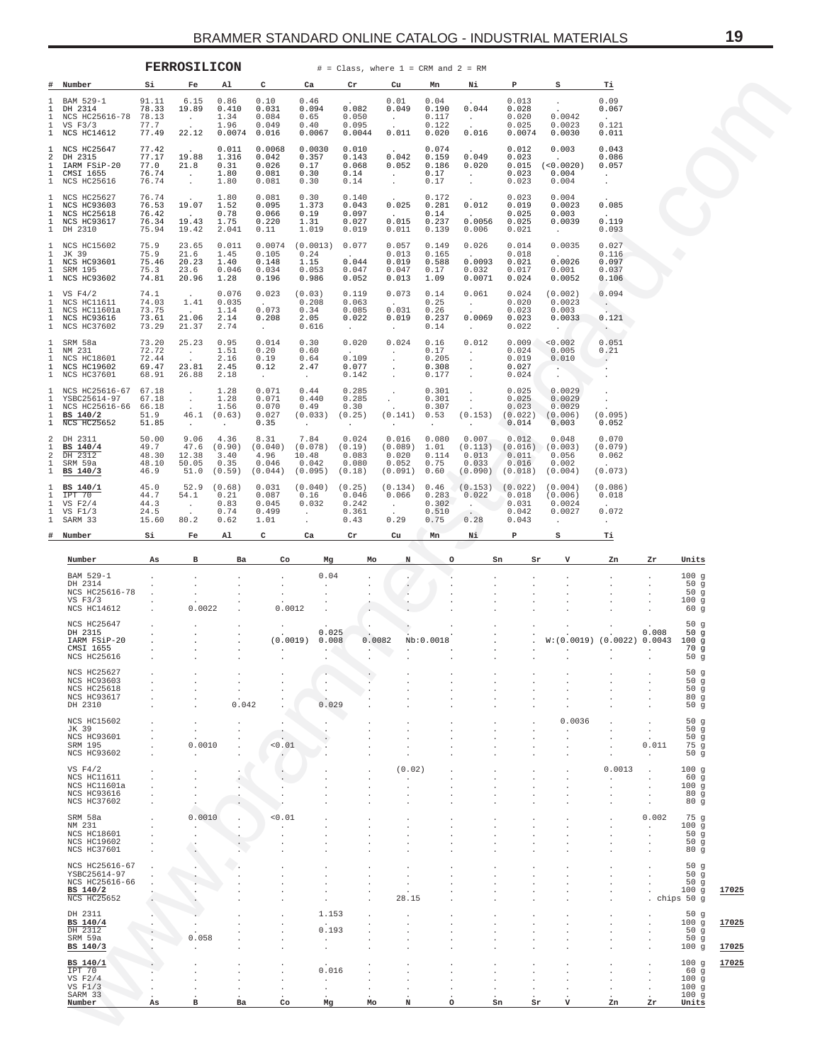<span id="page-18-0"></span>

|              |                                                                                          |                                           | <b>FERROSILICON</b>                                    |                                               |                                             |                                              |                                                | $\#$ = Class, where 1 = CRM and 2 = RM               |                                          |                                                    |                                             |                                                              |                                                                   |                               |                                              |                |
|--------------|------------------------------------------------------------------------------------------|-------------------------------------------|--------------------------------------------------------|-----------------------------------------------|---------------------------------------------|----------------------------------------------|------------------------------------------------|------------------------------------------------------|------------------------------------------|----------------------------------------------------|---------------------------------------------|--------------------------------------------------------------|-------------------------------------------------------------------|-------------------------------|----------------------------------------------|----------------|
|              | # Number                                                                                 | Si                                        | Fe                                                     | Al                                            | c                                           | Ca                                           | Cr                                             | Cu                                                   | Mn                                       | Ni                                                 | Р                                           | s                                                            | <u>ті</u>                                                         |                               |                                              |                |
| $\mathbf{1}$ | BAM 529-1<br>DH 2314<br>NCS HC25616-78<br>VS $F3/3$<br>NCS HC14612                       | 91.11<br>78.33<br>78.13<br>77.7<br>77.49  | 6.15<br>19.89<br>$\sim 100$<br>22.12                   | 0.86<br>0.410<br>1.34<br>1.96<br>0.0074       | 0.10<br>0.031<br>0.084<br>0.049<br>0.016    | 0.46<br>0.094<br>0.65<br>0.40<br>0.0067      | 0.082<br>0.050<br>0.095<br>0.0044              | 0.01<br>0.049<br>$\sim$ $-$<br>0.011                 | 0.04<br>0.190<br>0.117<br>0.122<br>0.020 | 0.044<br>$\sim$ $\sim$<br>0.016                    | 0.013<br>0.028<br>0.020<br>0.025<br>0.0074  | $\cdot$<br>0.0042<br>0.0023<br>0.0030                        | 0.09<br>0.067<br>0.121<br>0.011                                   |                               |                                              |                |
|              | NCS HC25647<br>DH 2315<br>IARM FSiP-20<br>CMSI 1655<br>NCS HC25616                       | 77.42<br>77.17<br>77.0<br>76.74<br>76.74  | $\sim$<br>19.88<br>21.8<br>$\sim$ 100 $\pm$<br>$\cdot$ | 0.011<br>1.316<br>0.31<br>1.80<br>1.80        | 0.0068<br>0.042<br>0.026<br>0.081<br>0.081  | 0.0030<br>0.357<br>0.17<br>0.30<br>0.30      | 0.010<br>0.143<br>0.068<br>0.14<br>0.14        | 0.042<br>0.052<br>$\sim$<br>$\sim$                   | 0.074<br>0.159<br>0.186<br>0.17<br>0.17  | 0.049<br>0.020<br>$\sim$<br>$\sim$                 | 0.012<br>0.023<br>0.015<br>0.023<br>0.023   | 0.003<br>(<0.0020)<br>0.004<br>0.004                         | 0.043<br>0.086<br>0.057<br>$\ddot{\phantom{a}}$<br>$\overline{a}$ |                               |                                              |                |
|              | NCS HC25627<br>NCS HC93603<br><b>NCS HC25618</b><br>NCS HC93617<br>DH 2310               | 76.74<br>76.53<br>76.42<br>76.34<br>75.94 | 19.07<br>$\sim$<br>19.43<br>19.42                      | 1.80<br>1.52<br>0.78<br>1.75<br>2.041         | 0.081<br>0.095<br>0.066<br>0.220<br>0.11    | 0.30<br>1.373<br>0.19<br>1.31<br>1.019       | 0.140<br>0.043<br>0.097<br>0.027<br>0.019      | 0.025<br>$\sim$<br>0.015<br>0.011                    | 0.172<br>0.281<br>0.14<br>0.237<br>0.139 | 0.012<br>$\sim$<br>0.0056<br>0.006                 | 0.023<br>0.019<br>0.025<br>0.025<br>0.021   | 0.004<br>0.0023<br>0.003<br>0.0039<br>$\sim$                 | 0.085<br>$\sim$<br>0.119<br>0.093                                 |                               |                                              |                |
|              | NCS HC15602<br>JK 39<br><b>NCS HC93601</b><br>SRM 195<br>NCS HC93602                     | 75.9<br>75.9<br>75.46<br>75.3<br>74.81    | 23.65<br>21.6<br>20.23<br>23.6<br>20.96                | 0.011<br>1.45<br>1.40<br>0.046<br>1.28        | 0.0074<br>0.105<br>0.148<br>0.034<br>0.196  | (0.0013)<br>0.24<br>1.15<br>0.053<br>0.986   | 0.077<br>$\sim$<br>0.044<br>0.047<br>0.052     | 0.057<br>0.013<br>0.019<br>0.047<br>0.013            | 0.149<br>0.165<br>0.588<br>0.17<br>1.09  | 0.026<br>0.0093<br>0.032<br>0.0071                 | 0.014<br>0.018<br>0.021<br>0.017<br>0.024   | 0.0035<br>0.0026<br>0.001<br>0.0052                          | 0.027<br>0.116<br>0.097<br>0.037<br>0.106                         |                               |                                              |                |
|              | VS $F4/2$<br>NCS HC11611<br>NCS HC11601a<br>NCS HC93616<br>NCS HC37602                   | 74.1<br>74.03<br>73.75<br>73.61<br>73.29  | $\overline{a}$<br>1.41<br>$\sim$<br>21.06<br>21.37     | 0.076<br>0.035<br>1.14<br>2.14<br>2.74        | 0.023<br>$\sim$<br>0.073<br>0.208<br>$\sim$ | (0.03)<br>0.208<br>0.34<br>2.05<br>0.616     | 0.119<br>0.063<br>0.085<br>0.022<br>$\sim 100$ | 0.073<br>$\sim$<br>0.031<br>0.019<br>$\sim$          | 0.14<br>0.25<br>0.26<br>0.237<br>0.14    | 0.061<br><b>Contract</b><br>0.0069<br>$\sim$ $-$   | 0.024<br>0.020<br>0.023<br>0.023<br>0.022   | (0.002)<br>0.0023<br>0.003<br>0.0033<br>$\ddot{\phantom{0}}$ | 0.094<br>$\sim$<br>0.121<br>$\cdot$                               |                               |                                              |                |
|              | SRM 58a<br>NM 231<br>NCS HC18601<br>NCS HC19602<br>NCS HC37601                           | 73.20<br>72.72<br>72.44<br>69.47<br>68.91 | 25.23<br><b>Contract</b><br>23.81<br>26.88             | 0.95<br>1.51<br>2.16<br>2.45<br>2.18          | 0.014<br>0.20<br>0.19<br>0.12<br>$\sim$     | 0.30<br>0.60<br>0.64<br>2.47<br>$\sim$       | 0.020<br>$\sim$<br>0.109<br>0.077<br>0.142     | 0.024<br>$\sim$<br>$\cdot$<br>$\cdot$<br>$\cdot$     | 0.16<br>0.17<br>0.205<br>0.308<br>0.177  | 0.012<br>$\sim$<br>$\cdot$<br>$\bullet$<br>$\cdot$ | 0.009<br>0.024<br>0.019<br>0.027<br>0.024   | < 0.002<br>0.005<br>0.010<br>$\sim$<br>$\cdot$               | 0.051<br>0.21                                                     |                               |                                              |                |
|              | NCS HC25616-67<br>YSBC25614-97<br>NCS HC25616-66<br>BS 140/2<br>NCS HC25652              | 67.18<br>67.18<br>66.18<br>51.9<br>51.85  | $\sim$<br>$\sim$<br>$\sim$                             | 1.28<br>1.28<br>1.56<br>46.1 (0.63)<br>$\sim$ | 0.071<br>0.071<br>0.070<br>0.027<br>0.35    | 0.44<br>0.440<br>0.49<br>(0.033)<br>$\sim$   | 0.285<br>0.285<br>0.30<br>(0.25)<br>$\sim$     | $\cdot$<br>$\sim$<br>(0.141) 0.53<br>$\sim 10^{-11}$ | 0.301<br>0.301<br>0.307<br>$\sim$        | $\cdot$<br>$\cdot$<br>(0.153)<br>$\sim$            | 0.025<br>0.025<br>0.023<br>(0.022)<br>0.014 | 0.0029<br>0.0029<br>0.0029<br>(0.006)<br>0.003               | (0.095)<br>0.052                                                  |                               |                                              |                |
|              | DH 2311<br>BS 140/4<br>DH 2312<br>SRM 59a<br>BS 140/3                                    | 50.00<br>49.7<br>48.30<br>48.10<br>46.9   | 9.06<br>47.6<br>12.38<br>50.05<br>51.0                 | 4.36<br>(0.90)<br>3.40<br>0.35<br>(0.59)      | 8.31<br>(0.040)<br>4.96<br>0.046<br>(0.044) | 7.84<br>(0.078)<br>10.48<br>0.042<br>(0.095) | 0.024<br>(0.19)<br>0.083<br>0.080<br>(0.18)    | 0.016<br>(0.089)<br>0.020<br>0.052<br>(0.091)        | 0.080<br>1.01<br>0.114<br>0.75<br>0.60   | 0.007<br>(0.113)<br>0.013<br>0.033<br>(0.090)      | 0.012<br>0.011<br>0.016<br>(0.018)          | 0.048<br>$(0.016)$ $(0.003)$<br>0.056<br>0.002<br>(0.004)    | 0.070<br>(0.079)<br>0.062<br>(0.073)                              |                               |                                              |                |
|              | BS 140/1<br>IPT 70<br>$VS$ $F2/4$<br>VS $F1/3$<br>SARM 33                                | 45.0<br>44.7<br>44.3<br>24.5<br>15.60     | 52.9<br>54.1<br>$\sim$ 100 $\pm$<br>80.2               | (0.68)<br>0.21<br>0.83<br>0.74<br>0.62        | 0.031<br>0.087<br>0.045<br>0.499<br>1.01    | (0.040)<br>0.16<br>0.032<br>$\sim$           | (0.25)<br>0.046<br>0.242<br>0.361<br>0.43      | (0.134)<br>0.066<br>$\sim$<br>0.29                   | 0.46<br>0.283<br>0.302<br>0.510<br>0.75  | (0.153)<br>0.022<br>$\sim$<br>0.28                 | (0.022)<br>0.018<br>0.031<br>0.042<br>0.043 | (0.004)<br>(0.006)<br>0.0024<br>0.0027<br>$\sim$             | (0.086)<br>0.018<br>0.072<br>$\sim$                               |                               |                                              |                |
|              | Number                                                                                   | Si                                        | Fe                                                     | Al                                            | с                                           | Ca                                           | Cr                                             | Cu                                                   | Mn                                       | Νi<br>a sa                                         | P                                           | s                                                            | Тi                                                                |                               |                                              |                |
|              | Number                                                                                   | As                                        | в                                                      | Ba                                            | Co                                          | Mg                                           |                                                | Mo<br>N                                              | O                                        |                                                    | Sn<br>Sr                                    | v                                                            | Zn                                                                | Zr                            | Units                                        |                |
|              | BAM 529-1<br>DH 2314<br>NCS HC25616-78<br>VS F3/3<br>NCS HC14612                         |                                           | 0.0022                                                 |                                               | $\cdot$<br>0.0012                           | 0.04<br>$\ddot{\phantom{a}}$                 | $\ddot{\phantom{a}}$                           | $\mathcal{L}$                                        |                                          |                                                    |                                             |                                                              |                                                                   |                               | 100g<br>50g<br>50g<br>100g<br>60g            |                |
|              | NCS HC25647<br>DH 2315<br>IARM FSiP-20<br>CMSI 1655<br>NCS HC25616                       |                                           | $\cdot$                                                |                                               | (0.0019)<br>$\ddot{\phantom{a}}$<br>$\cdot$ | 0.025<br>0.008<br>$\sim$<br>$\cdot$          | $\sim$<br>$\cdot$                              | 0.0082<br>$\sim$<br>$\cdot$                          | Nb:0.0018<br>$\cdot$                     | $\cdot$                                            | $\cdot$                                     | $W: (0.0019)$ $(0.0022)$ 0.0043<br>$\sim$<br>$\cdot$         | $\sim$<br>$\cdot$                                                 | 0.008<br>$\cdot$              | 50 $q$<br>50g<br>100g<br>70g<br>50 $g$       |                |
|              | <b>NCS HC25627</b><br><b>NCS HC93603</b><br>NCS HC25618<br><b>NCS HC93617</b><br>DH 2310 |                                           |                                                        | 0.042                                         |                                             | 0.029                                        |                                                |                                                      |                                          |                                                    |                                             |                                                              |                                                                   |                               | 50 $q$<br>50g<br>50g<br>80g<br>50g           |                |
|              | NCS HC15602<br>JK 39<br>NCS HC93601<br>SRM 195<br><b>NCS HC93602</b>                     |                                           | 0.0010                                                 |                                               | ÷<br>0.01                                   |                                              |                                                |                                                      |                                          |                                                    |                                             | 0.0036                                                       |                                                                   | 0.011<br>$\ddot{\phantom{a}}$ | 50g<br>50q<br>50q<br>75g<br>50 $q$           |                |
|              | VS $F4/2$<br>NCS HC11611<br>NCS HC11601a                                                 |                                           |                                                        |                                               |                                             |                                              |                                                | (0.02)                                               |                                          |                                                    |                                             |                                                              | 0.0013                                                            |                               | 100q<br>60q<br>100q<br>80g<br>80g            |                |
|              | <b>NCS HC93616</b><br>NCS HC37602                                                        |                                           |                                                        |                                               |                                             |                                              |                                                |                                                      |                                          |                                                    |                                             |                                                              |                                                                   | 0.002                         | 75g<br>100g<br>50g                           |                |
|              | SRM 58a<br>NM 231<br>NCS HC18601<br>NCS HC19602<br>NCS HC37601                           |                                           | 0.0010                                                 |                                               | 0.01                                        |                                              |                                                |                                                      |                                          |                                                    |                                             |                                                              |                                                                   |                               | 50g<br>80g                                   |                |
|              | NCS HC25616-67<br>YSBC25614-97<br>NCS HC25616-66<br>BS 140/2<br><b>NCS HC25652</b>       |                                           |                                                        |                                               |                                             |                                              |                                                | 28.15                                                |                                          |                                                    |                                             |                                                              |                                                                   |                               | 50g<br>50q<br>50g<br>100g<br>chips 50 g      | 17025          |
|              | DH 2311<br>BS 140/4<br>DH 2312<br>SRM 59a<br>BS 140/3                                    |                                           | 0.058                                                  |                                               |                                             | 1.153<br>0.193                               |                                                |                                                      |                                          |                                                    |                                             |                                                              |                                                                   |                               | 50g<br>100g<br>50g<br>50g<br>100g            | 17025<br>17025 |
|              | BS 140/1<br>IPT 70<br>VS $F2/4$<br>$VS$ $F1/3$<br>SARM 33<br>Number                      | As                                        | B                                                      | Ba                                            | Co                                          | 0.016<br>Mg                                  |                                                | Mo<br>N                                              | O                                        |                                                    | Sn<br>Sr                                    | $\mathbf v$                                                  | Zn                                                                | Zr                            | 100g<br>60g<br>100g<br>100g<br>100g<br>Units | 17025          |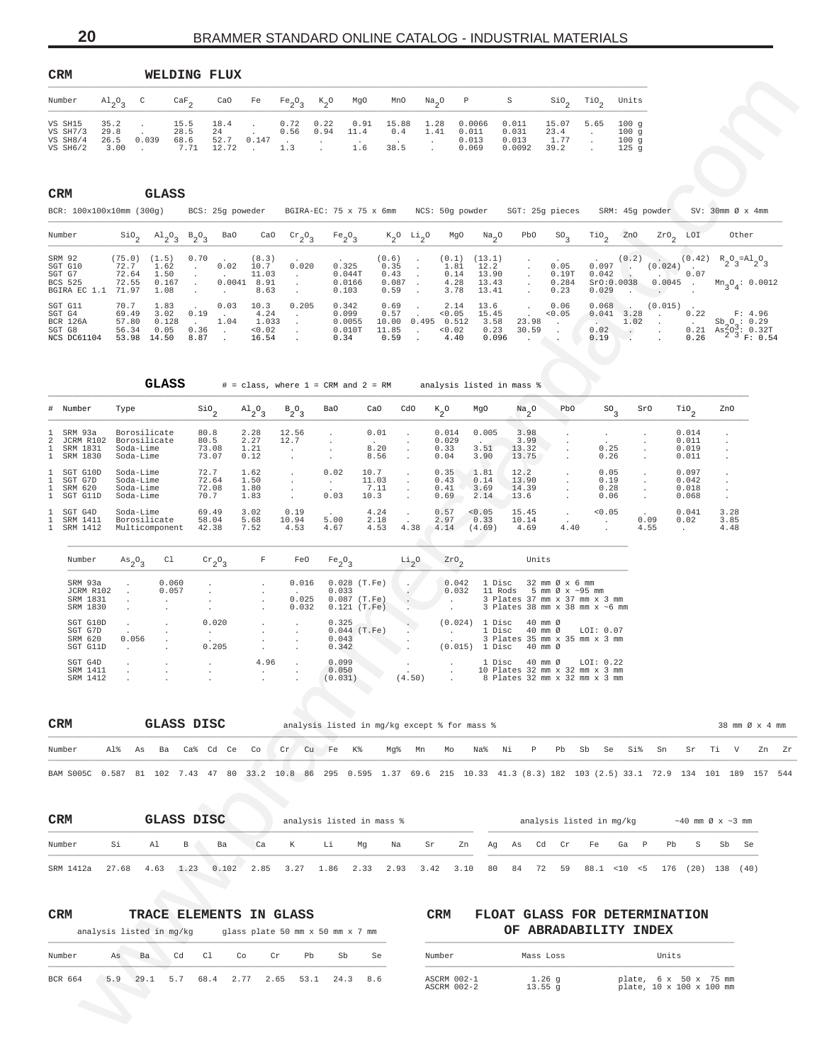<span id="page-19-0"></span>

| CRM                                                                  |                                                        |                                        | WELDING FLUX                                                                        |                                                 |                                                   |                                            |                                                    |                                                          |                                                                        |                                           |                                                                                                                   |                                              |                                 |                                                                  |                                                                                                               |                                                                                                                                     |
|----------------------------------------------------------------------|--------------------------------------------------------|----------------------------------------|-------------------------------------------------------------------------------------|-------------------------------------------------|---------------------------------------------------|--------------------------------------------|----------------------------------------------------|----------------------------------------------------------|------------------------------------------------------------------------|-------------------------------------------|-------------------------------------------------------------------------------------------------------------------|----------------------------------------------|---------------------------------|------------------------------------------------------------------|---------------------------------------------------------------------------------------------------------------|-------------------------------------------------------------------------------------------------------------------------------------|
| Number                                                               | $A1_{2}O_{3}$<br>C                                     | $\frac{\text{CaF}}{2}$                 | CaO                                                                                 | Fe                                              | $Fe_2O_3$                                         | $k_{2}^{\circ}$                            | MgO                                                | MnO                                                      | $\mathrm{Na}_2\mathrm{O}$                                              | P                                         | S                                                                                                                 | SiO.                                         | $\mathcal{T}^{10}$              | Units                                                            |                                                                                                               |                                                                                                                                     |
| VS SH15<br>35.2<br>VS SH7/3<br>29.8<br>VS SH8/4<br>VS SH6/2          | $\cdot$<br>0.039<br>26.5<br>3.00                       | 15.5<br>28.5<br>68.6<br>7.71           | 18.4<br>24<br>52.7<br>12.72                                                         | 0.147                                           | 0.72<br>0.56<br>1.3                               | 0.22<br>0.94<br>$\cdot$                    | 0.91<br>11.4<br>1.6                                | 15.88<br>0.4<br>38.5                                     | 1.28<br>1.41<br>$\cdot$                                                | 0.0066<br>0.011<br>0.013<br>0.069         | 0.011<br>0.031<br>0.013<br>0.0092                                                                                 | 15.07<br>23.4<br>1.77<br>39.2                | 5.65<br>$\sim$<br>$\cdot$       | 100g<br>100g<br>100g<br>125 <sub>g</sub>                         |                                                                                                               |                                                                                                                                     |
| CRM<br>BCR: 100x100x10mm (300g)                                      |                                                        | GLASS                                  | BCS: 25g poweder                                                                    |                                                 |                                                   |                                            |                                                    |                                                          | BGIRA-EC: 75 x 75 x 6mm NCS: 50g powder                                |                                           |                                                                                                                   | SGT: 25g pieces                              |                                 | SRM: 45g powder                                                  |                                                                                                               | $SV: 30mm \oslash x 4mm$                                                                                                            |
| Number                                                               | $\mathop{\mathsf{Si0}}\nolimits_2$                     | $A1_{2}O_{3}$                          | $B_2O_3$<br>Ba0                                                                     | CaO                                             | $\mathrm{cr}_{2}\mathrm{O}_{3}$                   | Fe <sub>2</sub> O <sub>3</sub>             |                                                    | $K_2$ <sup>O</sup> $Li_2$ <sup>O</sup>                   | MgO                                                                    | $Na_{2}O$                                 | PbO                                                                                                               | SO <sub>3</sub>                              | $\mathbb{T}^{10}$ <sub>2</sub>  | ZnO                                                              | $z_{r0}$ <sub>2</sub><br>LOI                                                                                  | Other                                                                                                                               |
| SRM 92<br>SGT G10<br>SGT G7<br>BCS 525<br>BGIRA EC 1.1               | (75.0)<br>72.7<br>72.64<br>72.55<br>71.97              | (1.5)<br>1.62<br>1.50<br>0.167<br>1.08 | 0.70<br>0.02<br>$\cdot$<br>$\ddot{\phantom{0}}$<br>$\cdot$<br>$\cdot$               | (8.3)<br>10.7<br>11.03<br>$0.0041$ 8.91<br>8.63 | 0.020<br>$\cdot$<br>$\cdot$<br>$\cdot$            | 0.325<br>0.044T<br>0.0166<br>0.103         | (0.6)                                              | 0.35<br>0.43<br>0.087<br>$\cdot$<br>0.59                 | (0.1)<br>$\cdot$<br>1.81<br>$\cdot$<br>0.14<br>$\cdot$<br>4.28<br>3.78 | (13.1)<br>12.2<br>13.90<br>13.43<br>13.41 | $\cdot$<br>$\cdot$                                                                                                | 0.05<br>0.19T<br>0.284<br>0.23               | 0.097<br>0.042<br>0.029         | (0.2)<br><b>College</b><br>$\sim$<br>SrO:0.0038                  | (0.42)<br>(0.024)<br>0.07<br>$\overline{\phantom{a}}$<br>0.0045<br>$\sim$ 10 $\pm$                            | $R_2O_3 = A1_2O_3$<br>$Mn_{3}O_{4}: 0.0012$                                                                                         |
| SGT G11<br>SGT G4<br><b>BCR 126A</b><br>SGT G8<br>NCS DC61104        | 70.7<br>69.49<br>57.80<br>56.34<br>53.98 14.50         | 1.83<br>3.02<br>0.128<br>0.05          | 0.03<br>0.19<br>$\mathbf{r}$<br>1.04<br>$\sim$<br>0.36<br>$\sim$<br>8.87<br>$\cdot$ | 10.3<br>4.24<br>1.033<br>0.02<br>16.54          | 0.205<br>$\cdot$<br>$\cdot$<br>$\cdot$<br>$\cdot$ | 0.342<br>0.099<br>0.0055<br>0.010T<br>0.34 | 11.85                                              | 0.69<br>$\cdot$<br>0.57<br>10.00 0.495<br>$\sim$<br>0.59 | 2.14<br>< 0.05<br>0.512<br>< 0.02<br>4.40                              | 13.6<br>15.45<br>3.58<br>0.23<br>0.096    | $\cdot$<br>23.98<br>30.59<br>$\cdot$                                                                              | 0.06<br>0.05<br>$\sim$<br>$\cdot$<br>$\cdot$ | 0.068<br>$\sim$<br>0.02<br>0.19 | $\sim$<br>$0.041$ 3.28<br>1.02<br>$\sim$<br>$\ddot{\phantom{0}}$ | (0.015)<br>$\overline{\phantom{a}}$<br>0.22<br>$\blacksquare$<br>$\sim$<br>$\cdot$<br>0.21<br>$\cdot$<br>0.26 | F: 4.96<br>$Sb_0: 0.29$<br>$As2003: 0.32T$<br>$2^{3} F: 0.54$                                                                       |
|                                                                      |                                                        | GLASS                                  |                                                                                     |                                                 |                                                   | $#$ = class, where $1$ = CRM and $2$ = RM  |                                                    |                                                          |                                                                        |                                           | analysis listed in mass %                                                                                         |                                              |                                 |                                                                  |                                                                                                               |                                                                                                                                     |
| # Number                                                             | Type                                                   |                                        | $\frac{\text{SiO}}{2}$                                                              | $A1_{2}O_{3}$                                   | $B_2O_3$                                          | Ba0                                        | CaO                                                | CdO                                                      | $k_{2}^{\circ}$                                                        | MgO                                       | Na <sub>2</sub> O                                                                                                 | PbO                                          | SO <sub>3</sub>                 | SrO                                                              | $\overline{110}$ <sub>2</sub>                                                                                 | ZnO                                                                                                                                 |
| SRM 93a<br>ı<br>2<br>JCRM R102<br>SRM 1831<br>1<br>1<br>SRM 1830     | Borosilicate<br>Borosilicate<br>Soda-Lime<br>Soda-Lime |                                        | 80.8<br>80.5<br>73.08<br>73.07                                                      | 2.28<br>2.27<br>1.21<br>0.12                    | 12.56<br>12.7<br>$\cdot$<br>$\cdot$               | $\cdot$<br>$\cdot$<br>$\cdot$<br>$\cdot$   | 0.01<br>8.20<br>8.56                               | $\cdot$<br>$\cdot$<br>$\cdot$                            | 0.014<br>0.029<br>0.33<br>0.04                                         | 0.005<br>$\sim$<br>3.51<br>3.90           | 3.98<br>3.99<br>13.32<br>13.75                                                                                    |                                              | 0.25<br>0.26                    |                                                                  | 0.014<br>0.011<br>0.019<br>0.011                                                                              | $\ddot{\phantom{a}}$                                                                                                                |
| SGT G10D<br>1<br>SGT G7D<br>SRM 620<br>$\mathbf{1}$<br>SGT G11D<br>1 | Soda-Lime<br>Soda-Lime<br>Soda-Lime<br>Soda-Lime       |                                        | 72.7<br>72.64<br>72.08<br>70.7                                                      | 1.62<br>1.50<br>1.80<br>1.83                    | $\cdot$<br>$\cdot$<br>$\cdot$                     | 0.02<br>$\sim$<br>0.03                     | 10.7<br>11.03<br>7.11<br>10.3                      | $\cdot$<br>$\cdot$<br>$\cdot$                            | 0.35<br>0.43<br>0.41<br>0.69                                           | 1.81<br>0.14<br>3.69<br>2.14              | 12.2<br>13.90<br>14.39<br>13.6                                                                                    |                                              | 0.05<br>0.19<br>0.28<br>0.06    | $\ddot{\phantom{0}}$<br>$\ddot{\phantom{0}}$                     | 0.097<br>0.042<br>0.018<br>0.068                                                                              | $\cdot$<br>$\cdot$<br>$\cdot$                                                                                                       |
| SGT G4D<br>SRM 1411<br>SRM 1412<br>1                                 | Soda-Lime<br>Borosilicate<br>Multicomponent            |                                        | 69.49<br>58.04<br>42.38                                                             | 3.02<br>5.68<br>7.52                            | 0.19<br>10.94<br>4.53                             | 5.00<br>4.67                               | 4.24<br>2.18<br>4.53                               | $\cdot$<br>4.38                                          | 0.57<br>2.97<br>4.14                                                   | 0.05<br>0.33<br>(4.69)                    | 15.45<br>10.14<br>4.69                                                                                            | $\cdot$<br>$\cdot$<br>4.40                   | 0.05                            | 0.09<br>4.55                                                     | 0.041<br>0.02<br>$\cdot$                                                                                      | 3.28<br>3.85<br>4.48                                                                                                                |
| Number                                                               | $\mathrm{As}_{2}\mathrm{O}_{3}$                        | Cl                                     | $\mathrm{cr}_2\mathrm{O}_3$                                                         | F                                               | FeO                                               | $Fe_2O_3$                                  |                                                    | $\frac{Li}{2}$ <sup>O</sup>                              | $z$ ro $\rm _2$                                                        |                                           | Units                                                                                                             |                                              |                                 |                                                                  |                                                                                                               |                                                                                                                                     |
| SRM 93a<br>JCRM R102<br>SRM 1831<br>SRM 1830                         |                                                        | 0.060<br>0.057                         | $\cdot$                                                                             | $\cdot$                                         | 0.016<br>0.025<br>0.032                           | 0.033                                      | $0.028$ (T.Fe)<br>$0.087$ (T.Fe)<br>$0.121$ (T.Fe) | $\ddot{\phantom{0}}$<br>$\ddot{\phantom{0}}$<br>$\cdot$  | 0.042<br>0.032<br>$\ddot{\phantom{0}}$                                 |                                           | 1 Disc<br>11 Rods 5 mm $\emptyset$ x ~95 mm<br>3 Plates 37 mm x 37 mm x 3 mm<br>3 Plates 38 mm x 38 mm x ~6 mm    | 32 mm Ø x 6 mm                               |                                 |                                                                  |                                                                                                               |                                                                                                                                     |
| SGT G10D<br>SGT G7D<br>SRM 620<br>SGT G11D                           | $\cdot$<br>0.056<br>$\ddot{\phantom{a}}$               |                                        | 0.020<br>$\cdot$<br>0.205                                                           |                                                 |                                                   | 0.325<br>0.043<br>0.342                    | $0.044$ (T.Fe)                                     |                                                          | $\ddot{\phantom{0}}$                                                   |                                           | $(0.024)$ 1 Disc 40 mm $\emptyset$<br>1 Disc 40 mm Ø<br>3 Plates 35 mm x 35 mm x 3 mm<br>$(0.015)$ 1 Disc 40 mm Ø |                                              | LOI: $0.07$                     |                                                                  |                                                                                                               |                                                                                                                                     |
| SGT G4D<br>SRM 1411<br>SRM 1412                                      |                                                        |                                        |                                                                                     | 4.96<br>$\cdot$                                 |                                                   | 0.099<br>0.050<br>(0.031)                  |                                                    | $\sim$<br>(4.50)                                         |                                                                        |                                           | 1 Disc<br>10 Plates 32 mm x 32 mm x 3 mm<br>8 Plates 32 mm x 32 mm x 3 mm                                         | 40 mm Ø                                      | LOI: $0.22$                     |                                                                  |                                                                                                               |                                                                                                                                     |
|                                                                      |                                                        |                                        |                                                                                     |                                                 |                                                   |                                            |                                                    |                                                          |                                                                        |                                           |                                                                                                                   |                                              |                                 |                                                                  |                                                                                                               |                                                                                                                                     |
| CRM                                                                  |                                                        | <b>GLASS DISC</b>                      |                                                                                     |                                                 |                                                   |                                            |                                                    |                                                          | analysis listed in mg/kg except % for mass %                           |                                           |                                                                                                                   |                                              |                                 |                                                                  |                                                                                                               | 38 mm Ø x 4 mm                                                                                                                      |
| Number                                                               | Al%<br>As                                              | Ba                                     | Ca% Cd Ce                                                                           | Co                                              | Cr                                                | Cu Fe                                      | K%                                                 | Mg%                                                      | Mn<br>Мo                                                               | Na%                                       | Νi<br>P                                                                                                           | Pb                                           | Sb<br>Se                        | Si%                                                              | Sn<br>Sr                                                                                                      | Тi<br>V<br>Zn                                                                                                                       |
|                                                                      |                                                        |                                        |                                                                                     |                                                 |                                                   |                                            |                                                    |                                                          |                                                                        |                                           |                                                                                                                   |                                              |                                 |                                                                  |                                                                                                               | BAM S005C 0.587 81 102 7.43 47 80 33.2 10.8 86 295 0.595 1.37 69.6 215 10.33 41.3 (8.3) 182 103 (2.5) 33.1 72.9 134 101 189 157 544 |
| CRM                                                                  |                                                        | GLASS DISC                             |                                                                                     |                                                 |                                                   | analysis listed in mass %                  |                                                    |                                                          |                                                                        |                                           |                                                                                                                   | analysis listed in mg/kg                     |                                 |                                                                  |                                                                                                               | $\sim$ 40 mm Ø x $\sim$ 3 mm                                                                                                        |
| Number                                                               | Si                                                     | Al<br>В                                | Ba                                                                                  | Ca                                              | К                                                 | Li                                         | Mg                                                 | Na                                                       | Sr                                                                     | Zn<br>Αg                                  | As                                                                                                                | Cd<br>Cr                                     | Fe                              | Ga<br>$_{\rm P}$                                                 | Pb<br>S                                                                                                       | Sb<br>Se                                                                                                                            |
| SRM 1412a                                                            | 27.68                                                  | 4.63<br>1.23                           | 0.102                                                                               | 2.85                                            | 3.27                                              | 1.86                                       | 2.33                                               | 2.93                                                     | 3.42                                                                   | 3.10<br>80                                | 84                                                                                                                | 72<br>59                                     |                                 | $88.1$ < 10 < 5                                                  |                                                                                                               | 176 (20) 138 (40)                                                                                                                   |
| CRM                                                                  | analysis listed in mg/kg                               |                                        | TRACE ELEMENTS IN GLASS                                                             |                                                 |                                                   | glass plate 50 mm x 50 mm x 7 mm           |                                                    |                                                          | CRM                                                                    |                                           |                                                                                                                   | OF ABRADABILITY INDEX                        |                                 |                                                                  | FLOAT GLASS FOR DETERMINATION                                                                                 |                                                                                                                                     |
| Number                                                               | As<br>Ba                                               | Cd                                     | C1                                                                                  | Co<br>Cr                                        | Pb                                                | Sb                                         | Se                                                 |                                                          | Number                                                                 |                                           |                                                                                                                   | Mass Loss                                    |                                 |                                                                  | Units                                                                                                         |                                                                                                                                     |
| BCR 664                                                              | 5.9<br>29.1                                            | 5.7                                    | 68.4                                                                                | 2.77<br>2.65                                    | 53.1                                              | 24.3                                       | 8.6                                                |                                                          | ASCRM 002-1<br>ASCRM 002-2                                             |                                           |                                                                                                                   | $1.26$ g<br>$13.55$ g                        |                                 |                                                                  | plate, 6 x 50 x 75 mm<br>plate, 10 x 100 x 100 mm                                                             |                                                                                                                                     |
|                                                                      |                                                        |                                        |                                                                                     |                                                 |                                                   |                                            |                                                    |                                                          |                                                                        |                                           |                                                                                                                   |                                              |                                 |                                                                  |                                                                                                               |                                                                                                                                     |

| SGT G7D |          |       |       | $\sim$ $\sim$ $\sim$            | $0.044$ (T.Fe) |        |  | 1 Disc 40 mm Ø LOI: 0.07           |
|---------|----------|-------|-------|---------------------------------|----------------|--------|--|------------------------------------|
| SRM 620 |          | 0.056 |       |                                 | 0.043          |        |  | 3 Plates 35 mm x 35 mm x 3 mm      |
|         | SGT G11D |       | 0.205 |                                 | 0.342          |        |  | $(0.015)$ 1 Disc 40 mm $\emptyset$ |
| SGT G4D |          |       |       | 4.96                            | 0.099          |        |  | 1 Disc 40 mm Ø LOI: 0.22           |
|         | SRM 1411 |       |       |                                 | 0.050          |        |  | 10 Plates 32 mm x 32 mm x 3 mm     |
|         | SRM 1412 |       |       | the contract of the contract of | (0.031)        | (4.50) |  | 8 Plates 32 mm x 32 mm x 3 mm      |
|         |          |       |       |                                 |                |        |  |                                    |

| CRM                                                                                                                                 |  | GLASS DISC |  |  |  |  |  | analysis listed in mg/kg except % for mass %                                        |  |  |  |  |  | 38 mm Ø x 4 mm |  |
|-------------------------------------------------------------------------------------------------------------------------------------|--|------------|--|--|--|--|--|-------------------------------------------------------------------------------------|--|--|--|--|--|----------------|--|
| Number                                                                                                                              |  |            |  |  |  |  |  | Al% As Ba Ca% Cd Ce Co cr Cu Fe K% Mq% Mn Mo Na% Ni P Pb Sb Se Si% Sn Sr Ti V Zn Zr |  |  |  |  |  |                |  |
| BAM S005C 0.587 81 102 7.43 47 80 33.2 10.8 86 295 0.595 1.37 69.6 215 10.33 41.3 (8.3) 182 103 (2.5) 33.1 72.9 134 101 189 157 544 |  |            |  |  |  |  |  |                                                                                     |  |  |  |  |  |                |  |

| <b>CRM</b> |         | GLASS DISC |                                                                                                    |    |             | analysis listed in mass % |    |    |    |  |  | analysis listed in mg/kg |  | $\sim$ 40 mm Ø x $\sim$ 3 mm |  |
|------------|---------|------------|----------------------------------------------------------------------------------------------------|----|-------------|---------------------------|----|----|----|--|--|--------------------------|--|------------------------------|--|
| Number     | Si Al B |            | Ba                                                                                                 | Ca | $K$ and $K$ | <b>Li</b>                 | Mq | Na | Sr |  |  | Zn Aq As Cd Cr Fe Ga P   |  | Pb S Sb Se                   |  |
| SRM 1412a  |         |            | 27.68 4.63 1.23 0.102 2.85 3.27 1.86 2.33 2.93 3.42 3.10 80 84 72 59 88.1 <10 <5 176 (20) 138 (40) |    |             |                           |    |    |    |  |  |                          |  |                              |  |

# **CRM TRACE ELEMENTS IN GLASS CRM FLOAT GLASS FOR DETERMINATION**

| Number  |     | Ba   |     |           |      | Pb   | Sb   | Se  | Number                     | Mass Loss                      | Units                                             |
|---------|-----|------|-----|-----------|------|------|------|-----|----------------------------|--------------------------------|---------------------------------------------------|
| BCR 664 | 5.9 | 29.1 | 5.7 | 68.4 2.77 | 2.65 | 53.1 | 24.3 | 8.6 | ASCRM 002-1<br>ASCRM 002-2 | $\pm 0.26$ $\sigma$<br>13.55 a | plate, 6 x 50 x 75 mm<br>plate, 10 x 100 x 100 mm |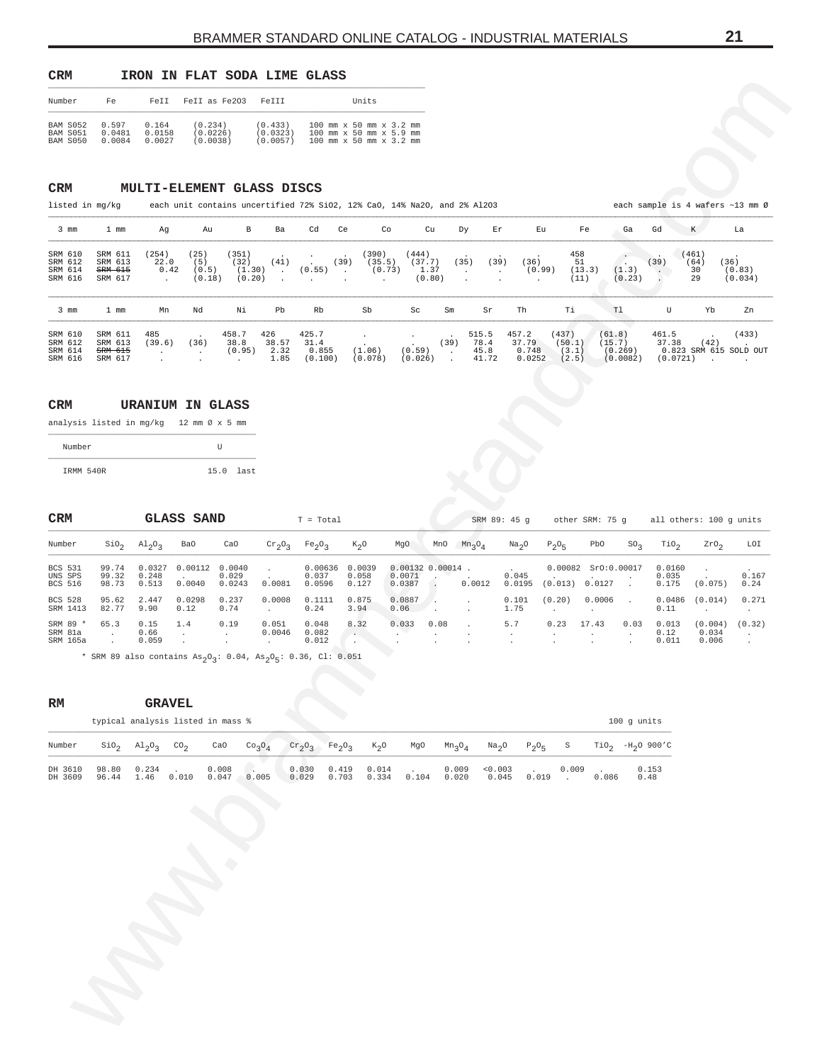<span id="page-20-0"></span>

| <b>CRM</b>                              |                           |                           | IRON IN FLAT SODA LIME GLASS    |                                 |                                                                                                 |
|-----------------------------------------|---------------------------|---------------------------|---------------------------------|---------------------------------|-------------------------------------------------------------------------------------------------|
| Number                                  | Fe                        | FeTT                      | Fell as Fe203                   | FeTTT                           | Units                                                                                           |
| <b>BAM S052</b><br>BAM S051<br>BAM S050 | 0.597<br>0.0481<br>0.0084 | 0.164<br>0.0158<br>0.0027 | (0.234)<br>(0.0226)<br>(0.0038) | (0.433)<br>(0.0323)<br>(0.0057) | $100$ mm $x$ 50 mm $x$ 3.2 mm<br>$100$ mm $x$ 50 mm $x$ 5.9 mm<br>$100$ mm $x$ 50 mm $x$ 3.2 mm |

## **CRM MULTI-ELEMENT GLASS DISCS**

|  | icted |      |
|--|-------|------|
|  |       | חי ד |

| Fell as Fe203<br>0.597<br>(0.234)<br>(0.433)<br>100 mm x 50 mm x 3.2 mm<br><b>BAM S052</b><br>0.164<br>0.0158<br>(0.0226)<br>BAM S051<br>0.0481<br>(0.0323)<br>100 mm x 50 mm x 5.9 mm<br>0.0027<br>BAM S050<br>(0.0038)<br>(0.0057)<br>100 mm x 50 mm x 3.2 mm<br>0.0084<br><b>CRM</b><br>MULTI-ELEMENT GLASS DISCS<br>listed in mg/kg<br>each unit contains uncertified 72% SiO2, 12% CaO, 14% Na2O, and 2% Al2O3<br>each sample is 4 wafers ~13 mm Ø<br>$3$ mm<br>$_{\rm B}$<br>Cu<br>Eu<br>Gd<br>$1 \text{ mm}$<br>Au<br>Ba<br>Cd<br>Ce<br>Co<br>Εr<br>Fe<br>Ga<br>K<br>Ag<br>Dу<br>La<br>(25)<br>458<br>SRM 610<br>SRM 611<br>(254)<br>(351)<br>(390)<br>(444)<br>(461)<br>$\cdot$<br>SRM 612<br>SRM 613<br>22.0<br>(5)<br>(32)<br>(35.5)<br>(37.7)<br>(39)<br>51<br>(36)<br>(41)<br>(39)<br>(35)<br>(36)<br>(39)<br>(64)<br>$\sim$<br>(1.30)<br>(1.3)<br>SRM 614<br>0.42<br>(0.55)<br>(0.73)<br>1.37<br>(13.3)<br>(0.83)<br><del>SRM 615</del><br>(0.5)<br>(0.99)<br>30<br>$\bullet$<br>$\sim$ $\sim$<br>$\cdot$<br>$\blacksquare$<br>$\blacksquare$<br>(0.80)<br>SRM 616<br>(0.18)<br>(0.20)<br>(0.23)<br>29<br>SRM 617<br>(11)<br>$\cdot$<br>$\blacksquare$<br>Sb<br>Тi<br>T1<br>U<br>Yb<br>Νi<br>Pb<br>Rb<br>Sc<br>Th<br>3 mm<br>$1 \text{ mm}$<br>Mn<br>Nd<br>Sm<br>Sr<br>485<br>458.7<br>426<br>425.7<br>457.2<br>(437)<br>SRM 610<br>SRM 611<br>515.5<br>(61.8)<br>461.5<br>78.4<br>37.79<br>37.38<br>SRM 612<br>SRM 613<br>38.8<br>38.57<br>31.4<br>(39)<br>(15.7)<br>(39.6)<br>(36)<br>(50.1)<br>(42)<br>(0.59)<br>0.748<br>SRM 614<br>2.32<br>(1.06)<br>(0.269)<br>0.823 SRM 615 SOLD OUT<br><b>SRM 615</b><br>(0.95)<br>0.855<br>45.8<br>(3.1)<br>$\ddot{\phantom{a}}$<br>$\cdot$<br>$\cdot$<br>SRM 616<br>1.85<br>(2.5)<br>SRM 617<br>(0.100)<br>(0.078)<br>(0.026)<br>41.72<br>0.0252<br>(0.0082)<br>$(0.0721)$ .<br>$\cdot$<br>$\ddot{\phantom{a}}$<br>$\ddot{\phantom{a}}$<br><b>CRM</b><br><b>URANIUM IN GLASS</b><br>analysis listed in mg/kg 12 mm Ø x 5 mm<br>U<br>Number<br>IRMM 540R<br>$15.0$ last<br><b>GLASS SAND</b><br>$_{\tt CRM}$<br>$T = Total$<br>SRM 89: 45 g<br>other SRM: 75 g<br>all others: 100 g units<br>Number<br>$\sin \theta_2$<br>$A1_{2}O_{3}$<br>Ba0<br>CaO<br>Fe <sub>2</sub> O <sub>3</sub><br>$K_2$ <sup>O</sup><br>MgO<br>MnO<br>Na <sub>2</sub> O<br>PbO<br>$\mathrm{rio}_{2}$<br>ZrO <sub>2</sub><br>$\mathrm{cr}_2\mathrm{O}_3$<br>$Mn_3O_4$<br>$P_2O_5$<br>SO <sub>3</sub><br>0.00112<br>0.0040<br>0.00132 0.00014<br>0.00082<br>Sr0:0.00017<br><b>BCS 531</b><br>99.74<br>0.0327<br>0.00636<br>0.0039<br>0.0160<br>$\cdot$<br>$\cdot$<br>0.045<br>UNS SPS<br>99.32<br>0.029<br>0.037<br>0.0071<br>0.035<br>0.248<br>0.058<br>98.73<br>0.0387<br>(0.013)<br>0.0127<br>0.175<br><b>BCS 516</b><br>0.513<br>0.0040<br>0.0243<br>0.0081<br>0.0596<br>0.0012<br>0.0195<br>(0.075)<br>0.127<br>$\blacksquare$<br>95.62<br>0.0298<br>0.237<br>0.0008<br>0.875<br><b>BCS 528</b><br>2.447<br>0.1111<br>0.0887<br>0.101<br>(0.20)<br>0.0006<br>0.0486<br>(0.014)<br>$\overline{\phantom{a}}$<br>۰.<br>SRM 1413<br>82.77<br>9.90<br>0.24<br>0.12<br>0.74<br>3.94<br>0.06<br>1.75<br>0.11<br>$\sim$<br>$\ddot{\phantom{a}}$<br>$\overline{\phantom{a}}$<br>$\cdot$<br>65.3<br>0.15<br>0.051<br>5.7<br>0.23<br>17.43<br>0.03<br>SRM 89 *<br>1.4<br>0.19<br>0.048<br>8.32<br>0.033<br>0.08<br>0.013<br>(0.004)<br>SRM 81a<br>0.66<br>0.082<br>0.12<br>0.0046<br>0.034<br>$\sim$<br>$\cdot$<br>$\cdot$<br>$\cdot$<br>$\cdot$<br>$\cdot$<br>$\cdot$<br>SRM 165a<br>0.059<br>0.012<br>0.011<br>0.006<br>$\cdot$<br>$\cdot$<br>$\cdot$<br>* SRM 89 also contains $\text{As}_{2}\text{O}_{3}$ : 0.04, $\text{As}_{2}\text{O}_{5}$ : 0.36, Cl: 0.051<br>RM<br><b>GRAVEL</b><br>typical analysis listed in mass %<br>100 g units<br>$\text{SiO}_2$ $\text{Al}_2\text{O}_3$ $\text{CO}_2$<br>CaO<br>$\mathrm{cr}_2\mathrm{O}_3$<br>$TiO2 -H2O 900°C$<br>Number<br>Co <sub>3</sub> O <sub>4</sub><br>$Fe_2O_3$<br>$K_2O$<br>MgO<br>$Mn_3O_4$<br>Na <sub>2</sub> O<br>$P_2O_5$<br>$\mathbf S$<br>98.80<br>0.234<br>$0.008$<br>0.047 0.005<br>$0.030$<br>$0.029$<br>0.419<br>0.014<br>0.009<br>0.003<br>0.153<br>DH 3610<br>$0.019$ 0.009<br>0.010<br>1.46<br>DH 3609<br>0.703<br>0.334<br>0.104<br>0.020<br>0.045<br>0.086<br>96.44<br>0.48 | Number |    |      |  |       |       |  |  |  |  |                          |
|-------------------------------------------------------------------------------------------------------------------------------------------------------------------------------------------------------------------------------------------------------------------------------------------------------------------------------------------------------------------------------------------------------------------------------------------------------------------------------------------------------------------------------------------------------------------------------------------------------------------------------------------------------------------------------------------------------------------------------------------------------------------------------------------------------------------------------------------------------------------------------------------------------------------------------------------------------------------------------------------------------------------------------------------------------------------------------------------------------------------------------------------------------------------------------------------------------------------------------------------------------------------------------------------------------------------------------------------------------------------------------------------------------------------------------------------------------------------------------------------------------------------------------------------------------------------------------------------------------------------------------------------------------------------------------------------------------------------------------------------------------------------------------------------------------------------------------------------------------------------------------------------------------------------------------------------------------------------------------------------------------------------------------------------------------------------------------------------------------------------------------------------------------------------------------------------------------------------------------------------------------------------------------------------------------------------------------------------------------------------------------------------------------------------------------------------------------------------------------------------------------------------------------------------------------------------------------------------------------------------------------------------------------------------------------------------------------------------------------------------------------------------------------------------------------------------------------------------------------------------------------------------------------------------------------------------------------------------------------------------------------------------------------------------------------------------------------------------------------------------------------------------------------------------------------------------------------------------------------------------------------------------------------------------------------------------------------------------------------------------------------------------------------------------------------------------------------------------------------------------------------------------------------------------------------------------------------------------------------------------------------------------------------------------------------------------------------------------------------------------------------------------------------------------------------------------------------------------------------------------------------------------------------------------------------------------------------------------------------------------------------------------------------------------------------------------------------------------------------------------------------------------------------------------------------------------------------------------------------------------------------------------------------|--------|----|------|--|-------|-------|--|--|--|--|--------------------------|
|                                                                                                                                                                                                                                                                                                                                                                                                                                                                                                                                                                                                                                                                                                                                                                                                                                                                                                                                                                                                                                                                                                                                                                                                                                                                                                                                                                                                                                                                                                                                                                                                                                                                                                                                                                                                                                                                                                                                                                                                                                                                                                                                                                                                                                                                                                                                                                                                                                                                                                                                                                                                                                                                                                                                                                                                                                                                                                                                                                                                                                                                                                                                                                                                                                                                                                                                                                                                                                                                                                                                                                                                                                                                                                                                                                                                                                                                                                                                                                                                                                                                                                                                                                                                                                                                               |        | Fe | FeII |  | FeIII | Units |  |  |  |  |                          |
|                                                                                                                                                                                                                                                                                                                                                                                                                                                                                                                                                                                                                                                                                                                                                                                                                                                                                                                                                                                                                                                                                                                                                                                                                                                                                                                                                                                                                                                                                                                                                                                                                                                                                                                                                                                                                                                                                                                                                                                                                                                                                                                                                                                                                                                                                                                                                                                                                                                                                                                                                                                                                                                                                                                                                                                                                                                                                                                                                                                                                                                                                                                                                                                                                                                                                                                                                                                                                                                                                                                                                                                                                                                                                                                                                                                                                                                                                                                                                                                                                                                                                                                                                                                                                                                                               |        |    |      |  |       |       |  |  |  |  |                          |
|                                                                                                                                                                                                                                                                                                                                                                                                                                                                                                                                                                                                                                                                                                                                                                                                                                                                                                                                                                                                                                                                                                                                                                                                                                                                                                                                                                                                                                                                                                                                                                                                                                                                                                                                                                                                                                                                                                                                                                                                                                                                                                                                                                                                                                                                                                                                                                                                                                                                                                                                                                                                                                                                                                                                                                                                                                                                                                                                                                                                                                                                                                                                                                                                                                                                                                                                                                                                                                                                                                                                                                                                                                                                                                                                                                                                                                                                                                                                                                                                                                                                                                                                                                                                                                                                               |        |    |      |  |       |       |  |  |  |  |                          |
|                                                                                                                                                                                                                                                                                                                                                                                                                                                                                                                                                                                                                                                                                                                                                                                                                                                                                                                                                                                                                                                                                                                                                                                                                                                                                                                                                                                                                                                                                                                                                                                                                                                                                                                                                                                                                                                                                                                                                                                                                                                                                                                                                                                                                                                                                                                                                                                                                                                                                                                                                                                                                                                                                                                                                                                                                                                                                                                                                                                                                                                                                                                                                                                                                                                                                                                                                                                                                                                                                                                                                                                                                                                                                                                                                                                                                                                                                                                                                                                                                                                                                                                                                                                                                                                                               |        |    |      |  |       |       |  |  |  |  |                          |
|                                                                                                                                                                                                                                                                                                                                                                                                                                                                                                                                                                                                                                                                                                                                                                                                                                                                                                                                                                                                                                                                                                                                                                                                                                                                                                                                                                                                                                                                                                                                                                                                                                                                                                                                                                                                                                                                                                                                                                                                                                                                                                                                                                                                                                                                                                                                                                                                                                                                                                                                                                                                                                                                                                                                                                                                                                                                                                                                                                                                                                                                                                                                                                                                                                                                                                                                                                                                                                                                                                                                                                                                                                                                                                                                                                                                                                                                                                                                                                                                                                                                                                                                                                                                                                                                               |        |    |      |  |       |       |  |  |  |  |                          |
|                                                                                                                                                                                                                                                                                                                                                                                                                                                                                                                                                                                                                                                                                                                                                                                                                                                                                                                                                                                                                                                                                                                                                                                                                                                                                                                                                                                                                                                                                                                                                                                                                                                                                                                                                                                                                                                                                                                                                                                                                                                                                                                                                                                                                                                                                                                                                                                                                                                                                                                                                                                                                                                                                                                                                                                                                                                                                                                                                                                                                                                                                                                                                                                                                                                                                                                                                                                                                                                                                                                                                                                                                                                                                                                                                                                                                                                                                                                                                                                                                                                                                                                                                                                                                                                                               |        |    |      |  |       |       |  |  |  |  |                          |
|                                                                                                                                                                                                                                                                                                                                                                                                                                                                                                                                                                                                                                                                                                                                                                                                                                                                                                                                                                                                                                                                                                                                                                                                                                                                                                                                                                                                                                                                                                                                                                                                                                                                                                                                                                                                                                                                                                                                                                                                                                                                                                                                                                                                                                                                                                                                                                                                                                                                                                                                                                                                                                                                                                                                                                                                                                                                                                                                                                                                                                                                                                                                                                                                                                                                                                                                                                                                                                                                                                                                                                                                                                                                                                                                                                                                                                                                                                                                                                                                                                                                                                                                                                                                                                                                               |        |    |      |  |       |       |  |  |  |  | (0.034)                  |
|                                                                                                                                                                                                                                                                                                                                                                                                                                                                                                                                                                                                                                                                                                                                                                                                                                                                                                                                                                                                                                                                                                                                                                                                                                                                                                                                                                                                                                                                                                                                                                                                                                                                                                                                                                                                                                                                                                                                                                                                                                                                                                                                                                                                                                                                                                                                                                                                                                                                                                                                                                                                                                                                                                                                                                                                                                                                                                                                                                                                                                                                                                                                                                                                                                                                                                                                                                                                                                                                                                                                                                                                                                                                                                                                                                                                                                                                                                                                                                                                                                                                                                                                                                                                                                                                               |        |    |      |  |       |       |  |  |  |  | Zn                       |
|                                                                                                                                                                                                                                                                                                                                                                                                                                                                                                                                                                                                                                                                                                                                                                                                                                                                                                                                                                                                                                                                                                                                                                                                                                                                                                                                                                                                                                                                                                                                                                                                                                                                                                                                                                                                                                                                                                                                                                                                                                                                                                                                                                                                                                                                                                                                                                                                                                                                                                                                                                                                                                                                                                                                                                                                                                                                                                                                                                                                                                                                                                                                                                                                                                                                                                                                                                                                                                                                                                                                                                                                                                                                                                                                                                                                                                                                                                                                                                                                                                                                                                                                                                                                                                                                               |        |    |      |  |       |       |  |  |  |  | (433)                    |
|                                                                                                                                                                                                                                                                                                                                                                                                                                                                                                                                                                                                                                                                                                                                                                                                                                                                                                                                                                                                                                                                                                                                                                                                                                                                                                                                                                                                                                                                                                                                                                                                                                                                                                                                                                                                                                                                                                                                                                                                                                                                                                                                                                                                                                                                                                                                                                                                                                                                                                                                                                                                                                                                                                                                                                                                                                                                                                                                                                                                                                                                                                                                                                                                                                                                                                                                                                                                                                                                                                                                                                                                                                                                                                                                                                                                                                                                                                                                                                                                                                                                                                                                                                                                                                                                               |        |    |      |  |       |       |  |  |  |  |                          |
|                                                                                                                                                                                                                                                                                                                                                                                                                                                                                                                                                                                                                                                                                                                                                                                                                                                                                                                                                                                                                                                                                                                                                                                                                                                                                                                                                                                                                                                                                                                                                                                                                                                                                                                                                                                                                                                                                                                                                                                                                                                                                                                                                                                                                                                                                                                                                                                                                                                                                                                                                                                                                                                                                                                                                                                                                                                                                                                                                                                                                                                                                                                                                                                                                                                                                                                                                                                                                                                                                                                                                                                                                                                                                                                                                                                                                                                                                                                                                                                                                                                                                                                                                                                                                                                                               |        |    |      |  |       |       |  |  |  |  |                          |
|                                                                                                                                                                                                                                                                                                                                                                                                                                                                                                                                                                                                                                                                                                                                                                                                                                                                                                                                                                                                                                                                                                                                                                                                                                                                                                                                                                                                                                                                                                                                                                                                                                                                                                                                                                                                                                                                                                                                                                                                                                                                                                                                                                                                                                                                                                                                                                                                                                                                                                                                                                                                                                                                                                                                                                                                                                                                                                                                                                                                                                                                                                                                                                                                                                                                                                                                                                                                                                                                                                                                                                                                                                                                                                                                                                                                                                                                                                                                                                                                                                                                                                                                                                                                                                                                               |        |    |      |  |       |       |  |  |  |  |                          |
|                                                                                                                                                                                                                                                                                                                                                                                                                                                                                                                                                                                                                                                                                                                                                                                                                                                                                                                                                                                                                                                                                                                                                                                                                                                                                                                                                                                                                                                                                                                                                                                                                                                                                                                                                                                                                                                                                                                                                                                                                                                                                                                                                                                                                                                                                                                                                                                                                                                                                                                                                                                                                                                                                                                                                                                                                                                                                                                                                                                                                                                                                                                                                                                                                                                                                                                                                                                                                                                                                                                                                                                                                                                                                                                                                                                                                                                                                                                                                                                                                                                                                                                                                                                                                                                                               |        |    |      |  |       |       |  |  |  |  |                          |
|                                                                                                                                                                                                                                                                                                                                                                                                                                                                                                                                                                                                                                                                                                                                                                                                                                                                                                                                                                                                                                                                                                                                                                                                                                                                                                                                                                                                                                                                                                                                                                                                                                                                                                                                                                                                                                                                                                                                                                                                                                                                                                                                                                                                                                                                                                                                                                                                                                                                                                                                                                                                                                                                                                                                                                                                                                                                                                                                                                                                                                                                                                                                                                                                                                                                                                                                                                                                                                                                                                                                                                                                                                                                                                                                                                                                                                                                                                                                                                                                                                                                                                                                                                                                                                                                               |        |    |      |  |       |       |  |  |  |  | LOI                      |
|                                                                                                                                                                                                                                                                                                                                                                                                                                                                                                                                                                                                                                                                                                                                                                                                                                                                                                                                                                                                                                                                                                                                                                                                                                                                                                                                                                                                                                                                                                                                                                                                                                                                                                                                                                                                                                                                                                                                                                                                                                                                                                                                                                                                                                                                                                                                                                                                                                                                                                                                                                                                                                                                                                                                                                                                                                                                                                                                                                                                                                                                                                                                                                                                                                                                                                                                                                                                                                                                                                                                                                                                                                                                                                                                                                                                                                                                                                                                                                                                                                                                                                                                                                                                                                                                               |        |    |      |  |       |       |  |  |  |  | 0.167                    |
|                                                                                                                                                                                                                                                                                                                                                                                                                                                                                                                                                                                                                                                                                                                                                                                                                                                                                                                                                                                                                                                                                                                                                                                                                                                                                                                                                                                                                                                                                                                                                                                                                                                                                                                                                                                                                                                                                                                                                                                                                                                                                                                                                                                                                                                                                                                                                                                                                                                                                                                                                                                                                                                                                                                                                                                                                                                                                                                                                                                                                                                                                                                                                                                                                                                                                                                                                                                                                                                                                                                                                                                                                                                                                                                                                                                                                                                                                                                                                                                                                                                                                                                                                                                                                                                                               |        |    |      |  |       |       |  |  |  |  | 0.24<br>0.271            |
|                                                                                                                                                                                                                                                                                                                                                                                                                                                                                                                                                                                                                                                                                                                                                                                                                                                                                                                                                                                                                                                                                                                                                                                                                                                                                                                                                                                                                                                                                                                                                                                                                                                                                                                                                                                                                                                                                                                                                                                                                                                                                                                                                                                                                                                                                                                                                                                                                                                                                                                                                                                                                                                                                                                                                                                                                                                                                                                                                                                                                                                                                                                                                                                                                                                                                                                                                                                                                                                                                                                                                                                                                                                                                                                                                                                                                                                                                                                                                                                                                                                                                                                                                                                                                                                                               |        |    |      |  |       |       |  |  |  |  | $\cdot$<br>(0.32)        |
|                                                                                                                                                                                                                                                                                                                                                                                                                                                                                                                                                                                                                                                                                                                                                                                                                                                                                                                                                                                                                                                                                                                                                                                                                                                                                                                                                                                                                                                                                                                                                                                                                                                                                                                                                                                                                                                                                                                                                                                                                                                                                                                                                                                                                                                                                                                                                                                                                                                                                                                                                                                                                                                                                                                                                                                                                                                                                                                                                                                                                                                                                                                                                                                                                                                                                                                                                                                                                                                                                                                                                                                                                                                                                                                                                                                                                                                                                                                                                                                                                                                                                                                                                                                                                                                                               |        |    |      |  |       |       |  |  |  |  | $\overline{\phantom{a}}$ |
|                                                                                                                                                                                                                                                                                                                                                                                                                                                                                                                                                                                                                                                                                                                                                                                                                                                                                                                                                                                                                                                                                                                                                                                                                                                                                                                                                                                                                                                                                                                                                                                                                                                                                                                                                                                                                                                                                                                                                                                                                                                                                                                                                                                                                                                                                                                                                                                                                                                                                                                                                                                                                                                                                                                                                                                                                                                                                                                                                                                                                                                                                                                                                                                                                                                                                                                                                                                                                                                                                                                                                                                                                                                                                                                                                                                                                                                                                                                                                                                                                                                                                                                                                                                                                                                                               |        |    |      |  |       |       |  |  |  |  |                          |
|                                                                                                                                                                                                                                                                                                                                                                                                                                                                                                                                                                                                                                                                                                                                                                                                                                                                                                                                                                                                                                                                                                                                                                                                                                                                                                                                                                                                                                                                                                                                                                                                                                                                                                                                                                                                                                                                                                                                                                                                                                                                                                                                                                                                                                                                                                                                                                                                                                                                                                                                                                                                                                                                                                                                                                                                                                                                                                                                                                                                                                                                                                                                                                                                                                                                                                                                                                                                                                                                                                                                                                                                                                                                                                                                                                                                                                                                                                                                                                                                                                                                                                                                                                                                                                                                               |        |    |      |  |       |       |  |  |  |  |                          |
|                                                                                                                                                                                                                                                                                                                                                                                                                                                                                                                                                                                                                                                                                                                                                                                                                                                                                                                                                                                                                                                                                                                                                                                                                                                                                                                                                                                                                                                                                                                                                                                                                                                                                                                                                                                                                                                                                                                                                                                                                                                                                                                                                                                                                                                                                                                                                                                                                                                                                                                                                                                                                                                                                                                                                                                                                                                                                                                                                                                                                                                                                                                                                                                                                                                                                                                                                                                                                                                                                                                                                                                                                                                                                                                                                                                                                                                                                                                                                                                                                                                                                                                                                                                                                                                                               |        |    |      |  |       |       |  |  |  |  |                          |
|                                                                                                                                                                                                                                                                                                                                                                                                                                                                                                                                                                                                                                                                                                                                                                                                                                                                                                                                                                                                                                                                                                                                                                                                                                                                                                                                                                                                                                                                                                                                                                                                                                                                                                                                                                                                                                                                                                                                                                                                                                                                                                                                                                                                                                                                                                                                                                                                                                                                                                                                                                                                                                                                                                                                                                                                                                                                                                                                                                                                                                                                                                                                                                                                                                                                                                                                                                                                                                                                                                                                                                                                                                                                                                                                                                                                                                                                                                                                                                                                                                                                                                                                                                                                                                                                               |        |    |      |  |       |       |  |  |  |  |                          |
|                                                                                                                                                                                                                                                                                                                                                                                                                                                                                                                                                                                                                                                                                                                                                                                                                                                                                                                                                                                                                                                                                                                                                                                                                                                                                                                                                                                                                                                                                                                                                                                                                                                                                                                                                                                                                                                                                                                                                                                                                                                                                                                                                                                                                                                                                                                                                                                                                                                                                                                                                                                                                                                                                                                                                                                                                                                                                                                                                                                                                                                                                                                                                                                                                                                                                                                                                                                                                                                                                                                                                                                                                                                                                                                                                                                                                                                                                                                                                                                                                                                                                                                                                                                                                                                                               |        |    |      |  |       |       |  |  |  |  |                          |
|                                                                                                                                                                                                                                                                                                                                                                                                                                                                                                                                                                                                                                                                                                                                                                                                                                                                                                                                                                                                                                                                                                                                                                                                                                                                                                                                                                                                                                                                                                                                                                                                                                                                                                                                                                                                                                                                                                                                                                                                                                                                                                                                                                                                                                                                                                                                                                                                                                                                                                                                                                                                                                                                                                                                                                                                                                                                                                                                                                                                                                                                                                                                                                                                                                                                                                                                                                                                                                                                                                                                                                                                                                                                                                                                                                                                                                                                                                                                                                                                                                                                                                                                                                                                                                                                               |        |    |      |  |       |       |  |  |  |  |                          |
|                                                                                                                                                                                                                                                                                                                                                                                                                                                                                                                                                                                                                                                                                                                                                                                                                                                                                                                                                                                                                                                                                                                                                                                                                                                                                                                                                                                                                                                                                                                                                                                                                                                                                                                                                                                                                                                                                                                                                                                                                                                                                                                                                                                                                                                                                                                                                                                                                                                                                                                                                                                                                                                                                                                                                                                                                                                                                                                                                                                                                                                                                                                                                                                                                                                                                                                                                                                                                                                                                                                                                                                                                                                                                                                                                                                                                                                                                                                                                                                                                                                                                                                                                                                                                                                                               |        |    |      |  |       |       |  |  |  |  |                          |
|                                                                                                                                                                                                                                                                                                                                                                                                                                                                                                                                                                                                                                                                                                                                                                                                                                                                                                                                                                                                                                                                                                                                                                                                                                                                                                                                                                                                                                                                                                                                                                                                                                                                                                                                                                                                                                                                                                                                                                                                                                                                                                                                                                                                                                                                                                                                                                                                                                                                                                                                                                                                                                                                                                                                                                                                                                                                                                                                                                                                                                                                                                                                                                                                                                                                                                                                                                                                                                                                                                                                                                                                                                                                                                                                                                                                                                                                                                                                                                                                                                                                                                                                                                                                                                                                               |        |    |      |  |       |       |  |  |  |  |                          |
|                                                                                                                                                                                                                                                                                                                                                                                                                                                                                                                                                                                                                                                                                                                                                                                                                                                                                                                                                                                                                                                                                                                                                                                                                                                                                                                                                                                                                                                                                                                                                                                                                                                                                                                                                                                                                                                                                                                                                                                                                                                                                                                                                                                                                                                                                                                                                                                                                                                                                                                                                                                                                                                                                                                                                                                                                                                                                                                                                                                                                                                                                                                                                                                                                                                                                                                                                                                                                                                                                                                                                                                                                                                                                                                                                                                                                                                                                                                                                                                                                                                                                                                                                                                                                                                                               |        |    |      |  |       |       |  |  |  |  |                          |
|                                                                                                                                                                                                                                                                                                                                                                                                                                                                                                                                                                                                                                                                                                                                                                                                                                                                                                                                                                                                                                                                                                                                                                                                                                                                                                                                                                                                                                                                                                                                                                                                                                                                                                                                                                                                                                                                                                                                                                                                                                                                                                                                                                                                                                                                                                                                                                                                                                                                                                                                                                                                                                                                                                                                                                                                                                                                                                                                                                                                                                                                                                                                                                                                                                                                                                                                                                                                                                                                                                                                                                                                                                                                                                                                                                                                                                                                                                                                                                                                                                                                                                                                                                                                                                                                               |        |    |      |  |       |       |  |  |  |  |                          |
|                                                                                                                                                                                                                                                                                                                                                                                                                                                                                                                                                                                                                                                                                                                                                                                                                                                                                                                                                                                                                                                                                                                                                                                                                                                                                                                                                                                                                                                                                                                                                                                                                                                                                                                                                                                                                                                                                                                                                                                                                                                                                                                                                                                                                                                                                                                                                                                                                                                                                                                                                                                                                                                                                                                                                                                                                                                                                                                                                                                                                                                                                                                                                                                                                                                                                                                                                                                                                                                                                                                                                                                                                                                                                                                                                                                                                                                                                                                                                                                                                                                                                                                                                                                                                                                                               |        |    |      |  |       |       |  |  |  |  |                          |
|                                                                                                                                                                                                                                                                                                                                                                                                                                                                                                                                                                                                                                                                                                                                                                                                                                                                                                                                                                                                                                                                                                                                                                                                                                                                                                                                                                                                                                                                                                                                                                                                                                                                                                                                                                                                                                                                                                                                                                                                                                                                                                                                                                                                                                                                                                                                                                                                                                                                                                                                                                                                                                                                                                                                                                                                                                                                                                                                                                                                                                                                                                                                                                                                                                                                                                                                                                                                                                                                                                                                                                                                                                                                                                                                                                                                                                                                                                                                                                                                                                                                                                                                                                                                                                                                               |        |    |      |  |       |       |  |  |  |  |                          |
|                                                                                                                                                                                                                                                                                                                                                                                                                                                                                                                                                                                                                                                                                                                                                                                                                                                                                                                                                                                                                                                                                                                                                                                                                                                                                                                                                                                                                                                                                                                                                                                                                                                                                                                                                                                                                                                                                                                                                                                                                                                                                                                                                                                                                                                                                                                                                                                                                                                                                                                                                                                                                                                                                                                                                                                                                                                                                                                                                                                                                                                                                                                                                                                                                                                                                                                                                                                                                                                                                                                                                                                                                                                                                                                                                                                                                                                                                                                                                                                                                                                                                                                                                                                                                                                                               |        |    |      |  |       |       |  |  |  |  |                          |
|                                                                                                                                                                                                                                                                                                                                                                                                                                                                                                                                                                                                                                                                                                                                                                                                                                                                                                                                                                                                                                                                                                                                                                                                                                                                                                                                                                                                                                                                                                                                                                                                                                                                                                                                                                                                                                                                                                                                                                                                                                                                                                                                                                                                                                                                                                                                                                                                                                                                                                                                                                                                                                                                                                                                                                                                                                                                                                                                                                                                                                                                                                                                                                                                                                                                                                                                                                                                                                                                                                                                                                                                                                                                                                                                                                                                                                                                                                                                                                                                                                                                                                                                                                                                                                                                               |        |    |      |  |       |       |  |  |  |  |                          |
|                                                                                                                                                                                                                                                                                                                                                                                                                                                                                                                                                                                                                                                                                                                                                                                                                                                                                                                                                                                                                                                                                                                                                                                                                                                                                                                                                                                                                                                                                                                                                                                                                                                                                                                                                                                                                                                                                                                                                                                                                                                                                                                                                                                                                                                                                                                                                                                                                                                                                                                                                                                                                                                                                                                                                                                                                                                                                                                                                                                                                                                                                                                                                                                                                                                                                                                                                                                                                                                                                                                                                                                                                                                                                                                                                                                                                                                                                                                                                                                                                                                                                                                                                                                                                                                                               |        |    |      |  |       |       |  |  |  |  |                          |

# **CRM URANIUM IN GLASS**

| Num<br>ρr |  |
|-----------|--|
|           |  |

| <b>GRAVEL</b> |
|---------------|
|               |

|                    | typical analysis listed in mass % |                                                      |       |                |                                |                            |                                |       |                |                  |       |       |       | $100$ q units                                                                                            |
|--------------------|-----------------------------------|------------------------------------------------------|-------|----------------|--------------------------------|----------------------------|--------------------------------|-------|----------------|------------------|-------|-------|-------|----------------------------------------------------------------------------------------------------------|
| Number             |                                   | $\text{SiO}_2$ $\text{Al}_2\text{O}_2$ $\text{CO}_2$ |       | CaO            | Co <sub>2</sub> O <sub>A</sub> | $Cr_2O_3$ $Fe_2O_3$ $K_2O$ |                                |       |                |                  |       |       |       | MgO $Mn_3O_A$ Na <sub>2</sub> O P <sub>2</sub> O <sub>5</sub> S TiO <sub>2</sub> -H <sub>2</sub> O 900'C |
| DH 3610<br>DH 3609 | 98.80<br>96.44                    | 0.234<br>1.46                                        | 0.010 | 0.008<br>0.047 | 0.005                          | 0.030<br>0.029             | $0.419$ $0.014$<br>0.703 0.334 | 0.104 | 0.009<br>0.020 | < 0.003<br>0.045 | 0.019 | 0.009 | 0.086 | 0.153<br>0.48                                                                                            |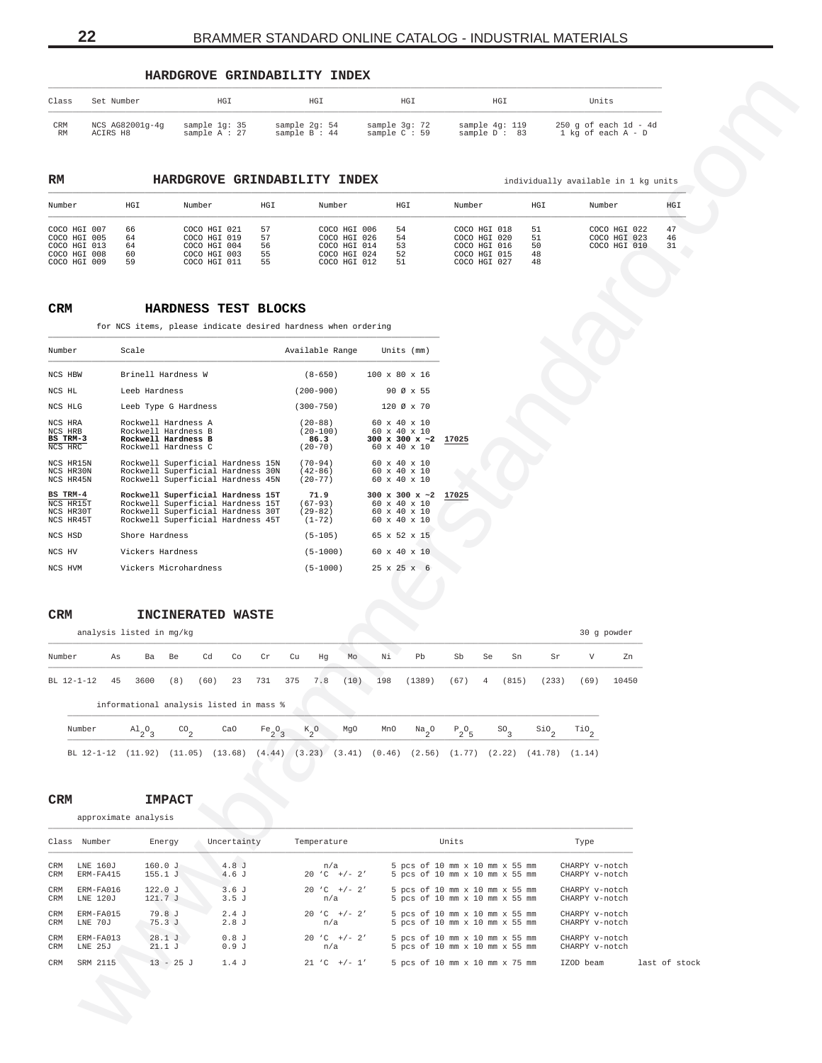## **HARDGROVE GRINDABILITY INDEX**

| Class     | Set Number      | HGI             | HGI           | HGI           | HGI            | Units                     |
|-----------|-----------------|-----------------|---------------|---------------|----------------|---------------------------|
| CRM       | NCS AG82001q-4q | sample 1q: 35   | sample 2q: 54 | sample 3q: 72 | sample 4q: 119 | $250$ q of each $1d - 4d$ |
| <b>RM</b> | ACIRS H8        | sample $A : 27$ | sample B: 44  | sample C : 59 | sample D: 83   | $1$ kg of each $A - D$    |

| Number                                                                       | HGI                        | Number                                                                       | HGI                        | Number                                                                       | HGI                        | Number                                                                       | HGI                        | Number                                       | HGI            |
|------------------------------------------------------------------------------|----------------------------|------------------------------------------------------------------------------|----------------------------|------------------------------------------------------------------------------|----------------------------|------------------------------------------------------------------------------|----------------------------|----------------------------------------------|----------------|
| COCO HGI 007<br>COCO HGI 005<br>COCO HGI 013<br>COCO HGI 008<br>COCO HGI 009 | 66<br>64<br>64<br>60<br>59 | COCO HGI 021<br>COCO HGI 019<br>COCO HGI 004<br>COCO HGI 003<br>COCO HGI 011 | 57<br>57<br>56<br>55<br>55 | COCO HGI 006<br>COCO HGI 026<br>COCO HGI 014<br>COCO HGI 024<br>COCO HGI 012 | 54<br>54<br>53<br>52<br>51 | COCO HGI 018<br>COCO HGI 020<br>COCO HGI 016<br>COCO HGI 015<br>COCO HGI 027 | 51<br>51<br>50<br>48<br>48 | COCO HGI 022<br>COCO HGI 023<br>COCO HGI 010 | 47<br>46<br>31 |

# **CRM HARDNESS TEST BLOCKS**

<span id="page-21-0"></span>

| Class                                        | Set Number                  | HGI                                                                                                         |                  | HGI                                          | HGI                                                       | HGI                                                                               |                                 | Units                                           |               |
|----------------------------------------------|-----------------------------|-------------------------------------------------------------------------------------------------------------|------------------|----------------------------------------------|-----------------------------------------------------------|-----------------------------------------------------------------------------------|---------------------------------|-------------------------------------------------|---------------|
| CRM<br>RM                                    | NCS AG82001g-4g<br>ACIRS H8 | sample 1g: 35<br>sample A : 27                                                                              |                  | sample 2g: 54<br>sample B : 44               | sample 3g: 72<br>sample C : 59                            | sample 4g: 119<br>sample D: 83                                                    |                                 | $250$ g of each $1d - 4d$<br>1 kg of each A - D |               |
|                                              |                             |                                                                                                             |                  |                                              |                                                           |                                                                                   |                                 |                                                 |               |
| RM                                           |                             | HARDGROVE GRINDABILITY INDEX                                                                                |                  |                                              |                                                           |                                                                                   |                                 | individually available in 1 kg units            |               |
| Number                                       | HGI                         | Number                                                                                                      | HGI              | Number                                       | HGI                                                       | Number                                                                            | HGI                             | Number                                          | HGI           |
| COCO HGI 007<br>COCO HGI 005                 | 66<br>64                    | COCO HGI 021<br>COCO HGI 019                                                                                | 57<br>57         | COCO HGI 006<br>COCO HGI 026                 | 54<br>54                                                  | COCO HGI 018<br>COCO HGI 020                                                      | 51<br>51                        | COCO HGI 022<br>COCO HGI 023                    | 47<br>46      |
| COCO HGI 013<br>COCO HGI 008<br>COCO HGI 009 | 64<br>60<br>59              | COCO HGI 004<br>COCO HGI 003<br>COCO HGI 011                                                                | 56<br>55<br>55   | COCO HGI 014<br>COCO HGI 024<br>COCO HGI 012 | 53<br>52<br>51                                            | COCO HGI 016<br>COCO HGI 015<br>COCO HGI 027                                      | 50<br>48<br>48                  | COCO HGI 010                                    | 31            |
|                                              |                             |                                                                                                             |                  |                                              |                                                           |                                                                                   |                                 |                                                 |               |
| CRM                                          |                             | HARDNESS TEST BLOCKS                                                                                        |                  |                                              |                                                           |                                                                                   |                                 |                                                 |               |
|                                              |                             | for NCS items, please indicate desired hardness when ordering                                               |                  |                                              |                                                           |                                                                                   |                                 |                                                 |               |
| Number                                       | Scale                       |                                                                                                             |                  | Available Range                              | Units (mm)                                                |                                                                                   |                                 |                                                 |               |
| NCS HBW                                      |                             | Brinell Hardness W                                                                                          |                  | $(8 - 650)$                                  | 100 x 80 x 16                                             |                                                                                   |                                 |                                                 |               |
| NCS HL                                       | Leeb Hardness               |                                                                                                             |                  | $(200 - 900)$                                | 90 Ø x 55                                                 |                                                                                   |                                 |                                                 |               |
| NCS HLG<br>NCS HRA                           |                             | Leeb Type G Hardness<br>Rockwell Hardness A                                                                 |                  | $(300 - 750)$<br>$(20 - 88)$                 | 120 Ø x 70<br>60 x 40 x 10                                |                                                                                   |                                 |                                                 |               |
| NCS HRB<br>BS TRM-3<br>NCS HRC               |                             | Rockwell Hardness B<br>Rockwell Hardness B<br>Rockwell Hardness C                                           |                  | $(20-100)$<br>86.3<br>$(20-70)$              | 60 x 40 x 10<br>300 x 300 x $\sim$ 2<br>60 x 40 x 10      | 17025                                                                             |                                 |                                                 |               |
| NCS HR15N<br>NCS HR30N                       |                             | Rockwell Superficial Hardness 15N<br>Rockwell Superficial Hardness 30N                                      |                  | $(70 - 94)$<br>$(42 - 86)$                   | 60 x 40 x 10<br>60 x 40 x 10                              |                                                                                   |                                 |                                                 |               |
| NCS HR45N<br>BS TRM-4                        |                             | Rockwell Superficial Hardness 45N                                                                           |                  | $(20 - 77)$                                  | 60 x 40 x 10                                              |                                                                                   |                                 |                                                 |               |
| NCS HR15T<br>NCS HR30T                       |                             | Rockwell Superficial Hardness 15T<br>Rockwell Superficial Hardness 15T<br>Rockwell Superficial Hardness 30T |                  | 71.9<br>$(67 - 93)$<br>$(29 - 82)$           | $300 \times 300 \times 2$<br>60 x 40 x 10<br>60 x 40 x 10 | 17025                                                                             |                                 |                                                 |               |
|                                              |                             | Rockwell Superficial Hardness 45T                                                                           |                  | $(1 - 72)$                                   | 60 x 40 x 10                                              |                                                                                   |                                 |                                                 |               |
| NCS HR45T<br>NCS HSD                         | Shore Hardness              |                                                                                                             |                  | $(5-105)$                                    | 65 x 52 x 15                                              |                                                                                   |                                 |                                                 |               |
| NCS HV                                       |                             | Vickers Hardness                                                                                            |                  | $(5 - 1000)$                                 | 60 x 40 x 10                                              |                                                                                   |                                 |                                                 |               |
|                                              |                             | Vickers Microhardness                                                                                       |                  | $(5-1000)$                                   | $25 \times 25 \times 6$                                   |                                                                                   |                                 |                                                 |               |
|                                              |                             |                                                                                                             |                  |                                              |                                                           |                                                                                   |                                 |                                                 |               |
|                                              |                             | INCINERATED WASTE                                                                                           |                  |                                              |                                                           |                                                                                   |                                 |                                                 |               |
| $\mathtt{CRM}$                               | analysis listed in mg/kg    |                                                                                                             |                  |                                              |                                                           |                                                                                   |                                 | 30 g powder                                     |               |
|                                              | As<br>Ba                    | Be<br>Cd                                                                                                    | Co<br>Cr         | Cu<br>Mo<br>Ηg                               | Νi<br>Pb                                                  | Sb<br>Se<br>Sn                                                                    | Sr                              | V<br>Zn                                         |               |
| BL 12-1-12                                   | 45<br>3600                  | (8)<br>(60)                                                                                                 | 23<br>731<br>375 | 7.8<br>(10)                                  | 198<br>(1389)                                             | (67)<br>(815)                                                                     | (233)                           | (69)<br>10450                                   |               |
|                                              |                             | informational analysis listed in mass %                                                                     |                  |                                              |                                                           |                                                                                   |                                 |                                                 |               |
| NCS HVM<br>Number<br>Number                  | $A1_{2}O_3$                 | $^{co}$ <sub>2</sub>                                                                                        | CaO              | $K_{2}$ <sup>O</sup><br>MgO                  | MnO<br>$Na_{2}$ <sup>O</sup>                              | $P_2O_R$<br>$\mathsf{so}_{\mathsf{3}}$                                            | $\mathop{\rm SiO}\nolimits_{2}$ |                                                 |               |
|                                              | BL 12-1-12                  | $(11.92)$ $(11.05)$ $(13.68)$                                                                               | $Fe_2O_3$        |                                              |                                                           | $(4.44)$ $(3.23)$ $(3.41)$ $(0.46)$ $(2.56)$ $(1.77)$ $(2.22)$ $(41.78)$ $(1.14)$ |                                 | $\mathop{\rm TiO}\nolimits_2$                   |               |
|                                              |                             |                                                                                                             |                  |                                              |                                                           |                                                                                   |                                 |                                                 |               |
|                                              |                             |                                                                                                             |                  |                                              |                                                           |                                                                                   |                                 |                                                 |               |
| <b>CRM</b>                                   | approximate analysis        | <b>IMPACT</b>                                                                                               |                  |                                              |                                                           |                                                                                   |                                 |                                                 |               |
| Class Number                                 |                             | Energy                                                                                                      | Uncertainty      | Temperature                                  |                                                           | Units                                                                             |                                 | Type                                            |               |
| CRM                                          | LNE 160J                    | 160.0J                                                                                                      | 4.8J             | n/a                                          |                                                           | 5 pcs of 10 mm x 10 mm x 55 mm                                                    |                                 | CHARPY v-notch                                  |               |
| CRM<br>CRM                                   | ERM-FA415<br>ERM-FA016      | 155.1J<br>122.0 J                                                                                           | 4.6 J<br>3.6J    | $20 °C$ +/- 2'<br>$20 °C$ +/- 2'             |                                                           | 5 pcs of 10 mm x 10 mm x 55 mm<br>5 pcs of 10 mm x 10 mm x 55 mm                  |                                 | CHARPY v-notch<br>CHARPY v-notch                |               |
| CRM                                          | LNE 120J                    | 121.7 J                                                                                                     | 3.5J             | n/a                                          |                                                           | 5 pcs of 10 mm x 10 mm x 55 mm                                                    |                                 | CHARPY v-notch                                  |               |
| CRM<br>CRM                                   | ERM-FA015<br>LNE 70J        | 79.8 J<br>75.3J                                                                                             | 2.4J<br>2.8J     | $20 °C$ +/- 2'<br>n/a                        |                                                           | 5 pcs of 10 mm x 10 mm x 55 mm<br>5 pcs of 10 mm x 10 mm x 55 mm                  |                                 | CHARPY v-notch<br>CHARPY v-notch                |               |
| CRM<br>CRM                                   | ERM-FA013<br>LNE 25J        | 28.1J<br>21.1J                                                                                              | 0.8J<br>0.9J     | $20 °C$ +/- 2'<br>n/a                        |                                                           | 5 pcs of 10 mm x 10 mm x 55 mm<br>5 pcs of 10 mm x 10 mm x 55 mm                  |                                 | CHARPY v-notch<br>CHARPY v-notch                |               |
| <b>CRM</b>                                   | SRM 2115                    | $13 - 25$ J                                                                                                 | 1.4J             | $21 °C$ +/- 1'                               |                                                           | 5 pcs of 10 mm x 10 mm x 75 mm                                                    |                                 | IZOD beam                                       | last of stock |
|                                              |                             |                                                                                                             |                  |                                              |                                                           |                                                                                   |                                 |                                                 |               |

# **CRM INCINERATED WASTE**

| Number     | As | Ba                                      | Be                 | Cd   | Co  | Cr             | Cu        | Hg Mo    |      | Νi  | Pb        | Sb       | Se | Sn            | Sr        | V    | Zn    |
|------------|----|-----------------------------------------|--------------------|------|-----|----------------|-----------|----------|------|-----|-----------|----------|----|---------------|-----------|------|-------|
| BL 12-1-12 | 45 | 3600                                    | (8)                | (60) |     | 23 731 375 7.8 |           |          | (10) | 198 | (1389)    | $(67)$ 4 |    | (815)         | (233)     | (69) | 10450 |
|            |    | informational analysis listed in mass % |                    |      |     |                |           |          |      |     |           |          |    |               |           |      |       |
| Number     |    | $A1_{2}O_{3}$                           | $\rm{CO}_{\gamma}$ |      | CaO |                | $Fe_2O_3$ | $K_{2}O$ | MgO  | MnO | $Na_{2}O$ | $P_2O_5$ |    | $SO_{\alpha}$ | $SIO_{n}$ | TiO  |       |

|  |  | BL 12-1-12 (11.92) (11.05) (13.68) (4.44) (3.23) (3.41) (0.46) (2.56) (1.77) (2.22) (41.78) (1.14) |  |  |  |  |  |  |  |  |  |  |  |  |
|--|--|----------------------------------------------------------------------------------------------------|--|--|--|--|--|--|--|--|--|--|--|--|
|--|--|----------------------------------------------------------------------------------------------------|--|--|--|--|--|--|--|--|--|--|--|--|

| <b>CRM</b> |                      | <b>IMPACT</b> |
|------------|----------------------|---------------|
|            | approximate analysis |               |

|     | Class Number | Energy      | Uncertainty | Temperature      | Units                          | Type           |               |
|-----|--------------|-------------|-------------|------------------|--------------------------------|----------------|---------------|
| CRM | LNE 160J     | 160.0J      | 4.8J        | n/a              | 5 pcs of 10 mm x 10 mm x 55 mm | CHARPY v-notch |               |
| CRM | ERM-FA415    | 155.1J      | 4.6J        | $20 C +/- 2'$    | 5 pcs of 10 mm x 10 mm x 55 mm | CHARPY v-notch |               |
| CRM | ERM-FA016    | 122.0J      | 3.6J        | $20 C +/- 2'$    | 5 pcs of 10 mm x 10 mm x 55 mm | CHARPY v-notch |               |
| CRM | LNE 120J     | 121.7J      | 3.5J        | n/a              | 5 pcs of 10 mm x 10 mm x 55 mm | CHARPY v-notch |               |
| CRM | ERM-FA015    | 79.8 J      | 2.4J        | $20 C +/- 2'$    | 5 pcs of 10 mm x 10 mm x 55 mm | CHARPY v-notch |               |
| CRM | LNE 70J      | 75.3J       | 2.8J        | n/a              | 5 pcs of 10 mm x 10 mm x 55 mm | CHARPY v-notch |               |
| CRM | ERM-FA013    | 28.1J       | 0.8J        | $20 C +/- 2'$    | 5 pcs of 10 mm x 10 mm x 55 mm | CHARPY v-notch |               |
| CRM | LNE 25J      | 21.1J       | 0.9J        | n/a              | 5 pcs of 10 mm x 10 mm x 55 mm | CHARPY v-notch |               |
| CRM | SRM 2115     | $13 - 25$ J | 1.4J        | $21 \t C +/- 1'$ | 5 pcs of 10 mm x 10 mm x 75 mm | IZOD beam      | last of stock |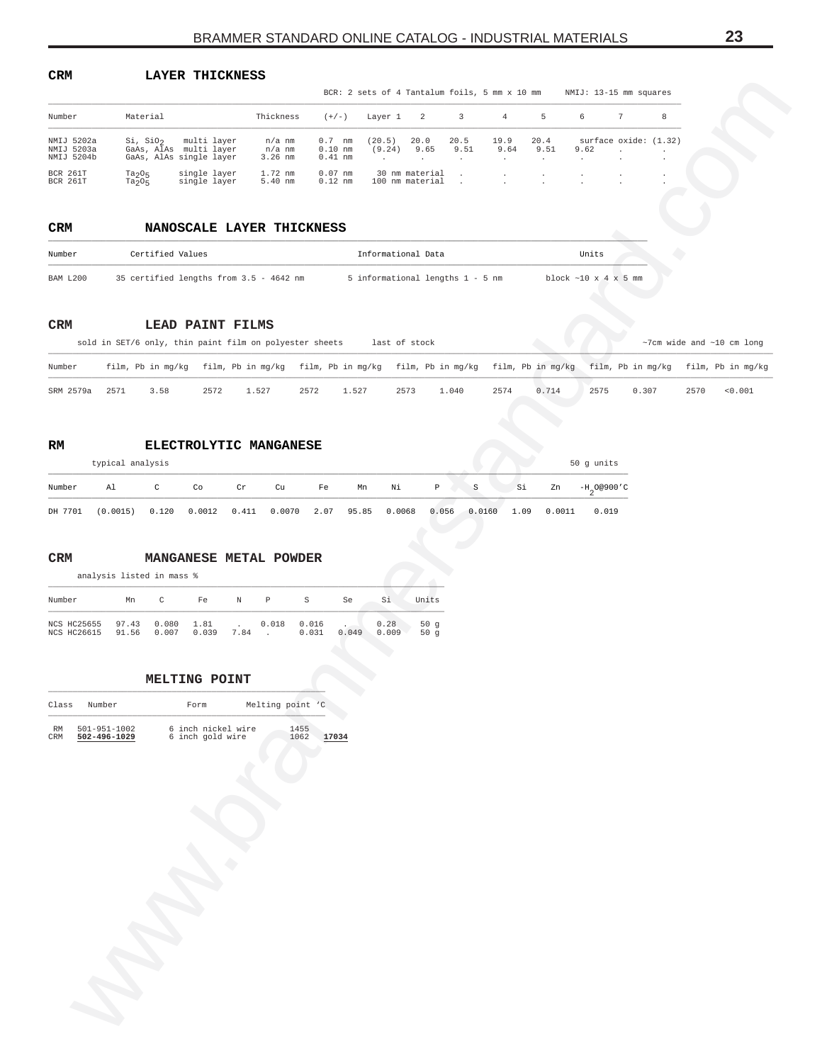<span id="page-22-0"></span>

| LAYER THICKNESS |
|-----------------|
|                 |

|                                           |                                  |                                                                                                             |                               |                                    | BCR: 2 sets of 4 Tantalum foils, 5 mm x 10 mm |              |                         |                         |                         | NMIJ: 13-15 mm squares        |                 |      |                                         |
|-------------------------------------------|----------------------------------|-------------------------------------------------------------------------------------------------------------|-------------------------------|------------------------------------|-----------------------------------------------|--------------|-------------------------|-------------------------|-------------------------|-------------------------------|-----------------|------|-----------------------------------------|
| Number                                    | Material                         |                                                                                                             | Thickness                     | $(+/-)$                            | Layer 1                                       | 2            | 3                       | $\overline{4}$          | 5                       | 6                             | $7\phantom{.0}$ | 8    |                                         |
| NMIJ 5202a<br>NMIJ 5203a<br>NMIJ 5204b    | $Si$ , $SiO2$                    | multi layer<br>GaAs, AlAs multi layer<br>GaAs, AlAs single layer                                            | n/a nm<br>n/a nm<br>$3.26$ nm | $0.7$ nm<br>$0.10$ nm<br>$0.41$ nm | (20.5)<br>(9.24)<br>$\ddot{\phantom{a}}$      | 20.0<br>9.65 | 20.5<br>9.51<br>$\cdot$ | 19.9<br>9.64<br>$\cdot$ | 20.4<br>9.51<br>$\cdot$ | surface oxide: (1.32)<br>9.62 | $\overline{a}$  |      |                                         |
| BCR 261T<br>BCR 261T                      | $Ta_2O_5$<br>$Ta_2O_5$           | single layer<br>single layer                                                                                | 1.72 nm<br>$5.40$ nm          | $0.07$ nm<br>$0.12$ nm             | 30 nm material<br>100 nm material             |              |                         |                         |                         |                               |                 |      |                                         |
| <b>CRM</b>                                |                                  | NANOSCALE LAYER THICKNESS                                                                                   |                               |                                    |                                               |              |                         |                         |                         |                               |                 |      |                                         |
| Number                                    | Certified Values                 |                                                                                                             |                               |                                    | Informational Data                            |              |                         |                         |                         | Units                         |                 |      |                                         |
| BAM L200                                  |                                  | 35 certified lengths from 3.5 - 4642 nm                                                                     |                               |                                    | 5 informational lengths 1 - 5 nm              |              |                         |                         |                         | block $\sim 10$ x 4 x 5 mm    |                 |      |                                         |
| CRM                                       |                                  | LEAD PAINT FILMS<br>sold in SET/6 only, thin paint film on polyester sheets                                 |                               |                                    | last of stock                                 |              |                         |                         |                         |                               |                 |      | $~\sim$ 7cm wide and $~\sim$ 10 cm long |
| Number                                    |                                  | film, Pb in mg/kg film, Pb in mg/kg film, Pb in mg/kg film, Pb in mg/kg film, Pb in mg/kg film, Pb in mg/kg |                               |                                    |                                               |              |                         |                         |                         |                               |                 |      | film, Pb in mg/kg                       |
| SRM 2579a                                 | 3.58<br>2571                     | 2572                                                                                                        | 1.527                         | 2572<br>1.527                      | 2573                                          |              | 1.040                   | 2574                    | 0.714                   | 2575                          | 0.307           | 2570 | < 0.001                                 |
|                                           |                                  |                                                                                                             |                               |                                    |                                               |              |                         |                         |                         |                               |                 |      |                                         |
| RM                                        |                                  | ELECTROLYTIC MANGANESE                                                                                      |                               |                                    |                                               |              |                         |                         |                         |                               |                 |      |                                         |
|                                           | typical analysis                 |                                                                                                             |                               |                                    |                                               |              |                         |                         |                         | 50 g units                    |                 |      |                                         |
| Number                                    | A1<br>$\mathtt{C}$               | Co<br>Cr                                                                                                    | Cu                            | Fe                                 | Νi<br>Mn                                      | $\, {\bf p}$ | $\rm S$                 | Si                      | Zn                      | $-H_2$ 00900'C                |                 |      |                                         |
| DH 7701                                   | (0.0015)<br>0.120                | 0.0012                                                                                                      | 0.411<br>0.0070               | 2.07                               | 95.85<br>0.0068                               | 0.056        | 0.0160                  | 1.09                    | 0.0011                  | 0.019                         |                 |      |                                         |
| Number                                    | C<br>Mn                          | Fe<br>Ν                                                                                                     | P                             | S<br>$\operatorname{Se}$           | Si                                            | Units        |                         |                         |                         |                               |                 |      |                                         |
| NCS HC25655<br>NCS HC26615                | 0.080<br>97.43<br>91.56<br>0.007 | 1.81<br>0.039<br>7.84                                                                                       | 0.018<br>$\sim$               | 0.016<br>0.031<br>0.049            | 0.28<br>0.009                                 | 50g<br>50g   |                         |                         |                         |                               |                 |      |                                         |
|                                           |                                  | MELTING POINT                                                                                               |                               |                                    |                                               |              |                         |                         |                         |                               |                 |      |                                         |
| Class<br>Number                           |                                  | Form                                                                                                        | Melting point 'C              |                                    |                                               |              |                         |                         |                         |                               |                 |      |                                         |
| 501-951-1002<br>RM<br>CRM<br>502-496-1029 |                                  | 6 inch nickel wire<br>6 inch gold wire                                                                      | 1455<br>1062                  | 17034                              |                                               |              |                         |                         |                         |                               |                 |      |                                         |
|                                           |                                  |                                                                                                             |                               |                                    |                                               |              |                         |                         |                         |                               |                 |      |                                         |
|                                           |                                  |                                                                                                             |                               |                                    |                                               |              |                         |                         |                         |                               |                 |      |                                         |
|                                           |                                  |                                                                                                             |                               |                                    |                                               |              |                         |                         |                         |                               |                 |      |                                         |
|                                           |                                  |                                                                                                             |                               |                                    |                                               |              |                         |                         |                         |                               |                 |      |                                         |
|                                           |                                  |                                                                                                             |                               |                                    |                                               |              |                         |                         |                         |                               |                 |      |                                         |
|                                           |                                  |                                                                                                             |                               |                                    |                                               |              |                         |                         |                         |                               |                 |      |                                         |
|                                           |                                  |                                                                                                             |                               |                                    |                                               |              |                         |                         |                         |                               |                 |      |                                         |
|                                           |                                  |                                                                                                             |                               |                                    |                                               |              |                         |                         |                         |                               |                 |      |                                         |
|                                           |                                  |                                                                                                             |                               |                                    |                                               |              |                         |                         |                         |                               |                 |      |                                         |

#### **CRM NANOSCALE LAYER THICKNESS** \_\_\_\_\_\_\_\_\_\_\_\_\_\_\_\_\_\_\_\_\_\_\_\_\_\_\_\_\_\_\_\_\_\_\_\_\_\_\_\_\_\_\_\_\_\_\_\_\_\_\_\_\_\_\_\_\_\_\_\_\_\_\_\_\_\_\_\_\_\_\_\_\_\_\_\_\_\_\_\_\_\_\_\_\_\_\_\_\_\_\_\_\_\_\_\_\_\_\_\_\_\_\_\_\_\_\_\_\_\_\_\_\_\_\_\_\_\_\_\_\_\_\_\_

| Number   | Certified Values                        | Informational Data               | Units                                |
|----------|-----------------------------------------|----------------------------------|--------------------------------------|
| BAM L200 | 35 certified lengths from 3.5 - 4642 nm | 5 informational lengths 1 - 5 nm | block $\sim 10 \times 4 \times 5$ mm |

# **CRM LEAD PAINT FILMS**

|           | sold in SET/6 only, thin paint film on polyester sheets<br>last of stock |      |      |       |      |       |      |       |      | $\sim$ 7cm wide and $\sim$ 10 cm long                                                                                         |      |       |      |         |
|-----------|--------------------------------------------------------------------------|------|------|-------|------|-------|------|-------|------|-------------------------------------------------------------------------------------------------------------------------------|------|-------|------|---------|
| Number    |                                                                          |      |      |       |      |       |      |       |      | film, Pb in mq/kq film, Pb in mq/kq film, Pb in mq/kq film, Pb in mq/kq film, Pb in mq/kq film, Pb in mq/kq film, Pb in mq/kq |      |       |      |         |
| SRM 2579a | 2571                                                                     | 3.58 | 2572 | 1.527 | 2572 | 1.527 | 2573 | 1,040 | 2574 | 0.714                                                                                                                         | 2575 | 0.307 | 2570 | < 0.001 |

# **RM ELECTROLYTIC MANGANESE**

|         |                                                                                                               | typical analysis                                                                                                                                                                                                                                                                                                                |    |       |  |    |  |           |  |  |  |  |                                   |  |  |
|---------|---------------------------------------------------------------------------------------------------------------|---------------------------------------------------------------------------------------------------------------------------------------------------------------------------------------------------------------------------------------------------------------------------------------------------------------------------------|----|-------|--|----|--|-----------|--|--|--|--|-----------------------------------|--|--|
| Number  | Al                                                                                                            | $\mathbb C$ and $\mathbb C$ and $\mathbb C$ are $\mathbb C$ and $\mathbb C$ are $\mathbb C$ and $\mathbb C$ are $\mathbb C$ and $\mathbb C$ are $\mathbb C$ and $\mathbb C$ are $\mathbb C$ and $\mathbb C$ are $\mathbb C$ and $\mathbb C$ are $\mathbb C$ and $\mathbb C$ are $\mathbb C$ and $\mathbb C$ are $\mathbb C$ and | Co | Cr Cu |  | Fe |  | Mn Ni P S |  |  |  |  | $Si$ Zn $-H$ <sub>2</sub> 0@900'C |  |  |
| DH 7701 | $(0.0015)$ $0.120$ $0.0012$ $0.411$ $0.0070$ $2.07$ $95.85$ $0.0068$ $0.056$ $0.0160$ $1.09$ $0.0011$ $0.019$ |                                                                                                                                                                                                                                                                                                                                 |    |       |  |    |  |           |  |  |  |  |                                   |  |  |

# **CRM MANGANESE METAL POWDER**

| Number                           | Mn    | $\sim$ | Fe                        | N | P                 | s              | Se    | Si            | Units      |
|----------------------------------|-------|--------|---------------------------|---|-------------------|----------------|-------|---------------|------------|
| NCS HC25655 97.43<br>NCS HC26615 | 91.56 | 0.007  | $0.080$ $1.81$ .<br>0.039 |   | 0.018<br>$7.84$ . | 0.016<br>0.031 | 0.049 | 0.28<br>0.009 | 50q<br>50q |

# **MELTING POINT**

| Class     | Number                             | Form |                                        | Melting point 'C |              |       |
|-----------|------------------------------------|------|----------------------------------------|------------------|--------------|-------|
| RM<br>CRM | $501 - 951 - 1002$<br>502-496-1029 |      | 6 inch nickel wire<br>6 inch gold wire |                  | 1455<br>1062 | 17034 |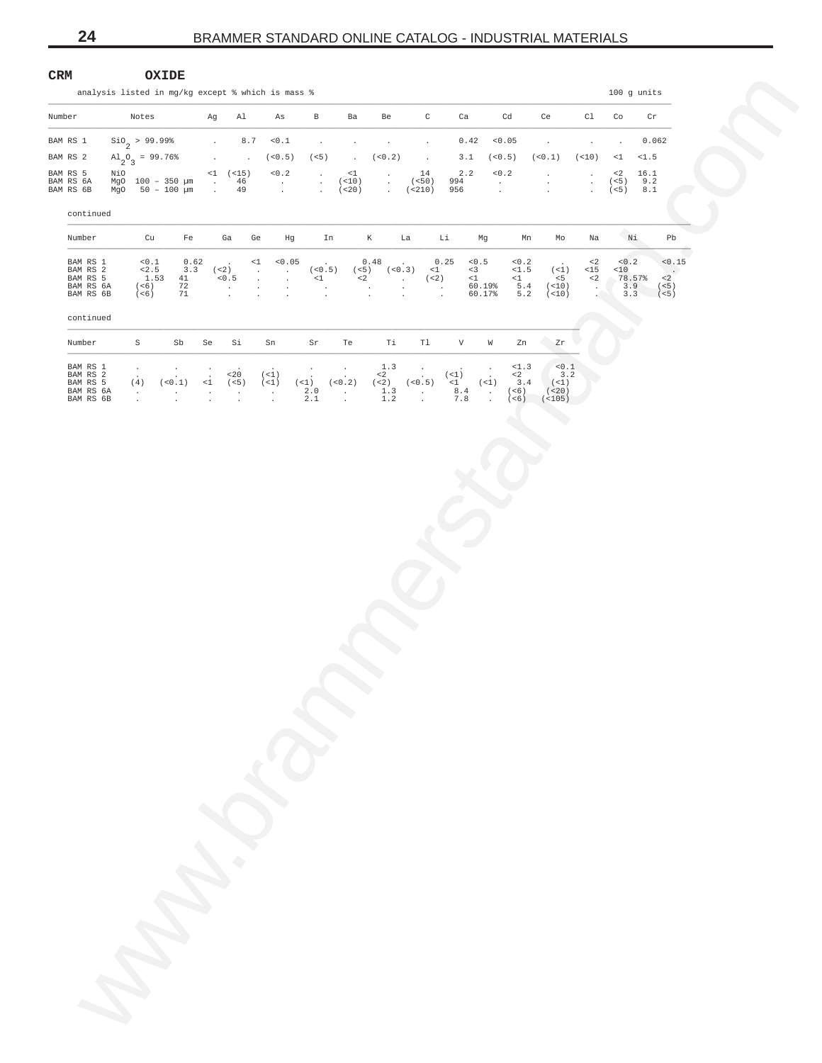<span id="page-23-0"></span>

| $\mathtt{CRM}$                     |        | analysis listed in mg/kg except % which is mass % |                                          |                | OXIDE                               |                    |                                  |                                |                                          |                                          |                               |                                |                             |                               |                                           |                                              |                            |                                |                              |                            |                                            |                                         |                                   | $100$ g units              |                    |                           |  |
|------------------------------------|--------|---------------------------------------------------|------------------------------------------|----------------|-------------------------------------|--------------------|----------------------------------|--------------------------------|------------------------------------------|------------------------------------------|-------------------------------|--------------------------------|-----------------------------|-------------------------------|-------------------------------------------|----------------------------------------------|----------------------------|--------------------------------|------------------------------|----------------------------|--------------------------------------------|-----------------------------------------|-----------------------------------|----------------------------|--------------------|---------------------------|--|
| Number                             |        |                                                   | Notes                                    |                |                                     |                    | Ag                               | Al                             |                                          | As                                       |                               | $\, {\bf B}$                   | Ba                          |                               | Be                                        |                                              | $\mathsf{C}$               | Ca                             |                              | Cd                         | Ce                                         |                                         | Cl                                | Co                         |                    | Cr                        |  |
| BAM RS 1                           |        |                                                   | $\sin_2$ > 99.99%                        |                |                                     |                    | $\ddot{\phantom{a}}$             |                                | 8.7                                      | 0.1                                      |                               | $\blacksquare$                 |                             | $\ddot{\phantom{a}}$          | $\cdot$                                   |                                              | $\ddot{\phantom{a}}$       | 0.42                           |                              | 0.05                       | $\ddot{\phantom{a}}$                       |                                         | $\cdot$                           | $\ddot{\phantom{a}}$       |                    | 0.062                     |  |
| BAM RS 2                           |        |                                                   | $\mathrm{Al}_{2}\mathrm{O}_{3}$ = 99.76% |                |                                     |                    | $\mathbf{r}$                     |                                | $\overline{\phantom{a}}$                 | (< 0.5)                                  |                               | (<5)                           |                             | $\sim$                        | (< 0.2)                                   | $\sim 100$                                   |                            | 3.1                            |                              | (< 0.5)                    | (< 0.1)                                    |                                         | (< 10)                            | $\leq 1$                   | <1.5               |                           |  |
| BAM RS 5<br>BAM RS 6A<br>BAM RS 6B |        | NiO                                               |                                          |                | MgO 100 - 350 µm<br>MgO 50 - 100 µm |                    | $\sim 10^{-1}$<br>$\sim$         | $<1$ ( $<15$ )<br>46<br>49     |                                          | 0.2<br>$\sim 100$ km s $^{-1}$<br>$\sim$ |                               | $\cdot$<br>$\cdot$<br>$\cdot$  | $\leq 1$<br>(<10)<br>(< 20) |                               | $\ddot{\phantom{a}}$<br>$\cdot$<br>$\sim$ | 14<br>(<50)<br>(<210)                        |                            | 2.2<br>994<br>956              |                              | $<0.2$<br>$\sim$<br>$\sim$ | $\ddot{\phantom{a}}$<br>$\cdot$<br>$\cdot$ |                                         | $\cdot$<br>$\cdot$<br>$\cdot$     | ${<}\,2$<br>(< 5)<br>(< 5) | 16.1<br>9.2<br>8.1 |                           |  |
|                                    |        | continued                                         |                                          |                |                                     |                    |                                  |                                |                                          |                                          |                               |                                |                             |                               |                                           |                                              |                            |                                |                              |                            |                                            |                                         |                                   |                            |                    |                           |  |
|                                    | Number |                                                   |                                          | Cu             |                                     | Fe                 |                                  | Ga                             | Ge                                       |                                          | Hg                            |                                | In                          | K                             |                                           | La                                           |                            | Li                             | Mg                           | Mn                         |                                            | Mo                                      | Na                                |                            | Ni                 | Pb                        |  |
|                                    |        | BAM RS 1<br>BAM RS 2                              |                                          | < 0.1<br>< 2.5 |                                     | 0.62<br>$3.3$ (<2) |                                  | $\sim$                         | $\sim 10$                                | $< 1$ $< 0.05$                           | <b>Contractor</b>             | $\sim$                         |                             |                               | 0.48<br>$(<0.5)$ $(<5)$ $(<0.3)$          | $\sim$ $\sim$                                | 0.25<br><1                 |                                | 0.5<br>< 3                   | < 0.2<br><1.5              |                                            | (<1)                                    | $\lt2$<br>< 15                    | < 0.2<br><10               |                    | < 0.15<br>$\sim$          |  |
|                                    |        | BAM RS 5<br>BAM RS 6A<br>BAM RS 6B                |                                          | (< 6)<br>(< 6) | 1.53 41                             | 72<br>71           |                                  | < 0.5<br>$\sim 100$<br>$\sim$  | $\sim$<br>$\sim$<br>$\ddot{\phantom{a}}$ |                                          | $\cdot$<br>$\cdot$<br>$\cdot$ | $\leq 1$<br>$\cdot$<br>$\cdot$ |                             | $\leq$ 2<br>$\sim$<br>$\cdot$ | <b>Contractor</b>                         | $\sim$<br>$\sim$                             | (< 2)<br>$\sim$<br>$\cdot$ |                                | $\leq 1$<br>60.19%<br>60.17% | $\leq 1$<br>5.4<br>5.2     |                                            | < 5<br>(< 10)<br>(< 10)                 | $\lt2$<br>$\sim$<br>$\mathcal{L}$ | 3.3                        | 78.57%<br>3.9      | $\lt 2$<br>(< 5)<br>(< 5) |  |
|                                    |        | continued                                         |                                          |                |                                     |                    |                                  |                                |                                          |                                          |                               |                                |                             |                               |                                           |                                              |                            |                                |                              |                            |                                            |                                         |                                   |                            |                    |                           |  |
|                                    | Number |                                                   | S                                        |                | Sb                                  |                    | Se                               | Si                             |                                          | Sn                                       |                               | Sr                             | Te                          |                               | тi                                        | Tl                                           |                            | $\boldsymbol{\mathrm{V}}$      | W                            | Zn                         | Zr                                         |                                         |                                   |                            |                    |                           |  |
|                                    |        | BAM RS 1                                          |                                          |                |                                     |                    |                                  |                                |                                          |                                          |                               |                                |                             |                               | 1.3                                       |                                              |                            |                                |                              | <1.3                       |                                            | < 0.1                                   |                                   |                            |                    |                           |  |
|                                    |        | BAM RS 2<br>BAM RS 5<br>BAM RS 6A                 | (4)<br>$\sim$ $\sim$                     |                | (< 0.1)<br>$\cdot$                  |                    | $\leq 1$<br>$\ddot{\phantom{a}}$ | < 20<br>(< 5)<br>$\sim$ $\sim$ |                                          | (<1)<br>$($ <1)<br>$\sim$                |                               | $\cdot$<br>$($ < 1 $)$<br>2.0  | (< 0.2)<br>$\sim 100$       |                               | $\leq$ 2<br>(< 2)<br>1.3                  | $\sim$<br>(< 0.5)<br>$\sim 100$ km s $^{-1}$ |                            | $($ < 1 $)$<br>$\leq 1$<br>8.4 | $($ < 1 $)$<br>$\sim 100$    | $\leq$ 2<br>3.4<br>(< 6)   |                                            | 3.2<br>$\left($ < 1 $\right)$<br>(< 20) |                                   |                            |                    |                           |  |
|                                    |        | BAM RS 6B                                         | $\sim$                                   |                | $\ddot{\phantom{a}}$                |                    | $\cdot$                          | $\cdot$                        |                                          | $\cdot$                                  |                               | 2.1                            | $\cdot$                     |                               | 1.2                                       | $\sim$                                       |                            | 7.8                            | $\cdot$                      | (< 6)                      |                                            | (<105)                                  |                                   |                            |                    |                           |  |
|                                    |        |                                                   |                                          |                |                                     |                    |                                  |                                |                                          |                                          |                               |                                |                             |                               |                                           |                                              |                            |                                |                              |                            |                                            |                                         |                                   |                            |                    |                           |  |
|                                    |        |                                                   |                                          |                |                                     |                    |                                  |                                |                                          |                                          |                               |                                |                             |                               |                                           |                                              |                            |                                |                              |                            |                                            |                                         |                                   |                            |                    |                           |  |
|                                    |        |                                                   |                                          |                |                                     |                    |                                  |                                |                                          |                                          |                               |                                |                             |                               |                                           |                                              |                            |                                |                              |                            |                                            |                                         |                                   |                            |                    |                           |  |
|                                    |        |                                                   |                                          |                |                                     |                    |                                  |                                |                                          |                                          |                               |                                |                             |                               |                                           |                                              |                            |                                |                              |                            |                                            |                                         |                                   |                            |                    |                           |  |
|                                    |        |                                                   |                                          |                |                                     |                    |                                  |                                |                                          |                                          |                               |                                |                             |                               |                                           |                                              |                            |                                |                              |                            |                                            |                                         |                                   |                            |                    |                           |  |
|                                    |        |                                                   |                                          |                |                                     |                    |                                  |                                |                                          |                                          |                               |                                |                             |                               |                                           |                                              |                            |                                |                              |                            |                                            |                                         |                                   |                            |                    |                           |  |
|                                    |        |                                                   |                                          |                |                                     |                    |                                  |                                |                                          |                                          |                               |                                |                             |                               |                                           |                                              |                            |                                |                              |                            |                                            |                                         |                                   |                            |                    |                           |  |
|                                    |        |                                                   |                                          |                |                                     |                    |                                  |                                |                                          |                                          |                               |                                |                             |                               |                                           |                                              |                            |                                |                              |                            |                                            |                                         |                                   |                            |                    |                           |  |
|                                    |        |                                                   |                                          |                |                                     |                    |                                  |                                |                                          |                                          |                               |                                |                             |                               |                                           |                                              |                            |                                |                              |                            |                                            |                                         |                                   |                            |                    |                           |  |
|                                    |        |                                                   |                                          |                |                                     |                    |                                  |                                |                                          |                                          |                               |                                |                             |                               |                                           |                                              |                            |                                |                              |                            |                                            |                                         |                                   |                            |                    |                           |  |
|                                    |        |                                                   |                                          |                |                                     |                    |                                  |                                |                                          |                                          |                               |                                |                             |                               |                                           |                                              |                            |                                |                              |                            |                                            |                                         |                                   |                            |                    |                           |  |
|                                    |        |                                                   |                                          |                |                                     |                    |                                  |                                |                                          |                                          |                               |                                |                             |                               |                                           |                                              |                            |                                |                              |                            |                                            |                                         |                                   |                            |                    |                           |  |
|                                    |        |                                                   |                                          |                |                                     |                    |                                  |                                |                                          |                                          |                               |                                |                             |                               | $\sum$                                    |                                              |                            |                                |                              |                            |                                            |                                         |                                   |                            |                    |                           |  |
|                                    |        |                                                   |                                          |                |                                     |                    |                                  |                                |                                          |                                          |                               |                                |                             |                               |                                           |                                              |                            |                                |                              |                            |                                            |                                         |                                   |                            |                    |                           |  |
|                                    |        |                                                   |                                          |                |                                     |                    |                                  |                                |                                          |                                          |                               |                                |                             |                               |                                           |                                              |                            |                                |                              |                            |                                            |                                         |                                   |                            |                    |                           |  |
|                                    |        |                                                   |                                          |                |                                     |                    |                                  |                                |                                          |                                          |                               |                                |                             |                               |                                           |                                              |                            |                                |                              |                            |                                            |                                         |                                   |                            |                    |                           |  |
|                                    |        |                                                   |                                          |                |                                     |                    |                                  |                                |                                          |                                          |                               |                                |                             |                               |                                           |                                              |                            |                                |                              |                            |                                            |                                         |                                   |                            |                    |                           |  |
|                                    |        |                                                   |                                          |                |                                     |                    |                                  |                                |                                          |                                          |                               |                                |                             |                               |                                           |                                              |                            |                                |                              |                            |                                            |                                         |                                   |                            |                    |                           |  |
|                                    |        |                                                   |                                          |                |                                     |                    |                                  |                                |                                          |                                          |                               |                                |                             |                               |                                           |                                              |                            |                                |                              |                            |                                            |                                         |                                   |                            |                    |                           |  |
|                                    |        |                                                   |                                          |                |                                     |                    |                                  |                                |                                          |                                          |                               |                                |                             |                               |                                           |                                              |                            |                                |                              |                            |                                            |                                         |                                   |                            |                    |                           |  |
|                                    |        |                                                   |                                          |                |                                     |                    |                                  |                                |                                          |                                          |                               |                                |                             |                               |                                           |                                              |                            |                                |                              |                            |                                            |                                         |                                   |                            |                    |                           |  |
|                                    |        |                                                   |                                          |                |                                     |                    |                                  |                                |                                          |                                          |                               |                                |                             |                               |                                           |                                              |                            |                                |                              |                            |                                            |                                         |                                   |                            |                    |                           |  |
|                                    |        |                                                   |                                          |                |                                     |                    |                                  |                                |                                          |                                          |                               |                                |                             |                               |                                           |                                              |                            |                                |                              |                            |                                            |                                         |                                   |                            |                    |                           |  |
|                                    |        |                                                   |                                          |                |                                     |                    |                                  |                                |                                          |                                          |                               |                                |                             |                               |                                           |                                              |                            |                                |                              |                            |                                            |                                         |                                   |                            |                    |                           |  |
|                                    |        |                                                   |                                          |                |                                     |                    |                                  |                                |                                          |                                          |                               |                                |                             |                               |                                           |                                              |                            |                                |                              |                            |                                            |                                         |                                   |                            |                    |                           |  |
|                                    |        |                                                   |                                          |                |                                     |                    |                                  |                                |                                          |                                          |                               |                                |                             |                               |                                           |                                              |                            |                                |                              |                            |                                            |                                         |                                   |                            |                    |                           |  |
|                                    |        |                                                   | No.                                      |                | N.                                  |                    |                                  |                                |                                          |                                          |                               |                                |                             |                               |                                           |                                              |                            |                                |                              |                            |                                            |                                         |                                   |                            |                    |                           |  |
|                                    |        |                                                   |                                          |                |                                     |                    |                                  |                                |                                          |                                          |                               |                                |                             |                               |                                           |                                              |                            |                                |                              |                            |                                            |                                         |                                   |                            |                    |                           |  |
|                                    |        |                                                   |                                          |                |                                     |                    |                                  |                                |                                          |                                          |                               |                                |                             |                               |                                           |                                              |                            |                                |                              |                            |                                            |                                         |                                   |                            |                    |                           |  |
|                                    |        |                                                   |                                          |                |                                     |                    |                                  |                                |                                          |                                          |                               |                                |                             |                               |                                           |                                              |                            |                                |                              |                            |                                            |                                         |                                   |                            |                    |                           |  |
|                                    |        |                                                   |                                          |                |                                     |                    |                                  |                                |                                          |                                          |                               |                                |                             |                               |                                           |                                              |                            |                                |                              |                            |                                            |                                         |                                   |                            |                    |                           |  |
|                                    |        |                                                   |                                          |                |                                     |                    |                                  |                                |                                          |                                          |                               |                                |                             |                               |                                           |                                              |                            |                                |                              |                            |                                            |                                         |                                   |                            |                    |                           |  |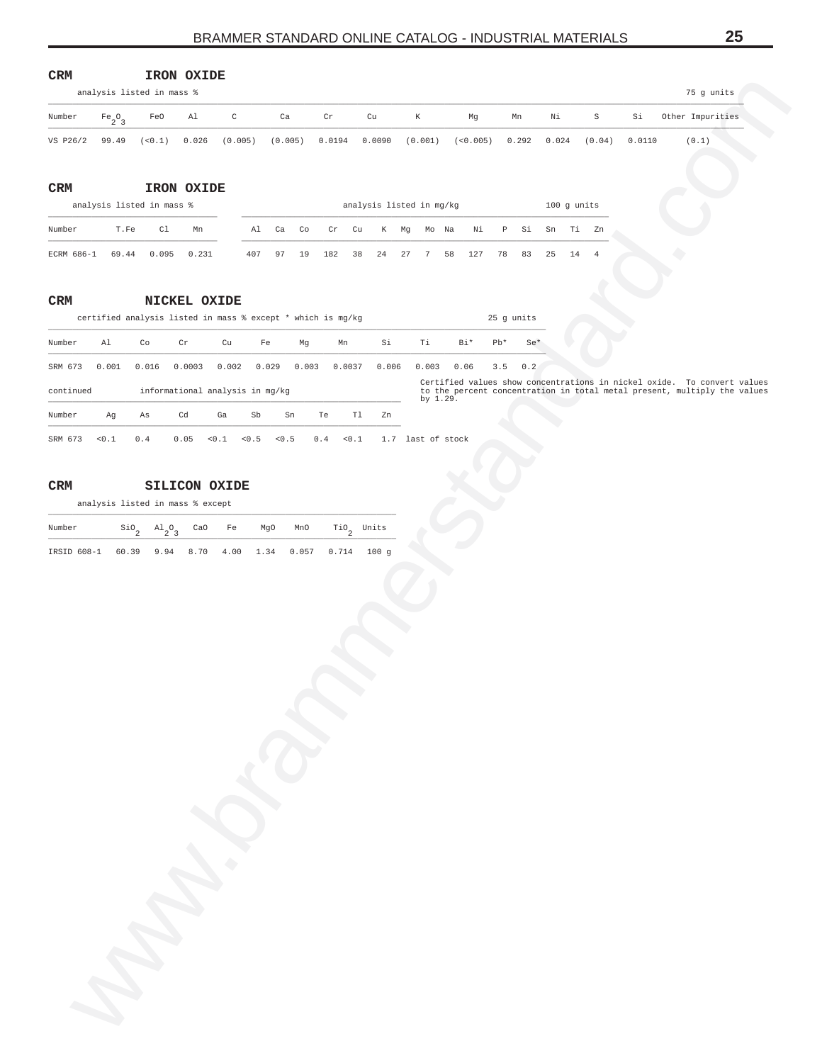<span id="page-24-0"></span>

| $\ensuremath{\mathsf{CRM}}$ |                    |                                  | IRON OXIDE   |                                 |                                                             |                         |                        |                          |           |                    |               |                      |        |                                                                                                                                                     |  |
|-----------------------------|--------------------|----------------------------------|--------------|---------------------------------|-------------------------------------------------------------|-------------------------|------------------------|--------------------------|-----------|--------------------|---------------|----------------------|--------|-----------------------------------------------------------------------------------------------------------------------------------------------------|--|
|                             |                    | analysis listed in mass %        |              |                                 |                                                             |                         |                        |                          |           |                    |               |                      |        | 75 g units                                                                                                                                          |  |
| Number                      | $Fe_2O_3$          | FeO                              | Al           | $\mathtt{C}$                    | Ca                                                          | $\operatorname{\sf Cr}$ | Cu                     | K                        | Mg        | Mn                 | Νi            | $\rm S$              | Si     | Other Impurities                                                                                                                                    |  |
| VS P26/2                    | 99.49              | (< 0.1)                          | 0.026        | (0.005)                         | (0.005)                                                     | 0.0194                  | 0.0090                 | (0.001)                  | (< 0.005) | 0.292              | 0.024         | (0.04)               | 0.0110 | (0.1)                                                                                                                                               |  |
|                             |                    |                                  | IRON OXIDE   |                                 |                                                             |                         |                        |                          |           |                    |               |                      |        |                                                                                                                                                     |  |
| CRM                         |                    | analysis listed in mass %        |              |                                 |                                                             |                         |                        | analysis listed in mg/kg |           |                    | $100$ g units |                      |        |                                                                                                                                                     |  |
| Number                      | T.Fe               | Cl                               | Mn           |                                 | Al<br>Ca Co                                                 | Cr                      | Cu                     | K Mg<br>Mo Na            | Νi        | $\mathbb{P}$<br>Si | Sn            | Ti<br>Zn             |        |                                                                                                                                                     |  |
| ECRM 686-1                  | 69.44              | 0.095                            | 0.231        | 407                             | 19<br>97                                                    | 182                     | 38<br>24               | 27<br>7                  | 127<br>58 | 78<br>83           | 25            | 14<br>$\overline{4}$ |        |                                                                                                                                                     |  |
|                             |                    |                                  |              |                                 |                                                             |                         |                        |                          |           |                    |               |                      |        |                                                                                                                                                     |  |
| CRM                         |                    |                                  | NICKEL OXIDE |                                 |                                                             |                         |                        |                          |           |                    |               |                      |        |                                                                                                                                                     |  |
|                             |                    |                                  |              |                                 | certified analysis listed in mass % except * which is mg/kg |                         |                        |                          |           | 25 g units         |               |                      |        |                                                                                                                                                     |  |
| Number                      | Al                 | Co                               | Cr           | Cu                              | Fe<br>Mg                                                    | Mn                      | Si                     | Τi                       | Bi*       | $Pb*$<br>$Se*$     |               |                      |        |                                                                                                                                                     |  |
| SRM 673                     | 0.001              | 0.016                            | 0.0003       | 0.002                           | 0.003<br>0.029                                              | 0.0037                  | 0.006                  | 0.003                    | 0.06      | 3.5<br>0.2         |               |                      |        |                                                                                                                                                     |  |
| continued                   |                    |                                  |              | informational analysis in mg/kg |                                                             |                         |                        | by 1.29.                 |           |                    |               |                      |        | Certified values show concentrations in nickel oxide. To convert values<br>to the percent concentration in total metal present, multiply the values |  |
| Number                      | Ag                 | Αs                               | Cd           | Ga<br>Sb                        | Sn                                                          | Te                      | Tl<br>Zn               |                          |           |                    |               |                      |        |                                                                                                                                                     |  |
| SRM 673                     | < 0.1              | 0.4                              | 0.05         | $<0.1$<br>$< 0.5$               | < 0.5                                                       | 0.4<br>< 0.1            |                        | 1.7 last of stock        |           |                    |               |                      |        |                                                                                                                                                     |  |
|                             |                    |                                  |              |                                 |                                                             |                         |                        |                          |           |                    |               |                      |        |                                                                                                                                                     |  |
|                             |                    |                                  |              |                                 |                                                             |                         |                        |                          |           |                    |               |                      |        |                                                                                                                                                     |  |
| CRM                         |                    |                                  |              | <b>SILICON OXIDE</b>            |                                                             |                         |                        |                          |           |                    |               |                      |        |                                                                                                                                                     |  |
|                             |                    | analysis listed in mass % except |              |                                 |                                                             |                         |                        |                          |           |                    |               |                      |        |                                                                                                                                                     |  |
| Number                      | $\mathsf{Sio}_{2}$ | $\mathrm{^{Al}_{2}O_{3}}$        | CaO          | Fe                              | MgO<br>MnO                                                  |                         | $\mathrm{TiO}_2$ Units |                          |           |                    |               |                      |        |                                                                                                                                                     |  |
|                             |                    |                                  |              |                                 |                                                             |                         |                        |                          |           |                    |               |                      |        |                                                                                                                                                     |  |
|                             |                    |                                  |              |                                 |                                                             |                         |                        |                          |           |                    |               |                      |        |                                                                                                                                                     |  |
|                             | 12                 |                                  |              |                                 |                                                             |                         |                        |                          |           |                    |               |                      |        |                                                                                                                                                     |  |

### **CRM NICKEL OXIDE**

|           | certified analysis listed in mass % except * which is mg/kg |       |                                 |       |       |       |       |        |       |               |      | 25 q units |       |  |                                                                                                                                                     |  |
|-----------|-------------------------------------------------------------|-------|---------------------------------|-------|-------|-------|-------|--------|-------|---------------|------|------------|-------|--|-----------------------------------------------------------------------------------------------------------------------------------------------------|--|
| Number    | Al                                                          | Co    | Cr                              | Cu    | Fe    |       | Mq    | Mn     | Si    | Ti            | Bi*  | $Ph*$      | $Se*$ |  |                                                                                                                                                     |  |
| SRM 673   | 0.001                                                       | 0.016 | 0.0003                          | 0.002 |       | 0.029 | 0.003 | 0.0037 | 0.006 | 0.003         | 0.06 | 3.5        | 0.2   |  |                                                                                                                                                     |  |
| continued |                                                             |       | informational analysis in mg/kg |       |       |       |       |        |       | by $1.29$ .   |      |            |       |  | Certified values show concentrations in nickel oxide. To convert values<br>to the percent concentration in total metal present, multiply the values |  |
| Number    | Aq                                                          | As    | Cd                              | Ga    | Sb    | Sn    | Te    | Tl     | Zn    |               |      |            |       |  |                                                                                                                                                     |  |
| SRM 673   | 0.1                                                         | 0.4   | 0.05                            | < 0.1 | < 0.5 | < 0.5 | 0.4   | < 0.1  | 1.7   | last of stock |      |            |       |  |                                                                                                                                                     |  |

# **CRM SILICON OXIDE**

| Number                                                  |  |  | $\sin \theta_2$ Al <sub>2</sub> O <sub>2</sub> CaO Fe MgO MnO TiO <sub>2</sub> Units |  |
|---------------------------------------------------------|--|--|--------------------------------------------------------------------------------------|--|
| IRSID 608-1 60.39 9.94 8.70 4.00 1.34 0.057 0.714 100 g |  |  |                                                                                      |  |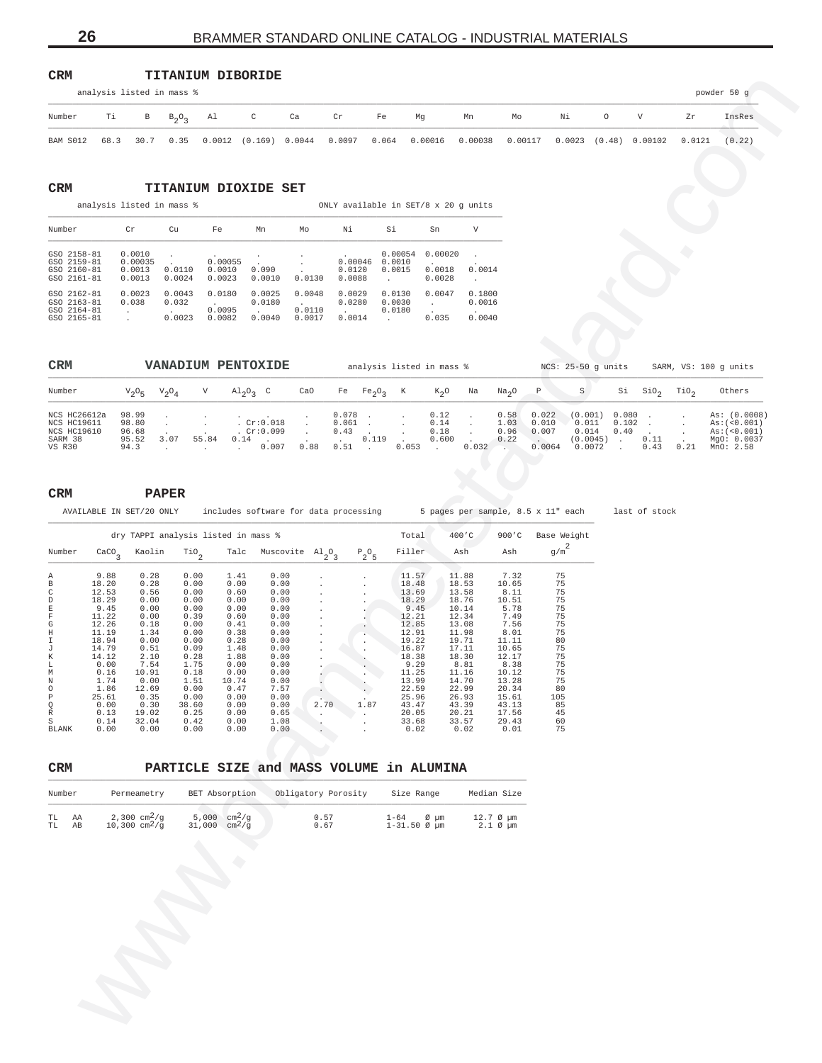| $\mathtt{CRM}$ | <b>TITANIUM DIBORIDE</b> |  |
|----------------|--------------------------|--|
|                |                          |  |

|                              | analysis listed in mass % |  |  |           |           |    |                                                                                                          |    |    |  |        | powder 50 g |
|------------------------------|---------------------------|--|--|-----------|-----------|----|----------------------------------------------------------------------------------------------------------|----|----|--|--------|-------------|
| Number Ti B $B_2O_2$ Al C Ca |                           |  |  | <b>Cr</b> | <b>Fe</b> | Mg | Mn                                                                                                       | Mo | Ni |  |        | InsRes      |
|                              |                           |  |  |           |           |    | BAM S012 68.3 30.7 0.35 0.0012 (0.169) 0.0044 0.0097 0.064 0.00016 0.00038 0.00117 0.0023 (0.48) 0.00102 |    |    |  | 0.0121 | (0.22)      |

## **CRM TITANIUM DIOXIDE SET**

analysis listed in mass % ONLY available in SET/8 x 20 g units

| Number                                                         | Cr                                    | Cu                        | Fe                          | Mn                                          | Mo                         | Νi                          | Si                          | Sn                          | V                                    |
|----------------------------------------------------------------|---------------------------------------|---------------------------|-----------------------------|---------------------------------------------|----------------------------|-----------------------------|-----------------------------|-----------------------------|--------------------------------------|
| $GSO$ $2158-81$<br>GSO 2159-81<br>GSO 2160-81<br>$GSO$ 2161-81 | 0.0010<br>0.00035<br>0.0013<br>0.0013 | 0.0110<br>0.0024          | 0.00055<br>0.0010<br>0.0023 | $\overline{\phantom{a}}$<br>0.090<br>0.0010 | $\mathbf{r}$<br>0.0130     | 0.00046<br>0.0120<br>0.0088 | 0.00054<br>0.0010<br>0.0015 | 0.00020<br>0.0018<br>0.0028 | 0.0014                               |
| GSO 2162-81<br>GSO 2163-81<br>GSO 2164-81<br>GSO 2165-81       | 0.0023<br>0.038                       | 0.0043<br>0.032<br>0.0023 | 0.0180<br>0.0095<br>0.0082  | 0.0025<br>0.0180<br>0.0040                  | 0.0048<br>0.0110<br>0.0017 | 0.0029<br>0.0280<br>0.0014  | 0.0130<br>0.0030<br>0.0180  | 0.0047<br>0.035             | 0.1800<br>0.0016<br>$\sim$<br>0.0040 |

| <b>CRM</b>                         |                        |          |       | VANADIUM PENTOXIDE                |      |                    |                                |       | analysis listed in mass % |       |                   |                 | $NCS: 25-50$ q units        |                |              |      | SARM, VS: 100 q units                    |
|------------------------------------|------------------------|----------|-------|-----------------------------------|------|--------------------|--------------------------------|-------|---------------------------|-------|-------------------|-----------------|-----------------------------|----------------|--------------|------|------------------------------------------|
| Number                             | $V_2O_E$               | $V_2O_A$ |       | $\mathrm{Al}_{2}\mathrm{O}_{2}$ C | CaO  | Fe                 | Fe <sub>2</sub> O <sub>2</sub> | K     | $K_0$ O                   | Na    | Na <sub>2</sub> O | $\mathbb{P}$    |                             | Si             | SiO.         | TiO, | Others                                   |
| NCS HC26612a<br><b>NCS HC19611</b> | 98.99<br>98.80         |          |       | Cr:0.018                          |      | $0.078$ .<br>0.061 |                                |       | 0.12<br>0.14              |       | 0.58<br>1.03      | 0.022<br>0.010  | (0.001)<br>0.011            | 0.080<br>0.102 |              |      | As: (0.0008)<br>As: (<0.001)             |
| NCS HC19610<br>SARM 38<br>VS R30   | 96.68<br>95.52<br>94.3 | 3.07     | 55.84 | . $Cr:0.099$<br>0.14<br>0.007     | 0.88 | 0.43<br>0.51       | 0.119                          | 0.053 | 0.18<br>0.600             | 0.032 | 0.96<br>0.22      | 0.007<br>0.0064 | 0.014<br>(0.0045)<br>0.0072 | 0.40           | 0.11<br>0.43 | 0.21 | As: (<0.001)<br>MgO: 0.0037<br>MnO: 2.58 |

| 0.0097<br>0.064<br>0.00016<br>0.00038<br>0.00117<br>$0.0023$ $(0.48)$ 0.00102<br>BAM S012<br>30.7<br>0.35<br>$0.0012$ $(0.169)$ $0.0044$<br>0.0121<br>68.3<br>CRM<br><b>TITANIUM DIOXIDE SET</b><br>analysis listed in mass %<br>ONLY available in SET/8 x 20 g units<br>Νi<br>Si<br>Number<br>Cr<br>Cu<br>Fe<br>Sn<br>V<br>Mn<br>Mo<br>0.0010<br>$0.00054$ 0.00020<br>GSO 2158-81<br>$\cdot$<br>0.00055<br>$0.00046$ $0.0010$<br>GSO 2159-81<br>0.00035<br>$\sim$<br>0.0014<br>GSO 2160-81<br>0.0013<br>0.0110<br>0.0010<br>0.090<br>0.0120<br>0.0015<br>0.0018<br>0.0023<br>GSO 2161-81<br>0.0024<br>0.0010<br>0.0088<br>0.0028<br>0.0013<br>0.0130<br>$\sim$<br>$\sim$<br>0.0043<br>0.0048<br>0.0130<br>GSO 2162-81<br>0.0023<br>0.0180<br>0.0025<br>0.0029<br>0.0047<br>0.1800<br>GSO 2163-81<br>0.038<br>0.032<br>0.0180<br>0.0280<br>0.0030<br>0.0016<br><b>Contract Contract</b><br><b>Carl Corp.</b><br><b>Contract</b><br>0.0095<br>GSO 2164-81<br>0.0110<br>0.0180<br><b>Contract Contract</b><br><b>Carlos</b><br>August 2<br>0.0023<br>0.0082<br>0.0017<br>0.035<br>0.0040<br>GSO 2165-81<br>0.0040<br>0.0014<br><b>Contract Contract</b><br>CRM<br>VANADIUM PENTOXIDE<br>analysis listed in mass %<br>NCS: 25-50 g units SARM, VS: 100 g units<br>S<br>$Si$ $SiO2$<br>Number<br>$V_2O_4$<br>V<br>$\mathrm{Al}_{2}\mathrm{O}_{3}$ C<br>CaO<br>Fe $Fe_2O_3$<br>K<br>$K_2O$<br>Na <sub>2</sub> O<br>P<br>TiO <sub>2</sub><br>Others<br>$V_2O_5$<br>Na<br>98.99<br>$0.078$ .<br>0.022<br>$(0.001)$ 0.080.<br>NCS HC26612a<br>0.12<br>0.58<br>$\sim 10^{-11}$<br>$\cdot$<br>$\sim$<br>$\sim$<br>$\cdot$<br>Cr:0.018<br>0.011<br>NCS HC19611<br>98.80<br>$0.061$ .<br>0.14<br>1.03<br>0.010<br>$0.102$ .<br>$\sim 100$<br>$\frac{1}{2}$ .<br>$\sim 10^{-11}$<br>$\sim$<br>$\star$<br>$\sim$<br>. $Cr:0.099$<br>0.007<br>$0.40$ .<br>NCS HC19610<br>96.68<br>$0.43$ .<br>0.18<br>0.96<br>0.014<br>$\sim$<br>$\sim$ $-$<br>$\star$<br>$\sim$<br>$0.600$ .<br>SARM 38<br>95.52<br>3.07<br>$55.84$ 0.14 .<br>. 0.119<br>0.22<br>$(0.0045)$ .<br>0.11<br><b>Contractor</b><br>$\cdot$ $\cdot$ 0.007<br>0.88<br>$0.053$ .<br>$0.032$ .<br>$0.0064$ 0.0072<br>94.3<br>$0.51$ .<br>$0.43$ $0.21$ MnO: 2.58<br>VS R30<br><b>Contractor</b><br>$\sim$<br>CRM<br><b>PAPER</b><br>AVAILABLE IN SET/20 ONLY includes software for data processing 5 pages per sample, 8.5 x 11" each<br>last of stock<br>dry TAPPI analysis listed in mass %<br>400 C<br>900'C Base Weight<br>Total<br>Filler<br>g/m<br>Number<br>$\frac{\text{CaCO}}{3}$<br>Kaolin<br>Talc Muscovite $Al_2O_3$<br>$P_2O_5$<br>Ash<br>Ash<br>$\mathbb{T}^{10}$ <sub>2</sub><br>0.28<br>1.41<br>0.00<br>11.88<br>9.88<br>0.00<br>11.57<br>7.32<br>75<br>Α<br>75<br>$_{\rm B}$<br>0.28<br>0.00<br>0.00<br>18.48<br>18.53<br>10.65<br>18.20<br>0.00<br>$\rm{C}$<br>75<br>13.58<br>8.11<br>12.53<br>0.56<br>0.00<br>0.60<br>0.00<br>13.69<br>75<br>$\mathbb D$<br>18.29<br>10.51<br>0.00<br>0.00<br>0.00<br>0.00<br>18.29<br>18.76<br>$\mathbb E$<br>75<br>9.45<br>9.45<br>5.78<br>0.00<br>0.00<br>0.00<br>0.00<br>10.14<br>$\mathbf F$<br>75<br>11.22<br>7.49<br>0.00<br>0.39<br>0.60<br>0.00<br>12.21<br>12.34<br>$\mathbb{G}$<br>75<br>0.41<br>7.56<br>12.26<br>0.18<br>0.00<br>0.00<br>12.85<br>13.08<br>75<br>$\,$ H<br>0.38<br>8.01<br>11.19<br>1.34<br>0.00<br>0.00<br>12.91<br>11.98<br>$\mathbbm{I}$<br>18.94<br>0.00<br>0.28<br>19.22<br>80<br>0.00<br>0.00<br>19.71<br>11.11<br>75<br>14.79<br>0.51<br>1.48<br>16.87<br>10.65<br>J<br>0.09<br>0.00<br>17.11<br>75<br>К<br>2.10<br>0.28<br>1.88<br>18.38<br>12.17<br>14.12<br>0.00<br>18.30<br>75<br>0.00<br>7.54<br>1.75<br>0.00<br>0.00<br>9.29<br>8.38<br>L<br>8.81<br>75<br>10.91<br>0.00<br>0.00<br>11.25<br>11.16<br>М<br>0.16<br>0.18<br>10.12<br>75<br>Ν<br>1.74<br>0.00<br>1.51<br>10.74<br>0.00<br>13.99<br>14.70<br>13.28<br>$\circ$<br>12.69<br>22.59<br>80<br>1.86<br>0.00<br>0.47<br>7.57<br>22.99<br>20.34<br>$\, {\mathbb P}$<br>0.35<br>0.00<br>0.00<br>0.00<br>25.96<br>26.93<br>15.61<br>25.61<br>105<br>Q<br>0.30<br>43.13<br>0.00<br>0.00<br>0.00<br>1.87<br>43.47<br>43.39<br>38.60<br>2.70<br>85<br>$\mathbb R$<br>17.56<br>0.13<br>19.02<br>0.00<br>0.65<br>20.05<br>45<br>0.25<br>20.21<br>$\rm S$<br>0.14<br>1.08<br>60<br>32.04<br>0.42<br>0.00<br>33.68<br>33.57<br>29.43<br>75<br>0.00<br>0.00<br>0.00<br>0.01<br>BLANK<br>0.00<br>0.00<br>0.02<br>0.02<br>PARTICLE SIZE and MASS VOLUME in ALUMINA<br>CRM<br>Number<br>Permeametry<br>BET Absorption<br>Obligatory Porosity<br>Size Range<br>Median Size |  | В | $B_2O_3$ | Al | $\mathbb C$ | Ca | Cr | Fe | Mg | Mn | Mo | Νi | $\circ$ | V | Ζr | InsRes                                                      |
|--------------------------------------------------------------------------------------------------------------------------------------------------------------------------------------------------------------------------------------------------------------------------------------------------------------------------------------------------------------------------------------------------------------------------------------------------------------------------------------------------------------------------------------------------------------------------------------------------------------------------------------------------------------------------------------------------------------------------------------------------------------------------------------------------------------------------------------------------------------------------------------------------------------------------------------------------------------------------------------------------------------------------------------------------------------------------------------------------------------------------------------------------------------------------------------------------------------------------------------------------------------------------------------------------------------------------------------------------------------------------------------------------------------------------------------------------------------------------------------------------------------------------------------------------------------------------------------------------------------------------------------------------------------------------------------------------------------------------------------------------------------------------------------------------------------------------------------------------------------------------------------------------------------------------------------------------------------------------------------------------------------------------------------------------------------------------------------------------------------------------------------------------------------------------------------------------------------------------------------------------------------------------------------------------------------------------------------------------------------------------------------------------------------------------------------------------------------------------------------------------------------------------------------------------------------------------------------------------------------------------------------------------------------------------------------------------------------------------------------------------------------------------------------------------------------------------------------------------------------------------------------------------------------------------------------------------------------------------------------------------------------------------------------------------------------------------------------------------------------------------------------------------------------------------------------------------------------------------------------------------------------------------------------------------------------------------------------------------------------------------------------------------------------------------------------------------------------------------------------------------------------------------------------------------------------------------------------------------------------------------------------------------------------------------------------------------------------------------------------------------------------------------------------------------------------------------------------------------------------------------------------------------------------------------------------------------------------------------------------------------------------------------------------------------------------------------------------------------------------------------------------------------------------------------------------------------------------------------------------------------------------------------------------------------------------------------------------------------------------------------------------------------------------------------------------------------------------------------------------------------------------------------------------------------------|--|---|----------|----|-------------|----|----|----|----|----|----|----|---------|---|----|-------------------------------------------------------------|
|                                                                                                                                                                                                                                                                                                                                                                                                                                                                                                                                                                                                                                                                                                                                                                                                                                                                                                                                                                                                                                                                                                                                                                                                                                                                                                                                                                                                                                                                                                                                                                                                                                                                                                                                                                                                                                                                                                                                                                                                                                                                                                                                                                                                                                                                                                                                                                                                                                                                                                                                                                                                                                                                                                                                                                                                                                                                                                                                                                                                                                                                                                                                                                                                                                                                                                                                                                                                                                                                                                                                                                                                                                                                                                                                                                                                                                                                                                                                                                                                                                                                                                                                                                                                                                                                                                                                                                                                                                                                                                                                                        |  |   |          |    |             |    |    |    |    |    |    |    |         |   |    | (0.22)                                                      |
|                                                                                                                                                                                                                                                                                                                                                                                                                                                                                                                                                                                                                                                                                                                                                                                                                                                                                                                                                                                                                                                                                                                                                                                                                                                                                                                                                                                                                                                                                                                                                                                                                                                                                                                                                                                                                                                                                                                                                                                                                                                                                                                                                                                                                                                                                                                                                                                                                                                                                                                                                                                                                                                                                                                                                                                                                                                                                                                                                                                                                                                                                                                                                                                                                                                                                                                                                                                                                                                                                                                                                                                                                                                                                                                                                                                                                                                                                                                                                                                                                                                                                                                                                                                                                                                                                                                                                                                                                                                                                                                                                        |  |   |          |    |             |    |    |    |    |    |    |    |         |   |    |                                                             |
|                                                                                                                                                                                                                                                                                                                                                                                                                                                                                                                                                                                                                                                                                                                                                                                                                                                                                                                                                                                                                                                                                                                                                                                                                                                                                                                                                                                                                                                                                                                                                                                                                                                                                                                                                                                                                                                                                                                                                                                                                                                                                                                                                                                                                                                                                                                                                                                                                                                                                                                                                                                                                                                                                                                                                                                                                                                                                                                                                                                                                                                                                                                                                                                                                                                                                                                                                                                                                                                                                                                                                                                                                                                                                                                                                                                                                                                                                                                                                                                                                                                                                                                                                                                                                                                                                                                                                                                                                                                                                                                                                        |  |   |          |    |             |    |    |    |    |    |    |    |         |   |    |                                                             |
|                                                                                                                                                                                                                                                                                                                                                                                                                                                                                                                                                                                                                                                                                                                                                                                                                                                                                                                                                                                                                                                                                                                                                                                                                                                                                                                                                                                                                                                                                                                                                                                                                                                                                                                                                                                                                                                                                                                                                                                                                                                                                                                                                                                                                                                                                                                                                                                                                                                                                                                                                                                                                                                                                                                                                                                                                                                                                                                                                                                                                                                                                                                                                                                                                                                                                                                                                                                                                                                                                                                                                                                                                                                                                                                                                                                                                                                                                                                                                                                                                                                                                                                                                                                                                                                                                                                                                                                                                                                                                                                                                        |  |   |          |    |             |    |    |    |    |    |    |    |         |   |    |                                                             |
|                                                                                                                                                                                                                                                                                                                                                                                                                                                                                                                                                                                                                                                                                                                                                                                                                                                                                                                                                                                                                                                                                                                                                                                                                                                                                                                                                                                                                                                                                                                                                                                                                                                                                                                                                                                                                                                                                                                                                                                                                                                                                                                                                                                                                                                                                                                                                                                                                                                                                                                                                                                                                                                                                                                                                                                                                                                                                                                                                                                                                                                                                                                                                                                                                                                                                                                                                                                                                                                                                                                                                                                                                                                                                                                                                                                                                                                                                                                                                                                                                                                                                                                                                                                                                                                                                                                                                                                                                                                                                                                                                        |  |   |          |    |             |    |    |    |    |    |    |    |         |   |    |                                                             |
|                                                                                                                                                                                                                                                                                                                                                                                                                                                                                                                                                                                                                                                                                                                                                                                                                                                                                                                                                                                                                                                                                                                                                                                                                                                                                                                                                                                                                                                                                                                                                                                                                                                                                                                                                                                                                                                                                                                                                                                                                                                                                                                                                                                                                                                                                                                                                                                                                                                                                                                                                                                                                                                                                                                                                                                                                                                                                                                                                                                                                                                                                                                                                                                                                                                                                                                                                                                                                                                                                                                                                                                                                                                                                                                                                                                                                                                                                                                                                                                                                                                                                                                                                                                                                                                                                                                                                                                                                                                                                                                                                        |  |   |          |    |             |    |    |    |    |    |    |    |         |   |    |                                                             |
|                                                                                                                                                                                                                                                                                                                                                                                                                                                                                                                                                                                                                                                                                                                                                                                                                                                                                                                                                                                                                                                                                                                                                                                                                                                                                                                                                                                                                                                                                                                                                                                                                                                                                                                                                                                                                                                                                                                                                                                                                                                                                                                                                                                                                                                                                                                                                                                                                                                                                                                                                                                                                                                                                                                                                                                                                                                                                                                                                                                                                                                                                                                                                                                                                                                                                                                                                                                                                                                                                                                                                                                                                                                                                                                                                                                                                                                                                                                                                                                                                                                                                                                                                                                                                                                                                                                                                                                                                                                                                                                                                        |  |   |          |    |             |    |    |    |    |    |    |    |         |   |    |                                                             |
|                                                                                                                                                                                                                                                                                                                                                                                                                                                                                                                                                                                                                                                                                                                                                                                                                                                                                                                                                                                                                                                                                                                                                                                                                                                                                                                                                                                                                                                                                                                                                                                                                                                                                                                                                                                                                                                                                                                                                                                                                                                                                                                                                                                                                                                                                                                                                                                                                                                                                                                                                                                                                                                                                                                                                                                                                                                                                                                                                                                                                                                                                                                                                                                                                                                                                                                                                                                                                                                                                                                                                                                                                                                                                                                                                                                                                                                                                                                                                                                                                                                                                                                                                                                                                                                                                                                                                                                                                                                                                                                                                        |  |   |          |    |             |    |    |    |    |    |    |    |         |   |    |                                                             |
|                                                                                                                                                                                                                                                                                                                                                                                                                                                                                                                                                                                                                                                                                                                                                                                                                                                                                                                                                                                                                                                                                                                                                                                                                                                                                                                                                                                                                                                                                                                                                                                                                                                                                                                                                                                                                                                                                                                                                                                                                                                                                                                                                                                                                                                                                                                                                                                                                                                                                                                                                                                                                                                                                                                                                                                                                                                                                                                                                                                                                                                                                                                                                                                                                                                                                                                                                                                                                                                                                                                                                                                                                                                                                                                                                                                                                                                                                                                                                                                                                                                                                                                                                                                                                                                                                                                                                                                                                                                                                                                                                        |  |   |          |    |             |    |    |    |    |    |    |    |         |   |    | As: (0.0008)<br>As: (<0.001)<br>As: (<0.001)<br>MgO: 0.0037 |
|                                                                                                                                                                                                                                                                                                                                                                                                                                                                                                                                                                                                                                                                                                                                                                                                                                                                                                                                                                                                                                                                                                                                                                                                                                                                                                                                                                                                                                                                                                                                                                                                                                                                                                                                                                                                                                                                                                                                                                                                                                                                                                                                                                                                                                                                                                                                                                                                                                                                                                                                                                                                                                                                                                                                                                                                                                                                                                                                                                                                                                                                                                                                                                                                                                                                                                                                                                                                                                                                                                                                                                                                                                                                                                                                                                                                                                                                                                                                                                                                                                                                                                                                                                                                                                                                                                                                                                                                                                                                                                                                                        |  |   |          |    |             |    |    |    |    |    |    |    |         |   |    |                                                             |
|                                                                                                                                                                                                                                                                                                                                                                                                                                                                                                                                                                                                                                                                                                                                                                                                                                                                                                                                                                                                                                                                                                                                                                                                                                                                                                                                                                                                                                                                                                                                                                                                                                                                                                                                                                                                                                                                                                                                                                                                                                                                                                                                                                                                                                                                                                                                                                                                                                                                                                                                                                                                                                                                                                                                                                                                                                                                                                                                                                                                                                                                                                                                                                                                                                                                                                                                                                                                                                                                                                                                                                                                                                                                                                                                                                                                                                                                                                                                                                                                                                                                                                                                                                                                                                                                                                                                                                                                                                                                                                                                                        |  |   |          |    |             |    |    |    |    |    |    |    |         |   |    |                                                             |
|                                                                                                                                                                                                                                                                                                                                                                                                                                                                                                                                                                                                                                                                                                                                                                                                                                                                                                                                                                                                                                                                                                                                                                                                                                                                                                                                                                                                                                                                                                                                                                                                                                                                                                                                                                                                                                                                                                                                                                                                                                                                                                                                                                                                                                                                                                                                                                                                                                                                                                                                                                                                                                                                                                                                                                                                                                                                                                                                                                                                                                                                                                                                                                                                                                                                                                                                                                                                                                                                                                                                                                                                                                                                                                                                                                                                                                                                                                                                                                                                                                                                                                                                                                                                                                                                                                                                                                                                                                                                                                                                                        |  |   |          |    |             |    |    |    |    |    |    |    |         |   |    |                                                             |
|                                                                                                                                                                                                                                                                                                                                                                                                                                                                                                                                                                                                                                                                                                                                                                                                                                                                                                                                                                                                                                                                                                                                                                                                                                                                                                                                                                                                                                                                                                                                                                                                                                                                                                                                                                                                                                                                                                                                                                                                                                                                                                                                                                                                                                                                                                                                                                                                                                                                                                                                                                                                                                                                                                                                                                                                                                                                                                                                                                                                                                                                                                                                                                                                                                                                                                                                                                                                                                                                                                                                                                                                                                                                                                                                                                                                                                                                                                                                                                                                                                                                                                                                                                                                                                                                                                                                                                                                                                                                                                                                                        |  |   |          |    |             |    |    |    |    |    |    |    |         |   |    |                                                             |
|                                                                                                                                                                                                                                                                                                                                                                                                                                                                                                                                                                                                                                                                                                                                                                                                                                                                                                                                                                                                                                                                                                                                                                                                                                                                                                                                                                                                                                                                                                                                                                                                                                                                                                                                                                                                                                                                                                                                                                                                                                                                                                                                                                                                                                                                                                                                                                                                                                                                                                                                                                                                                                                                                                                                                                                                                                                                                                                                                                                                                                                                                                                                                                                                                                                                                                                                                                                                                                                                                                                                                                                                                                                                                                                                                                                                                                                                                                                                                                                                                                                                                                                                                                                                                                                                                                                                                                                                                                                                                                                                                        |  |   |          |    |             |    |    |    |    |    |    |    |         |   |    |                                                             |
|                                                                                                                                                                                                                                                                                                                                                                                                                                                                                                                                                                                                                                                                                                                                                                                                                                                                                                                                                                                                                                                                                                                                                                                                                                                                                                                                                                                                                                                                                                                                                                                                                                                                                                                                                                                                                                                                                                                                                                                                                                                                                                                                                                                                                                                                                                                                                                                                                                                                                                                                                                                                                                                                                                                                                                                                                                                                                                                                                                                                                                                                                                                                                                                                                                                                                                                                                                                                                                                                                                                                                                                                                                                                                                                                                                                                                                                                                                                                                                                                                                                                                                                                                                                                                                                                                                                                                                                                                                                                                                                                                        |  |   |          |    |             |    |    |    |    |    |    |    |         |   |    |                                                             |
|                                                                                                                                                                                                                                                                                                                                                                                                                                                                                                                                                                                                                                                                                                                                                                                                                                                                                                                                                                                                                                                                                                                                                                                                                                                                                                                                                                                                                                                                                                                                                                                                                                                                                                                                                                                                                                                                                                                                                                                                                                                                                                                                                                                                                                                                                                                                                                                                                                                                                                                                                                                                                                                                                                                                                                                                                                                                                                                                                                                                                                                                                                                                                                                                                                                                                                                                                                                                                                                                                                                                                                                                                                                                                                                                                                                                                                                                                                                                                                                                                                                                                                                                                                                                                                                                                                                                                                                                                                                                                                                                                        |  |   |          |    |             |    |    |    |    |    |    |    |         |   |    |                                                             |
|                                                                                                                                                                                                                                                                                                                                                                                                                                                                                                                                                                                                                                                                                                                                                                                                                                                                                                                                                                                                                                                                                                                                                                                                                                                                                                                                                                                                                                                                                                                                                                                                                                                                                                                                                                                                                                                                                                                                                                                                                                                                                                                                                                                                                                                                                                                                                                                                                                                                                                                                                                                                                                                                                                                                                                                                                                                                                                                                                                                                                                                                                                                                                                                                                                                                                                                                                                                                                                                                                                                                                                                                                                                                                                                                                                                                                                                                                                                                                                                                                                                                                                                                                                                                                                                                                                                                                                                                                                                                                                                                                        |  |   |          |    |             |    |    |    |    |    |    |    |         |   |    |                                                             |
|                                                                                                                                                                                                                                                                                                                                                                                                                                                                                                                                                                                                                                                                                                                                                                                                                                                                                                                                                                                                                                                                                                                                                                                                                                                                                                                                                                                                                                                                                                                                                                                                                                                                                                                                                                                                                                                                                                                                                                                                                                                                                                                                                                                                                                                                                                                                                                                                                                                                                                                                                                                                                                                                                                                                                                                                                                                                                                                                                                                                                                                                                                                                                                                                                                                                                                                                                                                                                                                                                                                                                                                                                                                                                                                                                                                                                                                                                                                                                                                                                                                                                                                                                                                                                                                                                                                                                                                                                                                                                                                                                        |  |   |          |    |             |    |    |    |    |    |    |    |         |   |    |                                                             |
| 2,300 $\text{cm}^2/\text{g}$<br>5,000 $\text{cm}^2/\text{g}$<br>TL<br>0.57<br>$1 - 64$<br>Ø µm<br>12.7 Ø µm<br>ΑA                                                                                                                                                                                                                                                                                                                                                                                                                                                                                                                                                                                                                                                                                                                                                                                                                                                                                                                                                                                                                                                                                                                                                                                                                                                                                                                                                                                                                                                                                                                                                                                                                                                                                                                                                                                                                                                                                                                                                                                                                                                                                                                                                                                                                                                                                                                                                                                                                                                                                                                                                                                                                                                                                                                                                                                                                                                                                                                                                                                                                                                                                                                                                                                                                                                                                                                                                                                                                                                                                                                                                                                                                                                                                                                                                                                                                                                                                                                                                                                                                                                                                                                                                                                                                                                                                                                                                                                                                                      |  |   |          |    |             |    |    |    |    |    |    |    |         |   |    |                                                             |

| Number   |          | Permeametry                                                    | BET Absorption                                                 | Obligatory Porosity | Size Range                                       | Median Size           |
|----------|----------|----------------------------------------------------------------|----------------------------------------------------------------|---------------------|--------------------------------------------------|-----------------------|
| TL<br>TL | AA<br>AB | 2,300 $\text{cm}^2/\text{g}$<br>$10.300 \text{ cm}^2/\text{s}$ | 5,000 $\text{cm}^2/\text{g}$<br>$31.000 \text{ cm}^2/\text{s}$ | 0.57<br>0.67        | $1 - 64$<br>Ø um<br>$1 - 31.50$ $\varnothing$ um | 12.7 Ø um<br>2.1 Ø um |

<span id="page-25-0"></span>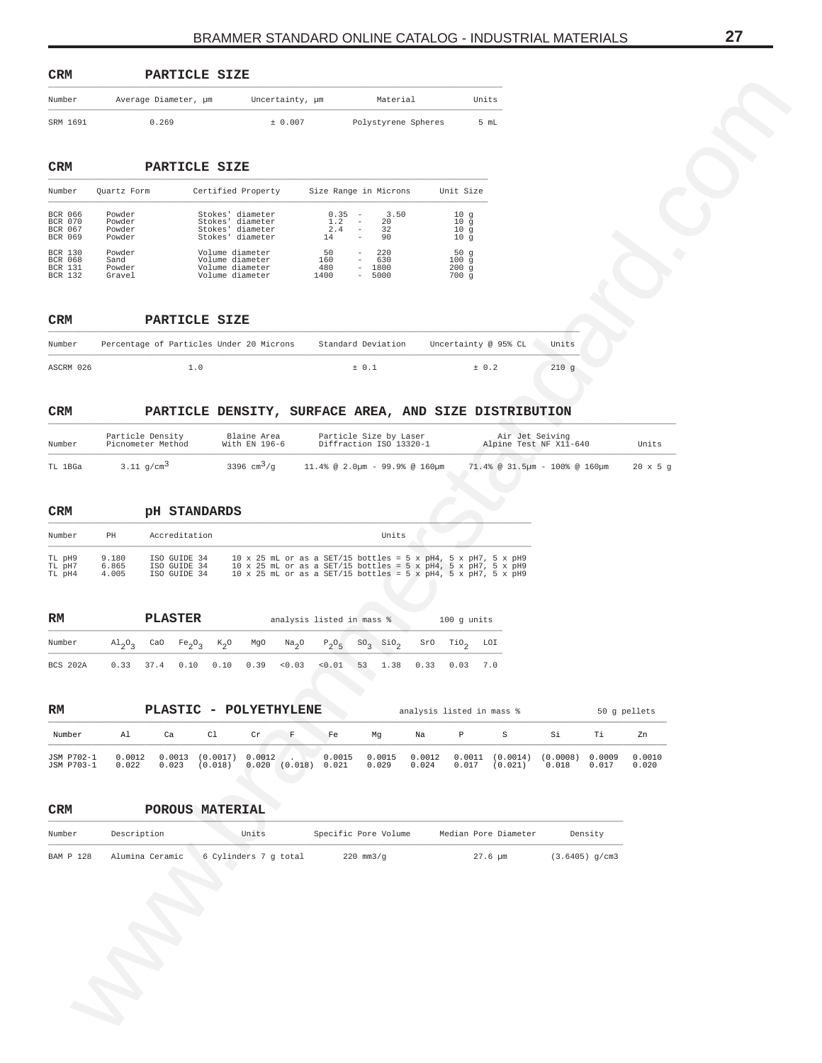<span id="page-26-0"></span>

|                                                                                       |                                       | PARTICLE SIZE                                                 |                                                                                                                                                                                                                            |                           |                                                                                                                |                                                                          |                                           |                |              |                 |
|---------------------------------------------------------------------------------------|---------------------------------------|---------------------------------------------------------------|----------------------------------------------------------------------------------------------------------------------------------------------------------------------------------------------------------------------------|---------------------------|----------------------------------------------------------------------------------------------------------------|--------------------------------------------------------------------------|-------------------------------------------|----------------|--------------|-----------------|
| Number                                                                                |                                       | Average Diameter, µm                                          | Uncertainty, µm                                                                                                                                                                                                            |                           | Material                                                                                                       | Units                                                                    |                                           |                |              |                 |
| SRM 1691                                                                              |                                       | 0.269                                                         | ± 0.007                                                                                                                                                                                                                    |                           | Polystyrene Spheres                                                                                            |                                                                          | 5 mL                                      |                |              |                 |
| CRM                                                                                   |                                       | PARTICLE SIZE                                                 |                                                                                                                                                                                                                            |                           |                                                                                                                |                                                                          |                                           |                |              |                 |
| Number                                                                                | Quartz Form                           |                                                               | Certified Property                                                                                                                                                                                                         |                           | Size Range in Microns                                                                                          | Unit Size                                                                |                                           |                |              |                 |
| BCR 066<br>BCR 070<br>BCR 067<br>BCR 069                                              | Powder<br>Powder<br>Powder<br>Powder  |                                                               | Stokes' diameter<br>Stokes' diameter<br>Stokes' diameter<br>Stokes' diameter                                                                                                                                               | 0.35<br>1.2<br>2.4<br>14  | 3.50<br>$\overline{a}$<br>$\overline{\phantom{a}}$<br>20<br>32<br>$\bar{a}$<br>90<br>$\overline{\phantom{a}}$  | 10 <sub>g</sub><br>10 <sub>g</sub><br>10 <sub>g</sub><br>10 <sub>g</sub> |                                           |                |              |                 |
| <b>BCR 130</b><br>BCR 068<br>BCR 131<br>BCR 132                                       | Powder<br>Sand<br>Powder<br>Gravel    |                                                               | Volume diameter<br>Volume diameter<br>Volume diameter<br>Volume diameter                                                                                                                                                   | 50<br>160<br>480<br>1400  | 220<br>$\overline{\phantom{0}}$<br>630<br>1800<br>$\overline{\phantom{a}}$<br>5000<br>$\overline{\phantom{a}}$ | 50 <sub>g</sub><br>100g<br>200g<br>700 g                                 |                                           |                |              |                 |
| CRM                                                                                   |                                       | PARTICLE SIZE                                                 |                                                                                                                                                                                                                            |                           |                                                                                                                |                                                                          |                                           |                |              |                 |
| Number                                                                                |                                       | Percentage of Particles Under 20 Microns                      |                                                                                                                                                                                                                            |                           | Standard Deviation                                                                                             | Uncertainty @ 95% CL                                                     |                                           | Units          |              |                 |
| ASCRM 026                                                                             |                                       | 1.0                                                           |                                                                                                                                                                                                                            |                           | ± 0.1                                                                                                          | ± 0.2                                                                    |                                           | 210g           |              |                 |
| CRM                                                                                   |                                       | PARTICLE DENSITY, SURFACE AREA, AND SIZE DISTRIBUTION         |                                                                                                                                                                                                                            |                           |                                                                                                                |                                                                          |                                           |                |              |                 |
| Number                                                                                | Particle Density<br>Picnometer Method |                                                               | Blaine Area<br>With $EN$ 196-6                                                                                                                                                                                             |                           | Particle Size by Laser<br>Diffraction ISO 13320-1                                                              |                                                                          | Air Jet Seiving<br>Alpine Test NF X11-640 |                |              | Units           |
| CRM<br>Number                                                                         | PH                                    | <b>PH STANDARDS</b><br>Accreditation                          |                                                                                                                                                                                                                            |                           | Units                                                                                                          |                                                                          |                                           |                |              |                 |
| TL pH9<br>TL pH7                                                                      | 9.180<br>6.865                        | ISO GUIDE 34<br>ISO GUIDE 34                                  | $10\,\times\,25$ mL or as a SET/15 bottles = 5 x pH4, 5 x pH7, 5 x pH9<br>$10\,\times\,25$ mL or as a SET/15 bottles = 5 x pH4, 5 x pH7, 5 x pH9<br>$10\,\times\,25$ mL or as a SET/15 bottles = 5 x pH4, 5 x pH7, 5 x pH9 |                           |                                                                                                                |                                                                          |                                           |                |              |                 |
| TL pH4                                                                                | 4.005                                 | ISO GUIDE 34                                                  |                                                                                                                                                                                                                            |                           |                                                                                                                |                                                                          |                                           |                |              |                 |
|                                                                                       |                                       |                                                               |                                                                                                                                                                                                                            | analysis listed in mass % |                                                                                                                | 100 g units                                                              |                                           |                |              |                 |
|                                                                                       |                                       | <b>PLASTER</b>                                                |                                                                                                                                                                                                                            |                           |                                                                                                                |                                                                          |                                           |                |              |                 |
|                                                                                       | $A1_{2}O_{3}$                         | CaO<br>Fe <sub>2</sub> O <sub>3</sub><br>$k_{2}$ <sup>o</sup> | MgO<br>Na <sub>2</sub> O                                                                                                                                                                                                   | $P_2O_5$                  | $SO_3$ $SiO_2$                                                                                                 | TiO <sub>2</sub><br>SrO                                                  | LOI                                       |                |              |                 |
|                                                                                       | 0.33                                  | 37.4 0.10                                                     | $0.10 \t 0.39 \t 0.03$                                                                                                                                                                                                     | < 0.01                    | 53                                                                                                             | 1.38  0.33  0.03  7.0                                                    |                                           |                |              |                 |
|                                                                                       |                                       |                                                               |                                                                                                                                                                                                                            |                           |                                                                                                                |                                                                          |                                           |                |              |                 |
|                                                                                       |                                       | PLASTIC - POLYETHYLENE                                        |                                                                                                                                                                                                                            |                           |                                                                                                                | analysis listed in mass %                                                |                                           |                |              | 50 g pellets    |
|                                                                                       | Al                                    | C1<br>Ca                                                      | $\mathbf F$<br>Cr                                                                                                                                                                                                          | Fe                        | Mg                                                                                                             | $\, {\mathbb P}$<br>Na                                                   | $\mathtt S$                               | Si<br>(0.0008) | Тi<br>0.0009 | Zn              |
|                                                                                       | 0.0012<br>0.022                       | 0.0013<br>(0.0017)<br>(0.018)<br>0.023                        | 0.0012<br>$0.020$ $(0.018)$ 0.021                                                                                                                                                                                          | 0.0015                    | 0.0015<br>0.029                                                                                                | 0.0012<br>0.024<br>0.017                                                 | $0.0011$ $(0.0014)$<br>(0.021)            | 0.018          | 0.017        | 0.0010<br>0.020 |
|                                                                                       |                                       | POROUS MATERIAL                                               |                                                                                                                                                                                                                            |                           |                                                                                                                |                                                                          |                                           |                |              |                 |
| RM<br>Number<br>BCS 202A<br>RM<br>Number<br>JSM P702-1<br>JSM P703-1<br>CRM<br>Number | Description                           |                                                               | Units                                                                                                                                                                                                                      |                           | Specific Pore Volume                                                                                           |                                                                          | Median Pore Diameter                      |                | Density      |                 |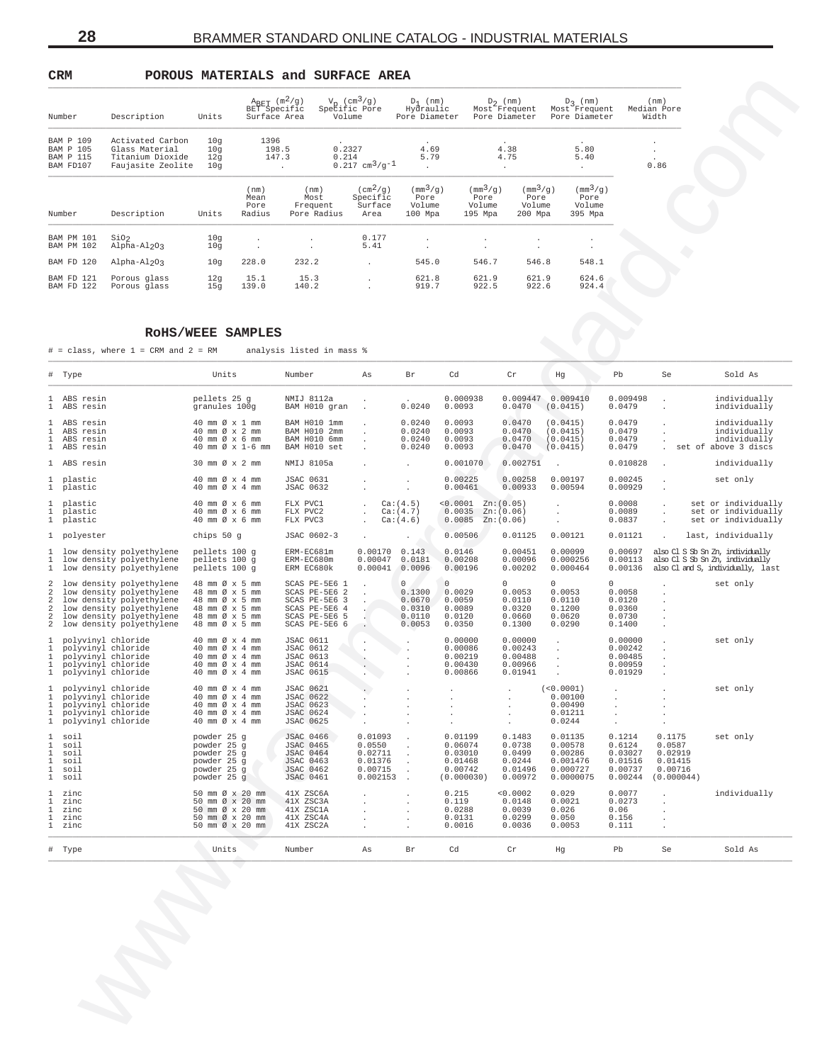<span id="page-27-0"></span>**CRM POROUS MATERIALS and SURFACE AREA**

| Number                                                  |                                                                             | Units                    | $A_{RET}$ (m <sup>2</sup> /g)<br>BET Specific<br>Surface Area |                                         | $V_{\rm p}$ (cm <sup>3</sup> /g)<br>Specific Pore<br>Volume | $D_1$ (nm)<br>Hydraulic<br>Pore Diameter                         | $D_2$ (nm)<br>Most Frequent<br>Pore Diameter                     |                                                                  | $D_2$ (nm)<br>Most Frequent<br>Pore Diameter                     | (nm)<br>Median Pore                                               |
|---------------------------------------------------------|-----------------------------------------------------------------------------|--------------------------|---------------------------------------------------------------|-----------------------------------------|-------------------------------------------------------------|------------------------------------------------------------------|------------------------------------------------------------------|------------------------------------------------------------------|------------------------------------------------------------------|-------------------------------------------------------------------|
|                                                         | Description                                                                 |                          |                                                               |                                         |                                                             |                                                                  |                                                                  |                                                                  |                                                                  | Width                                                             |
| <b>BAM P 109</b><br>BAM P 105<br>BAM P 115<br>BAM FD107 | Activated Carbon<br>Glass Material<br>Titanium Dioxide<br>Faujasite Zeolite | 10q<br>10q<br>12q<br>10q | 1396<br>198.5<br>147.3                                        | $\lambda$                               | 0.2327<br>0.214<br>$0.217$ cm <sup>3</sup> /q <sup>-1</sup> | $\ddot{\phantom{0}}$<br>4.69<br>5.79<br>$\cdot$                  | 4.38<br>4.75<br>$\cdot$                                          |                                                                  | $\ddot{\phantom{1}}$<br>5.80<br>5.40<br>$\cdot$                  | $\ddot{\phantom{0}}$<br>$\bullet$<br>$\ddot{\phantom{0}}$<br>0.86 |
| Number                                                  | Description                                                                 | Units                    | (nm)<br>Mean<br>Pore<br>Radius                                | (nm)<br>Most<br>Frequent<br>Pore Radius | $(\text{cm}^2/\text{g})$<br>Specific<br>Surface<br>Area     | $\left(\text{mm}^3/\text{q}\right)$<br>Pore<br>Volume<br>100 Mpa | $\left(\text{mm}^3/\text{q}\right)$<br>Pore<br>Volume<br>195 Mpa | $\left(\text{mm}^3/\text{q}\right)$<br>Pore<br>Volume<br>200 Mpa | $\left(\text{mm}^3/\text{q}\right)$<br>Pore<br>Volume<br>395 Mpa |                                                                   |
| BAM PM 101<br><b>BAM PM 102</b>                         | SiO <sub>2</sub><br>Alpha-Al <sub>2</sub> O3                                | 10q<br>10q               | $\mathbf{r}$<br>$\overline{\phantom{a}}$                      |                                         | 0.177<br>5.41                                               | $\cdot$<br>$\cdot$                                               | $\cdot$                                                          | $\cdot$                                                          | $\cdot$<br>$\bullet$                                             |                                                                   |
| BAM FD 120                                              | Alpha-Al <sub>2</sub> O3                                                    | 10q                      | 228.0                                                         | 232.2                                   |                                                             | 545.0                                                            | 546.7                                                            | 546.8                                                            | 548.1                                                            |                                                                   |
| BAM FD 121<br>BAM FD 122                                | Porous glass<br>Porous glass                                                | 12q<br>15q               | 15.1<br>139.0                                                 | 15.3<br>140.2                           | $\cdot$                                                     | 621.8<br>919.7                                                   | 621.9<br>922.5                                                   | 621.9<br>922.6                                                   | 624.6<br>924.4                                                   |                                                                   |

### **RoHS/WEEE SAMPLES**

| Number                                                   | Description                                                                                                                                                                  | Units                                                                                                    | $A_{BET}$ (m <sup>2</sup> /g)<br>BET Specific<br>Surface Area | Volume                                                                                                               | $V_p$ (cm <sup>3</sup> /g)<br>Specific Pore                    | $D_1$ (nm)<br>Hydraulic<br>Pore Diameter                         |                                                                               | $D_2$ (nm)<br>Pore Diameter                                | $D_2$ (nm)<br>Most <sup>2</sup> Frequent Most <sup>2</sup> Frequent<br>Pore Diameter |                                                              | (nm)<br>Median Pore<br>Width                                    |                                                                                                           |
|----------------------------------------------------------|------------------------------------------------------------------------------------------------------------------------------------------------------------------------------|----------------------------------------------------------------------------------------------------------|---------------------------------------------------------------|----------------------------------------------------------------------------------------------------------------------|----------------------------------------------------------------|------------------------------------------------------------------|-------------------------------------------------------------------------------|------------------------------------------------------------|--------------------------------------------------------------------------------------|--------------------------------------------------------------|-----------------------------------------------------------------|-----------------------------------------------------------------------------------------------------------|
| <b>BAM P 109</b><br>BAM P 105<br>BAM P 115<br>BAM FD107  | Activated Carbon<br>Glass Material<br>Titanium Dioxide<br>Faujasite Zeolite                                                                                                  | 10g<br>10g<br>12g<br>10g                                                                                 | 1396<br>198.5<br>147.3<br>$\sim 100$ km s $^{-1}$             | 0.2327<br>0.214                                                                                                      | $0.217 \text{ cm}^3/\text{g}^{-1}$                             | 4.69<br>5.79<br><b>Contractor</b>                                |                                                                               | 4.38<br>4.75<br>$\sim 100$ km s $^{-1}$                    | 5.80<br>5.40<br>$\sim 100$                                                           |                                                              | $\cdot$<br>0.86                                                 |                                                                                                           |
| Number                                                   | Description                                                                                                                                                                  | Units                                                                                                    | (nm)<br>Mean<br>Pore<br>Radius                                | (nm)<br>Most<br>Frequent<br>Pore Radius                                                                              | $(\text{cm}^2/\text{g})$<br>Specific<br>Surface<br>Area        | $\left(\frac{mm^3}{g}\right)$<br>Pore<br>Volume<br>100 Mpa       | $\left(\frac{mm^3}{g}\right)$<br>Pore<br>Volume<br>195 Mpa                    | $\left(\frac{mm^3}{g}\right)$<br>Pore<br>Volume<br>200 Mpa | $\left(\frac{mm^3}{g}\right)$<br>Pore<br>Volume<br>395 Mpa                           |                                                              |                                                                 |                                                                                                           |
| BAM PM 101<br>BAM PM 102                                 | SiO <sub>2</sub><br>Alpha-Al2O3                                                                                                                                              | 10g<br>10g                                                                                               |                                                               |                                                                                                                      | 0.177<br>5.41                                                  | $\sim$                                                           |                                                                               | $\sim$                                                     |                                                                                      |                                                              |                                                                 |                                                                                                           |
| BAM FD 120                                               | Alpha-Al2O3                                                                                                                                                                  | 10g                                                                                                      | 228.0                                                         | 232.2                                                                                                                | $\mathbf{r}$                                                   | 545.0                                                            | 546.7                                                                         | 546.8                                                      | 548.1                                                                                |                                                              |                                                                 |                                                                                                           |
| BAM FD 121<br>BAM FD 122                                 | Porous glass<br>Porous glass                                                                                                                                                 | 12g<br>15g                                                                                               | 15.1<br>139.0                                                 | 15.3<br>140.2                                                                                                        |                                                                | 621.8<br>919.7                                                   | 621.9<br>922.5                                                                | 621.9<br>922.6                                             | 624.6<br>924.4                                                                       |                                                              |                                                                 |                                                                                                           |
|                                                          |                                                                                                                                                                              | ROHS/WEEE SAMPLES                                                                                        |                                                               |                                                                                                                      |                                                                |                                                                  |                                                                               |                                                            |                                                                                      |                                                              |                                                                 |                                                                                                           |
|                                                          | $#$ = class, where $1$ = CRM and $2$ = RM                                                                                                                                    |                                                                                                          |                                                               | analysis listed in mass %                                                                                            |                                                                |                                                                  |                                                                               |                                                            |                                                                                      |                                                              |                                                                 |                                                                                                           |
| # Type                                                   |                                                                                                                                                                              | Units                                                                                                    |                                                               | Number                                                                                                               | As                                                             | Br                                                               | Cd                                                                            | ${\rm Cr}$                                                 | Hg                                                                                   | Pb                                                           | Se                                                              | Sold As                                                                                                   |
| 1 ABS resin<br>1 ABS resin                               |                                                                                                                                                                              | pellets 25 g<br>granules 100g                                                                            |                                                               | NMIJ 8112a<br>BAM H010 gran                                                                                          | $\sim$                                                         | 0.0240                                                           | 0.000938<br>0.0093                                                            | 0.0470                                                     | 0.009447 0.009410<br>(0.0415)                                                        | 0.009498<br>0.0479                                           | $\cdot$                                                         | individually<br>individually                                                                              |
| 1 ABS resin<br>1 ABS resin<br>1 ABS resin<br>1 ABS resin |                                                                                                                                                                              | 40 mm Ø x 1 mm<br>40 mm Ø x 2 mm<br>40 mm Ø x 6 mm<br>40 mm Ø x 1-6 mm                                   |                                                               | BAM H010 1mm<br>BAM H010 2mm<br>BAM H010 6mm<br>BAM H010 set                                                         |                                                                | 0.0240<br>0.0240<br>0.0240<br>0.0240                             | 0.0093<br>0.0093<br>0.0093<br>0.0093                                          | 0.0470<br>0.0470<br>0.0470<br>0.0470                       | (0.0415)<br>(0.0415)<br>(0.0415)<br>(0.0415)                                         | 0.0479<br>0.0479<br>0.0479<br>0.0479                         |                                                                 | individually<br>individually<br>individually<br>. set of above 3 discs                                    |
| 1 ABS resin                                              |                                                                                                                                                                              | 30 mm Ø x 2 mm                                                                                           |                                                               | NMIJ 8105a                                                                                                           |                                                                |                                                                  | 0.001070                                                                      | 0.002751                                                   |                                                                                      | 0.010828                                                     |                                                                 | individually                                                                                              |
| 1 plastic<br>1 plastic                                   |                                                                                                                                                                              | 40 mm Ø x 4 mm<br>40 mm Ø x 4 mm                                                                         |                                                               | <b>JSAC 0631</b><br><b>JSAC 0632</b>                                                                                 |                                                                |                                                                  | 0.00225<br>0.00461                                                            | 0.00258<br>0.00933                                         | 0.00197<br>0.00594                                                                   | 0.00245<br>0.00929                                           |                                                                 | set only                                                                                                  |
| 1 plastic<br>1 plastic<br>1 plastic                      |                                                                                                                                                                              | 40 mm Ø x 6 mm<br>40 mm Ø x 6 mm<br>40 mm Ø x 6 mm                                                       |                                                               | FLX PVC1<br>FLX PVC2<br>FLX PVC3                                                                                     | $\sim$                                                         | Ca:(4.5)<br>Ca: (4.7)<br>Ca:(4.6)                                | $< 0.0001$ Zn: $(0.05)$<br>$0.0035 \quad Zn: (0.06)$<br>$0.0085$ Zn: $(0.06)$ |                                                            |                                                                                      | 0.0008<br>0.0089<br>0.0837                                   |                                                                 | set or individually<br>set or individually<br>set or individually                                         |
| 1 polyester                                              |                                                                                                                                                                              | chips 50 g                                                                                               |                                                               | JSAC 0602-3                                                                                                          |                                                                |                                                                  | 0.00506                                                                       | 0.01125                                                    | 0.00121                                                                              | 0.01121                                                      | $\mathcal{L}$                                                   | last, individually                                                                                        |
|                                                          | 1 low density polyethylene<br>1 low density polyethylene<br>1 low density polyethylene                                                                                       | pellets 100 g<br>pellets 100 g<br>pellets 100 g                                                          |                                                               | ERM-EC681m<br>ERM-EC680m<br>ERM EC680k                                                                               | $0.00170$ $0.143$<br>$0.00047$ 0.0181<br>$0.00041$ 0.0096      |                                                                  | 0.0146<br>0.00208<br>0.00196                                                  | 0.00451<br>0.00096<br>0.00202                              | 0.00099<br>0.000256<br>0.000464                                                      | 0.00697<br>0.00113<br>0.00136                                |                                                                 | also Cl S Sb Sn Zn, individually<br>also Cl S Sb Sn Zn, individually<br>also Cl and S, individually, last |
|                                                          | low density polyethylene<br>low density polyethylene<br>2 low density polyethylene<br>2 low density polyethylene<br>2 low density polyethylene<br>2 low density polyethylene | 48 mm Ø x 5 mm<br>48 mm Ø x 5 mm<br>48 mm Ø x 5 mm<br>48 mm Ø x 5 mm<br>48 mm Ø x 5 mm<br>48 mm Ø x 5 mm |                                                               | SCAS PE-5E6 1<br>SCAS PE-5E6 2<br>SCAS PE-5E6 3<br>SCAS PE-5E6 4<br>SCAS PE-5E6 5<br>SCAS PE-5E6 6                   |                                                                | $\overline{0}$<br>0.1300<br>0.0670<br>0.0310<br>0.0110<br>0.0053 | $\Omega$<br>0.0029<br>0.0059<br>0.0089<br>0.0120<br>0.0350                    | $\Omega$<br>0.0053<br>0.0110<br>0.0320<br>0.0660<br>0.1300 | $\cap$<br>0.0053<br>0.0110<br>0.1200<br>0.0620<br>0.0290                             | $\Omega$<br>0.0058<br>0.0120<br>0.0360<br>0.0730<br>0.1400   | $\cdot$                                                         | set only                                                                                                  |
|                                                          | 1 polyvinyl chloride<br>1 polyvinyl chloride<br>1 polyvinyl chloride<br>1 polyvinyl chloride<br>1 polyvinyl chloride                                                         | 40 mm Ø x 4 mm<br>40 mm Ø x 4 mm<br>40 mm Ø x 4 mm<br>40 mm Ø x 4 mm<br>40 mm Ø x 4 mm                   |                                                               | <b>JSAC 0611</b><br><b>JSAC 0612</b><br><b>JSAC 0613</b><br><b>JSAC 0614</b><br><b>JSAC 0615</b>                     |                                                                |                                                                  | 0.00000<br>0.00086<br>0.00219<br>0.00430<br>0.00866                           | 0.00000<br>0.00243<br>0.00488<br>0.00966<br>0.01941        | $\cdot$                                                                              | 0.00000<br>0.00242<br>0.00485<br>0.00959<br>0.01929          |                                                                 | set only                                                                                                  |
|                                                          | polyvinyl chloride<br>1 polyvinyl chloride<br>1 polyvinyl chloride<br>1 polyvinyl chloride<br>1 polyvinyl chloride                                                           | 40 mm Ø x 4 mm<br>40 mm Ø x 4 mm<br>40 mm $\varnothing$ x 4 mm<br>40 mm Ø x 4 mm<br>40 mm Ø x 4 mm       |                                                               | <b>JSAC 0621</b><br><b>JSAC 0622</b><br><b>JSAC 0623</b><br><b>JSAC 0624</b><br>JSAC 0625                            |                                                                |                                                                  |                                                                               |                                                            | (<0.0001)<br>0.00100<br>0.00490<br>0.01211<br>0.0244                                 |                                                              |                                                                 | set only                                                                                                  |
| 1 soil<br>1 soil<br>soil<br>soil<br>1 soil<br>1 soil     |                                                                                                                                                                              | powder 25 g<br>powder 25 g<br>powder 25 g<br>powder 25 g<br>powder 25 g<br>powder 25 g                   |                                                               | <b>JSAC 0466</b><br><b>JSAC 0465</b><br><b>JSAC 0464</b><br><b>JSAC 0463</b><br><b>JSAC 0462</b><br><b>JSAC 0461</b> | 0.01093<br>0.0550<br>0.02711<br>0.01376<br>0.00715<br>0.002153 |                                                                  | 0.01199<br>0.06074<br>0.03010<br>0.01468<br>0.00742<br>(0.000030)             | 0.1483<br>0.0738<br>0.0499<br>0.0244<br>0.01496<br>0.00972 | 0.01135<br>0.00578<br>0.00286<br>0.001476<br>0.000727<br>0.0000075                   | 0.1214<br>0.6124<br>0.03027<br>0.01516<br>0.00737<br>0.00244 | 0.1175<br>0.0587<br>0.02919<br>0.01415<br>0.00716<br>(0.000044) | set only                                                                                                  |
| zinc<br>1 zinc<br>zinc<br>zinc<br>1 zinc                 |                                                                                                                                                                              | 50 mm Ø x 20 mm<br>50 mm Ø x 20 mm<br>50 mm Ø x 20 mm<br>50 mm Ø x 20 mm<br>50 mm Ø x 20 mm              |                                                               | 41X ZSC6A<br>41X ZSC3A<br>41X ZSC1A<br>41X ZSC4A<br>41X ZSC2A                                                        |                                                                |                                                                  | 0.215<br>0.119<br>0.0288<br>0.0131<br>0.0016                                  | < 0.0002<br>0.0148<br>0.0039<br>0.0299<br>0.0036           | 0.029<br>0.0021<br>0.026<br>0.050<br>0.0053                                          | 0.0077<br>0.0273<br>0.06<br>0.156<br>0.111                   |                                                                 | individually                                                                                              |
| # Type                                                   |                                                                                                                                                                              | Units                                                                                                    |                                                               | Number                                                                                                               | As                                                             | Br                                                               | Cd                                                                            | Cr                                                         | Ηg                                                                                   | Pb                                                           | Se                                                              | Sold As                                                                                                   |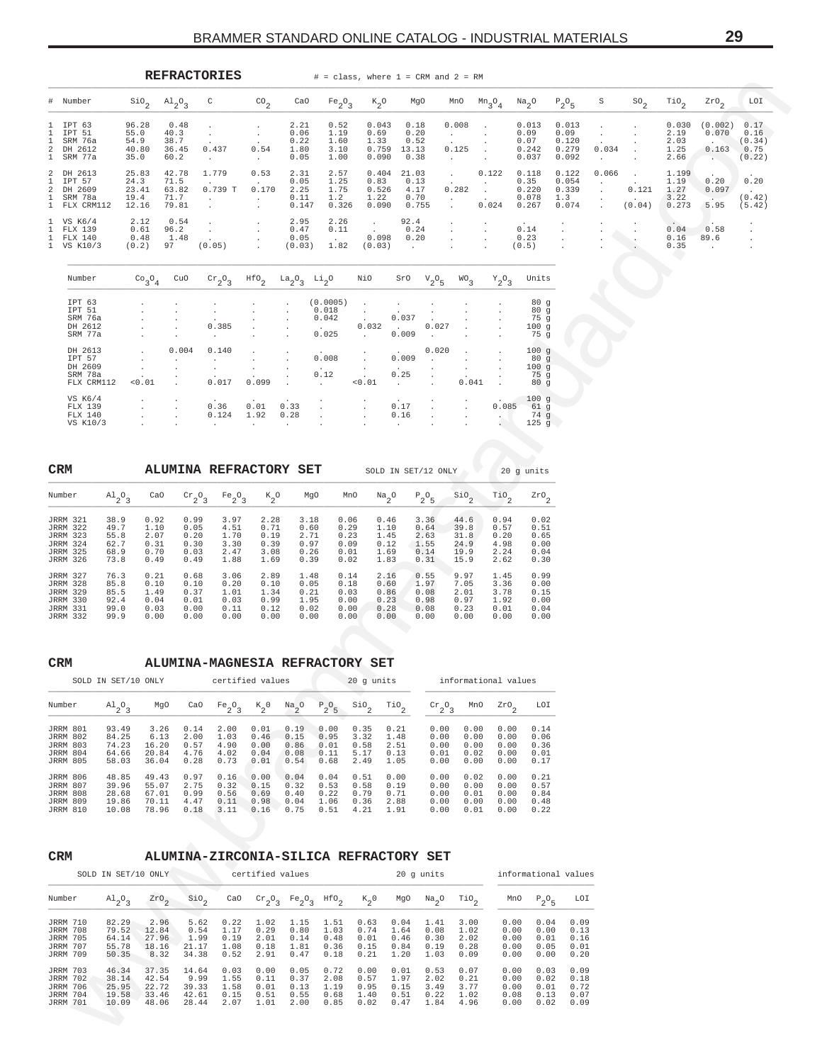<span id="page-28-0"></span>

|                          |                                                                                                                |                                              |                                                                         | <b>REFRACTORIES</b>                                                                                                                                                                                                                                                                                                                                                                                                                                                               |                                                                                |                                                                                                                           |                                                     |                                                        |                                                        |                                              | $#$ = class, where $1$ = CRM and $2$ = RM                                   |                                                                                          |                                              |                                                     |                                                                      |                                   |                                                             |                                        |                                                                          |                                    |
|--------------------------|----------------------------------------------------------------------------------------------------------------|----------------------------------------------|-------------------------------------------------------------------------|-----------------------------------------------------------------------------------------------------------------------------------------------------------------------------------------------------------------------------------------------------------------------------------------------------------------------------------------------------------------------------------------------------------------------------------------------------------------------------------|--------------------------------------------------------------------------------|---------------------------------------------------------------------------------------------------------------------------|-----------------------------------------------------|--------------------------------------------------------|--------------------------------------------------------|----------------------------------------------|-----------------------------------------------------------------------------|------------------------------------------------------------------------------------------|----------------------------------------------|-----------------------------------------------------|----------------------------------------------------------------------|-----------------------------------|-------------------------------------------------------------|----------------------------------------|--------------------------------------------------------------------------|------------------------------------|
| #                        | Number                                                                                                         |                                              | $\mathop{\mathsf{Si0}}\nolimits_2$                                      | $A1_{2}O_{3}$                                                                                                                                                                                                                                                                                                                                                                                                                                                                     | C                                                                              | $\mathrm{CO}_2$                                                                                                           | CaO                                                 | $Fe_2O_3$                                              | $\kappa_{2}$ o                                         |                                              | MgO                                                                         | MnO                                                                                      | $m_3$ $0_4$                                  | $\frac{Na}{2}$ <sup>O</sup>                         | $P_2O_5$                                                             | S.                                | $^{SO_2}$                                                   | $\mathbb{T}^{10}$ <sub>2</sub>         | $z_{r0}$ <sub>2</sub>                                                    | LOI                                |
| 1.<br>1.<br>2<br>1       | IPT 63<br>IPT 51<br>SRM 76a<br>DH 2612<br>SRM 77a                                                              |                                              | 96.28<br>55.0<br>54.9<br>40.80<br>35.0                                  | 0.48<br>40.3<br>38.7<br>36.45<br>60.2                                                                                                                                                                                                                                                                                                                                                                                                                                             | $\cdot$<br>$\cdot$<br>0.437<br>$\cdot$                                         | $\sim$<br>$\cdot$<br>0.54<br>$\sim$                                                                                       | 2.21<br>0.06<br>0.22<br>1.80<br>0.05                | 0.52<br>1.19<br>1.60<br>3.10<br>1.00                   | 0.043<br>0.69<br>1.33<br>0.090                         | 0.18<br>$0.759$ 13.13<br>0.38                | 0.20<br>0.52                                                                | 0.008<br><b>CALL CO</b><br>$\sim$<br>0.125<br>$\sim 10^{-10}$                            | $\cdot$<br>$\cdot$                           | 0.013<br>0.09<br>0.07<br>0.242<br>0.037             | 0.013<br>0.09<br>0.120<br>0.279<br>0.092                             | $\sim$<br>0.034<br><b>Service</b> | $\cdot$<br>$\cdot$                                          | 0.030<br>2.19<br>2.03<br>1.25<br>2.66  | (0.002)<br>0.070<br><b>CONTRACTOR</b><br>$0.163$ 0.75<br><b>Security</b> | 0.17<br>0.16<br>(0.34)<br>(0.22)   |
| 2<br>-1.<br>2<br>1.<br>1 | DH 2613<br>IPT 57<br>DH 2609<br>SRM 78a<br>FLX CRM112                                                          |                                              | 25.83<br>24.3<br>23.41<br>19.4<br>12.16                                 | 42.78<br>71.5<br>63.82<br>71.7<br>79.81                                                                                                                                                                                                                                                                                                                                                                                                                                           | 1.779<br><b>Carl Corporation</b><br>$0.739$ T<br><b>All Control</b><br>$\cdot$ | 0.53<br>$\sim$<br>0.170<br>$\mathcal{A}^{\mathcal{A}}$ .                                                                  | 2.31<br>0.05<br>2.25<br>0.11<br>0.147               | 2.57<br>1.25<br>1.75<br>1.2<br>0.326                   | 0.83<br>0.526<br>1.22<br>0.090                         | $0.404$ 21.03                                | 0.13<br>4.17<br>0.70<br>0.755                                               | $\sim$<br>$\sim$<br>0.282<br>$\mathcal{A}^{\mathcal{A}}$ and $\mathcal{A}^{\mathcal{A}}$ | 0.122<br>$\sim$ $-$<br>$\sim$ $-$<br>0.024   | 0.118<br>0.35<br>0.220<br>0.078<br>0.267            | 0.122<br>0.054<br>0.339<br>1.3<br>0.074                              | 0.066<br>$\sim$                   | $\sim$<br>$\ddot{\phantom{a}}$<br>0.121<br>$\sim$<br>(0.04) | 1.199<br>1.19<br>1.27<br>3.22<br>0.273 | 0.20<br>0.097<br>$\sim$<br>5.95                                          | 0.20<br>$\sim$<br>(0.42)<br>(5.42) |
| 1.<br>1.<br>1<br>1       | VS K6/4<br>FLX 139<br>FLX 140<br>VS K10/3                                                                      |                                              | 2.12<br>0.61<br>0.48<br>(0.2)                                           | 0.54<br>96.2<br>1.48<br>97                                                                                                                                                                                                                                                                                                                                                                                                                                                        | $\cdot$<br>$\star$<br>(0.05)                                                   | $\cdot$<br>$\sim$                                                                                                         | 2.95<br>0.47<br>0.05<br>(0.03)                      | 2.26<br>0.11<br>$\sim 10^{-10}$<br>1.82                | $\sim$<br>$\sim$<br>0.098<br>(0.03)                    | 92.4<br>$\ddot{\phantom{a}}$                 | 0.24<br>0.20                                                                | $\cdot$<br>$\cdot$<br>$\cdot$                                                            |                                              | 0.14<br>0.23<br>(0.5)                               |                                                                      |                                   |                                                             | 0.04<br>0.16<br>0.35                   | 0.58<br>89.6<br>$\sim$                                                   | $\cdot$                            |
|                          | Number                                                                                                         |                                              | $\begin{smallmatrix} \mathbb{C}\circ \circ \circ 9_4 \end{smallmatrix}$ | CuO                                                                                                                                                                                                                                                                                                                                                                                                                                                                               | $\rm{cr}_{2}O_3$                                                               | $^{HfO}$ <sub>2</sub>                                                                                                     | $\mathrm{La_{2}O_{3}}$ $\mathrm{Li_{2}O}$           |                                                        | NiO                                                    | SrO                                          | $V_2O_5$                                                                    | WO <sub>3</sub>                                                                          | $Y_2O_3$                                     | Units                                               |                                                                      |                                   |                                                             |                                        |                                                                          |                                    |
|                          | IPT 63<br>IPT 51<br>SRM 76a<br>DH 2612<br>SRM 77a                                                              |                                              |                                                                         |                                                                                                                                                                                                                                                                                                                                                                                                                                                                                   | 0.385<br>$\cdot$                                                               |                                                                                                                           | $\cdot$                                             | (0.0005)<br>0.018<br>0.042<br>$\sim 10^{-10}$<br>0.025 | $\cdot$<br>$\sim$<br>$\sim$<br>0.032<br>$\sim 10^{-1}$ | 0.037<br>$\Delta \sim 10^4$<br>0.009         | $\cdot$<br>$\ddot{\phantom{a}}$<br>0.027                                    |                                                                                          |                                              | 80g<br>80 <sub>g</sub><br>75 g<br>100g<br>75 g      |                                                                      |                                   |                                                             |                                        |                                                                          |                                    |
|                          | DH 2613<br>IPT 57<br>DH 2609<br>SRM 78a<br>FLX CRM112                                                          |                                              | $\cdot$<br>$\sim$<br>0.01                                               | 0.004<br>$\sim$<br>$\cdot$                                                                                                                                                                                                                                                                                                                                                                                                                                                        | 0.140<br>$\sim$<br>$\cdot$<br>0.017                                            | $\cdot$<br>$\sim$<br>0.099                                                                                                |                                                     | 0.008<br>$\sim 10^{-11}$<br>0.12<br>$\sim$             | $\sim$<br>$\ddot{\phantom{a}}$<br>< 0.01               | 0.009<br>$\sim$<br>0.25<br>$\sim$            | 0.020<br>$\cdot$<br>$\cdot$                                                 | $\cdot$<br>$\cdot$<br>$\ddot{\phantom{a}}$<br>0.041                                      |                                              | 100g<br>80 <sub>g</sub><br>100g<br>75 g<br>80 g     |                                                                      |                                   |                                                             |                                        |                                                                          |                                    |
|                          | VS K6/4<br>FLX 139<br>FLX 140<br>VS K10/3                                                                      |                                              | $\cdot$                                                                 | $\cdot$<br>$\cdot$                                                                                                                                                                                                                                                                                                                                                                                                                                                                | 0.36<br>0.124<br>$\cdot$                                                       | 0.01<br>1.92<br>$\blacksquare$                                                                                            | 0.33<br>0.28<br>$\cdot$                             | $\cdot$<br>$\cdot$                                     |                                                        | 0.17<br>0.16<br>$\cdot$                      |                                                                             | $\cdot$<br>$\cdot$                                                                       | 0.085<br>÷                                   | 100g<br>61 <sub>g</sub><br>74 g<br>125 <sub>g</sub> |                                                                      |                                   |                                                             |                                        |                                                                          |                                    |
|                          | CRM                                                                                                            |                                              |                                                                         | ALUMINA REFRACTORY SET                                                                                                                                                                                                                                                                                                                                                                                                                                                            |                                                                                |                                                                                                                           |                                                     |                                                        |                                                        |                                              | SOLD IN SET/12 ONLY                                                         |                                                                                          |                                              | 20 g units                                          |                                                                      |                                   |                                                             |                                        |                                                                          |                                    |
|                          | Number                                                                                                         | $\mathrm{^{Al}_{2}O_{3}}$                    | CaO                                                                     | $\mathrm{cr}_{2}\mathrm{O}_{3}$                                                                                                                                                                                                                                                                                                                                                                                                                                                   | $Fe_2O_3$                                                                      | $\kappa_{2}^{\phantom{2}}$ o                                                                                              | MgO                                                 |                                                        | MnO                                                    | $\frac{Na}{2}$ <sup>O</sup>                  | $P_2O_5$                                                                    | $\frac{\text{SiO}}{2}$                                                                   | $\overline{110}$ <sub>2</sub>                | $\frac{\text{ZrO}}{2}$                              |                                                                      |                                   |                                                             |                                        |                                                                          |                                    |
|                          | <b>JRRM 321</b><br><b>JRRM 322</b><br><b>JRRM 323</b><br><b>JRRM 324</b><br><b>JRRM 325</b><br><b>JRRM 326</b> | 38.9<br>49.7<br>55.8<br>62.7<br>68.9<br>73.8 | 0.92<br>1.10<br>2.07<br>0.31<br>0.70<br>0.49                            | 0.99<br>0.05<br>0.20<br>0.30<br>0.03<br>0.49                                                                                                                                                                                                                                                                                                                                                                                                                                      | 3.97<br>4.51<br>1.70<br>3.30<br>2.47<br>1.88                                   | 2.28<br>0.71<br>0.19<br>0.39<br>3.08<br>1.69                                                                              | 3.18<br>0.60<br>2.71<br>0.97<br>0.26<br>0.39        |                                                        | 0.06<br>0.29<br>0.23<br>0.09<br>0.01<br>0.02           | 0.46<br>1.10<br>1.45<br>0.12<br>1.69<br>1.83 | 3.36<br>0.64<br>2.63<br>1.55<br>0.14<br>0.31                                | 44.6<br>39.8<br>31.8<br>24.9<br>19.9<br>15.9                                             | 0.94<br>0.57<br>0.20<br>4.98<br>2.24<br>2.62 | 0.02<br>0.51<br>0.65<br>0.00<br>0.04<br>0.30        |                                                                      |                                   |                                                             |                                        |                                                                          |                                    |
|                          | <b>JRRM 327</b><br><b>JRRM 328</b><br><b>JRRM 329</b><br><b>JRRM 330</b><br><b>JRRM 331</b><br><b>JRRM 332</b> | 76.3<br>85.8<br>85.5<br>92.4<br>99.0<br>99.9 | 0.21<br>0.10<br>1.49<br>0.04<br>0.03<br>0.00                            | 0.68<br>0.10<br>0.37<br>0.01<br>0.00<br>0.00                                                                                                                                                                                                                                                                                                                                                                                                                                      | 3.06<br>0.20<br>1.01<br>0.03<br>0.11<br>0.00                                   | 2.89<br>0.10<br>1.34<br>0.99<br>0.12<br>0.00                                                                              | 1.48<br>0.05<br>0.21<br>1.95<br>0.02<br>0.00        |                                                        | 0.14<br>0.18<br>0.03<br>0.00<br>0.00<br>0.00           | 2.16<br>0.60<br>0.86<br>0.23<br>0.28<br>0.00 | 0.55<br>1.97<br>0.08<br>0.98<br>0.08<br>0.00                                | 9.97<br>7.05<br>2.01<br>0.97<br>0.23<br>0.00                                             | 1.45<br>3.36<br>3.78<br>1.92<br>0.01<br>0.00 | 0.99<br>0.00<br>0.15<br>0.00<br>0.04<br>0.00        |                                                                      |                                   |                                                             |                                        |                                                                          |                                    |
| CRM                      |                                                                                                                |                                              |                                                                         | ALUMINA-MAGNESIA REFRACTORY SET                                                                                                                                                                                                                                                                                                                                                                                                                                                   |                                                                                |                                                                                                                           |                                                     |                                                        |                                                        |                                              |                                                                             |                                                                                          |                                              |                                                     |                                                                      |                                   |                                                             |                                        |                                                                          |                                    |
|                          |                                                                                                                |                                              | SOLD IN SET/10 ONLY                                                     |                                                                                                                                                                                                                                                                                                                                                                                                                                                                                   | certified values                                                               |                                                                                                                           |                                                     |                                                        |                                                        |                                              |                                                                             | 20 g units informational values                                                          |                                              |                                                     |                                                                      |                                   |                                                             |                                        |                                                                          |                                    |
|                          | Number                                                                                                         | $A1_{2}O_{3}$                                | MgO                                                                     |                                                                                                                                                                                                                                                                                                                                                                                                                                                                                   | CaO $Fe_2O_3$ K <sub>2</sub> 0 Na <sub>2</sub> O $P_2O_5$                      |                                                                                                                           |                                                     |                                                        | $\sin^2 2$ $\sin^2 2$                                  |                                              | $\operatorname{cr}_2\circ_3$                                                |                                                                                          | $Mno$ $2ro$ <sub>2</sub>                     | LOI                                                 |                                                                      |                                   |                                                             |                                        |                                                                          |                                    |
|                          | JRRM 801<br><b>JRRM 802</b><br><b>JRRM 803</b><br>JRRM 804<br><b>JRRM 805</b>                                  | 93.49<br>84.25<br>74.23<br>64.66<br>58.03    | 3.26<br>6.13<br>16.20<br>20.84<br>36.04                                 | 0.14<br>2.00<br>0.57<br>4.76<br>0.28                                                                                                                                                                                                                                                                                                                                                                                                                                              | 2.00<br>1.03<br>4.90<br>4.02<br>0.73                                           | 0.01<br>0.46<br>0.00<br>0.04<br>0.01                                                                                      | 0.19<br>0.15<br>0.86<br>0.08<br>0.54                | 0.00<br>0.95<br>0.01<br>0.11<br>$0.68$ 2.49            | 0.35<br>3.32<br>0.58<br>5.17                           | 0.21<br>1.48<br>2.51<br>0.13<br>1.05         | 0.00<br>0.00<br>0.00<br>0.01<br>0.00                                        | 0.00<br>0.00<br>0.00<br>0.02<br>0.00                                                     | 0.00<br>0.00<br>0.00<br>0.00<br>0.00         | 0.14<br>0.06<br>0.36<br>0.01<br>0.17                |                                                                      |                                   |                                                             |                                        |                                                                          |                                    |
|                          | <b>JRRM 806</b><br>JRRM 807<br><b>JRRM 808</b><br>JRRM 809<br><b>JRRM 810</b>                                  | 48.85<br>39.96                               | 49.43<br>55.07                                                          | 0.97<br>2.75<br>28.68 67.01 0.99<br>19.86 70.11 4.47<br>10.08 78.96 0.18                                                                                                                                                                                                                                                                                                                                                                                                          | 0.32<br>0.56                                                                   | $0.16$ 0.00<br>0.15<br>0.69<br>$0.11$ $0.98$ $0.04$ $1.06$ $0.36$ $2.88$ $0.00$ $0.00$<br>$3.11$ 0.16 0.75 0.51 4.21 1.91 | 0.04<br>0.32<br>0.40                                | 0.04<br>$0.53$ 0.58<br>$0.22$ 0.79                     | 0.51                                                   | 0.00<br>0.19<br>0.71                         | 0.00<br>0.00                                                                | 0.02<br>0.00<br>0.00 0.01<br>0.00 0.01                                                   | 0.00<br>0.00                                 | 0.21<br>0.57<br>0.00 0.84<br>0.00 0.48<br>0.00 0.22 |                                                                      |                                   |                                                             |                                        |                                                                          |                                    |
|                          | $\mathbf{CRM}$<br>SOLD IN SET/10 ONLY                                                                          |                                              |                                                                         | ALUMINA-ZIRCONIA-SILICA REFRACTORY SET                                                                                                                                                                                                                                                                                                                                                                                                                                            |                                                                                | certified values                                                                                                          |                                                     |                                                        |                                                        |                                              | 20 g units                                                                  |                                                                                          |                                              |                                                     | informational values                                                 |                                   |                                                             |                                        |                                                                          |                                    |
|                          | Number                                                                                                         |                                              |                                                                         | $\verb+Al+_{2}O_{3} \quad \quad \verb+Zro+_{2} \quad \quad \verb+Si+_{2} \quad \quad \verb+Ca+_{2}O \quad \quad \verb+Cr+_{2}O \quad \quad \verb+Hf+_{2} \quad \quad \verb+Ch+_{2} \quad \quad \verb+Ch+_{2} \quad \quad \verb+Ch+_{2} \quad \quad \verb+Ch+_{2} \quad \quad \verb+Ch+_{2} \quad \quad \verb+Ch+_{2} \quad \quad \verb+Ch+_{2} \quad \quad \verb+Ch+_{2} \quad \quad \verb+Ch+_{2} \quad \quad \verb+Ch+_{2} \quad \quad \verb+Ch+_{2} \quad \quad \verb+Ch+_{2}$ |                                                                                |                                                                                                                           |                                                     |                                                        |                                                        |                                              | $\mathbbm{K}_2\mathbbm{0}$ Mg0 $\mathbbm{Na}_2\mathbbm{0}$                  | $\mathbb{T}^{10}$ <sub>2</sub>                                                           |                                              | MnO $P_2O_5$                                        | LOI                                                                  |                                   |                                                             |                                        |                                                                          |                                    |
|                          | JRRM 710<br><b>JRRM 708</b><br><b>JRRM 705</b><br><b>JRRM 707</b><br><b>JRRM 709</b>                           | 82.29<br>79.52<br>64.14<br>55.78<br>50.35    | 2.96<br>12.84<br>27.96<br>18.16<br>8.32                                 | 0.54<br>1.99<br>21.17<br>34.38                                                                                                                                                                                                                                                                                                                                                                                                                                                    | 5.62<br>0.22<br>1.17<br>0.19<br>1.08<br>0.52                                   | 0.29<br>2.01<br>0.18<br>2.91                                                                                              | 1.02 1.15 1.51<br>0.80 1.03<br>0.14<br>1.81<br>0.47 | 0.48<br>0.36<br>0.18                                   | 0.74<br>0.01<br>0.15<br>0.21                           | $0.63$ 0.04<br>1.64<br>0.46<br>0.84<br>1.20  | 1.41<br>0.08<br>0.30<br>0.19<br>1.03                                        | 3.00<br>1.02<br>2.02<br>0.28<br>0.09                                                     | 0.00<br>0.00<br>0.00<br>0.00<br>0.00         | 0.04<br>0.00<br>0.01<br>0.05<br>0.00                | 0.09<br>0.13<br>0.16<br>0.01<br>0.20                                 |                                   |                                                             |                                        |                                                                          |                                    |
|                          | <b>JRRM 703</b><br><b>JRRM 702</b><br><b>JRRM 706</b><br><b>JRRM 704</b><br><b>JRRM 701</b>                    | 46.34<br>38.14<br>25.95                      | 37.35<br>42.54<br>22.72                                                 | 14.64<br>9.99<br>19.58 33.46 42.61 0.15 0.51<br>$10.09$ 48.06 28.44 2.07 1.01 2.00 0.85                                                                                                                                                                                                                                                                                                                                                                                           | 0.03<br>1.55<br>39.33 1.58                                                     | 0.00<br>0.11<br>0.01                                                                                                      | 0.05<br>0.37<br>0.13                                | 0.72<br>2.08<br>1.19<br>$0.55$ 0.68                    | 0.00<br>0.57<br>1.40                                   | 0.01<br>1.97<br>$0.95$ 0.15                  | 0.53<br>2.02<br>3.49<br>$0.51$ $0.22$ $1.02$<br>$0.02$ $0.47$ $1.84$ $4.96$ | 0.07<br>0.21<br>3.77                                                                     | 0.00<br>0.00                                 | 0.03<br>0.02<br>0.00 0.01                           | 0.09<br>0.18<br>0.72<br>$0.08$ $0.13$ $0.07$<br>$0.00$ $0.02$ $0.09$ |                                   |                                                             |                                        |                                                                          |                                    |
|                          |                                                                                                                |                                              |                                                                         |                                                                                                                                                                                                                                                                                                                                                                                                                                                                                   |                                                                                |                                                                                                                           |                                                     |                                                        |                                                        |                                              |                                                                             |                                                                                          |                                              |                                                     |                                                                      |                                   |                                                             |                                        |                                                                          |                                    |

| Number     |              | CuO            | $\mathrm{cr}_{2}\mathrm{O}_{3}$ | ${}^{\mathrm{HfO}}2$ | $\frac{La_2O_2}{2}$<br>3 | $\frac{Li}{2}$ <sup>0</sup> | NiO                      | SrO                      | $V_0$<br>$2^{\circ}5$ | $WO_3$               | $Y_2O_3$                 | Units |
|------------|--------------|----------------|---------------------------------|----------------------|--------------------------|-----------------------------|--------------------------|--------------------------|-----------------------|----------------------|--------------------------|-------|
|            |              |                |                                 |                      |                          |                             |                          |                          |                       |                      |                          |       |
| IPT 63     |              |                |                                 |                      |                          | (0.0005)                    | $\mathbf{r}$             |                          |                       |                      |                          | 80q   |
| IPT 51     | $\mathbf{r}$ | $\cdot$        | $\cdot$                         | $\mathbf{r}$         | $\mathbf{r}$             | 0.018                       | $\mathbf{r}$             | $\overline{\phantom{a}}$ | $\ddot{\phantom{a}}$  | $\mathbf{r}$         | $\mathbf{r}$             | 80g   |
| SRM 76a    |              | $\cdot$        |                                 | $\mathbf{r}$         |                          | 0.042                       |                          | 0.037                    |                       | ٠                    | $\mathbf{r}$             | 75q   |
| DH 2612    |              | $\mathbf{r}$   | 0.385                           | $\mathbf{r}$         | $\mathbf{r}$             |                             | 0.032                    | $\mathbf{r}$             | 0.027                 | $\ddot{\phantom{a}}$ |                          | 100q  |
| SRM 77a    |              | $\blacksquare$ | $\mathbf{r}$                    |                      |                          | 0.025                       | $\mathbf{r}$             | 0.009                    | $\mathbf{r}$          |                      | $\overline{\phantom{a}}$ | 75q   |
| DH 2613    |              | 0.004          | 0.140                           | $\cdot$              | $\mathbf{r}$             | $\mathbf{r}$                | $\overline{\phantom{a}}$ |                          | 0.020                 | $\mathbf{r}$         | $\mathbf{r}$             | 100q  |
| IPT 57     |              | $\overline{a}$ | $\mathbf{r}$                    | $\mathbf{r}$         | $\mathbf{r}$             | 0.008                       | $\mathbf{r}$             | 0.009                    | $\mathbf{r}$          | $\ddot{\phantom{a}}$ | $\mathbf{r}$             | 80q   |
| DH 2609    | $\mathbf{r}$ | $\cdot$        | $\cdot$                         | $\mathbf{r}$         | $\mathbf{r}$             | $\cdot$                     | ٠                        | $\mathbf{r}$             | ٠                     | $\mathbf{r}$         | $\mathbf{r}$             | 100q  |
| SRM 78a    |              | $\blacksquare$ | $\mathbf{r}$                    |                      |                          | 0.12                        |                          | 0.25                     | $\mathbf{r}$          |                      | $\mathbf{r}$             | 75q   |
| FLX CRM112 | < 0.01       |                | 0.017                           | 0.099                | $\mathbf{r}$             |                             | < 0.01                   | $\mathbf{r}$             | $\mathbf{r}$          | 0.041                | $\mathbf{r}$             | 80q   |
| VS K6/4    |              |                |                                 |                      |                          |                             | ٠                        |                          |                       |                      |                          | 100q  |
| FLX 139    |              |                | 0.36                            | 0.01                 | 0.33                     |                             | $\mathbf{r}$             | 0.17                     | ٠                     | $\mathbf{r}$         | 0.085                    | 61q   |
| FLX 140    |              |                | 0.124                           | 1.92                 | 0.28                     |                             | $\mathbf{r}$             | 0.16                     | $\mathbf{r}$          | $\mathbf{r}$         | $\mathbf{r}$             | 74q   |
| VS K10/3   |              | ٠              | $\cdot$                         | $\cdot$              | $\cdot$                  | $\cdot$                     | $\ddot{\phantom{0}}$     | $\cdot$                  | $\cdot$               | $\cdot$              |                          | 125q  |

| <b>CRM</b>      |               |      |                                 | ALUMINA REFRACTORY             |                 | SET  |      | SOLD IN SET/12 ONLY         |          |                                  | 20                               | q units                |
|-----------------|---------------|------|---------------------------------|--------------------------------|-----------------|------|------|-----------------------------|----------|----------------------------------|----------------------------------|------------------------|
| Number          | $A1_{2}O_{3}$ | CaO  | $\mathrm{cr}_{2}\mathrm{O}_{3}$ | Fe <sub>2</sub> O <sub>3</sub> | $k_{2}^{\circ}$ | MgO  | MnO  | $\frac{Na}{2}$ <sup>0</sup> | $P_2O_5$ | $^{\mathrm{SiO}}$ $^{\mathrm{}}$ | $\mathop{\text{rio}}\nolimits_2$ | $\frac{\text{ZrO}}{2}$ |
| <b>JRRM 321</b> | 38.9          | 0.92 | 0.99                            | 3.97                           | 2.28            | 3.18 | 0.06 | 0.46                        | 3.36     | 44.6                             | 0.94                             | 0.02                   |
| <b>JRRM 322</b> | 49.7          | 1.10 | 0.05                            | 4.51                           | 0.71            | 0.60 | 0.29 | 1.10                        | 0.64     | 39.8                             | 0.57                             | 0.51                   |
| <b>JRRM 323</b> | 55.8          | 2.07 | 0.20                            | 1.70                           | 0.19            | 2.71 | 0.23 | 1.45                        | 2.63     | 31.8                             | 0.20                             | 0.65                   |
| <b>JRRM 324</b> | 62.7          | 0.31 | 0.30                            | 3.30                           | 0.39            | 0.97 | 0.09 | 0.12                        | 1.55     | 24.9                             | 4.98                             | 0.00                   |
| <b>JRRM 325</b> | 68.9          | 0.70 | 0.03                            | 2.47                           | 3.08            | 0.26 | 0.01 | 1.69                        | 0.14     | 19.9                             | 2.24                             | 0.04                   |
| <b>JRRM 326</b> | 73.8          | 0.49 | 0.49                            | 1.88                           | 1.69            | 0.39 | 0.02 | 1.83                        | 0.31     | 15.9                             | 2.62                             | 0.30                   |
| <b>JRRM 327</b> | 76.3          | 0.21 | 0.68                            | 3.06                           | 2.89            | 1.48 | 0.14 | 2.16                        | 0.55     | 9.97                             | 1.45                             | 0.99                   |
| <b>JRRM 328</b> | 85.8          | 0.10 | 0.10                            | 0.20                           | 0.10            | 0.05 | 0.18 | 0.60                        | 1.97     | 7.05                             | 3.36                             | 0.00                   |
| <b>JRRM 329</b> | 85.5          | 1.49 | 0.37                            | 1.01                           | 1.34            | 0.21 | 0.03 | 0.86                        | 0.08     | 2.01                             | 3.78                             | 0.15                   |
| <b>JRRM 330</b> | 92.4          | 0.04 | 0.01                            | 0.03                           | 0.99            | 1.95 | 0.00 | 0.23                        | 0.98     | 0.97                             | 1.92                             | 0.00                   |
| <b>JRRM 331</b> | 99.0          | 0.03 | 0.00                            | 0.11                           | 0.12            | 0.02 | 0.00 | 0.28                        | 0.08     | 0.23                             | 0.01                             | 0.04                   |
| <b>JRRM 332</b> | 99.9          | 0.00 | 0.00                            | 0.00                           | 0.00            | 0.00 | 0.00 | 0.00                        | 0.00     | 0.00                             | 0.00                             | 0.00                   |

| ALUMINA-MAGNESIA REFRACTORY SET<br>$\mathtt{CRM}$ |  |
|---------------------------------------------------|--|
|---------------------------------------------------|--|

|                 | SOLD IN SET/10 ONLY       |       |      | certified values               |      |                        |          | q units<br>20         |      |                                             |      | informational values |      |
|-----------------|---------------------------|-------|------|--------------------------------|------|------------------------|----------|-----------------------|------|---------------------------------------------|------|----------------------|------|
| Number          | $\mathrm{^{Al}_{2}O_{3}}$ | MqO   | CaO  | Fe <sub>2</sub> O <sub>3</sub> | K 0  | Na O<br>$\overline{2}$ | $P_2O_5$ | $^{\text{SiO}}{}_{2}$ | TiO  | $\mathrm{cr}_{2}$ <sup>O</sup> <sub>3</sub> | MnO  | ZrO                  | LOI  |
| JRRM 801        | 93.49                     | 3.26  | 0.14 | 2.00                           | 0.01 | 0.19                   | 0.00     | 0.35                  | 0.21 | 0.00                                        | 0.00 | 0.00                 | 0.14 |
| JRRM 802        | 84.25                     | 6.13  | 2.00 | 1.03                           | 0.46 | 0.15                   | 0.95     | 3.32                  | 1.48 | 0.00                                        | 0.00 | 0.00                 | 0.06 |
| <b>JRRM 803</b> | 74.23                     | 16.20 | 0.57 | 4.90                           | 0.00 | 0.86                   | 0.01     | 0.58                  | 2.51 | 0.00                                        | 0.00 | 0.00                 | 0.36 |
| JRRM 804        | 64.66                     | 20.84 | 4.76 | 4.02                           | 0.04 | 0.08                   | 0.11     | 5.17                  | 0.13 | 0.01                                        | 0.02 | 0.00                 | 0.01 |
| <b>JRRM 805</b> | 58.03                     | 36.04 | 0.28 | 0.73                           | 0.01 | 0.54                   | 0.68     | 2.49                  | 1.05 | 0.00                                        | 0.00 | 0.00                 | 0.17 |
| <b>JRRM 806</b> | 48.85                     | 49.43 | 0.97 | 0.16                           | 0.00 | 0.04                   | 0.04     | 0.51                  | 0.00 | 0.00                                        | 0.02 | 0.00                 | 0.21 |
| <b>JRRM 807</b> | 39.96                     | 55.07 | 2.75 | 0.32                           | 0.15 | 0.32                   | 0.53     | 0.58                  | 0.19 | 0.00                                        | 0.00 | 0.00                 | 0.57 |
| JRRM 808        | 28.68                     | 67.01 | 0.99 | 0.56                           | 0.69 | 0.40                   | 0.22     | 0.79                  | 0.71 | 0.00                                        | 0.01 | 0.00                 | 0.84 |
| <b>JRRM 809</b> | 19.86                     | 70.11 | 4.47 | 0.11                           | 0.98 | 0.04                   | 1.06     | 0.36                  | 2.88 | 0.00                                        | 0.00 | 0.00                 | 0.48 |
| <b>JRRM 810</b> | 10.08                     | 78.96 | 0.18 | 3.11                           | 0.16 | 0.75                   | 0.51     | 4.21                  | 1.91 | 0.00                                        | 0.01 | 0.00                 | 0.22 |

# **CRM ALUMINA-ZIRCONIA-SILICA REFRACTORY SET**

|                 | SOLD IN SET/10 ONLY |                       |                        |      | certified values                            |           |      |             |      | 20 q units |      |      |          | informational values |
|-----------------|---------------------|-----------------------|------------------------|------|---------------------------------------------|-----------|------|-------------|------|------------|------|------|----------|----------------------|
| Number          | Al O<br>23          | $z_{r0}$ <sub>2</sub> | $\frac{\text{SiO}}{2}$ | CaO  | $\mathrm{cr}_{2}$ <sup>O</sup> <sub>3</sub> | $Fe_2O_3$ | HfO  | $k_{2}^{0}$ | MqO  | $Na_{2}O$  | TiO  | MnO  | $P_2O_5$ | LOI                  |
| <b>JRRM 710</b> | 82.29               | 2.96                  | 5.62                   | 0.22 | 1.02                                        | 1.15      | 1.51 | 0.63        | 0.04 | 1.41       | 3.00 | 0.00 | 0.04     | 0.09                 |
| <b>JRRM 708</b> | 79.52               | 12.84                 | 0.54                   | 1.17 | 0.29                                        | 0.80      | 1.03 | 0.74        | 1.64 | 0.08       | 1.02 | 0.00 | 0.00     | 0.13                 |
| <b>JRRM 705</b> | 64.14               | 27.96                 | 1.99                   | 0.19 | 2.01                                        | 0.14      | 0.48 | 0.01        | 0.46 | 0.30       | 2.02 | 0.00 | 0.01     | 0.16                 |
| <b>JRRM 707</b> | 55.78               | 18.16                 | 21.17                  | 1.08 | 0.18                                        | 1.81      | 0.36 | 0.15        | 0.84 | 0.19       | 0.28 | 0.00 | 0.05     | 0.01                 |
| <b>JRRM 709</b> | 50.35               | 8.32                  | 34.38                  | 0.52 | 2.91                                        | 0.47      | 0.18 | 0.21        | 1.20 | 1.03       | 0.09 | 0.00 | 0.00     | 0.20                 |
| <b>JRRM 703</b> | 46.34               | 37.35                 | 14.64                  | 0.03 | 0.00                                        | 0.05      | 0.72 | 0.00        | 0.01 | 0.53       | 0.07 | 0.00 | 0.03     | 0.09                 |
| <b>JRRM 702</b> | 38.14               | 42.54                 | 9.99                   | 1.55 | 0.11                                        | 0.37      | 2.08 | 0.57        | 1.97 | 2.02       | 0.21 | 0.00 | 0.02     | 0.18                 |
| <b>JRRM 706</b> | 25.95               | 22.72                 | 39.33                  | 1.58 | 0.01                                        | 0.13      | 1.19 | 0.95        | 0.15 | 3.49       | 3.77 | 0.00 | 0.01     | 0.72                 |
| <b>JRRM 704</b> | 19.58               | 33.46                 | 42.61                  | 0.15 | 0.51                                        | 0.55      | 0.68 | 1.40        | 0.51 | 0.22       | 1.02 | 0.08 | 0.13     | 0.07                 |
| <b>JRRM 701</b> | 10.09               | 48.06                 | 28.44                  | 2.07 | 1.01                                        | 2.00      | 0.85 | 0.02        | 0.47 | 1.84       | 4.96 | 0.00 | 0.02     | 0.09                 |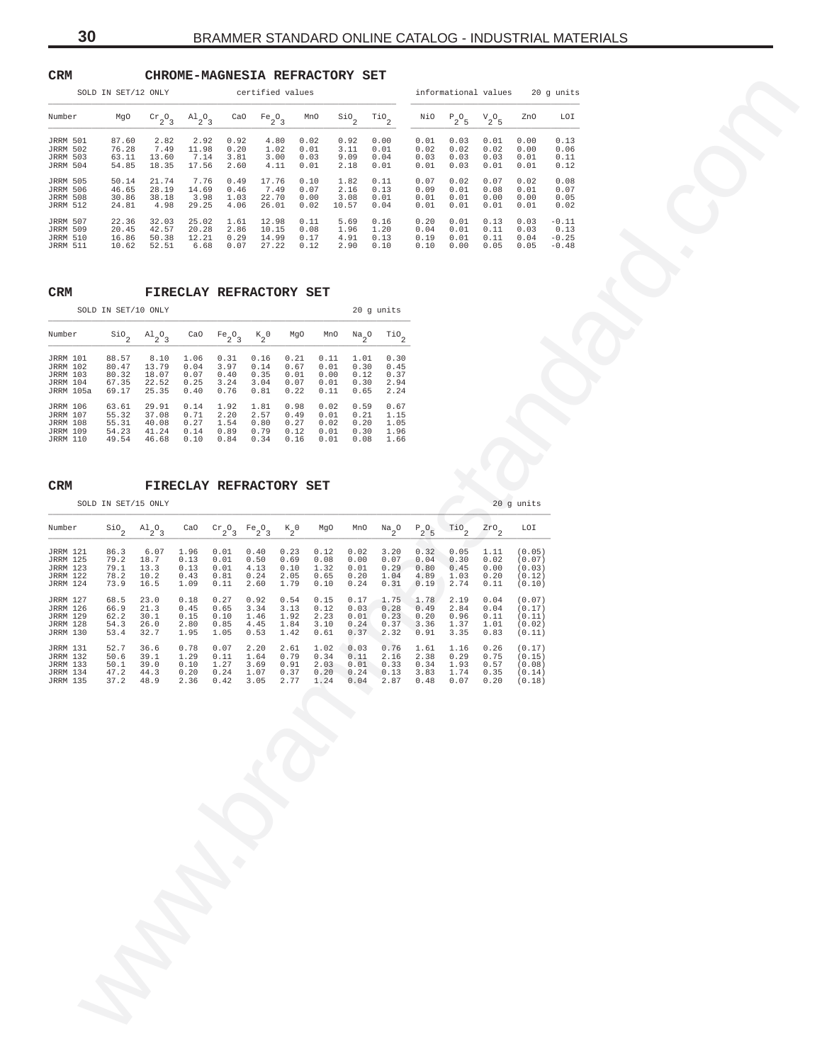# <span id="page-29-0"></span>**CRM CHROME-MAGNESIA REFRACTORY SET**

| ີ∽∽                                                                                         | SOLD IN SET/12 ONLY                                   |                                                                      | OME-MAGNESIA REFRACIORI SEI          |                                               | certified values                              |                                      |                                                                                |                                                  |                                                                                                 |                                      |                                       |                                                     |                                                | informational values 20 g units       |  |  |  |
|---------------------------------------------------------------------------------------------|-------------------------------------------------------|----------------------------------------------------------------------|--------------------------------------|-----------------------------------------------|-----------------------------------------------|--------------------------------------|--------------------------------------------------------------------------------|--------------------------------------------------|-------------------------------------------------------------------------------------------------|--------------------------------------|---------------------------------------|-----------------------------------------------------|------------------------------------------------|---------------------------------------|--|--|--|
| Number                                                                                      | MgO                                                   | $\mathrm{cr}_2\mathrm{O}_3$                                          | $A1_{2}O_{3}$                        |                                               | CaO $Fe_2O_3$                                 |                                      | MnO                                                                            | $\frac{\text{SiO}}{2}$                           | $\overline{110}$ <sub>2</sub>                                                                   |                                      | NiO $P_2O_5$                          | $V_2O_5$                                            | ZnO                                            | LOI                                   |  |  |  |
| JRRM 501<br><b>JRRM 502</b><br><b>JRRM 503</b><br>JRRM 504                                  | 87.60<br>76.28<br>54.85                               | 2.82<br>7.49<br>63.11 13.60<br>18.35                                 | 2.92<br>11.98<br>7.14<br>17.56       | 0.92<br>0.20<br>3.81<br>2.60                  |                                               | 4.80<br>1.02<br>3.00<br>4.11         | 0.02<br>0.01<br>0.03<br>0.01                                                   | 0.92<br>3.11<br>9.09<br>2.18                     | 0.00<br>0.01<br>0.04<br>0.01                                                                    | 0.02<br>0.03<br>0.01                 | $0.01$ $0.03$<br>0.02<br>0.03<br>0.03 | 0.01<br>0.02<br>0.03<br>0.01                        | 0.00<br>0.00<br>0.01<br>0.01                   | 0.13<br>0.06<br>0.11<br>0.12          |  |  |  |
| <b>JRRM 505</b><br><b>JRRM 506</b><br><b>JRRM 508</b><br><b>JRRM 512</b>                    | 50.14<br>46.65<br>30.86<br>24.81                      | 21.74<br>28.19<br>38.18<br>4.98                                      | 7.76<br>14.69<br>3.98<br>29.25       | 0.49<br>0.46<br>1.03<br>4.06                  | 17.76<br>7.49<br>22.70<br>26.01               |                                      | 0.10<br>0.07<br>0.00<br>0.02                                                   | 1.82<br>2.16<br>3.08<br>10.57                    | 0.11<br>0.13<br>0.01<br>0.04                                                                    | 0.07<br>0.09<br>0.01<br>0.01         | 0.02<br>0.01<br>0.01<br>0.01          | 0.07<br>0.08<br>0.00<br>0.01                        | 0.02<br>0.01<br>0.00<br>0.01                   | 0.08<br>0.07<br>0.05<br>0.02          |  |  |  |
| JRRM 507<br><b>JRRM 509</b><br><b>JRRM 510</b><br><b>JRRM 511</b>                           |                                                       | 22.36 32.03<br>20.45 42.57<br>16.86 50.38<br>10.62 52.51             | 25.02                                | 1.61<br>20.28 2.86<br>12.21 0.29<br>6.68 0.07 | 12.98<br>10.15<br>27.22                       | 0.08<br>14.99  0.17<br>0.12          | 0.11                                                                           | $5.69$ $0.16$<br>1.96 1.20<br>4.91  0.13<br>2.90 | 0.10                                                                                            | 0.20<br>0.19 0.01<br>0.10 0.00       | 0.01<br>$0.04$ 0.01                   | 0.13<br>$0.11$ $0.03$<br>$0.11$ $0.04$<br>0.05 0.05 | 0.03                                           | $-0.11$<br>0.13<br>$-0.25$<br>$-0.48$ |  |  |  |
| $\mathtt{CRM}$                                                                              |                                                       |                                                                      | <b>FIRECLAY REFRACTORY SET</b>       |                                               |                                               |                                      |                                                                                |                                                  |                                                                                                 |                                      |                                       |                                                     |                                                |                                       |  |  |  |
|                                                                                             | SOLD IN SET/10 ONLY                                   |                                                                      |                                      |                                               |                                               |                                      |                                                                                |                                                  | 20 g units                                                                                      |                                      |                                       |                                                     |                                                |                                       |  |  |  |
| Number                                                                                      | $\sin^2$ $\frac{10}{2}$ $\frac{10}{2}$                |                                                                      |                                      | CaO $Fe_2O_3$ $K_2O$                          |                                               | MgO                                  |                                                                                | $MnO$ $Na2O$                                     | $\mathop{\text{rio}}\nolimits_2$                                                                |                                      |                                       |                                                     |                                                |                                       |  |  |  |
| <b>JRRM 101</b><br><b>JRRM 102</b><br><b>JRRM 103</b><br><b>JRRM 104</b><br>JRRM 105a       | 88.57<br>80.47<br>80.32<br>67.35<br>69.17             | 8.10<br>13.79<br>18.07<br>22.52<br>25.35                             | 1.06<br>0.04<br>0.07<br>0.25<br>0.40 | 0.31<br>3.97<br>0.40<br>3.24<br>0.76          | 0.16<br>0.14<br>0.35<br>3.04<br>0.81          | 0.21<br>0.67<br>0.01<br>0.07<br>0.22 | 0.01<br>0.00<br>0.01<br>0.11                                                   | $0.11$ $1.01$<br>0.30<br>0.12<br>0.30<br>0.65    | 0.30<br>0.45<br>0.37<br>2.94<br>2.24                                                            |                                      |                                       |                                                     |                                                |                                       |  |  |  |
| <b>JRRM 106</b><br><b>JRRM 107</b><br><b>JRRM 108</b><br><b>JRRM 109</b><br><b>JRRM 110</b> | 63.61<br>55.32<br>55.31                               | 29.91<br>37.08<br>40.08<br>54.23 41.24 0.14 0.89<br>49.54 46.68 0.10 | 0.14<br>0.71<br>0.27                 | 1.92<br>2.20<br>1.54<br>0.84                  | 1.81<br>2.57<br>0.80<br>$0.79$ $0.12$<br>0.34 | 0.98<br>0.49<br>0.27<br>0.16         | 0.02<br>0.01<br>0.02<br>0.01                                                   | 0.59<br>0.21<br>0.20                             | 0.67<br>1.15<br>1.05<br>$0.01$ $0.30$ 1.96<br>$0.08$ 1.66                                       |                                      |                                       |                                                     |                                                |                                       |  |  |  |
| $\mathtt{CRM}$                                                                              |                                                       |                                                                      | FIRECLAY REFRACTORY SET              |                                               |                                               |                                      |                                                                                |                                                  |                                                                                                 |                                      |                                       |                                                     |                                                |                                       |  |  |  |
|                                                                                             | SOLD IN SET/15 ONLY                                   |                                                                      |                                      |                                               |                                               |                                      |                                                                                |                                                  |                                                                                                 |                                      |                                       |                                                     | 20 g units                                     |                                       |  |  |  |
| Number                                                                                      | $\sin \theta$                                         | $A1_{2}O_{3}$                                                        |                                      | CaO $Cr_2O_3$ $Fe_2O_3$                       |                                               | $K_{2}^{\circ}$ 0                    | MgO                                                                            | MnO                                              | $Naa$ O                                                                                         | $P_2O_5$                             | TiO.                                  | $\frac{2r}{2}$                                      | LOI                                            |                                       |  |  |  |
| <b>JRRM 121</b><br><b>JRRM 125</b><br><b>JRRM 123</b><br><b>JRRM 122</b><br><b>JRRM 124</b> | 86.3<br>79.2<br>79.1 13.3<br>78.2 10.2<br>73.9        | 6.07<br>18.7<br>16.5                                                 | 1.96<br>0.13<br>0.13<br>0.43<br>1.09 | 0.01<br>0.01<br>0.01<br>0.81<br>0.11          | 0.40<br>0.50<br>4.13<br>0.24<br>2.60          | 0.23<br>0.69<br>0.10<br>2.05<br>1.79 | 0.12<br>0.08<br>1.32<br>0.65<br>0.10                                           | 0.02<br>0.00<br>0.01<br>0.20<br>0.24             | 3.20<br>0.07<br>0.29<br>1.04<br>0.31                                                            | 0.32<br>0.04<br>0.80<br>4.89<br>0.19 | 0.05<br>0.30<br>0.45<br>1.03<br>2.74  | 1.11<br>0.02<br>0.00<br>0.20<br>0.11                | (0.05)<br>(0.07)<br>(0.03)<br>(0.12)<br>(0.10) |                                       |  |  |  |
| <b>JRRM 127</b><br><b>JRRM 126</b><br><b>JRRM 129</b><br><b>JRRM 128</b><br><b>JRRM 130</b> | 68.5<br>66.9<br>62.2<br>54.3<br>53.4                  | 23.0<br>21.3<br>30.1<br>26.0<br>32.7                                 | 0.18<br>0.45<br>0.15<br>2.80<br>1.95 | 0.27<br>0.65<br>0.10<br>0.85<br>1.05          | 0.92<br>3.34<br>1.46<br>4.45<br>0.53          | 0.54<br>3.13<br>1.92<br>1.84<br>1.42 | 0.15<br>0.12<br>2.23<br>3.10<br>0.61                                           | 0.17<br>0.03<br>0.01<br>0.24<br>0.37             | 1.75<br>0.28<br>0.23<br>0.37<br>2.32                                                            | 1.78<br>0.49<br>0.20<br>3.36<br>0.91 | 2.19<br>2.84<br>0.96<br>1.37<br>3.35  | 0.04<br>0.04<br>0.11<br>1.01<br>0.83                | (0.07)<br>(0.17)<br>(0.11)<br>(0.02)<br>(0.11) |                                       |  |  |  |
| <b>JRRM 131</b><br><b>JRRM 132</b><br><b>JRRM 133</b><br><b>JRRM 134</b><br>JRRM 135        | 52.7<br>50.6 39.1<br>$50.1$ 39.0<br>47.2 44.3<br>37.2 | 36.6<br>48.9                                                         | 0.78<br>1.29<br>0.10<br>2.36         | 0.07<br>$0.11$ 1.64<br>1.27 3.69<br>0.42      | 2.20<br>3.05                                  | 2.61<br>0.91                         | 1.02 0.03<br>$0.79$ $0.34$ $0.11$<br>$0.20$ $0.24$ $1.07$ $0.37$ $0.20$ $0.24$ | 0.04                                             | 0.76<br>2.16 2.38 0.29<br>2.03 0.01 0.33 0.34 1.93 0.57<br>$0.13$ 3.83 1.74 0.35 (0.14)<br>2.87 | 1.61<br>0.48                         | 1.16<br>0.07                          | 0.26<br>0.75<br>0.20                                | (0.17)<br>(0.15)<br>(0.08)                     |                                       |  |  |  |
|                                                                                             |                                                       |                                                                      |                                      |                                               |                                               |                                      |                                                                                |                                                  |                                                                                                 |                                      |                                       |                                                     |                                                |                                       |  |  |  |
|                                                                                             |                                                       |                                                                      |                                      |                                               |                                               |                                      |                                                                                |                                                  |                                                                                                 |                                      |                                       |                                                     |                                                |                                       |  |  |  |
|                                                                                             |                                                       |                                                                      |                                      |                                               |                                               |                                      |                                                                                |                                                  |                                                                                                 |                                      |                                       |                                                     |                                                |                                       |  |  |  |
|                                                                                             |                                                       |                                                                      |                                      |                                               |                                               |                                      |                                                                                |                                                  |                                                                                                 |                                      |                                       |                                                     |                                                |                                       |  |  |  |
|                                                                                             |                                                       |                                                                      |                                      |                                               |                                               |                                      |                                                                                |                                                  |                                                                                                 |                                      |                                       |                                                     |                                                |                                       |  |  |  |
|                                                                                             |                                                       |                                                                      |                                      |                                               |                                               |                                      |                                                                                |                                                  |                                                                                                 |                                      |                                       |                                                     |                                                |                                       |  |  |  |
|                                                                                             |                                                       |                                                                      |                                      |                                               |                                               |                                      |                                                                                |                                                  |                                                                                                 |                                      |                                       |                                                     |                                                |                                       |  |  |  |
|                                                                                             |                                                       |                                                                      |                                      |                                               |                                               |                                      |                                                                                |                                                  |                                                                                                 |                                      |                                       |                                                     |                                                |                                       |  |  |  |
|                                                                                             |                                                       |                                                                      |                                      |                                               |                                               |                                      |                                                                                |                                                  |                                                                                                 |                                      |                                       |                                                     |                                                |                                       |  |  |  |

# **CRM FIRECLAY REFRACTORY SET**

|                 | SOLD IN SET/10 ONLY |               |      |           |                 |      |      | 20 g units            |      |
|-----------------|---------------------|---------------|------|-----------|-----------------|------|------|-----------------------|------|
| Number          | $\mathsf{Sio}_2$    | $A1_{2}O_{3}$ | CaO  | $Fe_2O_3$ | $k_{2}^{\circ}$ | MqO  | MnO  | $Na_{2}$ <sup>O</sup> | TiO  |
| <b>JRRM 101</b> | 88.57               | 8.10          | 1.06 | 0.31      | 0.16            | 0.21 | 0.11 | 1.01                  | 0.30 |
| <b>JRRM 102</b> | 80.47               | 13.79         | 0.04 | 3.97      | 0.14            | 0.67 | 0.01 | 0.30                  | 0.45 |
| <b>JRRM 103</b> | 80.32               | 18.07         | 0.07 | 0.40      | 0.35            | 0.01 | 0.00 | 0.12                  | 0.37 |
| <b>JRRM 104</b> | 67.35               | 22.52         | 0.25 | 3.24      | 3.04            | 0.07 | 0.01 | 0.30                  | 2.94 |
| JRRM 105a       | 69.17               | 25.35         | 0.40 | 0.76      | 0.81            | 0.22 | 0.11 | 0.65                  | 2.24 |
| <b>JRRM 106</b> | 63.61               | 29.91         | 0.14 | 1.92      | 1.81            | 0.98 | 0.02 | 0.59                  | 0.67 |
| <b>JRRM 107</b> | 55.32               | 37.08         | 0.71 | 2.20      | 2.57            | 0.49 | 0.01 | 0.21                  | 1.15 |
| <b>JRRM 108</b> | 55.31               | 40.08         | 0.27 | 1.54      | 0.80            | 0.27 | 0.02 | 0.20                  | 1.05 |
| <b>JRRM 109</b> | 54.23               | 41.24         | 0.14 | 0.89      | 0.79            | 0.12 | 0.01 | 0.30                  | 1.96 |
| <b>JRRM 110</b> | 49.54               | 46.68         | 0.10 | 0.84      | 0.34            | 0.16 | 0.01 | 0.08                  | 1.66 |

# **CRM FIRECLAY REFRACTORY SET**

| Number          | $\sin$ | $A1_{2}O_{3}$ | CaO  | $\mathrm{cr}_{2}\mathrm{O}_{3}$ | $Fe_2O_3$ | $K_2^0$ | MgO  | MnO  | $\frac{Na}{2}$ <sup>O</sup> | $P_2O_5$ | TiO  | $\frac{2r}{2}$ | LOI    |
|-----------------|--------|---------------|------|---------------------------------|-----------|---------|------|------|-----------------------------|----------|------|----------------|--------|
| <b>JRRM 121</b> | 86.3   | 6.07          | 1.96 | 0.01                            | 0.40      | 0.23    | 0.12 | 0.02 | 3.20                        | 0.32     | 0.05 | 1.11           | (0.05) |
| <b>JRRM 125</b> | 79.2   | 18.7          | 0.13 | 0.01                            | 0.50      | 0.69    | 0.08 | 0.00 | 0.07                        | 0.04     | 0.30 | 0.02           | (0.07) |
| <b>JRRM 123</b> | 79.1   | 13.3          | 0.13 | 0.01                            | 4.13      | 0.10    | 1.32 | 0.01 | 0.29                        | 0.80     | 0.45 | 0.00           | (0.03) |
| <b>JRRM 122</b> | 78.2   | 10.2          | 0.43 | 0.81                            | 0.24      | 2.05    | 0.65 | 0.20 | 1.04                        | 4.89     | 1.03 | 0.20           | (0.12) |
| <b>JRRM 124</b> | 73.9   | 16.5          | 1.09 | 0.11                            | 2.60      | 1.79    | 0.10 | 0.24 | 0.31                        | 0.19     | 2.74 | 0.11           | (0.10) |
| <b>JRRM 127</b> | 68.5   | 23.0          | 0.18 | 0.27                            | 0.92      | 0.54    | 0.15 | 0.17 | 1.75                        | 1.78     | 2.19 | 0.04           | (0.07) |
| <b>JRRM 126</b> | 66.9   | 21.3          | 0.45 | 0.65                            | 3.34      | 3.13    | 0.12 | 0.03 | 0.28                        | 0.49     | 2.84 | 0.04           | (0.17) |
| <b>JRRM 129</b> | 62.2   | 30.1          | 0.15 | 0.10                            | 1.46      | 1.92    | 2.23 | 0.01 | 0.23                        | 0.20     | 0.96 | 0.11           | (0.11) |
| <b>JRRM 128</b> | 54.3   | 26.0          | 2.80 | 0.85                            | 4.45      | 1.84    | 3.10 | 0.24 | 0.37                        | 3.36     | 1.37 | 1.01           | (0.02) |
| <b>JRRM 130</b> | 53.4   | 32.7          | 1.95 | 1.05                            | 0.53      | 1.42    | 0.61 | 0.37 | 2.32                        | 0.91     | 3.35 | 0.83           | (0.11) |
| <b>JRRM 131</b> | 52.7   | 36.6          | 0.78 | 0.07                            | 2.20      | 2.61    | 1.02 | 0.03 | 0.76                        | 1.61     | 1.16 | 0.26           | (0.17) |
| <b>JRRM 132</b> | 50.6   | 39.1          | 1.29 | 0.11                            | 1.64      | 0.79    | 0.34 | 0.11 | 2.16                        | 2.38     | 0.29 | 0.75           | (0.15) |
| <b>JRRM 133</b> | 50.1   | 39.0          | 0.10 | 1.27                            | 3.69      | 0.91    | 2.03 | 0.01 | 0.33                        | 0.34     | 1.93 | 0.57           | (0.08) |
| <b>JRRM 134</b> | 47.2   | 44.3          | 0.20 | 0.24                            | 1.07      | 0.37    | 0.20 | 0.24 | 0.13                        | 3.83     | 1.74 | 0.35           | (0.14) |
| <b>JRRM 135</b> | 37.2   | 48.9          | 2.36 | 0.42                            | 3.05      | 2.77    | 1.24 | 0.04 | 2.87                        | 0.48     | 0.07 | 0.20           | (0.18) |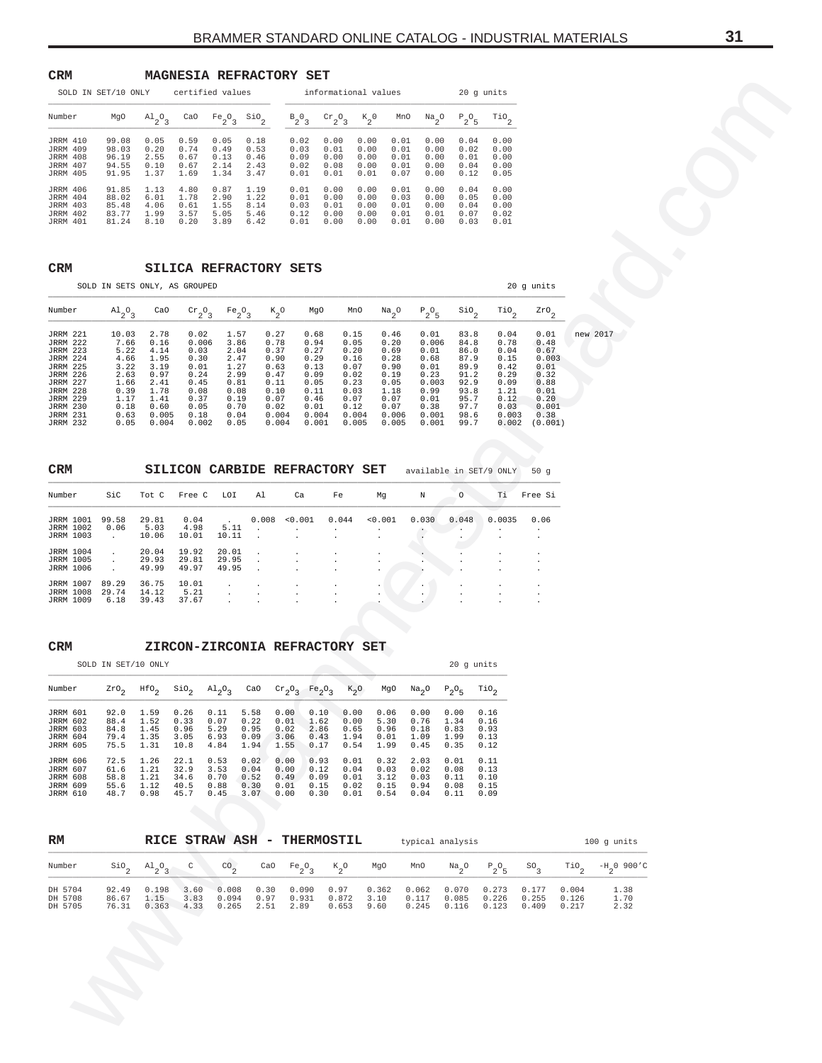### <span id="page-30-0"></span>**CRM MAGNESIA REFRACTORY SET**

|                 | SOLD IN SET/10 ONLY |               |      | certified values               |      |          | informational values                        |                 |      |                             | 20 q units |                               |
|-----------------|---------------------|---------------|------|--------------------------------|------|----------|---------------------------------------------|-----------------|------|-----------------------------|------------|-------------------------------|
| Number          | MqO                 | $A1_{2}O_{3}$ | CaO  | Fe <sub>2</sub> O <sub>3</sub> | SiO  | $B_2O_3$ | $\mathrm{cr}_{2}$ <sup>O</sup> <sub>3</sub> | $K_{2}^{\circ}$ | MnO  | $\frac{Na}{2}$ <sup>O</sup> | $P_2O_5$   | $\mathbb{T}^{i}$ <sup>2</sup> |
| <b>JRRM 410</b> | 99.08               | 0.05          | 0.59 | 0.05                           | 0.18 | 0.02     | 0.00                                        | 0.00            | 0.01 | 0.00                        | 0.04       | 0.00                          |
| <b>JRRM 409</b> | 98.03               | 0.20          | 0.74 | 0.49                           | 0.53 | 0.03     | 0.01                                        | 0.00            | 0.01 | 0.00                        | 0.02       | 0.00                          |
| <b>JRRM 408</b> | 96.19               | 2.55          | 0.67 | 0.13                           | 0.46 | 0.09     | 0.00                                        | 0.00            | 0.01 | 0.00                        | 0.01       | 0.00                          |
| <b>JRRM 407</b> | 94.55               | 0.10          | 0.67 | 2.14                           | 2.43 | 0.02     | 0.08                                        | 0.00            | 0.01 | 0.00                        | 0.04       | 0.00                          |
| <b>JRRM 405</b> | 91.95               | 1.37          | 1.69 | 1.34                           | 3.47 | 0.01     | 0.01                                        | 0.01            | 0.07 | 0.00                        | 0.12       | 0.05                          |
| <b>JRRM 406</b> | 91.85               | 1.13          | 4.80 | 0.87                           | 1.19 | 0.01     | 0.00                                        | 0.00            | 0.01 | 0.00                        | 0.04       | 0.00                          |
| JRRM 404        | 88.02               | 6.01          | 1.78 | 2.90                           | 1.22 | 0.01     | 0.00                                        | 0.00            | 0.03 | 0.00                        | 0.05       | 0.00                          |
| <b>JRRM 403</b> | 85.48               | 4.06          | 0.61 | 1.55                           | 8.14 | 0.03     | 0.01                                        | 0.00            | 0.01 | 0.00                        | 0.04       | 0.00                          |
| JRRM 402        | 83.77               | 1.99          | 3.57 | 5.05                           | 5.46 | 0.12     | 0.00                                        | 0.00            | 0.01 | 0.01                        | 0.07       | 0.02                          |
| <b>JRRM 401</b> | 81.24               | 8.10          | 0.20 | 3.89                           | 6.42 | 0.01     | 0.00                                        | 0.00            | 0.01 | 0.00                        | 0.03       | 0.01                          |

# **CRM SILICA REFRACTORY SETS**

| SOLD IN SET/10 ONLY                                                                                                                                                                                         |                                                                                               |                                                                                                | certified values                                                                               |                                                                                              |                                      |                                                                                                |                                                                                                |                                                                                                | informational values                                                                           |                                                                                                  |                                                                                              | 20 g units                                                                                     |                                                                                                   |                               |                      |  |  |
|-------------------------------------------------------------------------------------------------------------------------------------------------------------------------------------------------------------|-----------------------------------------------------------------------------------------------|------------------------------------------------------------------------------------------------|------------------------------------------------------------------------------------------------|----------------------------------------------------------------------------------------------|--------------------------------------|------------------------------------------------------------------------------------------------|------------------------------------------------------------------------------------------------|------------------------------------------------------------------------------------------------|------------------------------------------------------------------------------------------------|--------------------------------------------------------------------------------------------------|----------------------------------------------------------------------------------------------|------------------------------------------------------------------------------------------------|---------------------------------------------------------------------------------------------------|-------------------------------|----------------------|--|--|
| Number                                                                                                                                                                                                      | MgO                                                                                           | $A1_{2}O_{3}$                                                                                  | CaO                                                                                            | $Fe_2O_3$                                                                                    | $\mathsf{Sio}_2$                     | $B_2O_3$                                                                                       |                                                                                                | $\mathrm{cr}_2\mathrm{O}_3$                                                                    | $\kappa_{2}^{\phantom{2}}$ 0                                                                   | $\frac{Na}{2}$ <sup>O</sup><br>MnO                                                               | $P_2O_5$                                                                                     | $\mathop{\rm TiO}\nolimits_2$                                                                  |                                                                                                   |                               |                      |  |  |
| <b>JRRM 410</b><br><b>JRRM 409</b><br><b>JRRM 408</b><br><b>JRRM 407</b><br><b>JRRM 405</b>                                                                                                                 | 99.08<br>98.03<br>96.19<br>94.55<br>91.95                                                     | 0.05<br>0.20<br>2.55<br>0.10<br>1.37                                                           | 0.59<br>0.74<br>0.67<br>0.67<br>1.69                                                           | 0.05<br>0.49<br>0.13<br>2.14<br>1.34                                                         | 0.18<br>0.53<br>0.46<br>2.43<br>3.47 | 0.02<br>0.03<br>0.09<br>0.02<br>0.01                                                           | 0.00<br>0.01<br>0.00<br>0.08<br>0.01                                                           | 0.01                                                                                           | 0.00<br>0.01<br>0.00<br>0.01<br>0.00<br>0.01<br>0.00<br>0.01<br>0.07                           | 0.00<br>0.00<br>0.00<br>0.00<br>0.00                                                             | 0.04<br>0.02<br>0.01<br>0.04<br>0.12                                                         | 0.00<br>0.00<br>0.00<br>0.00<br>0.05                                                           |                                                                                                   |                               |                      |  |  |
| <b>JRRM 406</b><br><b>JRRM 404</b><br><b>JRRM 403</b><br>JRRM 402<br><b>JRRM 401</b>                                                                                                                        | 91.85<br>88.02<br>85.48<br>83.77<br>81.24                                                     | 1.13<br>6.01<br>4.06<br>1.99<br>8.10                                                           | 4.80<br>1.78<br>0.61<br>3.57<br>0.20                                                           | 0.87<br>2.90<br>1.55<br>5.05<br>3.89                                                         | 1.19<br>1.22<br>8.14<br>5.46<br>6.42 | 0.01<br>0.01<br>0.03<br>0.12<br>0.01                                                           | 0.00<br>0.00<br>0.01<br>0.00<br>0.00                                                           | 0.00<br>0.00<br>0.00                                                                           | 0.00<br>0.01<br>0.00<br>0.03<br>0.01<br>0.01<br>0.01                                           | 0.00<br>0.00<br>0.00<br>0.01<br>0.00                                                             | 0.04<br>0.05<br>0.04<br>0.07<br>0.03                                                         | 0.00<br>0.00<br>0.00<br>0.02<br>0.01                                                           |                                                                                                   |                               |                      |  |  |
| <b>CRM</b>                                                                                                                                                                                                  | SOLD IN SETS ONLY, AS GROUPED                                                                 |                                                                                                | SILICA REFRACTORY SETS                                                                         |                                                                                              |                                      |                                                                                                |                                                                                                |                                                                                                |                                                                                                |                                                                                                  |                                                                                              |                                                                                                | 20 g units                                                                                        |                               |                      |  |  |
| Number                                                                                                                                                                                                      | $A1_{2}O_3$                                                                                   | CaO                                                                                            | $\mathrm{cr}_2\mathrm{O}_3$                                                                    | $Fe_2O_3$                                                                                    |                                      | $K_2^o$                                                                                        | MgO                                                                                            | MnO                                                                                            | $\mathrm{Na}_2\mathrm{O}$                                                                      | $P_2O_5$                                                                                         | $\mathfrak{so}_{2}$                                                                          | $\mathcal{T}^{i}$ <sup>2</sup>                                                                 | $z_{r0}$ <sub>2</sub>                                                                             |                               |                      |  |  |
| <b>JRRM 221</b><br><b>JRRM 222</b><br>JRRM 223<br><b>JRRM 224</b><br><b>JRRM 225</b><br><b>JRRM 226</b><br><b>JRRM 227</b><br><b>JRRM 228</b><br><b>JRRM 229</b><br>JRRM 230<br>JRRM 231<br><b>JRRM 232</b> | 10.03<br>7.66<br>5.22<br>4.66<br>3.22<br>2.63<br>1.66<br>0.39<br>1.17<br>0.18<br>0.63<br>0.05 | 2.78<br>0.16<br>4.14<br>1.95<br>3.19<br>0.97<br>2.41<br>1.78<br>1.41<br>0.60<br>0.005<br>0.004 | 0.02<br>0.006<br>0.03<br>0.30<br>0.01<br>0.24<br>0.45<br>0.08<br>0.37<br>0.05<br>0.18<br>0.002 | 1.57<br>3.86<br>2.04<br>2.47<br>1.27<br>2.99<br>0.81<br>0.08<br>0.19<br>0.70<br>0.04<br>0.05 |                                      | 0.27<br>0.78<br>0.37<br>0.90<br>0.63<br>0.47<br>0.11<br>0.10<br>0.07<br>0.02<br>0.004<br>0.004 | 0.68<br>0.94<br>0.27<br>0.29<br>0.13<br>0.09<br>0.05<br>0.11<br>0.46<br>0.01<br>0.004<br>0.001 | 0.15<br>0.05<br>0.20<br>0.16<br>0.07<br>0.02<br>0.23<br>0.03<br>0.07<br>0.12<br>0.004<br>0.005 | 0.46<br>0.20<br>0.69<br>0.28<br>0.90<br>0.19<br>0.05<br>1.18<br>0.07<br>0.07<br>0.006<br>0.005 | 0.01<br>0.006<br>0.01<br>0.68<br>0.01<br>0.23<br>0.003<br>0.99<br>0.01<br>0.38<br>0.001<br>0.001 | 83.8<br>84.8<br>86.0<br>87.9<br>89.9<br>91.2<br>92.9<br>93.8<br>95.7<br>97.7<br>98.6<br>99.7 | 0.04<br>0.78<br>0.04<br>0.15<br>0.42<br>0.29<br>0.09<br>1.21<br>0.12<br>0.03<br>0.003<br>0.002 | 0.01<br>0.48<br>0.67<br>0.003<br>0.01<br>0.32<br>0.88<br>0.01<br>0.20<br>0.001<br>0.38<br>(0.001) |                               | new 2017             |  |  |
| CRM                                                                                                                                                                                                         |                                                                                               |                                                                                                | SILICON CARBIDE REFRACTORY SET                                                                 |                                                                                              |                                      |                                                                                                |                                                                                                |                                                                                                |                                                                                                |                                                                                                  |                                                                                              | available in SET/9 ONLY                                                                        | 50g                                                                                               |                               |                      |  |  |
| Number                                                                                                                                                                                                      | SiC                                                                                           | Tot C                                                                                          | Free C                                                                                         | LOI                                                                                          | Al                                   | Ca                                                                                             |                                                                                                | Fe                                                                                             | Mg                                                                                             | Ν                                                                                                | $\circ$                                                                                      | Тi                                                                                             | Free Si                                                                                           |                               |                      |  |  |
| JRRM 1001<br><b>JRRM 1002</b><br><b>JRRM 1003</b>                                                                                                                                                           | 99.58<br>0.06<br>$\cdot$                                                                      | 29.81<br>5.03<br>10.06                                                                         | 0.04<br>4.98<br>10.01                                                                          | 5.11<br>10.11                                                                                | 0.008<br>$\cdot$                     | 0.001                                                                                          |                                                                                                | 0.044                                                                                          | 0.001                                                                                          | 0.030                                                                                            | 0.048                                                                                        | 0.0035                                                                                         | 0.06                                                                                              |                               |                      |  |  |
| <b>JRRM 1004</b><br><b>JRRM 1005</b><br><b>JRRM 1006</b>                                                                                                                                                    | $\cdot$<br>$\cdot$                                                                            | 20.04<br>29.93<br>49.99                                                                        | 19.92<br>29.81<br>49.97                                                                        | 20.01<br>29.95<br>49.95                                                                      |                                      |                                                                                                |                                                                                                |                                                                                                |                                                                                                |                                                                                                  |                                                                                              |                                                                                                |                                                                                                   |                               |                      |  |  |
| JRRM 1007<br>JRRM 1008<br><b>JRRM 1009</b>                                                                                                                                                                  | 89.29<br>29.74<br>6.18                                                                        | 36.75<br>14.12<br>39.43                                                                        | 10.01<br>5.21<br>37.67                                                                         |                                                                                              |                                      |                                                                                                |                                                                                                |                                                                                                |                                                                                                |                                                                                                  |                                                                                              |                                                                                                |                                                                                                   |                               |                      |  |  |
| <b>CRM</b>                                                                                                                                                                                                  |                                                                                               |                                                                                                | ZIRCON-ZIRCONIA REFRACTORY SET                                                                 |                                                                                              |                                      |                                                                                                |                                                                                                |                                                                                                |                                                                                                |                                                                                                  |                                                                                              |                                                                                                |                                                                                                   |                               |                      |  |  |
|                                                                                                                                                                                                             | SOLD IN SET/10 ONLY                                                                           |                                                                                                |                                                                                                |                                                                                              |                                      |                                                                                                |                                                                                                |                                                                                                |                                                                                                |                                                                                                  |                                                                                              | 20 g units                                                                                     |                                                                                                   |                               |                      |  |  |
| Number<br><b>JRRM 601</b>                                                                                                                                                                                   | 2x0 <sub>2</sub><br>92.0                                                                      | HfO <sub>2</sub><br>1.59                                                                       | $\sin_2$<br>0.26                                                                               | $A1_2O_3$<br>0.11                                                                            | CaO<br>5.58                          | $\mathrm{cr}_2\mathrm{O}_3$<br>0.00                                                            | Fe <sub>2</sub> O <sub>3</sub><br>0.10                                                         | $k_2$ <sup>o</sup><br>0.00                                                                     | MgO<br>0.06                                                                                    | Na <sub>2</sub> O<br>0.00                                                                        | $P_2O_5$<br>0.00                                                                             | $\mathbb{T}$ <sup>10</sup> 2<br>0.16                                                           |                                                                                                   |                               |                      |  |  |
| <b>JRRM 602</b><br><b>JRRM 603</b><br><b>JRRM 604</b><br><b>JRRM 605</b>                                                                                                                                    | 88.4<br>84.8<br>79.4<br>75.5                                                                  | 1.52<br>1.45<br>1.35<br>1.31                                                                   | 0.33<br>0.96<br>3.05<br>10.8                                                                   | 0.07<br>5.29<br>6.93<br>4.84                                                                 | 0.22<br>0.95<br>0.09<br>1.94         | 0.01<br>0.02<br>3.06<br>1.55                                                                   | 1.62<br>2.86<br>0.43<br>0.17                                                                   | 0.00<br>0.65<br>1.94<br>0.54                                                                   | 5.30<br>0.96<br>0.01<br>1.99                                                                   | 0.76<br>0.18<br>1.09<br>0.45                                                                     | 1.34<br>0.83<br>1.99<br>0.35                                                                 | 0.16<br>0.93<br>0.13<br>0.12                                                                   |                                                                                                   |                               |                      |  |  |
| <b>JRRM 606</b><br><b>JRRM 607</b><br><b>JRRM 608</b><br><b>JRRM 609</b><br><b>JRRM 610</b>                                                                                                                 | 72.5<br>61.6<br>58.8<br>55.6<br>48.7                                                          | 1.26<br>1.21<br>1.21<br>1.12<br>0.98                                                           | 22.1<br>32.9<br>34.6<br>40.5<br>45.7                                                           | 0.53<br>3.53<br>0.70<br>0.88<br>0.45                                                         | 0.02<br>0.04<br>0.52<br>0.30<br>3.07 | 0.00<br>0.00<br>0.49<br>0.01<br>0.00                                                           | 0.93<br>0.12<br>0.09<br>0.15<br>0.30                                                           | 0.01<br>0.04<br>0.01<br>0.02<br>0.01                                                           | 0.32<br>0.03<br>3.12<br>0.15<br>0.54                                                           | 2.03<br>0.02<br>0.03<br>0.94<br>0.04                                                             | 0.01<br>0.08<br>0.11<br>0.08<br>0.11                                                         | 0.11<br>0.13<br>0.10<br>0.15<br>0.09                                                           |                                                                                                   |                               |                      |  |  |
| RM                                                                                                                                                                                                          |                                                                                               |                                                                                                | RICE STRAW ASH - THERMOSTIL                                                                    |                                                                                              |                                      |                                                                                                |                                                                                                |                                                                                                |                                                                                                | typical analysis                                                                                 |                                                                                              |                                                                                                |                                                                                                   |                               | 100 g units          |  |  |
| Number                                                                                                                                                                                                      | $\frac{\text{SiO}}{2}$                                                                        | $A1_{2}O_{3}$                                                                                  | $\mathtt{C}$                                                                                   | $^{CO}$ <sub>2</sub>                                                                         | CaO                                  | $Fe_2O_3$                                                                                      |                                                                                                | $K_2^o$                                                                                        | MgO                                                                                            | MnO                                                                                              | $\frac{Na}{2}$ <sup>O</sup>                                                                  | $P_2O_5$                                                                                       | $SO_{3}$                                                                                          | $\overline{110}$ <sub>2</sub> | $-H_2^0$ 900'C       |  |  |
| DH 5704<br>DH 5708<br>DH 5705                                                                                                                                                                               | 92.49                                                                                         | 0.198<br>86.67 1.15<br>76.31  0.363  4.33                                                      | 3.60<br>3.83                                                                                   | 0.008<br>0.094<br>0.265                                                                      | 0.30<br>0.97<br>2.51                 | 0.090<br>0.931<br>2.89                                                                         |                                                                                                | 0.97<br>0.872<br>0.653                                                                         | 0.362<br>3.10<br>9.60                                                                          | 0.062<br>0.117<br>0.245                                                                          | 0.070<br>0.085<br>0.116                                                                      | 0.273<br>0.226<br>0.123                                                                        | 0.177<br>0.255<br>0.409                                                                           | 0.004<br>0.126<br>0.217       | 1.38<br>1.70<br>2.32 |  |  |
|                                                                                                                                                                                                             | W                                                                                             |                                                                                                |                                                                                                |                                                                                              |                                      |                                                                                                |                                                                                                |                                                                                                |                                                                                                |                                                                                                  |                                                                                              |                                                                                                |                                                                                                   |                               |                      |  |  |

| <b>CRM</b>                           |                |                | SILICON CARBIDE REFRACTORY SET |                |       |                    |                           |                           |       | available in SET/9 ONLY |        | 50q                 |
|--------------------------------------|----------------|----------------|--------------------------------|----------------|-------|--------------------|---------------------------|---------------------------|-------|-------------------------|--------|---------------------|
| Number                               | SiC            | Tot C          | Free C                         | LOI            | Al    | Ca                 | Fe                        | Mq                        | N     | $\circ$                 | Τi     | Free Si             |
| <b>JRRM 1001</b>                     | 99.58          | 29.81          | 0.04                           |                | 0.008 | < 0.001            | 0.044                     | < 0.001                   | 0.030 | 0.048                   | 0.0035 | 0.06                |
| <b>JRRM 1002</b><br><b>JRRM 1003</b> | 0.06           | 5.03<br>10.06  | 4.98<br>10.01                  | 5.11<br>10.11  |       | $\cdot$<br>$\cdot$ | $\cdot$<br>$\blacksquare$ | $\cdot$<br>$\cdot$        |       | $\overline{a}$          |        | $\blacksquare$<br>٠ |
| <b>JRRM 1004</b><br><b>JRRM 1005</b> |                | 20.04<br>29.93 | 19.92<br>29.81                 | 20.01<br>29.95 |       | $\cdot$<br>$\cdot$ | $\ddot{\phantom{a}}$      | $\cdot$<br>$\cdot$        |       | $\cdot$                 |        |                     |
| <b>JRRM 1006</b>                     |                | 49.99          | 49.97                          | 49.95          |       |                    |                           | $\cdot$                   |       |                         |        |                     |
| <b>JRRM 1007</b><br><b>JRRM 1008</b> | 89.29<br>29.74 | 36.75<br>14.12 | 10.01<br>5.21                  |                |       | $\cdot$<br>$\cdot$ | $\ddot{\phantom{a}}$<br>٠ | $\cdot$<br>$\blacksquare$ |       | $\blacksquare$          |        |                     |
| <b>JRRM 1009</b>                     | 6.18           | 39.43          | 37.67                          |                |       | $\cdot$            | $\ddot{\phantom{a}}$      |                           |       | $\cdot$                 |        |                     |

# **CRM ZIRCON-ZIRCONIA REFRACTORY SET**

|                 | SOLD IN SET/10 ONLY |                  |                  |           |      |      |                     |        |      |                   |          | 20 q units       |
|-----------------|---------------------|------------------|------------------|-----------|------|------|---------------------|--------|------|-------------------|----------|------------------|
| Number          | ZrO <sub>2</sub>    | HfO <sub>2</sub> | SiO <sub>2</sub> | $A1_2O_3$ | CaO  |      | $Cr_2O_3$ $Fe_2O_3$ | $K_2O$ | MgO  | Na <sub>2</sub> O | $P_2O_F$ | TiO <sub>2</sub> |
| JRRM 601        | 92.0                | 1.59             | 0.26             | 0.11      | 5.58 | 0.00 | 0.10                | 0.00   | 0.06 | 0.00              | 0.00     | 0.16             |
| JRRM 602        | 88.4                | 1.52             | 0.33             | 0.07      | 0.22 | 0.01 | 1.62                | 0.00   | 5.30 | 0.76              | 1.34     | 0.16             |
| <b>JRRM 603</b> | 84.8                | 1.45             | 0.96             | 5.29      | 0.95 | 0.02 | 2.86                | 0.65   | 0.96 | 0.18              | 0.83     | 0.93             |
| JRRM 604        | 79.4                | 1.35             | 3.05             | 6.93      | 0.09 | 3.06 | 0.43                | 1.94   | 0.01 | 1.09              | 1.99     | 0.13             |
| <b>JRRM 605</b> | 75.5                | 1.31             | 10.8             | 4.84      | 1.94 | 1.55 | 0.17                | 0.54   | 1.99 | 0.45              | 0.35     | 0.12             |
| <b>JRRM 606</b> | 72.5                | 1.26             | 22.1             | 0.53      | 0.02 | 0.00 | 0.93                | 0.01   | 0.32 | 2.03              | 0.01     | 0.11             |
| <b>JRRM 607</b> | 61.6                | 1.21             | 32.9             | 3.53      | 0.04 | 0.00 | 0.12                | 0.04   | 0.03 | 0.02              | 0.08     | 0.13             |
| JRRM 608        | 58.8                | 1.21             | 34.6             | 0.70      | 0.52 | 0.49 | 0.09                | 0.01   | 3.12 | 0.03              | 0.11     | 0.10             |
| <b>JRRM 609</b> | 55.6                | 1.12             | 40.5             | 0.88      | 0.30 | 0.01 | 0.15                | 0.02   | 0.15 | 0.94              | 0.08     | 0.15             |
| <b>JRRM 610</b> | 48.7                | 0.98             | 45.7             | 0.45      | 3.07 | 0.00 | 0.30                | 0.01   | 0.54 | 0.04              | 0.11     | 0.09             |

| RM                            |                         |                                 |                      |                         |                      | RICE STRAW ASH - THERMOSTIL        |                        |                       |                         | typical analysis        |                         |                         |                         | $100$ q units                   |
|-------------------------------|-------------------------|---------------------------------|----------------------|-------------------------|----------------------|------------------------------------|------------------------|-----------------------|-------------------------|-------------------------|-------------------------|-------------------------|-------------------------|---------------------------------|
| Number                        |                         | $\sin$ $\theta$ $\cos$ $\theta$ |                      | CO <sub>2</sub>         |                      | CaO Fe <sub>2</sub> O <sub>2</sub> | $K_{0}$ O              | MgO                   | MnO                     |                         | $Na_{2}O$ $P_{2}O_{5}$  | $SO_{\alpha}$           |                         | $TiO_2$ -H <sub>2</sub> 0 900'C |
| DH 5704<br>DH 5708<br>DH 5705 | 92.49<br>86.67<br>76.31 | 0.198<br>1.15<br>0.363          | 3.60<br>3.83<br>4.33 | 0.008<br>0.094<br>0.265 | 0.30<br>0.97<br>2.51 | 0.090<br>0.931<br>2.89             | 0.97<br>0.872<br>0.653 | 0.362<br>3.10<br>9.60 | 0.062<br>0.117<br>0.245 | 0.070<br>0.085<br>0.116 | 0.273<br>0.226<br>0.123 | 0.177<br>0.255<br>0.409 | 0.004<br>0.126<br>0.217 | 1.38<br>1.70<br>2.32            |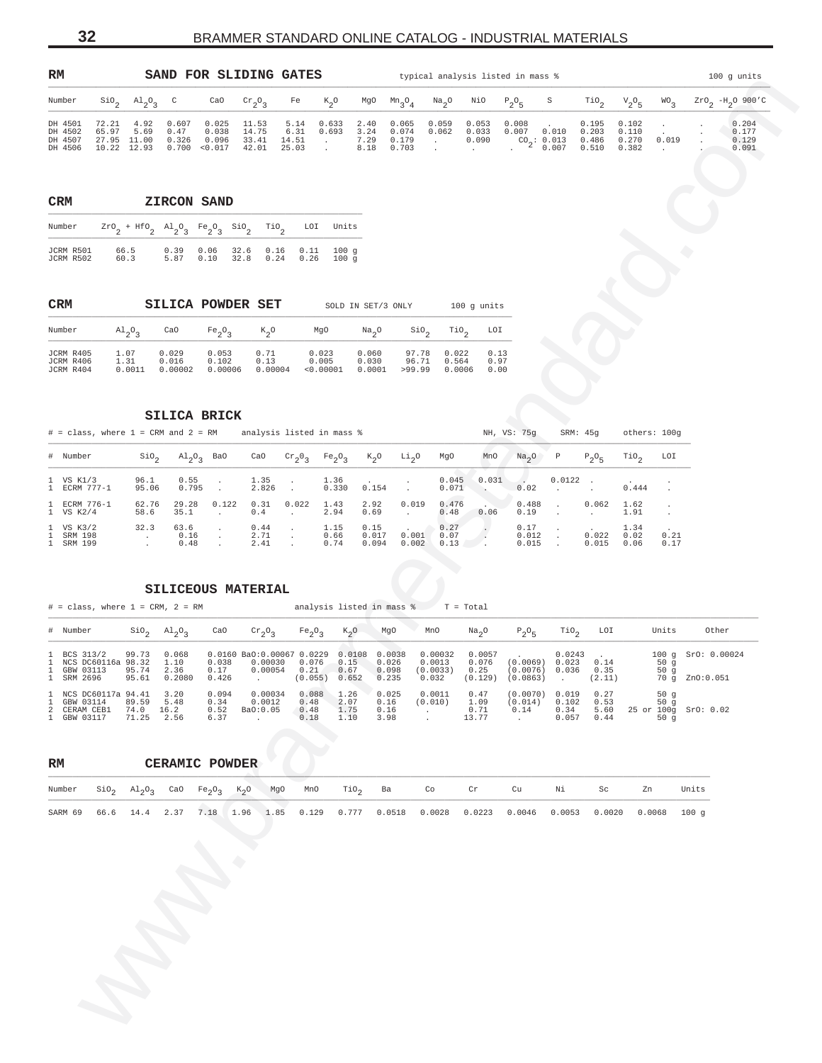<span id="page-31-0"></span>

| RM                                       |                                              |                                   |                        | SAND FOR SLIDING GATES                   |                                  |                                |                |                              |                                  |                |                         | typical analysis listed in mass %             |                                  |                                  |       | $100$ g units                    |
|------------------------------------------|----------------------------------------------|-----------------------------------|------------------------|------------------------------------------|----------------------------------|--------------------------------|----------------|------------------------------|----------------------------------|----------------|-------------------------|-----------------------------------------------|----------------------------------|----------------------------------|-------|----------------------------------|
| Number                                   | SiO <sub>c</sub>                             | $\mathrm{Al}_{2}\mathrm{O}_{2}$ C |                        | CaO                                      | $\mathrm{Cr}_{\alpha}O_{\alpha}$ | Fe                             | $K^0$          | MgO                          | $Mn_{0}$                         | $Na_{2}O$      | NiO                     | $P_{0}O_{r}$<br>S                             | TiO <sub>o</sub>                 | $V_{0}O_{\Gamma}$                | WO    | $ZrOa$ -H <sub>2</sub> O 900'C   |
| DH 4501<br>DH 4502<br>DH 4507<br>DH 4506 | 72.21<br>65.97<br>27.95 11.00<br>10.22 12.93 | 4.92<br>5.69                      | 0.607<br>0.47<br>0.326 | 0.025<br>0.038<br>0.096<br>0.700 < 0.017 | 11.53<br>14.75<br>33.41<br>42.01 | 5.14<br>6.31<br>14.51<br>25.03 | 0.633<br>0.693 | 2.40<br>3.24<br>7.29<br>8.18 | 0.065<br>0.074<br>0.179<br>0.703 | 0.059<br>0.062 | 0.053<br>0.033<br>0.090 | 0.008<br>0.007<br>0.010<br>CO: 0.013<br>0.007 | 0.195<br>0.203<br>0.486<br>0.510 | 0.102<br>0.110<br>0.270<br>0.382 | 0.019 | 0.204<br>0.177<br>0.129<br>0.091 |

| <b>CRM</b>             |                                                                                                                                |              | ZIRCON SAND  |      |                        |      |                          |
|------------------------|--------------------------------------------------------------------------------------------------------------------------------|--------------|--------------|------|------------------------|------|--------------------------|
| Number                 | $ZrO_2$ + HfO <sub>2</sub> Al <sub>2</sub> O <sub>2</sub> Fe <sub>2</sub> O <sub>2</sub> SiO <sub>2</sub> TiO <sub>2</sub> LOI |              |              |      |                        |      | Units                    |
| JCRM R501<br>JCRM R502 | 66.5<br>60.3                                                                                                                   | 0.39<br>5.87 | 0.06<br>0.10 | 32.8 | 32.6 0.16 0.11<br>0.24 | 0.26 | 100q<br>100 <sub>q</sub> |

| <b>CRM</b>                          |                                 |                           | SILICA POWDER SET         |                         |                             | SOLD IN SET/3 ONLY       |                          | $100$ q units                                        |                      |
|-------------------------------------|---------------------------------|---------------------------|---------------------------|-------------------------|-----------------------------|--------------------------|--------------------------|------------------------------------------------------|----------------------|
| Number                              | $\mathrm{Al}_{2}\mathrm{O}_{2}$ | CaO                       | $Fe_2O_2$                 | $K_{2}O$                | MgO                         | Na <sub>a</sub> O        |                          | $\sin$ <sub>2</sub> $\pi$ <sub>10</sub> <sup>2</sup> | LOI                  |
| JCRM R405<br>JCRM R406<br>JCRM R404 | 1.07<br>1.31<br>0.0011          | 0.029<br>0.016<br>0.00002 | 0.053<br>0.102<br>0.00006 | 0.71<br>0.13<br>0.00004 | 0.023<br>0.005<br>< 0.00001 | 0.060<br>0.030<br>0.0001 | 97.78<br>96.71<br>>99.99 | 0.022<br>0.564<br>0.0006                             | 0.13<br>0.97<br>0.00 |

| $#$ = class, where 1 = CRM and 2 = RM |                  |                                     |       |                      |           | analysis listed in mass % |                        |                   |                      |       | NH, VS: 75q            | SRM: 45a   |                | others: 100g         |              |
|---------------------------------------|------------------|-------------------------------------|-------|----------------------|-----------|---------------------------|------------------------|-------------------|----------------------|-------|------------------------|------------|----------------|----------------------|--------------|
| # Number                              | SiO <sub>2</sub> | $\mathrm{Al}_{2}\mathrm{O}_{2}$ BaO |       | CaO                  | $Cr_2O_3$ | $Fe_2O_3$                 | $K_{2}O$               | Li <sub>2</sub> 0 | MgO                  | MnO   | $Na2O$ P               |            | $P_0O_E$       | TiO,                 | LOI          |
| 1 VS K1/3<br>1 ECRM 777-1             | 96.1<br>95.06    | 0.55<br>0.795                       |       | $1.35$ .<br>2.826    |           | 0.330                     | 1.36 .<br>0.154        |                   | 0.045<br>0.071       | 0.031 | 0.02                   | $0.0122$ . |                | 0.444                |              |
| 1 ECRM 776-1<br>1 VS K2/4             | 62.76<br>58.6    | 29.28<br>35.1                       | 0.122 | 0.31<br>0.4          | 0.022     | 1.43<br>2.94              | 2.92<br>0.69           | 0.019             | 0.476<br>0.48        | 0.06  | 0.488<br>0.19          | $\sim$     | 0.062          | 1.62<br>1.91         |              |
| 1 VS K3/2<br>1 SRM 198<br>1 SRM 199   | 32.3             | 63.6<br>0.16<br>0.48                |       | 0.44<br>2.71<br>2.41 |           | 1.15<br>0.66<br>0.74      | 0.15<br>0.017<br>0.094 | 0.001<br>0.002    | 0.27<br>0.07<br>0.13 |       | 0.17<br>0.012<br>0.015 | $\sim$     | 0.022<br>0.015 | 1.34<br>0.02<br>0.06 | 0.21<br>0.17 |

# **SILICEOUS MATERIAL**

| $\mathop{\rm SiO}\nolimits_2$<br>Number<br>DH 4501<br>72.21<br>4.92<br>DH 4502<br>5.69<br>65.97<br>27.95 11.00<br>DH 4507<br>10.22 12.93<br>DH 4506<br>$_{\tt CRM}$<br>Number<br>JCRM R501<br>66.5<br>JCRM R502<br>60.3<br>CRM<br>Number<br>$A1_2O_3$<br>1.07<br>JCRM R405<br>JCRM R406<br>1.31<br>JCRM R404<br># = class, where 1 = CRM and 2 = RM analysis listed in mass %<br># Number<br>1 VS K1/3<br>1 ECRM 777-1<br>1 ECRM 776-1<br>1 VS K2/4<br>58.6<br>1 VS K3/2<br>1 SRM 198<br>$\sim 100$ km s $^{-1}$<br>1 SRM 199<br>SILICEOUS MATERIAL<br>$#$ = class, where $1$ = CRM, $2$ = RM<br># Number<br>99.73<br>BCS 313/2 | $A1_{2}O_{3}$<br>$\mathbb{C}$<br>CaO<br>0.607<br>0.025<br>0.47<br>0.038<br>0.326<br>0.096<br>0.700<br>< 0.017<br>ZIRCON SAND<br>$\texttt{Zr0}_{2} + \texttt{Hf0}_{2} \ \ \texttt{Al}_{2}\texttt{O}_{3} \ \ \texttt{Fe}_{2}\texttt{O}_{3} \ \ \texttt{Si0}_{2}$<br>0.39<br>0.06<br>5.87<br>0.10<br>SILICA POWDER SET<br>CaO<br>$Fe_2O_3$<br>0.029<br>0.053<br>0.016<br>0.102<br>$0.0011$ $0.00002$<br>SILICA BRICK<br>$\mathrm{Al}_{2}\mathrm{O}_{3}$ BaO<br>$\sin \theta$<br>96.1<br>0.55<br>$\bullet$<br>95.06<br>0.795<br>$\ddot{\phantom{1}}$<br>62.76<br>29.28<br>0.122<br>35.1<br>32.3<br>63.6<br>$\cdot$<br>0.16<br>$\cdot$<br>0.48 | $\rm{cr}_{2}O_3$<br>Fe<br>11.53<br>5.14<br>14.75<br>6.31<br>33.41<br>14.51<br><b>Contract</b><br>25.03<br>42.01<br>$\sim$<br>LOI<br>$\overline{110}$ <sub>2</sub><br>32.6<br>0.16<br>0.11<br>32.8<br>0.24<br>0.26<br>MgO<br>$K_{2}O$<br>0.71<br>0.023<br>0.13<br>0.005<br>$0.00006$ $0.00004$<br>CaO<br>$\mathrm{cr}_2\mathrm{O}_3$<br>1.35<br>$\sim$<br>2.826<br>$\sim$<br>0.31<br>0.022 | $\kappa_{2}^{\phantom{2}}$ o<br>MgO<br>$m_{3}O_{4}$<br>0.633<br>0.065<br>2.40<br>0.693<br>3.24<br>0.074<br>7.29<br>0.179<br>8.18<br>0.703<br>Units<br>100g<br>100 g<br>SOLD IN SET/3 ONLY<br>Na <sub>2</sub> O<br>0.060<br>0.030<br>$< 0.00001$ 0.0001<br>$K_2$ O<br>Fe <sub>2</sub> O <sub>3</sub><br>Li <sub>2</sub> O<br>1.36<br>0.330<br>0.154<br>$\sim$ | NiO<br>$\frac{Na}{2}$ <sup>O</sup><br>0.059<br>0.053<br>0.062<br>0.033<br>0.090<br><b>Contract</b><br><b>Carlos</b><br>$\sim$<br>100 g units<br>$\sin$<br>TiO <sub>2</sub><br>97.78<br>0.022<br>96.71<br>0.564<br>>99.99<br>0.0006<br>MgO<br>MnO<br>0.045 | $P_2O_5$<br>S<br>0.008<br>$0.007$ 0.010<br>$^{CO}2: 0.013$<br>$0.007$<br>LOI<br>0.13<br>0.97<br>0.00<br>NH, VS: 75g<br>Na <sub>2</sub> O<br>Ρ | $\mathop{\rm TiO}\nolimits_2$<br>${\rm v}_{2}^{\rm ~o}{}_{5}$<br>0.195<br>0.102<br>0.203<br>0.110<br>0.270<br>0.486<br>0.510<br>0.382<br>SRM: 45g | $2rO_2$ -H <sub>2</sub> O 900'C<br>$WO_3$<br>0.204<br>$\cdot$<br>0.177<br>$\Delta \sim 10$<br>0.019<br>0.129<br>0.091<br>$\sim 10^{-11}$<br>others: 100g |
|---------------------------------------------------------------------------------------------------------------------------------------------------------------------------------------------------------------------------------------------------------------------------------------------------------------------------------------------------------------------------------------------------------------------------------------------------------------------------------------------------------------------------------------------------------------------------------------------------------------------------------|-------------------------------------------------------------------------------------------------------------------------------------------------------------------------------------------------------------------------------------------------------------------------------------------------------------------------------------------------------------------------------------------------------------------------------------------------------------------------------------------------------------------------------------------------------------------------------------------------------------------------------------------|-------------------------------------------------------------------------------------------------------------------------------------------------------------------------------------------------------------------------------------------------------------------------------------------------------------------------------------------------------------------------------------------|--------------------------------------------------------------------------------------------------------------------------------------------------------------------------------------------------------------------------------------------------------------------------------------------------------------------------------------------------------------|-----------------------------------------------------------------------------------------------------------------------------------------------------------------------------------------------------------------------------------------------------------|-----------------------------------------------------------------------------------------------------------------------------------------------|---------------------------------------------------------------------------------------------------------------------------------------------------|----------------------------------------------------------------------------------------------------------------------------------------------------------|
|                                                                                                                                                                                                                                                                                                                                                                                                                                                                                                                                                                                                                                 |                                                                                                                                                                                                                                                                                                                                                                                                                                                                                                                                                                                                                                           |                                                                                                                                                                                                                                                                                                                                                                                           |                                                                                                                                                                                                                                                                                                                                                              |                                                                                                                                                                                                                                                           |                                                                                                                                               |                                                                                                                                                   |                                                                                                                                                          |
|                                                                                                                                                                                                                                                                                                                                                                                                                                                                                                                                                                                                                                 |                                                                                                                                                                                                                                                                                                                                                                                                                                                                                                                                                                                                                                           |                                                                                                                                                                                                                                                                                                                                                                                           |                                                                                                                                                                                                                                                                                                                                                              |                                                                                                                                                                                                                                                           |                                                                                                                                               |                                                                                                                                                   |                                                                                                                                                          |
|                                                                                                                                                                                                                                                                                                                                                                                                                                                                                                                                                                                                                                 |                                                                                                                                                                                                                                                                                                                                                                                                                                                                                                                                                                                                                                           |                                                                                                                                                                                                                                                                                                                                                                                           |                                                                                                                                                                                                                                                                                                                                                              |                                                                                                                                                                                                                                                           |                                                                                                                                               |                                                                                                                                                   |                                                                                                                                                          |
|                                                                                                                                                                                                                                                                                                                                                                                                                                                                                                                                                                                                                                 |                                                                                                                                                                                                                                                                                                                                                                                                                                                                                                                                                                                                                                           |                                                                                                                                                                                                                                                                                                                                                                                           |                                                                                                                                                                                                                                                                                                                                                              |                                                                                                                                                                                                                                                           |                                                                                                                                               |                                                                                                                                                   |                                                                                                                                                          |
|                                                                                                                                                                                                                                                                                                                                                                                                                                                                                                                                                                                                                                 |                                                                                                                                                                                                                                                                                                                                                                                                                                                                                                                                                                                                                                           |                                                                                                                                                                                                                                                                                                                                                                                           |                                                                                                                                                                                                                                                                                                                                                              |                                                                                                                                                                                                                                                           |                                                                                                                                               |                                                                                                                                                   |                                                                                                                                                          |
|                                                                                                                                                                                                                                                                                                                                                                                                                                                                                                                                                                                                                                 |                                                                                                                                                                                                                                                                                                                                                                                                                                                                                                                                                                                                                                           |                                                                                                                                                                                                                                                                                                                                                                                           |                                                                                                                                                                                                                                                                                                                                                              |                                                                                                                                                                                                                                                           |                                                                                                                                               |                                                                                                                                                   |                                                                                                                                                          |
|                                                                                                                                                                                                                                                                                                                                                                                                                                                                                                                                                                                                                                 |                                                                                                                                                                                                                                                                                                                                                                                                                                                                                                                                                                                                                                           |                                                                                                                                                                                                                                                                                                                                                                                           |                                                                                                                                                                                                                                                                                                                                                              |                                                                                                                                                                                                                                                           |                                                                                                                                               |                                                                                                                                                   |                                                                                                                                                          |
|                                                                                                                                                                                                                                                                                                                                                                                                                                                                                                                                                                                                                                 |                                                                                                                                                                                                                                                                                                                                                                                                                                                                                                                                                                                                                                           |                                                                                                                                                                                                                                                                                                                                                                                           |                                                                                                                                                                                                                                                                                                                                                              |                                                                                                                                                                                                                                                           |                                                                                                                                               |                                                                                                                                                   |                                                                                                                                                          |
|                                                                                                                                                                                                                                                                                                                                                                                                                                                                                                                                                                                                                                 |                                                                                                                                                                                                                                                                                                                                                                                                                                                                                                                                                                                                                                           |                                                                                                                                                                                                                                                                                                                                                                                           |                                                                                                                                                                                                                                                                                                                                                              |                                                                                                                                                                                                                                                           |                                                                                                                                               |                                                                                                                                                   |                                                                                                                                                          |
|                                                                                                                                                                                                                                                                                                                                                                                                                                                                                                                                                                                                                                 |                                                                                                                                                                                                                                                                                                                                                                                                                                                                                                                                                                                                                                           |                                                                                                                                                                                                                                                                                                                                                                                           |                                                                                                                                                                                                                                                                                                                                                              |                                                                                                                                                                                                                                                           |                                                                                                                                               | $P_2O_5$                                                                                                                                          | $\text{rio}_2$<br>LOI                                                                                                                                    |
|                                                                                                                                                                                                                                                                                                                                                                                                                                                                                                                                                                                                                                 |                                                                                                                                                                                                                                                                                                                                                                                                                                                                                                                                                                                                                                           |                                                                                                                                                                                                                                                                                                                                                                                           |                                                                                                                                                                                                                                                                                                                                                              | 0.071<br>$\sim$                                                                                                                                                                                                                                           | 0.031<br>0.02<br>$\ddot{\phantom{1}}$                                                                                                         | $0.0122$ .<br>0.444                                                                                                                               |                                                                                                                                                          |
|                                                                                                                                                                                                                                                                                                                                                                                                                                                                                                                                                                                                                                 |                                                                                                                                                                                                                                                                                                                                                                                                                                                                                                                                                                                                                                           | 0.4<br>$\cdot$                                                                                                                                                                                                                                                                                                                                                                            | 1.43<br>$2.92$<br>$0.69$<br>2.94<br>$\sim$                                                                                                                                                                                                                                                                                                                   | 0.019<br>0.476<br>0.48<br>0.06                                                                                                                                                                                                                            | 0.488<br>$\overline{\phantom{a}}$<br>0.19                                                                                                     | 0.062<br>1.62<br>1.91<br>$\ddot{\phantom{a}}$                                                                                                     |                                                                                                                                                          |
|                                                                                                                                                                                                                                                                                                                                                                                                                                                                                                                                                                                                                                 |                                                                                                                                                                                                                                                                                                                                                                                                                                                                                                                                                                                                                                           | 0.44<br>$\sim$<br>2.71<br>$\sim$<br>2.41                                                                                                                                                                                                                                                                                                                                                  | 1.15<br>0.15<br>0.66<br>0.017<br>0.74<br>0.094                                                                                                                                                                                                                                                                                                               | 0.27<br>0.001 0.07<br>$\sum_{i=1}^{n}$<br>0.002 0.13                                                                                                                                                                                                      | 0.17<br>0.012<br>0.015                                                                                                                        | 1.34<br>0.022<br>0.02<br>0.015<br>0.06                                                                                                            | 0.21<br>0.17                                                                                                                                             |
| NCS DC60116a 98.32<br>1<br>1 GBW 03113<br>95.74<br>SRM 2696<br>95.61                                                                                                                                                                                                                                                                                                                                                                                                                                                                                                                                                            | $\sin^3 2h$<br>CaO<br>0.068<br>1.10<br>0.038<br>0.17<br>2.36<br>0.2080<br>0.426                                                                                                                                                                                                                                                                                                                                                                                                                                                                                                                                                           | $\mathrm{cr}_2\mathrm{O}_3$<br>Fe <sub>2</sub> O <sub>3</sub><br>0.0160 BaO:0.00067 0.0229 0.0108 0.0038<br>0.00030 0.076<br>$0.00054$ $0.21$<br>(0.055) 0.652                                                                                                                                                                                                                            | analysis listed in mass $T = Total$<br>$K_2$ <sup>O</sup><br>MgO<br>0.026<br>0.15<br>0.098<br>0.67<br>0.235                                                                                                                                                                                                                                                  | MnO<br>Na <sub>2</sub> O<br>0.00032<br>0.0057<br>0.076<br>0.0013<br>(0.0033) 0.25<br>0.032<br>(0.129)                                                                                                                                                     | TiO <sub>2</sub><br>$P_2O_5$<br>0.0243<br>$(0.0069)$ 0.023<br>$(0.0076)$ 0.036<br>(0.0863)                                                    | LOI<br>0.14<br>0.35<br>(2.11)                                                                                                                     | Units<br>Other<br>100 g SrO: 0.00024<br>50 g<br>50g<br>70 g ZnO:0.051                                                                                    |
| NCS DC60117a 94.41<br>$\mathbf{1}$<br>GBW 03114<br>89.59<br>1<br>CERAM CEB1<br>2<br>1 GBW 03117<br>71.25                                                                                                                                                                                                                                                                                                                                                                                                                                                                                                                        | 3.20<br>0.094<br>5.48<br>0.34<br>74.0 16.2<br>0.52<br>2.56<br>6.37                                                                                                                                                                                                                                                                                                                                                                                                                                                                                                                                                                        | 0.00034<br>0.088<br>0.0012<br>0.48<br>Ba0:0.05<br>0.48<br>0.18<br>$\ddot{\phantom{a}}$                                                                                                                                                                                                                                                                                                    | 1.26<br>0.025<br>2.07<br>0.16<br>1.75<br>0.16<br>1.10<br>3.98                                                                                                                                                                                                                                                                                                | 0.0011<br>0.47<br>(0.010)<br>1.09<br>0.71<br>$\cdot$<br>13.77<br>$\cdot$                                                                                                                                                                                  | (0.0070) 0.019<br>(0.014)<br>0.102<br>0.14<br>0.34<br>0.057<br>$\sim$                                                                         | 0.27<br>0.53<br>5.60<br>0.44                                                                                                                      | 50g<br>50g<br>25 or 100g SrO: 0.02<br>50 $g$                                                                                                             |
|                                                                                                                                                                                                                                                                                                                                                                                                                                                                                                                                                                                                                                 |                                                                                                                                                                                                                                                                                                                                                                                                                                                                                                                                                                                                                                           |                                                                                                                                                                                                                                                                                                                                                                                           |                                                                                                                                                                                                                                                                                                                                                              |                                                                                                                                                                                                                                                           |                                                                                                                                               |                                                                                                                                                   |                                                                                                                                                          |
| RM                                                                                                                                                                                                                                                                                                                                                                                                                                                                                                                                                                                                                              | <b>CERAMIC POWDER</b>                                                                                                                                                                                                                                                                                                                                                                                                                                                                                                                                                                                                                     |                                                                                                                                                                                                                                                                                                                                                                                           |                                                                                                                                                                                                                                                                                                                                                              |                                                                                                                                                                                                                                                           |                                                                                                                                               |                                                                                                                                                   |                                                                                                                                                          |
| Number<br>$\sin \theta_2$<br>$A1_{2}O_{3}$                                                                                                                                                                                                                                                                                                                                                                                                                                                                                                                                                                                      | CaO<br>Fe <sub>2</sub> O <sub>3</sub>                                                                                                                                                                                                                                                                                                                                                                                                                                                                                                                                                                                                     | MgO<br>MnO<br>$K_{2}O$                                                                                                                                                                                                                                                                                                                                                                    | TiO <sub>2</sub><br>Ba                                                                                                                                                                                                                                                                                                                                       | Co<br>$\operatorname{\sf Cr}$                                                                                                                                                                                                                             | Cu<br>Νi                                                                                                                                      | Sc                                                                                                                                                | Units<br>Zn                                                                                                                                              |
| SARM 69<br>66.6<br>14.4                                                                                                                                                                                                                                                                                                                                                                                                                                                                                                                                                                                                         | 2.37<br>7.18                                                                                                                                                                                                                                                                                                                                                                                                                                                                                                                                                                                                                              | 1.96<br>1.85<br>0.129                                                                                                                                                                                                                                                                                                                                                                     | 0.777<br>0.0518                                                                                                                                                                                                                                                                                                                                              | 0.0028<br>0.0223                                                                                                                                                                                                                                          | 0.0046<br>0.0053                                                                                                                              | 0.0020                                                                                                                                            | 0.0068<br>100 <sub>q</sub>                                                                                                                               |

| RM |  | CERAMIC POWDER |  |  |                                                                                                                                        |  |    |     |                                                                                                          |       |
|----|--|----------------|--|--|----------------------------------------------------------------------------------------------------------------------------------------|--|----|-----|----------------------------------------------------------------------------------------------------------|-------|
|    |  |                |  |  | Number $\text{SiO}_2$ $\text{Al}_2\text{O}_3$ CaO Fe <sub>2</sub> O <sub>3</sub> K <sub>2</sub> O MgO MnO TiO <sub>2</sub> Ba Co Cr Cu |  | Ni | Sc. | Zn                                                                                                       | Units |
|    |  |                |  |  |                                                                                                                                        |  |    |     | SARM 69 66.6 14.4 2.37 7.18 1.96 1.85 0.129 0.777 0.0518 0.0028 0.0223 0.0046 0.0053 0.0020 0.0068 100 g |       |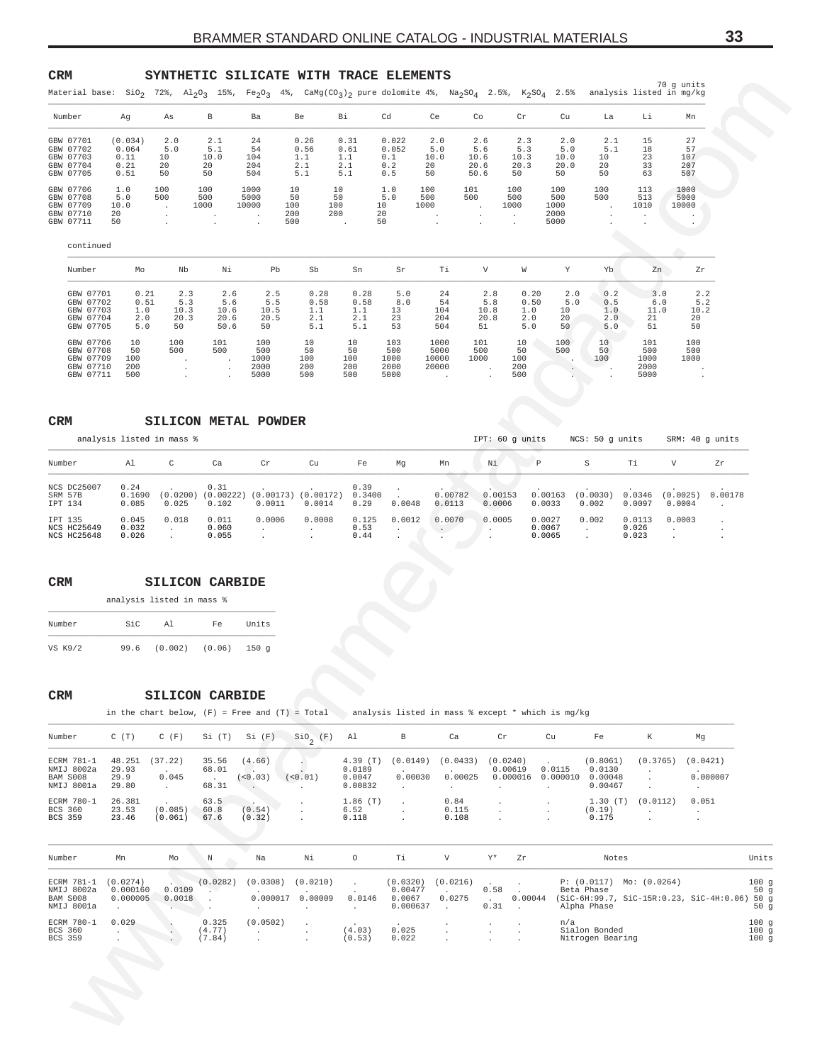# <span id="page-32-0"></span>**CRM SYNTHETIC SILICATE WITH TRACE ELEMENTS**

| Cd<br>Li<br>Number<br>В<br>Ba<br>Be<br>Вi<br>Ce<br>Co<br>Cr<br>Cu<br>La<br>Mn<br>Ag<br>As<br>24<br>0.26<br>0.022<br>2.6<br>15<br>27<br>GBW 07701<br>(0.034)<br>2.0<br>2.1<br>0.31<br>2.0<br>2.3<br>2.0<br>2.1<br>0.064<br>54<br>0.052<br>57<br>GBW 07702<br>5.0<br>5.1<br>0.56<br>0.61<br>5.0<br>5.6<br>5.3<br>5.0<br>5.1<br>18<br>GBW 07703<br>10.0<br>1.1<br>10.0<br>23<br>0.11<br>104<br>1.1<br>0.1<br>10.6<br>10.3<br>10.0<br>10<br>107<br>10<br>GBW 07704<br>33<br>207<br>0.21<br>20<br>204<br>2.1<br>2.1<br>0.2<br>20<br>20.6<br>20.3<br>20.0<br>20<br>20<br>50.6<br>63<br>507<br>GBW 07705<br>0.51<br>50<br>504<br>5.1<br>0.5<br>50<br>50<br>50<br>5.1<br>50<br>50<br>100<br>100<br>1000<br>101<br>100<br>100<br>113<br>1000<br>GBW 07706<br>1.0<br>10<br>10<br>1.0<br>100<br>100<br>5000<br>50<br>500<br>500<br>GBW 07708<br>5.0<br>500<br>500<br>50<br>5.0<br>500<br>500<br>500<br>513<br>5000<br>GBW 07709<br>1010<br>10000<br>10.0<br>1000<br>10000<br>100<br>100<br>10<br>1000<br>1000<br>1000<br>$\cdot$<br>$\blacksquare$<br>GBW 07710<br>20<br>200<br>200<br>20<br>2000<br>$\cdot$<br>$\cdot$<br>GBW 07711<br>50<br>500<br>50<br>5000<br>continued<br>V<br>Number<br>Nb<br>Νi<br>Pb<br>Sb<br>Sn<br>Тi<br>W<br>Y<br>Yb<br>Zn<br>Ζr<br>Mo<br>Sr<br>GBW 07701<br>0.21<br>0.28<br>0.28<br>5.0<br>0.20<br>2.0<br>0.2<br>3.0<br>2.2<br>2.3<br>2.6<br>2.5<br>24<br>2.8<br>GBW 07702<br>0.51<br>5.3<br>5.5<br>0.58<br>0.58<br>8.0<br>54<br>5.8<br>0.50<br>5.2<br>5.6<br>5.0<br>0.5<br>6.0<br>GBW 07703<br>1.0<br>10.3<br>10.5<br>1.1<br>1.1<br>104<br>10.8<br>1.0<br>10.2<br>10.6<br>13<br>10<br>1.0<br>11.0<br>GBW 07704<br>20.3<br>20.6<br>20.5<br>2.1<br>2.1<br>23<br>204<br>20.8<br>2.0<br>20<br>21<br>20<br>2.0<br>2.0<br>GBW 07705<br>50.6<br>50<br>5.1<br>5.1<br>53<br>504<br>51<br>51<br>50<br>5.0<br>50<br>5.0<br>50<br>5.0<br>10<br>101<br>100<br>101<br>100<br>10<br>103<br>1000<br>101<br>10<br>100<br>100<br>GBW 07706<br>10<br>10<br>500<br>500<br>5000<br>500<br>500<br>500<br>GBW 07708<br>50<br>500<br>500<br>50<br>50<br>50<br>500<br>50<br>1000<br>10000<br>1000<br>1000<br>1000<br>GBW 07709<br>100<br>100<br>100<br>1000<br>100<br>100<br>2000<br>20000<br>2000<br>GBW 07710<br>200<br>200<br>200<br>2000<br>200<br>5000<br>500<br>500<br>5000<br>GBW 07711<br>500<br>500<br>5000<br>CRM<br>SILICON METAL POWDER<br>IPT: 60 g units<br>analysis listed in mass %<br>NCS: 50 g units<br>SRM: 40 g units<br>$\mathtt{C}$<br>Тi<br>V<br>Number<br>Al<br>Ca<br>Cr<br>Cu<br>Fe<br>Νi<br>$\mathbb{P}$<br>S<br>Zr<br>Mg<br>Mn<br>NCS DC25007<br>0.31<br>0.24<br>0.39<br>$(0.0200)$ $(0.00222)$ $(0.00173)$ $(0.00172)$<br>0.00178<br>0.3400<br>0.00782<br>0.00153<br>0.00163<br>(0.0030)<br>0.0346<br>(0.0025)<br>SRM 57B<br>0.1690<br>0.085<br>0.0048<br>0.0033<br>IPT 134<br>0.025<br>0.102<br>0.0011<br>0.0014<br>0.29<br>0.0113<br>0.0006<br>0.002<br>0.0097<br>0.0004<br>$\ddot{\phantom{a}}$<br>0.018<br>0.0006<br>0.0012<br>0.0003<br>0.045<br>0.011<br>0.0008<br>0.125<br>0.0070<br>0.0005<br>0.0027<br>0.002<br>0.0113<br>IPT 135<br>$\cdot$<br>NCS HC25649<br>0.060<br>0.53<br>0.0067<br>0.026<br>0.032<br>$\cdot$<br>$\cdot$<br>$\sim$ $\sim$<br>$\cdot$<br>$\cdot$<br>$\cdot$<br>0.0065<br>NCS HC25648<br>0.055<br>0.44<br>0.026<br>0.023<br>$\ddot{\phantom{a}}$<br>$\mathtt{CRM}$<br><b>SILICON CARBIDE</b><br>analysis listed in mass %<br>Number<br>SiC<br>Al<br>Fe<br>Units<br>VS K9/2<br>99.6<br>(0.002)<br>150 <sub>g</sub><br>(0.06)<br>CRM<br><b>SILICON CARBIDE</b><br>in the chart below, $(F)$ = Free and $(T)$ = Total analysis listed in mass % except * which is mg/kg<br>$SIO_{2} (F)$ Al<br>Ca<br>Number<br>C(T)<br>$C$ $(F)$<br>$Si(T)$ $Si(F)$<br>В<br>Cr<br>Cu<br>Fe<br>K<br>Mg<br>(0.0149)<br>(0.0433)<br>(0.0421)<br>ECRM 781-1<br>48.251<br>(37.22)<br>35.56<br>(4.66)<br>$4.39$ (T)<br>(0.0240)<br>(0.8061)<br>(0.3765)<br>0.0115<br>0.0130<br>NMIJ 8002a<br>68.01<br>0.0189<br>0.00619<br>29.93<br>$\sim$<br>$\sim$<br>0.045<br>0.00030<br>0.00025<br>0.000007<br>(<0.03)<br>(<0.01)<br>$0.000016$ 0.000010 0.00048<br>BAM S008<br>29.9<br>0.0047<br><b>Contractor</b><br>NMIJ 8001a<br>29.80<br>0.00467<br>$\sim 10^{-11}$<br>68.31<br><b>Carl Co</b><br>0.00832<br><b>Allen</b><br>$\sim$<br>$\sim$<br>$\sim$<br>$\sim$<br>$\sim$ $-$<br>ECRM 780-1<br>26.381<br>0.051<br>63.5<br>$1.86$ (T)<br>0.84<br>1.30(T)<br>(0.0112)<br>$\cdot$<br>$\cdot$<br>$\cdot$<br>(0.085)<br>(0.54)<br>BCS 360<br>23.53<br>60.8<br>6.52<br>0.115<br>(0.19)<br>$\sim$<br>$\cdot$<br>$\cdot$<br>$\cdot$<br>$\ddot{\phantom{1}}$<br>BCS 359<br>23.46<br>67.6<br>(0.32)<br>0.118<br>0.108<br>0.175<br>(0.061)<br>$\circ$<br>Y*<br>Number<br>Mo<br>Ν<br>Νi<br>Тi<br>V<br>Zr<br>Units<br>Mn<br>Na<br>Notes<br>$P: (0.0117)$ Mo: $(0.0264)$<br>100g<br>ECRM 781-1<br>(0.0274)<br>(0.0282)<br>(0.0308)<br>(0.0210)<br>(0.0320)<br>(0.0216)<br>$\sim$<br>$\sim$<br>0.0109<br>NMIJ 8002a<br>0.000160<br>0.00477<br>0.58<br>Beta Phase<br>50g<br>$\sim$<br><b>Contract Contract</b><br>(SiC-6H:99.7, SiC-15R:0.23, SiC-4H:0.06) 50 g<br>0.000017<br>0.00009<br>0.0146<br>0.0275<br>0.00044<br>BAM SOO8<br>0.000005<br>0.0018<br>0.0067<br><b>Contract</b><br>0.000637<br>NMIJ 8001a<br>0.31<br><b>Contract</b><br>Alpha Phase<br>50 g<br>$\sim$<br>$\cdot$<br>$\sim$<br>$\sim$ 100 $\mu$<br>$\cdot$<br>$\cdot$<br>ECRM 780-1<br>0.325<br>(0.0502)<br>100g<br>0.029<br>n/a<br>$\cdot$<br>$\cdot$<br>$\cdot$<br>$\cdot$<br>$\cdot$<br>(4.03)<br>0.025<br>100g<br>BCS 360<br>(4.77)<br>Sialon Bonded<br><b>Contract</b><br>$\cdot$<br>$\cdot$<br>$\cdot$<br>$\cdot$<br>$\cdot$<br>BCS 359<br>(7.84)<br>(0.53)<br>0.022<br>100 <sub>g</sub><br>Nitrogen Bearing<br>$\mathcal{L}_{\mathcal{A}}$<br>$\sim$<br>$\sim$<br>$\ddot{\phantom{a}}$ |  |  |  |  |  | Material base: SiO <sub>2</sub> 72%, Al <sub>2</sub> O <sub>3</sub> 15%, Fe <sub>2</sub> O <sub>3</sub> 4%, CaMg(CO <sub>3</sub> ) <sub>2</sub> pure dolomite 4%, Na <sub>2</sub> SO <sub>4</sub> 2.5%, K <sub>2</sub> SO <sub>4</sub> 2.5% analysis listed in mg/kg | 70 g units |  |
|-----------------------------------------------------------------------------------------------------------------------------------------------------------------------------------------------------------------------------------------------------------------------------------------------------------------------------------------------------------------------------------------------------------------------------------------------------------------------------------------------------------------------------------------------------------------------------------------------------------------------------------------------------------------------------------------------------------------------------------------------------------------------------------------------------------------------------------------------------------------------------------------------------------------------------------------------------------------------------------------------------------------------------------------------------------------------------------------------------------------------------------------------------------------------------------------------------------------------------------------------------------------------------------------------------------------------------------------------------------------------------------------------------------------------------------------------------------------------------------------------------------------------------------------------------------------------------------------------------------------------------------------------------------------------------------------------------------------------------------------------------------------------------------------------------------------------------------------------------------------------------------------------------------------------------------------------------------------------------------------------------------------------------------------------------------------------------------------------------------------------------------------------------------------------------------------------------------------------------------------------------------------------------------------------------------------------------------------------------------------------------------------------------------------------------------------------------------------------------------------------------------------------------------------------------------------------------------------------------------------------------------------------------------------------------------------------------------------------------------------------------------------------------------------------------------------------------------------------------------------------------------------------------------------------------------------------------------------------------------------------------------------------------------------------------------------------------------------------------------------------------------------------------------------------------------------------------------------------------------------------------------------------------------------------------------------------------------------------------------------------------------------------------------------------------------------------------------------------------------------------------------------------------------------------------------------------------------------------------------------------------------------------------------------------------------------------------------------------------------------------------------------------------------------------------------------------------------------------------------------------------------------------------------------------------------------------------------------------------------------------------------------------------------------------------------------------------------------------------------------------------------------------------------------------------------------------------------------------------------------------------------------------------------------------------------------------------------------------------------------------------------------------------------------------------------------------------------------------------------------------------------------------------------------------------------------------------------------------------------------------------------------------------------------------------------------------------------------------------------------------------------------------------------------------------------------------------------------------------------------------------------------------------------------------------------------------------------------------------------------------------------------------------------------------------------------------------------------------------------------------------------------------------------------------------------------------------------------------------------------------------------------------------------------------------------------------------------------------------------------------------------------------------------------------------------------------------------------------------------------------------------------------------------------------------------------------------------------------------------------------------------------------------------------------------------------------------------------------------------------------------------------------|--|--|--|--|--|----------------------------------------------------------------------------------------------------------------------------------------------------------------------------------------------------------------------------------------------------------------------|------------|--|
|                                                                                                                                                                                                                                                                                                                                                                                                                                                                                                                                                                                                                                                                                                                                                                                                                                                                                                                                                                                                                                                                                                                                                                                                                                                                                                                                                                                                                                                                                                                                                                                                                                                                                                                                                                                                                                                                                                                                                                                                                                                                                                                                                                                                                                                                                                                                                                                                                                                                                                                                                                                                                                                                                                                                                                                                                                                                                                                                                                                                                                                                                                                                                                                                                                                                                                                                                                                                                                                                                                                                                                                                                                                                                                                                                                                                                                                                                                                                                                                                                                                                                                                                                                                                                                                                                                                                                                                                                                                                                                                                                                                                                                                                                                                                                                                                                                                                                                                                                                                                                                                                                                                                                                                                                                                                                                                                                                                                                                                                                                                                                                                                                                                                                                                                                                       |  |  |  |  |  |                                                                                                                                                                                                                                                                      |            |  |
|                                                                                                                                                                                                                                                                                                                                                                                                                                                                                                                                                                                                                                                                                                                                                                                                                                                                                                                                                                                                                                                                                                                                                                                                                                                                                                                                                                                                                                                                                                                                                                                                                                                                                                                                                                                                                                                                                                                                                                                                                                                                                                                                                                                                                                                                                                                                                                                                                                                                                                                                                                                                                                                                                                                                                                                                                                                                                                                                                                                                                                                                                                                                                                                                                                                                                                                                                                                                                                                                                                                                                                                                                                                                                                                                                                                                                                                                                                                                                                                                                                                                                                                                                                                                                                                                                                                                                                                                                                                                                                                                                                                                                                                                                                                                                                                                                                                                                                                                                                                                                                                                                                                                                                                                                                                                                                                                                                                                                                                                                                                                                                                                                                                                                                                                                                       |  |  |  |  |  |                                                                                                                                                                                                                                                                      |            |  |
|                                                                                                                                                                                                                                                                                                                                                                                                                                                                                                                                                                                                                                                                                                                                                                                                                                                                                                                                                                                                                                                                                                                                                                                                                                                                                                                                                                                                                                                                                                                                                                                                                                                                                                                                                                                                                                                                                                                                                                                                                                                                                                                                                                                                                                                                                                                                                                                                                                                                                                                                                                                                                                                                                                                                                                                                                                                                                                                                                                                                                                                                                                                                                                                                                                                                                                                                                                                                                                                                                                                                                                                                                                                                                                                                                                                                                                                                                                                                                                                                                                                                                                                                                                                                                                                                                                                                                                                                                                                                                                                                                                                                                                                                                                                                                                                                                                                                                                                                                                                                                                                                                                                                                                                                                                                                                                                                                                                                                                                                                                                                                                                                                                                                                                                                                                       |  |  |  |  |  |                                                                                                                                                                                                                                                                      |            |  |
|                                                                                                                                                                                                                                                                                                                                                                                                                                                                                                                                                                                                                                                                                                                                                                                                                                                                                                                                                                                                                                                                                                                                                                                                                                                                                                                                                                                                                                                                                                                                                                                                                                                                                                                                                                                                                                                                                                                                                                                                                                                                                                                                                                                                                                                                                                                                                                                                                                                                                                                                                                                                                                                                                                                                                                                                                                                                                                                                                                                                                                                                                                                                                                                                                                                                                                                                                                                                                                                                                                                                                                                                                                                                                                                                                                                                                                                                                                                                                                                                                                                                                                                                                                                                                                                                                                                                                                                                                                                                                                                                                                                                                                                                                                                                                                                                                                                                                                                                                                                                                                                                                                                                                                                                                                                                                                                                                                                                                                                                                                                                                                                                                                                                                                                                                                       |  |  |  |  |  |                                                                                                                                                                                                                                                                      |            |  |
|                                                                                                                                                                                                                                                                                                                                                                                                                                                                                                                                                                                                                                                                                                                                                                                                                                                                                                                                                                                                                                                                                                                                                                                                                                                                                                                                                                                                                                                                                                                                                                                                                                                                                                                                                                                                                                                                                                                                                                                                                                                                                                                                                                                                                                                                                                                                                                                                                                                                                                                                                                                                                                                                                                                                                                                                                                                                                                                                                                                                                                                                                                                                                                                                                                                                                                                                                                                                                                                                                                                                                                                                                                                                                                                                                                                                                                                                                                                                                                                                                                                                                                                                                                                                                                                                                                                                                                                                                                                                                                                                                                                                                                                                                                                                                                                                                                                                                                                                                                                                                                                                                                                                                                                                                                                                                                                                                                                                                                                                                                                                                                                                                                                                                                                                                                       |  |  |  |  |  |                                                                                                                                                                                                                                                                      |            |  |
|                                                                                                                                                                                                                                                                                                                                                                                                                                                                                                                                                                                                                                                                                                                                                                                                                                                                                                                                                                                                                                                                                                                                                                                                                                                                                                                                                                                                                                                                                                                                                                                                                                                                                                                                                                                                                                                                                                                                                                                                                                                                                                                                                                                                                                                                                                                                                                                                                                                                                                                                                                                                                                                                                                                                                                                                                                                                                                                                                                                                                                                                                                                                                                                                                                                                                                                                                                                                                                                                                                                                                                                                                                                                                                                                                                                                                                                                                                                                                                                                                                                                                                                                                                                                                                                                                                                                                                                                                                                                                                                                                                                                                                                                                                                                                                                                                                                                                                                                                                                                                                                                                                                                                                                                                                                                                                                                                                                                                                                                                                                                                                                                                                                                                                                                                                       |  |  |  |  |  |                                                                                                                                                                                                                                                                      |            |  |
|                                                                                                                                                                                                                                                                                                                                                                                                                                                                                                                                                                                                                                                                                                                                                                                                                                                                                                                                                                                                                                                                                                                                                                                                                                                                                                                                                                                                                                                                                                                                                                                                                                                                                                                                                                                                                                                                                                                                                                                                                                                                                                                                                                                                                                                                                                                                                                                                                                                                                                                                                                                                                                                                                                                                                                                                                                                                                                                                                                                                                                                                                                                                                                                                                                                                                                                                                                                                                                                                                                                                                                                                                                                                                                                                                                                                                                                                                                                                                                                                                                                                                                                                                                                                                                                                                                                                                                                                                                                                                                                                                                                                                                                                                                                                                                                                                                                                                                                                                                                                                                                                                                                                                                                                                                                                                                                                                                                                                                                                                                                                                                                                                                                                                                                                                                       |  |  |  |  |  |                                                                                                                                                                                                                                                                      |            |  |
|                                                                                                                                                                                                                                                                                                                                                                                                                                                                                                                                                                                                                                                                                                                                                                                                                                                                                                                                                                                                                                                                                                                                                                                                                                                                                                                                                                                                                                                                                                                                                                                                                                                                                                                                                                                                                                                                                                                                                                                                                                                                                                                                                                                                                                                                                                                                                                                                                                                                                                                                                                                                                                                                                                                                                                                                                                                                                                                                                                                                                                                                                                                                                                                                                                                                                                                                                                                                                                                                                                                                                                                                                                                                                                                                                                                                                                                                                                                                                                                                                                                                                                                                                                                                                                                                                                                                                                                                                                                                                                                                                                                                                                                                                                                                                                                                                                                                                                                                                                                                                                                                                                                                                                                                                                                                                                                                                                                                                                                                                                                                                                                                                                                                                                                                                                       |  |  |  |  |  |                                                                                                                                                                                                                                                                      |            |  |
|                                                                                                                                                                                                                                                                                                                                                                                                                                                                                                                                                                                                                                                                                                                                                                                                                                                                                                                                                                                                                                                                                                                                                                                                                                                                                                                                                                                                                                                                                                                                                                                                                                                                                                                                                                                                                                                                                                                                                                                                                                                                                                                                                                                                                                                                                                                                                                                                                                                                                                                                                                                                                                                                                                                                                                                                                                                                                                                                                                                                                                                                                                                                                                                                                                                                                                                                                                                                                                                                                                                                                                                                                                                                                                                                                                                                                                                                                                                                                                                                                                                                                                                                                                                                                                                                                                                                                                                                                                                                                                                                                                                                                                                                                                                                                                                                                                                                                                                                                                                                                                                                                                                                                                                                                                                                                                                                                                                                                                                                                                                                                                                                                                                                                                                                                                       |  |  |  |  |  |                                                                                                                                                                                                                                                                      |            |  |
|                                                                                                                                                                                                                                                                                                                                                                                                                                                                                                                                                                                                                                                                                                                                                                                                                                                                                                                                                                                                                                                                                                                                                                                                                                                                                                                                                                                                                                                                                                                                                                                                                                                                                                                                                                                                                                                                                                                                                                                                                                                                                                                                                                                                                                                                                                                                                                                                                                                                                                                                                                                                                                                                                                                                                                                                                                                                                                                                                                                                                                                                                                                                                                                                                                                                                                                                                                                                                                                                                                                                                                                                                                                                                                                                                                                                                                                                                                                                                                                                                                                                                                                                                                                                                                                                                                                                                                                                                                                                                                                                                                                                                                                                                                                                                                                                                                                                                                                                                                                                                                                                                                                                                                                                                                                                                                                                                                                                                                                                                                                                                                                                                                                                                                                                                                       |  |  |  |  |  |                                                                                                                                                                                                                                                                      |            |  |
|                                                                                                                                                                                                                                                                                                                                                                                                                                                                                                                                                                                                                                                                                                                                                                                                                                                                                                                                                                                                                                                                                                                                                                                                                                                                                                                                                                                                                                                                                                                                                                                                                                                                                                                                                                                                                                                                                                                                                                                                                                                                                                                                                                                                                                                                                                                                                                                                                                                                                                                                                                                                                                                                                                                                                                                                                                                                                                                                                                                                                                                                                                                                                                                                                                                                                                                                                                                                                                                                                                                                                                                                                                                                                                                                                                                                                                                                                                                                                                                                                                                                                                                                                                                                                                                                                                                                                                                                                                                                                                                                                                                                                                                                                                                                                                                                                                                                                                                                                                                                                                                                                                                                                                                                                                                                                                                                                                                                                                                                                                                                                                                                                                                                                                                                                                       |  |  |  |  |  |                                                                                                                                                                                                                                                                      |            |  |
|                                                                                                                                                                                                                                                                                                                                                                                                                                                                                                                                                                                                                                                                                                                                                                                                                                                                                                                                                                                                                                                                                                                                                                                                                                                                                                                                                                                                                                                                                                                                                                                                                                                                                                                                                                                                                                                                                                                                                                                                                                                                                                                                                                                                                                                                                                                                                                                                                                                                                                                                                                                                                                                                                                                                                                                                                                                                                                                                                                                                                                                                                                                                                                                                                                                                                                                                                                                                                                                                                                                                                                                                                                                                                                                                                                                                                                                                                                                                                                                                                                                                                                                                                                                                                                                                                                                                                                                                                                                                                                                                                                                                                                                                                                                                                                                                                                                                                                                                                                                                                                                                                                                                                                                                                                                                                                                                                                                                                                                                                                                                                                                                                                                                                                                                                                       |  |  |  |  |  |                                                                                                                                                                                                                                                                      |            |  |
|                                                                                                                                                                                                                                                                                                                                                                                                                                                                                                                                                                                                                                                                                                                                                                                                                                                                                                                                                                                                                                                                                                                                                                                                                                                                                                                                                                                                                                                                                                                                                                                                                                                                                                                                                                                                                                                                                                                                                                                                                                                                                                                                                                                                                                                                                                                                                                                                                                                                                                                                                                                                                                                                                                                                                                                                                                                                                                                                                                                                                                                                                                                                                                                                                                                                                                                                                                                                                                                                                                                                                                                                                                                                                                                                                                                                                                                                                                                                                                                                                                                                                                                                                                                                                                                                                                                                                                                                                                                                                                                                                                                                                                                                                                                                                                                                                                                                                                                                                                                                                                                                                                                                                                                                                                                                                                                                                                                                                                                                                                                                                                                                                                                                                                                                                                       |  |  |  |  |  |                                                                                                                                                                                                                                                                      |            |  |
|                                                                                                                                                                                                                                                                                                                                                                                                                                                                                                                                                                                                                                                                                                                                                                                                                                                                                                                                                                                                                                                                                                                                                                                                                                                                                                                                                                                                                                                                                                                                                                                                                                                                                                                                                                                                                                                                                                                                                                                                                                                                                                                                                                                                                                                                                                                                                                                                                                                                                                                                                                                                                                                                                                                                                                                                                                                                                                                                                                                                                                                                                                                                                                                                                                                                                                                                                                                                                                                                                                                                                                                                                                                                                                                                                                                                                                                                                                                                                                                                                                                                                                                                                                                                                                                                                                                                                                                                                                                                                                                                                                                                                                                                                                                                                                                                                                                                                                                                                                                                                                                                                                                                                                                                                                                                                                                                                                                                                                                                                                                                                                                                                                                                                                                                                                       |  |  |  |  |  |                                                                                                                                                                                                                                                                      |            |  |
|                                                                                                                                                                                                                                                                                                                                                                                                                                                                                                                                                                                                                                                                                                                                                                                                                                                                                                                                                                                                                                                                                                                                                                                                                                                                                                                                                                                                                                                                                                                                                                                                                                                                                                                                                                                                                                                                                                                                                                                                                                                                                                                                                                                                                                                                                                                                                                                                                                                                                                                                                                                                                                                                                                                                                                                                                                                                                                                                                                                                                                                                                                                                                                                                                                                                                                                                                                                                                                                                                                                                                                                                                                                                                                                                                                                                                                                                                                                                                                                                                                                                                                                                                                                                                                                                                                                                                                                                                                                                                                                                                                                                                                                                                                                                                                                                                                                                                                                                                                                                                                                                                                                                                                                                                                                                                                                                                                                                                                                                                                                                                                                                                                                                                                                                                                       |  |  |  |  |  |                                                                                                                                                                                                                                                                      |            |  |
|                                                                                                                                                                                                                                                                                                                                                                                                                                                                                                                                                                                                                                                                                                                                                                                                                                                                                                                                                                                                                                                                                                                                                                                                                                                                                                                                                                                                                                                                                                                                                                                                                                                                                                                                                                                                                                                                                                                                                                                                                                                                                                                                                                                                                                                                                                                                                                                                                                                                                                                                                                                                                                                                                                                                                                                                                                                                                                                                                                                                                                                                                                                                                                                                                                                                                                                                                                                                                                                                                                                                                                                                                                                                                                                                                                                                                                                                                                                                                                                                                                                                                                                                                                                                                                                                                                                                                                                                                                                                                                                                                                                                                                                                                                                                                                                                                                                                                                                                                                                                                                                                                                                                                                                                                                                                                                                                                                                                                                                                                                                                                                                                                                                                                                                                                                       |  |  |  |  |  |                                                                                                                                                                                                                                                                      |            |  |
|                                                                                                                                                                                                                                                                                                                                                                                                                                                                                                                                                                                                                                                                                                                                                                                                                                                                                                                                                                                                                                                                                                                                                                                                                                                                                                                                                                                                                                                                                                                                                                                                                                                                                                                                                                                                                                                                                                                                                                                                                                                                                                                                                                                                                                                                                                                                                                                                                                                                                                                                                                                                                                                                                                                                                                                                                                                                                                                                                                                                                                                                                                                                                                                                                                                                                                                                                                                                                                                                                                                                                                                                                                                                                                                                                                                                                                                                                                                                                                                                                                                                                                                                                                                                                                                                                                                                                                                                                                                                                                                                                                                                                                                                                                                                                                                                                                                                                                                                                                                                                                                                                                                                                                                                                                                                                                                                                                                                                                                                                                                                                                                                                                                                                                                                                                       |  |  |  |  |  |                                                                                                                                                                                                                                                                      |            |  |
|                                                                                                                                                                                                                                                                                                                                                                                                                                                                                                                                                                                                                                                                                                                                                                                                                                                                                                                                                                                                                                                                                                                                                                                                                                                                                                                                                                                                                                                                                                                                                                                                                                                                                                                                                                                                                                                                                                                                                                                                                                                                                                                                                                                                                                                                                                                                                                                                                                                                                                                                                                                                                                                                                                                                                                                                                                                                                                                                                                                                                                                                                                                                                                                                                                                                                                                                                                                                                                                                                                                                                                                                                                                                                                                                                                                                                                                                                                                                                                                                                                                                                                                                                                                                                                                                                                                                                                                                                                                                                                                                                                                                                                                                                                                                                                                                                                                                                                                                                                                                                                                                                                                                                                                                                                                                                                                                                                                                                                                                                                                                                                                                                                                                                                                                                                       |  |  |  |  |  |                                                                                                                                                                                                                                                                      |            |  |
|                                                                                                                                                                                                                                                                                                                                                                                                                                                                                                                                                                                                                                                                                                                                                                                                                                                                                                                                                                                                                                                                                                                                                                                                                                                                                                                                                                                                                                                                                                                                                                                                                                                                                                                                                                                                                                                                                                                                                                                                                                                                                                                                                                                                                                                                                                                                                                                                                                                                                                                                                                                                                                                                                                                                                                                                                                                                                                                                                                                                                                                                                                                                                                                                                                                                                                                                                                                                                                                                                                                                                                                                                                                                                                                                                                                                                                                                                                                                                                                                                                                                                                                                                                                                                                                                                                                                                                                                                                                                                                                                                                                                                                                                                                                                                                                                                                                                                                                                                                                                                                                                                                                                                                                                                                                                                                                                                                                                                                                                                                                                                                                                                                                                                                                                                                       |  |  |  |  |  |                                                                                                                                                                                                                                                                      |            |  |
|                                                                                                                                                                                                                                                                                                                                                                                                                                                                                                                                                                                                                                                                                                                                                                                                                                                                                                                                                                                                                                                                                                                                                                                                                                                                                                                                                                                                                                                                                                                                                                                                                                                                                                                                                                                                                                                                                                                                                                                                                                                                                                                                                                                                                                                                                                                                                                                                                                                                                                                                                                                                                                                                                                                                                                                                                                                                                                                                                                                                                                                                                                                                                                                                                                                                                                                                                                                                                                                                                                                                                                                                                                                                                                                                                                                                                                                                                                                                                                                                                                                                                                                                                                                                                                                                                                                                                                                                                                                                                                                                                                                                                                                                                                                                                                                                                                                                                                                                                                                                                                                                                                                                                                                                                                                                                                                                                                                                                                                                                                                                                                                                                                                                                                                                                                       |  |  |  |  |  |                                                                                                                                                                                                                                                                      |            |  |
|                                                                                                                                                                                                                                                                                                                                                                                                                                                                                                                                                                                                                                                                                                                                                                                                                                                                                                                                                                                                                                                                                                                                                                                                                                                                                                                                                                                                                                                                                                                                                                                                                                                                                                                                                                                                                                                                                                                                                                                                                                                                                                                                                                                                                                                                                                                                                                                                                                                                                                                                                                                                                                                                                                                                                                                                                                                                                                                                                                                                                                                                                                                                                                                                                                                                                                                                                                                                                                                                                                                                                                                                                                                                                                                                                                                                                                                                                                                                                                                                                                                                                                                                                                                                                                                                                                                                                                                                                                                                                                                                                                                                                                                                                                                                                                                                                                                                                                                                                                                                                                                                                                                                                                                                                                                                                                                                                                                                                                                                                                                                                                                                                                                                                                                                                                       |  |  |  |  |  |                                                                                                                                                                                                                                                                      |            |  |

# **CRM SILICON METAL POWDER**

| analysis listed in mass % |  |  |  |  |  |  |
|---------------------------|--|--|--|--|--|--|
|---------------------------|--|--|--|--|--|--|

| Number                                | Al                      | $\mathbb{C}$      | Ca                         | Cr     | Cu                                       | Fe                    | Mq     | Mn                | Νi                | P                          | S                 | Тi                       | V                  | Zr      |
|---------------------------------------|-------------------------|-------------------|----------------------------|--------|------------------------------------------|-----------------------|--------|-------------------|-------------------|----------------------------|-------------------|--------------------------|--------------------|---------|
| NCS DC25007<br>SRM 57B<br>IPT 134     | 0.24<br>0.1690<br>0.085 | (0.0200)<br>0.025 | 0.31<br>(0.00222)<br>0.102 | 0.0011 | $(0.00173)$ $(0.00172)$ 0.3400<br>0.0014 | 0.39<br>0.29          | 0.0048 | 0.00782<br>0.0113 | 0.00153<br>0.0006 | 0.00163<br>0.0033          | (0.0030)<br>0.002 | 0.0346<br>0.0097         | (0.0025)<br>0.0004 | 0.00178 |
| IPT 135<br>NCS HC25649<br>NCS HC25648 | 0.045<br>0.032<br>0.026 | 0.018             | 0.011<br>0.060<br>0.055    | 0.0006 | 0.0008<br>$\cdot$                        | 0.125<br>0.53<br>0.44 | 0.0012 | 0.0070<br>$\sim$  | 0.0005            | 0.0027<br>0.0067<br>0.0065 | 0.002             | 0.0113<br>0.026<br>0.023 | 0.0003             |         |

# **CRM SILICON CARBIDE**

|         |      | analysis listed in mass % |    |       |
|---------|------|---------------------------|----|-------|
| Number  | SiC  | A 1                       | Fe | Units |
| VS K9/2 | 99.6 | $(0.002)$ $(0.06)$        |    | 150   |

# **CRM SILICON CARBIDE**

| Number                                             | C(T)                                        | $C$ $(F)$                            | Si(T)                             | $Si$ $(F)$                        | $SiO_2(F)$                         | Al                                     | B                                         | Ca                                                                 | $\operatorname{Cr}$ |                                 | Cu                 | Fe                                       | К                                   | Mq                                            |                                  |
|----------------------------------------------------|---------------------------------------------|--------------------------------------|-----------------------------------|-----------------------------------|------------------------------------|----------------------------------------|-------------------------------------------|--------------------------------------------------------------------|---------------------|---------------------------------|--------------------|------------------------------------------|-------------------------------------|-----------------------------------------------|----------------------------------|
| ECRM 781-1<br>NMIJ 8002a<br>BAM S008<br>NMIJ 8001a | 48.251<br>29.93<br>29.9<br>29.80            | (37.22)<br>$\sim$<br>0.045<br>$\sim$ | 35.56<br>68.01<br>$\sim$<br>68.31 | (4.66)<br>(<0.03)                 | (<0.01)                            | 4.39(T)<br>0.0189<br>0.0047<br>0.00832 | (0.0149)<br>0.00030                       | (0.0433)<br>0.00025                                                |                     | (0.0240)<br>0.00619<br>0.000016 | 0.0115<br>0.000010 | (0.8061)<br>0.0130<br>0.00048<br>0.00467 | (0.3765)<br>$\cdot$<br>$\mathbf{r}$ | (0.0421)<br>$\cdot$<br>0.000007               |                                  |
| ECRM 780-1<br><b>BCS 360</b><br><b>BCS 359</b>     | 26.381<br>23.53<br>23.46                    | $\sim$<br>(0.085)<br>(0.061)         | 63.5<br>60.8<br>67.6              | $\sim$ $\sim$<br>(0.54)<br>(0.32) | $\overline{\phantom{a}}$<br>$\sim$ | 1.86(T)<br>6.52<br>0.118               | $\sim$<br>$\bullet$<br>$\sim$             | 0.84<br>0.115<br>0.108                                             | $\mathbf{r}$        |                                 |                    | 1.30(T)<br>(0.19)<br>0.175               | (0.0112)<br>$\mathbf{r}$            | 0.051<br>$\ddot{\phantom{0}}$                 |                                  |
| Number                                             | Mn                                          | Mo                                   | N                                 | Na                                | Νi                                 | $\circ$                                | Ti                                        | V                                                                  | Y*                  | Zr                              |                    | Notes                                    |                                     |                                               | Units                            |
| ECRM 781-1<br>NMIJ 8002a<br>BAM S008<br>NMIJ 8001a | (0.0274)<br>0.000160<br>0.000005<br>$\cdot$ | $\sim$<br>0.0109<br>0.0018           | (0.0282)<br>$\sim$                | (0.0308)<br>$\sim$<br>0.000017    | (0.0210)<br>0.00009                | 0.0146                                 | (0.0320)<br>0.00477<br>0.0067<br>0.000637 | (0.0216)<br>$\ddot{\phantom{a}}$<br>0.0275<br>$\ddot{\phantom{0}}$ | 0.58<br>0.31        | $\sim$<br>0.00044<br>$\sim$     |                    | Beta Phase<br>Alpha Phase                | $P: (0.0117)$ Mo: $(0.0264)$        | (SiC-6H:99.7, SiC-15R:0.23, SiC-4H:0.06) 50 g | 100g<br>50g<br>50g               |
| ECRM 780-1<br><b>BCS 360</b><br><b>BCS 359</b>     | 0.029<br>$\sim$<br>$\sim$                   |                                      | 0.325<br>(4.77)<br>(7.84)         | (0.0502)<br>$\sim$                |                                    | (4.03)<br>(0.53)                       | 0.025<br>0.022                            |                                                                    |                     |                                 | n/a                | Sialon Bonded<br>Nitrogen Bearing        |                                     |                                               | 100g<br>100g<br>100 <sub>g</sub> |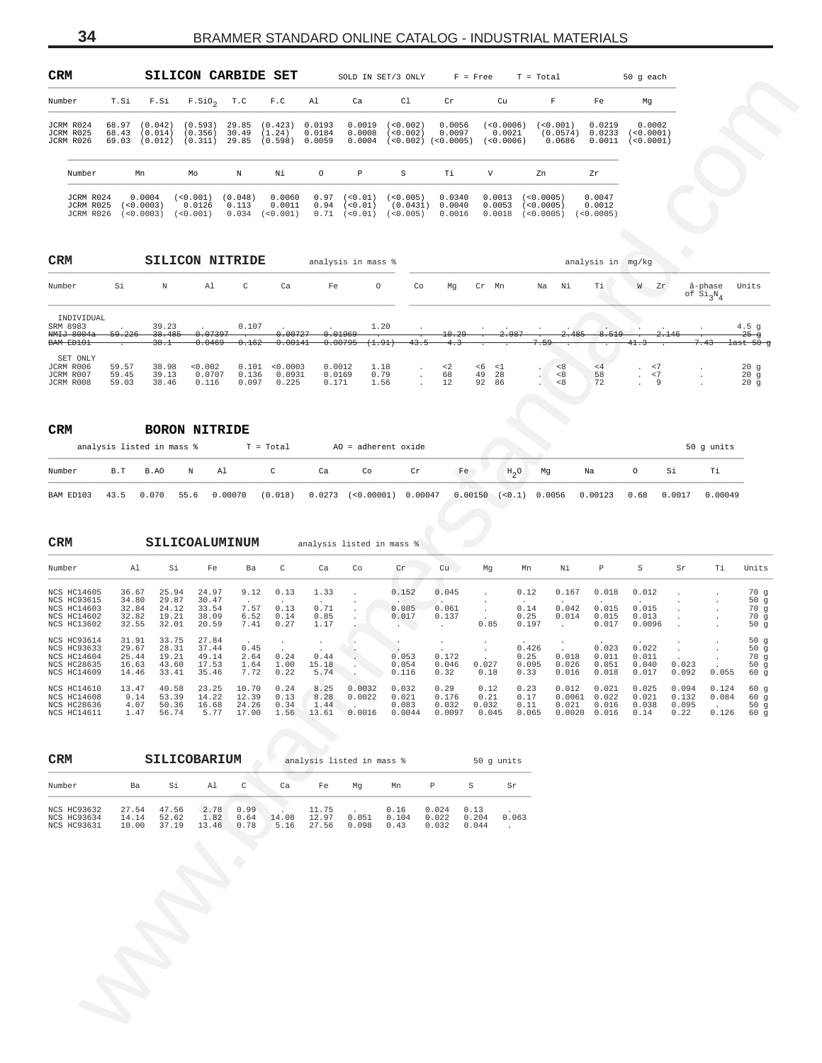<span id="page-33-0"></span>

| <b>CRM</b>                          |                         |                                   | SILICON CARBIDE SET           |                           |                              |                            |                                | SOLD IN SET/3 ONLY                | $F = Free$                    |                                  | $T = Total$                           |                               | $50q$ each                     |
|-------------------------------------|-------------------------|-----------------------------------|-------------------------------|---------------------------|------------------------------|----------------------------|--------------------------------|-----------------------------------|-------------------------------|----------------------------------|---------------------------------------|-------------------------------|--------------------------------|
| Number                              | T.Si                    | F.Si                              | $F.SiO2$ T.C                  |                           | F.C                          | Al                         | Ca                             | C1                                | Cr                            | Cu                               | F                                     | Fe                            | Mq                             |
| JCRM R024<br>JCRM R025<br>JCRM R026 | 68.97<br>68.43<br>69.03 | (0.042)<br>(0.014)<br>(0.012)     | (0.593)<br>(0.356)<br>(0.311) | 29.85<br>30.49<br>29.85   | (0.423)<br>(1.24)<br>(0.598) | 0.0193<br>0.0184<br>0.0059 | 0.0019<br>0.0008<br>0.0004     | (50.002)<br>(<0.002)<br>(50.002)  | 0.0056<br>0.0097<br>(<0.0005) | (<0.0006)<br>0.0021<br>(50.0006) | (0.001)<br>(0.0574)<br>0.0686         | 0.0219<br>0.0233<br>0.0011    | 0.0002<br>< 0.0001<br>< 0.0001 |
| Number                              |                         | Mn                                | Mo                            | N                         | Νi                           | $\circ$                    | P                              | S                                 | Тi                            | V                                | Zn                                    | Zr                            |                                |
| JCRM R024<br>JCRM R025<br>JCRM R026 |                         | 0.0004<br>(< 0.0003)<br>(50.0003) | (0.001)<br>0.0126<br>(0.001)  | (0.048)<br>0.113<br>0.034 | 0.0060<br>0.0011<br>(0.001)  | 0.97<br>0.94<br>0.71       | (0.01)<br>$< 0.01$ )<br>< 0.01 | ( < 0.005)<br>(0.0431)<br>(0.005) | 0.0340<br>0.0040<br>0.0016    | 0.0013<br>0.0053<br>0.0018       | (<0.0005)<br>(<0.0005)<br>( < 0.0005) | 0.0047<br>0.0012<br>(50.0005) |                                |

| <b>CRM</b>                                        |                         |                         | SILICON NITRIDE            |                         |                             | analysis in mass %        |                      |      |                      |                |                      |      |                   | analysis in mg/kg |                           |                   |                                  |                                             |
|---------------------------------------------------|-------------------------|-------------------------|----------------------------|-------------------------|-----------------------------|---------------------------|----------------------|------|----------------------|----------------|----------------------|------|-------------------|-------------------|---------------------------|-------------------|----------------------------------|---------------------------------------------|
| Number                                            | Si                      | N                       | Al                         | C                       | Ca                          | Fe                        | $\circ$              | Co   | Mg                   | Cr             | Mn                   | Na   | Νi                | Ti                | W                         | Zr                | â-phase<br>of Si <sub>3</sub> N, | Units                                       |
| INDIVIDUAL<br>SRM 8983<br>NMIJ 8004a<br>BAM ED101 | 59.226                  | 39.23<br>38.485<br>38.1 | 0.07397<br>0.0469          | 0.107<br>0.162          | 0.00727<br>0.00141          | 0.01969<br>0.00795        | 1.20<br>(1.91)       | 43.5 | 10.29<br>4.3         |                | 2.987                | 7.59 | 2.485             | 8.519             | 41.3                      | 2.146             | 7.43                             | $4.5$ q<br>$25 - 9$<br><del>last 50 q</del> |
| SET ONLY<br>JCRM R006<br>JCRM R007<br>JCRM R008   | 59.57<br>59.45<br>59.03 | 38.98<br>39.13<br>38.46 | < 0.002<br>0.0707<br>0.116 | 0.101<br>0.136<br>0.097 | < 0.0003<br>0.0931<br>0.225 | 0.0012<br>0.0169<br>0.171 | 1.18<br>0.79<br>1.56 |      | $\leq$ 2<br>68<br>12 | <6<br>49<br>92 | $\leq 1$<br>28<br>86 |      | < 8<br>< 8<br>< 8 | < 4<br>58<br>72   | $\cdot$<br>$\overline{a}$ | $\leq$ 7<br>$<$ 7 |                                  | 20g<br>20q<br>20q                           |

| <b>CRM</b> |     |                           |   | <b>BORON NITRIDE</b> |           |    |                             |    |                         |                    |    |         |      |        |            |
|------------|-----|---------------------------|---|----------------------|-----------|----|-----------------------------|----|-------------------------|--------------------|----|---------|------|--------|------------|
|            |     | analysis listed in mass % |   |                      | T = Total |    | $AO = adherent oxide$       |    |                         |                    |    |         |      |        | 50 g units |
| Number     | B.T | B.AO                      | N | Al                   | C         | Ca | Co                          | Cr | Fe.                     | $H_0$ <sup>O</sup> | Mg | Na      |      | Si     | Тi         |
| BAM ED103  |     | 43.5 0.070                |   | 55.6 0.00070         | (0.018)   |    | $0.0273$ (<0.00001) 0.00047 |    | $0.00150$ (<0.1) 0.0056 |                    |    | 0.00123 | 0.68 | 0.0017 | 0.00049    |

| יייייי                                                                  |                                            |                                           | ◡◡┅                                               | عسمعا                            | ⊥عدت                                             |                                  |                                              | SOPD IN SEI\? OMPI                                                      |                                   | r = rree                              | $=$                                                                      | тотат                             |                                                                        | 50 g eacn                                                             |                                 |                                              |                                                      |
|-------------------------------------------------------------------------|--------------------------------------------|-------------------------------------------|---------------------------------------------------|----------------------------------|--------------------------------------------------|----------------------------------|----------------------------------------------|-------------------------------------------------------------------------|-----------------------------------|---------------------------------------|--------------------------------------------------------------------------|-----------------------------------|------------------------------------------------------------------------|-----------------------------------------------------------------------|---------------------------------|----------------------------------------------|------------------------------------------------------|
| Number                                                                  | T.Si                                       | F.Si                                      | $F.SiO2$ T.C                                      |                                  | F.C                                              | Al                               | Ca                                           | Cl                                                                      | Cr                                |                                       | Cu                                                                       | $\mathbf F$                       | Fe                                                                     | Mg                                                                    |                                 |                                              |                                                      |
| JCRM R024<br>JCRM R025<br>JCRM R026                                     | 68.97 (0.042)<br>68.43 (0.014)             |                                           | (0.593)<br>(0.356)<br>69.03 (0.012) (0.311) 29.85 | 30.49                            | 29.85 (0.423) 0.0193<br>(1.24)<br>(0.598) 0.0059 | 0.0184                           | 0.0019<br>0.0008<br>0.0004                   | (<0.002)<br>(< 0.002)<br>$(<0.002)$ $(<0.0005)$ $(<0.0006)$             | 0.0056<br>0.0097                  |                                       | $(<0.0006)$ $(<0.001)$<br>0.0021                                         | (0.0574)<br>0.0686                | 0.0219<br>0.0233                                                       | 0.0002<br>(<0.0001)<br>$0.0011$ (<0.0001)                             |                                 |                                              |                                                      |
| Number                                                                  | Mn                                         |                                           | Mo                                                | N                                | Νi                                               | $\circ$                          | $\, {\bf P}$                                 | S                                                                       | Тi                                | V                                     | Zn                                                                       |                                   | Zr                                                                     |                                                                       |                                 |                                              |                                                      |
| JCRM R024<br>JCRM R025                                                  | (< 0.0003)<br>JCRM R026 (<0.0003) (<0.001) | 0.0004                                    | $(<0.001)$ $(0.048)$<br>0.0126                    | 0.113                            | 0.0060<br>0.0011<br>$0.034$ $(<0.001)$           |                                  | $0.94$ (< $0.01$ )                           | $0.97$ (<0.01) (<0.005)<br>$(0.0431)$ 0.0040<br>$0.71$ (<0.01) (<0.005) | 0.0340<br>0.0016                  |                                       | $0.0013$ (<0.0005)<br>$0.0053$ (<0.0005)<br>$0.0018$ (<0.0005) (<0.0005) |                                   | 0.0047<br>0.0012                                                       |                                                                       |                                 |                                              |                                                      |
| CRM                                                                     |                                            |                                           | <b>SILICON NITRIDE</b>                            |                                  |                                                  |                                  | analysis in mass %                           |                                                                         |                                   |                                       |                                                                          |                                   | analysis in mg/kg                                                      |                                                                       |                                 |                                              |                                                      |
| Number                                                                  | Si                                         | $\,$ N                                    | Al                                                | C                                | Ca                                               | Fe                               | $\circ$                                      | Co                                                                      | Mg                                | Cr Mn                                 |                                                                          | Na Ni                             | Ti                                                                     | W Zr                                                                  |                                 | â-phase<br>of $Si_3N_4$                      | Units                                                |
| INDIVIDUAL<br>SRM 8983<br>NMIJ 8004a<br>BAM ED101                       | 59.226                                     | 39.23<br>38.485<br>38.1                   | 0.07397<br>0.0469                                 | 0.107<br>0.162                   | 0.00727<br>0.00141                               | 0.01969                          | 0.00795<br>(1.91)                            | 1.20<br>43.5                                                            | 10.29<br>4.3                      |                                       |                                                                          | 2.485<br>. 59                     | 8.519                                                                  | 41.3                                                                  | <del>2.146</del>                | 7.43                                         | 4.5 <sub>g</sub><br>$25 - g$<br><del>last 50 g</del> |
| SET ONLY<br>JCRM R006<br>JCRM R007<br>JCRM R008                         | 59.57<br>59.45<br>59.03                    | 38.98<br>39.13<br>38.46                   | < 0.002<br>0.0707<br>0.116                        | 0.136<br>0.097                   | 0.101 < 0.0003<br>0.0931<br>0.225                | 0.0012<br>0.0169<br>0.171        |                                              | 1.18<br>$\cdot$<br>0.79<br>$\sim$<br>1.56<br>$\sim$                     | ${<}\,2$<br>68<br>12              | $< 6$ $< 1$<br>49 28<br>92 86         | $\cdot$                                                                  | $< 8$<br>< 8<br>< 8               | $\leq 4$<br>58<br>72                                                   | $~<$ 7<br>$\sim$<br>$\ensuremath{<} 7$<br>$\sim$<br>9<br>$\mathbf{r}$ |                                 | $\ddot{\phantom{a}}$                         | 20g<br>20g<br>20g                                    |
| CRM                                                                     | analysis listed in mass %                  |                                           | <b>BORON NITRIDE</b>                              | $T = Total$                      |                                                  |                                  |                                              | AO = adherent oxide                                                     |                                   |                                       |                                                                          |                                   |                                                                        |                                                                       |                                 | 50 g units                                   |                                                      |
| Number                                                                  | B.T                                        | B.AO                                      | Ν<br>Al                                           |                                  | C                                                | Ca                               | Co                                           | $\operatorname{\sf Cr}$                                                 |                                   | Fe                                    | $H_2O$                                                                   | Mg                                | Na                                                                     | $\circ$                                                               | Si                              | Тi                                           |                                                      |
| BAM ED103                                                               | 43.5                                       | 0.070                                     | 55.6                                              | 0.00070                          | (0.018)                                          |                                  |                                              | $0.0273$ (<0.00001) 0.00047                                             |                                   |                                       | $0.00150$ $(<0.1$ ) 0.0056                                               |                                   | 0.00123                                                                | 0.68                                                                  | 0.0017                          | 0.00049                                      |                                                      |
| CRM                                                                     |                                            |                                           | SILICOALUMINUM                                    |                                  |                                                  |                                  | analysis listed in mass %                    |                                                                         |                                   |                                       |                                                                          |                                   |                                                                        |                                                                       |                                 |                                              |                                                      |
| Number                                                                  | Al                                         | Si                                        | Fe                                                | Ba                               | $\mathtt{C}$                                     | Ca                               | Co                                           | Cr                                                                      | cu                                | Mg                                    | Mn                                                                       | Νi                                | P                                                                      | S                                                                     | Sr                              | Τi                                           | Units                                                |
| NCS HC14605<br>NCS HC93615<br>NCS HC14603<br>NCS HC14602<br>NCS HC13602 | 36.67<br>34.80<br>32.84<br>32.82<br>32.55  | 25.94<br>29.87<br>24.12<br>19.21<br>32.01 | 24.97<br>30.47<br>33.54<br>38.09<br>20.59         | 9.12<br>7.57<br>6.52<br>7.41     | 0.13<br>0.13<br>0.14<br>0.27                     | 1.33<br>0.71<br>0.85<br>1.17     |                                              | 0.152<br>0.085<br>0.017<br>$\sim$ $\sim$ $\sim$                         | 0.045<br>0.061<br>0.137<br>$\sim$ | $\cdot$<br>$\cdot$<br>0.85            | 0.12<br>$0\,.14$<br>0.25<br>0.197                                        | 0.167<br>0.042<br>0.014<br>$\sim$ | 0.018<br>0.015<br>0.015<br>0.017                                       | 0.012<br>0.015<br>0.013<br>0.0096                                     |                                 |                                              | 70g<br>50g<br>70g<br>70 g<br>50g                     |
| NCS HC93614<br>NCS HC93633<br>NCS HC14604<br>NCS HC28635<br>NCS HC14609 | 31.91<br>29.67<br>25.44<br>16.63<br>14.46  | 33.75<br>28.31<br>19.21<br>43.60<br>33.41 | 27.84<br>37.44<br>49.14<br>17.53<br>35.46         | 0.45<br>2.64<br>1.64<br>7.72     | $\cdot$<br>0.24<br>1.00<br>0.22                  | $\cdot$<br>0.44<br>15.18<br>5.74 |                                              | 0.053<br>0.054<br>0.116                                                 | $\sim$<br>0.172<br>0.046<br>0.32  | 0.027<br>0.18                         | 0.426<br>0.25<br>0.095<br>0.33                                           | 0.018<br>0.026<br>0.016           | 0.023<br>0.011<br>0.051<br>0.018                                       | 0.022<br>0.011<br>0.040<br>0.017                                      | 0.023<br>0.092                  | 0.055                                        | 50g<br>50g<br>70 g<br>50g<br>60 g                    |
| NCS HC14610<br>NCS HC14608<br>NCS HC28636<br>NCS HC14611                | 13.47<br>9.14<br>4.07<br>1.47              | 40.58<br>53.39<br>50.36<br>56.74          | 23.25<br>14.22<br>16.68<br>5.77                   | 10.70<br>12.39<br>24.26<br>17.00 | 0.24<br>0.13<br>0.34<br>1.56                     | 8.25<br>8.28<br>1.44<br>13.61    | 0.0032<br>0.0022<br>Service of the<br>0.0016 | 0.032<br>0.021<br>0.083<br>0.0044                                       | 0.29<br>0.176<br>0.032            | 0.12<br>0.21<br>0.032<br>0.0097 0.045 | 0.23<br>0.17<br>0.11<br>0.065                                            |                                   | 0.012 0.021<br>$0.0061$ $0.022$<br>$0.021$ $0.016$<br>$0.0020$ $0.016$ | 0.025<br>0.021<br>0.038<br>0.14                                       | 0.094<br>0.132<br>0.095<br>0.22 | 0.124<br>0.084<br><b>Contractor</b><br>0.126 | 60 g<br>60 g<br>50g<br>60 g                          |
| CRM                                                                     |                                            |                                           | SILICOBARIUM                                      |                                  |                                                  |                                  | analysis listed in mass %                    |                                                                         |                                   | 50 g units                            |                                                                          |                                   |                                                                        |                                                                       |                                 |                                              |                                                      |
| Number                                                                  | Ba                                         | Si                                        | Al                                                | C                                | Ca                                               | Fe                               | Mg                                           | Mn                                                                      | $\mathbb P$                       | S                                     | Sr                                                                       |                                   |                                                                        |                                                                       |                                 |                                              |                                                      |
| NCS HC93632<br>NCS HC93634<br>NCS HC93631                               | 27.54<br>14.14<br>10.00                    | 47.56<br>52.62<br>37.19                   | 2.78<br>1.82                                      | 0.99<br>0.64<br>13.46 0.78       | 14.08<br>5.16                                    | 11.75<br>12.97<br>27.56          | 0.051<br>0.098                               | 0.16<br>0.104<br>0.43                                                   | 0.024<br>0.022<br>0.032           | 0.13<br>0.204<br>0.044                | 0.063<br>$\sim 10^{-1}$                                                  |                                   |                                                                        |                                                                       |                                 |                                              |                                                      |
|                                                                         |                                            |                                           |                                                   |                                  |                                                  |                                  |                                              |                                                                         |                                   |                                       |                                                                          |                                   |                                                                        |                                                                       |                                 |                                              |                                                      |
|                                                                         |                                            |                                           |                                                   |                                  |                                                  |                                  |                                              |                                                                         |                                   |                                       |                                                                          |                                   |                                                                        |                                                                       |                                 |                                              |                                                      |
|                                                                         | $\hat{\mathbf{r}}$                         |                                           |                                                   |                                  |                                                  |                                  |                                              |                                                                         |                                   |                                       |                                                                          |                                   |                                                                        |                                                                       |                                 |                                              |                                                      |
|                                                                         |                                            |                                           |                                                   |                                  |                                                  |                                  |                                              |                                                                         |                                   |                                       |                                                                          |                                   |                                                                        |                                                                       |                                 |                                              |                                                      |
|                                                                         |                                            |                                           |                                                   |                                  |                                                  |                                  |                                              |                                                                         |                                   |                                       |                                                                          |                                   |                                                                        |                                                                       |                                 |                                              |                                                      |
|                                                                         |                                            |                                           |                                                   |                                  |                                                  |                                  |                                              |                                                                         |                                   |                                       |                                                                          |                                   |                                                                        |                                                                       |                                 |                                              |                                                      |

| <b>CRM</b>                                                     |                         |                         | SILICOBARIUM          |                      |               | analysis listed in mass % |                |                       |                         |                        | 50 q units |
|----------------------------------------------------------------|-------------------------|-------------------------|-----------------------|----------------------|---------------|---------------------------|----------------|-----------------------|-------------------------|------------------------|------------|
| Number                                                         | Ba                      | Si                      | A1                    | C                    | Ca            | Fe                        | Ma             | Mn                    |                         |                        | Sr         |
| <b>NCS HC93632</b><br><b>NCS HC93634</b><br><b>NCS HC93631</b> | 27.54<br>14.14<br>10.00 | 47.56<br>52.62<br>37.19 | 2.78<br>1.82<br>13.46 | 0.99<br>0.64<br>0.78 | 14.08<br>5.16 | 11.75<br>12.97<br>27.56   | 0.051<br>0.098 | 0.16<br>0.104<br>0.43 | 0.024<br>0.022<br>0.032 | 0.13<br>0.204<br>0.044 | 0.063      |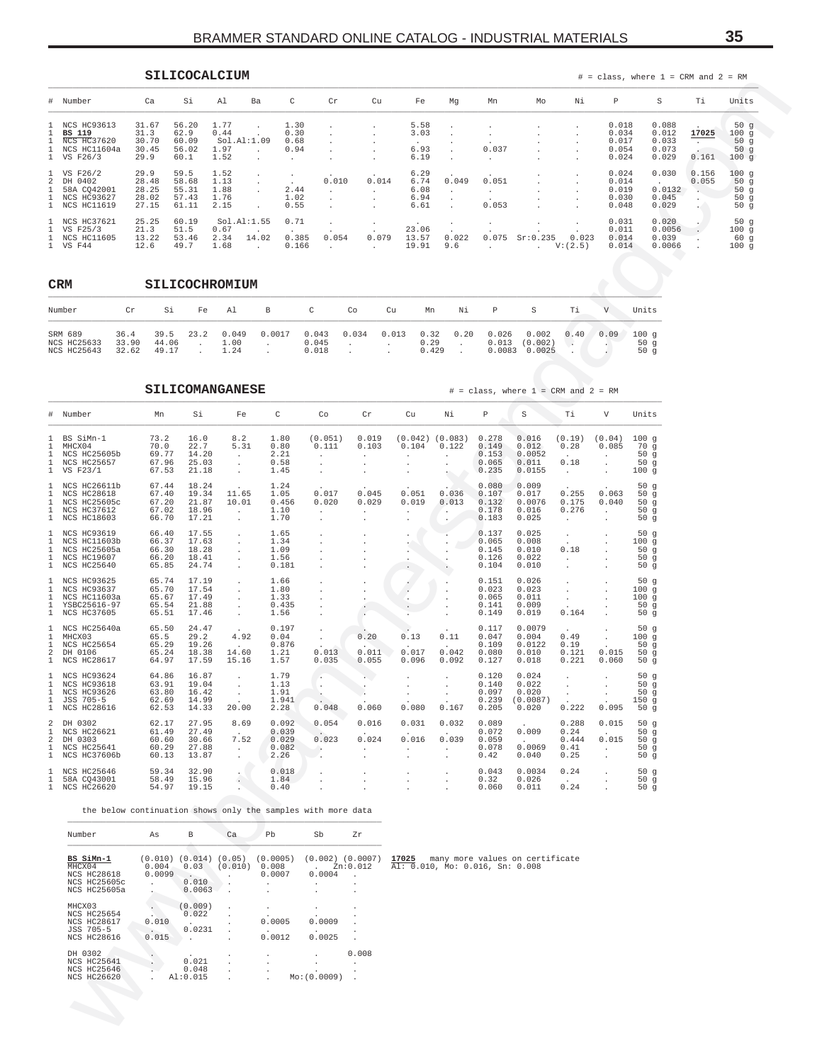<span id="page-34-0"></span>

|                                                                                 |                                          | SILICOCALCIUM                            |                                      |                      |                              |       |                          |                                         |                                                                                    |                |                    |                           |                                           | $#$ = class, where 1 = CRM and 2 = RM     |                |                                      |
|---------------------------------------------------------------------------------|------------------------------------------|------------------------------------------|--------------------------------------|----------------------|------------------------------|-------|--------------------------|-----------------------------------------|------------------------------------------------------------------------------------|----------------|--------------------|---------------------------|-------------------------------------------|-------------------------------------------|----------------|--------------------------------------|
| # Number                                                                        | Ca                                       | Si                                       | Al                                   | Ba                   | C                            | Cr    | Cu                       | Fe                                      | Mq                                                                                 | Mn             | Mo                 | Νi                        | P                                         | S                                         | Ti             | Units                                |
| 1 NCS HC93613<br><b>BS 119</b><br>1 NCS HC37620<br>1 NCS HC11604a<br>1 VS F26/3 | 31.67<br>31.3<br>30.70<br>30.45<br>29.9  | 56.20<br>62.9<br>60.09<br>56.02<br>60.1  | 1.77<br>0.44<br>1.97<br>1.52         | Sol.A1:1.09          | 1.30<br>0.30<br>0.68<br>0.94 |       | $\overline{\phantom{a}}$ | 5.58<br>3.03<br>$\cdot$<br>6.93<br>6.19 | $\cdot$<br>$\ddot{\phantom{0}}$<br>$\ddot{\phantom{0}}$<br>$\mathbf{r}$<br>$\cdot$ | 0.037          |                    | $\cdot$<br>$\overline{a}$ | 0.018<br>0.034<br>0.017<br>0.054<br>0.024 | 0.088<br>0.012<br>0.033<br>0.073<br>0.029 | 17025<br>0.161 | 50g<br>100g<br>50 $g$<br>50g<br>100g |
| 1 VS F26/2<br>2 DH 0402<br>1 58A CO42001<br>1 NCS HC93627<br>1 NCS HC11619      | 29.9<br>28.48<br>28.25<br>28.02<br>27.15 | 59.5<br>58.68<br>55.31<br>57.43<br>61.11 | 1.52<br>1.13<br>1.88<br>1.76<br>2.15 |                      | 2.44<br>1.02<br>0.55         | 0.010 | 0.014<br>$\cdot$         | 6.29<br>6.74<br>6.08<br>6.94<br>6.61    | 0.049<br>$\ddot{\phantom{1}}$<br>$\sim$                                            | 0.051<br>0.053 |                    | $\cdot$                   | 0.024<br>0.014<br>0.019<br>0.030<br>0.048 | 0.030<br>0.0132<br>0.045<br>0.029         | 0.156<br>0.055 | 100 q<br>50q<br>50q<br>50g<br>50 $q$ |
| 1 NCS HC37621<br>1 VS F25/3<br>1 NCS HC11605<br>1 VS F44                        | 25.25<br>21.3<br>13.22<br>12.6           | 60.19<br>51.5<br>53.46<br>49.7           | 0.67<br>2.34<br>1.68                 | Sol.A1:1.55<br>14.02 | 0.71<br>0.385<br>0.166       | 0.054 | $\cdot$<br>0.079         | 23.06<br>13.57<br>19.91                 | 0.022<br>9.6                                                                       | 0.075          | Sr:0.235<br>$\sim$ | 0.023<br>V: (2.5)         | 0.031<br>0.011<br>0.014<br>0.014          | 0.020<br>0.0056<br>0.039<br>0.0066        |                | 50g<br>100g<br>60q<br>100q           |

| CRM                                          |                        |                        |                | SILICOCHROMIUM        |        |                         |       |       |                       |      |                          |                            |      |      |                       |
|----------------------------------------------|------------------------|------------------------|----------------|-----------------------|--------|-------------------------|-------|-------|-----------------------|------|--------------------------|----------------------------|------|------|-----------------------|
| Number                                       | Cr                     | Si                     | Fe             | Al                    | В      | C                       | Co    | Cu    | Mn                    | Νi   | P                        | S                          | Ti   | V    | Units                 |
| SRM 689<br>NCS HC25633<br><b>NCS HC25643</b> | 36.4<br>33.90<br>32.62 | 39.5<br>44.06<br>49.17 | 23.2<br>$\sim$ | 0.049<br>1.00<br>1.24 | 0.0017 | 0.043<br>0.045<br>0.018 | 0.034 | 0.013 | 0.32<br>0.29<br>0.429 | 0.20 | 0.026<br>0.013<br>0.0083 | 0.002<br>(0.002)<br>0.0025 | 0.40 | 0.09 | 100q<br>50 $g$<br>50q |

|                                                                                                                                             |                        |                                                            |                                                           |                                                                                                 |                                                                                        |                                                                       |                                                 |                                               |                                                          |                                           |                                              |                                        | $-$ - $    -$                                    |                                                |                                    |                                        |                                                           |
|---------------------------------------------------------------------------------------------------------------------------------------------|------------------------|------------------------------------------------------------|-----------------------------------------------------------|-------------------------------------------------------------------------------------------------|----------------------------------------------------------------------------------------|-----------------------------------------------------------------------|-------------------------------------------------|-----------------------------------------------|----------------------------------------------------------|-------------------------------------------|----------------------------------------------|----------------------------------------|--------------------------------------------------|------------------------------------------------|------------------------------------|----------------------------------------|-----------------------------------------------------------|
| #<br>Number                                                                                                                                 |                        | Ca                                                         | Si                                                        | Al                                                                                              | С<br>Ba                                                                                | Cr                                                                    | Cu                                              | Fe                                            | Mg                                                       | Mn                                        | Mo                                           | Νi                                     | Р                                                | S                                              |                                    | Тi                                     | Units                                                     |
| NCS HC93613<br>1<br>1<br>BS 119<br>1<br>NCS HC37620<br>1<br>NCS HC11604a<br>1<br>VS F26/3                                                   |                        | 31.67<br>31.3<br>30.70<br>30.45<br>29.9                    | 56.20<br>62.9<br>60.09<br>56.02<br>60.1                   | 1.77<br>0.44<br>Sol.Al:1.09<br>1.97<br>1.52                                                     | 1.30<br>0.30<br>0.68<br>0.94<br>$\sim$<br>$\cdot$<br>$\cdot$                           | $\cdot$<br>$\cdot$                                                    |                                                 | 5.58<br>3.03<br>6.93<br>6.19                  |                                                          | 0.037<br>$\ddot{\phantom{a}}$             |                                              |                                        | 0.018<br>0.034<br>0.017<br>0.054<br>0.024        | 0.088                                          | 0.012<br>0.033<br>0.073<br>0.029   | 17025<br>$\sim$ $-$<br>0.161           | 50g<br>100g<br>50 <sub>g</sub><br>50 <sub>g</sub><br>100g |
| VS F26/2<br>-1<br>2<br>DH 0402<br>58A CQ42001<br>1<br>NCS HC93627<br>1<br>NCS HC11619<br>1                                                  |                        | 29.9<br>28.48<br>28.25<br>28.02<br>27.15                   | 59.5<br>58.68<br>55.31<br>57.43<br>61.11                  | 1.52<br>1.13<br>1.88<br>1.76<br>2.15                                                            | $\cdot$<br>$\cdot$<br>$\cdot$<br>$\cdot$<br>2.44<br>$\cdot$<br>1.02<br>0.55<br>$\cdot$ | 0.010<br>$\cdot$<br>$\cdot$<br>$\cdot$                                | 0.014<br>$\cdot$<br>$\cdot$                     | 6.29<br>6.74<br>6.08<br>6.94<br>6.61          | 0.049<br>$\cdot$                                         | 0.051<br>$\sim$<br>0.053                  |                                              |                                        | 0.024<br>0.014<br>0.019<br>0.030<br>0.048        | $\sim$                                         | 0.030<br>0.0132<br>0.045<br>0.029  | 0.156<br>0.055<br>$\blacksquare$<br>÷. | 100g<br>50g<br>50g<br>50 g<br>50g                         |
| NCS HC37621<br>1<br>VS F25/3<br>1<br>1<br><b>NCS HC11605</b><br>1<br>VS F44                                                                 |                        | 25.25<br>21.3<br>13.22<br>12.6                             | 60.19<br>51.5<br>53.46<br>49.7                            | Sol.A1:1.55<br>0.67<br>2.34<br>1.68                                                             | 0.71<br>$\sim$<br>14.02<br>0.385<br>0.166<br>$\ddot{\phantom{a}}$                      | $\sim$<br>0.054<br>$\ddot{\phantom{0}}$                               | $\cdot$<br>0.079<br>$\ddot{\phantom{a}}$        | 23.06<br>13.57<br>19.91                       | 0.022<br>9.6                                             | $\cdot$<br>0.075<br>$\cdot$               | Sr:0.235<br>$\ddot{\phantom{0}}$             | 0.023<br>V: (2.5)                      | 0.031<br>0.011<br>0.014<br>0.014                 |                                                | 0.020<br>0.0056<br>0.039<br>0.0066 | $\cdot$                                | 50g<br>100g<br>60 g<br>100g                               |
| CRM                                                                                                                                         |                        |                                                            |                                                           | SILICOCHROMIUM                                                                                  |                                                                                        |                                                                       |                                                 |                                               |                                                          |                                           |                                              |                                        |                                                  |                                                |                                    |                                        |                                                           |
| Number                                                                                                                                      | Cr                     | Si                                                         | Fe                                                        | Al                                                                                              | В                                                                                      | $\mathtt{C}$                                                          | Co                                              | Cu<br>Mn                                      | Νi                                                       | Р                                         | S                                            | Тi                                     | V                                                | Units                                          |                                    |                                        |                                                           |
| SRM 689<br>NCS HC25633<br>NCS HC25643                                                                                                       | 36.4<br>33.90<br>32.62 | 39.5<br>44.06<br>49.17                                     | 23.2<br>$\cdot$<br>$\ddot{\phantom{a}}$                   | 0.049<br>1.00<br>1.24                                                                           | 0.0017<br>$\cdot$<br>$\cdot$                                                           | 0.043<br>0.045<br>0.018                                               | 0.034<br>$\cdot$<br>$\cdot$<br>$\cdot$          | 0.013<br>0.32<br>0.29                         | 0.20<br>$\cdot$<br>0.429<br>$\cdot$                      | 0.026<br>0.013<br>0.0083                  | 0.002<br>(0.002)<br>0.0025                   | 0.40<br>$\cdot$                        | 0.09<br>$\sim$                                   | 100g<br>50g<br>50g                             |                                    |                                        |                                                           |
|                                                                                                                                             |                        |                                                            |                                                           | <b>SILICOMANGANESE</b>                                                                          |                                                                                        |                                                                       |                                                 |                                               |                                                          |                                           | $\#$ = class, where $1$ = CRM and $2$ = RM   |                                        |                                                  |                                                |                                    |                                        |                                                           |
| Number<br>$\#$                                                                                                                              |                        | Mn                                                         | Si                                                        | Fe                                                                                              | $\mathtt{C}$                                                                           | Co                                                                    | Cr                                              | Cu                                            | Νi                                                       | $\, {\mathbb P}$                          | S                                            | Тi                                     | V                                                | Units                                          |                                    |                                        |                                                           |
| BS SiMn-1<br>-1<br>$\mathbf{1}$<br>MHCX04<br>$\mathbf{1}$<br>NCS HC25605b<br>$\mathbf{1}$<br><b>NCS HC25657</b><br>$\mathbf{1}$<br>VS F23/1 |                        | 73.2<br>70.0<br>69.77<br>67.96<br>67.53                    | 16.0<br>22.7<br>14.20<br>25.03<br>21.18                   | 8.2<br>5.31<br>$\sim$<br>$\cdot$<br>$\cdot$                                                     | 1.80<br>0.80<br>2.21<br>0.58<br>1.45                                                   | (0.051)<br>0.111<br>$\cdot$<br>$\cdot$<br>$\cdot$                     | 0.019<br>0.103<br>$\cdot$<br>$\cdot$<br>$\cdot$ | 0.104<br>$\blacksquare$<br>$\cdot$<br>$\cdot$ | $(0.042)$ $(0.083)$<br>0.122<br>$\cdot$<br>$\cdot$<br>٠. | 0.278<br>0.149<br>0.153<br>0.065<br>0.235 | 0.016<br>0.012<br>0.0052<br>0.011<br>0.0155  | (0.19)<br>0.28<br>0.18<br>$\cdot$      | (0.04)<br>0.085<br>$\cdot$<br>$\cdot$<br>$\cdot$ | 100g<br>70 g<br>50 <sub>g</sub><br>50g<br>100g |                                    |                                        |                                                           |
| $\mathbf{1}$<br>NCS HC26611b<br>1<br>NCS HC28618<br>1<br>NCS HC25605c<br>$\mathbf{1}$<br>NCS HC37612<br>1 NCS HC18603                       |                        | 67.44<br>67.40<br>67.20<br>67.02<br>66.70                  | 18.24<br>19.34<br>21.87<br>18.96<br>17.21                 | 11.65<br>10.01<br>$\cdot$<br>$\cdot$                                                            | 1.24<br>1.05<br>0.456<br>1.10<br>1.70                                                  | 0.017<br>0.020<br>$\cdot$                                             | 0.045<br>0.029                                  | 0.051<br>0.019<br>$\cdot$<br>$\cdot$          | 0.036<br>0.013<br>$\cdot$<br>$\cdot$                     | 0.080<br>0.107<br>0.132<br>0.178<br>0.183 | 0.009<br>0.017<br>0.0076<br>0.016<br>0.025   | 0.255<br>0.175<br>0.276<br>$\sim$      | 0.063<br>0.040<br>$\bullet$                      | 50g<br>50g<br>50g<br>50g<br>50g                |                                    |                                        |                                                           |
| NCS HC93619<br>-1<br>1<br>NCS HC11603b<br>$\mathbf{1}$<br>NCS HC25605a<br>$\mathbf{1}$<br>NCS HC19607<br>1 NCS HC25640                      |                        | 66.40<br>66.37<br>66.30<br>66.20<br>65.85                  | 17.55<br>17.63<br>18.28<br>18.41<br>24.74                 | $\cdot$<br>$\cdot$<br>$\cdot$<br>$\cdot$<br>$\cdot$                                             | 1.65<br>1.34<br>1.09<br>1.56<br>0.181                                                  |                                                                       |                                                 | $\cdot$<br>$\cdot$<br>$\cdot$<br>$\cdot$      |                                                          | 0.137<br>0.065<br>0.145<br>0.126<br>0.104 | 0.025<br>0.008<br>0.010<br>0.022<br>0.010    | 0.18<br>$\cdot$                        |                                                  | 50g<br>100g<br>50g<br>50g<br>50g               |                                    |                                        |                                                           |
| $\mathbf{1}$<br>NCS HC93625<br>1<br>NCS HC93637<br>1<br>NCS HC11603a<br>1<br>YSBC25616-97<br>$\mathbf{1}$<br>NCS HC37605                    |                        | 65.74<br>65.70<br>65.67<br>65.54<br>65.51                  | 17.19<br>17.54<br>17.49<br>21.88<br>17.46                 | $\cdot$<br>$\cdot$<br>$\cdot$<br>$\cdot$<br>$\cdot$                                             | 1.66<br>1.80<br>1.33<br>0.435<br>1.56                                                  | $\cdot$<br>$\cdot$<br>$\ddot{\phantom{a}}$                            | $\cdot$<br>$\cdot$<br>$\cdot$                   | $\ddot{\phantom{a}}$<br>$\cdot$<br>$\cdot$    | $\cdot$                                                  | 0.151<br>0.023<br>0.065<br>0.141<br>0.149 | 0.026<br>0.023<br>0.011<br>0.009<br>0.019    | $\cdot$<br>$\cdot$<br>0.164            |                                                  | 50g<br>100g<br>100g<br>50g<br>50g              |                                    |                                        |                                                           |
| NCS HC25640a<br>1<br>1<br>MHCX03<br>1<br>NCS HC25654<br>2<br>DH 0106<br>NCS HC28617<br>$\mathbf{1}$                                         |                        | 65.50<br>65.5<br>65.29<br>65.24<br>64.97                   | 24.47<br>29.2<br>19.26<br>18.38<br>17.59                  | 4.92<br>14.60<br>15.16                                                                          | 0.197<br>0.04<br>0.876<br>1.21<br>1.57                                                 | $\cdot$<br>0.013<br>0.035                                             | 0.20<br>0.011<br>0.055                          | 0.13<br>0.017<br>0.096                        | 0.11<br>0.042<br>0.092                                   | 0.117<br>0.047<br>0.109<br>0.080<br>0.127 | 0.0079<br>0.004<br>0.0122<br>0.010<br>0.018  | 0.49<br>0.19<br>0.121<br>0.221         | $\cdot$<br>0.015<br>0.060                        | 50g<br>100g<br>50g<br>50g<br>50g               |                                    |                                        |                                                           |
| 1 NCS HC93624<br>$\mathbf{1}$<br>NCS HC93618<br>1 NCS HC93626<br>1 JSS 705-5<br>1 NCS HC28616                                               |                        | 64.86<br>63.91<br>63.80<br>62.69<br>62.53                  | 16.87<br>19.04<br>16.42<br>14.99<br>14.33                 | $\sim$<br>$\cdot$<br>20.00                                                                      | 1.79<br>1.13<br>1.91<br>1.941<br>2.28                                                  | $\sim$<br>$\Delta$<br>0.048                                           | $\cdot$<br>. .<br>0.060                         | $\sim$<br>0.080                               | $\cdot$<br>0.167                                         | 0.120<br>0.140<br>0.097<br>0.239<br>0.205 | 0.024<br>0.022<br>0.020<br>(0.0087)<br>0.020 | $\cdot$<br>0.222                       | $\cdot$<br>$\sim$<br>0.095                       | 50g<br>50g<br>50g<br>150g<br>50 g              |                                    |                                        |                                                           |
| 2 DH 0302<br>1 NCS HC26621<br>2 DH 0303<br>1 NCS HC25641<br>1 NCS HC37606b                                                                  |                        | 62.17<br>61.49<br>60.60<br>60.29<br>60.13                  | 27.95<br>27.49<br>30.66<br>27.88<br>13.87                 | 8.69<br>7.52<br>$\sim 10^{-11}$<br>$\sim$                                                       | 0.092<br>0.039<br>0.029<br>0.082<br>2.26                                               | 0.054<br>0.023<br>$\sim$<br>. .                                       | 0.016<br>0.024<br>$\sim$                        | 0.031<br>0.016<br>$\sim$<br>$\cdot$           | 0.032<br>$\sim$<br>0.039<br>$\sim$<br>$\cdot$            | 0.089<br>0.072<br>0.059<br>0.078<br>0.42  | 0.009<br>0.0069<br>0.040                     | 0.288<br>0.24<br>0.444<br>0.41<br>0.25 | 0.015<br>0.015<br>$\sim 100$<br>$\sim$           | 50 $g$<br>50 <sub>g</sub><br>50g<br>50g<br>50g |                                    |                                        |                                                           |
| 1 NCS HC25646<br>1 58A CQ43001<br>1 NCS HC26620                                                                                             |                        | 59.34<br>58.49<br>54.97                                    | 32.90<br>15.96<br>19.15                                   | ÷.                                                                                              | 0.018<br>1.84<br>0.40                                                                  |                                                                       |                                                 | $\cdot$                                       | $\cdot$                                                  | 0.043<br>0.32<br>0.060                    | 0.0034<br>0.026<br>0.011                     | 0.24<br>$\sim 10^{-11}$<br>0.24        | $\sim$<br>$\sim$                                 | 50g<br>50g<br>50g                              |                                    |                                        |                                                           |
|                                                                                                                                             |                        |                                                            |                                                           |                                                                                                 |                                                                                        | the below continuation shows only the samples with more data          |                                                 |                                               |                                                          |                                           |                                              |                                        |                                                  |                                                |                                    |                                        |                                                           |
| Number                                                                                                                                      |                        | As                                                         | B                                                         | Ca                                                                                              | Pb                                                                                     | Sb                                                                    | Zr                                              |                                               |                                                          |                                           |                                              |                                        |                                                  |                                                |                                    |                                        |                                                           |
| BS SiMn-1<br>MHCX04<br>NCS HC28618<br>NCS HC25605c<br>NCS HC25605a                                                                          |                        | 0.004<br>0.0099<br>$\sim$<br>$\sim$                        | 0.010<br>0.0063                                           | $(0.010)$ $(0.014)$ $(0.05)$ $(0.0005)$<br>$0.03$ (0.010)<br>$\sim$ $\sim$<br>$\cdot$<br>$\sim$ | 0.008<br>0.0007<br>$\sim$<br>$\ddot{\phantom{a}}$                                      | $(0.002)$ $(0.0007)$<br>. Zn:0.012<br>$0.0004$ .<br>$\sim$<br>$\cdot$ | $\cdot$                                         | $\overline{Al: 0.010}$ , Mo: 0.016, Sn: 0.008 |                                                          |                                           | 17025 many more values on certificate        |                                        |                                                  |                                                |                                    |                                        |                                                           |
| MHCX03<br>NCS HC25654<br>NCS HC28617<br>JSS 705-5<br>NCS HC28616                                                                            |                        | $\sim$ $\sim$<br>$\mathcal{N}$<br>0.010<br>$\sim$<br>0.015 | (0.009)<br>0.022<br>$\sim$ $\sim$<br>0.0231<br>$\sim$ $-$ | $\cdot$<br>$\cdot$<br>$\cdot$<br>$\cdot$<br>$\cdot$                                             | $\cdot$<br>0.0005<br>$\sim$<br>0.0012                                                  | $\cdot$<br>0.0009<br>0.0025                                           | $\cdot$                                         |                                               |                                                          |                                           |                                              |                                        |                                                  |                                                |                                    |                                        |                                                           |
| DH 0302<br>NCS HC25641<br>NCS HC25646<br>NCS HC26620                                                                                        |                        | $\sim$<br>$\sim$ $-$<br>$\sim$<br>$\sim$                   | 0.021<br>0.048<br>Al:0.015                                | $\cdot$<br>$\cdot$<br>$\ddot{\phantom{a}}$                                                      | $\cdot$<br>$\cdot$<br>$\cdot$<br>$\ddot{\phantom{a}}$                                  | $\cdot$<br>$\cdot$<br>$Mo: (0.0009)$ .                                | 0.008<br>$\sim$                                 |                                               |                                                          |                                           |                                              |                                        |                                                  |                                                |                                    |                                        |                                                           |
|                                                                                                                                             |                        |                                                            |                                                           |                                                                                                 |                                                                                        |                                                                       |                                                 |                                               |                                                          |                                           |                                              |                                        |                                                  |                                                |                                    |                                        |                                                           |

| As      | <sub>R</sub> | Ca                                    | Pb             | Sb      | Zr                |                                                                               |
|---------|--------------|---------------------------------------|----------------|---------|-------------------|-------------------------------------------------------------------------------|
|         |              |                                       |                |         |                   |                                                                               |
| (0.010) | (0.014)      |                                       |                |         |                   | 1                                                                             |
| 0.004   | 0.03         |                                       |                |         |                   | 7                                                                             |
| 0.0099  |              |                                       | 0.0007         | 0.0004  |                   |                                                                               |
|         | 0.010        | $\mathbf{r}$                          |                |         | ٠                 |                                                                               |
|         | 0.0063       |                                       | ×.             |         | $\blacksquare$    |                                                                               |
|         |              |                                       | $\blacksquare$ |         | ٠                 |                                                                               |
|         | 0.022        |                                       | $\cdot$        |         |                   |                                                                               |
| 0.010   | $\mathbf{r}$ |                                       | 0.0005         | 0.0009  | ×.                |                                                                               |
|         | 0.0231       |                                       |                |         | $\blacksquare$    |                                                                               |
| 0.015   |              |                                       | 0.0012         | 0.0025  |                   |                                                                               |
|         |              |                                       |                |         |                   |                                                                               |
|         |              |                                       |                |         |                   |                                                                               |
|         |              |                                       |                |         |                   |                                                                               |
|         |              |                                       |                |         |                   |                                                                               |
|         |              | (0.009)<br>0.021<br>0.048<br>A1:0.015 | (0.05)         | (0.010) | (0.0005)<br>0.008 | $(0.002)$ $(0.0007)$<br>. Zn:0.012<br>0.008<br>$\blacksquare$<br>Mo: (0.0009) |

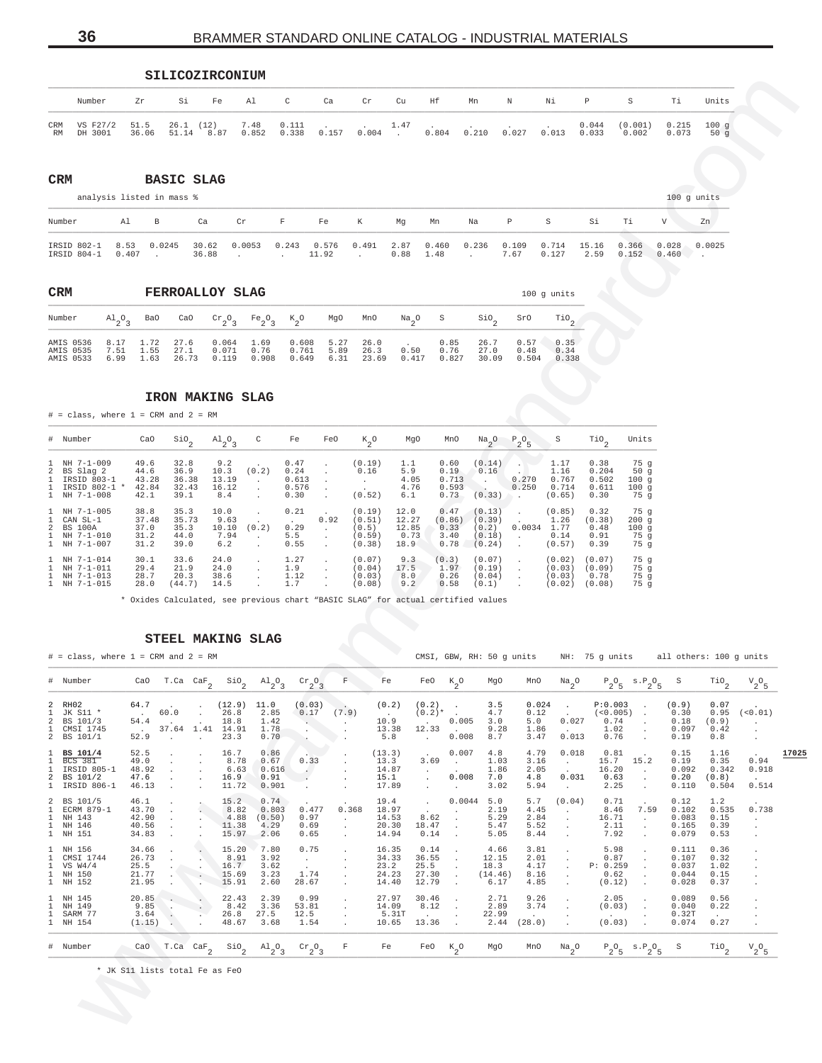|           | pillconinconion                    |    |                  |    |               |                           |       |       |                 |       |    |                                                                                    |       |                |                  |                |                      |
|-----------|------------------------------------|----|------------------|----|---------------|---------------------------|-------|-------|-----------------|-------|----|------------------------------------------------------------------------------------|-------|----------------|------------------|----------------|----------------------|
|           | Number                             | Zr | Si               | Fe | Al            | $\mathbb{C}$              | Ca    | Cr    | Cu              | Hf    | Mn | $\mathbb N$                                                                        | Νi    | $\mathbb{P}$   |                  | Ti             | Units                |
| CRM<br>RM | VS F27/2 51.5 26.1 (12)<br>DH 3001 |    | 36.06 51.14 8.87 |    | 7.48<br>0.852 | $0.111$ . $1.47$<br>0.338 | 0.157 | 0.004 | <b>Contract</b> | 0.804 |    | the contract of the contract of the contract of the contract of<br>$0.210$ $0.027$ | 0.013 | 0.044<br>0.033 | (0.001)<br>0.002 | 0.215<br>0.073 | $100 \sigma$<br>50 a |

**CRM BASIC SLAG**

|                            |               | analysis listed in mass % |                |        |              |                |       |              |               |       |               |                |               |                |                | $100$ q units |
|----------------------------|---------------|---------------------------|----------------|--------|--------------|----------------|-------|--------------|---------------|-------|---------------|----------------|---------------|----------------|----------------|---------------|
| Number                     | Al            | B                         | Ca             | Cr     | $\mathbf{F}$ | Fe             | K     | Mq           | Mn            | Na    | P             | S              | Si            | Тi             | V              | Zn            |
| IRSID 802-1<br>IRSID 804-1 | 8.53<br>0.407 | 0.0245                    | 30.62<br>36.88 | 0.0053 | 0.243        | 0.576<br>11.92 | 0.491 | 2.87<br>0.88 | 0.460<br>1.48 | 0.236 | 0.109<br>7.67 | 0.714<br>0.127 | 15.16<br>2.59 | 0.366<br>0.152 | 0.028<br>0.460 | 0.0025        |

AMIS 0535 7.51 1.55 27.1 0.071 0.76 0.761 5.89 26.3 0.50 0.76 27.0 0.48 0.34 AMIS 0533 6.99 1.63 26.73 0.119 0.908 0.649 6.31 23.69 0.417 0.827 30.09 0.504 0.338

## **IRON MAKING SLAG**

**SILICOZIPCONIUM** 

# = class, where 1 = CRM and 2 = RM \_\_\_\_\_\_\_\_\_\_\_\_\_\_\_\_\_\_\_\_\_\_\_\_\_\_\_\_\_\_\_\_\_\_\_\_\_\_\_\_\_\_\_\_\_\_\_\_\_\_\_\_\_\_\_\_\_\_\_\_\_\_\_\_\_\_\_\_\_\_\_\_\_\_\_\_\_\_\_\_\_\_\_\_\_\_\_\_\_\_\_\_\_\_\_\_\_\_\_\_\_\_\_\_\_\_\_\_\_\_\_\_\_\_\_\_\_\_\_\_\_\_\_\_\_\_

|              | # Number                                                                            | CaO                                    | $\sin \frac{\pi}{2}$                   | $A1$ <sub>2</sub> <sup>O</sup> <sub>3</sub> | C      | Fe                                     | FeO                                  | $k_{2}^{\circ}$                               | MqO                                    | MnO                                    | $\frac{Na}{2}$ <sup>O</sup>                   | $P_2O_5$       | S                                        | TiO <sub>o</sub>                        | Units                             |
|--------------|-------------------------------------------------------------------------------------|----------------------------------------|----------------------------------------|---------------------------------------------|--------|----------------------------------------|--------------------------------------|-----------------------------------------------|----------------------------------------|----------------------------------------|-----------------------------------------------|----------------|------------------------------------------|-----------------------------------------|-----------------------------------|
|              | $1$ NH $7-1-009$<br>2 BS Slag 2<br>IRSID 803-1<br>IRSID 802-1 *<br>$1$ NH $7-1-008$ | 49.6<br>44.6<br>43.28<br>42.84<br>42.1 | 32.8<br>36.9<br>36.38<br>32.43<br>39.1 | 9.2<br>10.3<br>13.19<br>16.12<br>8.4        | (0.2)  | 0.47<br>0.24<br>0.613<br>0.576<br>0.30 | $\ddot{\phantom{0}}$<br>$\mathbf{r}$ | (0.19)<br>0.16<br>$\sim$<br>(0.52)            | 1.1<br>5.9<br>4.05<br>4.76<br>6.1      | 0.60<br>0.19<br>0.713<br>0.593<br>0.73 | (0.14)<br>0.16<br>(0.33)                      | 0.270<br>0.250 | 1.17<br>1.16<br>0.767<br>0.714<br>(0.65) | 0.38<br>0.204<br>0.502<br>0.611<br>0.30 | 75q<br>50g<br>100q<br>100g<br>75q |
|              | $1$ NH $7-1-005$<br>1 CAN SL-1<br>2 BS 100A<br>1 NH 7-1-010<br>1 NH 7-1-007         | 38.8<br>37.48<br>37.0<br>31.2<br>31.2  | 35.3<br>35.73<br>35.3<br>44.0<br>39.0  | 10.0<br>9.63<br>10.10<br>7.94<br>6.2        | (0.2)  | 0.21<br>0.29<br>5.5<br>0.55            | $\mathbf{r}$<br>0.92<br>$\sim$       | (0.19)<br>(0.51)<br>(0.5)<br>(0.59)<br>(0.38) | 12.0<br>12.27<br>12.85<br>0.73<br>18.9 | 0.47<br>(0.86)<br>0.33<br>3.40<br>0.78 | (0.13)<br>(0.39)<br>(0.2)<br>(0.18)<br>(0.24) | 0.0034         | (0.85)<br>1.26<br>1.77<br>0.14<br>(0.57) | 0.32<br>(0.38)<br>0.48<br>0.91<br>0.39  | 75g<br>200q<br>100q<br>75q<br>75q |
| $\mathbf{1}$ | 1 NH 7-1-014<br>1 NH 7-1-011<br>NH 7-1-013<br>1 NH 7-1-015                          | 30.1<br>29.4<br>28.7<br>28.0           | 33.6<br>21.9<br>20.3<br>(44.7)         | 24.0<br>24.0<br>38.6<br>14.5                | $\sim$ | 1.27<br>1.9<br>1.12<br>1.7             | $\mathbf{r}$                         | (0.07)<br>(0.04)<br>(0.03)<br>(0.08)          | 9.3<br>17.5<br>8.0<br>9.2              | (0.3)<br>1.97<br>0.26<br>0.58          | (0.07)<br>(0.19)<br>(0.04)<br>(0.1)           |                | (0.02)<br>(0.03)<br>(0.03)<br>(0.02)     | (0.07)<br>(0.09)<br>0.78<br>(0.08)      | 75g<br>75g<br>75g<br>75q          |

\* Oxides Calculated, see previous chart "BASIC SLAG" for actual certified values

### **STEEL MAKING SLAG**

<span id="page-35-0"></span>WWW.brammerstandard.com # = class, where 1 = CRM and 2 = RM CMSI, GBW, RH: 50 g units NH: 75 g units all others: 100 g units \_\_\_\_\_\_\_\_\_\_\_\_\_\_\_\_\_\_\_\_\_\_\_\_\_\_\_\_\_\_\_\_\_\_\_\_\_\_\_\_\_\_\_\_\_\_\_\_\_\_\_\_\_\_\_\_\_\_\_\_\_\_\_\_\_\_\_\_\_\_\_\_\_\_\_\_\_\_\_\_\_\_\_\_\_\_\_\_\_\_\_\_\_\_\_\_\_\_\_\_\_\_\_\_\_\_\_\_\_\_\_\_\_\_\_\_\_\_\_\_\_\_\_\_\_\_\_\_\_\_\_\_\_\_\_\_\_\_\_\_\_\_\_\_\_\_\_\_\_\_\_ # Number CaO T.Ca CaF2  $Sio<sub>2</sub>$  $A1<sub>2</sub>0<sub>3</sub>$  $\text{cr}_{2}$ <sup>O</sup><sub>3</sub>  $F$  Fe FeO K<sub>2</sub>  $K_2O$  MgO MnO  $Na_2O$  $P_2O_5$  $S \cdot P_2O_5$ S Tio<sub>2</sub>  $V_2^{\circ}$  $\frac{1}{2}$   $\frac{1}{2}$   $\frac{1}{2}$   $\frac{1}{2}$   $\frac{1}{2}$   $\frac{1}{2}$   $\frac{1}{2}$   $\frac{1}{2}$   $\frac{1}{3}$   $\frac{1}{2}$   $\frac{1}{3}$   $\frac{1}{2}$   $\frac{1}{2}$   $\frac{1}{2}$   $\frac{1}{2}$   $\frac{1}{2}$   $\frac{1}{2}$   $\frac{1}{2}$   $\frac{1}{2}$   $\frac{1}{2}$   $\frac{1}{2}$   $\frac{1}{2}$  2 RH02 64.7 . . (12.9) 11.0 (0.03) . (0.2) (0.2) . 3.5 0.024 . P:0.003 . (0.9) 0.07 . 1 JK S11 \* . 60.0 . 26.8 2.85 0.17 (7.9) . (0.2)\* . 4.7 0.12 . (<0.005) . 0.30 0.95 (<0.01) 2 BS 101/3 54.4 . . 18.8 1.42 . . 10.9 . 0.005 3.0 5.0 0.027 0.74 . 0.18 (0.9) . 1 CMSI 1745 . 37.64 1.41 14.91 1.78 . . 13.38 12.33 . 9.28 1.86 . 1.02 . 0.097 0.42 . 2 BS 101/1 52.9 . . 23.3 0.70 . . 5.8 . 0.008 8.7 3.47 0.013 0.76 . 0.19 0.8 . 1 **BS 101/4** 52.5 . . 16.7 0.86 . . (13.3) . 0.007 4.8 4.79 0.018 0.81 . 0.15 1.16 . **17025** 1 BCS 381 49.0 . . 8.78 0.67 0.33 . 13.3 3.69 . 1.03 3.16 . 15.7 15.2 0.19 0.35 0.94 1 IRSID 805-1 48.92 . . 6.63 0.616 . . 14.87 . . 1.86 2.05 . 16.20 . 0.092 0.342 0.918 2 BS 101/2 47.6 . . 16.9 0.91 . . 15.1 . 0.008 7.0 4.8 0.031 0.63 . 0.20 (0.8) . 1 IRSID 806-1 46.13 . . 11.72 0.901 . . 17.89 . . 3.02 5.94 . 2.25 . 0.110 0.504 0.514 2 BS 101/5 46.1 . . 15.2 0.74 . . 19.4 . 0.0044 5.0 5.7 (0.04) 0.71 . 0.12 1.2 . 1 ECRM 879-1 43.70 . . 8.82 0.803 0.477 0.368 18.97 . . 2.19 4.45 . 8.46 7.59 0.102 0.535 0.738 1 NH 143 42.90 . . 4.88 (0.50) 0.97 . 14.53 8.62 . 5.29 2.84 . 16.71 . 0.083 0.15 . 1 NH 146 40.56 . . 11.38 4.29 0.69 . 20.30 18.47 . 5.47 5.52 . 2.11 . 0.165 0.39 . 1 NH 151 34.83 . . 15.97 2.06 0.65 . 14.94 0.14 . 5.05 8.44 . 7.92 . 0.079 0.53 . 1 NH 156 34.66 . . 15.20 7.80 0.75 . 16.35 0.14 . 4.66 3.81 . 5.98 . 0.111 0.36 . 1 CMSI 1744 26.73 . . 8.91 3.92 . . 34.33 36.55 . 12.15 2.01 . 0.87 . 0.107 0.32 .  $1$  VS W4/4  $25.5$  .  $\sim$  .  $16.7$  3.62 . . 23.2 25.5 . 18.3 4.17 . P: 0.259 . 0.037 1.02 . 1 NH 150 21.77 . . 15.69 3.23 1.74 . 24.23 27.30 . (14.46) 8.16 . 0.62 . 0.044 0.15 . 1 NH 152 21.95 . . 15.91 2.60 28.67 . 14.40 12.79 . 6.17 4.85 . (0.12) . 0.028 0.37 . 1 NH 145 20.85 . . 22.43 2.39 0.99 . 27.97 30.46 . 2.71 9.26 . 2.05 . 0.089 0.56 . 1 NH 149 9.85 . . 8.42 3.36 53.81 . 14.09 8.12 . 2.89 3.74 . (0.03) . 0.040 0.22 . 1 SARM 77 3.64 . . 26.8 27.5 12.5 . . 5.31T . . 22.99 . . . . . . 0.32T . . . 1 NH 154 (1.15) . . 48.67 3.68 1.54 . 10.65 13.36 . 2.44 (28.0) . (0.03) . 0.074 0.27 . \_\_\_\_\_\_\_\_\_\_\_\_\_\_\_\_\_\_\_\_\_\_\_\_\_\_\_\_\_\_\_\_\_\_\_\_\_\_\_\_\_\_\_\_\_\_\_\_\_\_\_\_\_\_\_\_\_\_\_\_\_\_\_\_\_\_\_\_\_\_\_\_\_\_\_\_\_\_\_\_\_\_\_\_\_\_\_\_\_\_\_\_\_\_\_\_\_\_\_\_\_\_\_\_\_\_\_\_\_\_\_\_\_\_\_\_\_\_\_\_\_\_\_\_\_\_\_\_\_\_\_\_\_\_\_\_\_\_\_\_\_\_\_\_\_\_\_\_\_\_\_ # Number CaO T.Ca CaF2  $Sio<sub>2</sub>$  $A1<sub>2</sub>0<sub>3</sub>$  $\rm{cr}_{2}$ <sup>O</sup><sub>3</sub>  $F$  Fe FeO  $K$ <sub>2</sub>  $K_2$ O MgO MnO Na<sub>2</sub>O O  $P_2O_5$  s. $P_2O_5$ s  $\frac{1}{2}$  $V_2^{\circ}$  $\frac{1}{2}$   $\frac{1}{2}$   $\frac{1}{2}$   $\frac{1}{2}$   $\frac{1}{2}$   $\frac{1}{2}$   $\frac{1}{2}$   $\frac{1}{2}$   $\frac{1}{3}$   $\frac{1}{2}$   $\frac{1}{3}$   $\frac{1}{2}$   $\frac{1}{2}$   $\frac{1}{3}$   $\frac{1}{2}$   $\frac{1}{2}$   $\frac{1}{2}$   $\frac{1}{2}$   $\frac{1}{2}$   $\frac{1}{2}$   $\frac{1}{2}$   $\frac{1}{2}$ 

\* JK S11 lists total Fe as FeO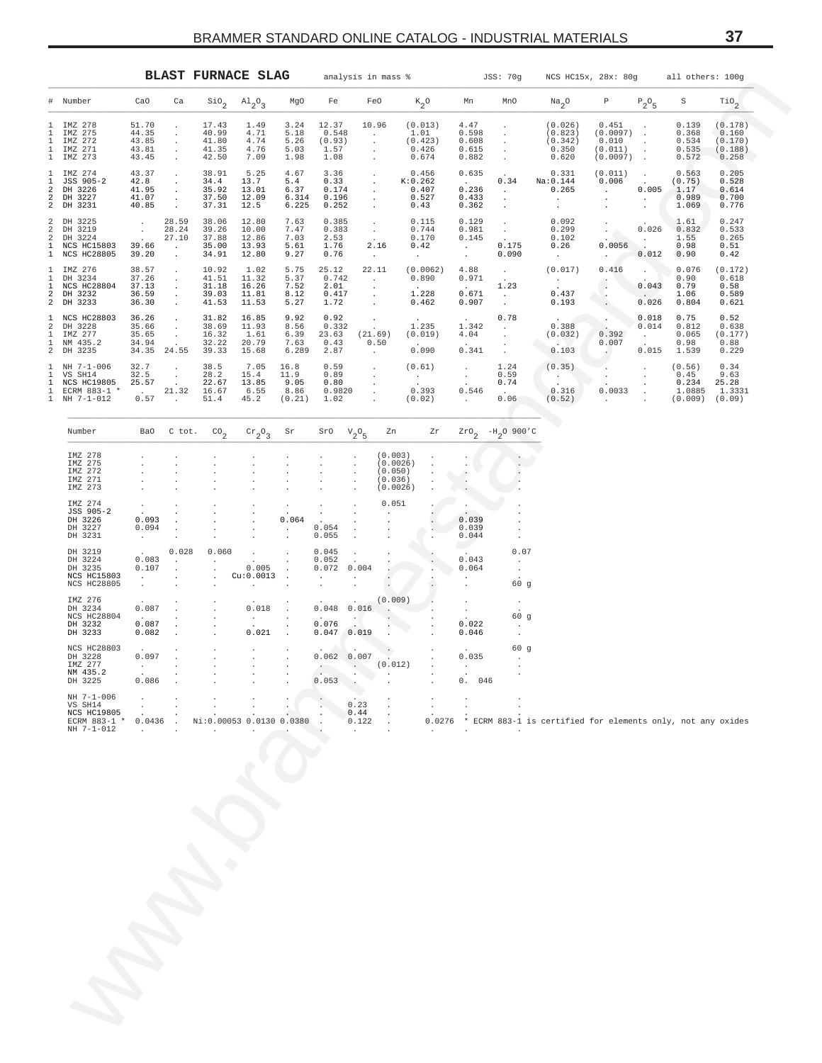<span id="page-36-0"></span>

|                                                     |                                                                        |                                                           |                                                                          |                                                   | <b>BLAST FURNACE SLAG</b>                 | analysis in mass %<br>JSS: 70g<br>NCS HC15x, 28x: 80g |                                                            |                               |                                                                            |                                                                | all others: 100g                                                 |                                                                                 |                                                            |                                                             |                                                                      |                                                         |                                                 |
|-----------------------------------------------------|------------------------------------------------------------------------|-----------------------------------------------------------|--------------------------------------------------------------------------|---------------------------------------------------|-------------------------------------------|-------------------------------------------------------|------------------------------------------------------------|-------------------------------|----------------------------------------------------------------------------|----------------------------------------------------------------|------------------------------------------------------------------|---------------------------------------------------------------------------------|------------------------------------------------------------|-------------------------------------------------------------|----------------------------------------------------------------------|---------------------------------------------------------|-------------------------------------------------|
|                                                     | # Number                                                               | CaO                                                       | Ca                                                                       | $\mathsf{Sio}_2$                                  | $\mathrm{^{Al}_{2}O_{3}}$                 | MgO                                                   | Fe                                                         |                               | FeO                                                                        | $\kappa_{2}^{\phantom{2}}$ o                                   | Mn                                                               | MnO                                                                             | $\mathrm{Na}_2\mathrm{O}$                                  | $\mathbb P$                                                 | $P_2O_5$                                                             | $\rm S$                                                 | $\mathop{\rm TiO}\nolimits_2$                   |
| $\mathbf{1}$                                        | 1 IMZ 278<br>1 IMZ 275<br>IMZ 272<br>1 IMZ 271<br>1 IMZ 273            | 51.70<br>44.35<br>43.85<br>43.81<br>43.45                 | $\sim$<br>$\sim$<br>$\sim$<br>$\sim$<br>$\sim$ $\sim$                    | 17.43<br>40.99<br>41.80<br>41.35<br>42.50         | 1.49<br>4.71<br>4.74<br>4.76<br>7.09      | 3.24<br>5.18<br>5.26<br>5.03<br>1.98                  | 12.37<br>0.548<br>(0.93)<br>1.57<br>1.08                   |                               | 10.96<br>$\sim 10^{-11}$<br>$\cdot$<br>$\cdot$<br>$\cdot$                  | (0.013)<br>1.01<br>(0.423)<br>0.426<br>0.674                   | 4.47<br>0.598<br>0.608<br>0.615<br>0.882                         | $\cdot$<br>$\cdot$<br>$\sim$<br>$\sim$                                          | (0.026)<br>(0.823)<br>(0.342)<br>0.350<br>0.620            | 0.451<br>$(0.0097)$ .<br>0.010<br>(0.011)<br>$(0.0097)$ .   | $\cdot$<br>$\bullet$<br>$\sim$                                       | 0.139<br>0.368<br>0.534<br>0.535<br>0.572               | (0.178)<br>0.160<br>(0.170)<br>(0.188)<br>0.258 |
| $\mathbf{1}$<br>$\mathbf{1}$<br>2<br>$\overline{a}$ | IMZ 274<br>JSS 905-2<br>DH 3226<br>DH 3227<br>2 DH 3231                | 43.37<br>42.8<br>41.95<br>41.07<br>40.85                  | $\sim$<br>$\sim$<br>$\sim$<br>$\sim$<br>$\sim 10$                        | 38.91<br>34.4<br>35.92<br>37.50<br>37.31          | 5.25<br>13.7<br>13.01<br>12.09<br>12.5    | 4.67<br>5.4<br>6.37<br>6.314<br>6.225                 | 3.36<br>0.33<br>0.174<br>0.196<br>0.252                    |                               | $\bullet$<br>$\langle \cdot \rangle$<br>$\sim$<br>$\sim$<br>$\sim 10^{-1}$ | 0.456<br>K:0.262<br>0.407<br>0.527<br>0.43                     | 0.635<br>$\sim 10^{-10}$<br>0.236<br>0.433<br>0.362              | 0.34<br>$\sim 10^{-1}$<br>$\cdot$<br>$\cdot$                                    | 0.331<br>Na:0.144<br>0.265<br>$\sim 100$<br>$\sim$         | (0.011)<br>0.006<br><b>Contract</b><br>$\sim$ $-$<br>$\sim$ | $\sim 100$<br>$\sim 10^{-11}$<br>0.005<br>$\sim 10^{-11}$<br>$\cdot$ | 0.563<br>(0.75)<br>1.17<br>0.989<br>1.069               | 0.205<br>0.528<br>0.614<br>0.700<br>0.776       |
| $\overline{a}$<br>$\overline{a}$                    | 2 DH 3225<br>DH 3219<br>DH 3224<br>1 NCS HC15803<br>1 NCS HC28805      | $\sim$<br>$\sim$<br>$\sim 10^{-11}$<br>39.66<br>39.20     | 28.59<br>28.24<br>27.10<br>$\sim 100$ km s $^{-1}$<br>$\sim 100$         | 38.06<br>39.26<br>37.88<br>35.00<br>34.91         | 12.80<br>10.00<br>12.86<br>13.93<br>12.80 | 7.63<br>7.47<br>7.03<br>5.61<br>9.27                  | 0.385<br>0.383<br>2.53<br>1.76<br>0.76                     |                               | $\sim$<br>$\frac{1}{2}$ .<br>2.16<br>$\sim 100$                            | 0.115<br>$0.744$<br>$0.170$<br>0.42<br>$\sim$ $-$              | 0.129<br>0.981<br>0.145<br><b>Contract</b><br>$\sim$ $-$         | $\sim$<br>$\frac{1}{2}$ .<br>0.175<br>0.090                                     | 0.092<br>0.299<br>0.102<br>0.26<br>$\sim 10^{-11}$         | $\sim$<br>$\sim$<br>$\sim$<br>0.0056<br>$\sim 100$          | 0.026<br><b>Contract</b><br>$\sim$<br>0.012                          | 1.61<br>0.832<br>1.55<br>0.98<br>0.90                   | 0.247<br>0.533<br>0.265<br>0.51<br>0.42         |
| $\mathbf{1}$<br>$\mathbf{1}$                        | 1 IMZ 276<br>DH 3234<br>NCS HC28804<br>2 DH 3232<br>2 DH 3233          | 38.57<br>37.26<br>37.13<br>36.59 .<br>36.30               | $\sim$<br>$\sim$<br>$\sim$<br>$\sim 100$                                 | 10.92<br>41.51<br>31.18<br>39.03<br>41.53         | 1.02<br>11.32<br>16.26<br>11.81<br>11.53  | 5.75<br>5.37<br>7.52<br>8.12<br>5.27                  | 25.12<br>0.742<br>2.01<br>0.417<br>1.72                    |                               | 22.11<br>$\sim 100$ km s $^{-1}$<br>$\cdot$<br>$\bullet$<br>$\sim$         | (0.0062)<br>0.890<br><b>Carl Corporation</b><br>1.228<br>0.462 | 4.88<br>0.971<br>$\sim 10^{-11}$<br>0.671<br>0.907               | $\mathcal{L}_{\rm{max}}$<br>$\mathcal{L}^{(1)}$<br>1.23<br>$\sim$ $-$<br>$\sim$ | (0.017)<br>$\frac{1}{2}$ , $\frac{1}{2}$<br>0.437<br>0.193 | 0.416<br>$\Delta$<br>$\sim$<br>$\sim$                       | $\sim$<br>$\sim$<br>0.043<br>$\sim 100$<br>0.026                     | 0.076<br>0.90<br>0.79<br>1.06<br>0.804                  | (0.172)<br>0.618<br>0.58<br>0.589<br>0.621      |
| $\overline{a}$<br>$\mathbf{1}$                      | 1 NCS HC28803 36.26<br>DH 3228<br>IMZ 277<br>1 NM 435.2<br>2 DH 3235   | 35.66<br>35.65<br>34.94<br>34.35 24.55                    | $\sim$<br>$\sim$<br>$\sim$<br>$\sim 100$                                 | 31.82<br>38.69<br>16.32<br>32.22<br>39.33         | 16.85<br>11.93<br>1.61<br>20.79<br>15.68  | 9.92<br>8.56<br>6.39<br>7.63<br>6.289                 | 0.92<br>0.332<br>0.43<br>2.87                              | 23.63 (21.69)                 | $\mathbb{C}^{\times}$<br>0.50<br>$\sim 10^{-1}$                            | 1.235<br>(0.019)<br>$\sim 10^{-10}$<br>0.090                   | 1.342<br>4.04<br><b>Contract</b><br>0.341                        | 0.78<br>$\sim$<br>$\sim$<br>$\sim$<br>$\sim$                                    | 0.388<br>(0.032)<br>$\sim$ $\sim$<br>0.103                 | 0.392<br>0.007<br>$\sim$                                    | 0.018<br>0.014<br>$\sim 100$<br>$\Delta \sim 10^{-11}$<br>0.015      | 0.75<br>0.812<br>0.065<br>0.98<br>1.539                 | 0.52<br>0.638<br>(0.177)<br>0.88<br>0.229       |
| $\mathbf{1}$<br>$\mathbf{1}$<br>$\mathbf{1}$        | 1 NH 7-1-006<br>VS SH14<br>NCS HC19805<br>ECRM 883-1 *<br>1 NH 7-1-012 | 32.7<br>32.5<br>25.57<br>$\sim 1000$ km s $^{-1}$<br>0.57 | $\sim$<br>$\sim$<br>$\sim 100$<br>21.32 16.67<br>$\sim 100$ km s $^{-1}$ | 38.5<br>28.2<br>22.67<br>51.4                     | 7.05<br>15.4<br>13.85<br>6.55<br>45.2     | 16.8<br>11.9<br>9.05<br>8.86<br>(0.21)                | 0.59<br>0.89<br>0.80<br>0.9820<br>1.02                     |                               | $\bullet$<br>$\sim$<br>$\bullet$<br>$\bullet$<br>$\sim$                    | (0.61)<br>$\frac{1}{2}$ .<br>0.393<br>(0.02)                   | $\sim$<br>$\sim$<br>$\sim 10^{-1}$<br>0.546<br><b>Carl Corp.</b> | 1.24<br>0.59<br>0.74<br>$\sim 10^{-11}$<br>0.06                                 | (0.35)<br>$\langle \hat{A} \rangle$ )<br>0.316<br>(0.52)   | $\sim$<br>0.0033<br><b>Carl Corp.</b>                       | $\cdot$<br>$\sim$<br>$\ddot{\phantom{a}}$                            | (0.56)<br>0.45<br>0.234<br>1.0885<br>$(0.009)$ $(0.09)$ | 0.34<br>9.63<br>25.28<br>1.3331                 |
|                                                     | Number                                                                 | Ba0                                                       | C tot.                                                                   | $\mathrm{CO}_2$                                   | $\operatorname{cr}_2\circ_3$              | Sr                                                    | SrO                                                        | $V_2O_5$                      | Zn                                                                         | Zr                                                             | $z_{\texttt{ro}}$ $_2$                                           | $-H_2^{\,O}$ 900'C                                                              |                                                            |                                                             |                                                                      |                                                         |                                                 |
|                                                     | IMZ 278<br>IMZ 275<br>IMZ 272<br>IMZ 271<br>IMZ 273                    |                                                           |                                                                          |                                                   |                                           |                                                       |                                                            | $\ddot{\phantom{a}}$          | (0.003)<br>(0.0026)<br>(0.050)<br>(0.036)<br>(0.0026)                      | $\cdot$<br>$\cdot$                                             | $\cdot$<br>۸<br>$\cdot$                                          |                                                                                 |                                                            |                                                             |                                                                      |                                                         |                                                 |
|                                                     | IMZ 274<br>JSS 905-2<br>DH 3226<br>DH 3227<br>DH 3231                  | 0.093<br>0.094<br>$\sim$ 100 $\pm$                        | $\cdot$<br>$\blacksquare$<br>$\blacksquare$                              |                                                   | $\cdot$                                   | $\cdot$<br>$\cdot$<br>0.064<br>$\cdot$                | 0.054<br>0.055                                             | $\bullet$<br>$\cdot$          | 0.051                                                                      |                                                                | $\ddot{\phantom{0}}$<br>0.039<br>0.039<br>0.044                  | $\cdot$                                                                         |                                                            |                                                             |                                                                      |                                                         |                                                 |
|                                                     | DH 3219<br>DH 3224<br>DH 3235<br>NCS HC15803<br>NCS HC28805            | 0.083<br>0.107<br>$\sim 10^{-11}$<br>$\sim$               | 0.028<br>$\sim$<br>$\sim$<br>$\sim$                                      | 0.060<br>$\cdot$<br>$\cdot$<br>$\cdot$<br>$\cdot$ | 0.005<br>Cu:0.0013<br>$\cdot$             | $\blacksquare$                                        | 0.045<br>0.052<br>0.072<br>$\sim$<br>$\sim$                | 0.004<br>$\ddot{\phantom{a}}$ |                                                                            |                                                                | 0.043<br>0.064                                                   | 0.07<br>$\cdot$<br>$\sim$<br>60g                                                |                                                            |                                                             |                                                                      |                                                         |                                                 |
|                                                     | IMZ 276<br>DH 3234<br>NCS HC28804<br>DH 3232<br>DH 3233                | 0.087<br>$\sim 10^{-10}$<br>0.087<br>0.082                | $\cdot$<br>$\sim$                                                        | $\cdot$<br>$\cdot$                                | 0.018<br><b>CALL CO</b><br>0.021          | $\cdot$                                               | $0.048$ 0.016<br>$\sim 10^{-10}$<br>0.076<br>$0.047$ 0.019 | - 407                         | (0.009)<br>$\bullet$                                                       |                                                                | $\sim$<br>0.022<br>0.046                                         | $\cdot$<br>60 g<br>$\cdot$                                                      |                                                            |                                                             |                                                                      |                                                         |                                                 |
|                                                     | NCS HC28803<br>DH 3228<br>IMZ 277<br>NM 435.2<br>DH 3225               | 0.097<br><b>Contract</b><br>0.086                         |                                                                          | $\cdot$<br>$\cdot$                                | $\cdot$                                   |                                                       | $0.062 \ 0.007$<br><b>Allen Controller</b><br>0.053        |                               | (0.012)                                                                    |                                                                | 0.035<br><b>Contract Contract</b><br>0.<br>046                   | 60 g                                                                            |                                                            |                                                             |                                                                      |                                                         |                                                 |
|                                                     | NH 7-1-006<br>VS SH14<br>NCS HC19805<br>ECRM 883-1<br>NH 7-1-012       | 0.0436                                                    |                                                                          |                                                   | Ni:0.00053 0.0130 0.0380                  |                                                       |                                                            | 0.23<br>0.44<br>0.122         |                                                                            | 0.0276                                                         |                                                                  |                                                                                 | ECRM 883-1 is certified for elements only, not any oxides  |                                                             |                                                                      |                                                         |                                                 |
|                                                     |                                                                        |                                                           |                                                                          |                                                   |                                           |                                                       |                                                            |                               |                                                                            |                                                                |                                                                  |                                                                                 |                                                            |                                                             |                                                                      |                                                         |                                                 |
|                                                     |                                                                        |                                                           |                                                                          |                                                   |                                           |                                                       |                                                            |                               |                                                                            |                                                                |                                                                  |                                                                                 |                                                            |                                                             |                                                                      |                                                         |                                                 |
|                                                     |                                                                        |                                                           |                                                                          |                                                   |                                           |                                                       |                                                            |                               |                                                                            |                                                                |                                                                  |                                                                                 |                                                            |                                                             |                                                                      |                                                         |                                                 |
|                                                     |                                                                        |                                                           |                                                                          |                                                   |                                           |                                                       |                                                            |                               |                                                                            |                                                                |                                                                  |                                                                                 |                                                            |                                                             |                                                                      |                                                         |                                                 |
|                                                     |                                                                        |                                                           |                                                                          |                                                   |                                           |                                                       |                                                            |                               |                                                                            |                                                                |                                                                  |                                                                                 |                                                            |                                                             |                                                                      |                                                         |                                                 |
|                                                     |                                                                        |                                                           |                                                                          |                                                   |                                           |                                                       |                                                            |                               |                                                                            |                                                                |                                                                  |                                                                                 |                                                            |                                                             |                                                                      |                                                         |                                                 |
|                                                     |                                                                        |                                                           |                                                                          |                                                   |                                           |                                                       |                                                            |                               |                                                                            |                                                                |                                                                  |                                                                                 |                                                            |                                                             |                                                                      |                                                         |                                                 |

| Number             | Ba0                  | C tot.               | $\text{CO}_2$            | $\mathrm{cr}_{2}$ <sup>O</sup> <sub>3</sub> | Sr                          | SrO        | $V_2O_5$        | Zn                          | Zr                           |                          | $2r0$ <sub>2</sub> -H <sub>2</sub> O 900'C                  |  |
|--------------------|----------------------|----------------------|--------------------------|---------------------------------------------|-----------------------------|------------|-----------------|-----------------------------|------------------------------|--------------------------|-------------------------------------------------------------|--|
| IMZ 278            |                      |                      |                          |                                             |                             |            |                 | (0.003)                     |                              |                          |                                                             |  |
| IMZ 275            |                      |                      |                          |                                             |                             |            |                 | (0.0026)                    |                              |                          |                                                             |  |
| IMZ 272            |                      |                      |                          |                                             |                             |            |                 | (0.050)                     |                              |                          |                                                             |  |
| IMZ 271            |                      |                      |                          |                                             |                             |            |                 | (0.036)                     |                              |                          |                                                             |  |
| IMZ 273            |                      |                      |                          |                                             |                             |            |                 | (0.0026)                    |                              |                          |                                                             |  |
| IMZ 274            |                      |                      |                          |                                             |                             |            |                 | 0.051                       |                              |                          |                                                             |  |
| JSS 905-2          |                      |                      |                          |                                             |                             |            |                 |                             |                              |                          |                                                             |  |
| DH 3226            | 0.093                |                      |                          |                                             | 0.064                       |            |                 |                             |                              | 0.039                    |                                                             |  |
| DH 3227            | 0.094                |                      |                          |                                             |                             | 0.054      |                 |                             |                              | 0.039                    |                                                             |  |
| DH 3231            | $\ddot{\phantom{0}}$ |                      |                          |                                             |                             | 0.055      |                 |                             |                              | 0.044                    |                                                             |  |
| DH 3219            | $\sim$               | 0.028                | 0.060                    |                                             |                             | 0.045      |                 |                             |                              | $\ddot{\phantom{0}}$     | 0.07                                                        |  |
| DH 3224            | 0.083                | $\ddot{\phantom{a}}$ |                          |                                             | $\mathcal{L}_{\mathcal{A}}$ | 0.052      |                 |                             |                              | 0.043                    | $\cdot$                                                     |  |
| DH 3235            | 0.107                |                      |                          | 0.005                                       | $\ddot{\phantom{a}}$        | 0.072      | 0.004           |                             |                              | 0.064                    | $\cdot$                                                     |  |
| <b>NCS HC15803</b> | $\ddot{\phantom{0}}$ |                      |                          | Cu:0.0013                                   |                             |            |                 |                             |                              | $\bullet$                | $\bullet$                                                   |  |
| NCS HC28805        |                      |                      |                          |                                             |                             |            |                 |                             |                              | $\cdot$                  | 60g                                                         |  |
| IMZ 276            |                      |                      |                          |                                             |                             |            |                 | (0.009)                     |                              |                          | $\mathbf{r}$                                                |  |
| DH 3234            | 0.087                |                      |                          | 0.018                                       |                             | 0.048      | 0.016           |                             |                              |                          | $\cdot$                                                     |  |
| NCS HC28804        | $\sim 10^{-11}$      |                      |                          |                                             |                             | $\sim 100$ |                 |                             |                              |                          | 60 g                                                        |  |
| DH 3232            | 0.087                |                      |                          | $\cdot$                                     |                             | 0.076      |                 |                             |                              | 0.022                    | $\ddot{\phantom{a}}$                                        |  |
| DH 3233            | 0.082                |                      |                          | 0.021                                       |                             |            | 0.047 0.019     |                             |                              | 0.046                    | $\ddot{\phantom{0}}$                                        |  |
| NCS HC28803        | $\ddot{\phantom{1}}$ |                      |                          |                                             |                             | $\sim$     |                 |                             |                              | $\sim$                   | 60g                                                         |  |
| DH 3228            | 0.097                |                      |                          |                                             | ÷                           |            | $0.062$ $0.007$ |                             |                              | 0.035                    | $\cdot$                                                     |  |
| IMZ 277            | $\cdot$              |                      |                          |                                             |                             |            |                 | (0.012)                     |                              | $\cdot$                  |                                                             |  |
| NM 435.2           | $\bullet$            |                      |                          |                                             |                             |            |                 |                             |                              |                          |                                                             |  |
| DH 3225            | 0.086                |                      |                          |                                             |                             | 0.053      |                 |                             |                              | 046<br>0.                |                                                             |  |
| NH 7-1-006         |                      |                      |                          |                                             |                             |            |                 |                             |                              |                          |                                                             |  |
| VS SH14            |                      |                      |                          |                                             |                             |            | 0.23            | $\ddot{\phantom{0}}$        |                              |                          |                                                             |  |
| NCS HC19805        |                      |                      |                          |                                             |                             |            | 0.44            |                             |                              |                          |                                                             |  |
| ECRM 883-1 *       | 0.0436               |                      | Ni:0.00053 0.0130 0.0380 |                                             |                             |            | 0.122           | $\mathcal{L}_{\mathcal{A}}$ | 0.0276                       |                          | * ECRM 883-1 is certified for elements only, not any oxides |  |
| NH 7-1-012         |                      | $\cdot$              | $\cdot$                  | $\sim$                                      | $\sim$ $\sim$               |            | $\sim$          | $\ddot{\phantom{a}}$        | $\sim$ 100 $\sim$ 100 $\sim$ | <b>Contract Contract</b> | <b>Contract</b>                                             |  |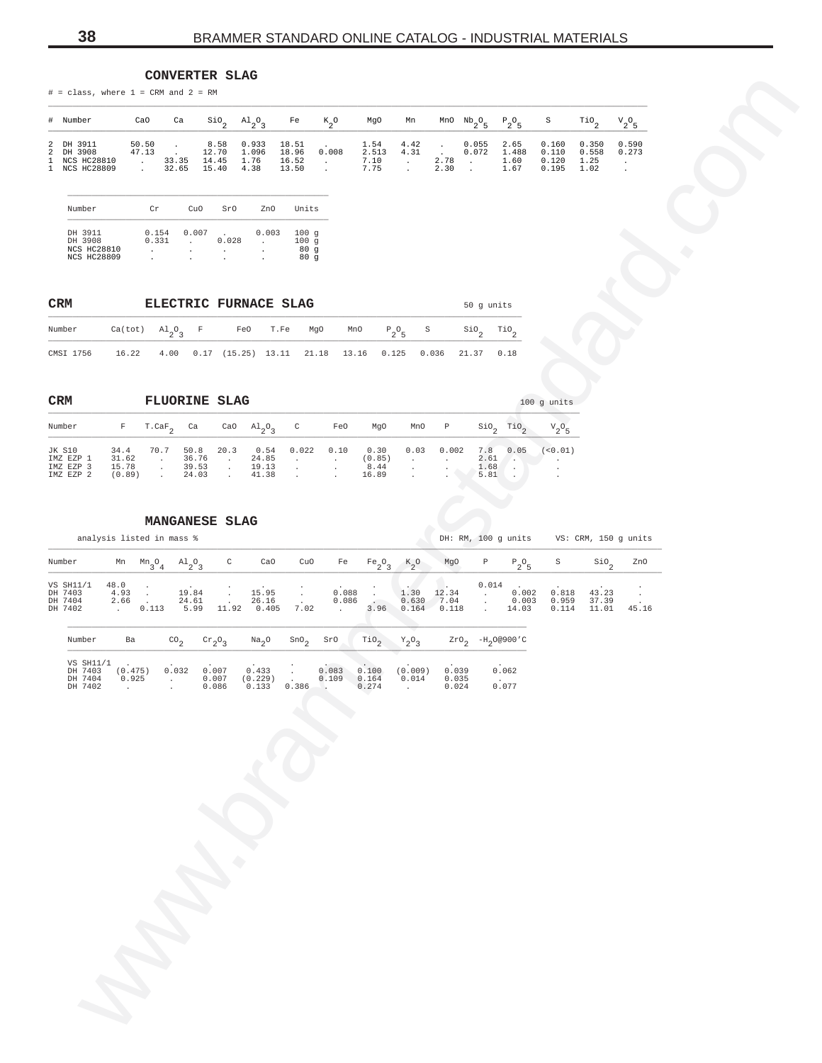<span id="page-37-0"></span>

| # Number                       |       |                                |             |                   | CaO Ca SiO <sub>,</sub> Al <sub>o</sub> O <sub>3</sub> Fe K <sub>2</sub> O MgO Mn MnONb <sub>2</sub> O <sub>E</sub> P <sub>2</sub> O <sub>E</sub> S |  |                            |                           |                | TiO <sub>2</sub> V <sub>2</sub> O <sub>5</sub> |                          |
|--------------------------------|-------|--------------------------------|-------------|-------------------|-----------------------------------------------------------------------------------------------------------------------------------------------------|--|----------------------------|---------------------------|----------------|------------------------------------------------|--------------------------|
| 2 DH 3911<br>2 DH 3908         |       | 47.13 . 12.70 1.096            | 18.96 0.008 |                   | $50.50$ , $8.58$ $0.933$ $18.51$ , $1.54$ $4.42$ , $0.055$<br>2.513 4.31 .                                                                          |  |                            | 2.65 0.160<br>0.072 1.488 | 0.110          | $0.350$ $0.590$<br>0.558                       | 0.273                    |
| 1 NCS HC28810<br>1 NCS HC28809 | 33.35 | 14.45 1.76<br>32.65 15.40 4.38 |             | 16.52.<br>13.50 . | 7.10.<br>7.75.                                                                                                                                      |  | 2.78 . 1.60<br>2.30 . 1.67 |                           | 0.120<br>0.195 | 1.25<br>1.02                                   | <b>Contract Contract</b> |

| Number                                   | CΥ             | CuO   | SrO   | 7nO   | Units               |
|------------------------------------------|----------------|-------|-------|-------|---------------------|
| DH 3911<br>DH 3908                       | 0.154<br>0.331 | 0.007 | 0.028 | 0.003 | 100a<br>100<br>q    |
| <b>NCS HC28810</b><br><b>NCS HC28809</b> | ٠              |       | ٠     | ٠     | 80<br>$\alpha$<br>a |

| <b>CRM</b>                                                                 |                                                                                             |  | <b>ELECTRIC FURNACE SLAG</b> |  |  | 50 q units |  |
|----------------------------------------------------------------------------|---------------------------------------------------------------------------------------------|--|------------------------------|--|--|------------|--|
| Number                                                                     | $Ca(tot)$ $Al_{2}O_{2}$ F are T.Fe MgO MnO $P_{2}O_{6}$ S SiO <sub>2</sub> TiO <sub>2</sub> |  |                              |  |  |            |  |
| CMSI 1756 16.22 4.00 0.17 (15.25) 13.11 21.18 13.16 0.125 0.036 21.37 0.18 |                                                                                             |  |                              |  |  |            |  |

| <b>CRM</b>                                    |                                  | <b>FLUORINE SLAG</b> |                                 |      |                                            |       |      |                                 |                      |       |                             |      | $100$ q units |
|-----------------------------------------------|----------------------------------|----------------------|---------------------------------|------|--------------------------------------------|-------|------|---------------------------------|----------------------|-------|-----------------------------|------|---------------|
| Number                                        | F                                | T.CaF                | Ca                              | CaO  | $\mathrm{Al}_{\alpha} \mathrm{O}_{\alpha}$ | C     | FeO  | MqO                             | MnO                  | Ρ     | SiO                         | TiO  | $V_2O_5$      |
| JK S10<br>IMZ EZP 1<br>IMZ EZP 3<br>IMZ EZP 2 | 34.4<br>31.62<br>15.78<br>(0.89) | 70.7                 | 50.8<br>36.76<br>39.53<br>24.03 | 20.3 | 0.54<br>24.85<br>19.13<br>41.38            | 0.022 | 0.10 | 0.30<br>(0.85)<br>8.44<br>16.89 | 0.03<br>$\mathbf{r}$ | 0.002 | 7.8<br>2.61<br>1.68<br>5.81 | 0.05 | < 0.01        |

|        | $#$ = class, where $1$ = CRM and $2$ = RM            |                                 |                                                         |                                          |                                      | COMARTEUR STURR                 |                                                     |                                  |                                                       |                               |                                                |                                     |                                               |                                              |                                  |                         |                                 |                                          |  |
|--------|------------------------------------------------------|---------------------------------|---------------------------------------------------------|------------------------------------------|--------------------------------------|---------------------------------|-----------------------------------------------------|----------------------------------|-------------------------------------------------------|-------------------------------|------------------------------------------------|-------------------------------------|-----------------------------------------------|----------------------------------------------|----------------------------------|-------------------------|---------------------------------|------------------------------------------|--|
|        | # Number                                             |                                 | CaO                                                     | Ca                                       |                                      | $\mathsf{SiO}_2$                | $A1_{2}O_3$                                         | Fe                               | $\kappa_{2}$ o                                        | MgO                           | Mn                                             |                                     | MnO $Nb_2O_5$                                 | $\mathbb{P}_2\mathbb{O}_5$                   | S                                |                         | $\mathcal{I}^{10}$ <sub>2</sub> | ${\rm v}_{2}^{\rm ~o}{}_{5}$             |  |
| 2<br>1 | 2 DH 3911<br>DH 3908<br>NCS HC28810<br>1 NCS HC28809 |                                 | 50.50<br>47.13<br>$\sim 100$ km s $^{-1}$<br>$\sim 100$ | $\sim$<br>$\sim$<br>33.35<br>32.65       |                                      | 8.58<br>12.70<br>14.45<br>15.40 | 0.933<br>1.096<br>1.76<br>4.38                      | 18.51<br>18.96<br>16.52<br>13.50 | $\sim$<br>0.008<br>$\sim 100$ km s $^{-1}$<br>$\cdot$ | 1.54<br>2.513<br>7.10<br>7.75 | 4.42<br>4.31<br>$\sim$<br>$\ddot{\phantom{a}}$ | $\sim$<br>$\overline{2.78}$<br>2.30 | 0.055<br>0.072<br><b>Contractor</b><br>$\sim$ | 2.65<br>1.488<br>1.60<br>1.67                | 0.160<br>0.110<br>0.120<br>0.195 |                         | 0.350<br>0.558<br>1.25<br>1.02  | 0.590<br>0.273<br>$\sim$ $-$<br>$\cdot$  |  |
|        | Number                                               |                                 | Cr                                                      |                                          | CuO                                  | SrO                             | ZnO                                                 | Units                            |                                                       |                               |                                                |                                     |                                               |                                              |                                  |                         |                                 |                                          |  |
|        | DH 3911<br>DH 3908<br>NCS HC28810<br>NCS HC28809     |                                 | $\sim$<br>$\cdot$                                       | 0.154<br>0.331                           | 0.007<br>$\sim$<br>$\cdot$<br>$\sim$ | $\sim$<br>0.028<br>$\cdot$      | 0.003<br>$\sim$<br>$\blacksquare$<br>$\blacksquare$ | 100g<br>100g<br>80 g<br>80 g     |                                                       |                               |                                                |                                     |                                               |                                              |                                  |                         |                                 |                                          |  |
|        | CRM                                                  |                                 |                                                         |                                          |                                      |                                 | ELECTRIC FURNACE SLAG                               |                                  |                                                       |                               |                                                |                                     |                                               | 50 g units                                   |                                  |                         |                                 |                                          |  |
|        | Number                                               | $Ca(tot)$ $Al_2O_3$             |                                                         |                                          | $\mathbb{F}$                         |                                 | FeO                                                 | T.Fe                             | MgO                                                   | MnO                           | $P_2O_5$<br>$\rm S$                            |                                     | $\mathop{\mathsf{Si0}}\nolimits_2$            | $\mathop{\text{rio}}\nolimits_2$             |                                  |                         |                                 |                                          |  |
|        | CMSI 1756                                            | 16.22                           |                                                         |                                          |                                      |                                 | 4.00  0.17  (15.25)  13.11  21.18                   |                                  |                                                       | 13.16                         | 0.125                                          | 0.036                               |                                               | 21.37 0.18                                   |                                  |                         |                                 |                                          |  |
|        | CRM                                                  |                                 |                                                         |                                          |                                      | <b>FLUORINE SLAG</b>            |                                                     |                                  |                                                       |                               |                                                |                                     |                                               |                                              | $100$ g units                    |                         |                                 |                                          |  |
|        | Number                                               | $\mathbf F$                     |                                                         | $T.CaF_2$ Ca                             |                                      |                                 | CaO $\text{Al}_2\text{O}_3$                         | $\mathbb{C}$                     | FeO                                                   | MgO                           | MnO                                            | $\mathbb P$                         |                                               | $\sin^2 2$ Tio <sub>2</sub>                  | ${\rm v}_{2}^{\rm o}{}_{5}$      |                         |                                 |                                          |  |
|        | JK S10<br>IMZ EZP 1<br>IMZ EZP 3                     | 34.4<br>31.62<br>15.78          |                                                         | 70.7<br>$\sim 100$                       | 50.8<br>36.76<br>39.53               | 20.3<br>$\sim 100$              | 0.54<br>24.85<br>19.13                              | 0.022<br>$\sim 100$              | 0.10<br>$\sim$                                        | 0.30<br>(0.85)<br>$8.44\,$    | 0.03<br>$\sim$                                 | 0.002<br>$\sim$                     |                                               | 7.8<br>0.05<br>2.61<br>$\rightarrow$<br>1.68 | (<0.01)<br>$\sim$ 100 $\mu$      |                         |                                 |                                          |  |
|        | IMZ EZP 2                                            | (0.89)                          |                                                         | $\sim$ $\sim$<br>$\sim 100$ km s $^{-1}$ | 24.03                                | $\frac{1}{\sqrt{2}}$            | 41.38                                               | $\sim$<br>$\sim$                 | $\cdot$<br>$\ddot{\phantom{a}}$                       | 16.89                         | $\bullet$<br>$\cdot$                           | $\cdot$                             |                                               | A.<br>5.81<br>$\sim$                         | $\ddot{\phantom{a}}$             |                         |                                 |                                          |  |
|        |                                                      |                                 |                                                         |                                          |                                      | MANGANESE SLAG                  |                                                     |                                  |                                                       |                               |                                                |                                     |                                               |                                              |                                  |                         |                                 |                                          |  |
|        | analysis listed in mass %                            |                                 |                                                         |                                          |                                      |                                 |                                                     |                                  |                                                       |                               |                                                |                                     |                                               |                                              |                                  |                         |                                 | DH: RM, 100 g units VS: CRM, 150 g units |  |
|        | Number                                               |                                 |                                                         | Mn $Mn_3O_4$ $Al_2O_3$                   |                                      | $\mathtt{C}$                    | CaO                                                 | CuO                              | Fe                                                    | $Fe_2O_3$                     | $k_{2}^{\circ}$                                | MgO                                 | Ρ                                             | $P_2O_5$                                     | S                                |                         | $\sin^2$                        | ZnO                                      |  |
|        | VS SH11/1<br>DH 7403<br>DH 7404<br>DH 7402           | 48.0<br>4.93<br>2.66<br>. 0.113 | $\sim$<br>$\sim$ $\sim$                                 |                                          | 19.84<br>24.61<br>5.99               | $\cdot$<br>$\cdot$<br>11.92     | 15.95<br>26.16<br>0.405                             | $\sim$<br>7.02                   | 0.088<br>0.086<br><b>Contractor</b>                   | $\sim$                        | 1.30<br>0.630<br>3.96 0.164                    | 12.34<br>7.04<br>0.118              | $\sim$<br>$\cdot$<br>$\Box$                   | 0.014<br>0.002<br>0.003<br>14.03             |                                  | 0.818<br>0.959<br>0.114 | 43.23<br>37.39<br>11.01         | $\cdot$<br>$\sim 10$<br>45.16            |  |
|        | Number                                               | Ba                              |                                                         | $\text{CO}_2$                            |                                      | $\mathrm{cr}_2\mathrm{O}_3$     | Na <sub>2</sub> O                                   | SnO <sub>2</sub>                 | SrO                                                   | TiO <sub>2</sub>              | $Y_2O_3$                                       |                                     |                                               | $ZrO_2$ -H <sub>2</sub> 0@900'C              |                                  |                         |                                 |                                          |  |
|        | VS SH11/1<br>DH 7403<br>DH 7404                      | (0.475)<br>0.925                |                                                         |                                          | 0.032 0.007                          | 0.007                           | 0.433                                               |                                  | 0.083 0.100<br>0.109                                  | 0.164                         | (0.009)<br>0.014                               | 0.039<br>0.035                      |                                               | 0.062                                        |                                  |                         |                                 |                                          |  |
|        | DH 7402                                              | $\sim$                          |                                                         |                                          |                                      | 0.086                           | $(0.229)$ .<br>0.133 0.386                          |                                  |                                                       | 0.274                         | $\ddot{\phantom{a}}$                           | 0.024                               |                                               | 0.077                                        |                                  |                         |                                 |                                          |  |
|        |                                                      |                                 |                                                         |                                          |                                      |                                 |                                                     |                                  |                                                       |                               |                                                |                                     |                                               |                                              |                                  |                         |                                 |                                          |  |
|        |                                                      |                                 |                                                         |                                          |                                      |                                 |                                                     |                                  |                                                       |                               |                                                |                                     |                                               |                                              |                                  |                         |                                 |                                          |  |
|        |                                                      |                                 |                                                         |                                          |                                      |                                 |                                                     |                                  |                                                       |                               |                                                |                                     |                                               |                                              |                                  |                         |                                 |                                          |  |
|        |                                                      |                                 |                                                         |                                          |                                      |                                 |                                                     |                                  |                                                       |                               |                                                |                                     |                                               |                                              |                                  |                         |                                 |                                          |  |
|        |                                                      |                                 |                                                         |                                          |                                      |                                 |                                                     |                                  |                                                       |                               |                                                |                                     |                                               |                                              |                                  |                         |                                 |                                          |  |
|        |                                                      |                                 |                                                         |                                          |                                      |                                 |                                                     |                                  |                                                       |                               |                                                |                                     |                                               |                                              |                                  |                         |                                 |                                          |  |
|        |                                                      |                                 |                                                         |                                          |                                      |                                 |                                                     |                                  |                                                       |                               |                                                |                                     |                                               |                                              |                                  |                         |                                 |                                          |  |
|        |                                                      |                                 |                                                         |                                          |                                      |                                 |                                                     |                                  |                                                       |                               |                                                |                                     |                                               |                                              |                                  |                         |                                 |                                          |  |
|        |                                                      |                                 |                                                         |                                          |                                      |                                 |                                                     |                                  |                                                       |                               |                                                |                                     |                                               |                                              |                                  |                         |                                 |                                          |  |
|        |                                                      |                                 |                                                         |                                          |                                      |                                 |                                                     |                                  |                                                       |                               |                                                |                                     |                                               |                                              |                                  |                         |                                 |                                          |  |
|        |                                                      |                                 |                                                         |                                          |                                      |                                 |                                                     |                                  |                                                       |                               |                                                |                                     |                                               |                                              |                                  |                         |                                 |                                          |  |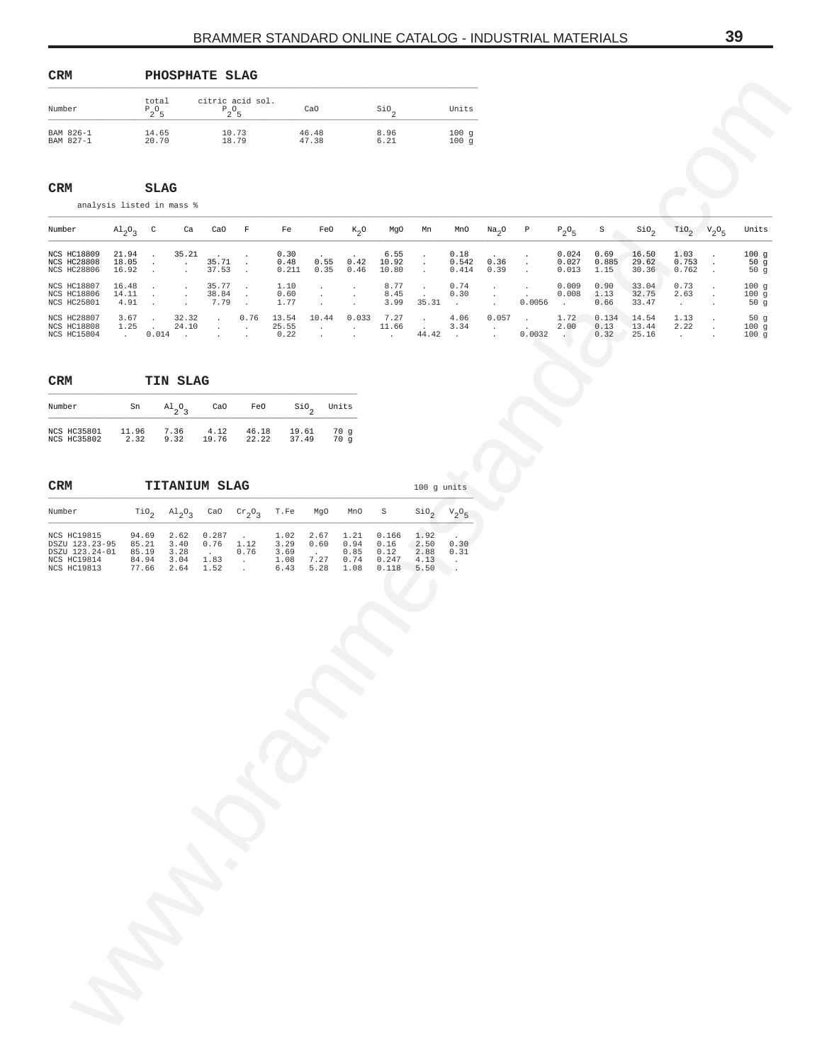<span id="page-38-0"></span>

| <b>CRM</b>             |                   | PHOSPHATE SLAG               |                |              |              |
|------------------------|-------------------|------------------------------|----------------|--------------|--------------|
| Number                 | total<br>$P_2O_5$ | citric acid sol.<br>$P_2O_5$ | CaO            | SiO          | Units        |
| BAM 826-1<br>BAM 827-1 | 14.65<br>20.70    | 10.73<br>18.79               | 46.48<br>47.38 | 8.96<br>6.21 | 100g<br>100g |

| <b>CRM</b> | <b>SLAG</b> |
|------------|-------------|
|            |             |

| Number                                                                        |                                   | total<br>$P_2O_5$                         |                                                          | citric acid sol.                                                        | $P_2O_5$                                                |                                      | CaO                                             |                                                                                       | $\mathsf{SiO}_2$                        |                                             | Units                                     |                                                |                                                        |                          |                       |                         |                                 |                                            |                                            |
|-------------------------------------------------------------------------------|-----------------------------------|-------------------------------------------|----------------------------------------------------------|-------------------------------------------------------------------------|---------------------------------------------------------|--------------------------------------|-------------------------------------------------|---------------------------------------------------------------------------------------|-----------------------------------------|---------------------------------------------|-------------------------------------------|------------------------------------------------|--------------------------------------------------------|--------------------------|-----------------------|-------------------------|---------------------------------|--------------------------------------------|--------------------------------------------|
| BAM 826-1<br>BAM 827-1                                                        |                                   | 14.65<br>20.70                            |                                                          |                                                                         | 10.73<br>18.79                                          |                                      | 46.48<br>47.38                                  |                                                                                       | 8.96<br>6.21                            |                                             | 100g<br>100g                              |                                                |                                                        |                          |                       |                         |                                 |                                            |                                            |
| CRM<br>analysis listed in mass %                                              |                                   | <b>SLAG</b>                               |                                                          |                                                                         |                                                         |                                      |                                                 |                                                                                       |                                         |                                             |                                           |                                                |                                                        |                          |                       |                         |                                 |                                            |                                            |
| Number                                                                        | $\mathrm{Al}_{2}\mathrm{O}_{3}$ C |                                           | Ca                                                       | CaO                                                                     | $-$ F $\,$                                              | Fe                                   | FeO                                             | $K_2O$                                                                                | MgO                                     | Mn                                          | MnO                                       | Na <sub>2</sub> O                              | $\,$ P                                                 | $P_2O_5$                 | S                     | $\sin_2$                | $\text{rio}_2$                  | $V_2O_5$                                   | Units                                      |
| NCS HC18809<br>NCS HC28808<br>NCS HC28806                                     | 21.94<br>18.05<br>16.92           | $\sim$<br>$\sim$<br>$\sim$                | 35.21<br>$\sim 100$ km s $^{-1}$<br>$\ddot{\phantom{a}}$ | 35.71<br>37.53                                                          | $\cdot$<br>$\Box$<br>$\sim$                             | 0.30<br>0.48<br>0.211                | 0.55<br>0.35                                    | 0.42<br>0.46                                                                          | 6.55<br>10.92<br>10.80                  | $\blacksquare$<br>$\blacksquare$<br>$\cdot$ | 0.18<br>0.542<br>0.414                    | 0.36<br>0.39                                   | $\cdot$<br>$\bullet$<br>$\mathcal{L}$                  | 0.024<br>0.027<br>0.013  | 0.69<br>0.885<br>1.15 | 16.50<br>29.62<br>30.36 | 1.03<br>0.753<br>0.762          | $\ddot{\phantom{0}}$<br>$\cdot$            | 100g<br>50 <sub>g</sub><br>50 <sub>g</sub> |
| NCS HC18807<br>NCS HC18806<br>NCS HC25801                                     | 16.48<br>14.11<br>4.91            | $\sim$<br>$\sim$<br>$\sim$ $\sim$         | $\cdot$<br>$\cdot$<br>$\cdot$                            | 35.77<br>38.84<br>7.79                                                  | $\Box$<br>$\sim$<br>$\sim$                              | 1.10<br>0.60<br>1.77                 | $\cdot$<br>$\cdot$<br>$\cdot$                   | $\cdot$<br>$\cdot$<br>$\cdot$                                                         | 8.77<br>8.45<br>3.99                    | $\cdot$<br>$\cdot$<br>35.31                 | 0.74<br>0.30<br>$\sim$ $-$                | $\cdot$<br>$\cdot$<br>$\cdot$                  | $\ddot{\phantom{a}}$<br>$\ddot{\phantom{a}}$<br>0.0056 | 0.009<br>0.008<br>$\sim$ | 0.90<br>1.13<br>0.66  | 33.04<br>32.75<br>33.47 | 0.73<br>2.63<br>$\sim$          | $\ddot{\phantom{0}}$<br>$\cdot$            | 100g<br>100g<br>50g                        |
| NCS HC28807<br><b>NCS HC18808</b><br>NCS HC15804                              | 3.67                              | $\sim 10^{-1}$<br>$1.25$ .                | 32.32<br>24.10<br>$0.014$ .                              | $\sim 100$<br>$\sim 100$ km s $^{-1}$<br>$\sim$                         | 0.76<br>$\sim 100$ km s $^{-1}$<br>$\ddot{\phantom{a}}$ | 13.54<br>25.55<br>0.22               | 10.44<br>$\sim 100$ km s $^{-1}$<br>$\sim$      | 0.033<br><b>Carl Corp.</b><br>$\cdot$                                                 | 7.27<br>11.66<br>$\sim$                 | $\cdot$<br>$\sim$<br>44.42                  | 4.06<br>3.34<br>$\sim 10^{-11}$           | 0.057<br>$\sim$<br>$\mathcal{L}^{\mathcal{L}}$ | $\sim$<br>0.0032                                       | 1.72<br>2.00<br>$\sim$   | 0.134<br>0.13<br>0.32 | 14.54<br>13.44<br>25.16 | 1.13<br>2.22<br><b>Contract</b> | $\cdot$<br>$\cdot$<br>$\ddot{\phantom{a}}$ | 50 <sub>g</sub><br>100g<br>100g            |
| $\mathtt{CRM}$                                                                |                                   |                                           | TIN SLAG                                                 |                                                                         |                                                         |                                      |                                                 |                                                                                       |                                         |                                             |                                           |                                                |                                                        |                          |                       |                         |                                 |                                            |                                            |
| Number                                                                        | Sn                                |                                           | $\mathrm{^{Al}_{2}O_{3}}$                                | CaO                                                                     | FeO                                                     |                                      | $\mathsf{Sio}_2$                                | Units                                                                                 |                                         |                                             |                                           |                                                |                                                        |                          |                       |                         |                                 |                                            |                                            |
| <b>NCS HC35801</b><br>NCS HC35802                                             | 11.96<br>2.32                     |                                           | 7.36<br>9.32                                             | 4.12<br>19.76                                                           | 46.18<br>22.22                                          |                                      | 19.61<br>37.49                                  | 70 g<br>70g                                                                           |                                         |                                             |                                           |                                                |                                                        |                          |                       |                         |                                 |                                            |                                            |
| CRM                                                                           |                                   |                                           |                                                          | <b>TITANIUM SLAG</b>                                                    |                                                         |                                      |                                                 |                                                                                       |                                         | 100 g units                                 |                                           |                                                |                                                        |                          |                       |                         |                                 |                                            |                                            |
| Number                                                                        |                                   |                                           |                                                          | $\text{TiO}_2$ $\text{Al}_2\text{O}_3$ CaO $\text{Cr}_2\text{O}_3$ T.Fe |                                                         |                                      | MgO                                             | MnO                                                                                   | $\rm S$                                 |                                             | $\sin^2 2$ $V_2O_5$                       |                                                |                                                        |                          |                       |                         |                                 |                                            |                                            |
| NCS HC19815<br>DSZU 123.23-95<br>DSZU 123.24-01<br>NCS HC19814<br>NCS HC19813 |                                   | 94.69<br>85.21<br>85.19<br>84.94<br>77.66 | 2.62<br>3.40<br>3.28<br>3.04<br>2.64                     | 0.287<br>0.76<br>$\sim 10^{-10}$<br>1.83<br>1.52                        | 1.12<br>0.76<br>$\sim 100$ km s $^{-1}$<br>$\sim 10$    | 1.02<br>3.29<br>3.69<br>1.08<br>6.43 | 2.67<br>0.60<br>$\sim 10^{-11}$<br>7.27<br>5.28 | 1.21<br>$\ensuremath{0}$ . $\ensuremath{9} \, \ensuremath{4}$<br>0.85<br>0.74<br>1.08 | 0.166<br>0.16<br>0.12<br>0.247<br>0.118 | 1.92<br>2.50<br>2.88<br>4.13<br>5.50        | 0.30<br>0.31<br>$\sim$<br>$\rightarrow$ . |                                                |                                                        |                          |                       |                         |                                 |                                            |                                            |
|                                                                               |                                   |                                           |                                                          |                                                                         |                                                         |                                      |                                                 |                                                                                       |                                         |                                             |                                           |                                                |                                                        |                          |                       |                         |                                 |                                            |                                            |
|                                                                               |                                   |                                           |                                                          |                                                                         |                                                         |                                      |                                                 |                                                                                       |                                         |                                             |                                           |                                                |                                                        |                          |                       |                         |                                 |                                            |                                            |
|                                                                               |                                   |                                           |                                                          |                                                                         |                                                         |                                      |                                                 |                                                                                       |                                         |                                             |                                           |                                                |                                                        |                          |                       |                         |                                 |                                            |                                            |
|                                                                               |                                   |                                           |                                                          |                                                                         |                                                         |                                      |                                                 |                                                                                       |                                         |                                             |                                           |                                                |                                                        |                          |                       |                         |                                 |                                            |                                            |
|                                                                               |                                   |                                           |                                                          |                                                                         |                                                         |                                      |                                                 |                                                                                       |                                         |                                             |                                           |                                                |                                                        |                          |                       |                         |                                 |                                            |                                            |
|                                                                               |                                   |                                           |                                                          |                                                                         |                                                         |                                      |                                                 |                                                                                       |                                         |                                             |                                           |                                                |                                                        |                          |                       |                         |                                 |                                            |                                            |
|                                                                               |                                   |                                           |                                                          |                                                                         |                                                         |                                      |                                                 |                                                                                       |                                         |                                             |                                           |                                                |                                                        |                          |                       |                         |                                 |                                            |                                            |
|                                                                               | N N                               |                                           |                                                          |                                                                         |                                                         |                                      |                                                 |                                                                                       |                                         |                                             |                                           |                                                |                                                        |                          |                       |                         |                                 |                                            |                                            |
|                                                                               |                                   |                                           |                                                          |                                                                         |                                                         |                                      |                                                 |                                                                                       |                                         |                                             |                                           |                                                |                                                        |                          |                       |                         |                                 |                                            |                                            |
|                                                                               |                                   |                                           |                                                          |                                                                         |                                                         |                                      |                                                 |                                                                                       |                                         |                                             |                                           |                                                |                                                        |                          |                       |                         |                                 |                                            |                                            |

#### $\texttt{CRM}$ **CRM TIN SLAG**

| Number             | Sn    | $A1_{0}$ | CaO   | FeO   | SiO.  | Units |
|--------------------|-------|----------|-------|-------|-------|-------|
| <b>NCS HC35801</b> | 11.96 | 7.36     | 4.12  | 46.18 | 19.61 | 70 a  |
| <b>NCS HC35802</b> | 2.32  | 9.32     | 19.76 | 22.22 | 37.49 | 70 α  |

#### **CRM TITANIUM SLAG** 100 g units \_\_\_\_\_\_\_\_\_\_\_\_\_\_\_\_\_\_\_\_\_\_\_\_\_\_\_\_\_\_\_\_\_\_\_\_\_\_\_\_\_\_\_\_\_\_\_\_\_\_\_\_\_\_\_\_\_\_\_\_\_\_\_\_\_\_\_\_\_\_\_\_\_\_\_\_\_\_\_\_\_\_\_\_\_\_\_\_

| <b>NCS HC19815</b> | 94.69 | 2.62 | 0.287 |      | 1.02 | 2.67 | 1.21 | 0.166 | 1.92  |      |
|--------------------|-------|------|-------|------|------|------|------|-------|-------|------|
| DSZU 123.23-95     | 85.21 | 3.40 | 0.76  | 1.12 | 3.29 | 0.60 | 0.94 | 0.16  | 2.50  | 0.30 |
| DSZU 123.24-01     | 85.19 | 3.28 |       | 0.76 | 3.69 |      | 0.85 | 0.12  | 2.88  | 0.31 |
| <b>NCS HC19814</b> | 84.94 | 3.04 | 1.83  |      | 1.08 | 7.27 | 0.74 | 0.247 | 4 1 3 |      |
| <b>NCS HC19813</b> | 77.66 | 2.64 | 1.52  |      | 6.43 | 5.28 | 1.08 | 0.118 | 5.50  |      |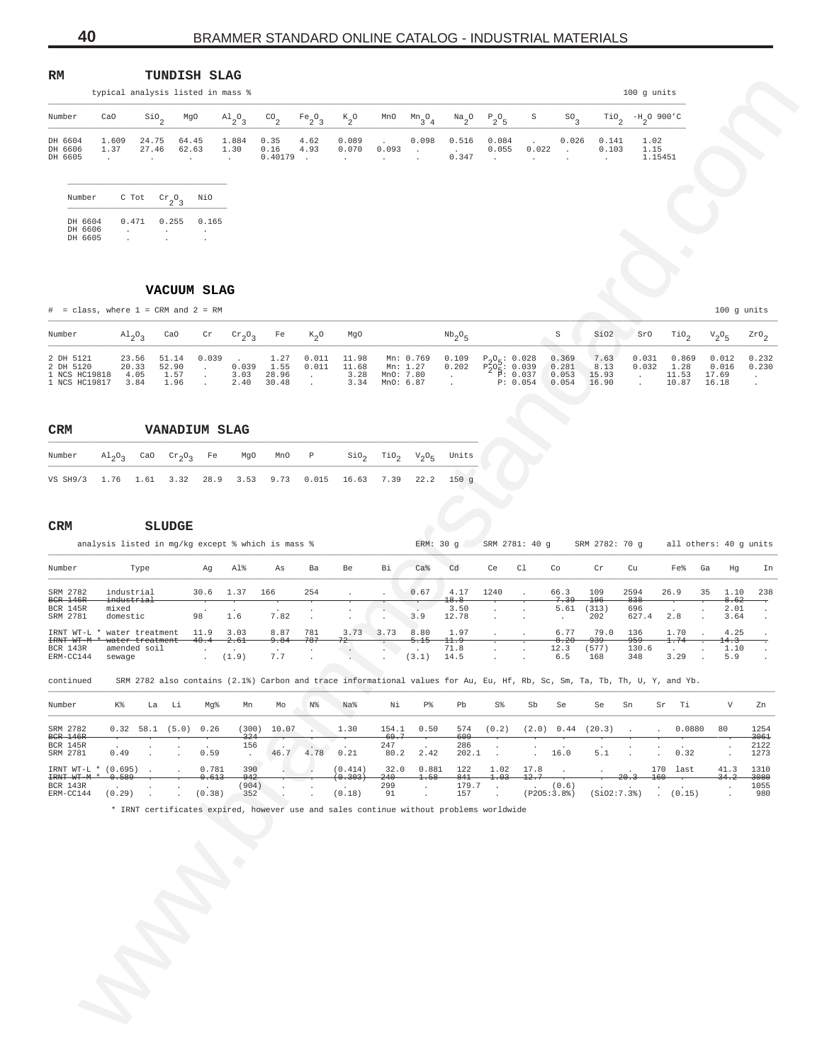<span id="page-39-0"></span>

| RM                            |                                   |                                                       | <b>TUNDISH SLAG</b>                    |                         |                         |                                |                                |                                 |                                         |                             |                                        |                           |                            |                                        |                         |
|-------------------------------|-----------------------------------|-------------------------------------------------------|----------------------------------------|-------------------------|-------------------------|--------------------------------|--------------------------------|---------------------------------|-----------------------------------------|-----------------------------|----------------------------------------|---------------------------|----------------------------|----------------------------------------|-------------------------|
|                               | typical analysis listed in mass % |                                                       |                                        |                         |                         |                                |                                |                                 |                                         |                             |                                        |                           |                            |                                        | $100$ g units           |
| Number                        | CaO                               | $\sin \theta_2$                                       | MgO                                    | $A1_{2}O_3$             | $^{CO}$ <sub>2</sub>    | Fe <sub>2</sub> O <sub>3</sub> | $k_{2}^{\circ}$                | MnO                             | $Mn_{3}O_{4}$                           | $\frac{Na}{2}$ <sup>0</sup> | $P_2O_5$                               | S                         | SO <sub>3</sub>            | $\mathcal{I}^{10}$                     | $-H_2^{\ 0\ 900'C}$     |
| DH 6604<br>DH 6606<br>DH 6605 | 1.609<br>1.37<br>$\sim$           | 24.75<br>27.46<br>$\cdot$                             | 64.45<br>62.63<br>$\overline{a}$       | 1.884<br>1.30<br>$\sim$ | 0.35<br>0.16<br>0.40179 | 4.62<br>4.93<br>$\sim$         | 0.089<br>0.070<br>$\mathbf{r}$ | $\sim$<br>0.093<br>$\mathbf{r}$ | 0.098<br>$\sim$<br>$\ddot{\phantom{a}}$ | 0.516<br>$\sim$<br>0.347    | 0.084<br>0.055<br>$\ddot{\phantom{a}}$ | $\sim$ 100 $\pm$<br>0.022 | 0.026<br>$\sim$<br>$\cdot$ | 0.141<br>0.103<br>$\ddot{\phantom{0}}$ | 1.02<br>1.15<br>1.15451 |
| Number                        |                                   | C Tot                                                 | $\mathrm{cr}_{2}\mathrm{O}_{3}$<br>NiO |                         |                         |                                |                                |                                 |                                         |                             |                                        |                           |                            |                                        |                         |
| DH 6604<br>DH 6606<br>DH 6605 | $\sim$<br>$\cdot$                 | 0.471<br>$\ddot{\phantom{0}}$<br>$\ddot{\phantom{1}}$ | 0.255<br>0.165<br>$\cdot$<br>$\cdot$   |                         |                         |                                |                                |                                 |                                         |                             |                                        |                           |                            |                                        |                         |

### **VACUUM SLAG**

| Number                                                             | $\mathrm{Al}_3\mathrm{O}_2$ CaO Cr Cr <sub>3</sub> O <sub>2</sub> Fe K <sub>3</sub> O MgO |  |  |  | $Nb_2O_E$ |                                                                                                                                                                                                                                                                                                                                                                                                                 |  |  | Si02 Sr0 Ti0 <sub>2</sub> $V_2O_F$ Zr0 <sub>2</sub> |  |
|--------------------------------------------------------------------|-------------------------------------------------------------------------------------------|--|--|--|-----------|-----------------------------------------------------------------------------------------------------------------------------------------------------------------------------------------------------------------------------------------------------------------------------------------------------------------------------------------------------------------------------------------------------------------|--|--|-----------------------------------------------------|--|
| 2 DH 5121<br>2 DH 5120<br>1 NCS HC19818<br>1 NCS HC19817 3.84 1.96 | 20.33 52.90 .                                                                             |  |  |  |           | 23.56 51.14 0.039 . 1.27 0.011 11.98 Mm: 0.769 0.109 P <sub>o</sub> o <sub>c</sub> : 0.028 0.369 7.63 0.031 0.869 0.012 0.232<br>$20.33$ 52.90 . 0.039 1.55 0.011 11.68 Mm: 1.27 0.202 $P_2^{20.5}$ : 0.039 0.281 8.13 0.032 1.28 0.016 0.230<br>4.05 1.57 . 3.03 28.96 . 3.28 Mm0: 7.80 . $P_2^{20.5}$ : 0.037 0.053 15.93 . 11.53 17.69 .<br>2.40 30.48 . 3.34 MmO: 6.87 . P: 0.054 0.054 16.90 . 10.87 16.18 |  |  |                                                     |  |

| <b>CRM</b>                                                                                                                                    |  | VANADIUM SLAG |  |  |  |  |
|-----------------------------------------------------------------------------------------------------------------------------------------------|--|---------------|--|--|--|--|
| Number $\text{Al}_2\text{O}_3$ CaO $\text{Cr}_2\text{O}_3$ Fe MgO MnO P SiO <sub>2</sub> TiO <sub>2</sub> V <sub>2</sub> O <sub>5</sub> Units |  |               |  |  |  |  |
| VS SH9/3 1.76 1.61 3.32 28.9 3.53 9.73 0.015 16.63 7.39 22.2 150 g                                                                            |  |               |  |  |  |  |

|                                                                                                                   | typical analysis listed in mass %                                                                                         |                                        |                                |                                  |                                             |                                                                                               |                                                 |                                                                |                               |                                                         |                                                                     |                                                                                                                                                                         |                               |                                                                                 |                                                                                                             | 100 g units                                                                |                                            |                                                                                                         |                                      |
|-------------------------------------------------------------------------------------------------------------------|---------------------------------------------------------------------------------------------------------------------------|----------------------------------------|--------------------------------|----------------------------------|---------------------------------------------|-----------------------------------------------------------------------------------------------|-------------------------------------------------|----------------------------------------------------------------|-------------------------------|---------------------------------------------------------|---------------------------------------------------------------------|-------------------------------------------------------------------------------------------------------------------------------------------------------------------------|-------------------------------|---------------------------------------------------------------------------------|-------------------------------------------------------------------------------------------------------------|----------------------------------------------------------------------------|--------------------------------------------|---------------------------------------------------------------------------------------------------------|--------------------------------------|
| Number                                                                                                            | CaO                                                                                                                       | $\frac{\text{SiO}}{2}$                 |                                | MgO                              | $A1_{2}O_{3}$                               | $^{CO}$ <sub>2</sub>                                                                          | $Fe_2O_3$                                       | $K_2^o$                                                        | MnO                           | $Mn_{3}O_{4}$                                           | $\frac{Na}{2}$ <sup>O</sup>                                         | $P_2O_5$                                                                                                                                                                | S                             | SO <sub>3</sub>                                                                 | $\mathbb{T}^{i}$ <sup>2</sup>                                                                               | $-H_2^{\ 0\ 900 C}$                                                        |                                            |                                                                                                         |                                      |
| DH 6604<br>DH 6606<br>DH 6605                                                                                     | 1.609<br>1.37                                                                                                             | 24.75<br>27.46<br>$\ddot{\phantom{a}}$ |                                | 64.45<br>62.63<br>$\Delta$       | 1.884<br>1.30<br>$\ddot{\phantom{a}}$       | 0.35<br>0.16<br>$0.40179$ .                                                                   | 4.62<br>4.93                                    | 0.089<br>0.070                                                 | 0.093<br>$\ddot{\phantom{a}}$ | 0.098<br>$\cdot$                                        | 0.516<br>$\sim$<br>0.347                                            | 0.084<br>0.055<br>$\cdot$                                                                                                                                               | 0.022<br>$\ddot{\phantom{a}}$ | 0.026<br>$\sim$                                                                 | 0.141<br>0.103<br>$\ddot{\phantom{a}}$                                                                      | 1.02<br>1.15                                                               | 1.15451                                    |                                                                                                         |                                      |
| Number                                                                                                            | C Tot                                                                                                                     |                                        | $\mathrm{cr}_2\mathrm{O}_3$    | NiO                              |                                             |                                                                                               |                                                 |                                                                |                               |                                                         |                                                                     |                                                                                                                                                                         |                               |                                                                                 |                                                                                                             |                                                                            |                                            |                                                                                                         |                                      |
| DH 6604<br>DH 6606<br>DH 6605                                                                                     | 0.471                                                                                                                     |                                        | 0.255                          | 0.165                            |                                             |                                                                                               |                                                 |                                                                |                               |                                                         |                                                                     |                                                                                                                                                                         |                               |                                                                                 |                                                                                                             |                                                                            |                                            |                                                                                                         |                                      |
|                                                                                                                   | $\#$ = class, where $1$ = CRM and $2$ = RM                                                                                |                                        |                                | VACUUM SLAG                      |                                             |                                                                                               |                                                 |                                                                |                               |                                                         |                                                                     |                                                                                                                                                                         |                               |                                                                                 |                                                                                                             |                                                                            |                                            | 100 g units                                                                                             |                                      |
| Number                                                                                                            | $A1_{2}O_{3}$                                                                                                             |                                        | CaO                            | Cr                               | $\mathrm{Cr}_2\mathrm{O}_3$                 | Fe                                                                                            | $K_2O$                                          | MgO                                                            |                               |                                                         | $Nb_2O_5$                                                           |                                                                                                                                                                         |                               | S                                                                               | Si02                                                                                                        | SrO                                                                        | TiO,                                       | $V_2O_5$                                                                                                | 2r0 <sub>2</sub>                     |
| 2 DH 5121<br>2 DH 5120<br>1 NCS HC19818<br>1 NCS HC19817                                                          | 20.33                                                                                                                     | 23.56<br>4.05<br>3.84                  | 51.14<br>52.90<br>1.57<br>1.96 | 0.039<br>$\sim$                  | 0.039<br>3.03<br>2.40                       | 1.27<br>1.55<br>28.96<br>30.48                                                                | 0.011<br>0.011<br>$\sim 10^{-11}$               | 11.98<br>11.68<br>3.28<br>3.34                                 | MnO: 7.80<br>MnO: 6.87        | Mn: 0.769<br>Mn: 1.27                                   | 0.109<br>0.202<br>$\sim$                                            | $\begin{array}{c} \mathbb{P}_2\mathbb{O}_5\!:\!\!\!\!\!\!&0.028\\ \mathbb{P}_2^2\mathbb{O}_5^5\!:\!\!\!\!\!\!&0.039\\ 2\cdot\!\!\!\!\!\!\!\!\!\!\!\!&0.037 \end{array}$ | P: 0.054                      | 0.369<br>0.281<br>0.053<br>0.054                                                | 7.63<br>8.13<br>15.93<br>16.90                                                                              | 0.031<br>0.032<br>$\sim$                                                   | 0.869<br>1.28<br>11.53<br>10.87            | 0.012<br>0.016<br>17.69<br>16.18                                                                        | 0.232<br>0.230<br>$\cdot$<br>$\cdot$ |
| CRM                                                                                                               |                                                                                                                           |                                        |                                | VANADIUM SLAG                    |                                             |                                                                                               |                                                 |                                                                |                               |                                                         |                                                                     |                                                                                                                                                                         |                               |                                                                                 |                                                                                                             |                                                                            |                                            |                                                                                                         |                                      |
| Number                                                                                                            | $A1_{2}O_{3}$                                                                                                             | CaO                                    | $\mathrm{Cr}_2\mathrm{O}_3$    | Fe                               | MgO                                         | MnO                                                                                           | Р                                               | $\mathop{\rm SiO}\nolimits_2$                                  | $\text{rio}_2$                | $V_2O_5$                                                | Units                                                               |                                                                                                                                                                         |                               |                                                                                 |                                                                                                             |                                                                            |                                            |                                                                                                         |                                      |
| $VS$ SH9/3                                                                                                        | 1.76                                                                                                                      | 1.61                                   | 3.32                           | 28.9                             | 3.53                                        | 9.73                                                                                          | 0.015                                           | 16.63                                                          | 7.39                          | 22.2                                                    | 150g                                                                |                                                                                                                                                                         |                               |                                                                                 |                                                                                                             |                                                                            |                                            |                                                                                                         |                                      |
| Number<br>SRM 2782<br><b>BCR 146R</b><br><b>BCR 145R</b><br>SRM 2781<br><b>IRNT WT-M</b><br>BCR 143R<br>ERM-CC144 | industrial<br>industrial<br>mixed<br>domestic<br>IRNT WT-L * water treatment<br>water treatment<br>amended soil<br>sewage | Type                                   |                                | Ag<br>30.6<br>98<br>11.9<br>40.4 | Al%<br>1.37<br>1.6<br>3.03<br>2.61<br>(1.9) | analysis listed in mg/kg except % which is mass %<br>As<br>166<br>7.82<br>8.87<br>9.84<br>7.7 | Ba<br>254<br>$\ddot{\phantom{a}}$<br>781<br>787 | Be<br>3.73<br>72                                               | Вi<br>3.73                    | Ca <sup>8</sup><br>0.67<br>3.9<br>8.80<br>5.15<br>(3.1) | Cd<br>4.17<br>18.8<br>3.50<br>12.78<br>1.97<br>11.9<br>71.8<br>14.5 | Ce<br>1240                                                                                                                                                              | C1                            | Co<br>66.3<br><del>7.39</del><br>5.61<br>$\cdot$<br>6.77<br>8.20<br>12.3<br>6.5 | ERM: 30 g SRM 2781: 40 g SRM 2782: 70 g<br>Cr<br>109<br>196<br>(313)<br>202<br>79.0<br>-939<br>(577)<br>168 | Cu<br>2594<br>838<br>696<br>627.4<br>136<br><del>959</del><br>130.6<br>348 | Fe%<br>26.9<br>2.8<br>1.70<br>1.74<br>3.29 | all others: 40 g units<br>Ga<br>Ηg<br>35<br>1.10<br>8.62<br>2.01<br>3.64<br>4.25<br>14.3<br>1.10<br>5.9 | In<br>238<br>÷                       |
| continued                                                                                                         |                                                                                                                           | SRM 2782                               | also                           | contains                         | (2.1%                                       | Carbon and                                                                                    |                                                 | trace informational values for Au, Eu, Hf, Rb, Sc, Sm, Ta, Tb, |                               |                                                         |                                                                     |                                                                                                                                                                         |                               |                                                                                 |                                                                                                             |                                                                            | Th, U, Y, and Yb.                          |                                                                                                         |                                      |
| Number                                                                                                            | K%                                                                                                                        |                                        | La Li                          | Mg%                              | Mn                                          | Mo                                                                                            | Ν%                                              | Na <sup>8</sup>                                                | Νi                            | $\mathbb{P}\,$                                          | Pb                                                                  | S%                                                                                                                                                                      | Sb                            | Se                                                                              | Se                                                                                                          | ${\rm Sn}$                                                                 | Sr<br>Тi                                   | V                                                                                                       | Zn                                   |
|                                                                                                                   |                                                                                                                           |                                        | $0.32$ 58.1 (5.0)              | 0.26                             | (300)<br>324<br>156                         | 10.07                                                                                         |                                                 | 1.30                                                           | 154.1<br>69.7<br>247          | 0.50                                                    | 574<br>609<br>286                                                   | (0.2)                                                                                                                                                                   |                               | $(2.0)$ 0.44 $(20.3)$                                                           |                                                                                                             | $\sim$                                                                     | 0.0880                                     | 80                                                                                                      | 1254<br>3061<br>2122                 |
| SRM 2782<br><b>BCR 146R</b><br><b>BCR 145R</b>                                                                    |                                                                                                                           |                                        |                                | 0.59<br>0.781                    | $\cdot$<br>390                              | 46.7                                                                                          | 4.78                                            | 0.21<br>(0.414)                                                | 80.2<br>32.0                  | 2.42<br>0.881<br>1.58                                   | 202.1<br>122<br>841                                                 | $\cdot$<br>1.02<br>1.03                                                                                                                                                 | 17.8<br>12.7                  | 16.0<br>$\cdot$                                                                 | $5.1\,$<br>$\cdot$                                                                                          | 20.3                                                                       | 0.32<br>170<br>last<br>160                 | 41.3<br>34.2                                                                                            | 1273<br>1310<br>3080                 |
| SRM 2781<br>IRNT WT-M<br><b>BCR 143R</b>                                                                          | 0.49<br>IRNT WT-L * (0.695)<br>0.589                                                                                      | $\ddot{\phantom{a}}$                   |                                | 0.613                            | 942<br>(904)                                |                                                                                               |                                                 | (0.303)                                                        | 240<br>299                    |                                                         | 179.7                                                               |                                                                                                                                                                         |                               | (0.6)                                                                           |                                                                                                             |                                                                            |                                            |                                                                                                         | 1055                                 |

| -------                | <u>.</u> | ---- | 1 J . V / | .     | $\cup$ $\cup$ $\cup$ | <b>LV.VI</b> |      | ----    | ----- | <u>.</u>                    | - - -       | , <del>.</del> ,  | 12.VI                         | .          | , |             |     | <u>.</u> | <u>UU</u> | ---- |
|------------------------|----------|------|-----------|-------|----------------------|--------------|------|---------|-------|-----------------------------|-------------|-------------------|-------------------------------|------------|---|-------------|-----|----------|-----------|------|
| <b>BCR 146R</b>        |          |      |           |       | 324                  |              |      |         | 69.7  |                             | 609         |                   |                               |            |   |             |     |          |           | 3061 |
|                        |          |      |           |       |                      |              |      |         |       |                             |             |                   |                               |            |   |             |     |          |           |      |
| <b>BCR 145R</b>        |          |      |           |       | 156                  |              |      |         | 247   |                             | 286         |                   |                               |            |   |             |     |          |           | 2122 |
| SRM 2781               | 0.49     |      |           | 0.59  |                      | 46.7         | 4.78 | 0.21    | 80.2  | 2.42                        | 202.1       |                   |                               | 16.0       |   |             |     | 0.32     |           | 1273 |
| IRNT WT-L * (0.695)    |          |      |           | 0.781 | 390                  |              |      | (0.414) |       | 0.881                       | 122         | 1.02              | 17.8                          |            |   |             | ⊥70 | last     |           | 1310 |
| TRNT WT-M <sup>*</sup> | 0.589    |      |           | 0.613 | 942                  |              |      | (0.303) | 240   | $ \Gamma$ $\Omega$<br>1. JO | 0.41<br>竹生士 | $\bigcap$<br>I.US | 10 <sub>7</sub><br><b>IZ.</b> |            |   | 20.3        | 160 |          | 34.2      | 3080 |
| <b>BCR 143R</b>        |          |      |           |       | 904)                 |              |      |         | 299   |                             | 179.7       |                   |                               | (0.6)      |   |             |     |          |           | 1055 |
| ERM-CC144              | 0.291    |      |           | 0.38  | 352                  |              |      | (0.18)  | 91    |                             | 157         |                   |                               | P205:3.8%) |   | (Si02:7.3%) |     | (0.15)   |           | 980  |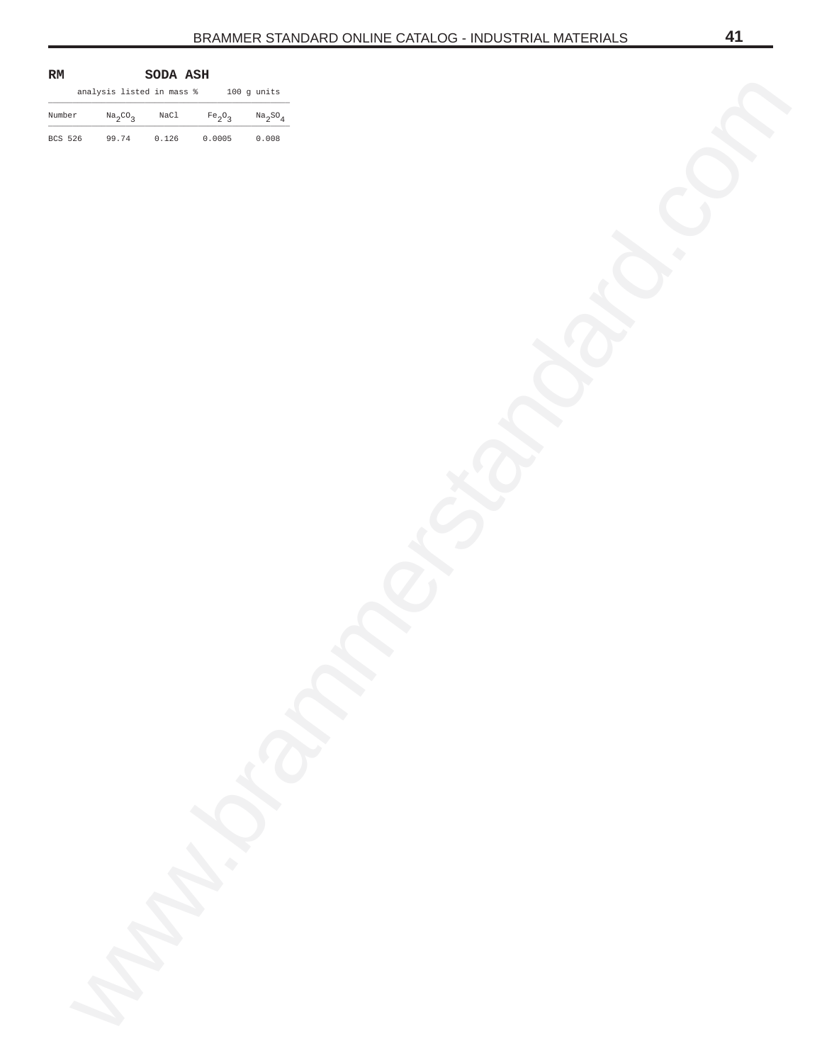<span id="page-40-0"></span>

| $\mathbf{RM}$ |                           | $\texttt{SODA}$ $\texttt{ASH}$ |               |                               |
|---------------|---------------------------|--------------------------------|---------------|-------------------------------|
|               | analysis listed in mass % |                                |               | $100~\mathrm{g}$ units        |
| Number        | $Na_2CO_3$                | $_{\rm NaCl}$                  | $\rm Fe_2O_3$ | $\mathrm{Na_{2}SO_{4}}$       |
| BCS 526       | 99.74                     | 0.126                          | 0.0005        | $\textbf{0}$ . $\textbf{008}$ |
|               |                           |                                |               |                               |
|               |                           |                                |               |                               |
|               |                           |                                |               |                               |
|               |                           |                                |               |                               |
|               |                           |                                |               |                               |
|               |                           |                                |               |                               |
|               |                           |                                |               |                               |
|               |                           |                                |               |                               |
|               |                           |                                |               |                               |
|               |                           |                                |               |                               |
|               |                           |                                |               |                               |
|               |                           |                                |               |                               |
|               |                           |                                |               |                               |
|               |                           |                                |               |                               |
|               |                           |                                |               |                               |
|               |                           |                                |               |                               |
|               |                           |                                |               |                               |
|               |                           |                                |               |                               |
|               |                           |                                |               |                               |
|               |                           |                                |               |                               |
|               |                           |                                |               |                               |
|               |                           |                                |               |                               |
|               |                           |                                |               |                               |
|               |                           |                                |               |                               |
|               |                           |                                |               | $\sum_{i=1}^{n}$              |
|               |                           |                                |               |                               |
|               |                           |                                |               |                               |
|               |                           |                                |               |                               |
|               |                           |                                |               |                               |
|               |                           |                                |               |                               |
|               |                           |                                |               |                               |
|               |                           |                                | C. Change     |                               |
|               |                           |                                |               |                               |
|               |                           |                                |               |                               |
|               |                           |                                |               |                               |
|               |                           |                                |               |                               |
|               |                           |                                |               |                               |
|               |                           |                                |               |                               |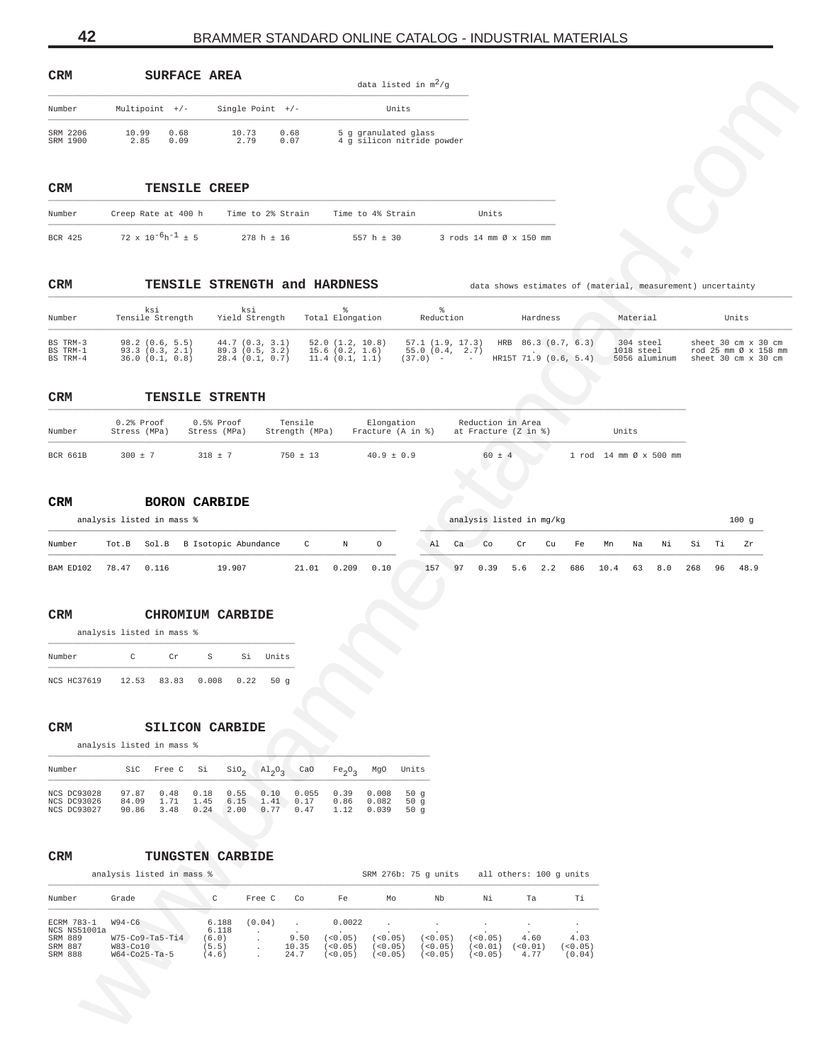| <b>CRM</b>           |                  |              | SURFACE AREA      |              | data listed in $m^2/q$                             |
|----------------------|------------------|--------------|-------------------|--------------|----------------------------------------------------|
| Number               | Multipoint $+/-$ |              | Single Point $+/$ |              | Units                                              |
| SRM 2206<br>SRM 1900 | 10.99<br>2.85    | 0.68<br>0.09 | 10.73<br>2.79     | 0.68<br>0.07 | 5 q qranulated qlass<br>4 q silicon nitride powder |

### **CRM TENSILE CREEP**

| Number  | Creep Rate at 400 h           | Time to 2% Strain | Time to 4% Strain | Units                   |
|---------|-------------------------------|-------------------|-------------------|-------------------------|
| BCR 425 | $72 \times 10^{-6}h^{-1}$ ± 5 | $278 h + 16$      | 557 h $\pm$ 30    | 3 rods 14 mm Ø x 150 mm |

| CRM | TENSILE STRENGTH and HARDNESS |  |
|-----|-------------------------------|--|
|     |                               |  |

| ⊂™π                                                         | SURFACE AREA                                                            |                                                                                                                 |                                                                          | data listed in $m^2/g$                                              |                                                |                                                        |                                                             |                                                                    |
|-------------------------------------------------------------|-------------------------------------------------------------------------|-----------------------------------------------------------------------------------------------------------------|--------------------------------------------------------------------------|---------------------------------------------------------------------|------------------------------------------------|--------------------------------------------------------|-------------------------------------------------------------|--------------------------------------------------------------------|
| Number                                                      | Multipoint +/-                                                          | Single Point +/-                                                                                                |                                                                          | Units                                                               |                                                |                                                        |                                                             |                                                                    |
| SRM 2206<br>SRM 1900                                        | 10.99<br>0.68<br>2.85<br>0.09                                           | 10.73<br>0.68<br>2.79<br>0.07                                                                                   |                                                                          | 5 g granulated glass<br>4 g silicon nitride powder                  |                                                |                                                        |                                                             |                                                                    |
|                                                             |                                                                         |                                                                                                                 |                                                                          |                                                                     |                                                |                                                        |                                                             |                                                                    |
| CRM                                                         | TENSILE CREEP                                                           |                                                                                                                 |                                                                          |                                                                     |                                                |                                                        |                                                             |                                                                    |
| Number                                                      |                                                                         | Creep Rate at 400 h Time to 2% Strain                                                                           | Time to 4% Strain                                                        |                                                                     | Units                                          |                                                        |                                                             |                                                                    |
| <b>BCR 425</b>                                              | $72 \times 10^{-6}h^{-1}$ ± 5                                           | $278 h \pm 16$                                                                                                  | $557 h \pm 30$                                                           |                                                                     | 3 rods 14 mm Ø x 150 mm                        |                                                        |                                                             |                                                                    |
| CRM                                                         |                                                                         | TENSILE STRENGTH and HARDNESS                                                                                   |                                                                          |                                                                     |                                                |                                                        | data shows estimates of (material, measurement) uncertainty |                                                                    |
| Number                                                      | ksi<br>Tensile Strength                                                 | ksi<br>Yield Strength                                                                                           | g.<br>Total Elongation                                                   | ిం<br>Reduction                                                     |                                                | Hardness                                               | Material                                                    | Units                                                              |
| BS TRM-3<br>BS TRM-1<br>BS TRM-4                            | 98.2(0.6, 5.5)<br>93.3(0.3, 2.1)<br>36.0 (0.1, 0.8)                     | $44.7$ $(0.3, 3.1)$<br>89.3 (0.5, 3.2)<br>28.4(0.1, 0.7)                                                        | 52.0(1.2, 10.8)<br>15.6(0.2, 1.6)<br>11.4(0.1, 1.1)                      | 57.1(1.9, 17.3)<br>55.0(0.4, 2.7)<br>$(37.0)$ - -                   |                                                | HRB 86.3 (0.7, 6.3)<br>HR15T 71.9 (0.6, 5.4)           | 304 steel<br>1018 steel<br>5056 aluminum                    | sheet 30 cm x 30 cm<br>rod 25 mm Ø x 158 mm<br>sheet 30 cm x 30 cm |
| CRM                                                         |                                                                         | TENSILE STRENTH                                                                                                 |                                                                          |                                                                     |                                                |                                                        |                                                             |                                                                    |
| Number                                                      | 0.2% Proof<br>Stress (MPa)                                              | 0.5% Proof<br>Tensile<br>Stress (MPa)                                                                           | Strength (MPa)                                                           | Elongation<br>Fracture (A in %)                                     | Reduction in Area<br>at Fracture $(Z \nin \S)$ |                                                        | Units                                                       |                                                                    |
| BCR 661B                                                    | $300 \pm 7$                                                             | $318 \pm 7$                                                                                                     | $750 \pm 13$                                                             | $40.9 \pm 0.9$                                                      | $60 \pm 4$                                     |                                                        | 1 rod 14 mm Ø x 500 mm                                      |                                                                    |
| Number<br>BAM ED102                                         | Tot.B<br>78.47 0.116                                                    | Sol.B B Isotopic Abundance<br>19.907                                                                            | $\mathbf C$<br>$\circ$<br>N<br>21.01<br>0.209<br>0.10                    | Al<br>157                                                           | Ca<br>Co<br>Cr<br>97<br>0.39                   | Cu<br>Fe<br>$5.6 \t2.2$<br>686                         | Mn<br>Νi<br>Na<br>10.4<br>63<br>8.0                         | Si<br>Тi<br>Ζr<br>268<br>96<br>48.9                                |
| CRM<br>Number                                               | analysis listed in mass %<br>C<br>Cr                                    | <b>CHROMIUM CARBIDE</b><br>S<br>Si Units                                                                        |                                                                          |                                                                     |                                                |                                                        |                                                             |                                                                    |
|                                                             | NCS HC37619 12.53 83.83 0.008 0.22 50 g                                 |                                                                                                                 |                                                                          |                                                                     |                                                |                                                        |                                                             |                                                                    |
| CRM                                                         | analysis listed in mass %                                               | <b>SILICON CARBIDE</b>                                                                                          |                                                                          |                                                                     |                                                |                                                        |                                                             |                                                                    |
| Number                                                      | SiC<br>Si<br>Free C                                                     | SiO <sub>2</sub><br>$A1_{2}O_{3}$                                                                               | CaO<br>MgO<br>Fe <sub>2</sub> O <sub>3</sub>                             | Units                                                               |                                                |                                                        |                                                             |                                                                    |
| NCS DC93028<br>NCS DC93026<br>NCS DC93027                   | 97.87<br>0.48<br>0.18<br>84.09<br>1.71<br>1.45<br>3.48<br>0.24<br>90.86 | 0.55<br>0.10<br>1.41<br>6.15<br>0.77<br>2.00                                                                    | 0.055<br>0.39<br>0.008<br>0.17<br>0.86<br>0.082<br>0.47<br>1.12<br>0.039 | 50 $g$<br>50g<br>50g                                                |                                                |                                                        |                                                             |                                                                    |
| CRM                                                         | analysis listed in mass %                                               | TUNGSTEN CARBIDE                                                                                                |                                                                          | SRM 276b: 75 g units                                                |                                                | all others: 100 g units                                |                                                             |                                                                    |
| Number                                                      | Grade                                                                   | $\mathtt{C}$<br>Free C                                                                                          | Co<br>Fe                                                                 | Mo<br>Nb                                                            | Νi                                             | Τi<br>Ta                                               |                                                             |                                                                    |
| ECRM 783-1<br>NCS NS51001a<br>SRM 889<br>SRM 887<br>SRM 888 | $W94-C6$<br>$W75-C09-Ta5-Ti4$<br>W83-Co10<br>$W64-Co25-Ta-5$            | (0.04)<br>6.188<br>6.118<br>9.50<br>(6.0)<br>$\cdot$<br>10.35<br>(5.5)<br>$\bullet$<br>24.7<br>(4.6)<br>$\cdot$ | 0.0022<br>(< 0.05)<br>(< 0.05)<br>(< 0.05)                               | (< 0.05)<br>(<0.05)<br>(< 0.05)<br>(< 0.05)<br>(< 0.05)<br>(< 0.05) | (<0.05)<br>(< 0.01)<br>(< 0.05)                | 4.60<br>4.03<br>(< 0.01)<br>(< 0.05)<br>4.77<br>(0.04) |                                                             |                                                                    |
|                                                             |                                                                         |                                                                                                                 |                                                                          |                                                                     |                                                |                                                        |                                                             |                                                                    |

#### **CRM TENSILE STRENTH** \_\_\_\_\_\_\_\_\_\_\_\_\_\_\_\_\_\_\_\_\_\_\_\_\_\_\_\_\_\_\_\_\_\_\_\_\_\_\_\_\_\_\_\_\_\_\_\_\_\_\_\_\_\_\_\_\_\_\_\_\_\_\_\_\_\_\_\_\_\_\_\_\_\_\_\_\_\_\_\_\_\_\_\_\_\_\_\_\_\_\_\_\_\_\_\_\_\_\_\_\_\_\_\_\_\_\_\_\_\_\_\_\_\_\_\_\_\_\_\_\_\_\_\_\_\_\_\_\_\_\_\_

| Number   | $0.2$ % Proof<br>Stress (MPa) | $0.5$ % Proof<br>Stress (MPa) | Tensile<br>Strength (MPa) | Elongation<br>Fracture (A in %) | Reduction in Area<br>at Fracture (Z in %) | Units                  |
|----------|-------------------------------|-------------------------------|---------------------------|---------------------------------|-------------------------------------------|------------------------|
| BCR 661B | $300 \pm 7$                   | $318 + 7$                     | $750 \pm 13$              | $40.9 \pm 0.9$                  | $60 \pm 4$                                | 1 rod 14 mm Ø x 500 mm |

# **CRM BORON CARBIDE**

|           |       | analysis listed in mass % |                                  |              |       | analysis listed in mg/kg |     |    |           |     |     |     |      |    | 100g |     |      |      |
|-----------|-------|---------------------------|----------------------------------|--------------|-------|--------------------------|-----|----|-----------|-----|-----|-----|------|----|------|-----|------|------|
| Number    |       |                           | Tot.B Sol.B B Isotopic Abundance | $\mathbb{C}$ | N     | $\circ$                  | Al  | Ca | $\sim$ Co | Cr  | Cu  | Fe  | Mn   | Na | Νi   | Si  | . Ti | 7.r  |
| BAM ED102 | 78.47 | 0.116                     | 19.907                           | 21 01        | 0.209 | 0.10                     | 157 | 97 | 0.39      | 5.6 | 2.2 | 686 | 10.4 | 63 | 8.0  | 268 | - 96 | 48.9 |

# **CRM CHROMIUM CARBIDE**

| Number |                    | ◠     | Cr | S                  | Si | Units |
|--------|--------------------|-------|----|--------------------|----|-------|
|        | <b>NCS HC37619</b> | 12.53 |    | 83.83  0.008  0.22 |    | 50q   |

# **CRM SILICON CARBIDE**

| Number      |       | SiC Free C Si SiO <sub>2</sub> $\text{Al}_2\text{O}_2$ CaO |      |      |      |       | $Fe_2O_2$ MgO |       | Units  |
|-------------|-------|------------------------------------------------------------|------|------|------|-------|---------------|-------|--------|
| NCS DC93028 | 97.87 | 0.48                                                       | 0.18 | 0.55 | 0.10 | 0.055 | 0.39          | 0.008 | 50 $q$ |
| NCS DC93026 | 84.09 | 1.71                                                       | 1.45 | 6.15 | 1.41 | 0.17  | 0.86          | 0.082 | 50 $q$ |
| NCS DC93027 | 90.86 | 3.48                                                       | 0.24 | 2.00 | 0.77 | 0.47  | 1.12          | 0.039 | 50 $q$ |

# **CRM TUNGSTEN CARBIDE**

|              | analysis listed in mass % |       |        |       |         |         | SRM 276b: 75 q units |          | all others: 100 q units |        |
|--------------|---------------------------|-------|--------|-------|---------|---------|----------------------|----------|-------------------------|--------|
| Number       | Grade                     | C.    | Free C | Co    | Fe      | MΩ      | Nb                   | Νi       | Ta                      | тi     |
| ECRM 783-1   | $W94-C6$                  | 6.188 | (0.04) |       | 0.0022  |         |                      |          | $\cdot$                 |        |
| NCS NS51001a |                           | 6.118 |        |       |         |         |                      |          |                         |        |
| SRM 889      | $W75-C09-Ta5-Ti4$         | (6.0) |        | 9.50  | (50.05) | (50.05) | (0.05)               | (< 0.05) | 4.60                    | 4.03   |
| SRM 887      | W83-Co10                  | (5.5) |        | 10.35 | (50.05) | (50.05) | (< 0.05)             | (0.01)   | (0.01)                  | < 0.05 |
| SRM 888      | $W64-Co25-Ta-5$           | 4.6)  |        | 24.7  | (50.05) | (0.05)  | ( < 0.05)            | (50.05)  | 4.77                    | (0.04) |

<span id="page-41-0"></span>